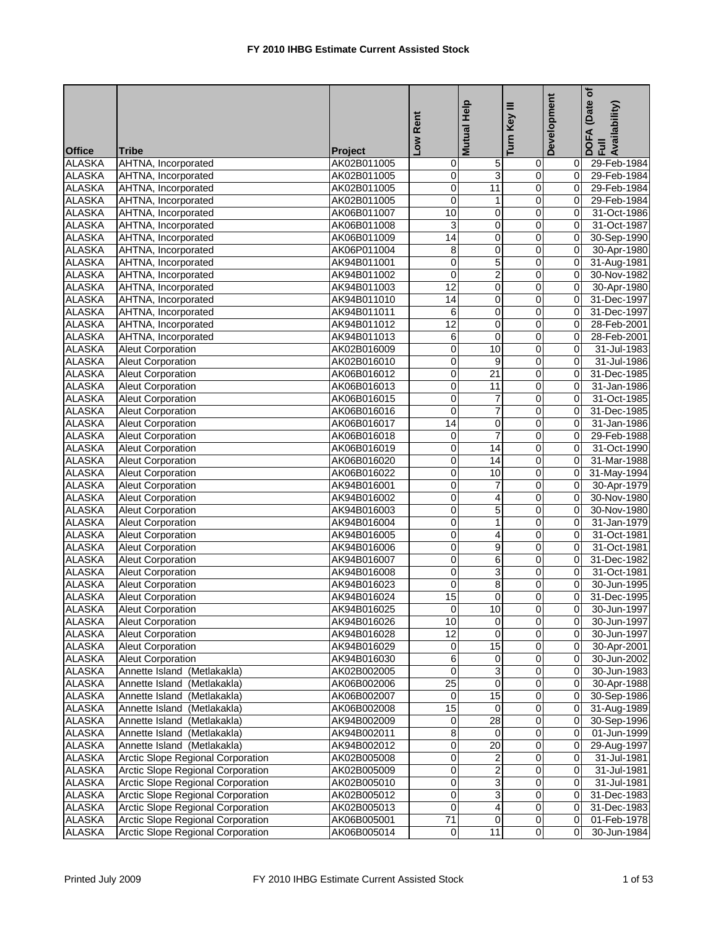|               |                                          |             | Low Rent         | Mutual Help     | Key III        | <b>Development</b> | (Date of<br>DOFA (Date <sub>)</sub><br>Full<br>Availability) |
|---------------|------------------------------------------|-------------|------------------|-----------------|----------------|--------------------|--------------------------------------------------------------|
| <b>Office</b> | <b>Tribe</b>                             | Project     |                  |                 | Turn           |                    |                                                              |
| <b>ALASKA</b> | AHTNA, Incorporated                      | AK02B011005 | 0                | $\overline{5}$  | 0              | 0                  | 29-Feb-1984                                                  |
| <b>ALASKA</b> | AHTNA, Incorporated                      | AK02B011005 | 0                | $\overline{3}$  | $\overline{0}$ | $\overline{0}$     | 29-Feb-1984                                                  |
| <b>ALASKA</b> | AHTNA, Incorporated                      | AK02B011005 | 0                | 11              | $\mathbf 0$    | $\overline{0}$     | 29-Feb-1984                                                  |
| <b>ALASKA</b> | AHTNA, Incorporated                      | AK02B011005 | 0                | 1               | $\overline{0}$ | $\overline{0}$     | 29-Feb-1984                                                  |
| <b>ALASKA</b> | AHTNA, Incorporated                      | AK06B011007 | 10               | $\mathbf 0$     | 0              | $\overline{0}$     | 31-Oct-1986                                                  |
| <b>ALASKA</b> | AHTNA, Incorporated                      | AK06B011008 | 3                | $\mathbf 0$     | $\mathbf 0$    | $\overline{0}$     | 31-Oct-1987                                                  |
| <b>ALASKA</b> | AHTNA, Incorporated                      | AK06B011009 | 14               | $\pmb{0}$       | $\pmb{0}$      | $\overline{0}$     | 30-Sep-1990                                                  |
| <b>ALASKA</b> | AHTNA, Incorporated                      | AK06P011004 | 8                | $\mathbf 0$     | 0              | $\overline{0}$     | 30-Apr-1980                                                  |
| <b>ALASKA</b> | AHTNA, Incorporated                      | AK94B011001 | 0                | 5               | 0              | $\overline{0}$     | 31-Aug-1981                                                  |
| <b>ALASKA</b> | AHTNA, Incorporated                      | AK94B011002 | 0                | $\overline{a}$  | 0              | $\overline{0}$     | 30-Nov-1982                                                  |
| <b>ALASKA</b> | AHTNA, Incorporated                      | AK94B011003 | $\overline{12}$  | $\mathbf 0$     | $\overline{0}$ | $\overline{0}$     | 30-Apr-1980                                                  |
| <b>ALASKA</b> | AHTNA, Incorporated                      | AK94B011010 | $\overline{14}$  | $\mathbf 0$     | $\mathbf 0$    | $\Omega$           | 31-Dec-1997                                                  |
| <b>ALASKA</b> | AHTNA, Incorporated                      | AK94B011011 | 6                | $\mathbf 0$     | 0              | $\overline{0}$     | 31-Dec-1997                                                  |
| <b>ALASKA</b> | AHTNA, Incorporated                      | AK94B011012 | $\overline{12}$  | $\mathbf 0$     | $\mathbf 0$    | $\overline{0}$     | 28-Feb-2001                                                  |
| <b>ALASKA</b> | AHTNA, Incorporated                      | AK94B011013 | 6                | $\overline{0}$  | $\pmb{0}$      | $\overline{0}$     | 28-Feb-2001                                                  |
| <b>ALASKA</b> | <b>Aleut Corporation</b>                 | AK02B016009 | 0                | $\overline{10}$ | $\mathbf 0$    | $\Omega$           | 31-Jul-1983                                                  |
| <b>ALASKA</b> | <b>Aleut Corporation</b>                 | AK02B016010 | 0                | 9               | 0              | $\Omega$           | 31-Jul-1986                                                  |
| <b>ALASKA</b> | <b>Aleut Corporation</b>                 | AK06B016012 | 0                | $\overline{21}$ | $\mathbf 0$    | $\overline{0}$     | 31-Dec-1985                                                  |
| <b>ALASKA</b> | <b>Aleut Corporation</b>                 | AK06B016013 | $\boldsymbol{0}$ | 11              | $\overline{0}$ | 0                  | 31-Jan-1986                                                  |
| <b>ALASKA</b> | <b>Aleut Corporation</b>                 | AK06B016015 | 0                | $\overline{7}$  | $\mathbf 0$    | $\Omega$           | 31-Oct-1985                                                  |
| <b>ALASKA</b> | <b>Aleut Corporation</b>                 | AK06B016016 | $\boldsymbol{0}$ | $\overline{7}$  | $\overline{0}$ | $\overline{0}$     | 31-Dec-1985                                                  |
| <b>ALASKA</b> | <b>Aleut Corporation</b>                 | AK06B016017 | 14               | $\overline{O}$  | $\mathbf 0$    | $\overline{0}$     | 31-Jan-1986                                                  |
| <b>ALASKA</b> | <b>Aleut Corporation</b>                 | AK06B016018 | 0                | $\overline{7}$  | $\overline{0}$ | 0                  | 29-Feb-1988                                                  |
| <b>ALASKA</b> | <b>Aleut Corporation</b>                 | AK06B016019 | 0                | 14              | $\mathbf 0$    | $\overline{0}$     | 31-Oct-1990                                                  |
| <b>ALASKA</b> | <b>Aleut Corporation</b>                 | AK06B016020 | 0                | 14              | 0              | $\overline{0}$     | 31-Mar-1988                                                  |
| <b>ALASKA</b> | <b>Aleut Corporation</b>                 | AK06B016022 | 0                | 10              | 0              | $\overline{0}$     | 31-May-1994                                                  |
| <b>ALASKA</b> | <b>Aleut Corporation</b>                 | AK94B016001 | 0                | $\overline{7}$  | $\pmb{0}$      | $\overline{0}$     | 30-Apr-1979                                                  |
| <b>ALASKA</b> | <b>Aleut Corporation</b>                 | AK94B016002 | 0                | $\overline{4}$  | $\mathbf 0$    | $\overline{0}$     | 30-Nov-1980                                                  |
| <b>ALASKA</b> | <b>Aleut Corporation</b>                 | AK94B016003 | 0                | 5               | $\overline{0}$ | $\overline{0}$     | 30-Nov-1980                                                  |
| <b>ALASKA</b> | <b>Aleut Corporation</b>                 | AK94B016004 | 0                | $\mathbf{1}$    | 0              | $\overline{0}$     | 31-Jan-1979                                                  |
| <b>ALASKA</b> | <b>Aleut Corporation</b>                 | AK94B016005 | 0                | $\overline{4}$  | $\pmb{0}$      | 0                  | 31-Oct-1981                                                  |
| <b>ALASKA</b> | <b>Aleut Corporation</b>                 | AK94B016006 | 0                | $\overline{9}$  | $\pmb{0}$      | $\overline{0}$     | 31-Oct-1981                                                  |
| <b>ALASKA</b> | <b>Aleut Corporation</b>                 | AK94B016007 | 0                | 6               | $\pmb{0}$      | $\overline{0}$     | 31-Dec-1982                                                  |
| <b>ALASKA</b> | <b>Aleut Corporation</b>                 | AK94B016008 | 0                | ω               | 0              | $\overline{0}$     | 31-Oct-1981                                                  |
| <b>ALASKA</b> | <b>Aleut Corporation</b>                 | AK94B016023 | $\mathbf 0$      | 8               | 0              | $\overline{0}$     | 30-Jun-1995                                                  |
| <b>ALASKA</b> | <b>Aleut Corporation</b>                 | AK94B016024 | 15               | $\overline{0}$  | 0              | $\overline{0}$     | 31-Dec-1995                                                  |
| <b>ALASKA</b> | <b>Aleut Corporation</b>                 | AK94B016025 | $\overline{0}$   | 10              | $\overline{0}$ | $\overline{0}$     | 30-Jun-1997                                                  |
| <b>ALASKA</b> | <b>Aleut Corporation</b>                 | AK94B016026 | 10               | $\overline{0}$  | 0              | 01                 | 30-Jun-1997                                                  |
| <b>ALASKA</b> | <b>Aleut Corporation</b>                 | AK94B016028 | 12               | $\overline{0}$  | $\mathbf 0$    | 0I                 | 30-Jun-1997                                                  |
| <b>ALASKA</b> | <b>Aleut Corporation</b>                 | AK94B016029 | $\mathbf 0$      | 15              | $\pmb{0}$      | $\overline{0}$     | 30-Apr-2001                                                  |
| <b>ALASKA</b> | <b>Aleut Corporation</b>                 | AK94B016030 | 6                | $\mathbf 0$     | 0              | 0I                 | 30-Jun-2002                                                  |
| <b>ALASKA</b> | Annette Island (Metlakakla)              | AK02B002005 | $\mathbf 0$      | $\overline{3}$  | $\overline{0}$ | 0I                 | 30-Jun-1983                                                  |
| <b>ALASKA</b> | Annette Island (Metlakakla)              | AK06B002006 | 25               | $\mathbf 0$     | $\pmb{0}$      | 0I                 | 30-Apr-1988                                                  |
| <b>ALASKA</b> | Annette Island (Metlakakla)              | AK06B002007 | $\mathbf 0$      | 15              | $\overline{0}$ | $\overline{0}$     | 30-Sep-1986                                                  |
| <b>ALASKA</b> | Annette Island (Metlakakla)              | AK06B002008 | 15               | $\mathbf 0$     | $\pmb{0}$      | $\overline{0}$     | 31-Aug-1989                                                  |
| <b>ALASKA</b> | Annette Island (Metlakakla)              | AK94B002009 | 0                | $\overline{28}$ | $\overline{0}$ | 0I                 | 30-Sep-1996                                                  |
| <b>ALASKA</b> | Annette Island (Metlakakla)              | AK94B002011 | 8                | 0               | 0              | 0l                 | 01-Jun-1999                                                  |
| <b>ALASKA</b> | Annette Island (Metlakakla)              | AK94B002012 | 0                | 20              | $\overline{0}$ | $\overline{0}$     | 29-Aug-1997                                                  |
| <b>ALASKA</b> | Arctic Slope Regional Corporation        | AK02B005008 | 0                | $\overline{2}$  | $\mathbf 0$    | 0l                 | 31-Jul-1981                                                  |
| <b>ALASKA</b> | Arctic Slope Regional Corporation        | AK02B005009 | 0                | $\overline{2}$  | $\pmb{0}$      | 0I                 | $31 -$ Jul-1981                                              |
| <b>ALASKA</b> | Arctic Slope Regional Corporation        | AK02B005010 | 0                | 3               | 0              | 01                 | 31-Jul-1981                                                  |
| <b>ALASKA</b> | Arctic Slope Regional Corporation        | AK02B005012 | 0                | $\overline{3}$  | $\pmb{0}$      | 01                 | 31-Dec-1983                                                  |
| <b>ALASKA</b> | <b>Arctic Slope Regional Corporation</b> | AK02B005013 | $\mathbf 0$      | $\vert$         | $\mathbf 0$    | 01                 | 31-Dec-1983                                                  |
| <b>ALASKA</b> | <b>Arctic Slope Regional Corporation</b> | AK06B005001 | 71               | $\overline{0}$  | $\overline{0}$ | 0I                 | 01-Feb-1978                                                  |
| <b>ALASKA</b> | <b>Arctic Slope Regional Corporation</b> | AK06B005014 | $\overline{0}$   | 11              | $\overline{O}$ | 0l                 | 30-Jun-1984                                                  |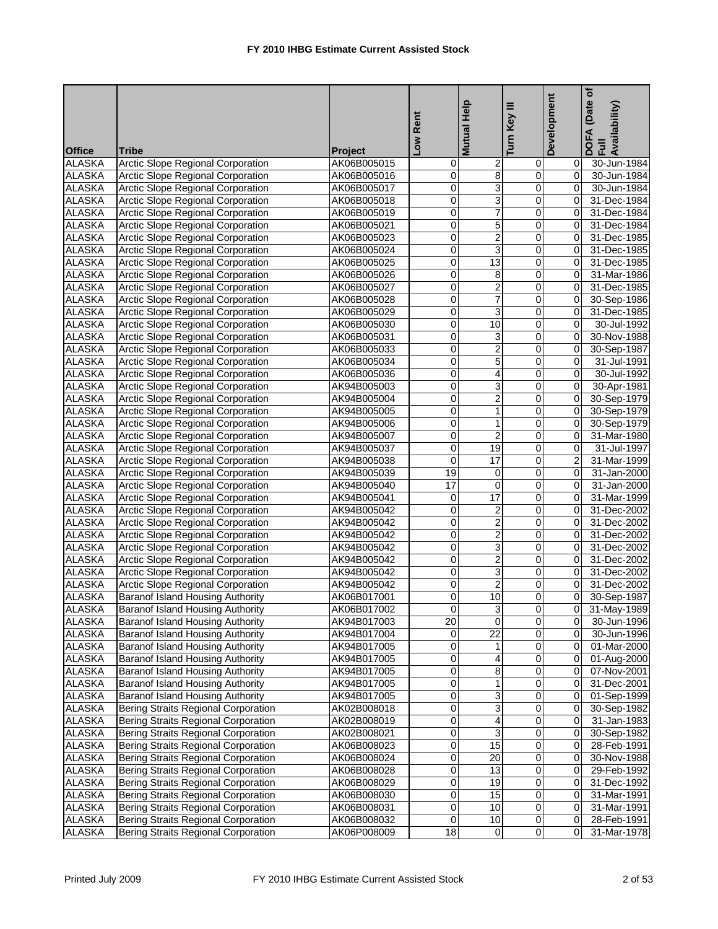|               |                                            |                | Low Rent                | Help<br><b>Mutual</b> | Key III<br>Turn         | Development    | (Date of<br>DOFA (Date<br>Full<br>Availability) |
|---------------|--------------------------------------------|----------------|-------------------------|-----------------------|-------------------------|----------------|-------------------------------------------------|
| <b>Office</b> | <b>Tribe</b>                               | <b>Project</b> |                         |                       |                         |                |                                                 |
| <b>ALASKA</b> | <b>Arctic Slope Regional Corporation</b>   | AK06B005015    | 0                       | $\overline{2}$        | $\mathbf 0$             | 01             | 30-Jun-1984                                     |
| <b>ALASKA</b> | Arctic Slope Regional Corporation          | AK06B005016    | 0                       | 8                     | 0                       | 0              | 30-Jun-1984                                     |
| <b>ALASKA</b> | Arctic Slope Regional Corporation          | AK06B005017    | 0                       | 3                     | 0                       | $\mathbf{0}$   | 30-Jun-1984                                     |
| <b>ALASKA</b> | Arctic Slope Regional Corporation          | AK06B005018    | 0                       | 3                     | $\mathbf 0$             | $\Omega$       | 31-Dec-1984                                     |
| <b>ALASKA</b> | Arctic Slope Regional Corporation          | AK06B005019    | 0                       | 7                     | 0                       | $\mathbf{0}$   | 31-Dec-1984                                     |
| <b>ALASKA</b> | <b>Arctic Slope Regional Corporation</b>   | AK06B005021    | 0                       | 5                     | 0                       | 0              | 31-Dec-1984                                     |
| <b>ALASKA</b> | Arctic Slope Regional Corporation          | AK06B005023    | 0                       | $\overline{2}$        | 0                       | $\mathbf{0}$   | 31-Dec-1985                                     |
| <b>ALASKA</b> | Arctic Slope Regional Corporation          | AK06B005024    | 0                       | 3                     | $\mathbf 0$             | $\overline{0}$ | 31-Dec-1985                                     |
| <b>ALASKA</b> | <b>Arctic Slope Regional Corporation</b>   | AK06B005025    | 0                       | 13                    | 0                       | $\mathbf{0}$   | 31-Dec-1985                                     |
| <b>ALASKA</b> | Arctic Slope Regional Corporation          | AK06B005026    | 0                       | 8                     | 0                       | $\mathbf{0}$   | 31-Mar-1986                                     |
| <b>ALASKA</b> | Arctic Slope Regional Corporation          | AK06B005027    | 0                       | $\overline{2}$        | $\overline{0}$          | $\overline{0}$ | 31-Dec-1985                                     |
| <b>ALASKA</b> | <b>Arctic Slope Regional Corporation</b>   | AK06B005028    | 0                       | 7                     | $\mathbf 0$             | $\overline{0}$ | 30-Sep-1986                                     |
| <b>ALASKA</b> | <b>Arctic Slope Regional Corporation</b>   | AK06B005029    | 0                       | 3                     | $\pmb{0}$               | $\mathbf{0}$   | 31-Dec-1985                                     |
| <b>ALASKA</b> | <b>Arctic Slope Regional Corporation</b>   | AK06B005030    | 0                       | 10                    | $\mathbf 0$             | $\overline{0}$ | 30-Jul-1992                                     |
| <b>ALASKA</b> | <b>Arctic Slope Regional Corporation</b>   | AK06B005031    | 0                       | 3                     | $\overline{0}$          | $\overline{0}$ | 30-Nov-1988                                     |
| <b>ALASKA</b> | Arctic Slope Regional Corporation          | AK06B005033    | 0                       | $\overline{2}$        | $\mathbf 0$             | $\overline{0}$ | 30-Sep-1987                                     |
| <b>ALASKA</b> | <b>Arctic Slope Regional Corporation</b>   | AK06B005034    | 0                       | 5                     | 0                       | $\mathbf{0}$   | 31-Jul-1991                                     |
| <b>ALASKA</b> | <b>Arctic Slope Regional Corporation</b>   | AK06B005036    | 0                       | 4                     | 0                       | $\overline{0}$ | 30-Jul-1992                                     |
| <b>ALASKA</b> | <b>Arctic Slope Regional Corporation</b>   | AK94B005003    | 0                       | 3                     | 0                       | $\overline{0}$ | 30-Apr-1981                                     |
| <b>ALASKA</b> | Arctic Slope Regional Corporation          | AK94B005004    | 0                       | $\overline{2}$        | 0                       | $\overline{0}$ | 30-Sep-1979                                     |
| <b>ALASKA</b> | <b>Arctic Slope Regional Corporation</b>   | AK94B005005    | 0                       | 1                     | 0                       | $\overline{0}$ | 30-Sep-1979                                     |
| <b>ALASKA</b> | <b>Arctic Slope Regional Corporation</b>   | AK94B005006    | 0                       | 1                     | 0                       | $\overline{0}$ | 30-Sep-1979                                     |
| <b>ALASKA</b> | <b>Arctic Slope Regional Corporation</b>   | AK94B005007    | 0                       | $\overline{2}$        | $\overline{\mathsf{o}}$ | $\overline{0}$ | 31-Mar-1980                                     |
| <b>ALASKA</b> | Arctic Slope Regional Corporation          | AK94B005037    | 0                       | 19                    | $\pmb{0}$               | 0              | 31-Jul-1997                                     |
| <b>ALASKA</b> | Arctic Slope Regional Corporation          | AK94B005038    | 0                       | 17                    | 0                       | $\overline{2}$ | 31-Mar-1999                                     |
| <b>ALASKA</b> | Arctic Slope Regional Corporation          | AK94B005039    | 19                      | 0                     | 0                       | 0              | 31-Jan-2000                                     |
| <b>ALASKA</b> | Arctic Slope Regional Corporation          | AK94B005040    | 17                      | 0                     | 0                       | 0              | 31-Jan-2000                                     |
| <b>ALASKA</b> | <b>Arctic Slope Regional Corporation</b>   | AK94B005041    | 0                       | $\overline{17}$       | 0                       | $\overline{0}$ | 31-Mar-1999                                     |
| <b>ALASKA</b> | Arctic Slope Regional Corporation          | AK94B005042    | 0                       | $\overline{2}$        | $\mathbf 0$             | $\overline{0}$ | 31-Dec-2002                                     |
| <b>ALASKA</b> | <b>Arctic Slope Regional Corporation</b>   | AK94B005042    | 0                       | 2                     | 0                       | 0              | 31-Dec-2002                                     |
| <b>ALASKA</b> | <b>Arctic Slope Regional Corporation</b>   | AK94B005042    | 0                       | $\overline{2}$        | 0                       | 0              | 31-Dec-2002                                     |
| <b>ALASKA</b> | Arctic Slope Regional Corporation          | AK94B005042    | 0                       | 3                     | 0                       | $\mathbf{0}$   | 31-Dec-2002                                     |
| <b>ALASKA</b> | Arctic Slope Regional Corporation          | AK94B005042    | 0                       | $\overline{2}$        | $\mathbf 0$             | $\mathbf{0}$   | 31-Dec-2002                                     |
| <b>ALASKA</b> | <b>Arctic Slope Regional Corporation</b>   | AK94B005042    | 0                       | 3                     | 0                       | 0l             | 31-Dec-2002                                     |
| <b>ALASKA</b> | Arctic Slope Regional Corporation          | AK94B005042    | 0                       | $\overline{c}$        | 0                       | $\mathbf{0}$   | 31-Dec-2002                                     |
| <b>ALASKA</b> | Baranof Island Housing Authority           | AK06B017001    | 0                       | 10                    | $\overline{0}$          | $\overline{0}$ | 30-Sep-1987                                     |
| <b>ALASKA</b> | <b>Baranof Island Housing Authority</b>    | AK06B017002    | $\overline{0}$          | $\overline{3}$        | $\overline{0}$          |                | 31-May-1989                                     |
| <b>ALASKA</b> | <b>Baranof Island Housing Authority</b>    | AK94B017003    | $\overline{20}$         | $\overline{0}$        | $\overline{0}$          | ΟI             | 30-Jun-1996                                     |
| <b>ALASKA</b> | <b>Baranof Island Housing Authority</b>    | AK94B017004    | 0                       | 22                    | 0                       | ΟI             | 30-Jun-1996                                     |
| <b>ALASKA</b> | Baranof Island Housing Authority           | AK94B017005    | $\overline{\mathbf{0}}$ | 1                     | $\overline{0}$          |                | 0 01-Mar-2000                                   |
| <b>ALASKA</b> | Baranof Island Housing Authority           | AK94B017005    | 0                       | 4                     | $\pmb{0}$               | 01             | 01-Aug-2000                                     |
| <b>ALASKA</b> | <b>Baranof Island Housing Authority</b>    | AK94B017005    | 0                       | 8                     | 0                       | 01             | 07-Nov-2001                                     |
| <b>ALASKA</b> | Baranof Island Housing Authority           | AK94B017005    | 0                       | 1                     | 0                       | 01             | 31-Dec-2001                                     |
| <b>ALASKA</b> | <b>Baranof Island Housing Authority</b>    | AK94B017005    | 0                       | 3                     | $\pmb{0}$               | 01             | 01-Sep-1999                                     |
| <b>ALASKA</b> | <b>Bering Straits Regional Corporation</b> | AK02B008018    | 0                       | 3                     | 0                       | 01             | 30-Sep-1982                                     |
| <b>ALASKA</b> | <b>Bering Straits Regional Corporation</b> | AK02B008019    | 0                       | 4                     | 0                       | 0I             | 31-Jan-1983                                     |
| <b>ALASKA</b> | Bering Straits Regional Corporation        | AK02B008021    | 0                       | ω                     | 0                       | 01             | 30-Sep-1982                                     |
| <b>ALASKA</b> | <b>Bering Straits Regional Corporation</b> | AK06B008023    | 0                       | 15                    | $\overline{0}$          | 01             | 28-Feb-1991                                     |
| <b>ALASKA</b> | <b>Bering Straits Regional Corporation</b> | AK06B008024    | 0                       | 20                    | $\pmb{0}$               | 01             | 30-Nov-1988                                     |
| <b>ALASKA</b> | <b>Bering Straits Regional Corporation</b> | AK06B008028    | 0                       | 13                    | 0                       | 01             | 29-Feb-1992                                     |
| <b>ALASKA</b> | <b>Bering Straits Regional Corporation</b> | AK06B008029    | 0                       | 19                    | $\mathbf 0$             | 01             | 31-Dec-1992                                     |
| <b>ALASKA</b> | Bering Straits Regional Corporation        | AK06B008030    | 0                       | 15                    | $\pmb{0}$               | 01             | 31-Mar-1991                                     |
| <b>ALASKA</b> | Bering Straits Regional Corporation        | AK06B008031    | 0                       | 10                    | $\pmb{0}$               | 01             | 31-Mar-1991                                     |
| <b>ALASKA</b> | Bering Straits Regional Corporation        | AK06B008032    | 0                       | 10                    | 0                       | 01             | 28-Feb-1991                                     |
| <b>ALASKA</b> | Bering Straits Regional Corporation        | AK06P008009    | 18                      | $\mathbf 0$           | $\overline{0}$          | $\overline{0}$ | 31-Mar-1978                                     |
|               |                                            |                |                         |                       |                         |                |                                                 |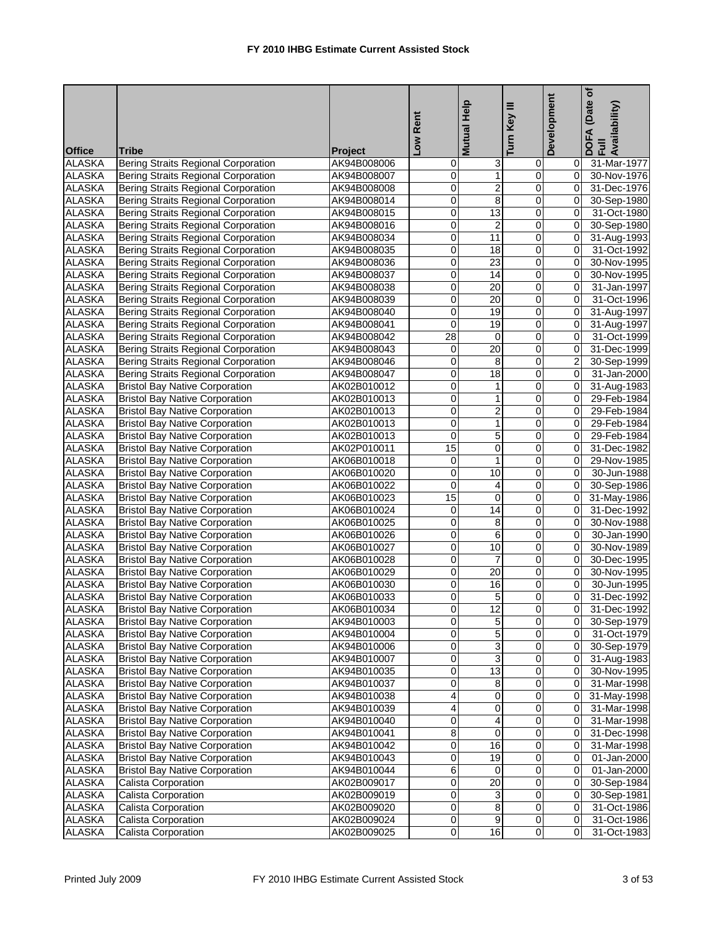| Turn<br><b>Office</b><br><b>Tribe</b><br><b>Project</b><br><b>ALASKA</b><br><b>Bering Straits Regional Corporation</b><br><u>ري</u><br>31-Mar-1977<br>AK94B008006<br>0<br>0<br>01<br><b>ALASKA</b><br>1<br>Bering Straits Regional Corporation<br>0<br>$\mathbf 0$<br>$\overline{0}$<br>30-Nov-1976<br>AK94B008007<br>$\overline{2}$<br><b>ALASKA</b><br>0<br>0<br>$\overline{0}$<br>Bering Straits Regional Corporation<br>31-Dec-1976<br>AK94B008008<br><b>ALASKA</b><br>0<br>8<br><b>Bering Straits Regional Corporation</b><br>AK94B008014<br>0<br>$\overline{0}$<br>30-Sep-1980<br><b>ALASKA</b><br>$\overline{13}$<br><b>Bering Straits Regional Corporation</b><br>0<br>0<br>$\overline{0}$<br>31-Oct-1980<br>AK94B008015<br><b>ALASKA</b><br><b>Bering Straits Regional Corporation</b><br>$\overline{2}$<br>0<br>$\mathbf 0$<br>$\overline{0}$<br>30-Sep-1980<br>AK94B008016<br>0<br>11<br>0<br><b>ALASKA</b><br>Bering Straits Regional Corporation<br>$\overline{0}$<br>31-Aug-1993<br>AK94B008034<br>0<br>18<br>$\mathbf 0$<br>$\overline{0}$<br><b>ALASKA</b><br>Bering Straits Regional Corporation<br>31-Oct-1992<br>AK94B008035<br><b>ALASKA</b><br>0<br>23<br>0<br>Bering Straits Regional Corporation<br>$\overline{0}$<br>30-Nov-1995<br>AK94B008036<br><b>ALASKA</b><br>Bering Straits Regional Corporation<br>0<br>14<br>0<br>$\overline{0}$<br>30-Nov-1995<br>AK94B008037<br>20<br><b>ALASKA</b><br>0<br>0<br><b>Bering Straits Regional Corporation</b><br>$\overline{0}$<br>31-Jan-1997<br>AK94B008038<br>20<br><b>ALASKA</b><br><b>Bering Straits Regional Corporation</b><br>$\mathbf 0$<br>31-Oct-1996<br>AK94B008039<br>0<br>$\overline{0}$<br><b>ALASKA</b><br>0<br>19<br><b>Bering Straits Regional Corporation</b><br>0<br>$\overline{0}$<br>AK94B008040<br>31-Aug-1997<br>19<br><b>ALASKA</b><br><b>Bering Straits Regional Corporation</b><br>$\mathbf 0$<br>AK94B008041<br>$\mathbf 0$<br>$\overline{0}$<br>31-Aug-1997<br>28<br>$\overline{0}$<br><b>ALASKA</b><br>$\mathbf 0$<br>Bering Straits Regional Corporation<br>AK94B008042<br>$\overline{0}$<br>31-Oct-1999<br>$\overline{20}$<br><b>ALASKA</b><br><b>Bering Straits Regional Corporation</b><br>$\mathbf 0$<br>AK94B008043<br>0<br>$\overline{0}$<br>31-Dec-1999<br><b>ALASKA</b><br><b>Bering Straits Regional Corporation</b><br>0<br>8<br>0<br>$\overline{2}$<br>AK94B008046<br>30-Sep-1999<br><b>ALASKA</b><br><b>Bering Straits Regional Corporation</b><br>18<br>AK94B008047<br>0<br>0<br>$\overline{0}$<br>31-Jan-2000<br><b>ALASKA</b><br>0<br>$\pmb{0}$<br><b>Bristol Bay Native Corporation</b><br>AK02B010012<br>1<br>$\overline{0}$<br>31-Aug-1983<br>1<br><b>ALASKA</b><br>$\mathbf 0$<br><b>Bristol Bay Native Corporation</b><br>AK02B010013<br>0<br>$\overline{0}$<br>29-Feb-1984<br>$\overline{c}$<br><b>ALASKA</b><br>0<br>$\overline{0}$<br>29-Feb-1984<br><b>Bristol Bay Native Corporation</b><br>AK02B010013<br>0<br>$\mathbf{1}$<br><b>ALASKA</b><br><b>Bristol Bay Native Corporation</b><br>AK02B010013<br>0<br>0<br>$\overline{0}$<br>29-Feb-1984<br><b>ALASKA</b><br>5<br><b>Bristol Bay Native Corporation</b><br>AK02B010013<br>0<br>0<br>29-Feb-1984<br>$\overline{0}$<br>$\pmb{0}$<br>$\pmb{0}$<br><b>ALASKA</b><br>15<br><b>Bristol Bay Native Corporation</b><br>AK02P010011<br>$\overline{0}$<br>31-Dec-1982<br><b>ALASKA</b><br>1<br><b>Bristol Bay Native Corporation</b><br>0<br>0<br>$\overline{0}$<br>AK06B010018<br>29-Nov-1985<br><b>ALASKA</b><br>10<br><b>Bristol Bay Native Corporation</b><br>AK06B010020<br>0<br>0<br>$\overline{0}$<br>30-Jun-1988<br><b>ALASKA</b><br><b>Bristol Bay Native Corporation</b><br>0<br>$\overline{4}$<br>0<br>30-Sep-1986<br>AK06B010022<br>0<br><b>ALASKA</b><br>15<br>$\overline{O}$<br>0<br>$\overline{0}$<br><b>Bristol Bay Native Corporation</b><br>31-May-1986<br>AK06B010023<br><b>ALASKA</b><br>$\overline{14}$<br>$\mathbf 0$<br>$\overline{0}$<br><b>Bristol Bay Native Corporation</b><br>AK06B010024<br>0<br>31-Dec-1992<br><b>ALASKA</b><br><b>Bristol Bay Native Corporation</b><br>0<br>8<br>0<br>AK06B010025<br>$\overline{0}$<br>30-Nov-1988<br><b>ALASKA</b><br>6<br><b>Bristol Bay Native Corporation</b><br>AK06B010026<br>0<br>$\mathbf 0$<br>$\overline{0}$<br>30-Jan-1990<br>10<br>0<br>0<br><b>ALASKA</b><br><b>Bristol Bay Native Corporation</b><br>AK06B010027<br>$\overline{0}$<br>30-Nov-1989<br>$\overline{7}$<br><b>Bristol Bay Native Corporation</b><br>$\mathbf 0$<br>$\overline{0}$<br><b>ALASKA</b><br>AK06B010028<br>0<br>30-Dec-1995<br><b>ALASKA</b><br><b>Bristol Bay Native Corporation</b><br>0<br>20<br>0<br>$\overline{0}$<br>AK06B010029<br>30-Nov-1995<br><b>ALASKA</b><br>16<br><b>Bristol Bay Native Corporation</b><br>AK06B010030<br>0<br>0<br>$\Omega$<br>30-Jun-1995<br>5<br>$\overline{0}$<br><b>ALASKA</b><br>0<br>$\overline{0}$<br><b>Bristol Bay Native Corporation</b><br>AK06B010033<br>31-Dec-1992<br><b>ALASKA</b><br>12<br>$\overline{0}$<br><b>Bristol Bay Native Corporation</b><br>AK06B010034<br>$\overline{0}$<br>31-Dec-1992<br>$\overline{0}$<br>5<br>$\overline{0}$<br><b>ALASKA</b><br><b>Bristol Bay Native Corporation</b><br>AK94B010003<br>0 30-Sep-1979<br>5<br><b>ALASKA</b><br><b>Bristol Bay Native Corporation</b><br>$\mathbf 0$<br>$\pmb{0}$<br>31-Oct-1979<br>AK94B010004<br>ΟI<br>$\overline{3}$<br>$\overline{0}$<br>0<br><b>ALASKA</b><br><b>Bristol Bay Native Corporation</b><br>0 30-Sep-1979<br>AK94B010006<br>3<br>$\mathbf 0$<br>0<br><b>ALASKA</b><br><b>Bristol Bay Native Corporation</b><br>AK94B010007<br>0I<br>31-Aug-1983<br>13<br><b>ALASKA</b><br><b>Bristol Bay Native Corporation</b><br>AK94B010035<br>0<br>$\pmb{0}$<br>30-Nov-1995<br>01<br>8<br><b>ALASKA</b><br><b>Bristol Bay Native Corporation</b><br>AK94B010037<br>0<br>0<br>31-Mar-1998<br>01<br><b>ALASKA</b><br>0<br>$\overline{0}$<br><b>Bristol Bay Native Corporation</b><br>4<br>AK94B010038<br>01<br>31-May-1998<br>$\mathbf 0$<br>0<br><b>ALASKA</b><br><b>Bristol Bay Native Corporation</b><br>AK94B010039<br>4<br>Οl<br>31-Mar-1998<br><b>ALASKA</b><br>0<br>$\overline{4}$<br><b>Bristol Bay Native Corporation</b><br>AK94B010040<br>0<br>0I<br>31-Mar-1998<br>8<br><b>ALASKA</b><br><b>Bristol Bay Native Corporation</b><br>$\mathbf 0$<br>0<br>AK94B010041<br>31-Dec-1998<br>16<br>$\overline{0}$<br><b>ALASKA</b><br><b>Bristol Bay Native Corporation</b><br>0<br>AK94B010042<br>01<br>31-Mar-1998<br><b>ALASKA</b><br>19<br>$\overline{0}$<br><b>Bristol Bay Native Corporation</b><br>0<br>$\overline{0}$<br>01-Jan-2000<br>AK94B010043<br><b>ALASKA</b><br><b>Bristol Bay Native Corporation</b><br>6<br>$\mathsf{O}\xspace$<br>AK94B010044<br>$\pmb{0}$<br>0I<br>01-Jan-2000<br><b>ALASKA</b><br>$\overline{20}$<br>Calista Corporation<br>0<br>$\overline{0}$<br>AK02B009017<br>0<br>30-Sep-1984<br><b>ALASKA</b><br>3<br>Calista Corporation<br>0<br>$\mathbf 0$<br>AK02B009019<br>0<br>30-Sep-1981<br><b>ALASKA</b><br>8 <sup>1</sup><br>$\overline{0}$<br>Calista Corporation<br>0<br>$\overline{0}$<br>AK02B009020<br>31-Oct-1986<br>$\overline{9}$<br><b>ALASKA</b><br>Calista Corporation<br>AK02B009024<br>0<br>$\mathbf 0$<br>$\overline{0}$<br>31-Oct-1986<br>$\overline{0}$<br><b>ALASKA</b><br>Calista Corporation<br>AK02B009025<br>16<br>$\overline{0}$<br>$\overline{0}$<br>31-Oct-1983 |  | Low Rent | Mutual Help | Key III | Development | (Date of<br>DOFA (Date<br>Full<br>Availability) |
|----------------------------------------------------------------------------------------------------------------------------------------------------------------------------------------------------------------------------------------------------------------------------------------------------------------------------------------------------------------------------------------------------------------------------------------------------------------------------------------------------------------------------------------------------------------------------------------------------------------------------------------------------------------------------------------------------------------------------------------------------------------------------------------------------------------------------------------------------------------------------------------------------------------------------------------------------------------------------------------------------------------------------------------------------------------------------------------------------------------------------------------------------------------------------------------------------------------------------------------------------------------------------------------------------------------------------------------------------------------------------------------------------------------------------------------------------------------------------------------------------------------------------------------------------------------------------------------------------------------------------------------------------------------------------------------------------------------------------------------------------------------------------------------------------------------------------------------------------------------------------------------------------------------------------------------------------------------------------------------------------------------------------------------------------------------------------------------------------------------------------------------------------------------------------------------------------------------------------------------------------------------------------------------------------------------------------------------------------------------------------------------------------------------------------------------------------------------------------------------------------------------------------------------------------------------------------------------------------------------------------------------------------------------------------------------------------------------------------------------------------------------------------------------------------------------------------------------------------------------------------------------------------------------------------------------------------------------------------------------------------------------------------------------------------------------------------------------------------------------------------------------------------------------------------------------------------------------------------------------------------------------------------------------------------------------------------------------------------------------------------------------------------------------------------------------------------------------------------------------------------------------------------------------------------------------------------------------------------------------------------------------------------------------------------------------------------------------------------------------------------------------------------------------------------------------------------------------------------------------------------------------------------------------------------------------------------------------------------------------------------------------------------------------------------------------------------------------------------------------------------------------------------------------------------------------------------------------------------------------------------------------------------------------------------------------------------------------------------------------------------------------------------------------------------------------------------------------------------------------------------------------------------------------------------------------------------------------------------------------------------------------------------------------------------------------------------------------------------------------------------------------------------------------------------------------------------------------------------------------------------------------------------------------------------------------------------------------------------------------------------------------------------------------------------------------------------------------------------------------------------------------------------------------------------------------------------------------------------------------------------------------------------------------------------------------------------------------------------------------------------------------------------------------------------------------------------------------------------------------------------------------------------------------------------------------------------------------------------------------------------------------------------------------------------------------------------------------------------------------------------------------------------------------------------------------------------------------------------------------------------------------------------------------------------------------------------------------------------------------------------------------------------------------------------------------------------------------------------------------------------------------------------------------------------------------------------------------------------------------------------------------------------------------------------------------------------------------------------------------------------------------------------------------------------------------------------------------------------------------------------------------------------------------------------------------------------------------------------------------------------------------------------------------------------------------------------------------------------------------------------------------------------------------------------------------------------------------------------------------------------------------------------------------------------------------------------------------------------------------------------------------------------------------------------------------------------------------------------------------------------------------------------------------------------------------------------------------------------------------------------------------------------------------------------------------------------------------------------------------------------|--|----------|-------------|---------|-------------|-------------------------------------------------|
|                                                                                                                                                                                                                                                                                                                                                                                                                                                                                                                                                                                                                                                                                                                                                                                                                                                                                                                                                                                                                                                                                                                                                                                                                                                                                                                                                                                                                                                                                                                                                                                                                                                                                                                                                                                                                                                                                                                                                                                                                                                                                                                                                                                                                                                                                                                                                                                                                                                                                                                                                                                                                                                                                                                                                                                                                                                                                                                                                                                                                                                                                                                                                                                                                                                                                                                                                                                                                                                                                                                                                                                                                                                                                                                                                                                                                                                                                                                                                                                                                                                                                                                                                                                                                                                                                                                                                                                                                                                                                                                                                                                                                                                                                                                                                                                                                                                                                                                                                                                                                                                                                                                                                                                                                                                                                                                                                                                                                                                                                                                                                                                                                                                                                                                                                                                                                                                                                                                                                                                                                                                                                                                                                                                                                                                                                                                                                                                                                                                                                                                                                                                                                                                                                                                                                                                                                                                                                                                                                                                                                                                                                                                                                                                                                                                                                                                                                                            |  |          |             |         |             |                                                 |
|                                                                                                                                                                                                                                                                                                                                                                                                                                                                                                                                                                                                                                                                                                                                                                                                                                                                                                                                                                                                                                                                                                                                                                                                                                                                                                                                                                                                                                                                                                                                                                                                                                                                                                                                                                                                                                                                                                                                                                                                                                                                                                                                                                                                                                                                                                                                                                                                                                                                                                                                                                                                                                                                                                                                                                                                                                                                                                                                                                                                                                                                                                                                                                                                                                                                                                                                                                                                                                                                                                                                                                                                                                                                                                                                                                                                                                                                                                                                                                                                                                                                                                                                                                                                                                                                                                                                                                                                                                                                                                                                                                                                                                                                                                                                                                                                                                                                                                                                                                                                                                                                                                                                                                                                                                                                                                                                                                                                                                                                                                                                                                                                                                                                                                                                                                                                                                                                                                                                                                                                                                                                                                                                                                                                                                                                                                                                                                                                                                                                                                                                                                                                                                                                                                                                                                                                                                                                                                                                                                                                                                                                                                                                                                                                                                                                                                                                                                            |  |          |             |         |             |                                                 |
|                                                                                                                                                                                                                                                                                                                                                                                                                                                                                                                                                                                                                                                                                                                                                                                                                                                                                                                                                                                                                                                                                                                                                                                                                                                                                                                                                                                                                                                                                                                                                                                                                                                                                                                                                                                                                                                                                                                                                                                                                                                                                                                                                                                                                                                                                                                                                                                                                                                                                                                                                                                                                                                                                                                                                                                                                                                                                                                                                                                                                                                                                                                                                                                                                                                                                                                                                                                                                                                                                                                                                                                                                                                                                                                                                                                                                                                                                                                                                                                                                                                                                                                                                                                                                                                                                                                                                                                                                                                                                                                                                                                                                                                                                                                                                                                                                                                                                                                                                                                                                                                                                                                                                                                                                                                                                                                                                                                                                                                                                                                                                                                                                                                                                                                                                                                                                                                                                                                                                                                                                                                                                                                                                                                                                                                                                                                                                                                                                                                                                                                                                                                                                                                                                                                                                                                                                                                                                                                                                                                                                                                                                                                                                                                                                                                                                                                                                                            |  |          |             |         |             |                                                 |
|                                                                                                                                                                                                                                                                                                                                                                                                                                                                                                                                                                                                                                                                                                                                                                                                                                                                                                                                                                                                                                                                                                                                                                                                                                                                                                                                                                                                                                                                                                                                                                                                                                                                                                                                                                                                                                                                                                                                                                                                                                                                                                                                                                                                                                                                                                                                                                                                                                                                                                                                                                                                                                                                                                                                                                                                                                                                                                                                                                                                                                                                                                                                                                                                                                                                                                                                                                                                                                                                                                                                                                                                                                                                                                                                                                                                                                                                                                                                                                                                                                                                                                                                                                                                                                                                                                                                                                                                                                                                                                                                                                                                                                                                                                                                                                                                                                                                                                                                                                                                                                                                                                                                                                                                                                                                                                                                                                                                                                                                                                                                                                                                                                                                                                                                                                                                                                                                                                                                                                                                                                                                                                                                                                                                                                                                                                                                                                                                                                                                                                                                                                                                                                                                                                                                                                                                                                                                                                                                                                                                                                                                                                                                                                                                                                                                                                                                                                            |  |          |             |         |             |                                                 |
|                                                                                                                                                                                                                                                                                                                                                                                                                                                                                                                                                                                                                                                                                                                                                                                                                                                                                                                                                                                                                                                                                                                                                                                                                                                                                                                                                                                                                                                                                                                                                                                                                                                                                                                                                                                                                                                                                                                                                                                                                                                                                                                                                                                                                                                                                                                                                                                                                                                                                                                                                                                                                                                                                                                                                                                                                                                                                                                                                                                                                                                                                                                                                                                                                                                                                                                                                                                                                                                                                                                                                                                                                                                                                                                                                                                                                                                                                                                                                                                                                                                                                                                                                                                                                                                                                                                                                                                                                                                                                                                                                                                                                                                                                                                                                                                                                                                                                                                                                                                                                                                                                                                                                                                                                                                                                                                                                                                                                                                                                                                                                                                                                                                                                                                                                                                                                                                                                                                                                                                                                                                                                                                                                                                                                                                                                                                                                                                                                                                                                                                                                                                                                                                                                                                                                                                                                                                                                                                                                                                                                                                                                                                                                                                                                                                                                                                                                                            |  |          |             |         |             |                                                 |
|                                                                                                                                                                                                                                                                                                                                                                                                                                                                                                                                                                                                                                                                                                                                                                                                                                                                                                                                                                                                                                                                                                                                                                                                                                                                                                                                                                                                                                                                                                                                                                                                                                                                                                                                                                                                                                                                                                                                                                                                                                                                                                                                                                                                                                                                                                                                                                                                                                                                                                                                                                                                                                                                                                                                                                                                                                                                                                                                                                                                                                                                                                                                                                                                                                                                                                                                                                                                                                                                                                                                                                                                                                                                                                                                                                                                                                                                                                                                                                                                                                                                                                                                                                                                                                                                                                                                                                                                                                                                                                                                                                                                                                                                                                                                                                                                                                                                                                                                                                                                                                                                                                                                                                                                                                                                                                                                                                                                                                                                                                                                                                                                                                                                                                                                                                                                                                                                                                                                                                                                                                                                                                                                                                                                                                                                                                                                                                                                                                                                                                                                                                                                                                                                                                                                                                                                                                                                                                                                                                                                                                                                                                                                                                                                                                                                                                                                                                            |  |          |             |         |             |                                                 |
|                                                                                                                                                                                                                                                                                                                                                                                                                                                                                                                                                                                                                                                                                                                                                                                                                                                                                                                                                                                                                                                                                                                                                                                                                                                                                                                                                                                                                                                                                                                                                                                                                                                                                                                                                                                                                                                                                                                                                                                                                                                                                                                                                                                                                                                                                                                                                                                                                                                                                                                                                                                                                                                                                                                                                                                                                                                                                                                                                                                                                                                                                                                                                                                                                                                                                                                                                                                                                                                                                                                                                                                                                                                                                                                                                                                                                                                                                                                                                                                                                                                                                                                                                                                                                                                                                                                                                                                                                                                                                                                                                                                                                                                                                                                                                                                                                                                                                                                                                                                                                                                                                                                                                                                                                                                                                                                                                                                                                                                                                                                                                                                                                                                                                                                                                                                                                                                                                                                                                                                                                                                                                                                                                                                                                                                                                                                                                                                                                                                                                                                                                                                                                                                                                                                                                                                                                                                                                                                                                                                                                                                                                                                                                                                                                                                                                                                                                                            |  |          |             |         |             |                                                 |
|                                                                                                                                                                                                                                                                                                                                                                                                                                                                                                                                                                                                                                                                                                                                                                                                                                                                                                                                                                                                                                                                                                                                                                                                                                                                                                                                                                                                                                                                                                                                                                                                                                                                                                                                                                                                                                                                                                                                                                                                                                                                                                                                                                                                                                                                                                                                                                                                                                                                                                                                                                                                                                                                                                                                                                                                                                                                                                                                                                                                                                                                                                                                                                                                                                                                                                                                                                                                                                                                                                                                                                                                                                                                                                                                                                                                                                                                                                                                                                                                                                                                                                                                                                                                                                                                                                                                                                                                                                                                                                                                                                                                                                                                                                                                                                                                                                                                                                                                                                                                                                                                                                                                                                                                                                                                                                                                                                                                                                                                                                                                                                                                                                                                                                                                                                                                                                                                                                                                                                                                                                                                                                                                                                                                                                                                                                                                                                                                                                                                                                                                                                                                                                                                                                                                                                                                                                                                                                                                                                                                                                                                                                                                                                                                                                                                                                                                                                            |  |          |             |         |             |                                                 |
|                                                                                                                                                                                                                                                                                                                                                                                                                                                                                                                                                                                                                                                                                                                                                                                                                                                                                                                                                                                                                                                                                                                                                                                                                                                                                                                                                                                                                                                                                                                                                                                                                                                                                                                                                                                                                                                                                                                                                                                                                                                                                                                                                                                                                                                                                                                                                                                                                                                                                                                                                                                                                                                                                                                                                                                                                                                                                                                                                                                                                                                                                                                                                                                                                                                                                                                                                                                                                                                                                                                                                                                                                                                                                                                                                                                                                                                                                                                                                                                                                                                                                                                                                                                                                                                                                                                                                                                                                                                                                                                                                                                                                                                                                                                                                                                                                                                                                                                                                                                                                                                                                                                                                                                                                                                                                                                                                                                                                                                                                                                                                                                                                                                                                                                                                                                                                                                                                                                                                                                                                                                                                                                                                                                                                                                                                                                                                                                                                                                                                                                                                                                                                                                                                                                                                                                                                                                                                                                                                                                                                                                                                                                                                                                                                                                                                                                                                                            |  |          |             |         |             |                                                 |
|                                                                                                                                                                                                                                                                                                                                                                                                                                                                                                                                                                                                                                                                                                                                                                                                                                                                                                                                                                                                                                                                                                                                                                                                                                                                                                                                                                                                                                                                                                                                                                                                                                                                                                                                                                                                                                                                                                                                                                                                                                                                                                                                                                                                                                                                                                                                                                                                                                                                                                                                                                                                                                                                                                                                                                                                                                                                                                                                                                                                                                                                                                                                                                                                                                                                                                                                                                                                                                                                                                                                                                                                                                                                                                                                                                                                                                                                                                                                                                                                                                                                                                                                                                                                                                                                                                                                                                                                                                                                                                                                                                                                                                                                                                                                                                                                                                                                                                                                                                                                                                                                                                                                                                                                                                                                                                                                                                                                                                                                                                                                                                                                                                                                                                                                                                                                                                                                                                                                                                                                                                                                                                                                                                                                                                                                                                                                                                                                                                                                                                                                                                                                                                                                                                                                                                                                                                                                                                                                                                                                                                                                                                                                                                                                                                                                                                                                                                            |  |          |             |         |             |                                                 |
|                                                                                                                                                                                                                                                                                                                                                                                                                                                                                                                                                                                                                                                                                                                                                                                                                                                                                                                                                                                                                                                                                                                                                                                                                                                                                                                                                                                                                                                                                                                                                                                                                                                                                                                                                                                                                                                                                                                                                                                                                                                                                                                                                                                                                                                                                                                                                                                                                                                                                                                                                                                                                                                                                                                                                                                                                                                                                                                                                                                                                                                                                                                                                                                                                                                                                                                                                                                                                                                                                                                                                                                                                                                                                                                                                                                                                                                                                                                                                                                                                                                                                                                                                                                                                                                                                                                                                                                                                                                                                                                                                                                                                                                                                                                                                                                                                                                                                                                                                                                                                                                                                                                                                                                                                                                                                                                                                                                                                                                                                                                                                                                                                                                                                                                                                                                                                                                                                                                                                                                                                                                                                                                                                                                                                                                                                                                                                                                                                                                                                                                                                                                                                                                                                                                                                                                                                                                                                                                                                                                                                                                                                                                                                                                                                                                                                                                                                                            |  |          |             |         |             |                                                 |
|                                                                                                                                                                                                                                                                                                                                                                                                                                                                                                                                                                                                                                                                                                                                                                                                                                                                                                                                                                                                                                                                                                                                                                                                                                                                                                                                                                                                                                                                                                                                                                                                                                                                                                                                                                                                                                                                                                                                                                                                                                                                                                                                                                                                                                                                                                                                                                                                                                                                                                                                                                                                                                                                                                                                                                                                                                                                                                                                                                                                                                                                                                                                                                                                                                                                                                                                                                                                                                                                                                                                                                                                                                                                                                                                                                                                                                                                                                                                                                                                                                                                                                                                                                                                                                                                                                                                                                                                                                                                                                                                                                                                                                                                                                                                                                                                                                                                                                                                                                                                                                                                                                                                                                                                                                                                                                                                                                                                                                                                                                                                                                                                                                                                                                                                                                                                                                                                                                                                                                                                                                                                                                                                                                                                                                                                                                                                                                                                                                                                                                                                                                                                                                                                                                                                                                                                                                                                                                                                                                                                                                                                                                                                                                                                                                                                                                                                                                            |  |          |             |         |             |                                                 |
|                                                                                                                                                                                                                                                                                                                                                                                                                                                                                                                                                                                                                                                                                                                                                                                                                                                                                                                                                                                                                                                                                                                                                                                                                                                                                                                                                                                                                                                                                                                                                                                                                                                                                                                                                                                                                                                                                                                                                                                                                                                                                                                                                                                                                                                                                                                                                                                                                                                                                                                                                                                                                                                                                                                                                                                                                                                                                                                                                                                                                                                                                                                                                                                                                                                                                                                                                                                                                                                                                                                                                                                                                                                                                                                                                                                                                                                                                                                                                                                                                                                                                                                                                                                                                                                                                                                                                                                                                                                                                                                                                                                                                                                                                                                                                                                                                                                                                                                                                                                                                                                                                                                                                                                                                                                                                                                                                                                                                                                                                                                                                                                                                                                                                                                                                                                                                                                                                                                                                                                                                                                                                                                                                                                                                                                                                                                                                                                                                                                                                                                                                                                                                                                                                                                                                                                                                                                                                                                                                                                                                                                                                                                                                                                                                                                                                                                                                                            |  |          |             |         |             |                                                 |
|                                                                                                                                                                                                                                                                                                                                                                                                                                                                                                                                                                                                                                                                                                                                                                                                                                                                                                                                                                                                                                                                                                                                                                                                                                                                                                                                                                                                                                                                                                                                                                                                                                                                                                                                                                                                                                                                                                                                                                                                                                                                                                                                                                                                                                                                                                                                                                                                                                                                                                                                                                                                                                                                                                                                                                                                                                                                                                                                                                                                                                                                                                                                                                                                                                                                                                                                                                                                                                                                                                                                                                                                                                                                                                                                                                                                                                                                                                                                                                                                                                                                                                                                                                                                                                                                                                                                                                                                                                                                                                                                                                                                                                                                                                                                                                                                                                                                                                                                                                                                                                                                                                                                                                                                                                                                                                                                                                                                                                                                                                                                                                                                                                                                                                                                                                                                                                                                                                                                                                                                                                                                                                                                                                                                                                                                                                                                                                                                                                                                                                                                                                                                                                                                                                                                                                                                                                                                                                                                                                                                                                                                                                                                                                                                                                                                                                                                                                            |  |          |             |         |             |                                                 |
|                                                                                                                                                                                                                                                                                                                                                                                                                                                                                                                                                                                                                                                                                                                                                                                                                                                                                                                                                                                                                                                                                                                                                                                                                                                                                                                                                                                                                                                                                                                                                                                                                                                                                                                                                                                                                                                                                                                                                                                                                                                                                                                                                                                                                                                                                                                                                                                                                                                                                                                                                                                                                                                                                                                                                                                                                                                                                                                                                                                                                                                                                                                                                                                                                                                                                                                                                                                                                                                                                                                                                                                                                                                                                                                                                                                                                                                                                                                                                                                                                                                                                                                                                                                                                                                                                                                                                                                                                                                                                                                                                                                                                                                                                                                                                                                                                                                                                                                                                                                                                                                                                                                                                                                                                                                                                                                                                                                                                                                                                                                                                                                                                                                                                                                                                                                                                                                                                                                                                                                                                                                                                                                                                                                                                                                                                                                                                                                                                                                                                                                                                                                                                                                                                                                                                                                                                                                                                                                                                                                                                                                                                                                                                                                                                                                                                                                                                                            |  |          |             |         |             |                                                 |
|                                                                                                                                                                                                                                                                                                                                                                                                                                                                                                                                                                                                                                                                                                                                                                                                                                                                                                                                                                                                                                                                                                                                                                                                                                                                                                                                                                                                                                                                                                                                                                                                                                                                                                                                                                                                                                                                                                                                                                                                                                                                                                                                                                                                                                                                                                                                                                                                                                                                                                                                                                                                                                                                                                                                                                                                                                                                                                                                                                                                                                                                                                                                                                                                                                                                                                                                                                                                                                                                                                                                                                                                                                                                                                                                                                                                                                                                                                                                                                                                                                                                                                                                                                                                                                                                                                                                                                                                                                                                                                                                                                                                                                                                                                                                                                                                                                                                                                                                                                                                                                                                                                                                                                                                                                                                                                                                                                                                                                                                                                                                                                                                                                                                                                                                                                                                                                                                                                                                                                                                                                                                                                                                                                                                                                                                                                                                                                                                                                                                                                                                                                                                                                                                                                                                                                                                                                                                                                                                                                                                                                                                                                                                                                                                                                                                                                                                                                            |  |          |             |         |             |                                                 |
|                                                                                                                                                                                                                                                                                                                                                                                                                                                                                                                                                                                                                                                                                                                                                                                                                                                                                                                                                                                                                                                                                                                                                                                                                                                                                                                                                                                                                                                                                                                                                                                                                                                                                                                                                                                                                                                                                                                                                                                                                                                                                                                                                                                                                                                                                                                                                                                                                                                                                                                                                                                                                                                                                                                                                                                                                                                                                                                                                                                                                                                                                                                                                                                                                                                                                                                                                                                                                                                                                                                                                                                                                                                                                                                                                                                                                                                                                                                                                                                                                                                                                                                                                                                                                                                                                                                                                                                                                                                                                                                                                                                                                                                                                                                                                                                                                                                                                                                                                                                                                                                                                                                                                                                                                                                                                                                                                                                                                                                                                                                                                                                                                                                                                                                                                                                                                                                                                                                                                                                                                                                                                                                                                                                                                                                                                                                                                                                                                                                                                                                                                                                                                                                                                                                                                                                                                                                                                                                                                                                                                                                                                                                                                                                                                                                                                                                                                                            |  |          |             |         |             |                                                 |
|                                                                                                                                                                                                                                                                                                                                                                                                                                                                                                                                                                                                                                                                                                                                                                                                                                                                                                                                                                                                                                                                                                                                                                                                                                                                                                                                                                                                                                                                                                                                                                                                                                                                                                                                                                                                                                                                                                                                                                                                                                                                                                                                                                                                                                                                                                                                                                                                                                                                                                                                                                                                                                                                                                                                                                                                                                                                                                                                                                                                                                                                                                                                                                                                                                                                                                                                                                                                                                                                                                                                                                                                                                                                                                                                                                                                                                                                                                                                                                                                                                                                                                                                                                                                                                                                                                                                                                                                                                                                                                                                                                                                                                                                                                                                                                                                                                                                                                                                                                                                                                                                                                                                                                                                                                                                                                                                                                                                                                                                                                                                                                                                                                                                                                                                                                                                                                                                                                                                                                                                                                                                                                                                                                                                                                                                                                                                                                                                                                                                                                                                                                                                                                                                                                                                                                                                                                                                                                                                                                                                                                                                                                                                                                                                                                                                                                                                                                            |  |          |             |         |             |                                                 |
|                                                                                                                                                                                                                                                                                                                                                                                                                                                                                                                                                                                                                                                                                                                                                                                                                                                                                                                                                                                                                                                                                                                                                                                                                                                                                                                                                                                                                                                                                                                                                                                                                                                                                                                                                                                                                                                                                                                                                                                                                                                                                                                                                                                                                                                                                                                                                                                                                                                                                                                                                                                                                                                                                                                                                                                                                                                                                                                                                                                                                                                                                                                                                                                                                                                                                                                                                                                                                                                                                                                                                                                                                                                                                                                                                                                                                                                                                                                                                                                                                                                                                                                                                                                                                                                                                                                                                                                                                                                                                                                                                                                                                                                                                                                                                                                                                                                                                                                                                                                                                                                                                                                                                                                                                                                                                                                                                                                                                                                                                                                                                                                                                                                                                                                                                                                                                                                                                                                                                                                                                                                                                                                                                                                                                                                                                                                                                                                                                                                                                                                                                                                                                                                                                                                                                                                                                                                                                                                                                                                                                                                                                                                                                                                                                                                                                                                                                                            |  |          |             |         |             |                                                 |
|                                                                                                                                                                                                                                                                                                                                                                                                                                                                                                                                                                                                                                                                                                                                                                                                                                                                                                                                                                                                                                                                                                                                                                                                                                                                                                                                                                                                                                                                                                                                                                                                                                                                                                                                                                                                                                                                                                                                                                                                                                                                                                                                                                                                                                                                                                                                                                                                                                                                                                                                                                                                                                                                                                                                                                                                                                                                                                                                                                                                                                                                                                                                                                                                                                                                                                                                                                                                                                                                                                                                                                                                                                                                                                                                                                                                                                                                                                                                                                                                                                                                                                                                                                                                                                                                                                                                                                                                                                                                                                                                                                                                                                                                                                                                                                                                                                                                                                                                                                                                                                                                                                                                                                                                                                                                                                                                                                                                                                                                                                                                                                                                                                                                                                                                                                                                                                                                                                                                                                                                                                                                                                                                                                                                                                                                                                                                                                                                                                                                                                                                                                                                                                                                                                                                                                                                                                                                                                                                                                                                                                                                                                                                                                                                                                                                                                                                                                            |  |          |             |         |             |                                                 |
|                                                                                                                                                                                                                                                                                                                                                                                                                                                                                                                                                                                                                                                                                                                                                                                                                                                                                                                                                                                                                                                                                                                                                                                                                                                                                                                                                                                                                                                                                                                                                                                                                                                                                                                                                                                                                                                                                                                                                                                                                                                                                                                                                                                                                                                                                                                                                                                                                                                                                                                                                                                                                                                                                                                                                                                                                                                                                                                                                                                                                                                                                                                                                                                                                                                                                                                                                                                                                                                                                                                                                                                                                                                                                                                                                                                                                                                                                                                                                                                                                                                                                                                                                                                                                                                                                                                                                                                                                                                                                                                                                                                                                                                                                                                                                                                                                                                                                                                                                                                                                                                                                                                                                                                                                                                                                                                                                                                                                                                                                                                                                                                                                                                                                                                                                                                                                                                                                                                                                                                                                                                                                                                                                                                                                                                                                                                                                                                                                                                                                                                                                                                                                                                                                                                                                                                                                                                                                                                                                                                                                                                                                                                                                                                                                                                                                                                                                                            |  |          |             |         |             |                                                 |
|                                                                                                                                                                                                                                                                                                                                                                                                                                                                                                                                                                                                                                                                                                                                                                                                                                                                                                                                                                                                                                                                                                                                                                                                                                                                                                                                                                                                                                                                                                                                                                                                                                                                                                                                                                                                                                                                                                                                                                                                                                                                                                                                                                                                                                                                                                                                                                                                                                                                                                                                                                                                                                                                                                                                                                                                                                                                                                                                                                                                                                                                                                                                                                                                                                                                                                                                                                                                                                                                                                                                                                                                                                                                                                                                                                                                                                                                                                                                                                                                                                                                                                                                                                                                                                                                                                                                                                                                                                                                                                                                                                                                                                                                                                                                                                                                                                                                                                                                                                                                                                                                                                                                                                                                                                                                                                                                                                                                                                                                                                                                                                                                                                                                                                                                                                                                                                                                                                                                                                                                                                                                                                                                                                                                                                                                                                                                                                                                                                                                                                                                                                                                                                                                                                                                                                                                                                                                                                                                                                                                                                                                                                                                                                                                                                                                                                                                                                            |  |          |             |         |             |                                                 |
|                                                                                                                                                                                                                                                                                                                                                                                                                                                                                                                                                                                                                                                                                                                                                                                                                                                                                                                                                                                                                                                                                                                                                                                                                                                                                                                                                                                                                                                                                                                                                                                                                                                                                                                                                                                                                                                                                                                                                                                                                                                                                                                                                                                                                                                                                                                                                                                                                                                                                                                                                                                                                                                                                                                                                                                                                                                                                                                                                                                                                                                                                                                                                                                                                                                                                                                                                                                                                                                                                                                                                                                                                                                                                                                                                                                                                                                                                                                                                                                                                                                                                                                                                                                                                                                                                                                                                                                                                                                                                                                                                                                                                                                                                                                                                                                                                                                                                                                                                                                                                                                                                                                                                                                                                                                                                                                                                                                                                                                                                                                                                                                                                                                                                                                                                                                                                                                                                                                                                                                                                                                                                                                                                                                                                                                                                                                                                                                                                                                                                                                                                                                                                                                                                                                                                                                                                                                                                                                                                                                                                                                                                                                                                                                                                                                                                                                                                                            |  |          |             |         |             |                                                 |
|                                                                                                                                                                                                                                                                                                                                                                                                                                                                                                                                                                                                                                                                                                                                                                                                                                                                                                                                                                                                                                                                                                                                                                                                                                                                                                                                                                                                                                                                                                                                                                                                                                                                                                                                                                                                                                                                                                                                                                                                                                                                                                                                                                                                                                                                                                                                                                                                                                                                                                                                                                                                                                                                                                                                                                                                                                                                                                                                                                                                                                                                                                                                                                                                                                                                                                                                                                                                                                                                                                                                                                                                                                                                                                                                                                                                                                                                                                                                                                                                                                                                                                                                                                                                                                                                                                                                                                                                                                                                                                                                                                                                                                                                                                                                                                                                                                                                                                                                                                                                                                                                                                                                                                                                                                                                                                                                                                                                                                                                                                                                                                                                                                                                                                                                                                                                                                                                                                                                                                                                                                                                                                                                                                                                                                                                                                                                                                                                                                                                                                                                                                                                                                                                                                                                                                                                                                                                                                                                                                                                                                                                                                                                                                                                                                                                                                                                                                            |  |          |             |         |             |                                                 |
|                                                                                                                                                                                                                                                                                                                                                                                                                                                                                                                                                                                                                                                                                                                                                                                                                                                                                                                                                                                                                                                                                                                                                                                                                                                                                                                                                                                                                                                                                                                                                                                                                                                                                                                                                                                                                                                                                                                                                                                                                                                                                                                                                                                                                                                                                                                                                                                                                                                                                                                                                                                                                                                                                                                                                                                                                                                                                                                                                                                                                                                                                                                                                                                                                                                                                                                                                                                                                                                                                                                                                                                                                                                                                                                                                                                                                                                                                                                                                                                                                                                                                                                                                                                                                                                                                                                                                                                                                                                                                                                                                                                                                                                                                                                                                                                                                                                                                                                                                                                                                                                                                                                                                                                                                                                                                                                                                                                                                                                                                                                                                                                                                                                                                                                                                                                                                                                                                                                                                                                                                                                                                                                                                                                                                                                                                                                                                                                                                                                                                                                                                                                                                                                                                                                                                                                                                                                                                                                                                                                                                                                                                                                                                                                                                                                                                                                                                                            |  |          |             |         |             |                                                 |
|                                                                                                                                                                                                                                                                                                                                                                                                                                                                                                                                                                                                                                                                                                                                                                                                                                                                                                                                                                                                                                                                                                                                                                                                                                                                                                                                                                                                                                                                                                                                                                                                                                                                                                                                                                                                                                                                                                                                                                                                                                                                                                                                                                                                                                                                                                                                                                                                                                                                                                                                                                                                                                                                                                                                                                                                                                                                                                                                                                                                                                                                                                                                                                                                                                                                                                                                                                                                                                                                                                                                                                                                                                                                                                                                                                                                                                                                                                                                                                                                                                                                                                                                                                                                                                                                                                                                                                                                                                                                                                                                                                                                                                                                                                                                                                                                                                                                                                                                                                                                                                                                                                                                                                                                                                                                                                                                                                                                                                                                                                                                                                                                                                                                                                                                                                                                                                                                                                                                                                                                                                                                                                                                                                                                                                                                                                                                                                                                                                                                                                                                                                                                                                                                                                                                                                                                                                                                                                                                                                                                                                                                                                                                                                                                                                                                                                                                                                            |  |          |             |         |             |                                                 |
|                                                                                                                                                                                                                                                                                                                                                                                                                                                                                                                                                                                                                                                                                                                                                                                                                                                                                                                                                                                                                                                                                                                                                                                                                                                                                                                                                                                                                                                                                                                                                                                                                                                                                                                                                                                                                                                                                                                                                                                                                                                                                                                                                                                                                                                                                                                                                                                                                                                                                                                                                                                                                                                                                                                                                                                                                                                                                                                                                                                                                                                                                                                                                                                                                                                                                                                                                                                                                                                                                                                                                                                                                                                                                                                                                                                                                                                                                                                                                                                                                                                                                                                                                                                                                                                                                                                                                                                                                                                                                                                                                                                                                                                                                                                                                                                                                                                                                                                                                                                                                                                                                                                                                                                                                                                                                                                                                                                                                                                                                                                                                                                                                                                                                                                                                                                                                                                                                                                                                                                                                                                                                                                                                                                                                                                                                                                                                                                                                                                                                                                                                                                                                                                                                                                                                                                                                                                                                                                                                                                                                                                                                                                                                                                                                                                                                                                                                                            |  |          |             |         |             |                                                 |
|                                                                                                                                                                                                                                                                                                                                                                                                                                                                                                                                                                                                                                                                                                                                                                                                                                                                                                                                                                                                                                                                                                                                                                                                                                                                                                                                                                                                                                                                                                                                                                                                                                                                                                                                                                                                                                                                                                                                                                                                                                                                                                                                                                                                                                                                                                                                                                                                                                                                                                                                                                                                                                                                                                                                                                                                                                                                                                                                                                                                                                                                                                                                                                                                                                                                                                                                                                                                                                                                                                                                                                                                                                                                                                                                                                                                                                                                                                                                                                                                                                                                                                                                                                                                                                                                                                                                                                                                                                                                                                                                                                                                                                                                                                                                                                                                                                                                                                                                                                                                                                                                                                                                                                                                                                                                                                                                                                                                                                                                                                                                                                                                                                                                                                                                                                                                                                                                                                                                                                                                                                                                                                                                                                                                                                                                                                                                                                                                                                                                                                                                                                                                                                                                                                                                                                                                                                                                                                                                                                                                                                                                                                                                                                                                                                                                                                                                                                            |  |          |             |         |             |                                                 |
|                                                                                                                                                                                                                                                                                                                                                                                                                                                                                                                                                                                                                                                                                                                                                                                                                                                                                                                                                                                                                                                                                                                                                                                                                                                                                                                                                                                                                                                                                                                                                                                                                                                                                                                                                                                                                                                                                                                                                                                                                                                                                                                                                                                                                                                                                                                                                                                                                                                                                                                                                                                                                                                                                                                                                                                                                                                                                                                                                                                                                                                                                                                                                                                                                                                                                                                                                                                                                                                                                                                                                                                                                                                                                                                                                                                                                                                                                                                                                                                                                                                                                                                                                                                                                                                                                                                                                                                                                                                                                                                                                                                                                                                                                                                                                                                                                                                                                                                                                                                                                                                                                                                                                                                                                                                                                                                                                                                                                                                                                                                                                                                                                                                                                                                                                                                                                                                                                                                                                                                                                                                                                                                                                                                                                                                                                                                                                                                                                                                                                                                                                                                                                                                                                                                                                                                                                                                                                                                                                                                                                                                                                                                                                                                                                                                                                                                                                                            |  |          |             |         |             |                                                 |
|                                                                                                                                                                                                                                                                                                                                                                                                                                                                                                                                                                                                                                                                                                                                                                                                                                                                                                                                                                                                                                                                                                                                                                                                                                                                                                                                                                                                                                                                                                                                                                                                                                                                                                                                                                                                                                                                                                                                                                                                                                                                                                                                                                                                                                                                                                                                                                                                                                                                                                                                                                                                                                                                                                                                                                                                                                                                                                                                                                                                                                                                                                                                                                                                                                                                                                                                                                                                                                                                                                                                                                                                                                                                                                                                                                                                                                                                                                                                                                                                                                                                                                                                                                                                                                                                                                                                                                                                                                                                                                                                                                                                                                                                                                                                                                                                                                                                                                                                                                                                                                                                                                                                                                                                                                                                                                                                                                                                                                                                                                                                                                                                                                                                                                                                                                                                                                                                                                                                                                                                                                                                                                                                                                                                                                                                                                                                                                                                                                                                                                                                                                                                                                                                                                                                                                                                                                                                                                                                                                                                                                                                                                                                                                                                                                                                                                                                                                            |  |          |             |         |             |                                                 |
|                                                                                                                                                                                                                                                                                                                                                                                                                                                                                                                                                                                                                                                                                                                                                                                                                                                                                                                                                                                                                                                                                                                                                                                                                                                                                                                                                                                                                                                                                                                                                                                                                                                                                                                                                                                                                                                                                                                                                                                                                                                                                                                                                                                                                                                                                                                                                                                                                                                                                                                                                                                                                                                                                                                                                                                                                                                                                                                                                                                                                                                                                                                                                                                                                                                                                                                                                                                                                                                                                                                                                                                                                                                                                                                                                                                                                                                                                                                                                                                                                                                                                                                                                                                                                                                                                                                                                                                                                                                                                                                                                                                                                                                                                                                                                                                                                                                                                                                                                                                                                                                                                                                                                                                                                                                                                                                                                                                                                                                                                                                                                                                                                                                                                                                                                                                                                                                                                                                                                                                                                                                                                                                                                                                                                                                                                                                                                                                                                                                                                                                                                                                                                                                                                                                                                                                                                                                                                                                                                                                                                                                                                                                                                                                                                                                                                                                                                                            |  |          |             |         |             |                                                 |
|                                                                                                                                                                                                                                                                                                                                                                                                                                                                                                                                                                                                                                                                                                                                                                                                                                                                                                                                                                                                                                                                                                                                                                                                                                                                                                                                                                                                                                                                                                                                                                                                                                                                                                                                                                                                                                                                                                                                                                                                                                                                                                                                                                                                                                                                                                                                                                                                                                                                                                                                                                                                                                                                                                                                                                                                                                                                                                                                                                                                                                                                                                                                                                                                                                                                                                                                                                                                                                                                                                                                                                                                                                                                                                                                                                                                                                                                                                                                                                                                                                                                                                                                                                                                                                                                                                                                                                                                                                                                                                                                                                                                                                                                                                                                                                                                                                                                                                                                                                                                                                                                                                                                                                                                                                                                                                                                                                                                                                                                                                                                                                                                                                                                                                                                                                                                                                                                                                                                                                                                                                                                                                                                                                                                                                                                                                                                                                                                                                                                                                                                                                                                                                                                                                                                                                                                                                                                                                                                                                                                                                                                                                                                                                                                                                                                                                                                                                            |  |          |             |         |             |                                                 |
|                                                                                                                                                                                                                                                                                                                                                                                                                                                                                                                                                                                                                                                                                                                                                                                                                                                                                                                                                                                                                                                                                                                                                                                                                                                                                                                                                                                                                                                                                                                                                                                                                                                                                                                                                                                                                                                                                                                                                                                                                                                                                                                                                                                                                                                                                                                                                                                                                                                                                                                                                                                                                                                                                                                                                                                                                                                                                                                                                                                                                                                                                                                                                                                                                                                                                                                                                                                                                                                                                                                                                                                                                                                                                                                                                                                                                                                                                                                                                                                                                                                                                                                                                                                                                                                                                                                                                                                                                                                                                                                                                                                                                                                                                                                                                                                                                                                                                                                                                                                                                                                                                                                                                                                                                                                                                                                                                                                                                                                                                                                                                                                                                                                                                                                                                                                                                                                                                                                                                                                                                                                                                                                                                                                                                                                                                                                                                                                                                                                                                                                                                                                                                                                                                                                                                                                                                                                                                                                                                                                                                                                                                                                                                                                                                                                                                                                                                                            |  |          |             |         |             |                                                 |
|                                                                                                                                                                                                                                                                                                                                                                                                                                                                                                                                                                                                                                                                                                                                                                                                                                                                                                                                                                                                                                                                                                                                                                                                                                                                                                                                                                                                                                                                                                                                                                                                                                                                                                                                                                                                                                                                                                                                                                                                                                                                                                                                                                                                                                                                                                                                                                                                                                                                                                                                                                                                                                                                                                                                                                                                                                                                                                                                                                                                                                                                                                                                                                                                                                                                                                                                                                                                                                                                                                                                                                                                                                                                                                                                                                                                                                                                                                                                                                                                                                                                                                                                                                                                                                                                                                                                                                                                                                                                                                                                                                                                                                                                                                                                                                                                                                                                                                                                                                                                                                                                                                                                                                                                                                                                                                                                                                                                                                                                                                                                                                                                                                                                                                                                                                                                                                                                                                                                                                                                                                                                                                                                                                                                                                                                                                                                                                                                                                                                                                                                                                                                                                                                                                                                                                                                                                                                                                                                                                                                                                                                                                                                                                                                                                                                                                                                                                            |  |          |             |         |             |                                                 |
|                                                                                                                                                                                                                                                                                                                                                                                                                                                                                                                                                                                                                                                                                                                                                                                                                                                                                                                                                                                                                                                                                                                                                                                                                                                                                                                                                                                                                                                                                                                                                                                                                                                                                                                                                                                                                                                                                                                                                                                                                                                                                                                                                                                                                                                                                                                                                                                                                                                                                                                                                                                                                                                                                                                                                                                                                                                                                                                                                                                                                                                                                                                                                                                                                                                                                                                                                                                                                                                                                                                                                                                                                                                                                                                                                                                                                                                                                                                                                                                                                                                                                                                                                                                                                                                                                                                                                                                                                                                                                                                                                                                                                                                                                                                                                                                                                                                                                                                                                                                                                                                                                                                                                                                                                                                                                                                                                                                                                                                                                                                                                                                                                                                                                                                                                                                                                                                                                                                                                                                                                                                                                                                                                                                                                                                                                                                                                                                                                                                                                                                                                                                                                                                                                                                                                                                                                                                                                                                                                                                                                                                                                                                                                                                                                                                                                                                                                                            |  |          |             |         |             |                                                 |
|                                                                                                                                                                                                                                                                                                                                                                                                                                                                                                                                                                                                                                                                                                                                                                                                                                                                                                                                                                                                                                                                                                                                                                                                                                                                                                                                                                                                                                                                                                                                                                                                                                                                                                                                                                                                                                                                                                                                                                                                                                                                                                                                                                                                                                                                                                                                                                                                                                                                                                                                                                                                                                                                                                                                                                                                                                                                                                                                                                                                                                                                                                                                                                                                                                                                                                                                                                                                                                                                                                                                                                                                                                                                                                                                                                                                                                                                                                                                                                                                                                                                                                                                                                                                                                                                                                                                                                                                                                                                                                                                                                                                                                                                                                                                                                                                                                                                                                                                                                                                                                                                                                                                                                                                                                                                                                                                                                                                                                                                                                                                                                                                                                                                                                                                                                                                                                                                                                                                                                                                                                                                                                                                                                                                                                                                                                                                                                                                                                                                                                                                                                                                                                                                                                                                                                                                                                                                                                                                                                                                                                                                                                                                                                                                                                                                                                                                                                            |  |          |             |         |             |                                                 |
|                                                                                                                                                                                                                                                                                                                                                                                                                                                                                                                                                                                                                                                                                                                                                                                                                                                                                                                                                                                                                                                                                                                                                                                                                                                                                                                                                                                                                                                                                                                                                                                                                                                                                                                                                                                                                                                                                                                                                                                                                                                                                                                                                                                                                                                                                                                                                                                                                                                                                                                                                                                                                                                                                                                                                                                                                                                                                                                                                                                                                                                                                                                                                                                                                                                                                                                                                                                                                                                                                                                                                                                                                                                                                                                                                                                                                                                                                                                                                                                                                                                                                                                                                                                                                                                                                                                                                                                                                                                                                                                                                                                                                                                                                                                                                                                                                                                                                                                                                                                                                                                                                                                                                                                                                                                                                                                                                                                                                                                                                                                                                                                                                                                                                                                                                                                                                                                                                                                                                                                                                                                                                                                                                                                                                                                                                                                                                                                                                                                                                                                                                                                                                                                                                                                                                                                                                                                                                                                                                                                                                                                                                                                                                                                                                                                                                                                                                                            |  |          |             |         |             |                                                 |
|                                                                                                                                                                                                                                                                                                                                                                                                                                                                                                                                                                                                                                                                                                                                                                                                                                                                                                                                                                                                                                                                                                                                                                                                                                                                                                                                                                                                                                                                                                                                                                                                                                                                                                                                                                                                                                                                                                                                                                                                                                                                                                                                                                                                                                                                                                                                                                                                                                                                                                                                                                                                                                                                                                                                                                                                                                                                                                                                                                                                                                                                                                                                                                                                                                                                                                                                                                                                                                                                                                                                                                                                                                                                                                                                                                                                                                                                                                                                                                                                                                                                                                                                                                                                                                                                                                                                                                                                                                                                                                                                                                                                                                                                                                                                                                                                                                                                                                                                                                                                                                                                                                                                                                                                                                                                                                                                                                                                                                                                                                                                                                                                                                                                                                                                                                                                                                                                                                                                                                                                                                                                                                                                                                                                                                                                                                                                                                                                                                                                                                                                                                                                                                                                                                                                                                                                                                                                                                                                                                                                                                                                                                                                                                                                                                                                                                                                                                            |  |          |             |         |             |                                                 |
|                                                                                                                                                                                                                                                                                                                                                                                                                                                                                                                                                                                                                                                                                                                                                                                                                                                                                                                                                                                                                                                                                                                                                                                                                                                                                                                                                                                                                                                                                                                                                                                                                                                                                                                                                                                                                                                                                                                                                                                                                                                                                                                                                                                                                                                                                                                                                                                                                                                                                                                                                                                                                                                                                                                                                                                                                                                                                                                                                                                                                                                                                                                                                                                                                                                                                                                                                                                                                                                                                                                                                                                                                                                                                                                                                                                                                                                                                                                                                                                                                                                                                                                                                                                                                                                                                                                                                                                                                                                                                                                                                                                                                                                                                                                                                                                                                                                                                                                                                                                                                                                                                                                                                                                                                                                                                                                                                                                                                                                                                                                                                                                                                                                                                                                                                                                                                                                                                                                                                                                                                                                                                                                                                                                                                                                                                                                                                                                                                                                                                                                                                                                                                                                                                                                                                                                                                                                                                                                                                                                                                                                                                                                                                                                                                                                                                                                                                                            |  |          |             |         |             |                                                 |
|                                                                                                                                                                                                                                                                                                                                                                                                                                                                                                                                                                                                                                                                                                                                                                                                                                                                                                                                                                                                                                                                                                                                                                                                                                                                                                                                                                                                                                                                                                                                                                                                                                                                                                                                                                                                                                                                                                                                                                                                                                                                                                                                                                                                                                                                                                                                                                                                                                                                                                                                                                                                                                                                                                                                                                                                                                                                                                                                                                                                                                                                                                                                                                                                                                                                                                                                                                                                                                                                                                                                                                                                                                                                                                                                                                                                                                                                                                                                                                                                                                                                                                                                                                                                                                                                                                                                                                                                                                                                                                                                                                                                                                                                                                                                                                                                                                                                                                                                                                                                                                                                                                                                                                                                                                                                                                                                                                                                                                                                                                                                                                                                                                                                                                                                                                                                                                                                                                                                                                                                                                                                                                                                                                                                                                                                                                                                                                                                                                                                                                                                                                                                                                                                                                                                                                                                                                                                                                                                                                                                                                                                                                                                                                                                                                                                                                                                                                            |  |          |             |         |             |                                                 |
|                                                                                                                                                                                                                                                                                                                                                                                                                                                                                                                                                                                                                                                                                                                                                                                                                                                                                                                                                                                                                                                                                                                                                                                                                                                                                                                                                                                                                                                                                                                                                                                                                                                                                                                                                                                                                                                                                                                                                                                                                                                                                                                                                                                                                                                                                                                                                                                                                                                                                                                                                                                                                                                                                                                                                                                                                                                                                                                                                                                                                                                                                                                                                                                                                                                                                                                                                                                                                                                                                                                                                                                                                                                                                                                                                                                                                                                                                                                                                                                                                                                                                                                                                                                                                                                                                                                                                                                                                                                                                                                                                                                                                                                                                                                                                                                                                                                                                                                                                                                                                                                                                                                                                                                                                                                                                                                                                                                                                                                                                                                                                                                                                                                                                                                                                                                                                                                                                                                                                                                                                                                                                                                                                                                                                                                                                                                                                                                                                                                                                                                                                                                                                                                                                                                                                                                                                                                                                                                                                                                                                                                                                                                                                                                                                                                                                                                                                                            |  |          |             |         |             |                                                 |
|                                                                                                                                                                                                                                                                                                                                                                                                                                                                                                                                                                                                                                                                                                                                                                                                                                                                                                                                                                                                                                                                                                                                                                                                                                                                                                                                                                                                                                                                                                                                                                                                                                                                                                                                                                                                                                                                                                                                                                                                                                                                                                                                                                                                                                                                                                                                                                                                                                                                                                                                                                                                                                                                                                                                                                                                                                                                                                                                                                                                                                                                                                                                                                                                                                                                                                                                                                                                                                                                                                                                                                                                                                                                                                                                                                                                                                                                                                                                                                                                                                                                                                                                                                                                                                                                                                                                                                                                                                                                                                                                                                                                                                                                                                                                                                                                                                                                                                                                                                                                                                                                                                                                                                                                                                                                                                                                                                                                                                                                                                                                                                                                                                                                                                                                                                                                                                                                                                                                                                                                                                                                                                                                                                                                                                                                                                                                                                                                                                                                                                                                                                                                                                                                                                                                                                                                                                                                                                                                                                                                                                                                                                                                                                                                                                                                                                                                                                            |  |          |             |         |             |                                                 |
|                                                                                                                                                                                                                                                                                                                                                                                                                                                                                                                                                                                                                                                                                                                                                                                                                                                                                                                                                                                                                                                                                                                                                                                                                                                                                                                                                                                                                                                                                                                                                                                                                                                                                                                                                                                                                                                                                                                                                                                                                                                                                                                                                                                                                                                                                                                                                                                                                                                                                                                                                                                                                                                                                                                                                                                                                                                                                                                                                                                                                                                                                                                                                                                                                                                                                                                                                                                                                                                                                                                                                                                                                                                                                                                                                                                                                                                                                                                                                                                                                                                                                                                                                                                                                                                                                                                                                                                                                                                                                                                                                                                                                                                                                                                                                                                                                                                                                                                                                                                                                                                                                                                                                                                                                                                                                                                                                                                                                                                                                                                                                                                                                                                                                                                                                                                                                                                                                                                                                                                                                                                                                                                                                                                                                                                                                                                                                                                                                                                                                                                                                                                                                                                                                                                                                                                                                                                                                                                                                                                                                                                                                                                                                                                                                                                                                                                                                                            |  |          |             |         |             |                                                 |
|                                                                                                                                                                                                                                                                                                                                                                                                                                                                                                                                                                                                                                                                                                                                                                                                                                                                                                                                                                                                                                                                                                                                                                                                                                                                                                                                                                                                                                                                                                                                                                                                                                                                                                                                                                                                                                                                                                                                                                                                                                                                                                                                                                                                                                                                                                                                                                                                                                                                                                                                                                                                                                                                                                                                                                                                                                                                                                                                                                                                                                                                                                                                                                                                                                                                                                                                                                                                                                                                                                                                                                                                                                                                                                                                                                                                                                                                                                                                                                                                                                                                                                                                                                                                                                                                                                                                                                                                                                                                                                                                                                                                                                                                                                                                                                                                                                                                                                                                                                                                                                                                                                                                                                                                                                                                                                                                                                                                                                                                                                                                                                                                                                                                                                                                                                                                                                                                                                                                                                                                                                                                                                                                                                                                                                                                                                                                                                                                                                                                                                                                                                                                                                                                                                                                                                                                                                                                                                                                                                                                                                                                                                                                                                                                                                                                                                                                                                            |  |          |             |         |             |                                                 |
|                                                                                                                                                                                                                                                                                                                                                                                                                                                                                                                                                                                                                                                                                                                                                                                                                                                                                                                                                                                                                                                                                                                                                                                                                                                                                                                                                                                                                                                                                                                                                                                                                                                                                                                                                                                                                                                                                                                                                                                                                                                                                                                                                                                                                                                                                                                                                                                                                                                                                                                                                                                                                                                                                                                                                                                                                                                                                                                                                                                                                                                                                                                                                                                                                                                                                                                                                                                                                                                                                                                                                                                                                                                                                                                                                                                                                                                                                                                                                                                                                                                                                                                                                                                                                                                                                                                                                                                                                                                                                                                                                                                                                                                                                                                                                                                                                                                                                                                                                                                                                                                                                                                                                                                                                                                                                                                                                                                                                                                                                                                                                                                                                                                                                                                                                                                                                                                                                                                                                                                                                                                                                                                                                                                                                                                                                                                                                                                                                                                                                                                                                                                                                                                                                                                                                                                                                                                                                                                                                                                                                                                                                                                                                                                                                                                                                                                                                                            |  |          |             |         |             |                                                 |
|                                                                                                                                                                                                                                                                                                                                                                                                                                                                                                                                                                                                                                                                                                                                                                                                                                                                                                                                                                                                                                                                                                                                                                                                                                                                                                                                                                                                                                                                                                                                                                                                                                                                                                                                                                                                                                                                                                                                                                                                                                                                                                                                                                                                                                                                                                                                                                                                                                                                                                                                                                                                                                                                                                                                                                                                                                                                                                                                                                                                                                                                                                                                                                                                                                                                                                                                                                                                                                                                                                                                                                                                                                                                                                                                                                                                                                                                                                                                                                                                                                                                                                                                                                                                                                                                                                                                                                                                                                                                                                                                                                                                                                                                                                                                                                                                                                                                                                                                                                                                                                                                                                                                                                                                                                                                                                                                                                                                                                                                                                                                                                                                                                                                                                                                                                                                                                                                                                                                                                                                                                                                                                                                                                                                                                                                                                                                                                                                                                                                                                                                                                                                                                                                                                                                                                                                                                                                                                                                                                                                                                                                                                                                                                                                                                                                                                                                                                            |  |          |             |         |             |                                                 |
|                                                                                                                                                                                                                                                                                                                                                                                                                                                                                                                                                                                                                                                                                                                                                                                                                                                                                                                                                                                                                                                                                                                                                                                                                                                                                                                                                                                                                                                                                                                                                                                                                                                                                                                                                                                                                                                                                                                                                                                                                                                                                                                                                                                                                                                                                                                                                                                                                                                                                                                                                                                                                                                                                                                                                                                                                                                                                                                                                                                                                                                                                                                                                                                                                                                                                                                                                                                                                                                                                                                                                                                                                                                                                                                                                                                                                                                                                                                                                                                                                                                                                                                                                                                                                                                                                                                                                                                                                                                                                                                                                                                                                                                                                                                                                                                                                                                                                                                                                                                                                                                                                                                                                                                                                                                                                                                                                                                                                                                                                                                                                                                                                                                                                                                                                                                                                                                                                                                                                                                                                                                                                                                                                                                                                                                                                                                                                                                                                                                                                                                                                                                                                                                                                                                                                                                                                                                                                                                                                                                                                                                                                                                                                                                                                                                                                                                                                                            |  |          |             |         |             |                                                 |
|                                                                                                                                                                                                                                                                                                                                                                                                                                                                                                                                                                                                                                                                                                                                                                                                                                                                                                                                                                                                                                                                                                                                                                                                                                                                                                                                                                                                                                                                                                                                                                                                                                                                                                                                                                                                                                                                                                                                                                                                                                                                                                                                                                                                                                                                                                                                                                                                                                                                                                                                                                                                                                                                                                                                                                                                                                                                                                                                                                                                                                                                                                                                                                                                                                                                                                                                                                                                                                                                                                                                                                                                                                                                                                                                                                                                                                                                                                                                                                                                                                                                                                                                                                                                                                                                                                                                                                                                                                                                                                                                                                                                                                                                                                                                                                                                                                                                                                                                                                                                                                                                                                                                                                                                                                                                                                                                                                                                                                                                                                                                                                                                                                                                                                                                                                                                                                                                                                                                                                                                                                                                                                                                                                                                                                                                                                                                                                                                                                                                                                                                                                                                                                                                                                                                                                                                                                                                                                                                                                                                                                                                                                                                                                                                                                                                                                                                                                            |  |          |             |         |             |                                                 |
|                                                                                                                                                                                                                                                                                                                                                                                                                                                                                                                                                                                                                                                                                                                                                                                                                                                                                                                                                                                                                                                                                                                                                                                                                                                                                                                                                                                                                                                                                                                                                                                                                                                                                                                                                                                                                                                                                                                                                                                                                                                                                                                                                                                                                                                                                                                                                                                                                                                                                                                                                                                                                                                                                                                                                                                                                                                                                                                                                                                                                                                                                                                                                                                                                                                                                                                                                                                                                                                                                                                                                                                                                                                                                                                                                                                                                                                                                                                                                                                                                                                                                                                                                                                                                                                                                                                                                                                                                                                                                                                                                                                                                                                                                                                                                                                                                                                                                                                                                                                                                                                                                                                                                                                                                                                                                                                                                                                                                                                                                                                                                                                                                                                                                                                                                                                                                                                                                                                                                                                                                                                                                                                                                                                                                                                                                                                                                                                                                                                                                                                                                                                                                                                                                                                                                                                                                                                                                                                                                                                                                                                                                                                                                                                                                                                                                                                                                                            |  |          |             |         |             |                                                 |
|                                                                                                                                                                                                                                                                                                                                                                                                                                                                                                                                                                                                                                                                                                                                                                                                                                                                                                                                                                                                                                                                                                                                                                                                                                                                                                                                                                                                                                                                                                                                                                                                                                                                                                                                                                                                                                                                                                                                                                                                                                                                                                                                                                                                                                                                                                                                                                                                                                                                                                                                                                                                                                                                                                                                                                                                                                                                                                                                                                                                                                                                                                                                                                                                                                                                                                                                                                                                                                                                                                                                                                                                                                                                                                                                                                                                                                                                                                                                                                                                                                                                                                                                                                                                                                                                                                                                                                                                                                                                                                                                                                                                                                                                                                                                                                                                                                                                                                                                                                                                                                                                                                                                                                                                                                                                                                                                                                                                                                                                                                                                                                                                                                                                                                                                                                                                                                                                                                                                                                                                                                                                                                                                                                                                                                                                                                                                                                                                                                                                                                                                                                                                                                                                                                                                                                                                                                                                                                                                                                                                                                                                                                                                                                                                                                                                                                                                                                            |  |          |             |         |             |                                                 |
|                                                                                                                                                                                                                                                                                                                                                                                                                                                                                                                                                                                                                                                                                                                                                                                                                                                                                                                                                                                                                                                                                                                                                                                                                                                                                                                                                                                                                                                                                                                                                                                                                                                                                                                                                                                                                                                                                                                                                                                                                                                                                                                                                                                                                                                                                                                                                                                                                                                                                                                                                                                                                                                                                                                                                                                                                                                                                                                                                                                                                                                                                                                                                                                                                                                                                                                                                                                                                                                                                                                                                                                                                                                                                                                                                                                                                                                                                                                                                                                                                                                                                                                                                                                                                                                                                                                                                                                                                                                                                                                                                                                                                                                                                                                                                                                                                                                                                                                                                                                                                                                                                                                                                                                                                                                                                                                                                                                                                                                                                                                                                                                                                                                                                                                                                                                                                                                                                                                                                                                                                                                                                                                                                                                                                                                                                                                                                                                                                                                                                                                                                                                                                                                                                                                                                                                                                                                                                                                                                                                                                                                                                                                                                                                                                                                                                                                                                                            |  |          |             |         |             |                                                 |
|                                                                                                                                                                                                                                                                                                                                                                                                                                                                                                                                                                                                                                                                                                                                                                                                                                                                                                                                                                                                                                                                                                                                                                                                                                                                                                                                                                                                                                                                                                                                                                                                                                                                                                                                                                                                                                                                                                                                                                                                                                                                                                                                                                                                                                                                                                                                                                                                                                                                                                                                                                                                                                                                                                                                                                                                                                                                                                                                                                                                                                                                                                                                                                                                                                                                                                                                                                                                                                                                                                                                                                                                                                                                                                                                                                                                                                                                                                                                                                                                                                                                                                                                                                                                                                                                                                                                                                                                                                                                                                                                                                                                                                                                                                                                                                                                                                                                                                                                                                                                                                                                                                                                                                                                                                                                                                                                                                                                                                                                                                                                                                                                                                                                                                                                                                                                                                                                                                                                                                                                                                                                                                                                                                                                                                                                                                                                                                                                                                                                                                                                                                                                                                                                                                                                                                                                                                                                                                                                                                                                                                                                                                                                                                                                                                                                                                                                                                            |  |          |             |         |             |                                                 |
|                                                                                                                                                                                                                                                                                                                                                                                                                                                                                                                                                                                                                                                                                                                                                                                                                                                                                                                                                                                                                                                                                                                                                                                                                                                                                                                                                                                                                                                                                                                                                                                                                                                                                                                                                                                                                                                                                                                                                                                                                                                                                                                                                                                                                                                                                                                                                                                                                                                                                                                                                                                                                                                                                                                                                                                                                                                                                                                                                                                                                                                                                                                                                                                                                                                                                                                                                                                                                                                                                                                                                                                                                                                                                                                                                                                                                                                                                                                                                                                                                                                                                                                                                                                                                                                                                                                                                                                                                                                                                                                                                                                                                                                                                                                                                                                                                                                                                                                                                                                                                                                                                                                                                                                                                                                                                                                                                                                                                                                                                                                                                                                                                                                                                                                                                                                                                                                                                                                                                                                                                                                                                                                                                                                                                                                                                                                                                                                                                                                                                                                                                                                                                                                                                                                                                                                                                                                                                                                                                                                                                                                                                                                                                                                                                                                                                                                                                                            |  |          |             |         |             |                                                 |
|                                                                                                                                                                                                                                                                                                                                                                                                                                                                                                                                                                                                                                                                                                                                                                                                                                                                                                                                                                                                                                                                                                                                                                                                                                                                                                                                                                                                                                                                                                                                                                                                                                                                                                                                                                                                                                                                                                                                                                                                                                                                                                                                                                                                                                                                                                                                                                                                                                                                                                                                                                                                                                                                                                                                                                                                                                                                                                                                                                                                                                                                                                                                                                                                                                                                                                                                                                                                                                                                                                                                                                                                                                                                                                                                                                                                                                                                                                                                                                                                                                                                                                                                                                                                                                                                                                                                                                                                                                                                                                                                                                                                                                                                                                                                                                                                                                                                                                                                                                                                                                                                                                                                                                                                                                                                                                                                                                                                                                                                                                                                                                                                                                                                                                                                                                                                                                                                                                                                                                                                                                                                                                                                                                                                                                                                                                                                                                                                                                                                                                                                                                                                                                                                                                                                                                                                                                                                                                                                                                                                                                                                                                                                                                                                                                                                                                                                                                            |  |          |             |         |             |                                                 |
|                                                                                                                                                                                                                                                                                                                                                                                                                                                                                                                                                                                                                                                                                                                                                                                                                                                                                                                                                                                                                                                                                                                                                                                                                                                                                                                                                                                                                                                                                                                                                                                                                                                                                                                                                                                                                                                                                                                                                                                                                                                                                                                                                                                                                                                                                                                                                                                                                                                                                                                                                                                                                                                                                                                                                                                                                                                                                                                                                                                                                                                                                                                                                                                                                                                                                                                                                                                                                                                                                                                                                                                                                                                                                                                                                                                                                                                                                                                                                                                                                                                                                                                                                                                                                                                                                                                                                                                                                                                                                                                                                                                                                                                                                                                                                                                                                                                                                                                                                                                                                                                                                                                                                                                                                                                                                                                                                                                                                                                                                                                                                                                                                                                                                                                                                                                                                                                                                                                                                                                                                                                                                                                                                                                                                                                                                                                                                                                                                                                                                                                                                                                                                                                                                                                                                                                                                                                                                                                                                                                                                                                                                                                                                                                                                                                                                                                                                                            |  |          |             |         |             |                                                 |
|                                                                                                                                                                                                                                                                                                                                                                                                                                                                                                                                                                                                                                                                                                                                                                                                                                                                                                                                                                                                                                                                                                                                                                                                                                                                                                                                                                                                                                                                                                                                                                                                                                                                                                                                                                                                                                                                                                                                                                                                                                                                                                                                                                                                                                                                                                                                                                                                                                                                                                                                                                                                                                                                                                                                                                                                                                                                                                                                                                                                                                                                                                                                                                                                                                                                                                                                                                                                                                                                                                                                                                                                                                                                                                                                                                                                                                                                                                                                                                                                                                                                                                                                                                                                                                                                                                                                                                                                                                                                                                                                                                                                                                                                                                                                                                                                                                                                                                                                                                                                                                                                                                                                                                                                                                                                                                                                                                                                                                                                                                                                                                                                                                                                                                                                                                                                                                                                                                                                                                                                                                                                                                                                                                                                                                                                                                                                                                                                                                                                                                                                                                                                                                                                                                                                                                                                                                                                                                                                                                                                                                                                                                                                                                                                                                                                                                                                                                            |  |          |             |         |             |                                                 |
|                                                                                                                                                                                                                                                                                                                                                                                                                                                                                                                                                                                                                                                                                                                                                                                                                                                                                                                                                                                                                                                                                                                                                                                                                                                                                                                                                                                                                                                                                                                                                                                                                                                                                                                                                                                                                                                                                                                                                                                                                                                                                                                                                                                                                                                                                                                                                                                                                                                                                                                                                                                                                                                                                                                                                                                                                                                                                                                                                                                                                                                                                                                                                                                                                                                                                                                                                                                                                                                                                                                                                                                                                                                                                                                                                                                                                                                                                                                                                                                                                                                                                                                                                                                                                                                                                                                                                                                                                                                                                                                                                                                                                                                                                                                                                                                                                                                                                                                                                                                                                                                                                                                                                                                                                                                                                                                                                                                                                                                                                                                                                                                                                                                                                                                                                                                                                                                                                                                                                                                                                                                                                                                                                                                                                                                                                                                                                                                                                                                                                                                                                                                                                                                                                                                                                                                                                                                                                                                                                                                                                                                                                                                                                                                                                                                                                                                                                                            |  |          |             |         |             |                                                 |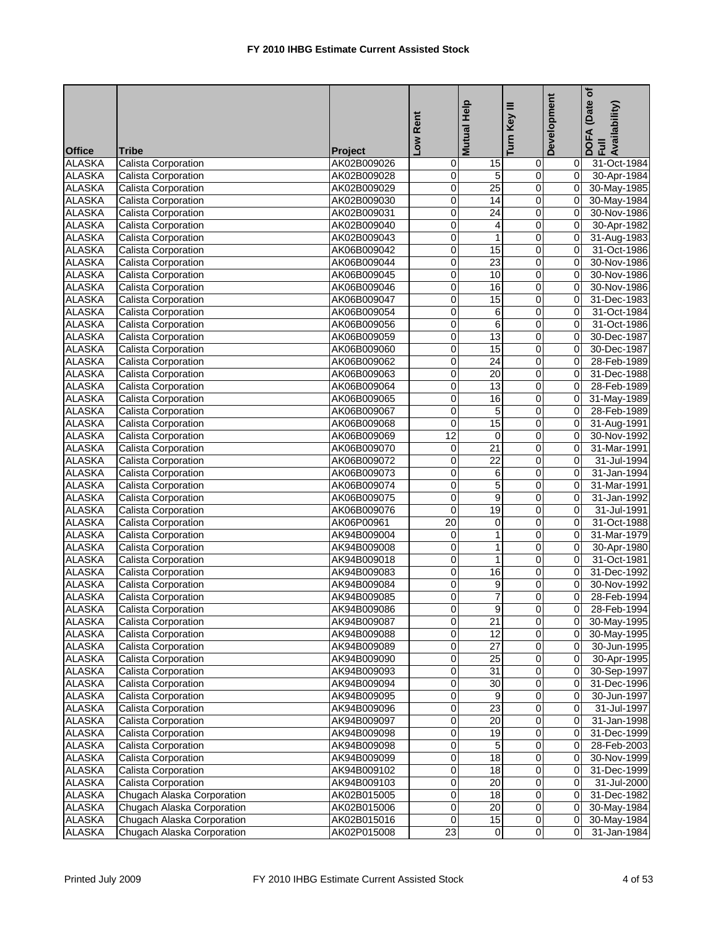|               |                            |             | Low Rent        | Mutual Help         | Key III                 | Development    | (Date of<br>DOFA (Date <sub>)</sub><br>Full<br> Availability) |
|---------------|----------------------------|-------------|-----------------|---------------------|-------------------------|----------------|---------------------------------------------------------------|
| <b>Office</b> | <b>Tribe</b>               | Project     |                 |                     | Turn                    |                |                                                               |
| <b>ALASKA</b> | <b>Calista Corporation</b> | AK02B009026 | 0               | 15                  | 0                       | 01             | 31-Oct-1984                                                   |
| <b>ALASKA</b> | Calista Corporation        | AK02B009028 | 0               | 5                   | $\mathbf 0$             | $\overline{0}$ | 30-Apr-1984                                                   |
| <b>ALASKA</b> | Calista Corporation        | AK02B009029 | 0               | $\overline{25}$     | $\pmb{0}$               | $\overline{0}$ | 30-May-1985                                                   |
| <b>ALASKA</b> | <b>Calista Corporation</b> | AK02B009030 | 0               | $\overline{14}$     | 0                       | $\overline{0}$ | 30-May-1984                                                   |
| <b>ALASKA</b> | Calista Corporation        | AK02B009031 | 0               | $\overline{24}$     | 0                       | $\overline{0}$ | 30-Nov-1986                                                   |
| <b>ALASKA</b> | <b>Calista Corporation</b> | AK02B009040 | 0               | 4                   | 0                       | $\overline{0}$ | 30-Apr-1982                                                   |
| <b>ALASKA</b> | <b>Calista Corporation</b> | AK02B009043 | 0               | $\mathbf{1}$        | $\pmb{0}$               | $\overline{0}$ | 31-Aug-1983                                                   |
| <b>ALASKA</b> | <b>Calista Corporation</b> | AK06B009042 | 0               | 15                  | 0                       | $\overline{0}$ | 31-Oct-1986                                                   |
| <b>ALASKA</b> | <b>Calista Corporation</b> | AK06B009044 | 0               | $\overline{23}$     | 0                       | $\overline{0}$ | 30-Nov-1986                                                   |
| <b>ALASKA</b> | Calista Corporation        | AK06B009045 | 0               | 10                  | 0                       | $\overline{0}$ | 30-Nov-1986                                                   |
| <b>ALASKA</b> | <b>Calista Corporation</b> | AK06B009046 | 0               | 16                  | 0                       | $\overline{0}$ | 30-Nov-1986                                                   |
| <b>ALASKA</b> | Calista Corporation        | AK06B009047 | 0               | $\overline{15}$     | $\mathbf 0$             | $\overline{0}$ | 31-Dec-1983                                                   |
| <b>ALASKA</b> | Calista Corporation        | AK06B009054 | 0               | 6                   | 0                       | $\overline{0}$ | 31-Oct-1984                                                   |
| <b>ALASKA</b> | Calista Corporation        | AK06B009056 | 0               | 6                   | 0                       | $\overline{0}$ | 31-Oct-1986                                                   |
| <b>ALASKA</b> | Calista Corporation        | AK06B009059 | 0               | 13                  | $\pmb{0}$               | $\overline{0}$ | 30-Dec-1987                                                   |
| <b>ALASKA</b> | Calista Corporation        | AK06B009060 | 0               | 15                  | 0                       | $\overline{0}$ | 30-Dec-1987                                                   |
| <b>ALASKA</b> | <b>Calista Corporation</b> | AK06B009062 | $\overline{0}$  | $\overline{24}$     | 0                       | $\overline{0}$ | 28-Feb-1989                                                   |
| <b>ALASKA</b> | Calista Corporation        | AK06B009063 | 0               | 20                  | 0                       | $\mathbf{0}$   | 31-Dec-1988                                                   |
| <b>ALASKA</b> | <b>Calista Corporation</b> | AK06B009064 | 0               | 13                  | $\overline{0}$          | $\overline{0}$ |                                                               |
| <b>ALASKA</b> |                            | AK06B009065 | 0               | 16                  | $\mathbf 0$             | $\overline{0}$ | 28-Feb-1989                                                   |
| <b>ALASKA</b> | Calista Corporation        | AK06B009067 | 0               | 5                   | $\overline{\mathbf{0}}$ | $\overline{0}$ | 31-May-1989<br>28-Feb-1989                                    |
| <b>ALASKA</b> | <b>Calista Corporation</b> |             | 0               | 15                  | 0                       | $\mathbf{0}$   |                                                               |
|               | Calista Corporation        | AK06B009068 | $\overline{12}$ |                     | $\overline{0}$          |                | 31-Aug-1991                                                   |
| <b>ALASKA</b> | <b>Calista Corporation</b> | AK06B009069 |                 | 0                   |                         | $\overline{0}$ | 30-Nov-1992                                                   |
| <b>ALASKA</b> | Calista Corporation        | AK06B009070 | 0               | 21                  | $\pmb{0}$               | $\overline{0}$ | 31-Mar-1991                                                   |
| <b>ALASKA</b> | <b>Calista Corporation</b> | AK06B009072 | 0               | $\overline{22}$     | 0                       | $\Omega$       | 31-Jul-1994                                                   |
| <b>ALASKA</b> | Calista Corporation        | AK06B009073 | 0               | 6<br>$\overline{5}$ | 0                       | $\overline{0}$ | 31-Jan-1994                                                   |
| <b>ALASKA</b> | Calista Corporation        | AK06B009074 | 0               | $\overline{9}$      | $\pmb{0}$               | $\overline{0}$ | 31-Mar-1991                                                   |
| <b>ALASKA</b> | Calista Corporation        | AK06B009075 | 0               |                     | $\pmb{0}$               | $\overline{0}$ | 31-Jan-1992                                                   |
| <b>ALASKA</b> | <b>Calista Corporation</b> | AK06B009076 | 0               | 19                  | 0                       | $\overline{0}$ | 31-Jul-1991                                                   |
| <b>ALASKA</b> | Calista Corporation        | AK06P00961  | $\overline{20}$ | 0                   | 0                       | $\overline{0}$ | 31-Oct-1988                                                   |
| <b>ALASKA</b> | Calista Corporation        | AK94B009004 | 0               | 1                   | 0                       | $\overline{0}$ | 31-Mar-1979                                                   |
| <b>ALASKA</b> | Calista Corporation        | AK94B009008 | 0               | $\mathbf{1}$        | 0                       | $\overline{0}$ | 30-Apr-1980                                                   |
| <b>ALASKA</b> | <b>Calista Corporation</b> | AK94B009018 | 0               | $\mathbf{1}$        | 0                       | $\overline{0}$ | 31-Oct-1981                                                   |
| <b>ALASKA</b> | Calista Corporation        | AK94B009083 | 0               | 16                  | 0                       | $\mathbf{0}$   | 31-Dec-1992                                                   |
| <b>ALASKA</b> | <b>Calista Corporation</b> | AK94B009084 | 0               | 9                   | 0                       | $\overline{0}$ | 30-Nov-1992                                                   |
| <b>ALASKA</b> | Calista Corporation        | AK94B009085 | 0               | $\overline{7}$      | $\overline{0}$          | $\overline{0}$ | 28-Feb-1994                                                   |
| <b>ALASKA</b> | Calista Corporation        | AK94B009086 | 0               | $\overline{9}$      | $\overline{0}$          | $\overline{0}$ | 28-Feb-1994                                                   |
| <b>ALASKA</b> | Calista Corporation        | AK94B009087 | $\overline{0}$  | 21                  | $\overline{0}$          | ΟI             | 30-May-1995                                                   |
| <b>ALASKA</b> | Calista Corporation        | AK94B009088 | 0               | 12                  | 0                       | $\overline{0}$ | 30-May-1995                                                   |
| <b>ALASKA</b> | Calista Corporation        | AK94B009089 | 0               | $\overline{27}$     | $\pmb{0}$               | $\overline{0}$ | 30-Jun-1995                                                   |
| <b>ALASKA</b> | Calista Corporation        | AK94B009090 | 0               | 25                  | 0                       | 01             | 30-Apr-1995                                                   |
| <b>ALASKA</b> | <b>Calista Corporation</b> | AK94B009093 | 0               | 31                  | $\overline{\mathsf{o}}$ | 01             | 30-Sep-1997                                                   |
| <b>ALASKA</b> | Calista Corporation        | AK94B009094 | 0               | 30                  | 0                       | 01             | 31-Dec-1996                                                   |
| <b>ALASKA</b> | Calista Corporation        | AK94B009095 | 0               | 9                   | $\overline{O}$          | 01             | 30-Jun-1997                                                   |
| <b>ALASKA</b> | Calista Corporation        | AK94B009096 | 0               | $\overline{23}$     | 0                       | 01             | 31-Jul-1997                                                   |
| <b>ALASKA</b> | Calista Corporation        | AK94B009097 | 0               | $\overline{20}$     | $\pmb{0}$               | 01             | 31-Jan-1998                                                   |
| <b>ALASKA</b> | Calista Corporation        | AK94B009098 | 0               | 19                  | 0                       | 01             | 31-Dec-1999                                                   |
| <b>ALASKA</b> | Calista Corporation        | AK94B009098 | 0               | 5                   | $\overline{\mathsf{o}}$ | 01             | 28-Feb-2003                                                   |
| <b>ALASKA</b> | Calista Corporation        | AK94B009099 | 0               | 18                  | 0                       | 01             | 30-Nov-1999                                                   |
| <b>ALASKA</b> | <b>Calista Corporation</b> | AK94B009102 | 0               | 18                  | 0                       | 0I             | 31-Dec-1999                                                   |
| <b>ALASKA</b> | Calista Corporation        | AK94B009103 | 0               | 20                  | 0                       | 01             | 31-Jul-2000                                                   |
| <b>ALASKA</b> | Chugach Alaska Corporation | AK02B015005 | 0               | 18                  | $\pmb{0}$               | $\overline{0}$ | 31-Dec-1982                                                   |
| <b>ALASKA</b> | Chugach Alaska Corporation | AK02B015006 | 0               | 20                  | $\pmb{0}$               | $\overline{0}$ | 30-May-1984                                                   |
| <b>ALASKA</b> | Chugach Alaska Corporation | AK02B015016 | 0               | 15                  | $\mathbf 0$             | ΟI             | 30-May-1984                                                   |
| <b>ALASKA</b> | Chugach Alaska Corporation | AK02P015008 | 23              | $\overline{0}$      | $\overline{0}$          | 0I             | 31-Jan-1984                                                   |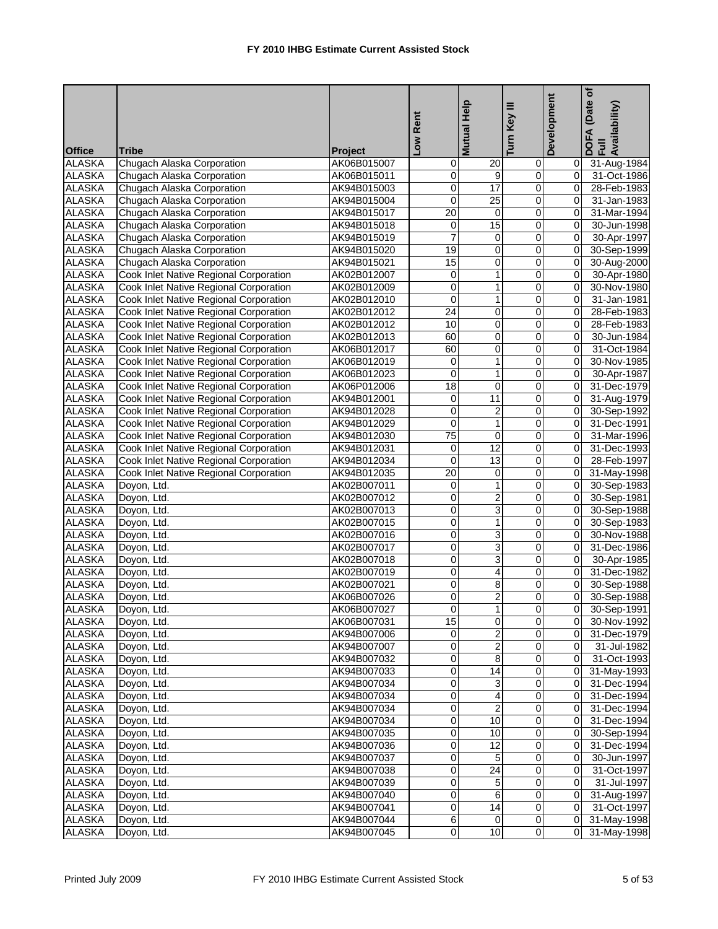| <b>Office</b><br><b>Tribe</b><br><b>Project</b><br><b>ALASKA</b><br>Chugach Alaska Corporation<br>AK06B015007<br>$\overline{20}$<br>0<br>$\mathbf 0$<br>31-Aug-1984<br>01<br><b>ALASKA</b><br>9<br>Chugach Alaska Corporation<br>0<br>$\mathbf 0$<br>31-Oct-1986<br>AK06B015011<br>01<br>17<br><b>ALASKA</b><br>0<br>0<br>Chugach Alaska Corporation<br>AK94B015003<br>$\overline{0}$<br>28-Feb-1983<br>$\overline{25}$<br><b>ALASKA</b><br>0<br>0<br>Chugach Alaska Corporation<br>AK94B015004<br>$\overline{0}$<br>31-Jan-1983<br><b>ALASKA</b><br>$\overline{20}$<br>0<br>0<br>Chugach Alaska Corporation<br>AK94B015017<br>$\overline{0}$<br>31-Mar-1994<br>15<br><b>ALASKA</b><br>0<br>Chugach Alaska Corporation<br>AK94B015018<br>0<br>$\overline{0}$<br>30-Jun-1998<br>7<br>$\mathbf 0$<br><b>ALASKA</b><br>Chugach Alaska Corporation<br>$\mathbf{O}$<br>AK94B015019<br>$\overline{0}$<br>30-Apr-1997<br>0<br><b>ALASKA</b><br>19<br>$\mathbf 0$<br>$\overline{0}$<br>Chugach Alaska Corporation<br>AK94B015020<br>30-Sep-1999<br><b>ALASKA</b><br>Chugach Alaska Corporation<br>15<br>0<br>0<br>$\overline{0}$<br>30-Aug-2000<br>AK94B015021<br><b>ALASKA</b><br>Cook Inlet Native Regional Corporation<br>1<br>0<br>$\overline{0}$<br>0<br>30-Apr-1980<br>AK02B012007<br>$\overline{1}$<br>$\overline{0}$<br><b>ALASKA</b><br>0<br>Cook Inlet Native Regional Corporation<br>AK02B012009<br>$\overline{0}$<br>30-Nov-1980<br><b>ALASKA</b><br>$\overline{0}$<br>$\mathbf{1}$<br>$\mathbf 0$<br>Cook Inlet Native Regional Corporation<br>$\overline{0}$<br>31-Jan-1981<br>AK02B012010<br><b>ALASKA</b><br>$\overline{24}$<br>$\overline{0}$<br>$\overline{0}$<br>Cook Inlet Native Regional Corporation<br>$\overline{0}$<br>28-Feb-1983<br>AK02B012012<br><b>ALASKA</b><br>Cook Inlet Native Regional Corporation<br>10<br>0<br>0<br>AK02B012012<br>$\overline{0}$<br>28-Feb-1983<br>$\overline{0}$<br>$\overline{0}$<br><b>ALASKA</b><br>60<br>Cook Inlet Native Regional Corporation<br>$\overline{0}$<br>30-Jun-1984<br>AK02B012013<br>$\mathbf 0$<br>$\mathbf 0$<br><b>ALASKA</b><br>Cook Inlet Native Regional Corporation<br>60<br>AK06B012017<br>$\overline{0}$<br>31-Oct-1984<br><b>ALASKA</b><br>Cook Inlet Native Regional Corporation<br>0<br>AK06B012019<br>1<br>0<br>$\overline{0}$<br>30-Nov-1985<br><b>ALASKA</b><br>Cook Inlet Native Regional Corporation<br>0<br>1<br>30-Apr-1987<br>AK06B012023<br>0<br>$\mathbf{0}$<br>18<br>0<br><b>ALASKA</b><br>Cook Inlet Native Regional Corporation<br>0<br>$\overline{0}$<br>AK06P012006<br>31-Dec-1979<br>11<br><b>ALASKA</b><br><b>Cook Inlet Native Regional Corporation</b><br>0<br>$\overline{0}$<br>AK94B012001<br>0<br>31-Aug-1979<br><b>ALASKA</b><br>0<br>$\overline{2}$<br>Cook Inlet Native Regional Corporation<br>0<br>$\overline{0}$<br>AK94B012028<br>30-Sep-1992<br>$\mathbf 1$<br><b>ALASKA</b><br><b>Cook Inlet Native Regional Corporation</b><br>0<br>0<br>AK94B012029<br>$\mathbf{0}$<br>31-Dec-1991<br>$\overline{75}$<br>$\overline{0}$<br><b>ALASKA</b><br>Cook Inlet Native Regional Corporation<br>$\overline{\mathsf{o}}$<br>AK94B012030<br>$\overline{0}$<br>31-Mar-1996<br><b>ALASKA</b><br>12<br>$\pmb{0}$<br>Cook Inlet Native Regional Corporation<br>0<br>AK94B012031<br>$\overline{0}$<br>31-Dec-1993<br><b>ALASKA</b><br>Cook Inlet Native Regional Corporation<br>$\mathbf 0$<br>13<br>0<br>AK94B012034<br>$\mathbf{0}$<br>28-Feb-1997<br><b>ALASKA</b><br>20<br>0<br>Cook Inlet Native Regional Corporation<br>AK94B012035<br>0<br>0l<br>31-May-1998<br><b>ALASKA</b><br>$\mathbf{1}$<br>0<br>Doyon, Ltd.<br>0<br>$\overline{0}$<br>30-Sep-1983<br>AK02B007011<br>$\overline{2}$<br><b>ALASKA</b><br>0<br>0<br>$\overline{0}$<br>Doyon, Ltd.<br>AK02B007012<br>30-Sep-1981<br>3<br><b>ALASKA</b><br>0<br>0<br>$\overline{0}$<br>AK02B007013<br>30-Sep-1988<br>Doyon, Ltd.<br><b>ALASKA</b><br>0<br>1<br>0<br>Doyon, Ltd.<br>AK02B007015<br>0<br>30-Sep-1983<br>3<br><b>ALASKA</b><br>0<br>Doyon, Ltd.<br>AK02B007016<br>0<br>$\overline{0}$<br>30-Nov-1988<br>3<br>$\mathbf 0$<br><b>ALASKA</b><br>0<br>Doyon, Ltd.<br>$\overline{0}$<br>31-Dec-1986<br>AK02B007017<br>$\overline{3}$<br><b>ALASKA</b><br>0<br>$\mathbf 0$<br>$\overline{0}$<br>Doyon, Ltd.<br>AK02B007018<br>30-Apr-1985<br><b>ALASKA</b><br>0<br>4<br>0<br>$\overline{0}$<br>Doyon, Ltd.<br>AK02B007019<br>31-Dec-1982<br>8<br><b>ALASKA</b><br>0<br>$\overline{0}$<br>Doyon, Ltd.<br>0<br>30-Sep-1988<br>AK02B007021<br>$\overline{2}$<br>$\overline{0}$<br><b>ALASKA</b><br>0<br>$\overline{0}$<br>AK06B007026<br>30-Sep-1988<br>Doyon, Ltd.<br><b>ALASKA</b><br>0 30-Sep-1991<br>Doyon, Ltd.<br>AK06B007027<br>15<br>$\overline{\mathbf{0}}$<br>$\overline{0}$<br><b>ALASKA</b><br>Doyon, Ltd.<br>AK06B007031<br>0 30-Nov-1992<br>$\overline{2}$<br>ALASKA<br>Doyon, Ltd.<br>AK94B007006<br>$\overline{0}$<br>$\mathbf 0$<br>0 31-Dec-1979<br>$\overline{2}$<br>$\overline{0}$<br>$\overline{0}$<br><b>ALASKA</b><br>Doyon, Ltd.<br>AK94B007007<br>0 31-Jul-1982<br>8<br>$\pmb{0}$<br>0<br><b>ALASKA</b><br>Doyon, Ltd.<br>AK94B007032<br>0 31-Oct-1993<br><b>ALASKA</b><br>Doyon, Ltd.<br>AK94B007033<br>0<br>14<br>$\mathbf 0$<br>0 31-May-1993<br><b>ALASKA</b><br>Doyon, Ltd.<br>AK94B007034<br>0<br>3<br>0<br>31-Dec-1994<br><b>ALASKA</b><br>0<br>$\overline{0}$<br>Doyon, Ltd.<br>AK94B007034<br>4<br>$\overline{0}$<br>31-Dec-1994<br>2<br>$\pmb{0}$<br><b>ALASKA</b><br>Doyon, Ltd.<br>AK94B007034<br>0<br>ΟI<br>31-Dec-1994<br><b>ALASKA</b><br>0<br>10<br>Doyon, Ltd.<br>AK94B007034<br>$\mathbf 0$<br>$\overline{O}$<br>31-Dec-1994<br><b>ALASKA</b><br>Doyon, Ltd.<br>AK94B007035<br>0<br>10<br>0<br>30-Sep-1994<br><b>ALASKA</b><br>0<br>$\overline{12}$<br>$\overline{0}$<br>Doyon, Ltd.<br>AK94B007036<br>31-Dec-1994<br>$\overline{0}$<br>5<br><b>ALASKA</b><br>$\overline{O}$<br>Doyon, Ltd.<br>AK94B007037<br>0<br>30-Jun-1997<br>01<br><b>ALASKA</b><br>0<br>24<br>$\pmb{0}$<br>Doyon, Ltd.<br>AK94B007038<br>31-Oct-1997<br>$\overline{0}$<br><b>ALASKA</b><br>$\overline{0}$<br>5<br>Doyon, Ltd.<br>AK94B007039<br>$\overline{0}$<br>31-Jul-1997<br>ΟI<br><b>ALASKA</b><br>6<br>$\mathbf 0$<br>Doyon, Ltd.<br>$\mathbf 0$<br>0 31-Aug-1997<br>AK94B007040<br><b>ALASKA</b><br>14<br>$\overline{O}$<br>Doyon, Ltd.<br>$\overline{0}$<br>$\overline{0}$<br>31-Oct-1997<br>AK94B007041<br><b>ALASKA</b><br>AK94B007044<br>6<br>0<br>$\mathbf 0$<br>Doyon, Ltd.<br>$\overline{0}$<br>31-May-1998<br>ALASKA<br>Doyon, Ltd.<br>AK94B007045<br>$\overline{0}$<br>10 <sup>1</sup><br>$\overline{0}$<br>31-May-1998<br>01 |  | Low Rent | Mutual Help | Turn Key III | Development | (Date of<br>DOFA (Date<br>Full<br>Availability) |
|-------------------------------------------------------------------------------------------------------------------------------------------------------------------------------------------------------------------------------------------------------------------------------------------------------------------------------------------------------------------------------------------------------------------------------------------------------------------------------------------------------------------------------------------------------------------------------------------------------------------------------------------------------------------------------------------------------------------------------------------------------------------------------------------------------------------------------------------------------------------------------------------------------------------------------------------------------------------------------------------------------------------------------------------------------------------------------------------------------------------------------------------------------------------------------------------------------------------------------------------------------------------------------------------------------------------------------------------------------------------------------------------------------------------------------------------------------------------------------------------------------------------------------------------------------------------------------------------------------------------------------------------------------------------------------------------------------------------------------------------------------------------------------------------------------------------------------------------------------------------------------------------------------------------------------------------------------------------------------------------------------------------------------------------------------------------------------------------------------------------------------------------------------------------------------------------------------------------------------------------------------------------------------------------------------------------------------------------------------------------------------------------------------------------------------------------------------------------------------------------------------------------------------------------------------------------------------------------------------------------------------------------------------------------------------------------------------------------------------------------------------------------------------------------------------------------------------------------------------------------------------------------------------------------------------------------------------------------------------------------------------------------------------------------------------------------------------------------------------------------------------------------------------------------------------------------------------------------------------------------------------------------------------------------------------------------------------------------------------------------------------------------------------------------------------------------------------------------------------------------------------------------------------------------------------------------------------------------------------------------------------------------------------------------------------------------------------------------------------------------------------------------------------------------------------------------------------------------------------------------------------------------------------------------------------------------------------------------------------------------------------------------------------------------------------------------------------------------------------------------------------------------------------------------------------------------------------------------------------------------------------------------------------------------------------------------------------------------------------------------------------------------------------------------------------------------------------------------------------------------------------------------------------------------------------------------------------------------------------------------------------------------------------------------------------------------------------------------------------------------------------------------------------------------------------------------------------------------------------------------------------------------------------------------------------------------------------------------------------------------------------------------------------------------------------------------------------------------------------------------------------------------------------------------------------------------------------------------------------------------------------------------------------------------------------------------------------------------------------------------------------------------------------------------------------------------------------------------------------------------------------------------------------------------------------------------------------------------------------------------------------------------------------------------------------------------------------------------------------------------------------------------------------------------------------------------------------------------------------------------------------------------------------------------------------------------------------------------------------------------------------------------------------------------------------------------------------------------------------------------------------------------------------------------------------------------------------------------------------------------------------------------------------------------------------------------------------------------------------------------------------------------------------------------------------------------------------------------------------------------------------------------------------------------------------------------------------------------------------------------------|--|----------|-------------|--------------|-------------|-------------------------------------------------|
|                                                                                                                                                                                                                                                                                                                                                                                                                                                                                                                                                                                                                                                                                                                                                                                                                                                                                                                                                                                                                                                                                                                                                                                                                                                                                                                                                                                                                                                                                                                                                                                                                                                                                                                                                                                                                                                                                                                                                                                                                                                                                                                                                                                                                                                                                                                                                                                                                                                                                                                                                                                                                                                                                                                                                                                                                                                                                                                                                                                                                                                                                                                                                                                                                                                                                                                                                                                                                                                                                                                                                                                                                                                                                                                                                                                                                                                                                                                                                                                                                                                                                                                                                                                                                                                                                                                                                                                                                                                                                                                                                                                                                                                                                                                                                                                                                                                                                                                                                                                                                                                                                                                                                                                                                                                                                                                                                                                                                                                                                                                                                                                                                                                                                                                                                                                                                                                                                                                                                                                                                                                                                                                                                                                                                                                                                                                                                                                                                                                                                                                                                                                                                         |  |          |             |              |             |                                                 |
|                                                                                                                                                                                                                                                                                                                                                                                                                                                                                                                                                                                                                                                                                                                                                                                                                                                                                                                                                                                                                                                                                                                                                                                                                                                                                                                                                                                                                                                                                                                                                                                                                                                                                                                                                                                                                                                                                                                                                                                                                                                                                                                                                                                                                                                                                                                                                                                                                                                                                                                                                                                                                                                                                                                                                                                                                                                                                                                                                                                                                                                                                                                                                                                                                                                                                                                                                                                                                                                                                                                                                                                                                                                                                                                                                                                                                                                                                                                                                                                                                                                                                                                                                                                                                                                                                                                                                                                                                                                                                                                                                                                                                                                                                                                                                                                                                                                                                                                                                                                                                                                                                                                                                                                                                                                                                                                                                                                                                                                                                                                                                                                                                                                                                                                                                                                                                                                                                                                                                                                                                                                                                                                                                                                                                                                                                                                                                                                                                                                                                                                                                                                                                         |  |          |             |              |             |                                                 |
|                                                                                                                                                                                                                                                                                                                                                                                                                                                                                                                                                                                                                                                                                                                                                                                                                                                                                                                                                                                                                                                                                                                                                                                                                                                                                                                                                                                                                                                                                                                                                                                                                                                                                                                                                                                                                                                                                                                                                                                                                                                                                                                                                                                                                                                                                                                                                                                                                                                                                                                                                                                                                                                                                                                                                                                                                                                                                                                                                                                                                                                                                                                                                                                                                                                                                                                                                                                                                                                                                                                                                                                                                                                                                                                                                                                                                                                                                                                                                                                                                                                                                                                                                                                                                                                                                                                                                                                                                                                                                                                                                                                                                                                                                                                                                                                                                                                                                                                                                                                                                                                                                                                                                                                                                                                                                                                                                                                                                                                                                                                                                                                                                                                                                                                                                                                                                                                                                                                                                                                                                                                                                                                                                                                                                                                                                                                                                                                                                                                                                                                                                                                                                         |  |          |             |              |             |                                                 |
|                                                                                                                                                                                                                                                                                                                                                                                                                                                                                                                                                                                                                                                                                                                                                                                                                                                                                                                                                                                                                                                                                                                                                                                                                                                                                                                                                                                                                                                                                                                                                                                                                                                                                                                                                                                                                                                                                                                                                                                                                                                                                                                                                                                                                                                                                                                                                                                                                                                                                                                                                                                                                                                                                                                                                                                                                                                                                                                                                                                                                                                                                                                                                                                                                                                                                                                                                                                                                                                                                                                                                                                                                                                                                                                                                                                                                                                                                                                                                                                                                                                                                                                                                                                                                                                                                                                                                                                                                                                                                                                                                                                                                                                                                                                                                                                                                                                                                                                                                                                                                                                                                                                                                                                                                                                                                                                                                                                                                                                                                                                                                                                                                                                                                                                                                                                                                                                                                                                                                                                                                                                                                                                                                                                                                                                                                                                                                                                                                                                                                                                                                                                                                         |  |          |             |              |             |                                                 |
|                                                                                                                                                                                                                                                                                                                                                                                                                                                                                                                                                                                                                                                                                                                                                                                                                                                                                                                                                                                                                                                                                                                                                                                                                                                                                                                                                                                                                                                                                                                                                                                                                                                                                                                                                                                                                                                                                                                                                                                                                                                                                                                                                                                                                                                                                                                                                                                                                                                                                                                                                                                                                                                                                                                                                                                                                                                                                                                                                                                                                                                                                                                                                                                                                                                                                                                                                                                                                                                                                                                                                                                                                                                                                                                                                                                                                                                                                                                                                                                                                                                                                                                                                                                                                                                                                                                                                                                                                                                                                                                                                                                                                                                                                                                                                                                                                                                                                                                                                                                                                                                                                                                                                                                                                                                                                                                                                                                                                                                                                                                                                                                                                                                                                                                                                                                                                                                                                                                                                                                                                                                                                                                                                                                                                                                                                                                                                                                                                                                                                                                                                                                                                         |  |          |             |              |             |                                                 |
|                                                                                                                                                                                                                                                                                                                                                                                                                                                                                                                                                                                                                                                                                                                                                                                                                                                                                                                                                                                                                                                                                                                                                                                                                                                                                                                                                                                                                                                                                                                                                                                                                                                                                                                                                                                                                                                                                                                                                                                                                                                                                                                                                                                                                                                                                                                                                                                                                                                                                                                                                                                                                                                                                                                                                                                                                                                                                                                                                                                                                                                                                                                                                                                                                                                                                                                                                                                                                                                                                                                                                                                                                                                                                                                                                                                                                                                                                                                                                                                                                                                                                                                                                                                                                                                                                                                                                                                                                                                                                                                                                                                                                                                                                                                                                                                                                                                                                                                                                                                                                                                                                                                                                                                                                                                                                                                                                                                                                                                                                                                                                                                                                                                                                                                                                                                                                                                                                                                                                                                                                                                                                                                                                                                                                                                                                                                                                                                                                                                                                                                                                                                                                         |  |          |             |              |             |                                                 |
|                                                                                                                                                                                                                                                                                                                                                                                                                                                                                                                                                                                                                                                                                                                                                                                                                                                                                                                                                                                                                                                                                                                                                                                                                                                                                                                                                                                                                                                                                                                                                                                                                                                                                                                                                                                                                                                                                                                                                                                                                                                                                                                                                                                                                                                                                                                                                                                                                                                                                                                                                                                                                                                                                                                                                                                                                                                                                                                                                                                                                                                                                                                                                                                                                                                                                                                                                                                                                                                                                                                                                                                                                                                                                                                                                                                                                                                                                                                                                                                                                                                                                                                                                                                                                                                                                                                                                                                                                                                                                                                                                                                                                                                                                                                                                                                                                                                                                                                                                                                                                                                                                                                                                                                                                                                                                                                                                                                                                                                                                                                                                                                                                                                                                                                                                                                                                                                                                                                                                                                                                                                                                                                                                                                                                                                                                                                                                                                                                                                                                                                                                                                                                         |  |          |             |              |             |                                                 |
|                                                                                                                                                                                                                                                                                                                                                                                                                                                                                                                                                                                                                                                                                                                                                                                                                                                                                                                                                                                                                                                                                                                                                                                                                                                                                                                                                                                                                                                                                                                                                                                                                                                                                                                                                                                                                                                                                                                                                                                                                                                                                                                                                                                                                                                                                                                                                                                                                                                                                                                                                                                                                                                                                                                                                                                                                                                                                                                                                                                                                                                                                                                                                                                                                                                                                                                                                                                                                                                                                                                                                                                                                                                                                                                                                                                                                                                                                                                                                                                                                                                                                                                                                                                                                                                                                                                                                                                                                                                                                                                                                                                                                                                                                                                                                                                                                                                                                                                                                                                                                                                                                                                                                                                                                                                                                                                                                                                                                                                                                                                                                                                                                                                                                                                                                                                                                                                                                                                                                                                                                                                                                                                                                                                                                                                                                                                                                                                                                                                                                                                                                                                                                         |  |          |             |              |             |                                                 |
|                                                                                                                                                                                                                                                                                                                                                                                                                                                                                                                                                                                                                                                                                                                                                                                                                                                                                                                                                                                                                                                                                                                                                                                                                                                                                                                                                                                                                                                                                                                                                                                                                                                                                                                                                                                                                                                                                                                                                                                                                                                                                                                                                                                                                                                                                                                                                                                                                                                                                                                                                                                                                                                                                                                                                                                                                                                                                                                                                                                                                                                                                                                                                                                                                                                                                                                                                                                                                                                                                                                                                                                                                                                                                                                                                                                                                                                                                                                                                                                                                                                                                                                                                                                                                                                                                                                                                                                                                                                                                                                                                                                                                                                                                                                                                                                                                                                                                                                                                                                                                                                                                                                                                                                                                                                                                                                                                                                                                                                                                                                                                                                                                                                                                                                                                                                                                                                                                                                                                                                                                                                                                                                                                                                                                                                                                                                                                                                                                                                                                                                                                                                                                         |  |          |             |              |             |                                                 |
|                                                                                                                                                                                                                                                                                                                                                                                                                                                                                                                                                                                                                                                                                                                                                                                                                                                                                                                                                                                                                                                                                                                                                                                                                                                                                                                                                                                                                                                                                                                                                                                                                                                                                                                                                                                                                                                                                                                                                                                                                                                                                                                                                                                                                                                                                                                                                                                                                                                                                                                                                                                                                                                                                                                                                                                                                                                                                                                                                                                                                                                                                                                                                                                                                                                                                                                                                                                                                                                                                                                                                                                                                                                                                                                                                                                                                                                                                                                                                                                                                                                                                                                                                                                                                                                                                                                                                                                                                                                                                                                                                                                                                                                                                                                                                                                                                                                                                                                                                                                                                                                                                                                                                                                                                                                                                                                                                                                                                                                                                                                                                                                                                                                                                                                                                                                                                                                                                                                                                                                                                                                                                                                                                                                                                                                                                                                                                                                                                                                                                                                                                                                                                         |  |          |             |              |             |                                                 |
|                                                                                                                                                                                                                                                                                                                                                                                                                                                                                                                                                                                                                                                                                                                                                                                                                                                                                                                                                                                                                                                                                                                                                                                                                                                                                                                                                                                                                                                                                                                                                                                                                                                                                                                                                                                                                                                                                                                                                                                                                                                                                                                                                                                                                                                                                                                                                                                                                                                                                                                                                                                                                                                                                                                                                                                                                                                                                                                                                                                                                                                                                                                                                                                                                                                                                                                                                                                                                                                                                                                                                                                                                                                                                                                                                                                                                                                                                                                                                                                                                                                                                                                                                                                                                                                                                                                                                                                                                                                                                                                                                                                                                                                                                                                                                                                                                                                                                                                                                                                                                                                                                                                                                                                                                                                                                                                                                                                                                                                                                                                                                                                                                                                                                                                                                                                                                                                                                                                                                                                                                                                                                                                                                                                                                                                                                                                                                                                                                                                                                                                                                                                                                         |  |          |             |              |             |                                                 |
|                                                                                                                                                                                                                                                                                                                                                                                                                                                                                                                                                                                                                                                                                                                                                                                                                                                                                                                                                                                                                                                                                                                                                                                                                                                                                                                                                                                                                                                                                                                                                                                                                                                                                                                                                                                                                                                                                                                                                                                                                                                                                                                                                                                                                                                                                                                                                                                                                                                                                                                                                                                                                                                                                                                                                                                                                                                                                                                                                                                                                                                                                                                                                                                                                                                                                                                                                                                                                                                                                                                                                                                                                                                                                                                                                                                                                                                                                                                                                                                                                                                                                                                                                                                                                                                                                                                                                                                                                                                                                                                                                                                                                                                                                                                                                                                                                                                                                                                                                                                                                                                                                                                                                                                                                                                                                                                                                                                                                                                                                                                                                                                                                                                                                                                                                                                                                                                                                                                                                                                                                                                                                                                                                                                                                                                                                                                                                                                                                                                                                                                                                                                                                         |  |          |             |              |             |                                                 |
|                                                                                                                                                                                                                                                                                                                                                                                                                                                                                                                                                                                                                                                                                                                                                                                                                                                                                                                                                                                                                                                                                                                                                                                                                                                                                                                                                                                                                                                                                                                                                                                                                                                                                                                                                                                                                                                                                                                                                                                                                                                                                                                                                                                                                                                                                                                                                                                                                                                                                                                                                                                                                                                                                                                                                                                                                                                                                                                                                                                                                                                                                                                                                                                                                                                                                                                                                                                                                                                                                                                                                                                                                                                                                                                                                                                                                                                                                                                                                                                                                                                                                                                                                                                                                                                                                                                                                                                                                                                                                                                                                                                                                                                                                                                                                                                                                                                                                                                                                                                                                                                                                                                                                                                                                                                                                                                                                                                                                                                                                                                                                                                                                                                                                                                                                                                                                                                                                                                                                                                                                                                                                                                                                                                                                                                                                                                                                                                                                                                                                                                                                                                                                         |  |          |             |              |             |                                                 |
|                                                                                                                                                                                                                                                                                                                                                                                                                                                                                                                                                                                                                                                                                                                                                                                                                                                                                                                                                                                                                                                                                                                                                                                                                                                                                                                                                                                                                                                                                                                                                                                                                                                                                                                                                                                                                                                                                                                                                                                                                                                                                                                                                                                                                                                                                                                                                                                                                                                                                                                                                                                                                                                                                                                                                                                                                                                                                                                                                                                                                                                                                                                                                                                                                                                                                                                                                                                                                                                                                                                                                                                                                                                                                                                                                                                                                                                                                                                                                                                                                                                                                                                                                                                                                                                                                                                                                                                                                                                                                                                                                                                                                                                                                                                                                                                                                                                                                                                                                                                                                                                                                                                                                                                                                                                                                                                                                                                                                                                                                                                                                                                                                                                                                                                                                                                                                                                                                                                                                                                                                                                                                                                                                                                                                                                                                                                                                                                                                                                                                                                                                                                                                         |  |          |             |              |             |                                                 |
|                                                                                                                                                                                                                                                                                                                                                                                                                                                                                                                                                                                                                                                                                                                                                                                                                                                                                                                                                                                                                                                                                                                                                                                                                                                                                                                                                                                                                                                                                                                                                                                                                                                                                                                                                                                                                                                                                                                                                                                                                                                                                                                                                                                                                                                                                                                                                                                                                                                                                                                                                                                                                                                                                                                                                                                                                                                                                                                                                                                                                                                                                                                                                                                                                                                                                                                                                                                                                                                                                                                                                                                                                                                                                                                                                                                                                                                                                                                                                                                                                                                                                                                                                                                                                                                                                                                                                                                                                                                                                                                                                                                                                                                                                                                                                                                                                                                                                                                                                                                                                                                                                                                                                                                                                                                                                                                                                                                                                                                                                                                                                                                                                                                                                                                                                                                                                                                                                                                                                                                                                                                                                                                                                                                                                                                                                                                                                                                                                                                                                                                                                                                                                         |  |          |             |              |             |                                                 |
|                                                                                                                                                                                                                                                                                                                                                                                                                                                                                                                                                                                                                                                                                                                                                                                                                                                                                                                                                                                                                                                                                                                                                                                                                                                                                                                                                                                                                                                                                                                                                                                                                                                                                                                                                                                                                                                                                                                                                                                                                                                                                                                                                                                                                                                                                                                                                                                                                                                                                                                                                                                                                                                                                                                                                                                                                                                                                                                                                                                                                                                                                                                                                                                                                                                                                                                                                                                                                                                                                                                                                                                                                                                                                                                                                                                                                                                                                                                                                                                                                                                                                                                                                                                                                                                                                                                                                                                                                                                                                                                                                                                                                                                                                                                                                                                                                                                                                                                                                                                                                                                                                                                                                                                                                                                                                                                                                                                                                                                                                                                                                                                                                                                                                                                                                                                                                                                                                                                                                                                                                                                                                                                                                                                                                                                                                                                                                                                                                                                                                                                                                                                                                         |  |          |             |              |             |                                                 |
|                                                                                                                                                                                                                                                                                                                                                                                                                                                                                                                                                                                                                                                                                                                                                                                                                                                                                                                                                                                                                                                                                                                                                                                                                                                                                                                                                                                                                                                                                                                                                                                                                                                                                                                                                                                                                                                                                                                                                                                                                                                                                                                                                                                                                                                                                                                                                                                                                                                                                                                                                                                                                                                                                                                                                                                                                                                                                                                                                                                                                                                                                                                                                                                                                                                                                                                                                                                                                                                                                                                                                                                                                                                                                                                                                                                                                                                                                                                                                                                                                                                                                                                                                                                                                                                                                                                                                                                                                                                                                                                                                                                                                                                                                                                                                                                                                                                                                                                                                                                                                                                                                                                                                                                                                                                                                                                                                                                                                                                                                                                                                                                                                                                                                                                                                                                                                                                                                                                                                                                                                                                                                                                                                                                                                                                                                                                                                                                                                                                                                                                                                                                                                         |  |          |             |              |             |                                                 |
|                                                                                                                                                                                                                                                                                                                                                                                                                                                                                                                                                                                                                                                                                                                                                                                                                                                                                                                                                                                                                                                                                                                                                                                                                                                                                                                                                                                                                                                                                                                                                                                                                                                                                                                                                                                                                                                                                                                                                                                                                                                                                                                                                                                                                                                                                                                                                                                                                                                                                                                                                                                                                                                                                                                                                                                                                                                                                                                                                                                                                                                                                                                                                                                                                                                                                                                                                                                                                                                                                                                                                                                                                                                                                                                                                                                                                                                                                                                                                                                                                                                                                                                                                                                                                                                                                                                                                                                                                                                                                                                                                                                                                                                                                                                                                                                                                                                                                                                                                                                                                                                                                                                                                                                                                                                                                                                                                                                                                                                                                                                                                                                                                                                                                                                                                                                                                                                                                                                                                                                                                                                                                                                                                                                                                                                                                                                                                                                                                                                                                                                                                                                                                         |  |          |             |              |             |                                                 |
|                                                                                                                                                                                                                                                                                                                                                                                                                                                                                                                                                                                                                                                                                                                                                                                                                                                                                                                                                                                                                                                                                                                                                                                                                                                                                                                                                                                                                                                                                                                                                                                                                                                                                                                                                                                                                                                                                                                                                                                                                                                                                                                                                                                                                                                                                                                                                                                                                                                                                                                                                                                                                                                                                                                                                                                                                                                                                                                                                                                                                                                                                                                                                                                                                                                                                                                                                                                                                                                                                                                                                                                                                                                                                                                                                                                                                                                                                                                                                                                                                                                                                                                                                                                                                                                                                                                                                                                                                                                                                                                                                                                                                                                                                                                                                                                                                                                                                                                                                                                                                                                                                                                                                                                                                                                                                                                                                                                                                                                                                                                                                                                                                                                                                                                                                                                                                                                                                                                                                                                                                                                                                                                                                                                                                                                                                                                                                                                                                                                                                                                                                                                                                         |  |          |             |              |             |                                                 |
|                                                                                                                                                                                                                                                                                                                                                                                                                                                                                                                                                                                                                                                                                                                                                                                                                                                                                                                                                                                                                                                                                                                                                                                                                                                                                                                                                                                                                                                                                                                                                                                                                                                                                                                                                                                                                                                                                                                                                                                                                                                                                                                                                                                                                                                                                                                                                                                                                                                                                                                                                                                                                                                                                                                                                                                                                                                                                                                                                                                                                                                                                                                                                                                                                                                                                                                                                                                                                                                                                                                                                                                                                                                                                                                                                                                                                                                                                                                                                                                                                                                                                                                                                                                                                                                                                                                                                                                                                                                                                                                                                                                                                                                                                                                                                                                                                                                                                                                                                                                                                                                                                                                                                                                                                                                                                                                                                                                                                                                                                                                                                                                                                                                                                                                                                                                                                                                                                                                                                                                                                                                                                                                                                                                                                                                                                                                                                                                                                                                                                                                                                                                                                         |  |          |             |              |             |                                                 |
|                                                                                                                                                                                                                                                                                                                                                                                                                                                                                                                                                                                                                                                                                                                                                                                                                                                                                                                                                                                                                                                                                                                                                                                                                                                                                                                                                                                                                                                                                                                                                                                                                                                                                                                                                                                                                                                                                                                                                                                                                                                                                                                                                                                                                                                                                                                                                                                                                                                                                                                                                                                                                                                                                                                                                                                                                                                                                                                                                                                                                                                                                                                                                                                                                                                                                                                                                                                                                                                                                                                                                                                                                                                                                                                                                                                                                                                                                                                                                                                                                                                                                                                                                                                                                                                                                                                                                                                                                                                                                                                                                                                                                                                                                                                                                                                                                                                                                                                                                                                                                                                                                                                                                                                                                                                                                                                                                                                                                                                                                                                                                                                                                                                                                                                                                                                                                                                                                                                                                                                                                                                                                                                                                                                                                                                                                                                                                                                                                                                                                                                                                                                                                         |  |          |             |              |             |                                                 |
|                                                                                                                                                                                                                                                                                                                                                                                                                                                                                                                                                                                                                                                                                                                                                                                                                                                                                                                                                                                                                                                                                                                                                                                                                                                                                                                                                                                                                                                                                                                                                                                                                                                                                                                                                                                                                                                                                                                                                                                                                                                                                                                                                                                                                                                                                                                                                                                                                                                                                                                                                                                                                                                                                                                                                                                                                                                                                                                                                                                                                                                                                                                                                                                                                                                                                                                                                                                                                                                                                                                                                                                                                                                                                                                                                                                                                                                                                                                                                                                                                                                                                                                                                                                                                                                                                                                                                                                                                                                                                                                                                                                                                                                                                                                                                                                                                                                                                                                                                                                                                                                                                                                                                                                                                                                                                                                                                                                                                                                                                                                                                                                                                                                                                                                                                                                                                                                                                                                                                                                                                                                                                                                                                                                                                                                                                                                                                                                                                                                                                                                                                                                                                         |  |          |             |              |             |                                                 |
|                                                                                                                                                                                                                                                                                                                                                                                                                                                                                                                                                                                                                                                                                                                                                                                                                                                                                                                                                                                                                                                                                                                                                                                                                                                                                                                                                                                                                                                                                                                                                                                                                                                                                                                                                                                                                                                                                                                                                                                                                                                                                                                                                                                                                                                                                                                                                                                                                                                                                                                                                                                                                                                                                                                                                                                                                                                                                                                                                                                                                                                                                                                                                                                                                                                                                                                                                                                                                                                                                                                                                                                                                                                                                                                                                                                                                                                                                                                                                                                                                                                                                                                                                                                                                                                                                                                                                                                                                                                                                                                                                                                                                                                                                                                                                                                                                                                                                                                                                                                                                                                                                                                                                                                                                                                                                                                                                                                                                                                                                                                                                                                                                                                                                                                                                                                                                                                                                                                                                                                                                                                                                                                                                                                                                                                                                                                                                                                                                                                                                                                                                                                                                         |  |          |             |              |             |                                                 |
|                                                                                                                                                                                                                                                                                                                                                                                                                                                                                                                                                                                                                                                                                                                                                                                                                                                                                                                                                                                                                                                                                                                                                                                                                                                                                                                                                                                                                                                                                                                                                                                                                                                                                                                                                                                                                                                                                                                                                                                                                                                                                                                                                                                                                                                                                                                                                                                                                                                                                                                                                                                                                                                                                                                                                                                                                                                                                                                                                                                                                                                                                                                                                                                                                                                                                                                                                                                                                                                                                                                                                                                                                                                                                                                                                                                                                                                                                                                                                                                                                                                                                                                                                                                                                                                                                                                                                                                                                                                                                                                                                                                                                                                                                                                                                                                                                                                                                                                                                                                                                                                                                                                                                                                                                                                                                                                                                                                                                                                                                                                                                                                                                                                                                                                                                                                                                                                                                                                                                                                                                                                                                                                                                                                                                                                                                                                                                                                                                                                                                                                                                                                                                         |  |          |             |              |             |                                                 |
|                                                                                                                                                                                                                                                                                                                                                                                                                                                                                                                                                                                                                                                                                                                                                                                                                                                                                                                                                                                                                                                                                                                                                                                                                                                                                                                                                                                                                                                                                                                                                                                                                                                                                                                                                                                                                                                                                                                                                                                                                                                                                                                                                                                                                                                                                                                                                                                                                                                                                                                                                                                                                                                                                                                                                                                                                                                                                                                                                                                                                                                                                                                                                                                                                                                                                                                                                                                                                                                                                                                                                                                                                                                                                                                                                                                                                                                                                                                                                                                                                                                                                                                                                                                                                                                                                                                                                                                                                                                                                                                                                                                                                                                                                                                                                                                                                                                                                                                                                                                                                                                                                                                                                                                                                                                                                                                                                                                                                                                                                                                                                                                                                                                                                                                                                                                                                                                                                                                                                                                                                                                                                                                                                                                                                                                                                                                                                                                                                                                                                                                                                                                                                         |  |          |             |              |             |                                                 |
|                                                                                                                                                                                                                                                                                                                                                                                                                                                                                                                                                                                                                                                                                                                                                                                                                                                                                                                                                                                                                                                                                                                                                                                                                                                                                                                                                                                                                                                                                                                                                                                                                                                                                                                                                                                                                                                                                                                                                                                                                                                                                                                                                                                                                                                                                                                                                                                                                                                                                                                                                                                                                                                                                                                                                                                                                                                                                                                                                                                                                                                                                                                                                                                                                                                                                                                                                                                                                                                                                                                                                                                                                                                                                                                                                                                                                                                                                                                                                                                                                                                                                                                                                                                                                                                                                                                                                                                                                                                                                                                                                                                                                                                                                                                                                                                                                                                                                                                                                                                                                                                                                                                                                                                                                                                                                                                                                                                                                                                                                                                                                                                                                                                                                                                                                                                                                                                                                                                                                                                                                                                                                                                                                                                                                                                                                                                                                                                                                                                                                                                                                                                                                         |  |          |             |              |             |                                                 |
|                                                                                                                                                                                                                                                                                                                                                                                                                                                                                                                                                                                                                                                                                                                                                                                                                                                                                                                                                                                                                                                                                                                                                                                                                                                                                                                                                                                                                                                                                                                                                                                                                                                                                                                                                                                                                                                                                                                                                                                                                                                                                                                                                                                                                                                                                                                                                                                                                                                                                                                                                                                                                                                                                                                                                                                                                                                                                                                                                                                                                                                                                                                                                                                                                                                                                                                                                                                                                                                                                                                                                                                                                                                                                                                                                                                                                                                                                                                                                                                                                                                                                                                                                                                                                                                                                                                                                                                                                                                                                                                                                                                                                                                                                                                                                                                                                                                                                                                                                                                                                                                                                                                                                                                                                                                                                                                                                                                                                                                                                                                                                                                                                                                                                                                                                                                                                                                                                                                                                                                                                                                                                                                                                                                                                                                                                                                                                                                                                                                                                                                                                                                                                         |  |          |             |              |             |                                                 |
|                                                                                                                                                                                                                                                                                                                                                                                                                                                                                                                                                                                                                                                                                                                                                                                                                                                                                                                                                                                                                                                                                                                                                                                                                                                                                                                                                                                                                                                                                                                                                                                                                                                                                                                                                                                                                                                                                                                                                                                                                                                                                                                                                                                                                                                                                                                                                                                                                                                                                                                                                                                                                                                                                                                                                                                                                                                                                                                                                                                                                                                                                                                                                                                                                                                                                                                                                                                                                                                                                                                                                                                                                                                                                                                                                                                                                                                                                                                                                                                                                                                                                                                                                                                                                                                                                                                                                                                                                                                                                                                                                                                                                                                                                                                                                                                                                                                                                                                                                                                                                                                                                                                                                                                                                                                                                                                                                                                                                                                                                                                                                                                                                                                                                                                                                                                                                                                                                                                                                                                                                                                                                                                                                                                                                                                                                                                                                                                                                                                                                                                                                                                                                         |  |          |             |              |             |                                                 |
|                                                                                                                                                                                                                                                                                                                                                                                                                                                                                                                                                                                                                                                                                                                                                                                                                                                                                                                                                                                                                                                                                                                                                                                                                                                                                                                                                                                                                                                                                                                                                                                                                                                                                                                                                                                                                                                                                                                                                                                                                                                                                                                                                                                                                                                                                                                                                                                                                                                                                                                                                                                                                                                                                                                                                                                                                                                                                                                                                                                                                                                                                                                                                                                                                                                                                                                                                                                                                                                                                                                                                                                                                                                                                                                                                                                                                                                                                                                                                                                                                                                                                                                                                                                                                                                                                                                                                                                                                                                                                                                                                                                                                                                                                                                                                                                                                                                                                                                                                                                                                                                                                                                                                                                                                                                                                                                                                                                                                                                                                                                                                                                                                                                                                                                                                                                                                                                                                                                                                                                                                                                                                                                                                                                                                                                                                                                                                                                                                                                                                                                                                                                                                         |  |          |             |              |             |                                                 |
|                                                                                                                                                                                                                                                                                                                                                                                                                                                                                                                                                                                                                                                                                                                                                                                                                                                                                                                                                                                                                                                                                                                                                                                                                                                                                                                                                                                                                                                                                                                                                                                                                                                                                                                                                                                                                                                                                                                                                                                                                                                                                                                                                                                                                                                                                                                                                                                                                                                                                                                                                                                                                                                                                                                                                                                                                                                                                                                                                                                                                                                                                                                                                                                                                                                                                                                                                                                                                                                                                                                                                                                                                                                                                                                                                                                                                                                                                                                                                                                                                                                                                                                                                                                                                                                                                                                                                                                                                                                                                                                                                                                                                                                                                                                                                                                                                                                                                                                                                                                                                                                                                                                                                                                                                                                                                                                                                                                                                                                                                                                                                                                                                                                                                                                                                                                                                                                                                                                                                                                                                                                                                                                                                                                                                                                                                                                                                                                                                                                                                                                                                                                                                         |  |          |             |              |             |                                                 |
|                                                                                                                                                                                                                                                                                                                                                                                                                                                                                                                                                                                                                                                                                                                                                                                                                                                                                                                                                                                                                                                                                                                                                                                                                                                                                                                                                                                                                                                                                                                                                                                                                                                                                                                                                                                                                                                                                                                                                                                                                                                                                                                                                                                                                                                                                                                                                                                                                                                                                                                                                                                                                                                                                                                                                                                                                                                                                                                                                                                                                                                                                                                                                                                                                                                                                                                                                                                                                                                                                                                                                                                                                                                                                                                                                                                                                                                                                                                                                                                                                                                                                                                                                                                                                                                                                                                                                                                                                                                                                                                                                                                                                                                                                                                                                                                                                                                                                                                                                                                                                                                                                                                                                                                                                                                                                                                                                                                                                                                                                                                                                                                                                                                                                                                                                                                                                                                                                                                                                                                                                                                                                                                                                                                                                                                                                                                                                                                                                                                                                                                                                                                                                         |  |          |             |              |             |                                                 |
|                                                                                                                                                                                                                                                                                                                                                                                                                                                                                                                                                                                                                                                                                                                                                                                                                                                                                                                                                                                                                                                                                                                                                                                                                                                                                                                                                                                                                                                                                                                                                                                                                                                                                                                                                                                                                                                                                                                                                                                                                                                                                                                                                                                                                                                                                                                                                                                                                                                                                                                                                                                                                                                                                                                                                                                                                                                                                                                                                                                                                                                                                                                                                                                                                                                                                                                                                                                                                                                                                                                                                                                                                                                                                                                                                                                                                                                                                                                                                                                                                                                                                                                                                                                                                                                                                                                                                                                                                                                                                                                                                                                                                                                                                                                                                                                                                                                                                                                                                                                                                                                                                                                                                                                                                                                                                                                                                                                                                                                                                                                                                                                                                                                                                                                                                                                                                                                                                                                                                                                                                                                                                                                                                                                                                                                                                                                                                                                                                                                                                                                                                                                                                         |  |          |             |              |             |                                                 |
|                                                                                                                                                                                                                                                                                                                                                                                                                                                                                                                                                                                                                                                                                                                                                                                                                                                                                                                                                                                                                                                                                                                                                                                                                                                                                                                                                                                                                                                                                                                                                                                                                                                                                                                                                                                                                                                                                                                                                                                                                                                                                                                                                                                                                                                                                                                                                                                                                                                                                                                                                                                                                                                                                                                                                                                                                                                                                                                                                                                                                                                                                                                                                                                                                                                                                                                                                                                                                                                                                                                                                                                                                                                                                                                                                                                                                                                                                                                                                                                                                                                                                                                                                                                                                                                                                                                                                                                                                                                                                                                                                                                                                                                                                                                                                                                                                                                                                                                                                                                                                                                                                                                                                                                                                                                                                                                                                                                                                                                                                                                                                                                                                                                                                                                                                                                                                                                                                                                                                                                                                                                                                                                                                                                                                                                                                                                                                                                                                                                                                                                                                                                                                         |  |          |             |              |             |                                                 |
|                                                                                                                                                                                                                                                                                                                                                                                                                                                                                                                                                                                                                                                                                                                                                                                                                                                                                                                                                                                                                                                                                                                                                                                                                                                                                                                                                                                                                                                                                                                                                                                                                                                                                                                                                                                                                                                                                                                                                                                                                                                                                                                                                                                                                                                                                                                                                                                                                                                                                                                                                                                                                                                                                                                                                                                                                                                                                                                                                                                                                                                                                                                                                                                                                                                                                                                                                                                                                                                                                                                                                                                                                                                                                                                                                                                                                                                                                                                                                                                                                                                                                                                                                                                                                                                                                                                                                                                                                                                                                                                                                                                                                                                                                                                                                                                                                                                                                                                                                                                                                                                                                                                                                                                                                                                                                                                                                                                                                                                                                                                                                                                                                                                                                                                                                                                                                                                                                                                                                                                                                                                                                                                                                                                                                                                                                                                                                                                                                                                                                                                                                                                                                         |  |          |             |              |             |                                                 |
|                                                                                                                                                                                                                                                                                                                                                                                                                                                                                                                                                                                                                                                                                                                                                                                                                                                                                                                                                                                                                                                                                                                                                                                                                                                                                                                                                                                                                                                                                                                                                                                                                                                                                                                                                                                                                                                                                                                                                                                                                                                                                                                                                                                                                                                                                                                                                                                                                                                                                                                                                                                                                                                                                                                                                                                                                                                                                                                                                                                                                                                                                                                                                                                                                                                                                                                                                                                                                                                                                                                                                                                                                                                                                                                                                                                                                                                                                                                                                                                                                                                                                                                                                                                                                                                                                                                                                                                                                                                                                                                                                                                                                                                                                                                                                                                                                                                                                                                                                                                                                                                                                                                                                                                                                                                                                                                                                                                                                                                                                                                                                                                                                                                                                                                                                                                                                                                                                                                                                                                                                                                                                                                                                                                                                                                                                                                                                                                                                                                                                                                                                                                                                         |  |          |             |              |             |                                                 |
|                                                                                                                                                                                                                                                                                                                                                                                                                                                                                                                                                                                                                                                                                                                                                                                                                                                                                                                                                                                                                                                                                                                                                                                                                                                                                                                                                                                                                                                                                                                                                                                                                                                                                                                                                                                                                                                                                                                                                                                                                                                                                                                                                                                                                                                                                                                                                                                                                                                                                                                                                                                                                                                                                                                                                                                                                                                                                                                                                                                                                                                                                                                                                                                                                                                                                                                                                                                                                                                                                                                                                                                                                                                                                                                                                                                                                                                                                                                                                                                                                                                                                                                                                                                                                                                                                                                                                                                                                                                                                                                                                                                                                                                                                                                                                                                                                                                                                                                                                                                                                                                                                                                                                                                                                                                                                                                                                                                                                                                                                                                                                                                                                                                                                                                                                                                                                                                                                                                                                                                                                                                                                                                                                                                                                                                                                                                                                                                                                                                                                                                                                                                                                         |  |          |             |              |             |                                                 |
|                                                                                                                                                                                                                                                                                                                                                                                                                                                                                                                                                                                                                                                                                                                                                                                                                                                                                                                                                                                                                                                                                                                                                                                                                                                                                                                                                                                                                                                                                                                                                                                                                                                                                                                                                                                                                                                                                                                                                                                                                                                                                                                                                                                                                                                                                                                                                                                                                                                                                                                                                                                                                                                                                                                                                                                                                                                                                                                                                                                                                                                                                                                                                                                                                                                                                                                                                                                                                                                                                                                                                                                                                                                                                                                                                                                                                                                                                                                                                                                                                                                                                                                                                                                                                                                                                                                                                                                                                                                                                                                                                                                                                                                                                                                                                                                                                                                                                                                                                                                                                                                                                                                                                                                                                                                                                                                                                                                                                                                                                                                                                                                                                                                                                                                                                                                                                                                                                                                                                                                                                                                                                                                                                                                                                                                                                                                                                                                                                                                                                                                                                                                                                         |  |          |             |              |             |                                                 |
|                                                                                                                                                                                                                                                                                                                                                                                                                                                                                                                                                                                                                                                                                                                                                                                                                                                                                                                                                                                                                                                                                                                                                                                                                                                                                                                                                                                                                                                                                                                                                                                                                                                                                                                                                                                                                                                                                                                                                                                                                                                                                                                                                                                                                                                                                                                                                                                                                                                                                                                                                                                                                                                                                                                                                                                                                                                                                                                                                                                                                                                                                                                                                                                                                                                                                                                                                                                                                                                                                                                                                                                                                                                                                                                                                                                                                                                                                                                                                                                                                                                                                                                                                                                                                                                                                                                                                                                                                                                                                                                                                                                                                                                                                                                                                                                                                                                                                                                                                                                                                                                                                                                                                                                                                                                                                                                                                                                                                                                                                                                                                                                                                                                                                                                                                                                                                                                                                                                                                                                                                                                                                                                                                                                                                                                                                                                                                                                                                                                                                                                                                                                                                         |  |          |             |              |             |                                                 |
|                                                                                                                                                                                                                                                                                                                                                                                                                                                                                                                                                                                                                                                                                                                                                                                                                                                                                                                                                                                                                                                                                                                                                                                                                                                                                                                                                                                                                                                                                                                                                                                                                                                                                                                                                                                                                                                                                                                                                                                                                                                                                                                                                                                                                                                                                                                                                                                                                                                                                                                                                                                                                                                                                                                                                                                                                                                                                                                                                                                                                                                                                                                                                                                                                                                                                                                                                                                                                                                                                                                                                                                                                                                                                                                                                                                                                                                                                                                                                                                                                                                                                                                                                                                                                                                                                                                                                                                                                                                                                                                                                                                                                                                                                                                                                                                                                                                                                                                                                                                                                                                                                                                                                                                                                                                                                                                                                                                                                                                                                                                                                                                                                                                                                                                                                                                                                                                                                                                                                                                                                                                                                                                                                                                                                                                                                                                                                                                                                                                                                                                                                                                                                         |  |          |             |              |             |                                                 |
|                                                                                                                                                                                                                                                                                                                                                                                                                                                                                                                                                                                                                                                                                                                                                                                                                                                                                                                                                                                                                                                                                                                                                                                                                                                                                                                                                                                                                                                                                                                                                                                                                                                                                                                                                                                                                                                                                                                                                                                                                                                                                                                                                                                                                                                                                                                                                                                                                                                                                                                                                                                                                                                                                                                                                                                                                                                                                                                                                                                                                                                                                                                                                                                                                                                                                                                                                                                                                                                                                                                                                                                                                                                                                                                                                                                                                                                                                                                                                                                                                                                                                                                                                                                                                                                                                                                                                                                                                                                                                                                                                                                                                                                                                                                                                                                                                                                                                                                                                                                                                                                                                                                                                                                                                                                                                                                                                                                                                                                                                                                                                                                                                                                                                                                                                                                                                                                                                                                                                                                                                                                                                                                                                                                                                                                                                                                                                                                                                                                                                                                                                                                                                         |  |          |             |              |             |                                                 |
|                                                                                                                                                                                                                                                                                                                                                                                                                                                                                                                                                                                                                                                                                                                                                                                                                                                                                                                                                                                                                                                                                                                                                                                                                                                                                                                                                                                                                                                                                                                                                                                                                                                                                                                                                                                                                                                                                                                                                                                                                                                                                                                                                                                                                                                                                                                                                                                                                                                                                                                                                                                                                                                                                                                                                                                                                                                                                                                                                                                                                                                                                                                                                                                                                                                                                                                                                                                                                                                                                                                                                                                                                                                                                                                                                                                                                                                                                                                                                                                                                                                                                                                                                                                                                                                                                                                                                                                                                                                                                                                                                                                                                                                                                                                                                                                                                                                                                                                                                                                                                                                                                                                                                                                                                                                                                                                                                                                                                                                                                                                                                                                                                                                                                                                                                                                                                                                                                                                                                                                                                                                                                                                                                                                                                                                                                                                                                                                                                                                                                                                                                                                                                         |  |          |             |              |             |                                                 |
|                                                                                                                                                                                                                                                                                                                                                                                                                                                                                                                                                                                                                                                                                                                                                                                                                                                                                                                                                                                                                                                                                                                                                                                                                                                                                                                                                                                                                                                                                                                                                                                                                                                                                                                                                                                                                                                                                                                                                                                                                                                                                                                                                                                                                                                                                                                                                                                                                                                                                                                                                                                                                                                                                                                                                                                                                                                                                                                                                                                                                                                                                                                                                                                                                                                                                                                                                                                                                                                                                                                                                                                                                                                                                                                                                                                                                                                                                                                                                                                                                                                                                                                                                                                                                                                                                                                                                                                                                                                                                                                                                                                                                                                                                                                                                                                                                                                                                                                                                                                                                                                                                                                                                                                                                                                                                                                                                                                                                                                                                                                                                                                                                                                                                                                                                                                                                                                                                                                                                                                                                                                                                                                                                                                                                                                                                                                                                                                                                                                                                                                                                                                                                         |  |          |             |              |             |                                                 |
|                                                                                                                                                                                                                                                                                                                                                                                                                                                                                                                                                                                                                                                                                                                                                                                                                                                                                                                                                                                                                                                                                                                                                                                                                                                                                                                                                                                                                                                                                                                                                                                                                                                                                                                                                                                                                                                                                                                                                                                                                                                                                                                                                                                                                                                                                                                                                                                                                                                                                                                                                                                                                                                                                                                                                                                                                                                                                                                                                                                                                                                                                                                                                                                                                                                                                                                                                                                                                                                                                                                                                                                                                                                                                                                                                                                                                                                                                                                                                                                                                                                                                                                                                                                                                                                                                                                                                                                                                                                                                                                                                                                                                                                                                                                                                                                                                                                                                                                                                                                                                                                                                                                                                                                                                                                                                                                                                                                                                                                                                                                                                                                                                                                                                                                                                                                                                                                                                                                                                                                                                                                                                                                                                                                                                                                                                                                                                                                                                                                                                                                                                                                                                         |  |          |             |              |             |                                                 |
|                                                                                                                                                                                                                                                                                                                                                                                                                                                                                                                                                                                                                                                                                                                                                                                                                                                                                                                                                                                                                                                                                                                                                                                                                                                                                                                                                                                                                                                                                                                                                                                                                                                                                                                                                                                                                                                                                                                                                                                                                                                                                                                                                                                                                                                                                                                                                                                                                                                                                                                                                                                                                                                                                                                                                                                                                                                                                                                                                                                                                                                                                                                                                                                                                                                                                                                                                                                                                                                                                                                                                                                                                                                                                                                                                                                                                                                                                                                                                                                                                                                                                                                                                                                                                                                                                                                                                                                                                                                                                                                                                                                                                                                                                                                                                                                                                                                                                                                                                                                                                                                                                                                                                                                                                                                                                                                                                                                                                                                                                                                                                                                                                                                                                                                                                                                                                                                                                                                                                                                                                                                                                                                                                                                                                                                                                                                                                                                                                                                                                                                                                                                                                         |  |          |             |              |             |                                                 |
|                                                                                                                                                                                                                                                                                                                                                                                                                                                                                                                                                                                                                                                                                                                                                                                                                                                                                                                                                                                                                                                                                                                                                                                                                                                                                                                                                                                                                                                                                                                                                                                                                                                                                                                                                                                                                                                                                                                                                                                                                                                                                                                                                                                                                                                                                                                                                                                                                                                                                                                                                                                                                                                                                                                                                                                                                                                                                                                                                                                                                                                                                                                                                                                                                                                                                                                                                                                                                                                                                                                                                                                                                                                                                                                                                                                                                                                                                                                                                                                                                                                                                                                                                                                                                                                                                                                                                                                                                                                                                                                                                                                                                                                                                                                                                                                                                                                                                                                                                                                                                                                                                                                                                                                                                                                                                                                                                                                                                                                                                                                                                                                                                                                                                                                                                                                                                                                                                                                                                                                                                                                                                                                                                                                                                                                                                                                                                                                                                                                                                                                                                                                                                         |  |          |             |              |             |                                                 |
|                                                                                                                                                                                                                                                                                                                                                                                                                                                                                                                                                                                                                                                                                                                                                                                                                                                                                                                                                                                                                                                                                                                                                                                                                                                                                                                                                                                                                                                                                                                                                                                                                                                                                                                                                                                                                                                                                                                                                                                                                                                                                                                                                                                                                                                                                                                                                                                                                                                                                                                                                                                                                                                                                                                                                                                                                                                                                                                                                                                                                                                                                                                                                                                                                                                                                                                                                                                                                                                                                                                                                                                                                                                                                                                                                                                                                                                                                                                                                                                                                                                                                                                                                                                                                                                                                                                                                                                                                                                                                                                                                                                                                                                                                                                                                                                                                                                                                                                                                                                                                                                                                                                                                                                                                                                                                                                                                                                                                                                                                                                                                                                                                                                                                                                                                                                                                                                                                                                                                                                                                                                                                                                                                                                                                                                                                                                                                                                                                                                                                                                                                                                                                         |  |          |             |              |             |                                                 |
|                                                                                                                                                                                                                                                                                                                                                                                                                                                                                                                                                                                                                                                                                                                                                                                                                                                                                                                                                                                                                                                                                                                                                                                                                                                                                                                                                                                                                                                                                                                                                                                                                                                                                                                                                                                                                                                                                                                                                                                                                                                                                                                                                                                                                                                                                                                                                                                                                                                                                                                                                                                                                                                                                                                                                                                                                                                                                                                                                                                                                                                                                                                                                                                                                                                                                                                                                                                                                                                                                                                                                                                                                                                                                                                                                                                                                                                                                                                                                                                                                                                                                                                                                                                                                                                                                                                                                                                                                                                                                                                                                                                                                                                                                                                                                                                                                                                                                                                                                                                                                                                                                                                                                                                                                                                                                                                                                                                                                                                                                                                                                                                                                                                                                                                                                                                                                                                                                                                                                                                                                                                                                                                                                                                                                                                                                                                                                                                                                                                                                                                                                                                                                         |  |          |             |              |             |                                                 |
|                                                                                                                                                                                                                                                                                                                                                                                                                                                                                                                                                                                                                                                                                                                                                                                                                                                                                                                                                                                                                                                                                                                                                                                                                                                                                                                                                                                                                                                                                                                                                                                                                                                                                                                                                                                                                                                                                                                                                                                                                                                                                                                                                                                                                                                                                                                                                                                                                                                                                                                                                                                                                                                                                                                                                                                                                                                                                                                                                                                                                                                                                                                                                                                                                                                                                                                                                                                                                                                                                                                                                                                                                                                                                                                                                                                                                                                                                                                                                                                                                                                                                                                                                                                                                                                                                                                                                                                                                                                                                                                                                                                                                                                                                                                                                                                                                                                                                                                                                                                                                                                                                                                                                                                                                                                                                                                                                                                                                                                                                                                                                                                                                                                                                                                                                                                                                                                                                                                                                                                                                                                                                                                                                                                                                                                                                                                                                                                                                                                                                                                                                                                                                         |  |          |             |              |             |                                                 |
|                                                                                                                                                                                                                                                                                                                                                                                                                                                                                                                                                                                                                                                                                                                                                                                                                                                                                                                                                                                                                                                                                                                                                                                                                                                                                                                                                                                                                                                                                                                                                                                                                                                                                                                                                                                                                                                                                                                                                                                                                                                                                                                                                                                                                                                                                                                                                                                                                                                                                                                                                                                                                                                                                                                                                                                                                                                                                                                                                                                                                                                                                                                                                                                                                                                                                                                                                                                                                                                                                                                                                                                                                                                                                                                                                                                                                                                                                                                                                                                                                                                                                                                                                                                                                                                                                                                                                                                                                                                                                                                                                                                                                                                                                                                                                                                                                                                                                                                                                                                                                                                                                                                                                                                                                                                                                                                                                                                                                                                                                                                                                                                                                                                                                                                                                                                                                                                                                                                                                                                                                                                                                                                                                                                                                                                                                                                                                                                                                                                                                                                                                                                                                         |  |          |             |              |             |                                                 |
|                                                                                                                                                                                                                                                                                                                                                                                                                                                                                                                                                                                                                                                                                                                                                                                                                                                                                                                                                                                                                                                                                                                                                                                                                                                                                                                                                                                                                                                                                                                                                                                                                                                                                                                                                                                                                                                                                                                                                                                                                                                                                                                                                                                                                                                                                                                                                                                                                                                                                                                                                                                                                                                                                                                                                                                                                                                                                                                                                                                                                                                                                                                                                                                                                                                                                                                                                                                                                                                                                                                                                                                                                                                                                                                                                                                                                                                                                                                                                                                                                                                                                                                                                                                                                                                                                                                                                                                                                                                                                                                                                                                                                                                                                                                                                                                                                                                                                                                                                                                                                                                                                                                                                                                                                                                                                                                                                                                                                                                                                                                                                                                                                                                                                                                                                                                                                                                                                                                                                                                                                                                                                                                                                                                                                                                                                                                                                                                                                                                                                                                                                                                                                         |  |          |             |              |             |                                                 |
|                                                                                                                                                                                                                                                                                                                                                                                                                                                                                                                                                                                                                                                                                                                                                                                                                                                                                                                                                                                                                                                                                                                                                                                                                                                                                                                                                                                                                                                                                                                                                                                                                                                                                                                                                                                                                                                                                                                                                                                                                                                                                                                                                                                                                                                                                                                                                                                                                                                                                                                                                                                                                                                                                                                                                                                                                                                                                                                                                                                                                                                                                                                                                                                                                                                                                                                                                                                                                                                                                                                                                                                                                                                                                                                                                                                                                                                                                                                                                                                                                                                                                                                                                                                                                                                                                                                                                                                                                                                                                                                                                                                                                                                                                                                                                                                                                                                                                                                                                                                                                                                                                                                                                                                                                                                                                                                                                                                                                                                                                                                                                                                                                                                                                                                                                                                                                                                                                                                                                                                                                                                                                                                                                                                                                                                                                                                                                                                                                                                                                                                                                                                                                         |  |          |             |              |             |                                                 |
|                                                                                                                                                                                                                                                                                                                                                                                                                                                                                                                                                                                                                                                                                                                                                                                                                                                                                                                                                                                                                                                                                                                                                                                                                                                                                                                                                                                                                                                                                                                                                                                                                                                                                                                                                                                                                                                                                                                                                                                                                                                                                                                                                                                                                                                                                                                                                                                                                                                                                                                                                                                                                                                                                                                                                                                                                                                                                                                                                                                                                                                                                                                                                                                                                                                                                                                                                                                                                                                                                                                                                                                                                                                                                                                                                                                                                                                                                                                                                                                                                                                                                                                                                                                                                                                                                                                                                                                                                                                                                                                                                                                                                                                                                                                                                                                                                                                                                                                                                                                                                                                                                                                                                                                                                                                                                                                                                                                                                                                                                                                                                                                                                                                                                                                                                                                                                                                                                                                                                                                                                                                                                                                                                                                                                                                                                                                                                                                                                                                                                                                                                                                                                         |  |          |             |              |             |                                                 |
|                                                                                                                                                                                                                                                                                                                                                                                                                                                                                                                                                                                                                                                                                                                                                                                                                                                                                                                                                                                                                                                                                                                                                                                                                                                                                                                                                                                                                                                                                                                                                                                                                                                                                                                                                                                                                                                                                                                                                                                                                                                                                                                                                                                                                                                                                                                                                                                                                                                                                                                                                                                                                                                                                                                                                                                                                                                                                                                                                                                                                                                                                                                                                                                                                                                                                                                                                                                                                                                                                                                                                                                                                                                                                                                                                                                                                                                                                                                                                                                                                                                                                                                                                                                                                                                                                                                                                                                                                                                                                                                                                                                                                                                                                                                                                                                                                                                                                                                                                                                                                                                                                                                                                                                                                                                                                                                                                                                                                                                                                                                                                                                                                                                                                                                                                                                                                                                                                                                                                                                                                                                                                                                                                                                                                                                                                                                                                                                                                                                                                                                                                                                                                         |  |          |             |              |             |                                                 |
|                                                                                                                                                                                                                                                                                                                                                                                                                                                                                                                                                                                                                                                                                                                                                                                                                                                                                                                                                                                                                                                                                                                                                                                                                                                                                                                                                                                                                                                                                                                                                                                                                                                                                                                                                                                                                                                                                                                                                                                                                                                                                                                                                                                                                                                                                                                                                                                                                                                                                                                                                                                                                                                                                                                                                                                                                                                                                                                                                                                                                                                                                                                                                                                                                                                                                                                                                                                                                                                                                                                                                                                                                                                                                                                                                                                                                                                                                                                                                                                                                                                                                                                                                                                                                                                                                                                                                                                                                                                                                                                                                                                                                                                                                                                                                                                                                                                                                                                                                                                                                                                                                                                                                                                                                                                                                                                                                                                                                                                                                                                                                                                                                                                                                                                                                                                                                                                                                                                                                                                                                                                                                                                                                                                                                                                                                                                                                                                                                                                                                                                                                                                                                         |  |          |             |              |             |                                                 |
|                                                                                                                                                                                                                                                                                                                                                                                                                                                                                                                                                                                                                                                                                                                                                                                                                                                                                                                                                                                                                                                                                                                                                                                                                                                                                                                                                                                                                                                                                                                                                                                                                                                                                                                                                                                                                                                                                                                                                                                                                                                                                                                                                                                                                                                                                                                                                                                                                                                                                                                                                                                                                                                                                                                                                                                                                                                                                                                                                                                                                                                                                                                                                                                                                                                                                                                                                                                                                                                                                                                                                                                                                                                                                                                                                                                                                                                                                                                                                                                                                                                                                                                                                                                                                                                                                                                                                                                                                                                                                                                                                                                                                                                                                                                                                                                                                                                                                                                                                                                                                                                                                                                                                                                                                                                                                                                                                                                                                                                                                                                                                                                                                                                                                                                                                                                                                                                                                                                                                                                                                                                                                                                                                                                                                                                                                                                                                                                                                                                                                                                                                                                                                         |  |          |             |              |             |                                                 |
|                                                                                                                                                                                                                                                                                                                                                                                                                                                                                                                                                                                                                                                                                                                                                                                                                                                                                                                                                                                                                                                                                                                                                                                                                                                                                                                                                                                                                                                                                                                                                                                                                                                                                                                                                                                                                                                                                                                                                                                                                                                                                                                                                                                                                                                                                                                                                                                                                                                                                                                                                                                                                                                                                                                                                                                                                                                                                                                                                                                                                                                                                                                                                                                                                                                                                                                                                                                                                                                                                                                                                                                                                                                                                                                                                                                                                                                                                                                                                                                                                                                                                                                                                                                                                                                                                                                                                                                                                                                                                                                                                                                                                                                                                                                                                                                                                                                                                                                                                                                                                                                                                                                                                                                                                                                                                                                                                                                                                                                                                                                                                                                                                                                                                                                                                                                                                                                                                                                                                                                                                                                                                                                                                                                                                                                                                                                                                                                                                                                                                                                                                                                                                         |  |          |             |              |             |                                                 |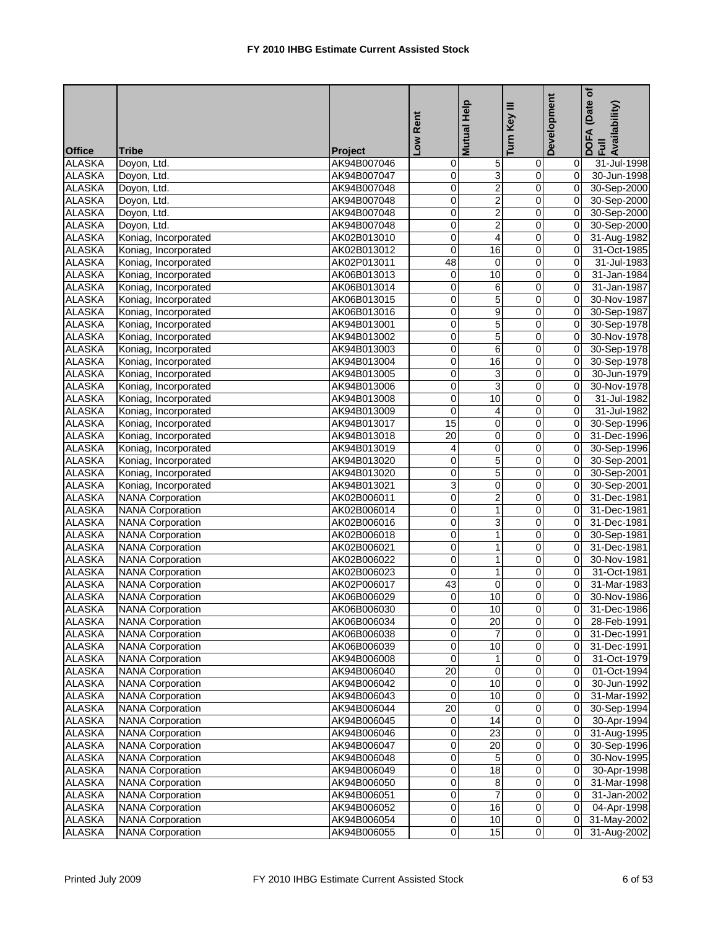|               |                         |                | Rent                     | <b>Mutual Help</b>      | Ξ<br>Key                | Development    | (Date of<br>DOFA (Date <sub>)</sub><br>Full<br>Availability) |
|---------------|-------------------------|----------------|--------------------------|-------------------------|-------------------------|----------------|--------------------------------------------------------------|
| <b>Office</b> | <b>Tribe</b>            | <b>Project</b> | $\overline{\phantom{0}}$ |                         | Turn                    |                |                                                              |
| <b>ALASKA</b> | Doyon, Ltd.             | AK94B007046    | 0                        | 5                       | 0                       | $\overline{0}$ | 31-Jul-1998                                                  |
| <b>ALASKA</b> | Doyon, Ltd.             | AK94B007047    | 0                        | $\overline{3}$          | $\overline{0}$          | $\overline{0}$ | 30-Jun-1998                                                  |
| <b>ALASKA</b> | Doyon, Ltd.             | AK94B007048    | 0                        | $\overline{2}$          | $\pmb{0}$               | $\mathbf 0$    | 30-Sep-2000                                                  |
| <b>ALASKA</b> | Doyon, Ltd.             | AK94B007048    | 0                        | $\overline{2}$          | $\overline{\mathsf{o}}$ | ō              | 30-Sep-2000                                                  |
| <b>ALASKA</b> | Doyon, Ltd.             | AK94B007048    | 0                        | $\overline{2}$          | 0                       | ō              | 30-Sep-2000                                                  |
| <b>ALASKA</b> | Doyon, Ltd.             | AK94B007048    | 0                        | $\overline{c}$          | $\overline{0}$          | $\mathbf{0}$   | 30-Sep-2000                                                  |
| <b>ALASKA</b> | Koniag, Incorporated    | AK02B013010    | 0                        | $\overline{4}$          | $\overline{0}$          | $\mathbf 0$    | 31-Aug-1982                                                  |
| <b>ALASKA</b> | Koniag, Incorporated    | AK02B013012    | $\mathbf 0$              | 16                      | $\mathbf 0$             | $\mathbf{0}$   | 31-Oct-1985                                                  |
| <b>ALASKA</b> | Koniag, Incorporated    | AK02P013011    | 48                       | 0                       | 0                       | $\overline{0}$ | 31-Jul-1983                                                  |
| <b>ALASKA</b> | Koniag, Incorporated    | AK06B013013    | 0                        | 10                      | 0                       | $\mathbf{0}$   | 31-Jan-1984                                                  |
| <b>ALASKA</b> | Koniag, Incorporated    | AK06B013014    | 0                        | 6                       | $\overline{0}$          | 0              | 31-Jan-1987                                                  |
| <b>ALASKA</b> | Koniag, Incorporated    | AK06B013015    | 0                        | 5                       | $\mathbf 0$             | $\Omega$       | 30-Nov-1987                                                  |
| <b>ALASKA</b> | Koniag, Incorporated    | AK06B013016    | 0                        | 9                       | 0                       | $\mathbf{0}$   | 30-Sep-1987                                                  |
| <b>ALASKA</b> | Koniag, Incorporated    | AK94B013001    | 0                        | 5                       | 0                       | 0              | 30-Sep-1978                                                  |
| <b>ALASKA</b> | Koniag, Incorporated    | AK94B013002    | 0                        | 5                       | $\overline{\mathbf{0}}$ | $\mathbf 0$    | 30-Nov-1978                                                  |
| <b>ALASKA</b> | Koniag, Incorporated    | AK94B013003    | 0                        | 6                       | 0                       | 0              | 30-Sep-1978                                                  |
| <b>ALASKA</b> | Koniag, Incorporated    | AK94B013004    | 0                        | $\overline{16}$         | ō                       | ō              | 30-Sep-1978                                                  |
| <b>ALASKA</b> | Koniag, Incorporated    | AK94B013005    | 0                        | 3                       | $\pmb{0}$               | $\mathbf 0$    | 30-Jun-1979                                                  |
| <b>ALASKA</b> | Koniag, Incorporated    | AK94B013006    | 0                        | 3                       | $\overline{0}$          | $\mathbf 0$    | 30-Nov-1978                                                  |
| <b>ALASKA</b> | Koniag, Incorporated    | AK94B013008    | 0                        | 10                      | $\pmb{0}$               | $\Omega$       | 31-Jul-1982                                                  |
| <b>ALASKA</b> | Koniag, Incorporated    | AK94B013009    | 0                        | 4                       | $\overline{0}$          | $\Omega$       | 31-Jul-1982                                                  |
| <b>ALASKA</b> | Koniag, Incorporated    | AK94B013017    | 15                       | 0                       | 0                       | $\overline{0}$ | 30-Sep-1996                                                  |
| <b>ALASKA</b> | Koniag, Incorporated    | AK94B013018    | $\overline{20}$          | $\overline{\mathbf{0}}$ | $\overline{\mathsf{o}}$ | $\mathbf 0$    | 31-Dec-1996                                                  |
| <b>ALASKA</b> | Koniag, Incorporated    | AK94B013019    | 4                        | 0                       | $\pmb{0}$               | $\mathbf 0$    | 30-Sep-1996                                                  |
| <b>ALASKA</b> | Koniag, Incorporated    | AK94B013020    | 0                        | 5                       | 0                       | $\mathbf 0$    | 30-Sep-2001                                                  |
| <b>ALASKA</b> | Koniag, Incorporated    | AK94B013020    | 0                        | 5                       | 0                       | $\mathbf 0$    | 30-Sep-2001                                                  |
| <b>ALASKA</b> | Koniag, Incorporated    | AK94B013021    | $\overline{3}$           | 0                       | $\pmb{0}$               | $\mathbf 0$    | 30-Sep-2001                                                  |
| <b>ALASKA</b> | <b>NANA Corporation</b> | AK02B006011    | 0                        | $\overline{c}$          | $\pmb{0}$               | $\mathbf 0$    | 31-Dec-1981                                                  |
| <b>ALASKA</b> | <b>NANA</b> Corporation | AK02B006014    | 0                        | 1                       | $\overline{\mathbf{0}}$ | ō              | 31-Dec-1981                                                  |
| <b>ALASKA</b> | <b>NANA</b> Corporation | AK02B006016    | 0                        | 3                       | 0                       | $\overline{0}$ | 31-Dec-1981                                                  |
| <b>ALASKA</b> | <b>NANA Corporation</b> | AK02B006018    | 0                        | $\mathbf{1}$            | $\overline{0}$          | $\overline{0}$ | 30-Sep-1981                                                  |
| <b>ALASKA</b> | <b>NANA Corporation</b> | AK02B006021    | 0                        | $\mathbf{1}$            | $\overline{0}$          | $\overline{0}$ | 31-Dec-1981                                                  |
| <b>ALASKA</b> | <b>NANA Corporation</b> | AK02B006022    | 0                        | $\mathbf{1}$            | $\mathbf 0$             | $\mathbf 0$    | 30-Nov-1981                                                  |
| <b>ALASKA</b> | <b>NANA Corporation</b> | AK02B006023    | 0                        | 1                       | 0                       | $\overline{0}$ | 31-Oct-1981                                                  |
| <b>ALASKA</b> | <b>NANA Corporation</b> | AK02P006017    | 43                       | 0                       | 0                       | $\Omega$       | 31-Mar-1983                                                  |
| <b>ALASKA</b> | <b>NANA Corporation</b> | AK06B006029    | 0                        | 10                      | $\overline{0}$          | ō              | 30-Nov-1986                                                  |
| ALASKA        | <b>NANA Corporation</b> | AK06B006030    | 0                        | 10                      | $\overline{\mathbf{0}}$ | $\overline{0}$ | 31-Dec-1986                                                  |
| <b>ALASKA</b> | <b>NANA Corporation</b> | AK06B006034    | 0                        | $\overline{20}$         | 0                       | ΟI             | 28-Feb-1991                                                  |
| ALASKA        | <b>NANA Corporation</b> | AK06B006038    | 0                        | 7                       | $\overline{\mathbf{0}}$ | $\overline{0}$ | 31-Dec-1991                                                  |
| ALASKA        | <b>NANA Corporation</b> | AK06B006039    | 0                        | 10                      | $\overline{0}$          | 0              | 31-Dec-1991                                                  |
| <b>ALASKA</b> | <b>NANA Corporation</b> | AK94B006008    | 0                        | 1                       | 0                       | $\overline{0}$ | 31-Oct-1979                                                  |
| <b>ALASKA</b> | <b>NANA Corporation</b> | AK94B006040    | 20                       | $\overline{\mathbf{0}}$ | $\overline{0}$          | 0I             | 01-Oct-1994                                                  |
| <b>ALASKA</b> | <b>NANA Corporation</b> | AK94B006042    | 0                        | 10                      | $\overline{0}$          | $\overline{0}$ | 30-Jun-1992                                                  |
| <b>ALASKA</b> | <b>NANA Corporation</b> | AK94B006043    | 0                        | 10                      | $\overline{0}$          | $\overline{0}$ | 31-Mar-1992                                                  |
| <b>ALASKA</b> | <b>NANA Corporation</b> | AK94B006044    | 20                       | 0                       | $\overline{0}$          | $\overline{0}$ | 30-Sep-1994                                                  |
| <b>ALASKA</b> | <b>NANA Corporation</b> | AK94B006045    | $\pmb{0}$                | 14                      | $\overline{0}$          | $\Omega$       | 30-Apr-1994                                                  |
| ALASKA        | <b>NANA Corporation</b> | AK94B006046    | 0                        | 23                      | 0                       | $\overline{0}$ | 31-Aug-1995                                                  |
| <b>ALASKA</b> | <b>NANA Corporation</b> | AK94B006047    | 0                        | 20                      | $\overline{0}$          | $\overline{0}$ |                                                              |
|               |                         |                |                          |                         |                         |                | 30-Sep-1996                                                  |
| <b>ALASKA</b> | <b>NANA Corporation</b> | AK94B006048    | 0                        | 5                       | $\pmb{0}$               | $\mathbf{0}$   | 30-Nov-1995                                                  |
| <b>ALASKA</b> | <b>NANA Corporation</b> | AK94B006049    | 0                        | $\overline{18}$         | $\overline{\mathbf{0}}$ | $\overline{0}$ | 30-Apr-1998                                                  |
| ALASKA        | <b>NANA Corporation</b> | AK94B006050    | 0                        | 8                       | 0                       |                | 31-Mar-1998                                                  |
| <b>ALASKA</b> | <b>NANA Corporation</b> | AK94B006051    | 0                        | 7<br>16                 | $\overline{\mathbf{0}}$ | $\overline{0}$ | 31-Jan-2002                                                  |
| <b>ALASKA</b> | <b>NANA Corporation</b> | AK94B006052    | 0                        |                         | $\pmb{0}$               | $\overline{0}$ | 04-Apr-1998                                                  |
| <b>ALASKA</b> | <b>NANA Corporation</b> | AK94B006054    | 0                        | 10                      | $\overline{0}$          | 0I             | 31-May-2002                                                  |
| <b>ALASKA</b> | <b>NANA Corporation</b> | AK94B006055    | $\overline{0}$           | 15                      | $\overline{0}$          | $\overline{0}$ | 31-Aug-2002                                                  |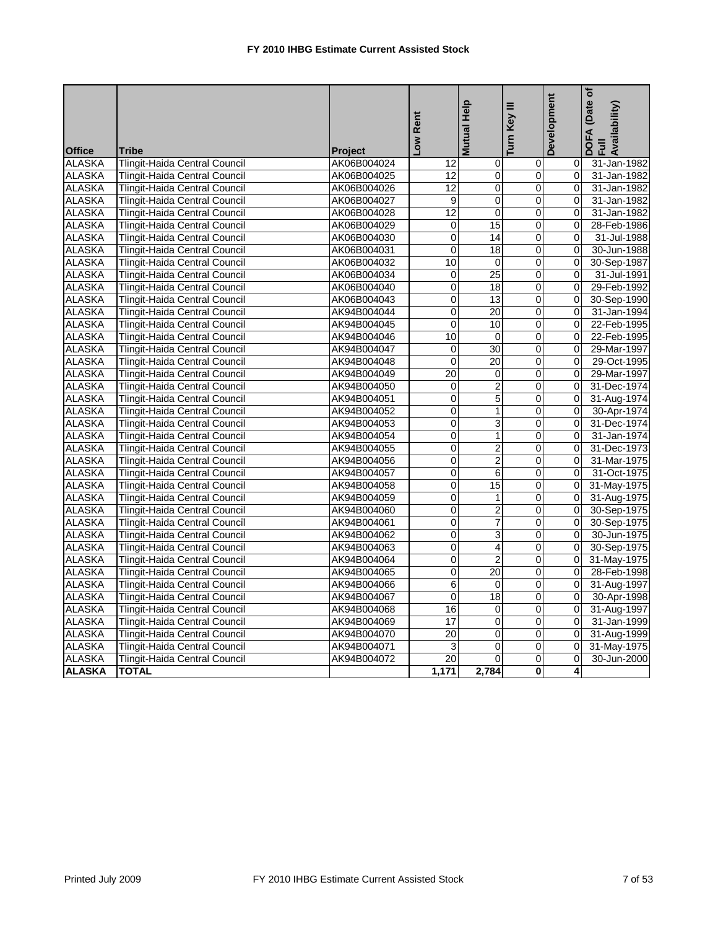|                                |                                                                              |                            | -ow Rent          | Mutual Help             | Turn Key III            | Development   | (Date of<br>DOFA (Date<br>Full<br>Availability) |
|--------------------------------|------------------------------------------------------------------------------|----------------------------|-------------------|-------------------------|-------------------------|---------------|-------------------------------------------------|
| <b>Office</b>                  | <b>Tribe</b>                                                                 | <b>Project</b>             |                   |                         |                         |               |                                                 |
| <b>ALASKA</b><br><b>ALASKA</b> | Tlingit-Haida Central Council<br><b>Tlingit-Haida Central Council</b>        | AK06B004024<br>AK06B004025 | 12<br>12          | 0<br>$\mathbf 0$        | 0<br>0                  | 0<br>$\Omega$ | 31-Jan-1982<br>31-Jan-1982                      |
| <b>ALASKA</b>                  | Tlingit-Haida Central Council                                                | AK06B004026                | 12                | 0                       | 0                       | $\Omega$      | 31-Jan-1982                                     |
| <b>ALASKA</b>                  | Tlingit-Haida Central Council                                                | AK06B004027                | $\overline{9}$    | $\overline{0}$          | $\overline{0}$          | $\Omega$      | 31-Jan-1982                                     |
| <b>ALASKA</b>                  | Tlingit-Haida Central Council                                                | AK06B004028                | 12                | 0                       | 0                       | $\Omega$      | 31-Jan-1982                                     |
| <b>ALASKA</b>                  |                                                                              |                            | 0                 | 15                      |                         | $\Omega$      | 28-Feb-1986                                     |
| <b>ALASKA</b>                  | <b>Tlingit-Haida Central Council</b><br><b>Tlingit-Haida Central Council</b> | AK06B004029                | 0                 | 14                      | 0<br>0                  |               | 31-Jul-1988                                     |
|                                |                                                                              | AK06B004030                |                   |                         |                         | 0             |                                                 |
| <b>ALASKA</b><br><b>ALASKA</b> | Tlingit-Haida Central Council                                                | AK06B004031                | $\mathbf 0$<br>10 | 18                      | $\mathbf 0$             | $\Omega$      | 30-Jun-1988                                     |
|                                | Tlingit-Haida Central Council                                                | AK06B004032                |                   | $\mathbf 0$             | $\overline{0}$          | $\Omega$      | 30-Sep-1987                                     |
| <b>ALASKA</b>                  | <b>Tlingit-Haida Central Council</b>                                         | AK06B004034                | 0                 | $\overline{25}$         | 0                       | 0             | 31-Jul-1991                                     |
| <b>ALASKA</b>                  | <b>Tlingit-Haida Central Council</b>                                         | AK06B004040                | $\overline{0}$    | $\overline{18}$         | $\overline{0}$          | $\Omega$      | 29-Feb-1992                                     |
| <b>ALASKA</b>                  | Tlingit-Haida Central Council                                                | AK06B004043                | $\mathbf 0$       | 13                      | $\overline{0}$          | 0             | 30-Sep-1990                                     |
| <b>ALASKA</b>                  | Tlingit-Haida Central Council                                                | AK94B004044                | $\mathbf 0$       | $\overline{20}$         | $\overline{0}$          | $\Omega$      | 31-Jan-1994                                     |
| <b>ALASKA</b>                  | Tlingit-Haida Central Council                                                | AK94B004045                | $\mathbf 0$       | 10                      | 0                       | $\Omega$      | 22-Feb-1995                                     |
| <b>ALASKA</b>                  | <b>Tlingit-Haida Central Council</b>                                         | AK94B004046                | 10                | $\overline{0}$          | 0                       | $\Omega$      | 22-Feb-1995                                     |
| <b>ALASKA</b>                  | Tlingit-Haida Central Council                                                | AK94B004047                | 0                 | $\overline{30}$         | 0                       | $\Omega$      | 29-Mar-1997                                     |
| <b>ALASKA</b>                  | Tlingit-Haida Central Council                                                | AK94B004048                | $\overline{0}$    | 20                      | $\overline{0}$          | 0             | 29-Oct-1995                                     |
| <b>ALASKA</b>                  | <b>Tlingit-Haida Central Council</b>                                         | AK94B004049                | $\overline{20}$   | 0                       | 0                       | $\Omega$      | 29-Mar-1997                                     |
| <b>ALASKA</b>                  | Tlingit-Haida Central Council                                                | AK94B004050                | $\mathbf 0$       | $\overline{c}$          | 0                       | $\Omega$      | 31-Dec-1974                                     |
| <b>ALASKA</b>                  | Tlingit-Haida Central Council                                                | AK94B004051                | $\overline{0}$    | $\overline{5}$          | $\overline{0}$          | $\Omega$      | 31-Aug-1974                                     |
| <b>ALASKA</b>                  | Tlingit-Haida Central Council                                                | AK94B004052                | $\boldsymbol{0}$  | 1                       | $\overline{0}$          | $\Omega$      | 30-Apr-1974                                     |
| <b>ALASKA</b>                  | Tlingit-Haida Central Council                                                | AK94B004053                | $\mathbf 0$       | 3                       | $\mathbf 0$             | $\Omega$      | 31-Dec-1974                                     |
| <b>ALASKA</b>                  | <b>Tlingit-Haida Central Council</b>                                         | AK94B004054                | $\overline{0}$    | 1                       | 0                       | $\Omega$      | 31-Jan-1974                                     |
| <b>ALASKA</b>                  | Tlingit-Haida Central Council                                                | AK94B004055                | $\overline{0}$    | $\overline{2}$          | $\overline{0}$          | $\Omega$      | 31-Dec-1973                                     |
| <b>ALASKA</b>                  | Tlingit-Haida Central Council                                                | AK94B004056                | 0                 | $\overline{2}$          | 0                       | $\Omega$      | 31-Mar-1975                                     |
| <b>ALASKA</b>                  | Tlingit-Haida Central Council                                                | AK94B004057                | 0                 | 6                       | 0                       | 0             | 31-Oct-1975                                     |
| <b>ALASKA</b>                  | <b>Tlingit-Haida Central Council</b>                                         | AK94B004058                | 0                 | 15                      | 0                       | $\Omega$      | 31-May-1975                                     |
| <b>ALASKA</b>                  | Tlingit-Haida Central Council                                                | AK94B004059                | 0                 | $\mathbf{1}$            | 0                       | $\mathbf{0}$  | 31-Aug-1975                                     |
| <b>ALASKA</b>                  | Tlingit-Haida Central Council                                                | AK94B004060                | $\overline{0}$    | $\overline{2}$          | $\overline{0}$          | $\Omega$      | 30-Sep-1975                                     |
| <b>ALASKA</b>                  | Tlingit-Haida Central Council                                                | AK94B004061                | 0                 | 7                       | 0                       | 0             | 30-Sep-1975                                     |
| <b>ALASKA</b>                  | Tlingit-Haida Central Council                                                | AK94B004062                | 0                 | 3                       | 0                       | $\Omega$      | 30-Jun-1975                                     |
| <b>ALASKA</b>                  | Tlingit-Haida Central Council                                                | AK94B004063                | 0                 | $\overline{\mathbf{4}}$ | 0                       |               | 30-Sep-1975                                     |
| <b>ALASKA</b>                  | Tlingit-Haida Central Council                                                | AK94B004064                | Ō                 | $\overline{2}$          | $\overline{0}$          | $\Omega$      | 31-May-1975                                     |
| <b>ALASKA</b>                  | Tlingit-Haida Central Council                                                | AK94B004065                | $\overline{0}$    | $\overline{20}$         | 0                       | $\Omega$      | 28-Feb-1998                                     |
| <b>ALASKA</b>                  | <b>Tlingit-Haida Central Council</b>                                         | AK94B004066                | 6                 | 0                       | 0                       | 0             | 31-Aug-1997                                     |
| <b>ALASKA</b>                  | <b>Tlingit-Haida Central Council</b>                                         | AK94B004067                | $\overline{0}$    | $\overline{18}$         | 0                       | $\Omega$      | 30-Apr-1998                                     |
| <b>ALASKA</b>                  | Tlingit-Haida Central Council                                                | AK94B004068                | 16                | $\mathbf 0$             | O                       | $\Omega$      | 31-Aug-1997                                     |
| <b>ALASKA</b>                  | Tlingit-Haida Central Council                                                | AK94B004069                | $\overline{17}$   | $\overline{0}$          | $\overline{0}$          | $\Omega$      | 31-Jan-1999                                     |
| <b>ALASKA</b>                  | Tlingit-Haida Central Council                                                | AK94B004070                | $\overline{20}$   | $\mathbf 0$             | 0                       | $\Omega$      | 31-Aug-1999                                     |
| <b>ALASKA</b>                  | Tlingit-Haida Central Council                                                | AK94B004071                | 3                 | $\Omega$                | 0                       | $\Omega$      | 31-May-1975                                     |
| <b>ALASKA</b>                  | Tlingit-Haida Central Council                                                | AK94B004072                | 20                | 0                       | 0                       | $\mathbf 0$   | 30-Jun-2000                                     |
| <b>ALASKA</b>                  | <b>TOTAL</b>                                                                 |                            | 1,171             | 2,784                   | $\overline{\mathbf{0}}$ | 4             |                                                 |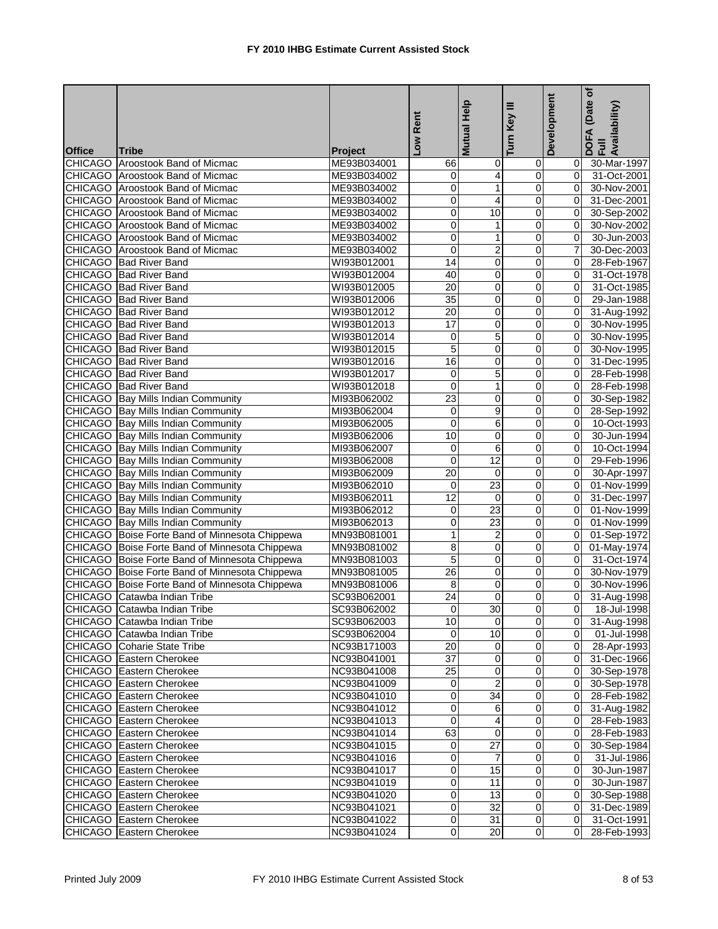|               |                                                |                | Low Rent        | Help<br><b>Mutual</b> | Turn Key III            | Development    | (Date of<br>DOFA (Date<br>Full<br>Availability) |
|---------------|------------------------------------------------|----------------|-----------------|-----------------------|-------------------------|----------------|-------------------------------------------------|
| <b>Office</b> | <b>Tribe</b>                                   | <b>Project</b> |                 |                       |                         |                |                                                 |
|               | CHICAGO Aroostook Band of Micmac               | ME93B034001    | 66              | $\mathbf 0$           | 0                       | 01             | 30-Mar-1997                                     |
|               | CHICAGO Aroostook Band of Micmac               | ME93B034002    | 0               | 4                     | 0                       | 0l             | 31-Oct-2001                                     |
|               | CHICAGO Aroostook Band of Micmac               | ME93B034002    | 0               | $\mathbf{1}$          | 0                       | $\overline{0}$ | 30-Nov-2001                                     |
|               | <b>CHICAGO</b> Aroostook Band of Micmac        | ME93B034002    | 0               | 4                     | 0                       | $\Omega$       | 31-Dec-2001                                     |
|               | CHICAGO Aroostook Band of Micmac               | ME93B034002    | 0               | 10                    | 0                       | $\overline{0}$ | 30-Sep-2002                                     |
|               | <b>CHICAGO</b> Aroostook Band of Micmac        | ME93B034002    | 0               | $\mathbf{1}$          | 0                       | $\overline{0}$ | 30-Nov-2002                                     |
|               | <b>CHICAGO</b> Aroostook Band of Micmac        | ME93B034002    | 0               | $\mathbf{1}$          | $\overline{\mathbf{0}}$ | $\overline{0}$ | 30-Jun-2003                                     |
|               | <b>CHICAGO</b> Aroostook Band of Micmac        | ME93B034002    | 0               | $\overline{2}$        | $\mathbf 0$             | 7              | 30-Dec-2003                                     |
|               | CHICAGO Bad River Band                         | WI93B012001    | 14              | 0                     | 0                       | $\overline{0}$ | 28-Feb-1967                                     |
|               | CHICAGO   Bad River Band                       | WI93B012004    | 40              | 0                     | 0                       | $\overline{0}$ | 31-Oct-1978                                     |
|               | <b>CHICAGO</b> Bad River Band                  | WI93B012005    | $\overline{20}$ | $\overline{0}$        | $\overline{0}$          | $\overline{0}$ | 31-Oct-1985                                     |
|               | CHICAGO Bad River Band                         | WI93B012006    | 35              | 0                     | $\mathbf 0$             | $\Omega$       | 29-Jan-1988                                     |
|               | CHICAGO Bad River Band                         | WI93B012012    | $\overline{20}$ | 0                     | $\mathbf 0$             | 0l             | 31-Aug-1992                                     |
|               | CHICAGO Bad River Band                         | WI93B012013    | 17              | 0                     | 0                       | $\overline{0}$ | 30-Nov-1995                                     |
|               | CHICAGO Bad River Band                         | WI93B012014    | 0               | 5                     | $\overline{\mathbf{0}}$ | $\overline{0}$ | 30-Nov-1995                                     |
|               | CHICAGO Bad River Band                         | WI93B012015    | 5               | 0                     | 0                       | $\Omega$       | 30-Nov-1995                                     |
|               | <b>CHICAGO</b> Bad River Band                  | WI93B012016    | 16              | 0                     | 0                       | $\overline{0}$ | 31-Dec-1995                                     |
|               | <b>CHICAGO</b> Bad River Band                  | WI93B012017    | 0               | 5                     | 0                       | ΟI             | 28-Feb-1998                                     |
|               | CHICAGO Bad River Band                         | WI93B012018    | $\mathbf 0$     | 1                     | 0                       | $\overline{0}$ | 28-Feb-1998                                     |
|               | CHICAGO Bay Mills Indian Community             | MI93B062002    | 23              | $\mathbf 0$           | 0                       | $\Omega$       | 30-Sep-1982                                     |
|               | <b>CHICAGO</b> Bay Mills Indian Community      | MI93B062004    | 0               | 9                     | 0                       | $\overline{0}$ | 28-Sep-1992                                     |
|               | <b>CHICAGO</b> Bay Mills Indian Community      | MI93B062005    | 0               | 6                     | 0                       | $\overline{0}$ | 10-Oct-1993                                     |
|               | <b>CHICAGO</b> Bay Mills Indian Community      | MI93B062006    | 10              | 0                     | $\overline{\mathbf{0}}$ | $\overline{0}$ | 30-Jun-1994                                     |
|               | <b>CHICAGO</b> Bay Mills Indian Community      | MI93B062007    | 0               | 6                     | $\pmb{0}$               | $\overline{0}$ | 10-Oct-1994                                     |
|               | <b>CHICAGO</b> Bay Mills Indian Community      | MI93B062008    | $\mathbf 0$     | 12                    | 0                       | $\overline{0}$ | 29-Feb-1996                                     |
|               | <b>CHICAGO</b> Bay Mills Indian Community      | MI93B062009    | 20              | 0                     | 0                       | Οl             | 30-Apr-1997                                     |
|               | <b>CHICAGO</b> Bay Mills Indian Community      | MI93B062010    | $\mathbf 0$     | 23                    | 0                       | Οl             | 01-Nov-1999                                     |
|               | <b>CHICAGO</b> Bay Mills Indian Community      | MI93B062011    | 12              | 0                     | 0                       | $\overline{0}$ | 31-Dec-1997                                     |
|               | <b>CHICAGO</b> Bay Mills Indian Community      | MI93B062012    | 0               | 23                    | $\mathbf 0$             | $\Omega$       | 01-Nov-1999                                     |
|               | <b>CHICAGO</b> Bay Mills Indian Community      | MI93B062013    | 0               | $\overline{23}$       | 0                       | 0              | 01-Nov-1999                                     |
|               | CHICAGO Boise Forte Band of Minnesota Chippewa | MN93B081001    | 1               | $\overline{2}$        | 0                       | $\Omega$       | 01-Sep-1972                                     |
|               | CHICAGO Boise Forte Band of Minnesota Chippewa | MN93B081002    | 8               | 0                     | 0                       | 0I             | 01-May-1974                                     |
|               | CHICAGO Boise Forte Band of Minnesota Chippewa | MN93B081003    | 5               | $\overline{0}$        | $\mathbf 0$             | $\Omega$       | 31-Oct-1974                                     |
|               | CHICAGO Boise Forte Band of Minnesota Chippewa | MN93B081005    | $\overline{26}$ | 0                     | 0                       | $\overline{0}$ | 30-Nov-1979                                     |
|               | CHICAGO Boise Forte Band of Minnesota Chippewa | MN93B081006    | 8               | 0                     | 0                       | ΟI             | 30-Nov-1996                                     |
|               | CHICAGO Catawba Indian Tribe                   | SC93B062001    | $\overline{24}$ | $\overline{0}$        | Ō                       | $\overline{0}$ | 31-Aug-1998                                     |
|               | CHICAGO Catawba Indian Tribe                   | SC93B062002    | $\overline{0}$  | 30                    |                         |                | 18-Jul-1998                                     |
|               | CHICAGO Catawba Indian Tribe                   | SC93B062003    | 10              | $\mathbf 0$           | $\overline{0}$          |                | 0 31-Aug-1998                                   |
|               | CHICAGO Catawba Indian Tribe                   | SC93B062004    | $\mathbf 0$     | 10                    | $\mathbf 0$             |                | 0 01-Jul-1998                                   |
|               | <b>CHICAGO</b> Coharie State Tribe             | NC93B171003    | $\overline{20}$ | $\mathbf 0$           | $\overline{0}$          |                | $\overline{0}$ 28-Apr-1993                      |
|               | CHICAGO Eastern Cherokee                       | NC93B041001    | $\overline{37}$ | 0                     | $\pmb{0}$               |                | 0 31-Dec-1966                                   |
|               | <b>CHICAGO</b> Eastern Cherokee                | NC93B041008    | $\overline{25}$ | 0                     | $\mathbf 0$             |                | 0 30-Sep-1978                                   |
|               | <b>CHICAGO</b> Eastern Cherokee                | NC93B041009    | 0               | $\overline{2}$        | 0                       | $\overline{O}$ | 30-Sep-1978                                     |
|               | CHICAGO Eastern Cherokee                       | NC93B041010    | 0               | $\overline{34}$       | $\pmb{0}$               | $\overline{0}$ | 28-Feb-1982                                     |
|               | CHICAGO Eastern Cherokee                       | NC93B041012    | 0               | 6                     | 0                       | ΟI             | $\overline{31}$ -Aug-1982                       |
|               | CHICAGO Eastern Cherokee                       | NC93B041013    | 0               | 4                     | 0                       | ΟI             | 28-Feb-1983                                     |
|               | CHICAGO Eastern Cherokee                       | NC93B041014    | 63              | $\mathbf 0$           | 0                       | 01             | 28-Feb-1983                                     |
|               | <b>CHICAGO</b> Eastern Cherokee                | NC93B041015    | $\mathbf 0$     | $\overline{27}$       | $\overline{0}$          | 01             | 30-Sep-1984                                     |
|               | CHICAGO Eastern Cherokee                       | NC93B041016    | 0               | $\overline{7}$        | $\overline{O}$          | ΟI             | 31-Jul-1986                                     |
|               | CHICAGO Eastern Cherokee                       | NC93B041017    | 0               | 15                    | $\pmb{0}$               | 01             | 30-Jun-1987                                     |
|               | CHICAGO Eastern Cherokee                       | NC93B041019    | 0               | 11                    | $\mathbf 0$             | 01             | 30-Jun-1987                                     |
|               | CHICAGO Eastern Cherokee                       | NC93B041020    | 0               | 13                    | $\mathbf 0$             | 01             | 30-Sep-1988                                     |
|               | CHICAGO Eastern Cherokee                       | NC93B041021    | 0               | 32                    | $\overline{O}$          | $\overline{0}$ | 31-Dec-1989                                     |
|               | CHICAGO Eastern Cherokee                       | NC93B041022    | 0               | 31                    | $\mathbf 0$             | 01             | 31-Oct-1991                                     |
|               | CHICAGO Eastern Cherokee                       | NC93B041024    | $\overline{0}$  | 20                    | $\overline{0}$          | 01             | 28-Feb-1993                                     |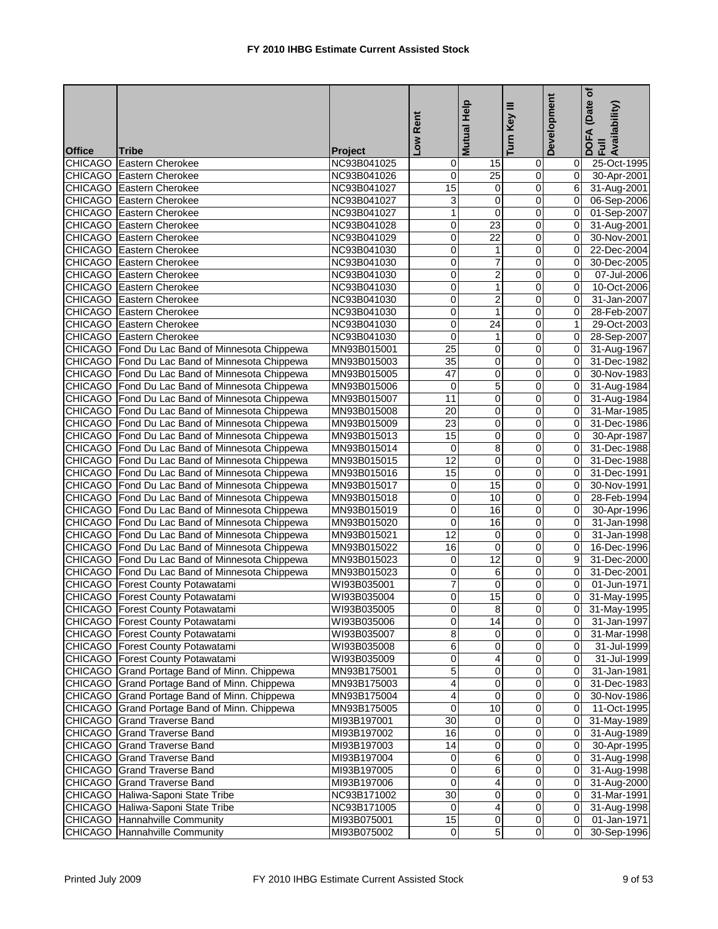|               |                                                |                            | -ow Rent        | Mutual Help             | Key III<br>Turn         | Development             | (Date of<br>DOFA (Date <sub>(</sub><br>Full<br>Availability) |
|---------------|------------------------------------------------|----------------------------|-----------------|-------------------------|-------------------------|-------------------------|--------------------------------------------------------------|
| <b>Office</b> | Tribe                                          | Project                    |                 |                         |                         |                         |                                                              |
|               | <b>CHICAGO</b> Eastern Cherokee                | NC93B041025                | 0               | 15                      | 0                       | 0                       | 25-Oct-1995                                                  |
|               | <b>CHICAGO</b> Eastern Cherokee                | NC93B041026                | 0               | $\overline{25}$         | $\overline{0}$          | $\overline{0}$          | 30-Apr-2001                                                  |
|               | CHICAGO Eastern Cherokee                       | NC93B041027                | $\overline{15}$ | $\mathbf 0$             | $\mathbf 0$             | $6 \overline{6}$        | 31-Aug-2001                                                  |
|               | <b>CHICAGO</b> Eastern Cherokee                | NC93B041027                | 3               | 0                       | 0                       | $\overline{0}$          | 06-Sep-2006                                                  |
|               | <b>CHICAGO</b> Eastern Cherokee                | NC93B041027                | 1               | 0                       | 0                       | $\Omega$                | 01-Sep-2007                                                  |
|               | <b>CHICAGO</b> Eastern Cherokee                | NC93B041028                | 0               | 23                      | 0                       | $\overline{0}$          | 31-Aug-2001                                                  |
|               | <b>CHICAGO</b> Eastern Cherokee                | NC93B041029                | 0               | $\overline{22}$         | 0                       | $\overline{0}$          | 30-Nov-2001                                                  |
|               | <b>CHICAGO</b> Eastern Cherokee                | NC93B041030                | 0               | 1                       | 0                       | $\overline{0}$          | 22-Dec-2004                                                  |
|               | <b>CHICAGO</b> Eastern Cherokee                | NC93B041030                | 0               | 7                       | 0                       | $\overline{0}$          | 30-Dec-2005                                                  |
|               | <b>CHICAGO</b> Eastern Cherokee                | NC93B041030                | 0               | $\overline{2}$          | 0                       | $\overline{0}$          | 07-Jul-2006                                                  |
|               | <b>CHICAGO</b> Eastern Cherokee                | NC93B041030                | 0               | $\overline{1}$          | $\overline{0}$          | $\overline{0}$          | 10-Oct-2006                                                  |
|               | <b>CHICAGO</b> Eastern Cherokee                | NC93B041030                | 0               | $\overline{c}$          | 0                       | $\overline{0}$          | 31-Jan-2007                                                  |
|               | CHICAGO Eastern Cherokee                       | NC93B041030                | 0               | $\mathbf{1}$            | 0                       | 0                       | 28-Feb-2007                                                  |
|               | <b>CHICAGO</b> Eastern Cherokee                | NC93B041030                | 0               | 24                      | 0                       | 1                       | 29-Oct-2003                                                  |
|               | <b>CHICAGO</b> Eastern Cherokee                | NC93B041030                | $\mathbf 0$     | $\mathbf{1}$            | 0                       | 0l                      | 28-Sep-2007                                                  |
|               | CHICAGO Fond Du Lac Band of Minnesota Chippewa | MN93B015001                | 25              | 0                       | $\mathbf 0$             | $\overline{0}$          | 31-Aug-1967                                                  |
|               | CHICAGO Fond Du Lac Band of Minnesota Chippewa | MN93B015003                | $\overline{35}$ | 0                       | 0                       | $\mathbf{0}$            | 31-Dec-1982                                                  |
|               | CHICAGO Fond Du Lac Band of Minnesota Chippewa | MN93B015005                | 47              | 0                       | $\mathbf 0$             | $\mathbf{0}$            | 30-Nov-1983                                                  |
|               | CHICAGO Fond Du Lac Band of Minnesota Chippewa | MN93B015006                | 0               | 5                       | 0                       | $\mathbf{0}$            | 31-Aug-1984                                                  |
|               | CHICAGO Fond Du Lac Band of Minnesota Chippewa | MN93B015007                | 11              | 0                       | $\mathbf 0$             | $\overline{0}$          | 31-Aug-1984                                                  |
|               | CHICAGO Fond Du Lac Band of Minnesota Chippewa | MN93B015008                | 20              | 0                       | 0                       | $\mathbf{0}$            | 31-Mar-1985                                                  |
|               | CHICAGO Fond Du Lac Band of Minnesota Chippewa | MN93B015009                | 23              | 0                       | 0                       | $\overline{0}$          | 31-Dec-1986                                                  |
|               | CHICAGO Fond Du Lac Band of Minnesota Chippewa | MN93B015013                | 15              | $\overline{0}$          | $\overline{0}$          | $\overline{0}$          | 30-Apr-1987                                                  |
|               | CHICAGO Fond Du Lac Band of Minnesota Chippewa | MN93B015014                | $\mathbf 0$     | 8                       | $\mathbf 0$             | $\Omega$                | 31-Dec-1988                                                  |
|               | CHICAGO Fond Du Lac Band of Minnesota Chippewa | MN93B015015                | $\overline{12}$ | 0                       | 0                       | $\overline{0}$          | 31-Dec-1988                                                  |
|               | CHICAGO Fond Du Lac Band of Minnesota Chippewa | MN93B015016                | $\overline{15}$ | 0                       | 0                       | $\overline{0}$          | 31-Dec-1991                                                  |
|               | CHICAGO Fond Du Lac Band of Minnesota Chippewa | MN93B015017                | 0               | 15                      | $\overline{0}$          | $\overline{0}$          | 30-Nov-1991                                                  |
|               | CHICAGO Fond Du Lac Band of Minnesota Chippewa | MN93B015018                | 0               | $\overline{10}$         | $\mathbf 0$             | $\overline{0}$          | 28-Feb-1994                                                  |
|               | CHICAGO Fond Du Lac Band of Minnesota Chippewa | MN93B015019                | 0               | 16                      | 0                       | $\mathbf{0}$            | 30-Apr-1996                                                  |
|               | CHICAGO Fond Du Lac Band of Minnesota Chippewa | MN93B015020                | 0               | $\overline{16}$         | 0                       | $\Omega$                | 31-Jan-1998                                                  |
|               | CHICAGO Fond Du Lac Band of Minnesota Chippewa | MN93B015021                | 12              | 0                       | 0                       | $\overline{0}$          | 31-Jan-1998                                                  |
|               | CHICAGO Fond Du Lac Band of Minnesota Chippewa | MN93B015022                | 16              | 0                       | 0                       | $\overline{0}$          | 16-Dec-1996                                                  |
|               | CHICAGO Fond Du Lac Band of Minnesota Chippewa | MN93B015023                | 0               | 12                      | 0                       | 9 <sub>l</sub>          | 31-Dec-2000                                                  |
|               | CHICAGO Fond Du Lac Band of Minnesota Chippewa |                            | 0               |                         | 0                       | $\mathbf{0}$            | 31-Dec-2001                                                  |
|               | <b>CHICAGO</b> Forest County Potawatami        | MN93B015023                | 7               | 6<br>0                  | 0                       | $\overline{0}$          | 01-Jun-1971                                                  |
|               |                                                | WI93B035001<br>WI93B035004 | 0               | 15                      | 0                       | $\overline{0}$          | 31-May-1995                                                  |
|               | CHICAGO   Forest County Potawatami             |                            |                 |                         |                         |                         |                                                              |
|               | CHICAGO Forest County Potawatami               | WI93B035005                | 0               | 8                       | O                       | $\overline{\mathbf{0}}$ | 31-May-1995                                                  |
|               | <b>CHICAGO</b> Forest County Potawatami        | WI93B035006                | 0               | 14                      | 0                       | 01                      | 31-Jan-1997                                                  |
|               | <b>CHICAGO</b> Forest County Potawatami        | WI93B035007                | 8               | $\mathbf 0$             | $\mathbf 0$             | 01                      | 31-Mar-1998                                                  |
|               | <b>CHICAGO</b> Forest County Potawatami        | WI93B035008                | 6               | $\pmb{0}$               | $\pmb{0}$               | 01                      | 31-Jul-1999                                                  |
|               | <b>CHICAGO</b> Forest County Potawatami        | WI93B035009                | 0               | 4                       | 0                       | 01                      | 31-Jul-1999                                                  |
|               | CHICAGO Grand Portage Band of Minn. Chippewa   | MN93B175001                | 5               | 0                       | 0                       | 01                      | 31-Jan-1981                                                  |
|               | CHICAGO Grand Portage Band of Minn. Chippewa   | MN93B175003                | 4               | 0                       | 0                       | 01                      | 31-Dec-1983                                                  |
|               | CHICAGO Grand Portage Band of Minn. Chippewa   | MN93B175004                | 4               | $\pmb{0}$               | $\pmb{0}$               | 01                      | 30-Nov-1986                                                  |
|               | CHICAGO Grand Portage Band of Minn. Chippewa   | MN93B175005                | 0               | 10                      | 0                       | 01                      | 11-Oct-1995                                                  |
|               | CHICAGO Grand Traverse Band                    | MI93B197001                | 30              | 0                       | 0                       | ΟI                      | 31-May-1989                                                  |
|               | CHICAGO Grand Traverse Band                    | MI93B197002                | 16              | 0                       | 0                       | 01                      | 31-Aug-1989                                                  |
|               | <b>CHICAGO</b> Grand Traverse Band             | MI93B197003                | 14              | $\overline{0}$          | $\overline{\mathsf{o}}$ | $\overline{0}$          | 30-Apr-1995                                                  |
|               | <b>CHICAGO</b> Grand Traverse Band             | MI93B197004                | 0               | 6                       | 0                       | ΟI                      | 31-Aug-1998                                                  |
|               | <b>CHICAGO</b> Grand Traverse Band             | MI93B197005                | 0               | 6                       | $\pmb{0}$               | 0I                      | 31-Aug-1998                                                  |
|               | CHICAGO Grand Traverse Band                    | MI93B197006                | 0               | 4                       | 0                       | 01                      | 31-Aug-2000                                                  |
|               | CHICAGO Haliwa-Saponi State Tribe              | NC93B171002                | 30              | $\overline{0}$          | $\overline{O}$          | 01                      | 31-Mar-1991                                                  |
|               | CHICAGO Haliwa-Saponi State Tribe              | NC93B171005                | 0               | 4                       | $\pmb{0}$               | 01                      | 31-Aug-1998                                                  |
|               | <b>CHICAGO</b> Hannahville Community           | MI93B075001                | 15              | $\overline{\mathbf{0}}$ | $\overline{0}$          | ΟI                      | 01-Jan-1971                                                  |
|               | <b>CHICAGO</b> Hannahville Community           | MI93B075002                | $\overline{0}$  | 5                       | $\pmb{0}$               | 01                      | 30-Sep-1996                                                  |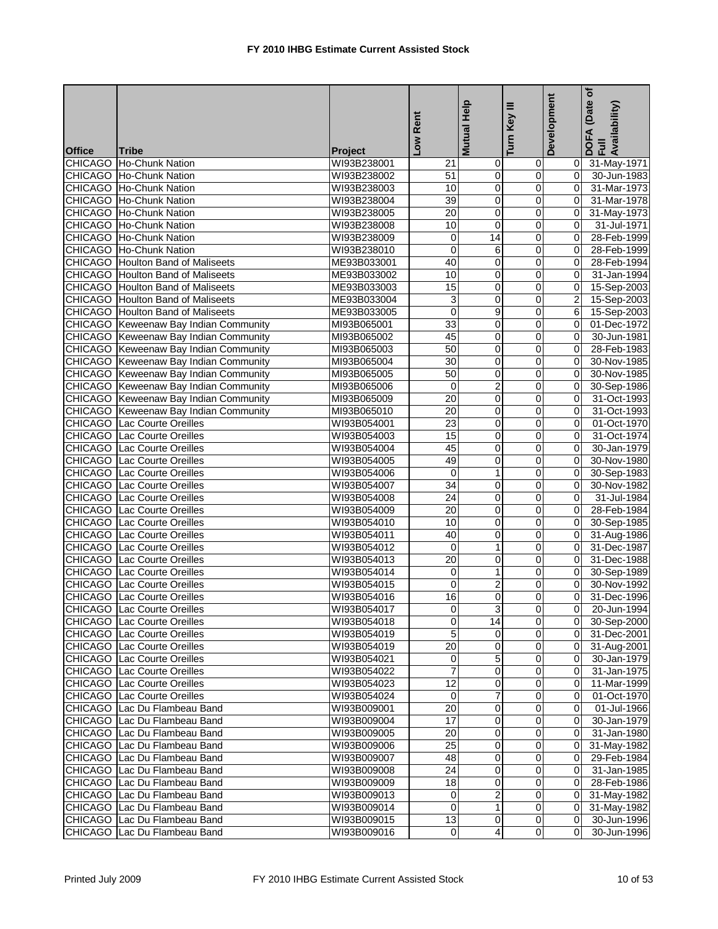|               |                                              |                | Low Rent        | Help                    | Key III                 | Development    | (Date of<br>DOFA (Date<br>Full<br>Availability) |
|---------------|----------------------------------------------|----------------|-----------------|-------------------------|-------------------------|----------------|-------------------------------------------------|
|               |                                              |                |                 | <b>Mutual</b>           | Turn                    |                |                                                 |
| <b>Office</b> | Tribe                                        | <b>Project</b> |                 |                         |                         |                |                                                 |
|               | CHICAGO Ho-Chunk Nation                      | WI93B238001    | 21              | $\mathbf 0$             | 0                       |                | 0 31-May-1971                                   |
|               | CHICAGO Ho-Chunk Nation                      | WI93B238002    | 51              | $\pmb{0}$               | $\mathbf 0$             | ΟI             | 30-Jun-1983                                     |
|               | CHICAGO Ho-Chunk Nation                      | WI93B238003    | 10<br>39        | 0<br>$\overline{0}$     | $\pmb{0}$               | 0l             | 31-Mar-1973                                     |
|               | CHICAGO Ho-Chunk Nation                      | WI93B238004    |                 | 0                       | 0                       | $\Omega$       | 31-Mar-1978                                     |
|               | CHICAGO Ho-Chunk Nation                      | WI93B238005    | $\overline{20}$ |                         | 0                       | 0I             | 31-May-1973                                     |
|               | CHICAGO Ho-Chunk Nation                      | WI93B238008    | 10              | 0                       | 0                       | $\Omega$       | 31-Jul-1971                                     |
|               | CHICAGO Ho-Chunk Nation                      | WI93B238009    | 0               | 14                      | $\overline{\mathbf{0}}$ | 0l             | 28-Feb-1999                                     |
|               | CHICAGO Ho-Chunk Nation                      | WI93B238010    | 0               | 6                       | $\mathbf 0$             | $\Omega$       | 28-Feb-1999                                     |
|               | <b>CHICAGO</b> Houlton Band of Maliseets     | ME93B033001    | 40              | 0                       | 0                       | 0l             | 28-Feb-1994                                     |
|               | <b>CHICAGO</b> Houlton Band of Maliseets     | ME93B033002    | 10              | 0                       | 0                       | 0l             | 31-Jan-1994                                     |
|               | <b>CHICAGO</b> Houlton Band of Maliseets     | ME93B033003    | 15              | $\overline{0}$          | $\overline{0}$          | $\mathbf{0}$   | 15-Sep-2003                                     |
|               | <b>CHICAGO</b> Houlton Band of Maliseets     | ME93B033004    | 3               | $\pmb{0}$               | $\mathbf 0$             | $\overline{2}$ | 15-Sep-2003                                     |
|               | <b>CHICAGO</b> Houlton Band of Maliseets     | ME93B033005    | $\overline{0}$  | 9                       | $\overline{0}$          | 61             | 15-Sep-2003                                     |
|               | <b>CHICAGO</b> Keweenaw Bay Indian Community | MI93B065001    | 33              | 0                       | 0                       | 0              | 01-Dec-1972                                     |
|               | CHICAGO Keweenaw Bay Indian Community        | MI93B065002    | 45              | 0                       | $\overline{0}$          | $\overline{0}$ | 30-Jun-1981                                     |
|               | CHICAGO Keweenaw Bay Indian Community        | MI93B065003    | 50              | 0                       | $\mathbf 0$             | $\Omega$       | 28-Feb-1983                                     |
|               | <b>CHICAGO</b> Keweenaw Bay Indian Community | MI93B065004    | 30              | 0                       | 0                       | $\Omega$       | 30-Nov-1985                                     |
|               | <b>CHICAGO</b> Keweenaw Bay Indian Community | MI93B065005    | 50              | 0                       | 0                       | $\Omega$       | 30-Nov-1985                                     |
|               | CHICAGO Keweenaw Bay Indian Community        | MI93B065006    | $\mathbf 0$     | $\overline{c}$          | 0                       | $\overline{0}$ | 30-Sep-1986                                     |
|               | CHICAGO Keweenaw Bay Indian Community        | MI93B065009    | 20              | 0                       | 0                       | $\overline{0}$ | 31-Oct-1993                                     |
|               | CHICAGO Keweenaw Bay Indian Community        | MI93B065010    | 20              | 0                       | 0                       | $\overline{0}$ | 31-Oct-1993                                     |
|               | <b>CHICAGO</b> Lac Courte Oreilles           | WI93B054001    | 23              | 0                       | 0                       | 0l             | 01-Oct-1970                                     |
|               | <b>CHICAGO</b> Lac Courte Oreilles           | WI93B054003    | 15              | $\overline{\mathbf{0}}$ | $\overline{\mathsf{o}}$ | $\overline{0}$ | 31-Oct-1974                                     |
|               | <b>CHICAGO</b> Lac Courte Oreilles           | WI93B054004    | 45              | 0                       | $\pmb{0}$               | $\overline{0}$ | 30-Jan-1979                                     |
|               | <b>CHICAGO</b> Lac Courte Oreilles           | WI93B054005    | 49              | $\mathbf 0$             | 0                       | $\mathbf{0}$   | 30-Nov-1980                                     |
|               | <b>CHICAGO</b> Lac Courte Oreilles           | WI93B054006    | 0               | $\mathbf{1}$            | 0                       | 0l             | 30-Sep-1983                                     |
|               | <b>CHICAGO</b> Lac Courte Oreilles           | WI93B054007    | 34              | 0                       | 0                       | 01             | 30-Nov-1982                                     |
|               | <b>CHICAGO</b> Lac Courte Oreilles           | WI93B054008    | $\overline{24}$ | 0                       | 0                       | $\mathbf{0}$   | 31-Jul-1984                                     |
|               | <b>CHICAGO</b> Lac Courte Oreilles           | WI93B054009    | $\overline{20}$ | $\mathbf 0$             | 0                       | $\Omega$       | 28-Feb-1984                                     |
|               | <b>CHICAGO</b> Lac Courte Oreilles           | WI93B054010    | 10              | 0                       | 0                       | 0              | 30-Sep-1985                                     |
|               | <b>CHICAGO</b> Lac Courte Oreilles           | WI93B054011    | 40              | $\mathbf 0$             | 0                       | 0              | 31-Aug-1986                                     |
|               | CHICAGO Lac Courte Oreilles                  | WI93B054012    | $\mathbf 0$     | $\mathbf{1}$            | $\mathbf 0$             | $\mathbf{0}$   | 31-Dec-1987                                     |
|               | <b>CHICAGO</b> Lac Courte Oreilles           | WI93B054013    | 20              | $\overline{0}$          | $\mathbf 0$             | $\Omega$       | 31-Dec-1988                                     |
|               | <b>CHICAGO</b> Lac Courte Oreilles           | WI93B054014    | $\mathbf 0$     | $\mathbf{1}$            | 0                       | 0I             | 30-Sep-1989                                     |
|               | <b>CHICAGO</b> Lac Courte Oreilles           | WI93B054015    | 0               | $\overline{2}$          | 0                       | $\Omega$       | 30-Nov-1992                                     |
|               | <b>CHICAGO</b> Lac Courte Oreilles           | WI93B054016    | 16              | $\overline{0}$          | ō                       | $\overline{0}$ | 31-Dec-1996                                     |
|               | CHICAGO Lac Courte Oreilles                  | WI93B054017    | $\overline{0}$  |                         |                         |                | 20-Jun-1994                                     |
|               | CHICAGO Lac Courte Oreilles                  | WI93B054018    | Ō               | 14                      | $\mathbf 0$             |                | 0 30-Sep-2000                                   |
|               | CHICAGO Lac Courte Oreilles                  | WI93B054019    | 5               | 0                       | 0                       |                | 0 31-Dec-2001                                   |
|               | <b>CHICAGO</b> Lac Courte Oreilles           | WI93B054019    | $\overline{20}$ | $\overline{\mathbf{0}}$ | $\overline{0}$          |                | 0 31-Aug-2001                                   |
|               | CHICAGO Lac Courte Oreilles                  | WI93B054021    | 0               | 5                       | 0                       | 01             | 30-Jan-1979                                     |
|               | <b>CHICAGO</b> Lac Courte Oreilles           | WI93B054022    |                 | 0                       | 0                       | 01             | 31-Jan-1975                                     |
|               | CHICAGO Lac Courte Oreilles                  | WI93B054023    | 12              | 0                       | 0                       |                | 11-Mar-1999                                     |
|               | CHICAGO Lac Courte Oreilles                  | WI93B054024    | 0               | 7                       | $\mathbf 0$             | 01             | 01-Oct-1970                                     |
|               | CHICAGO Lac Du Flambeau Band                 | WI93B009001    | 20              | 0                       | 0                       | ΟI             | 01-Jul-1966                                     |
|               | CHICAGO Lac Du Flambeau Band                 | WI93B009004    | 17              | 0                       | 0                       | ΟI             | 30-Jan-1979                                     |
|               | CHICAGO Lac Du Flambeau Band                 | WI93B009005    | 20              | 0                       | 0                       |                | 31-Jan-1980                                     |
|               | CHICAGO Lac Du Flambeau Band                 | WI93B009006    | $\overline{25}$ | $\overline{\mathbf{0}}$ | $\mathbf 0$             | $\overline{0}$ | 31-May-1982                                     |
|               | CHICAGO Lac Du Flambeau Band                 | WI93B009007    | 48              | 0                       | $\pmb{0}$               | 01             | 29-Feb-1984                                     |
|               | CHICAGO Lac Du Flambeau Band                 | WI93B009008    | 24              | 0                       | 0                       | ΟI             | 31-Jan-1985                                     |
|               | CHICAGO Lac Du Flambeau Band                 | WI93B009009    | 18              | 0                       | $\mathbf 0$             | ΟI             | 28-Feb-1986                                     |
|               | CHICAGO Lac Du Flambeau Band                 | WI93B009013    | 0               | 2                       | $\mathbf 0$             | 01             | 31-May-1982                                     |
|               | CHICAGO Lac Du Flambeau Band                 | WI93B009014    | $\mathbf 0$     | 1                       | $\mathbf 0$             | $\overline{0}$ | 31-May-1982                                     |
|               | CHICAGO Lac Du Flambeau Band                 | WI93B009015    | 13              | 0                       | 0                       | 01             | 30-Jun-1996                                     |
|               | CHICAGO Lac Du Flambeau Band                 | WI93B009016    | $\overline{0}$  | $\overline{4}$          | 0                       | 01             | 30-Jun-1996                                     |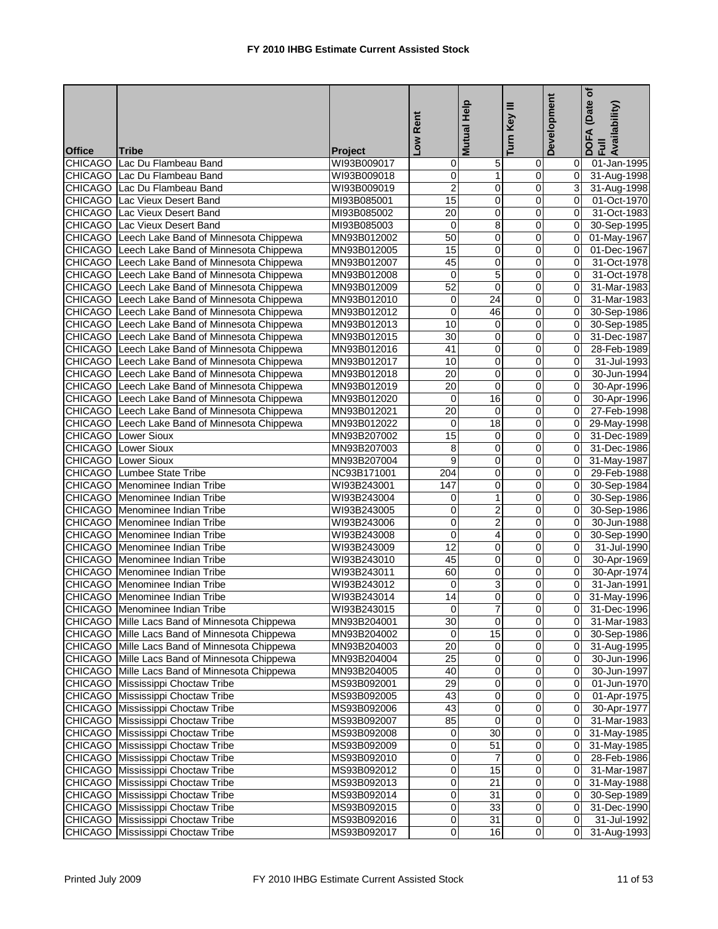|                |                                               |                | Low Rent        | Help<br><b>Mutual</b>   | Turn Key III            | Development    | (Date of<br>DOFA (Date<br>Full<br>Availability) |
|----------------|-----------------------------------------------|----------------|-----------------|-------------------------|-------------------------|----------------|-------------------------------------------------|
| <b>Office</b>  | <b>Tribe</b>                                  | <b>Project</b> |                 |                         |                         |                |                                                 |
|                | CHICAGO Lac Du Flambeau Band                  | WI93B009017    | 0               | 5                       | $\mathbf 0$             | 01             | 01-Jan-1995                                     |
|                | CHICAGO Lac Du Flambeau Band                  | WI93B009018    | 0               | $\mathbf{1}$            | 0                       | $\mathbf{0}$   | 31-Aug-1998                                     |
|                | CHICAGO Lac Du Flambeau Band                  | WI93B009019    | $\overline{2}$  | 0                       | 0                       | $\overline{3}$ | 31-Aug-1998                                     |
| <b>CHICAGO</b> | Lac Vieux Desert Band                         | MI93B085001    | $\overline{15}$ | $\overline{0}$          | 0                       | $\overline{0}$ | 01-Oct-1970                                     |
|                | <b>CHICAGO</b> Lac Vieux Desert Band          | MI93B085002    | $\overline{20}$ | 0                       | 0                       | $\overline{0}$ | 31-Oct-1983                                     |
| CHICAGO        | Lac Vieux Desert Band                         | MI93B085003    | $\mathbf 0$     | 8                       | 0                       | $\overline{0}$ | 30-Sep-1995                                     |
|                | CHICAGO Leech Lake Band of Minnesota Chippewa | MN93B012002    | 50              | 0                       | 0                       | $\mathbf{0}$   | 01-May-1967                                     |
|                | CHICAGO Leech Lake Band of Minnesota Chippewa | MN93B012005    | 15              | 0                       | 0                       | $\overline{0}$ | 01-Dec-1967                                     |
|                | CHICAGO Leech Lake Band of Minnesota Chippewa | MN93B012007    | 45              | 0                       | 0                       | $\overline{0}$ | 31-Oct-1978                                     |
|                | CHICAGO Leech Lake Band of Minnesota Chippewa | MN93B012008    | $\mathbf 0$     | $\overline{5}$          | 0                       | $\mathbf{0}$   | 31-Oct-1978                                     |
|                | CHICAGO Leech Lake Band of Minnesota Chippewa | MN93B012009    | 52              | $\overline{0}$          | $\overline{0}$          | $\mathbf{0}$   | 31-Mar-1983                                     |
|                | CHICAGO Leech Lake Band of Minnesota Chippewa | MN93B012010    | 0               | $\overline{24}$         | $\mathbf 0$             | $\overline{0}$ | 31-Mar-1983                                     |
|                | CHICAGO Leech Lake Band of Minnesota Chippewa | MN93B012012    | 0               | 46                      | $\pmb{0}$               | $\overline{0}$ | 30-Sep-1986                                     |
|                | CHICAGO Leech Lake Band of Minnesota Chippewa | MN93B012013    | 10              | 0                       | 0                       | $\overline{0}$ | 30-Sep-1985                                     |
|                | CHICAGO Leech Lake Band of Minnesota Chippewa | MN93B012015    | 30              | 0                       | $\overline{\mathbf{0}}$ | $\overline{0}$ | 31-Dec-1987                                     |
|                | CHICAGO Leech Lake Band of Minnesota Chippewa | MN93B012016    | 41              | 0                       | 0                       | $\overline{0}$ | 28-Feb-1989                                     |
|                | CHICAGO Leech Lake Band of Minnesota Chippewa | MN93B012017    | $\overline{10}$ | 0                       | 0                       | $\mathbf{0}$   | 31-Jul-1993                                     |
| <b>CHICAGO</b> | Leech Lake Band of Minnesota Chippewa         | MN93B012018    | 20              | 0                       | 0                       | $\mathbf{0}$   | 30-Jun-1994                                     |
| <b>CHICAGO</b> | Leech Lake Band of Minnesota Chippewa         | MN93B012019    | 20              | 0                       | 0                       | $\overline{0}$ | 30-Apr-1996                                     |
| <b>CHICAGO</b> | Leech Lake Band of Minnesota Chippewa         | MN93B012020    | 0               | 16                      | 0                       | $\mathbf{0}$   | 30-Apr-1996                                     |
|                | CHICAGO Leech Lake Band of Minnesota Chippewa | MN93B012021    | $\overline{20}$ | 0                       | 0                       | $\overline{0}$ | 27-Feb-1998                                     |
| <b>CHICAGO</b> | Leech Lake Band of Minnesota Chippewa         | MN93B012022    | 0               | 18                      | 0                       | Οl             | 29-May-1998                                     |
|                | <b>CHICAGO</b> Lower Sioux                    | MN93B207002    | $\overline{15}$ | 0                       | $\overline{\mathsf{o}}$ | $\overline{0}$ | 31-Dec-1989                                     |
|                | <b>CHICAGO</b> Lower Sioux                    | MN93B207003    | 8               | 0                       | $\pmb{0}$               | $\mathbf{0}$   | 31-Dec-1986                                     |
|                | <b>CHICAGO</b> Lower Sioux                    | MN93B207004    | 9               | 0                       | 0                       | Οl             | 31-May-1987                                     |
|                | <b>CHICAGO</b> Lumbee State Tribe             | NC93B171001    | 204             | 0                       | 0                       | $\mathbf{0}$   | 29-Feb-1988                                     |
|                | <b>CHICAGO</b> Menominee Indian Tribe         | WI93B243001    | 147             | 0                       | 0                       | 0              | 30-Sep-1984                                     |
|                | CHICAGO Menominee Indian Tribe                | WI93B243004    | 0               | $\mathbf{1}$            | 0                       | $\overline{0}$ | 30-Sep-1986                                     |
|                | <b>CHICAGO</b> Menominee Indian Tribe         | WI93B243005    | 0               | $\overline{2}$          | $\mathbf 0$             | $\overline{0}$ | 30-Sep-1986                                     |
|                | CHICAGO Menominee Indian Tribe                | WI93B243006    | 0               | $\overline{2}$          | 0                       | $\overline{0}$ | 30-Jun-1988                                     |
|                | CHICAGO Menominee Indian Tribe                | WI93B243008    | 0               | $\overline{\mathbf{4}}$ | 0                       | $\overline{0}$ | 30-Sep-1990                                     |
|                | CHICAGO Menominee Indian Tribe                | WI93B243009    | 12              | $\overline{\mathbf{0}}$ | 0                       | $\overline{0}$ | 31-Jul-1990                                     |
|                | CHICAGO Menominee Indian Tribe                | WI93B243010    | 45              | 0                       | 0                       | $\overline{0}$ | 30-Apr-1969                                     |
|                | <b>CHICAGO</b> Menominee Indian Tribe         | WI93B243011    | 60              | 0                       | 0                       | $\overline{0}$ | 30-Apr-1974                                     |
|                | <b>CHICAGO</b> Menominee Indian Tribe         | WI93B243012    | 0               | 3                       | 0                       | $\Omega$       | 31-Jan-1991                                     |
|                | CHICAGO Menominee Indian Tribe                | WI93B243014    | $\overline{14}$ | $\overline{0}$          | $\overline{0}$          | $\overline{0}$ | 31-May-1996                                     |
|                | CHICAGO Menominee Indian Tribe                | WI93B243015    |                 |                         |                         |                | 0 31-Dec-1996                                   |
|                | CHICAGO Mille Lacs Band of Minnesota Chippewa | MN93B204001    | 30              | $\overline{0}$          | $\overline{0}$          |                | 0 31-Mar-1983                                   |
|                | CHICAGO Mille Lacs Band of Minnesota Chippewa | MN93B204002    | $\mathbf{0}$    | 15                      | 0                       |                | 0 30-Sep-1986                                   |
|                | CHICAGO Mille Lacs Band of Minnesota Chippewa | MN93B204003    | 20              | $\overline{\mathbf{0}}$ | $\overline{0}$          |                | 0 31-Aug-1995                                   |
|                | CHICAGO Mille Lacs Band of Minnesota Chippewa | MN93B204004    | $\overline{25}$ | 0                       | $\pmb{0}$               | $\overline{0}$ | 30-Jun-1996                                     |
|                | CHICAGO Mille Lacs Band of Minnesota Chippewa | MN93B204005    | 40              | 0                       | 0                       | 01             | 30-Jun-1997                                     |
|                | <b>CHICAGO</b> Mississippi Choctaw Tribe      | MS93B092001    | 29              | 0                       | 0                       |                | 01-Jun-1970                                     |
|                | CHICAGO Mississippi Choctaw Tribe             | MS93B092005    | 43              | $\pmb{0}$               | 0                       | $\overline{0}$ | 01-Apr-1975                                     |
|                | CHICAGO Mississippi Choctaw Tribe             | MS93B092006    | 43              | 0                       | 0                       | $\overline{O}$ | 30-Apr-1977                                     |
|                | <b>CHICAGO</b> Mississippi Choctaw Tribe      | MS93B092007    | 85              | 0                       | 0                       |                | 0 31-Mar-1983                                   |
|                | CHICAGO Mississippi Choctaw Tribe             | MS93B092008    | 0               | $\overline{30}$         | 0                       |                | 31-May-1985                                     |
|                | <b>CHICAGO</b> Mississippi Choctaw Tribe      | MS93B092009    | 0               | 51                      | $\overline{0}$          | $\overline{0}$ | 31-May-1985                                     |
|                | <b>CHICAGO</b> Mississippi Choctaw Tribe      | MS93B092010    | 0               | 7                       | $\pmb{0}$               | $\overline{0}$ | $\overline{28}$ -Feb-1986                       |
|                | <b>CHICAGO</b> Mississippi Choctaw Tribe      | MS93B092012    | 0               | 15                      | 0                       | 01             | 31-Mar-1987                                     |
|                | <b>CHICAGO</b> Mississippi Choctaw Tribe      | MS93B092013    | 0               | $\overline{21}$         | $\mathbf 0$             | 01             | 31-May-1988                                     |
|                | CHICAGO Mississippi Choctaw Tribe             | MS93B092014    | 0               | 31                      | $\pmb{0}$               | 01             | 30-Sep-1989                                     |
|                | CHICAGO Mississippi Choctaw Tribe             | MS93B092015    | 0               | 33                      | $\pmb{0}$               | $\overline{0}$ | 31-Dec-1990                                     |
|                | <b>CHICAGO</b> Mississippi Choctaw Tribe      | MS93B092016    | 0               | 31                      | 0                       | 01             | 31-Jul-1992                                     |
|                | <b>CHICAGO</b> Mississippi Choctaw Tribe      | MS93B092017    | $\overline{0}$  | 16                      | $\overline{0}$          | $\overline{0}$ | 31-Aug-1993                                     |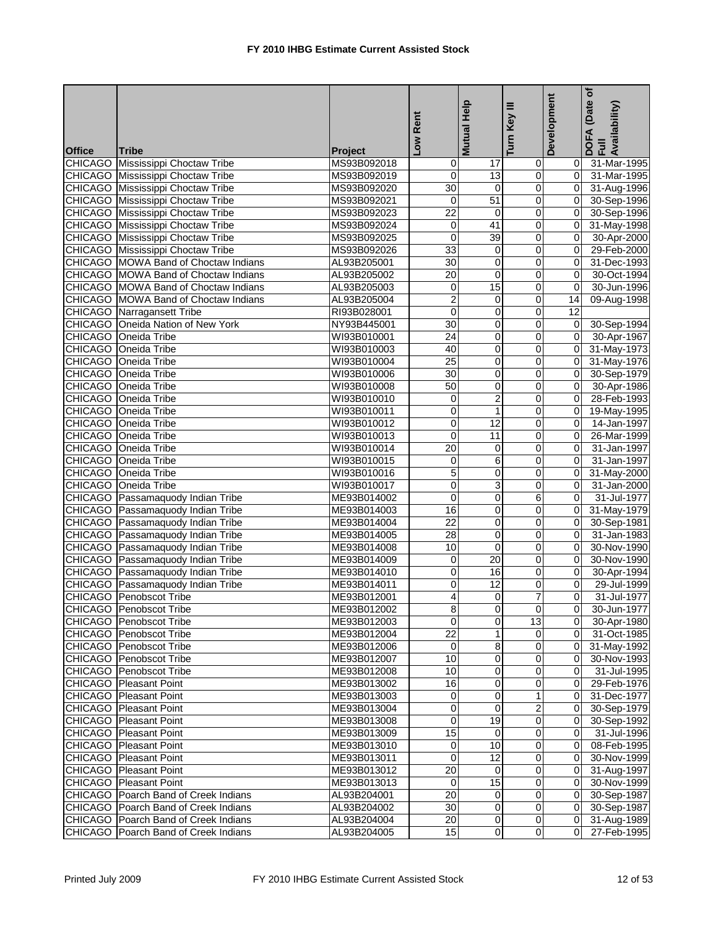|               |                                                                               |                | Low Rent                       | Help                    | Turn Key III            | Development        | (Date of<br>DOFA (Date<br>Full<br>Availability) |
|---------------|-------------------------------------------------------------------------------|----------------|--------------------------------|-------------------------|-------------------------|--------------------|-------------------------------------------------|
|               |                                                                               |                |                                | <b>Mutual</b>           |                         |                    |                                                 |
| <b>Office</b> | <b>Tribe</b>                                                                  | <b>Project</b> |                                |                         |                         |                    |                                                 |
|               | <b>CHICAGO</b> Mississippi Choctaw Tribe                                      | MS93B092018    | 0                              | 17                      | $\mathbf 0$             | ΟI                 | 31-Mar-1995                                     |
|               | CHICAGO Mississippi Choctaw Tribe                                             | MS93B092019    | 0                              | 13                      | $\mathbf 0$             | 01<br>$\mathbf{0}$ | 31-Mar-1995                                     |
|               | <b>CHICAGO</b> Mississippi Choctaw Tribe                                      | MS93B092020    | 30                             | 0<br>51                 | $\pmb{0}$               | $\overline{0}$     | 31-Aug-1996                                     |
|               | CHICAGO Mississippi Choctaw Tribe<br><b>CHICAGO</b> Mississippi Choctaw Tribe | MS93B092021    | $\mathbf 0$<br>$\overline{22}$ |                         | 0                       |                    | 30-Sep-1996                                     |
|               |                                                                               | MS93B092023    |                                | 0                       | 0                       | $\mathbf{0}$       | 30-Sep-1996                                     |
|               | <b>CHICAGO</b> Mississippi Choctaw Tribe                                      | MS93B092024    | 0                              | 41                      | 0                       | $\mathbf{0}$       | 31-May-1998                                     |
|               | CHICAGO Mississippi Choctaw Tribe                                             | MS93B092025    | 0                              | 39                      | $\overline{\mathbf{0}}$ | $\overline{0}$     | 30-Apr-2000                                     |
|               | <b>CHICAGO</b> Mississippi Choctaw Tribe                                      | MS93B092026    | 33                             | 0                       | $\mathbf 0$             | $\overline{0}$     | 29-Feb-2000                                     |
|               | CHICAGO MOWA Band of Choctaw Indians                                          | AL93B205001    | 30                             | 0                       | 0                       | $\overline{0}$     | 31-Dec-1993                                     |
|               | CHICAGO MOWA Band of Choctaw Indians                                          | AL93B205002    | 20                             | 0<br>15                 | 0                       | $\mathbf{0}$       | 30-Oct-1994                                     |
|               | CHICAGO MOWA Band of Choctaw Indians                                          | AL93B205003    | 0                              |                         | $\overline{0}$          | $\overline{0}$     | 30-Jun-1996                                     |
|               | CHICAGO MOWA Band of Choctaw Indians                                          | AL93B205004    | $\overline{2}$                 | $\pmb{0}$               | $\mathbf 0$             | 14                 | 09-Aug-1998                                     |
|               | <b>CHICAGO</b> Narragansett Tribe                                             | RI93B028001    | $\overline{0}$                 | 0                       | $\mathbf 0$             | $\overline{12}$    |                                                 |
|               | CHICAGO Oneida Nation of New York                                             | NY93B445001    | 30                             | 0                       | $\mathbf 0$             | $\overline{0}$     | 30-Sep-1994                                     |
|               | CHICAGO Oneida Tribe                                                          | WI93B010001    | $\overline{24}$                | $\overline{0}$          | $\overline{0}$          | $\overline{0}$     | 30-Apr-1967                                     |
|               | CHICAGO Oneida Tribe                                                          | WI93B010003    | 40                             | $\mathbf 0$             | $\mathbf 0$             | $\overline{0}$     | 31-May-1973                                     |
|               | <b>CHICAGO</b> Oneida Tribe                                                   | WI93B010004    | $\overline{25}$                | 0                       | 0                       | $\overline{0}$     | 31-May-1976                                     |
|               | CHICAGO Oneida Tribe                                                          | WI93B010006    | 30                             | 0                       | 0                       | $\overline{0}$     | 30-Sep-1979                                     |
|               | CHICAGO Oneida Tribe                                                          | WI93B010008    | 50                             | 0                       | 0                       | $\overline{0}$     | 30-Apr-1986                                     |
|               | CHICAGO Oneida Tribe                                                          | WI93B010010    | 0                              | $\overline{2}$          | 0                       | $\overline{0}$     | 28-Feb-1993                                     |
|               | CHICAGO Oneida Tribe                                                          | WI93B010011    | 0                              | $\mathbf{1}$            | 0                       | $\overline{0}$     | 19-May-1995                                     |
|               | CHICAGO Oneida Tribe                                                          | WI93B010012    | 0                              | 12                      | 0                       | Οl                 | 14-Jan-1997                                     |
|               | <b>CHICAGO</b> Oneida Tribe                                                   | WI93B010013    | $\overline{0}$                 | $\overline{11}$         | $\overline{\mathsf{o}}$ | Οl                 | 26-Mar-1999                                     |
|               | CHICAGO Oneida Tribe                                                          | WI93B010014    | 20                             | 0                       | $\pmb{0}$               | $\mathbf{0}$       | 31-Jan-1997                                     |
|               | CHICAGO Oneida Tribe                                                          | WI93B010015    | 0                              | 6                       | 0                       | $\mathbf{0}$       | 31-Jan-1997                                     |
|               | CHICAGO Oneida Tribe                                                          | WI93B010016    | 5                              | 0                       | 0                       | 0I                 | 31-May-2000                                     |
|               | CHICAGO Oneida Tribe                                                          | WI93B010017    | 0                              | 3                       | 0                       | 0I                 | 31-Jan-2000                                     |
|               | CHICAGO Passamaquody Indian Tribe                                             | ME93B014002    | 0                              | 0                       | 6                       | $\mathbf{0}$       | 31-Jul-1977                                     |
|               | CHICAGO Passamaquody Indian Tribe                                             | ME93B014003    | 16                             | 0                       | 0                       | $\overline{0}$     | 31-May-1979                                     |
|               | CHICAGO Passamaquody Indian Tribe                                             | ME93B014004    | $\overline{22}$                | 0                       | 0                       | Οl                 | 30-Sep-1981                                     |
|               | <b>CHICAGO</b> Passamaquody Indian Tribe                                      | ME93B014005    | 28                             | $\mathbf 0$             | 0                       | $\overline{0}$     | 31-Jan-1983                                     |
|               | CHICAGO Passamaquody Indian Tribe                                             | ME93B014008    | 10                             | $\overline{\mathbf{0}}$ | $\mathbf 0$             | $\mathbf{0}$       | 30-Nov-1990                                     |
|               | CHICAGO Passamaquody Indian Tribe                                             | ME93B014009    | 0                              | 20                      | $\mathbf 0$             | $\Omega$           | 30-Nov-1990                                     |
|               | CHICAGO Passamaquody Indian Tribe                                             | ME93B014010    | 0                              | 16                      | 0                       | $\mathbf{0}$       | 30-Apr-1994                                     |
|               | CHICAGO Passamaquody Indian Tribe                                             | ME93B014011    | 0                              | 12                      | 0                       | $\Omega$           | 29-Jul-1999                                     |
|               | <b>CHICAGO</b> Penobscot Tribe                                                | ME93B012001    | 4                              | $\overline{0}$          | 7                       | $\overline{0}$     | 31-Jul-1977                                     |
|               | <b>CHICAGO</b> Penobscot Tribe                                                | ME93B012002    | 8                              |                         |                         |                    | 30-Jun-1977                                     |
|               | CHICAGO Penobscot Tribe                                                       | ME93B012003    | $\overline{0}$                 | $\overline{\mathbf{0}}$ | 13                      |                    | 0 30-Apr-1980                                   |
|               | CHICAGO Penobscot Tribe                                                       | ME93B012004    | 22                             | $\mathbf{1}$            | 0                       |                    | 0 31-Oct-1985                                   |
|               | CHICAGO Penobscot Tribe                                                       | ME93B012006    | $\overline{0}$                 | 8                       | $\overline{0}$          |                    | 0 31-May-1992                                   |
|               | CHICAGO Penobscot Tribe                                                       | ME93B012007    | 10                             | 0                       | 0                       | 01                 | 30-Nov-1993                                     |
|               | <b>CHICAGO</b> Penobscot Tribe                                                | ME93B012008    | 10                             | 0                       | $\mathbf 0$             | ΟI                 | 31-Jul-1995                                     |
|               | CHICAGO Pleasant Point                                                        | ME93B013002    | 16                             | 0                       | 0                       |                    | 29-Feb-1976                                     |
|               | CHICAGO Pleasant Point                                                        | ME93B013003    | 0                              | $\pmb{0}$               | 1                       | $\overline{0}$     | 31-Dec-1977                                     |
|               | <b>CHICAGO</b> Pleasant Point                                                 | ME93B013004    | 0                              | $\overline{0}$          | $\overline{2}$          | 01                 | 30-Sep-1979                                     |
|               | CHICAGO Pleasant Point                                                        | ME93B013008    | 0                              | 19                      | 0                       |                    | 0 30-Sep-1992                                   |
|               | <b>CHICAGO</b> Pleasant Point                                                 | ME93B013009    | 15                             | $\overline{0}$          | 0                       | ΟI                 | 31-Jul-1996                                     |
|               | <b>CHICAGO</b> Pleasant Point                                                 | ME93B013010    | $\mathbf 0$                    | $\overline{10}$         | $\overline{0}$          |                    | 0 08-Feb-1995                                   |
|               | <b>CHICAGO</b> Pleasant Point                                                 | ME93B013011    | $\mathbf 0$                    | 12                      | $\pmb{0}$               |                    | 0 30-Nov-1999                                   |
|               | CHICAGO Pleasant Point                                                        | ME93B013012    | 20                             | 0                       | $\mathbf 0$             |                    | 0 31-Aug-1997                                   |
|               | CHICAGO Pleasant Point                                                        | ME93B013013    | $\overline{0}$                 | $\overline{15}$         | $\mathbf 0$             | ΟI                 | 30-Nov-1999                                     |
|               | CHICAGO Poarch Band of Creek Indians                                          | AL93B204001    | 20                             | 0                       | $\mathbf 0$             | ΟI                 | 30-Sep-1987                                     |
|               | CHICAGO Poarch Band of Creek Indians                                          | AL93B204002    | 30                             | $\mathbf{O}$            | $\overline{O}$          |                    | 0 30-Sep-1987                                   |
|               | <b>CHICAGO</b> Poarch Band of Creek Indians                                   | AL93B204004    | 20                             | $\overline{0}$          | $\mathbf 0$             |                    | 0 31-Aug-1989                                   |
|               | CHICAGO Poarch Band of Creek Indians                                          | AL93B204005    | 15                             | 0                       | $\overline{0}$          | 01                 | 27-Feb-1995                                     |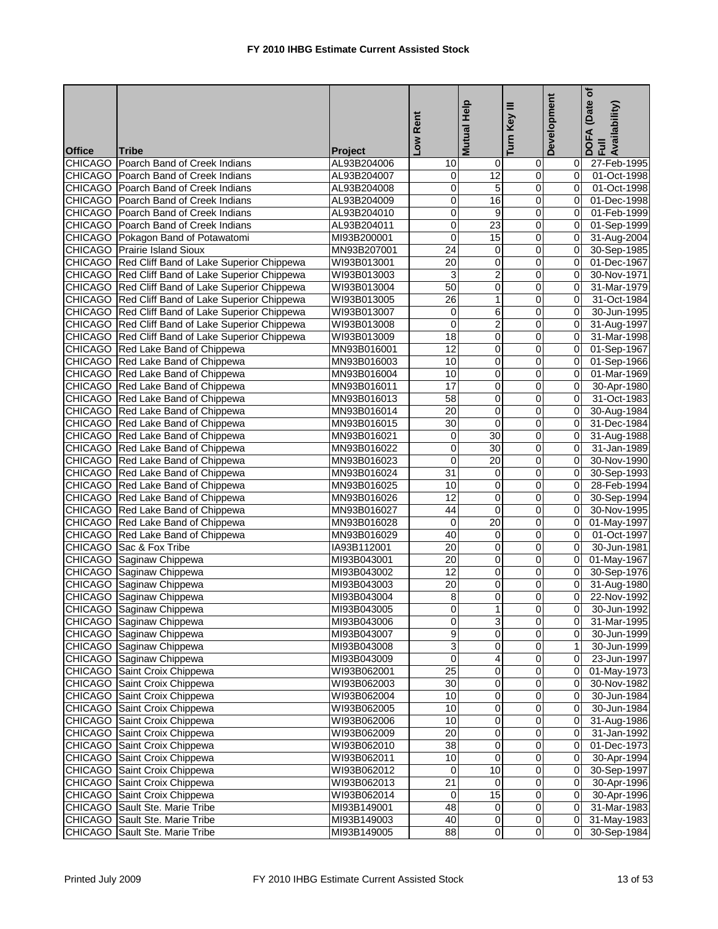|               |                                                                                       |                               | Low Rent        | Help              | Turn Key III            | Development    | (Date of<br>DOFA (Date <sub>(</sub><br>Full<br>Availability) |
|---------------|---------------------------------------------------------------------------------------|-------------------------------|-----------------|-------------------|-------------------------|----------------|--------------------------------------------------------------|
|               |                                                                                       |                               |                 | <b>Mutual</b>     |                         |                |                                                              |
| <b>Office</b> | <b>Tribe</b><br>CHICAGO Poarch Band of Creek Indians                                  | <b>Project</b><br>AL93B204006 |                 |                   |                         |                |                                                              |
|               |                                                                                       |                               | 10              | $\mathbf 0$<br>12 | $\mathbf 0$             | 01             | 27-Feb-1995                                                  |
|               | CHICAGO Poarch Band of Creek Indians                                                  | AL93B204007                   | 0<br>0          | 5                 | 0<br>0                  | 01<br>Οl       | 01-Oct-1998                                                  |
|               | CHICAGO   Poarch Band of Creek Indians<br><b>CHICAGO</b> Poarch Band of Creek Indians | AL93B204008<br>AL93B204009    | 0               | 16                | 0                       | $\Omega$       | 01-Oct-1998<br>01-Dec-1998                                   |
|               | <b>CHICAGO</b> Poarch Band of Creek Indians                                           | AL93B204010                   | 0               | 9                 | 0                       | $\mathbf{0}$   | 01-Feb-1999                                                  |
|               | <b>CHICAGO</b> Poarch Band of Creek Indians                                           |                               | 0               | 23                | 0                       | $\Omega$       |                                                              |
|               |                                                                                       | AL93B204011                   | 0               | 15                | 0                       | $\overline{0}$ | 01-Sep-1999                                                  |
|               | CHICAGO Pokagon Band of Potawatomi<br><b>CHICAGO</b> Prairie Island Sioux             | MI93B200001<br>MN93B207001    | 24              | 0                 | 0                       | $\overline{0}$ | 31-Aug-2004                                                  |
|               | CHICAGO Red Cliff Band of Lake Superior Chippewa                                      | WI93B013001                   | 20              | 0                 | 0                       | $\overline{0}$ | 30-Sep-1985<br>01-Dec-1967                                   |
|               |                                                                                       | WI93B013003                   | 3               | $\overline{c}$    | 0                       | $\overline{0}$ |                                                              |
|               | CHICAGO Red Cliff Band of Lake Superior Chippewa                                      |                               | 50              |                   |                         |                | 30-Nov-1971                                                  |
|               | CHICAGO Red Cliff Band of Lake Superior Chippewa                                      | WI93B013004                   |                 | $\overline{0}$    | $\overline{0}$          | $\mathbf{0}$   | 31-Mar-1979                                                  |
|               | CHICAGO Red Cliff Band of Lake Superior Chippewa                                      | WI93B013005                   | 26              | $\mathbf{1}$      | $\boldsymbol{0}$        | $\overline{0}$ | 31-Oct-1984                                                  |
|               | CHICAGO Red Cliff Band of Lake Superior Chippewa                                      | WI93B013007                   | 0               | 6                 | $\mathbf 0$             | $\Omega$       | 30-Jun-1995                                                  |
|               | CHICAGO Red Cliff Band of Lake Superior Chippewa                                      | WI93B013008                   | $\overline{0}$  | $\overline{2}$    | 0                       | $\mathbf{0}$   | 31-Aug-1997                                                  |
|               | CHICAGO Red Cliff Band of Lake Superior Chippewa                                      | WI93B013009                   | 18              | $\overline{0}$    | $\overline{0}$          | $\overline{0}$ | 31-Mar-1998                                                  |
|               | CHICAGO Red Lake Band of Chippewa                                                     | MN93B016001                   | 12              | $\mathbf 0$       | 0                       | $\mathbf{0}$   | 01-Sep-1967                                                  |
|               | CHICAGO Red Lake Band of Chippewa                                                     | MN93B016003                   | 10              | 0                 | 0                       | Οl             | 01-Sep-1966                                                  |
|               | CHICAGO Red Lake Band of Chippewa                                                     | MN93B016004                   | 10              | 0                 | 0                       | $\overline{0}$ | 01-Mar-1969                                                  |
|               | CHICAGO Red Lake Band of Chippewa                                                     | MN93B016011                   | 17              | 0                 | 0                       | $\overline{0}$ | 30-Apr-1980                                                  |
|               | CHICAGO Red Lake Band of Chippewa                                                     | MN93B016013                   | 58              | 0                 | 0                       | $\Omega$       | 31-Oct-1983                                                  |
|               | CHICAGO Red Lake Band of Chippewa                                                     | MN93B016014                   | 20              | $\overline{0}$    | 0                       | $\overline{0}$ | 30-Aug-1984                                                  |
|               | CHICAGO Red Lake Band of Chippewa                                                     | MN93B016015                   | 30              | 0                 | 0                       | $\mathbf{0}$   | 31-Dec-1984                                                  |
|               | CHICAGO Red Lake Band of Chippewa                                                     | MN93B016021                   | 0               | 30                | $\overline{\mathsf{o}}$ | $\overline{0}$ | 31-Aug-1988                                                  |
|               | CHICAGO Red Lake Band of Chippewa                                                     | MN93B016022                   | 0               | 30                | 0                       | $\mathbf{0}$   | 31-Jan-1989                                                  |
|               | CHICAGO Red Lake Band of Chippewa                                                     | MN93B016023                   | 0               | 20                | 0                       | $\overline{0}$ | 30-Nov-1990                                                  |
|               | CHICAGO Red Lake Band of Chippewa                                                     | MN93B016024                   | 31              | 0                 | 0                       | Οl             | 30-Sep-1993                                                  |
|               | CHICAGO Red Lake Band of Chippewa                                                     | MN93B016025                   | 10              | 0                 | 0                       | $\mathbf{0}$   | 28-Feb-1994                                                  |
|               | CHICAGO Red Lake Band of Chippewa                                                     | MN93B016026                   | 12              | 0                 | 0                       | $\overline{0}$ | 30-Sep-1994                                                  |
|               | CHICAGO Red Lake Band of Chippewa                                                     | MN93B016027                   | 44              | 0                 | $\mathbf 0$             | $\overline{0}$ | 30-Nov-1995                                                  |
|               | CHICAGO Red Lake Band of Chippewa                                                     | MN93B016028                   | $\mathbf 0$     | $\overline{20}$   | 0                       | ΟI             | 01-May-1997                                                  |
|               | CHICAGO Red Lake Band of Chippewa                                                     | MN93B016029                   | 40              | 0                 | $\mathbf 0$             | $\mathbf{0}$   | 01-Oct-1997                                                  |
|               | CHICAGO Sac & Fox Tribe                                                               | IA93B112001                   | 20              | 0                 | 0                       | $\mathbf{0}$   | 30-Jun-1981                                                  |
|               | CHICAGO Saginaw Chippewa                                                              | MI93B043001                   | 20              | $\mathbf 0$       | 0                       | $\mathbf{0}$   | 01-May-1967                                                  |
|               | CHICAGO Saginaw Chippewa                                                              | MI93B043002                   | 12              | 0                 | 0                       | $\overline{0}$ | 30-Sep-1976                                                  |
|               | CHICAGO Saginaw Chippewa                                                              | MI93B043003                   | 20              | 0                 | 0                       | ΟI             | 31-Aug-1980                                                  |
|               | CHICAGO Saginaw Chippewa                                                              | MI93B043004                   | 8               | $\overline{0}$    | O                       | $\overline{0}$ | 22-Nov-1992                                                  |
|               | CHICAGO Saginaw Chippewa                                                              | MI93B043005                   | $\overline{0}$  |                   |                         |                | 30-Jun-1992                                                  |
|               | CHICAGO Saginaw Chippewa                                                              | MI93B043006                   | 0               | 3                 | $\overline{0}$          | 01             | 31-Mar-1995                                                  |
|               | CHICAGO Saginaw Chippewa                                                              | MI93B043007                   | 9               | $\pmb{0}$         | 0                       | 01             | 30-Jun-1999                                                  |
|               | CHICAGO Saginaw Chippewa                                                              | MI93B043008                   | ω               | $\overline{0}$    | $\overline{0}$          | 11             | 30-Jun-1999                                                  |
|               | CHICAGO Saginaw Chippewa                                                              | MI93B043009                   | $\overline{0}$  | 4                 | $\pmb{0}$               | 0I             | 23-Jun-1997                                                  |
|               | <b>CHICAGO</b> Saint Croix Chippewa                                                   | WI93B062001                   | 25              | 0                 | 0                       | 01             | 01-May-1973                                                  |
|               | <b>CHICAGO</b> Saint Croix Chippewa                                                   | WI93B062003                   | 30              | 0                 | 0                       | 0              | 30-Nov-1982                                                  |
|               | CHICAGO Saint Croix Chippewa                                                          | WI93B062004                   | 10              | $\pmb{0}$         | $\pmb{0}$               | $\overline{0}$ | 30-Jun-1984                                                  |
|               | CHICAGO Saint Croix Chippewa                                                          | WI93B062005                   | 10              | 0                 | 0                       | 01             | 30-Jun-1984                                                  |
|               | CHICAGO Saint Croix Chippewa                                                          | WI93B062006                   | 10              | 0                 | 0                       | 0I             | 31-Aug-1986                                                  |
|               | CHICAGO Saint Croix Chippewa                                                          | WI93B062009                   | 20              | $\mathbf 0$       | 0                       |                | 31-Jan-1992                                                  |
|               | <b>CHICAGO</b> Saint Croix Chippewa                                                   | WI93B062010                   | 38              | $\overline{0}$    | $\overline{0}$          | $\overline{0}$ | 01-Dec-1973                                                  |
|               | CHICAGO Saint Croix Chippewa                                                          | WI93B062011                   | 10              | $\overline{0}$    | $\pmb{0}$               | $\overline{0}$ | 30-Apr-1994                                                  |
|               | CHICAGO Saint Croix Chippewa                                                          | WI93B062012                   | 0               | 10                | $\pmb{0}$               | 0I             | 30-Sep-1997                                                  |
|               | CHICAGO Saint Croix Chippewa                                                          | WI93B062013                   | $\overline{21}$ | $\mathbf 0$       | $\pmb{0}$               | 0I             | 30-Apr-1996                                                  |
|               | <b>CHICAGO</b> Saint Croix Chippewa                                                   | WI93B062014                   | 0               | 15                | $\pmb{0}$               | 01             | 30-Apr-1996                                                  |
|               | CHICAGO Sault Ste. Marie Tribe                                                        | MI93B149001                   | 48              | $\pmb{0}$         | $\pmb{0}$               | $\overline{0}$ | 31-Mar-1983                                                  |
|               | <b>CHICAGO</b> Sault Ste. Marie Tribe                                                 | MI93B149003                   | 40              | 0                 | $\mathbf 0$             | 0I             | 31-May-1983                                                  |
|               | <b>CHICAGO</b> Sault Ste. Marie Tribe                                                 | MI93B149005                   | 88              | $\mathbf 0$       | $\overline{0}$          |                | 30-Sep-1984                                                  |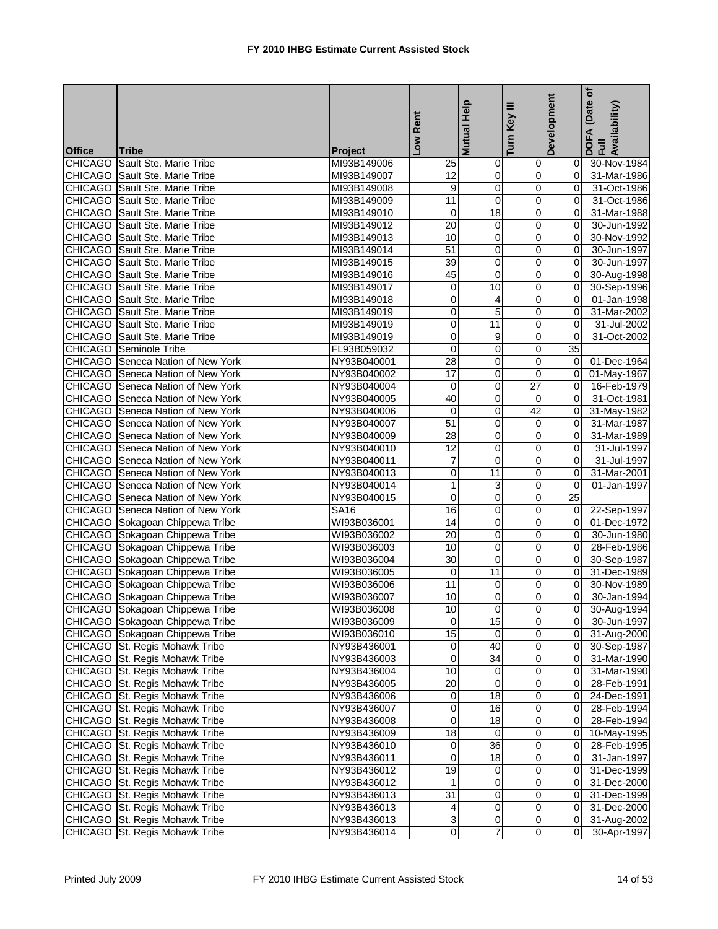| <b>Turn</b><br><b>Office</b><br><b>Tribe</b><br><b>Project</b><br><b>CHICAGO</b> Sault Ste. Marie Tribe<br>MI93B149006<br>30-Nov-1984<br>25<br>$\mathbf 0$<br>$\overline{0}$<br>01<br>$\overline{0}$<br>12<br>$\mathbf 0$<br>CHICAGO Sault Ste. Marie Tribe<br>MI93B149007<br>$\Omega$<br>31-Mar-1986<br>0<br>CHICAGO Sault Ste. Marie Tribe<br>MI93B149008<br>9<br>0<br>31-Oct-1986<br>0l<br><b>CHICAGO</b> Sault Ste. Marie Tribe<br>Ō<br>31-Oct-1986<br>MI93B149009<br>11<br>0<br>ΟI<br><b>CHICAGO</b> Sault Ste. Marie Tribe<br>$\overline{18}$<br>MI93B149010<br>0<br>0<br>$\mathbf{0}$<br>31-Mar-1988<br><b>CHICAGO</b> Sault Ste. Marie Tribe<br>20<br>0<br>MI93B149012<br>0<br>30-Jun-1992<br>0<br>CHICAGO Sault Ste. Marie Tribe<br>10<br>0<br>$\mathbf 0$<br>MI93B149013<br>$\mathbf{0}$<br>30-Nov-1992<br>CHICAGO Sault Ste. Marie Tribe<br>51<br>0<br>0<br>30-Jun-1997<br>MI93B149014<br>$\Omega$<br>CHICAGO Sault Ste. Marie Tribe<br>39<br>30-Jun-1997<br>MI93B149015<br>0<br>0<br>$\Omega$<br>CHICAGO Sault Ste. Marie Tribe<br>45<br>0<br>0<br>30-Aug-1998<br>MI93B149016<br>$\mathbf{0}$<br>10<br><b>CHICAGO</b> Sault Ste. Marie Tribe<br>0<br>MI93B149017<br>0<br>$\overline{0}$<br>30-Sep-1996<br><b>CHICAGO</b> Sault Ste. Marie Tribe<br>0<br>4<br>$\mathbf 0$<br>01-Jan-1998<br>MI93B149018<br>ΟI<br>5<br><b>CHICAGO</b> Sault Ste. Marie Tribe<br>0<br>0<br>MI93B149019<br>$\Omega$<br>31-Mar-2002<br>CHICAGO Sault Ste. Marie Tribe<br>0<br>11<br>0<br>MI93B149019<br>$\Omega$<br>31-Jul-2002<br>$\mathbf 0$<br>CHICAGO Sault Ste. Marie Tribe<br>0<br>9<br>31-Oct-2002<br>MI93B149019<br>$\mathbf{0}$<br>$\overline{0}$<br><b>CHICAGO</b> Seminole Tribe<br>$\Omega$<br>$\mathbf 0$<br>35<br>FL93B059032<br>28<br><b>CHICAGO</b> Seneca Nation of New York<br>0<br>0<br>NY93B040001<br>0I<br>01-Dec-1964<br>CHICAGO Seneca Nation of New York<br>17<br>$\mathbf 0$<br>NY93B040002<br>0<br>0I<br>01-May-1967<br>$\overline{0}$<br>$\overline{27}$<br>CHICAGO Seneca Nation of New York<br>$\mathbf 0$<br>NY93B040004<br>0I<br>16-Feb-1979<br>40<br><b>CHICAGO</b> Seneca Nation of New York<br>NY93B040005<br>$\mathbf 0$<br>31-Oct-1981<br>0<br>$\Omega$<br>$\mathbf{0}$<br>42<br>CHICAGO Seneca Nation of New York<br>0<br>31-May-1982<br>NY93B040006<br>0l<br>51<br><b>CHICAGO</b> Seneca Nation of New York<br>NY93B040007<br>0<br>0<br>$\Omega$<br>31-Mar-1987<br>28<br>$\overline{0}$<br>$\overline{0}$<br><b>CHICAGO</b> Seneca Nation of New York<br>31-Mar-1989<br>NY93B040009<br>$\overline{0}$<br>12<br>$\pmb{0}$<br>CHICAGO Seneca Nation of New York<br>NY93B040010<br>$\mathbf 0$<br>31-Jul-1997<br>0l<br>$\overline{7}$<br>0<br>CHICAGO Seneca Nation of New York<br>NY93B040011<br>0<br>31-Jul-1997<br>$\Omega$<br><b>CHICAGO</b> Seneca Nation of New York<br>11<br>31-Mar-2001<br>NY93B040013<br>0<br>0<br>ΟI<br>CHICAGO Seneca Nation of New York<br>3<br>0<br>01-Jan-1997<br>NY93B040014<br>1<br>$\overline{0}$<br>$\overline{25}$<br>$\pmb{0}$<br><b>CHICAGO</b> Seneca Nation of New York<br>NY93B040015<br>$\mathbf 0$<br>$\mathbf 0$<br><b>CHICAGO</b> Seneca Nation of New York<br><b>SA16</b><br>16<br>0<br>0<br>$\overline{0}$<br>22-Sep-1997<br>CHICAGO Sokagoan Chippewa Tribe<br>WI93B036001<br>14<br>0<br>0<br>Οl<br>01-Dec-1972<br>CHICAGO Sokagoan Chippewa Tribe<br>0<br>20<br>0<br>30-Jun-1980<br>WI93B036002<br>0<br>CHICAGO Sokagoan Chippewa Tribe<br>10<br>0<br>0<br>WI93B036003<br>0l<br>28-Feb-1986<br>CHICAGO Sokagoan Chippewa Tribe<br>30<br>0<br>WI93B036004<br>0<br>0I<br>30-Sep-1987<br>CHICAGO Sokagoan Chippewa Tribe<br>11<br>WI93B036005<br>0<br>$\overline{0}$<br>0I<br>31-Dec-1989<br>CHICAGO Sokagoan Chippewa Tribe<br>WI93B036006<br>11<br>0<br>0<br>$\mathbf{0}$<br>30-Nov-1989<br>$\overline{0}$<br>$\overline{10}$<br>$\overline{0}$<br>$\overline{0}$<br>30-Jan-1994<br>CHICAGO Sokagoan Chippewa Tribe<br>WI93B036007<br>10<br>CHICAGO Sokagoan Chippewa Tribe<br>$\overline{0}$<br>30-Aug-1994<br>WI93B036008<br>15<br>$\overline{0}$<br>CHICAGO Sokagoan Chippewa Tribe<br>WI93B036009<br>$\Omega$<br>30-Jun-1997<br>0I -<br>15<br>CHICAGO Sokagoan Chippewa Tribe<br>0<br>0<br>WI93B036010<br>0 31-Aug-2000<br>40<br>CHICAGO St. Regis Mohawk Tribe<br>$\pmb{0}$<br>$\overline{0}$<br>0 30-Sep-1987<br>NY93B436001<br>34<br>CHICAGO St. Regis Mohawk Tribe<br>0<br>0<br>31-Mar-1990<br>NY93B436003<br>01<br><b>CHICAGO</b> St. Regis Mohawk Tribe<br>$\overline{\mathsf{o}}$<br>10<br>$\mathbf 0$<br>NY93B436004<br>01<br>31-Mar-1990<br>CHICAGO St. Regis Mohawk Tribe<br>20<br>0<br>NY93B436005<br>0<br>28-Feb-1991<br>01<br>CHICAGO St. Regis Mohawk Tribe<br>$\overline{\mathbf{0}}$<br>$\mathbf 0$<br>18<br>NY93B436006<br>ΟI<br>24-Dec-1991<br>16<br>0<br>CHICAGO St. Regis Mohawk Tribe<br>0<br>NY93B436007<br>$\overline{0}$<br>28-Feb-1994<br>CHICAGO St. Regis Mohawk Tribe<br>0<br>0<br>18<br>28-Feb-1994<br>NY93B436008<br>ΟI<br>CHICAGO St. Regis Mohawk Tribe<br>18<br>0<br>0<br>NY93B436009<br>10-May-1995<br>36<br>$\overline{\mathsf{o}}$<br>CHICAGO St. Regis Mohawk Tribe<br>$\mathbf 0$<br>NY93B436010<br>$\overline{0}$<br>28-Feb-1995<br>0<br>18<br>0<br>CHICAGO St. Regis Mohawk Tribe<br>NY93B436011<br>31-Jan-1997<br>01<br>CHICAGO St. Regis Mohawk Tribe<br>19<br>$\pmb{0}$<br>0<br>NY93B436012<br>31-Dec-1999<br>ΟI<br>CHICAGO St. Regis Mohawk Tribe<br>1<br>$\mathbf 0$<br>0<br>31-Dec-2000<br>NY93B436012<br>$\overline{0}$<br>31<br>$\pmb{0}$<br>CHICAGO St. Regis Mohawk Tribe<br>NY93B436013<br>01<br>31-Dec-1999<br>$\pmb{0}$<br>0<br>CHICAGO St. Regis Mohawk Tribe<br>NY93B436013<br>4<br>$\overline{0}$<br>31-Dec-2000<br>$\overline{0}$<br>CHICAGO St. Regis Mohawk Tribe<br>NY93B436013<br>3<br>$\mathbf 0$<br>ΟI<br>31-Aug-2002<br>$\overline{7}$<br>CHICAGO St. Regis Mohawk Tribe<br>NY93B436014<br>$\overline{0}$<br>$\overline{0}$<br>$\overline{0}$<br>30-Apr-1997 |  | Low Rent | Mutual Help | Ξ<br>Key | Development | (Date of<br>DOFA (Date <sub>)</sub><br>Full<br>Availability) |
|-----------------------------------------------------------------------------------------------------------------------------------------------------------------------------------------------------------------------------------------------------------------------------------------------------------------------------------------------------------------------------------------------------------------------------------------------------------------------------------------------------------------------------------------------------------------------------------------------------------------------------------------------------------------------------------------------------------------------------------------------------------------------------------------------------------------------------------------------------------------------------------------------------------------------------------------------------------------------------------------------------------------------------------------------------------------------------------------------------------------------------------------------------------------------------------------------------------------------------------------------------------------------------------------------------------------------------------------------------------------------------------------------------------------------------------------------------------------------------------------------------------------------------------------------------------------------------------------------------------------------------------------------------------------------------------------------------------------------------------------------------------------------------------------------------------------------------------------------------------------------------------------------------------------------------------------------------------------------------------------------------------------------------------------------------------------------------------------------------------------------------------------------------------------------------------------------------------------------------------------------------------------------------------------------------------------------------------------------------------------------------------------------------------------------------------------------------------------------------------------------------------------------------------------------------------------------------------------------------------------------------------------------------------------------------------------------------------------------------------------------------------------------------------------------------------------------------------------------------------------------------------------------------------------------------------------------------------------------------------------------------------------------------------------------------------------------------------------------------------------------------------------------------------------------------------------------------------------------------------------------------------------------------------------------------------------------------------------------------------------------------------------------------------------------------------------------------------------------------------------------------------------------------------------------------------------------------------------------------------------------------------------------------------------------------------------------------------------------------------------------------------------------------------------------------------------------------------------------------------------------------------------------------------------------------------------------------------------------------------------------------------------------------------------------------------------------------------------------------------------------------------------------------------------------------------------------------------------------------------------------------------------------------------------------------------------------------------------------------------------------------------------------------------------------------------------------------------------------------------------------------------------------------------------------------------------------------------------------------------------------------------------------------------------------------------------------------------------------------------------------------------------------------------------------------------------------------------------------------------------------------------------------------------------------------------------------------------------------------------------------------------------------------------------------------------------------------------------------------------------------------------------------------------------------------------------------------------------------------------------------------------------------------------------------------------------------------------------------------------------------------------------------------------------------------------------------------------------------------------------------------------------------------------------------------------------------------------------------------------------------------------------------------------------------------------------------------------------------------------------------------------------------------------------------------------------------------------------------------------------------------------------------------------|--|----------|-------------|----------|-------------|--------------------------------------------------------------|
|                                                                                                                                                                                                                                                                                                                                                                                                                                                                                                                                                                                                                                                                                                                                                                                                                                                                                                                                                                                                                                                                                                                                                                                                                                                                                                                                                                                                                                                                                                                                                                                                                                                                                                                                                                                                                                                                                                                                                                                                                                                                                                                                                                                                                                                                                                                                                                                                                                                                                                                                                                                                                                                                                                                                                                                                                                                                                                                                                                                                                                                                                                                                                                                                                                                                                                                                                                                                                                                                                                                                                                                                                                                                                                                                                                                                                                                                                                                                                                                                                                                                                                                                                                                                                                                                                                                                                                                                                                                                                                                                                                                                                                                                                                                                                                                                                                                                                                                                                                                                                                                                                                                                                                                                                                                                                                                                                                                                                                                                                                                                                                                                                                                                                                                                                                                                                                                                                                           |  |          |             |          |             |                                                              |
|                                                                                                                                                                                                                                                                                                                                                                                                                                                                                                                                                                                                                                                                                                                                                                                                                                                                                                                                                                                                                                                                                                                                                                                                                                                                                                                                                                                                                                                                                                                                                                                                                                                                                                                                                                                                                                                                                                                                                                                                                                                                                                                                                                                                                                                                                                                                                                                                                                                                                                                                                                                                                                                                                                                                                                                                                                                                                                                                                                                                                                                                                                                                                                                                                                                                                                                                                                                                                                                                                                                                                                                                                                                                                                                                                                                                                                                                                                                                                                                                                                                                                                                                                                                                                                                                                                                                                                                                                                                                                                                                                                                                                                                                                                                                                                                                                                                                                                                                                                                                                                                                                                                                                                                                                                                                                                                                                                                                                                                                                                                                                                                                                                                                                                                                                                                                                                                                                                           |  |          |             |          |             |                                                              |
|                                                                                                                                                                                                                                                                                                                                                                                                                                                                                                                                                                                                                                                                                                                                                                                                                                                                                                                                                                                                                                                                                                                                                                                                                                                                                                                                                                                                                                                                                                                                                                                                                                                                                                                                                                                                                                                                                                                                                                                                                                                                                                                                                                                                                                                                                                                                                                                                                                                                                                                                                                                                                                                                                                                                                                                                                                                                                                                                                                                                                                                                                                                                                                                                                                                                                                                                                                                                                                                                                                                                                                                                                                                                                                                                                                                                                                                                                                                                                                                                                                                                                                                                                                                                                                                                                                                                                                                                                                                                                                                                                                                                                                                                                                                                                                                                                                                                                                                                                                                                                                                                                                                                                                                                                                                                                                                                                                                                                                                                                                                                                                                                                                                                                                                                                                                                                                                                                                           |  |          |             |          |             |                                                              |
|                                                                                                                                                                                                                                                                                                                                                                                                                                                                                                                                                                                                                                                                                                                                                                                                                                                                                                                                                                                                                                                                                                                                                                                                                                                                                                                                                                                                                                                                                                                                                                                                                                                                                                                                                                                                                                                                                                                                                                                                                                                                                                                                                                                                                                                                                                                                                                                                                                                                                                                                                                                                                                                                                                                                                                                                                                                                                                                                                                                                                                                                                                                                                                                                                                                                                                                                                                                                                                                                                                                                                                                                                                                                                                                                                                                                                                                                                                                                                                                                                                                                                                                                                                                                                                                                                                                                                                                                                                                                                                                                                                                                                                                                                                                                                                                                                                                                                                                                                                                                                                                                                                                                                                                                                                                                                                                                                                                                                                                                                                                                                                                                                                                                                                                                                                                                                                                                                                           |  |          |             |          |             |                                                              |
|                                                                                                                                                                                                                                                                                                                                                                                                                                                                                                                                                                                                                                                                                                                                                                                                                                                                                                                                                                                                                                                                                                                                                                                                                                                                                                                                                                                                                                                                                                                                                                                                                                                                                                                                                                                                                                                                                                                                                                                                                                                                                                                                                                                                                                                                                                                                                                                                                                                                                                                                                                                                                                                                                                                                                                                                                                                                                                                                                                                                                                                                                                                                                                                                                                                                                                                                                                                                                                                                                                                                                                                                                                                                                                                                                                                                                                                                                                                                                                                                                                                                                                                                                                                                                                                                                                                                                                                                                                                                                                                                                                                                                                                                                                                                                                                                                                                                                                                                                                                                                                                                                                                                                                                                                                                                                                                                                                                                                                                                                                                                                                                                                                                                                                                                                                                                                                                                                                           |  |          |             |          |             |                                                              |
|                                                                                                                                                                                                                                                                                                                                                                                                                                                                                                                                                                                                                                                                                                                                                                                                                                                                                                                                                                                                                                                                                                                                                                                                                                                                                                                                                                                                                                                                                                                                                                                                                                                                                                                                                                                                                                                                                                                                                                                                                                                                                                                                                                                                                                                                                                                                                                                                                                                                                                                                                                                                                                                                                                                                                                                                                                                                                                                                                                                                                                                                                                                                                                                                                                                                                                                                                                                                                                                                                                                                                                                                                                                                                                                                                                                                                                                                                                                                                                                                                                                                                                                                                                                                                                                                                                                                                                                                                                                                                                                                                                                                                                                                                                                                                                                                                                                                                                                                                                                                                                                                                                                                                                                                                                                                                                                                                                                                                                                                                                                                                                                                                                                                                                                                                                                                                                                                                                           |  |          |             |          |             |                                                              |
|                                                                                                                                                                                                                                                                                                                                                                                                                                                                                                                                                                                                                                                                                                                                                                                                                                                                                                                                                                                                                                                                                                                                                                                                                                                                                                                                                                                                                                                                                                                                                                                                                                                                                                                                                                                                                                                                                                                                                                                                                                                                                                                                                                                                                                                                                                                                                                                                                                                                                                                                                                                                                                                                                                                                                                                                                                                                                                                                                                                                                                                                                                                                                                                                                                                                                                                                                                                                                                                                                                                                                                                                                                                                                                                                                                                                                                                                                                                                                                                                                                                                                                                                                                                                                                                                                                                                                                                                                                                                                                                                                                                                                                                                                                                                                                                                                                                                                                                                                                                                                                                                                                                                                                                                                                                                                                                                                                                                                                                                                                                                                                                                                                                                                                                                                                                                                                                                                                           |  |          |             |          |             |                                                              |
|                                                                                                                                                                                                                                                                                                                                                                                                                                                                                                                                                                                                                                                                                                                                                                                                                                                                                                                                                                                                                                                                                                                                                                                                                                                                                                                                                                                                                                                                                                                                                                                                                                                                                                                                                                                                                                                                                                                                                                                                                                                                                                                                                                                                                                                                                                                                                                                                                                                                                                                                                                                                                                                                                                                                                                                                                                                                                                                                                                                                                                                                                                                                                                                                                                                                                                                                                                                                                                                                                                                                                                                                                                                                                                                                                                                                                                                                                                                                                                                                                                                                                                                                                                                                                                                                                                                                                                                                                                                                                                                                                                                                                                                                                                                                                                                                                                                                                                                                                                                                                                                                                                                                                                                                                                                                                                                                                                                                                                                                                                                                                                                                                                                                                                                                                                                                                                                                                                           |  |          |             |          |             |                                                              |
|                                                                                                                                                                                                                                                                                                                                                                                                                                                                                                                                                                                                                                                                                                                                                                                                                                                                                                                                                                                                                                                                                                                                                                                                                                                                                                                                                                                                                                                                                                                                                                                                                                                                                                                                                                                                                                                                                                                                                                                                                                                                                                                                                                                                                                                                                                                                                                                                                                                                                                                                                                                                                                                                                                                                                                                                                                                                                                                                                                                                                                                                                                                                                                                                                                                                                                                                                                                                                                                                                                                                                                                                                                                                                                                                                                                                                                                                                                                                                                                                                                                                                                                                                                                                                                                                                                                                                                                                                                                                                                                                                                                                                                                                                                                                                                                                                                                                                                                                                                                                                                                                                                                                                                                                                                                                                                                                                                                                                                                                                                                                                                                                                                                                                                                                                                                                                                                                                                           |  |          |             |          |             |                                                              |
|                                                                                                                                                                                                                                                                                                                                                                                                                                                                                                                                                                                                                                                                                                                                                                                                                                                                                                                                                                                                                                                                                                                                                                                                                                                                                                                                                                                                                                                                                                                                                                                                                                                                                                                                                                                                                                                                                                                                                                                                                                                                                                                                                                                                                                                                                                                                                                                                                                                                                                                                                                                                                                                                                                                                                                                                                                                                                                                                                                                                                                                                                                                                                                                                                                                                                                                                                                                                                                                                                                                                                                                                                                                                                                                                                                                                                                                                                                                                                                                                                                                                                                                                                                                                                                                                                                                                                                                                                                                                                                                                                                                                                                                                                                                                                                                                                                                                                                                                                                                                                                                                                                                                                                                                                                                                                                                                                                                                                                                                                                                                                                                                                                                                                                                                                                                                                                                                                                           |  |          |             |          |             |                                                              |
|                                                                                                                                                                                                                                                                                                                                                                                                                                                                                                                                                                                                                                                                                                                                                                                                                                                                                                                                                                                                                                                                                                                                                                                                                                                                                                                                                                                                                                                                                                                                                                                                                                                                                                                                                                                                                                                                                                                                                                                                                                                                                                                                                                                                                                                                                                                                                                                                                                                                                                                                                                                                                                                                                                                                                                                                                                                                                                                                                                                                                                                                                                                                                                                                                                                                                                                                                                                                                                                                                                                                                                                                                                                                                                                                                                                                                                                                                                                                                                                                                                                                                                                                                                                                                                                                                                                                                                                                                                                                                                                                                                                                                                                                                                                                                                                                                                                                                                                                                                                                                                                                                                                                                                                                                                                                                                                                                                                                                                                                                                                                                                                                                                                                                                                                                                                                                                                                                                           |  |          |             |          |             |                                                              |
|                                                                                                                                                                                                                                                                                                                                                                                                                                                                                                                                                                                                                                                                                                                                                                                                                                                                                                                                                                                                                                                                                                                                                                                                                                                                                                                                                                                                                                                                                                                                                                                                                                                                                                                                                                                                                                                                                                                                                                                                                                                                                                                                                                                                                                                                                                                                                                                                                                                                                                                                                                                                                                                                                                                                                                                                                                                                                                                                                                                                                                                                                                                                                                                                                                                                                                                                                                                                                                                                                                                                                                                                                                                                                                                                                                                                                                                                                                                                                                                                                                                                                                                                                                                                                                                                                                                                                                                                                                                                                                                                                                                                                                                                                                                                                                                                                                                                                                                                                                                                                                                                                                                                                                                                                                                                                                                                                                                                                                                                                                                                                                                                                                                                                                                                                                                                                                                                                                           |  |          |             |          |             |                                                              |
|                                                                                                                                                                                                                                                                                                                                                                                                                                                                                                                                                                                                                                                                                                                                                                                                                                                                                                                                                                                                                                                                                                                                                                                                                                                                                                                                                                                                                                                                                                                                                                                                                                                                                                                                                                                                                                                                                                                                                                                                                                                                                                                                                                                                                                                                                                                                                                                                                                                                                                                                                                                                                                                                                                                                                                                                                                                                                                                                                                                                                                                                                                                                                                                                                                                                                                                                                                                                                                                                                                                                                                                                                                                                                                                                                                                                                                                                                                                                                                                                                                                                                                                                                                                                                                                                                                                                                                                                                                                                                                                                                                                                                                                                                                                                                                                                                                                                                                                                                                                                                                                                                                                                                                                                                                                                                                                                                                                                                                                                                                                                                                                                                                                                                                                                                                                                                                                                                                           |  |          |             |          |             |                                                              |
|                                                                                                                                                                                                                                                                                                                                                                                                                                                                                                                                                                                                                                                                                                                                                                                                                                                                                                                                                                                                                                                                                                                                                                                                                                                                                                                                                                                                                                                                                                                                                                                                                                                                                                                                                                                                                                                                                                                                                                                                                                                                                                                                                                                                                                                                                                                                                                                                                                                                                                                                                                                                                                                                                                                                                                                                                                                                                                                                                                                                                                                                                                                                                                                                                                                                                                                                                                                                                                                                                                                                                                                                                                                                                                                                                                                                                                                                                                                                                                                                                                                                                                                                                                                                                                                                                                                                                                                                                                                                                                                                                                                                                                                                                                                                                                                                                                                                                                                                                                                                                                                                                                                                                                                                                                                                                                                                                                                                                                                                                                                                                                                                                                                                                                                                                                                                                                                                                                           |  |          |             |          |             |                                                              |
|                                                                                                                                                                                                                                                                                                                                                                                                                                                                                                                                                                                                                                                                                                                                                                                                                                                                                                                                                                                                                                                                                                                                                                                                                                                                                                                                                                                                                                                                                                                                                                                                                                                                                                                                                                                                                                                                                                                                                                                                                                                                                                                                                                                                                                                                                                                                                                                                                                                                                                                                                                                                                                                                                                                                                                                                                                                                                                                                                                                                                                                                                                                                                                                                                                                                                                                                                                                                                                                                                                                                                                                                                                                                                                                                                                                                                                                                                                                                                                                                                                                                                                                                                                                                                                                                                                                                                                                                                                                                                                                                                                                                                                                                                                                                                                                                                                                                                                                                                                                                                                                                                                                                                                                                                                                                                                                                                                                                                                                                                                                                                                                                                                                                                                                                                                                                                                                                                                           |  |          |             |          |             |                                                              |
|                                                                                                                                                                                                                                                                                                                                                                                                                                                                                                                                                                                                                                                                                                                                                                                                                                                                                                                                                                                                                                                                                                                                                                                                                                                                                                                                                                                                                                                                                                                                                                                                                                                                                                                                                                                                                                                                                                                                                                                                                                                                                                                                                                                                                                                                                                                                                                                                                                                                                                                                                                                                                                                                                                                                                                                                                                                                                                                                                                                                                                                                                                                                                                                                                                                                                                                                                                                                                                                                                                                                                                                                                                                                                                                                                                                                                                                                                                                                                                                                                                                                                                                                                                                                                                                                                                                                                                                                                                                                                                                                                                                                                                                                                                                                                                                                                                                                                                                                                                                                                                                                                                                                                                                                                                                                                                                                                                                                                                                                                                                                                                                                                                                                                                                                                                                                                                                                                                           |  |          |             |          |             |                                                              |
|                                                                                                                                                                                                                                                                                                                                                                                                                                                                                                                                                                                                                                                                                                                                                                                                                                                                                                                                                                                                                                                                                                                                                                                                                                                                                                                                                                                                                                                                                                                                                                                                                                                                                                                                                                                                                                                                                                                                                                                                                                                                                                                                                                                                                                                                                                                                                                                                                                                                                                                                                                                                                                                                                                                                                                                                                                                                                                                                                                                                                                                                                                                                                                                                                                                                                                                                                                                                                                                                                                                                                                                                                                                                                                                                                                                                                                                                                                                                                                                                                                                                                                                                                                                                                                                                                                                                                                                                                                                                                                                                                                                                                                                                                                                                                                                                                                                                                                                                                                                                                                                                                                                                                                                                                                                                                                                                                                                                                                                                                                                                                                                                                                                                                                                                                                                                                                                                                                           |  |          |             |          |             |                                                              |
|                                                                                                                                                                                                                                                                                                                                                                                                                                                                                                                                                                                                                                                                                                                                                                                                                                                                                                                                                                                                                                                                                                                                                                                                                                                                                                                                                                                                                                                                                                                                                                                                                                                                                                                                                                                                                                                                                                                                                                                                                                                                                                                                                                                                                                                                                                                                                                                                                                                                                                                                                                                                                                                                                                                                                                                                                                                                                                                                                                                                                                                                                                                                                                                                                                                                                                                                                                                                                                                                                                                                                                                                                                                                                                                                                                                                                                                                                                                                                                                                                                                                                                                                                                                                                                                                                                                                                                                                                                                                                                                                                                                                                                                                                                                                                                                                                                                                                                                                                                                                                                                                                                                                                                                                                                                                                                                                                                                                                                                                                                                                                                                                                                                                                                                                                                                                                                                                                                           |  |          |             |          |             |                                                              |
|                                                                                                                                                                                                                                                                                                                                                                                                                                                                                                                                                                                                                                                                                                                                                                                                                                                                                                                                                                                                                                                                                                                                                                                                                                                                                                                                                                                                                                                                                                                                                                                                                                                                                                                                                                                                                                                                                                                                                                                                                                                                                                                                                                                                                                                                                                                                                                                                                                                                                                                                                                                                                                                                                                                                                                                                                                                                                                                                                                                                                                                                                                                                                                                                                                                                                                                                                                                                                                                                                                                                                                                                                                                                                                                                                                                                                                                                                                                                                                                                                                                                                                                                                                                                                                                                                                                                                                                                                                                                                                                                                                                                                                                                                                                                                                                                                                                                                                                                                                                                                                                                                                                                                                                                                                                                                                                                                                                                                                                                                                                                                                                                                                                                                                                                                                                                                                                                                                           |  |          |             |          |             |                                                              |
|                                                                                                                                                                                                                                                                                                                                                                                                                                                                                                                                                                                                                                                                                                                                                                                                                                                                                                                                                                                                                                                                                                                                                                                                                                                                                                                                                                                                                                                                                                                                                                                                                                                                                                                                                                                                                                                                                                                                                                                                                                                                                                                                                                                                                                                                                                                                                                                                                                                                                                                                                                                                                                                                                                                                                                                                                                                                                                                                                                                                                                                                                                                                                                                                                                                                                                                                                                                                                                                                                                                                                                                                                                                                                                                                                                                                                                                                                                                                                                                                                                                                                                                                                                                                                                                                                                                                                                                                                                                                                                                                                                                                                                                                                                                                                                                                                                                                                                                                                                                                                                                                                                                                                                                                                                                                                                                                                                                                                                                                                                                                                                                                                                                                                                                                                                                                                                                                                                           |  |          |             |          |             |                                                              |
|                                                                                                                                                                                                                                                                                                                                                                                                                                                                                                                                                                                                                                                                                                                                                                                                                                                                                                                                                                                                                                                                                                                                                                                                                                                                                                                                                                                                                                                                                                                                                                                                                                                                                                                                                                                                                                                                                                                                                                                                                                                                                                                                                                                                                                                                                                                                                                                                                                                                                                                                                                                                                                                                                                                                                                                                                                                                                                                                                                                                                                                                                                                                                                                                                                                                                                                                                                                                                                                                                                                                                                                                                                                                                                                                                                                                                                                                                                                                                                                                                                                                                                                                                                                                                                                                                                                                                                                                                                                                                                                                                                                                                                                                                                                                                                                                                                                                                                                                                                                                                                                                                                                                                                                                                                                                                                                                                                                                                                                                                                                                                                                                                                                                                                                                                                                                                                                                                                           |  |          |             |          |             |                                                              |
|                                                                                                                                                                                                                                                                                                                                                                                                                                                                                                                                                                                                                                                                                                                                                                                                                                                                                                                                                                                                                                                                                                                                                                                                                                                                                                                                                                                                                                                                                                                                                                                                                                                                                                                                                                                                                                                                                                                                                                                                                                                                                                                                                                                                                                                                                                                                                                                                                                                                                                                                                                                                                                                                                                                                                                                                                                                                                                                                                                                                                                                                                                                                                                                                                                                                                                                                                                                                                                                                                                                                                                                                                                                                                                                                                                                                                                                                                                                                                                                                                                                                                                                                                                                                                                                                                                                                                                                                                                                                                                                                                                                                                                                                                                                                                                                                                                                                                                                                                                                                                                                                                                                                                                                                                                                                                                                                                                                                                                                                                                                                                                                                                                                                                                                                                                                                                                                                                                           |  |          |             |          |             |                                                              |
|                                                                                                                                                                                                                                                                                                                                                                                                                                                                                                                                                                                                                                                                                                                                                                                                                                                                                                                                                                                                                                                                                                                                                                                                                                                                                                                                                                                                                                                                                                                                                                                                                                                                                                                                                                                                                                                                                                                                                                                                                                                                                                                                                                                                                                                                                                                                                                                                                                                                                                                                                                                                                                                                                                                                                                                                                                                                                                                                                                                                                                                                                                                                                                                                                                                                                                                                                                                                                                                                                                                                                                                                                                                                                                                                                                                                                                                                                                                                                                                                                                                                                                                                                                                                                                                                                                                                                                                                                                                                                                                                                                                                                                                                                                                                                                                                                                                                                                                                                                                                                                                                                                                                                                                                                                                                                                                                                                                                                                                                                                                                                                                                                                                                                                                                                                                                                                                                                                           |  |          |             |          |             |                                                              |
|                                                                                                                                                                                                                                                                                                                                                                                                                                                                                                                                                                                                                                                                                                                                                                                                                                                                                                                                                                                                                                                                                                                                                                                                                                                                                                                                                                                                                                                                                                                                                                                                                                                                                                                                                                                                                                                                                                                                                                                                                                                                                                                                                                                                                                                                                                                                                                                                                                                                                                                                                                                                                                                                                                                                                                                                                                                                                                                                                                                                                                                                                                                                                                                                                                                                                                                                                                                                                                                                                                                                                                                                                                                                                                                                                                                                                                                                                                                                                                                                                                                                                                                                                                                                                                                                                                                                                                                                                                                                                                                                                                                                                                                                                                                                                                                                                                                                                                                                                                                                                                                                                                                                                                                                                                                                                                                                                                                                                                                                                                                                                                                                                                                                                                                                                                                                                                                                                                           |  |          |             |          |             |                                                              |
|                                                                                                                                                                                                                                                                                                                                                                                                                                                                                                                                                                                                                                                                                                                                                                                                                                                                                                                                                                                                                                                                                                                                                                                                                                                                                                                                                                                                                                                                                                                                                                                                                                                                                                                                                                                                                                                                                                                                                                                                                                                                                                                                                                                                                                                                                                                                                                                                                                                                                                                                                                                                                                                                                                                                                                                                                                                                                                                                                                                                                                                                                                                                                                                                                                                                                                                                                                                                                                                                                                                                                                                                                                                                                                                                                                                                                                                                                                                                                                                                                                                                                                                                                                                                                                                                                                                                                                                                                                                                                                                                                                                                                                                                                                                                                                                                                                                                                                                                                                                                                                                                                                                                                                                                                                                                                                                                                                                                                                                                                                                                                                                                                                                                                                                                                                                                                                                                                                           |  |          |             |          |             |                                                              |
|                                                                                                                                                                                                                                                                                                                                                                                                                                                                                                                                                                                                                                                                                                                                                                                                                                                                                                                                                                                                                                                                                                                                                                                                                                                                                                                                                                                                                                                                                                                                                                                                                                                                                                                                                                                                                                                                                                                                                                                                                                                                                                                                                                                                                                                                                                                                                                                                                                                                                                                                                                                                                                                                                                                                                                                                                                                                                                                                                                                                                                                                                                                                                                                                                                                                                                                                                                                                                                                                                                                                                                                                                                                                                                                                                                                                                                                                                                                                                                                                                                                                                                                                                                                                                                                                                                                                                                                                                                                                                                                                                                                                                                                                                                                                                                                                                                                                                                                                                                                                                                                                                                                                                                                                                                                                                                                                                                                                                                                                                                                                                                                                                                                                                                                                                                                                                                                                                                           |  |          |             |          |             |                                                              |
|                                                                                                                                                                                                                                                                                                                                                                                                                                                                                                                                                                                                                                                                                                                                                                                                                                                                                                                                                                                                                                                                                                                                                                                                                                                                                                                                                                                                                                                                                                                                                                                                                                                                                                                                                                                                                                                                                                                                                                                                                                                                                                                                                                                                                                                                                                                                                                                                                                                                                                                                                                                                                                                                                                                                                                                                                                                                                                                                                                                                                                                                                                                                                                                                                                                                                                                                                                                                                                                                                                                                                                                                                                                                                                                                                                                                                                                                                                                                                                                                                                                                                                                                                                                                                                                                                                                                                                                                                                                                                                                                                                                                                                                                                                                                                                                                                                                                                                                                                                                                                                                                                                                                                                                                                                                                                                                                                                                                                                                                                                                                                                                                                                                                                                                                                                                                                                                                                                           |  |          |             |          |             |                                                              |
|                                                                                                                                                                                                                                                                                                                                                                                                                                                                                                                                                                                                                                                                                                                                                                                                                                                                                                                                                                                                                                                                                                                                                                                                                                                                                                                                                                                                                                                                                                                                                                                                                                                                                                                                                                                                                                                                                                                                                                                                                                                                                                                                                                                                                                                                                                                                                                                                                                                                                                                                                                                                                                                                                                                                                                                                                                                                                                                                                                                                                                                                                                                                                                                                                                                                                                                                                                                                                                                                                                                                                                                                                                                                                                                                                                                                                                                                                                                                                                                                                                                                                                                                                                                                                                                                                                                                                                                                                                                                                                                                                                                                                                                                                                                                                                                                                                                                                                                                                                                                                                                                                                                                                                                                                                                                                                                                                                                                                                                                                                                                                                                                                                                                                                                                                                                                                                                                                                           |  |          |             |          |             |                                                              |
|                                                                                                                                                                                                                                                                                                                                                                                                                                                                                                                                                                                                                                                                                                                                                                                                                                                                                                                                                                                                                                                                                                                                                                                                                                                                                                                                                                                                                                                                                                                                                                                                                                                                                                                                                                                                                                                                                                                                                                                                                                                                                                                                                                                                                                                                                                                                                                                                                                                                                                                                                                                                                                                                                                                                                                                                                                                                                                                                                                                                                                                                                                                                                                                                                                                                                                                                                                                                                                                                                                                                                                                                                                                                                                                                                                                                                                                                                                                                                                                                                                                                                                                                                                                                                                                                                                                                                                                                                                                                                                                                                                                                                                                                                                                                                                                                                                                                                                                                                                                                                                                                                                                                                                                                                                                                                                                                                                                                                                                                                                                                                                                                                                                                                                                                                                                                                                                                                                           |  |          |             |          |             |                                                              |
|                                                                                                                                                                                                                                                                                                                                                                                                                                                                                                                                                                                                                                                                                                                                                                                                                                                                                                                                                                                                                                                                                                                                                                                                                                                                                                                                                                                                                                                                                                                                                                                                                                                                                                                                                                                                                                                                                                                                                                                                                                                                                                                                                                                                                                                                                                                                                                                                                                                                                                                                                                                                                                                                                                                                                                                                                                                                                                                                                                                                                                                                                                                                                                                                                                                                                                                                                                                                                                                                                                                                                                                                                                                                                                                                                                                                                                                                                                                                                                                                                                                                                                                                                                                                                                                                                                                                                                                                                                                                                                                                                                                                                                                                                                                                                                                                                                                                                                                                                                                                                                                                                                                                                                                                                                                                                                                                                                                                                                                                                                                                                                                                                                                                                                                                                                                                                                                                                                           |  |          |             |          |             |                                                              |
|                                                                                                                                                                                                                                                                                                                                                                                                                                                                                                                                                                                                                                                                                                                                                                                                                                                                                                                                                                                                                                                                                                                                                                                                                                                                                                                                                                                                                                                                                                                                                                                                                                                                                                                                                                                                                                                                                                                                                                                                                                                                                                                                                                                                                                                                                                                                                                                                                                                                                                                                                                                                                                                                                                                                                                                                                                                                                                                                                                                                                                                                                                                                                                                                                                                                                                                                                                                                                                                                                                                                                                                                                                                                                                                                                                                                                                                                                                                                                                                                                                                                                                                                                                                                                                                                                                                                                                                                                                                                                                                                                                                                                                                                                                                                                                                                                                                                                                                                                                                                                                                                                                                                                                                                                                                                                                                                                                                                                                                                                                                                                                                                                                                                                                                                                                                                                                                                                                           |  |          |             |          |             |                                                              |
|                                                                                                                                                                                                                                                                                                                                                                                                                                                                                                                                                                                                                                                                                                                                                                                                                                                                                                                                                                                                                                                                                                                                                                                                                                                                                                                                                                                                                                                                                                                                                                                                                                                                                                                                                                                                                                                                                                                                                                                                                                                                                                                                                                                                                                                                                                                                                                                                                                                                                                                                                                                                                                                                                                                                                                                                                                                                                                                                                                                                                                                                                                                                                                                                                                                                                                                                                                                                                                                                                                                                                                                                                                                                                                                                                                                                                                                                                                                                                                                                                                                                                                                                                                                                                                                                                                                                                                                                                                                                                                                                                                                                                                                                                                                                                                                                                                                                                                                                                                                                                                                                                                                                                                                                                                                                                                                                                                                                                                                                                                                                                                                                                                                                                                                                                                                                                                                                                                           |  |          |             |          |             |                                                              |
|                                                                                                                                                                                                                                                                                                                                                                                                                                                                                                                                                                                                                                                                                                                                                                                                                                                                                                                                                                                                                                                                                                                                                                                                                                                                                                                                                                                                                                                                                                                                                                                                                                                                                                                                                                                                                                                                                                                                                                                                                                                                                                                                                                                                                                                                                                                                                                                                                                                                                                                                                                                                                                                                                                                                                                                                                                                                                                                                                                                                                                                                                                                                                                                                                                                                                                                                                                                                                                                                                                                                                                                                                                                                                                                                                                                                                                                                                                                                                                                                                                                                                                                                                                                                                                                                                                                                                                                                                                                                                                                                                                                                                                                                                                                                                                                                                                                                                                                                                                                                                                                                                                                                                                                                                                                                                                                                                                                                                                                                                                                                                                                                                                                                                                                                                                                                                                                                                                           |  |          |             |          |             |                                                              |
|                                                                                                                                                                                                                                                                                                                                                                                                                                                                                                                                                                                                                                                                                                                                                                                                                                                                                                                                                                                                                                                                                                                                                                                                                                                                                                                                                                                                                                                                                                                                                                                                                                                                                                                                                                                                                                                                                                                                                                                                                                                                                                                                                                                                                                                                                                                                                                                                                                                                                                                                                                                                                                                                                                                                                                                                                                                                                                                                                                                                                                                                                                                                                                                                                                                                                                                                                                                                                                                                                                                                                                                                                                                                                                                                                                                                                                                                                                                                                                                                                                                                                                                                                                                                                                                                                                                                                                                                                                                                                                                                                                                                                                                                                                                                                                                                                                                                                                                                                                                                                                                                                                                                                                                                                                                                                                                                                                                                                                                                                                                                                                                                                                                                                                                                                                                                                                                                                                           |  |          |             |          |             |                                                              |
|                                                                                                                                                                                                                                                                                                                                                                                                                                                                                                                                                                                                                                                                                                                                                                                                                                                                                                                                                                                                                                                                                                                                                                                                                                                                                                                                                                                                                                                                                                                                                                                                                                                                                                                                                                                                                                                                                                                                                                                                                                                                                                                                                                                                                                                                                                                                                                                                                                                                                                                                                                                                                                                                                                                                                                                                                                                                                                                                                                                                                                                                                                                                                                                                                                                                                                                                                                                                                                                                                                                                                                                                                                                                                                                                                                                                                                                                                                                                                                                                                                                                                                                                                                                                                                                                                                                                                                                                                                                                                                                                                                                                                                                                                                                                                                                                                                                                                                                                                                                                                                                                                                                                                                                                                                                                                                                                                                                                                                                                                                                                                                                                                                                                                                                                                                                                                                                                                                           |  |          |             |          |             |                                                              |
|                                                                                                                                                                                                                                                                                                                                                                                                                                                                                                                                                                                                                                                                                                                                                                                                                                                                                                                                                                                                                                                                                                                                                                                                                                                                                                                                                                                                                                                                                                                                                                                                                                                                                                                                                                                                                                                                                                                                                                                                                                                                                                                                                                                                                                                                                                                                                                                                                                                                                                                                                                                                                                                                                                                                                                                                                                                                                                                                                                                                                                                                                                                                                                                                                                                                                                                                                                                                                                                                                                                                                                                                                                                                                                                                                                                                                                                                                                                                                                                                                                                                                                                                                                                                                                                                                                                                                                                                                                                                                                                                                                                                                                                                                                                                                                                                                                                                                                                                                                                                                                                                                                                                                                                                                                                                                                                                                                                                                                                                                                                                                                                                                                                                                                                                                                                                                                                                                                           |  |          |             |          |             |                                                              |
|                                                                                                                                                                                                                                                                                                                                                                                                                                                                                                                                                                                                                                                                                                                                                                                                                                                                                                                                                                                                                                                                                                                                                                                                                                                                                                                                                                                                                                                                                                                                                                                                                                                                                                                                                                                                                                                                                                                                                                                                                                                                                                                                                                                                                                                                                                                                                                                                                                                                                                                                                                                                                                                                                                                                                                                                                                                                                                                                                                                                                                                                                                                                                                                                                                                                                                                                                                                                                                                                                                                                                                                                                                                                                                                                                                                                                                                                                                                                                                                                                                                                                                                                                                                                                                                                                                                                                                                                                                                                                                                                                                                                                                                                                                                                                                                                                                                                                                                                                                                                                                                                                                                                                                                                                                                                                                                                                                                                                                                                                                                                                                                                                                                                                                                                                                                                                                                                                                           |  |          |             |          |             |                                                              |
|                                                                                                                                                                                                                                                                                                                                                                                                                                                                                                                                                                                                                                                                                                                                                                                                                                                                                                                                                                                                                                                                                                                                                                                                                                                                                                                                                                                                                                                                                                                                                                                                                                                                                                                                                                                                                                                                                                                                                                                                                                                                                                                                                                                                                                                                                                                                                                                                                                                                                                                                                                                                                                                                                                                                                                                                                                                                                                                                                                                                                                                                                                                                                                                                                                                                                                                                                                                                                                                                                                                                                                                                                                                                                                                                                                                                                                                                                                                                                                                                                                                                                                                                                                                                                                                                                                                                                                                                                                                                                                                                                                                                                                                                                                                                                                                                                                                                                                                                                                                                                                                                                                                                                                                                                                                                                                                                                                                                                                                                                                                                                                                                                                                                                                                                                                                                                                                                                                           |  |          |             |          |             |                                                              |
|                                                                                                                                                                                                                                                                                                                                                                                                                                                                                                                                                                                                                                                                                                                                                                                                                                                                                                                                                                                                                                                                                                                                                                                                                                                                                                                                                                                                                                                                                                                                                                                                                                                                                                                                                                                                                                                                                                                                                                                                                                                                                                                                                                                                                                                                                                                                                                                                                                                                                                                                                                                                                                                                                                                                                                                                                                                                                                                                                                                                                                                                                                                                                                                                                                                                                                                                                                                                                                                                                                                                                                                                                                                                                                                                                                                                                                                                                                                                                                                                                                                                                                                                                                                                                                                                                                                                                                                                                                                                                                                                                                                                                                                                                                                                                                                                                                                                                                                                                                                                                                                                                                                                                                                                                                                                                                                                                                                                                                                                                                                                                                                                                                                                                                                                                                                                                                                                                                           |  |          |             |          |             |                                                              |
|                                                                                                                                                                                                                                                                                                                                                                                                                                                                                                                                                                                                                                                                                                                                                                                                                                                                                                                                                                                                                                                                                                                                                                                                                                                                                                                                                                                                                                                                                                                                                                                                                                                                                                                                                                                                                                                                                                                                                                                                                                                                                                                                                                                                                                                                                                                                                                                                                                                                                                                                                                                                                                                                                                                                                                                                                                                                                                                                                                                                                                                                                                                                                                                                                                                                                                                                                                                                                                                                                                                                                                                                                                                                                                                                                                                                                                                                                                                                                                                                                                                                                                                                                                                                                                                                                                                                                                                                                                                                                                                                                                                                                                                                                                                                                                                                                                                                                                                                                                                                                                                                                                                                                                                                                                                                                                                                                                                                                                                                                                                                                                                                                                                                                                                                                                                                                                                                                                           |  |          |             |          |             |                                                              |
|                                                                                                                                                                                                                                                                                                                                                                                                                                                                                                                                                                                                                                                                                                                                                                                                                                                                                                                                                                                                                                                                                                                                                                                                                                                                                                                                                                                                                                                                                                                                                                                                                                                                                                                                                                                                                                                                                                                                                                                                                                                                                                                                                                                                                                                                                                                                                                                                                                                                                                                                                                                                                                                                                                                                                                                                                                                                                                                                                                                                                                                                                                                                                                                                                                                                                                                                                                                                                                                                                                                                                                                                                                                                                                                                                                                                                                                                                                                                                                                                                                                                                                                                                                                                                                                                                                                                                                                                                                                                                                                                                                                                                                                                                                                                                                                                                                                                                                                                                                                                                                                                                                                                                                                                                                                                                                                                                                                                                                                                                                                                                                                                                                                                                                                                                                                                                                                                                                           |  |          |             |          |             |                                                              |
|                                                                                                                                                                                                                                                                                                                                                                                                                                                                                                                                                                                                                                                                                                                                                                                                                                                                                                                                                                                                                                                                                                                                                                                                                                                                                                                                                                                                                                                                                                                                                                                                                                                                                                                                                                                                                                                                                                                                                                                                                                                                                                                                                                                                                                                                                                                                                                                                                                                                                                                                                                                                                                                                                                                                                                                                                                                                                                                                                                                                                                                                                                                                                                                                                                                                                                                                                                                                                                                                                                                                                                                                                                                                                                                                                                                                                                                                                                                                                                                                                                                                                                                                                                                                                                                                                                                                                                                                                                                                                                                                                                                                                                                                                                                                                                                                                                                                                                                                                                                                                                                                                                                                                                                                                                                                                                                                                                                                                                                                                                                                                                                                                                                                                                                                                                                                                                                                                                           |  |          |             |          |             |                                                              |
|                                                                                                                                                                                                                                                                                                                                                                                                                                                                                                                                                                                                                                                                                                                                                                                                                                                                                                                                                                                                                                                                                                                                                                                                                                                                                                                                                                                                                                                                                                                                                                                                                                                                                                                                                                                                                                                                                                                                                                                                                                                                                                                                                                                                                                                                                                                                                                                                                                                                                                                                                                                                                                                                                                                                                                                                                                                                                                                                                                                                                                                                                                                                                                                                                                                                                                                                                                                                                                                                                                                                                                                                                                                                                                                                                                                                                                                                                                                                                                                                                                                                                                                                                                                                                                                                                                                                                                                                                                                                                                                                                                                                                                                                                                                                                                                                                                                                                                                                                                                                                                                                                                                                                                                                                                                                                                                                                                                                                                                                                                                                                                                                                                                                                                                                                                                                                                                                                                           |  |          |             |          |             |                                                              |
|                                                                                                                                                                                                                                                                                                                                                                                                                                                                                                                                                                                                                                                                                                                                                                                                                                                                                                                                                                                                                                                                                                                                                                                                                                                                                                                                                                                                                                                                                                                                                                                                                                                                                                                                                                                                                                                                                                                                                                                                                                                                                                                                                                                                                                                                                                                                                                                                                                                                                                                                                                                                                                                                                                                                                                                                                                                                                                                                                                                                                                                                                                                                                                                                                                                                                                                                                                                                                                                                                                                                                                                                                                                                                                                                                                                                                                                                                                                                                                                                                                                                                                                                                                                                                                                                                                                                                                                                                                                                                                                                                                                                                                                                                                                                                                                                                                                                                                                                                                                                                                                                                                                                                                                                                                                                                                                                                                                                                                                                                                                                                                                                                                                                                                                                                                                                                                                                                                           |  |          |             |          |             |                                                              |
|                                                                                                                                                                                                                                                                                                                                                                                                                                                                                                                                                                                                                                                                                                                                                                                                                                                                                                                                                                                                                                                                                                                                                                                                                                                                                                                                                                                                                                                                                                                                                                                                                                                                                                                                                                                                                                                                                                                                                                                                                                                                                                                                                                                                                                                                                                                                                                                                                                                                                                                                                                                                                                                                                                                                                                                                                                                                                                                                                                                                                                                                                                                                                                                                                                                                                                                                                                                                                                                                                                                                                                                                                                                                                                                                                                                                                                                                                                                                                                                                                                                                                                                                                                                                                                                                                                                                                                                                                                                                                                                                                                                                                                                                                                                                                                                                                                                                                                                                                                                                                                                                                                                                                                                                                                                                                                                                                                                                                                                                                                                                                                                                                                                                                                                                                                                                                                                                                                           |  |          |             |          |             |                                                              |
|                                                                                                                                                                                                                                                                                                                                                                                                                                                                                                                                                                                                                                                                                                                                                                                                                                                                                                                                                                                                                                                                                                                                                                                                                                                                                                                                                                                                                                                                                                                                                                                                                                                                                                                                                                                                                                                                                                                                                                                                                                                                                                                                                                                                                                                                                                                                                                                                                                                                                                                                                                                                                                                                                                                                                                                                                                                                                                                                                                                                                                                                                                                                                                                                                                                                                                                                                                                                                                                                                                                                                                                                                                                                                                                                                                                                                                                                                                                                                                                                                                                                                                                                                                                                                                                                                                                                                                                                                                                                                                                                                                                                                                                                                                                                                                                                                                                                                                                                                                                                                                                                                                                                                                                                                                                                                                                                                                                                                                                                                                                                                                                                                                                                                                                                                                                                                                                                                                           |  |          |             |          |             |                                                              |
|                                                                                                                                                                                                                                                                                                                                                                                                                                                                                                                                                                                                                                                                                                                                                                                                                                                                                                                                                                                                                                                                                                                                                                                                                                                                                                                                                                                                                                                                                                                                                                                                                                                                                                                                                                                                                                                                                                                                                                                                                                                                                                                                                                                                                                                                                                                                                                                                                                                                                                                                                                                                                                                                                                                                                                                                                                                                                                                                                                                                                                                                                                                                                                                                                                                                                                                                                                                                                                                                                                                                                                                                                                                                                                                                                                                                                                                                                                                                                                                                                                                                                                                                                                                                                                                                                                                                                                                                                                                                                                                                                                                                                                                                                                                                                                                                                                                                                                                                                                                                                                                                                                                                                                                                                                                                                                                                                                                                                                                                                                                                                                                                                                                                                                                                                                                                                                                                                                           |  |          |             |          |             |                                                              |
|                                                                                                                                                                                                                                                                                                                                                                                                                                                                                                                                                                                                                                                                                                                                                                                                                                                                                                                                                                                                                                                                                                                                                                                                                                                                                                                                                                                                                                                                                                                                                                                                                                                                                                                                                                                                                                                                                                                                                                                                                                                                                                                                                                                                                                                                                                                                                                                                                                                                                                                                                                                                                                                                                                                                                                                                                                                                                                                                                                                                                                                                                                                                                                                                                                                                                                                                                                                                                                                                                                                                                                                                                                                                                                                                                                                                                                                                                                                                                                                                                                                                                                                                                                                                                                                                                                                                                                                                                                                                                                                                                                                                                                                                                                                                                                                                                                                                                                                                                                                                                                                                                                                                                                                                                                                                                                                                                                                                                                                                                                                                                                                                                                                                                                                                                                                                                                                                                                           |  |          |             |          |             |                                                              |
|                                                                                                                                                                                                                                                                                                                                                                                                                                                                                                                                                                                                                                                                                                                                                                                                                                                                                                                                                                                                                                                                                                                                                                                                                                                                                                                                                                                                                                                                                                                                                                                                                                                                                                                                                                                                                                                                                                                                                                                                                                                                                                                                                                                                                                                                                                                                                                                                                                                                                                                                                                                                                                                                                                                                                                                                                                                                                                                                                                                                                                                                                                                                                                                                                                                                                                                                                                                                                                                                                                                                                                                                                                                                                                                                                                                                                                                                                                                                                                                                                                                                                                                                                                                                                                                                                                                                                                                                                                                                                                                                                                                                                                                                                                                                                                                                                                                                                                                                                                                                                                                                                                                                                                                                                                                                                                                                                                                                                                                                                                                                                                                                                                                                                                                                                                                                                                                                                                           |  |          |             |          |             |                                                              |
|                                                                                                                                                                                                                                                                                                                                                                                                                                                                                                                                                                                                                                                                                                                                                                                                                                                                                                                                                                                                                                                                                                                                                                                                                                                                                                                                                                                                                                                                                                                                                                                                                                                                                                                                                                                                                                                                                                                                                                                                                                                                                                                                                                                                                                                                                                                                                                                                                                                                                                                                                                                                                                                                                                                                                                                                                                                                                                                                                                                                                                                                                                                                                                                                                                                                                                                                                                                                                                                                                                                                                                                                                                                                                                                                                                                                                                                                                                                                                                                                                                                                                                                                                                                                                                                                                                                                                                                                                                                                                                                                                                                                                                                                                                                                                                                                                                                                                                                                                                                                                                                                                                                                                                                                                                                                                                                                                                                                                                                                                                                                                                                                                                                                                                                                                                                                                                                                                                           |  |          |             |          |             |                                                              |
|                                                                                                                                                                                                                                                                                                                                                                                                                                                                                                                                                                                                                                                                                                                                                                                                                                                                                                                                                                                                                                                                                                                                                                                                                                                                                                                                                                                                                                                                                                                                                                                                                                                                                                                                                                                                                                                                                                                                                                                                                                                                                                                                                                                                                                                                                                                                                                                                                                                                                                                                                                                                                                                                                                                                                                                                                                                                                                                                                                                                                                                                                                                                                                                                                                                                                                                                                                                                                                                                                                                                                                                                                                                                                                                                                                                                                                                                                                                                                                                                                                                                                                                                                                                                                                                                                                                                                                                                                                                                                                                                                                                                                                                                                                                                                                                                                                                                                                                                                                                                                                                                                                                                                                                                                                                                                                                                                                                                                                                                                                                                                                                                                                                                                                                                                                                                                                                                                                           |  |          |             |          |             |                                                              |
|                                                                                                                                                                                                                                                                                                                                                                                                                                                                                                                                                                                                                                                                                                                                                                                                                                                                                                                                                                                                                                                                                                                                                                                                                                                                                                                                                                                                                                                                                                                                                                                                                                                                                                                                                                                                                                                                                                                                                                                                                                                                                                                                                                                                                                                                                                                                                                                                                                                                                                                                                                                                                                                                                                                                                                                                                                                                                                                                                                                                                                                                                                                                                                                                                                                                                                                                                                                                                                                                                                                                                                                                                                                                                                                                                                                                                                                                                                                                                                                                                                                                                                                                                                                                                                                                                                                                                                                                                                                                                                                                                                                                                                                                                                                                                                                                                                                                                                                                                                                                                                                                                                                                                                                                                                                                                                                                                                                                                                                                                                                                                                                                                                                                                                                                                                                                                                                                                                           |  |          |             |          |             |                                                              |
|                                                                                                                                                                                                                                                                                                                                                                                                                                                                                                                                                                                                                                                                                                                                                                                                                                                                                                                                                                                                                                                                                                                                                                                                                                                                                                                                                                                                                                                                                                                                                                                                                                                                                                                                                                                                                                                                                                                                                                                                                                                                                                                                                                                                                                                                                                                                                                                                                                                                                                                                                                                                                                                                                                                                                                                                                                                                                                                                                                                                                                                                                                                                                                                                                                                                                                                                                                                                                                                                                                                                                                                                                                                                                                                                                                                                                                                                                                                                                                                                                                                                                                                                                                                                                                                                                                                                                                                                                                                                                                                                                                                                                                                                                                                                                                                                                                                                                                                                                                                                                                                                                                                                                                                                                                                                                                                                                                                                                                                                                                                                                                                                                                                                                                                                                                                                                                                                                                           |  |          |             |          |             |                                                              |
|                                                                                                                                                                                                                                                                                                                                                                                                                                                                                                                                                                                                                                                                                                                                                                                                                                                                                                                                                                                                                                                                                                                                                                                                                                                                                                                                                                                                                                                                                                                                                                                                                                                                                                                                                                                                                                                                                                                                                                                                                                                                                                                                                                                                                                                                                                                                                                                                                                                                                                                                                                                                                                                                                                                                                                                                                                                                                                                                                                                                                                                                                                                                                                                                                                                                                                                                                                                                                                                                                                                                                                                                                                                                                                                                                                                                                                                                                                                                                                                                                                                                                                                                                                                                                                                                                                                                                                                                                                                                                                                                                                                                                                                                                                                                                                                                                                                                                                                                                                                                                                                                                                                                                                                                                                                                                                                                                                                                                                                                                                                                                                                                                                                                                                                                                                                                                                                                                                           |  |          |             |          |             |                                                              |
|                                                                                                                                                                                                                                                                                                                                                                                                                                                                                                                                                                                                                                                                                                                                                                                                                                                                                                                                                                                                                                                                                                                                                                                                                                                                                                                                                                                                                                                                                                                                                                                                                                                                                                                                                                                                                                                                                                                                                                                                                                                                                                                                                                                                                                                                                                                                                                                                                                                                                                                                                                                                                                                                                                                                                                                                                                                                                                                                                                                                                                                                                                                                                                                                                                                                                                                                                                                                                                                                                                                                                                                                                                                                                                                                                                                                                                                                                                                                                                                                                                                                                                                                                                                                                                                                                                                                                                                                                                                                                                                                                                                                                                                                                                                                                                                                                                                                                                                                                                                                                                                                                                                                                                                                                                                                                                                                                                                                                                                                                                                                                                                                                                                                                                                                                                                                                                                                                                           |  |          |             |          |             |                                                              |
|                                                                                                                                                                                                                                                                                                                                                                                                                                                                                                                                                                                                                                                                                                                                                                                                                                                                                                                                                                                                                                                                                                                                                                                                                                                                                                                                                                                                                                                                                                                                                                                                                                                                                                                                                                                                                                                                                                                                                                                                                                                                                                                                                                                                                                                                                                                                                                                                                                                                                                                                                                                                                                                                                                                                                                                                                                                                                                                                                                                                                                                                                                                                                                                                                                                                                                                                                                                                                                                                                                                                                                                                                                                                                                                                                                                                                                                                                                                                                                                                                                                                                                                                                                                                                                                                                                                                                                                                                                                                                                                                                                                                                                                                                                                                                                                                                                                                                                                                                                                                                                                                                                                                                                                                                                                                                                                                                                                                                                                                                                                                                                                                                                                                                                                                                                                                                                                                                                           |  |          |             |          |             |                                                              |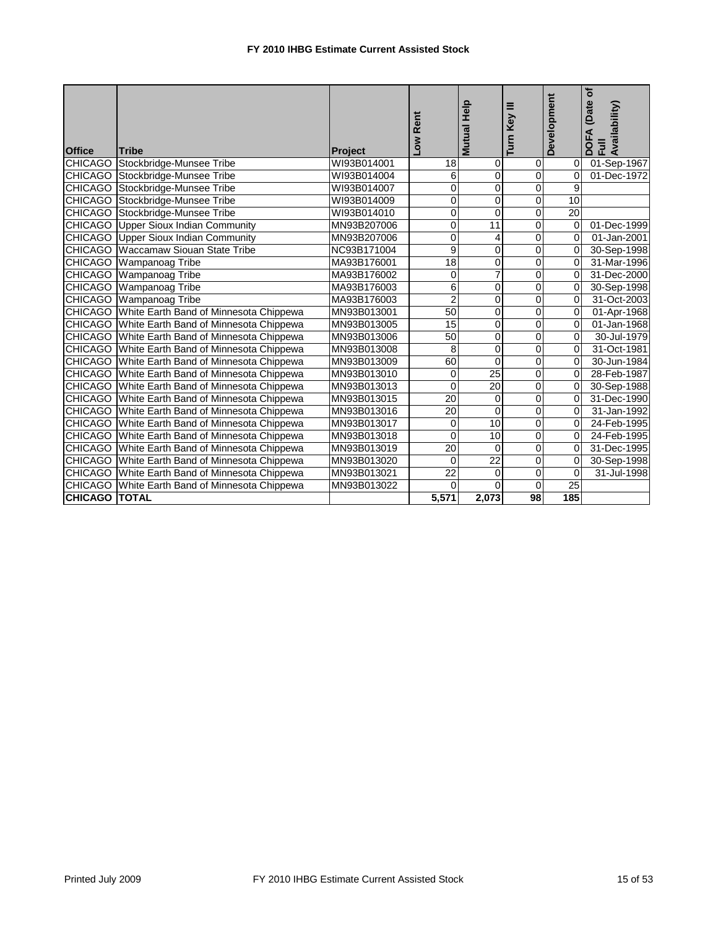|                      |                                                |                | Rent            | <b>Mutual Help</b> | Ξ<br>Key       | Development     | (Date of<br>DOFA (Date<br>Full<br>Availability) |
|----------------------|------------------------------------------------|----------------|-----------------|--------------------|----------------|-----------------|-------------------------------------------------|
|                      |                                                |                | NOT             |                    | Turn           |                 |                                                 |
| <b>Office</b>        | Tribe                                          | <b>Project</b> |                 |                    |                |                 |                                                 |
| <b>CHICAGO</b>       | Stockbridge-Munsee Tribe                       | WI93B014001    | 18              | $\mathbf 0$        | 0              | $\Omega$        | 01-Sep-1967                                     |
|                      | CHICAGO Stockbridge-Munsee Tribe               | WI93B014004    | 6               | 0                  | $\overline{0}$ | $\Omega$        | 01-Dec-1972                                     |
| <b>CHICAGO</b>       | Stockbridge-Munsee Tribe                       | WI93B014007    | 0               | $\Omega$           | ō              | 9               |                                                 |
| <b>CHICAGO</b>       | Stockbridge-Munsee Tribe                       | WI93B014009    | $\Omega$        | $\Omega$           | $\overline{0}$ | 10              |                                                 |
|                      | CHICAGO Stockbridge-Munsee Tribe               | WI93B014010    | 0               | 0                  | ō              | 20              |                                                 |
| <b>CHICAGO</b>       | <b>Upper Sioux Indian Community</b>            | MN93B207006    | 0               | 11                 | 0              | $\Omega$        | 01-Dec-1999                                     |
| <b>CHICAGO</b>       | <b>Upper Sioux Indian Community</b>            | MN93B207006    | $\mathbf 0$     | 4                  | 0              | $\Omega$        | 01-Jan-2001                                     |
| <b>CHICAGO</b>       | <b>Waccamaw Siouan State Tribe</b>             | NC93B171004    | 9               | 0                  | $\overline{0}$ | $\Omega$        | 30-Sep-1998                                     |
| <b>CHICAGO</b>       | Wampanoag Tribe                                | MA93B176001    | 18              | 0                  | 0              | $\Omega$        | 31-Mar-1996                                     |
|                      | <b>CHICAGO</b> Wampanoag Tribe                 | MA93B176002    | 0               | 7                  | 0              | $\mathbf 0$     | 31-Dec-2000                                     |
|                      | CHICAGO Wampanoag Tribe                        | MA93B176003    | 6               | 0                  | Ō              | $\mathbf 0$     | 30-Sep-1998                                     |
|                      | CHICAGO Wampanoag Tribe                        | MA93B176003    | $\overline{2}$  | 0                  | $\overline{0}$ | $\mathbf 0$     | 31-Oct-2003                                     |
|                      | CHICAGO White Earth Band of Minnesota Chippewa | MN93B013001    | $\overline{50}$ | 0                  | $\overline{0}$ | $\mathbf 0$     | 01-Apr-1968                                     |
|                      | CHICAGO White Earth Band of Minnesota Chippewa | MN93B013005    | 15              | 0                  | 0              | $\Omega$        | 01-Jan-1968                                     |
|                      | CHICAGO White Earth Band of Minnesota Chippewa | MN93B013006    | 50              | 0                  | 0              | $\mathbf 0$     | 30-Jul-1979                                     |
|                      | CHICAGO White Earth Band of Minnesota Chippewa | MN93B013008    | 8               | 0                  | $\mathsf 0$    | 0               | 31-Oct-1981                                     |
| <b>CHICAGO</b>       | White Earth Band of Minnesota Chippewa         | MN93B013009    | 60              | $\overline{0}$     | $\overline{0}$ | $\Omega$        | 30-Jun-1984                                     |
|                      | CHICAGO White Earth Band of Minnesota Chippewa | MN93B013010    | $\mathbf 0$     | $\overline{25}$    | $\overline{0}$ | $\Omega$        | 28-Feb-1987                                     |
|                      | CHICAGO White Earth Band of Minnesota Chippewa | MN93B013013    | $\Omega$        | 20                 | 0              | $\Omega$        | 30-Sep-1988                                     |
|                      | CHICAGO White Earth Band of Minnesota Chippewa | MN93B013015    | 20              | 0                  | 0              | 0               | 31-Dec-1990                                     |
|                      | CHICAGO White Earth Band of Minnesota Chippewa | MN93B013016    | $\overline{20}$ | $\mathbf 0$        | $\overline{0}$ | $\mathbf 0$     | 31-Jan-1992                                     |
| <b>CHICAGO</b>       | White Earth Band of Minnesota Chippewa         | MN93B013017    | 0               | 10                 | 0              | 0               | 24-Feb-1995                                     |
|                      | CHICAGO White Earth Band of Minnesota Chippewa | MN93B013018    | $\Omega$        | $\overline{10}$    | $\overline{0}$ | $\Omega$        | 24-Feb-1995                                     |
| <b>CHICAGO</b>       | White Earth Band of Minnesota Chippewa         | MN93B013019    | 20              | $\Omega$           | 0              | $\Omega$        | 31-Dec-1995                                     |
|                      | CHICAGO White Earth Band of Minnesota Chippewa | MN93B013020    | $\mathbf 0$     | $\overline{22}$    | 0              | 0               | 30-Sep-1998                                     |
| <b>CHICAGO</b>       | White Earth Band of Minnesota Chippewa         | MN93B013021    | $\overline{22}$ | $\mathbf 0$        | 0              | $\mathbf 0$     | 31-Jul-1998                                     |
| <b>CHICAGO</b>       | White Earth Band of Minnesota Chippewa         | MN93B013022    | $\Omega$        | $\Omega$           | 0              | $\overline{25}$ |                                                 |
| <b>CHICAGO TOTAL</b> |                                                |                | 5,571           | 2,073              | 98             | 185             |                                                 |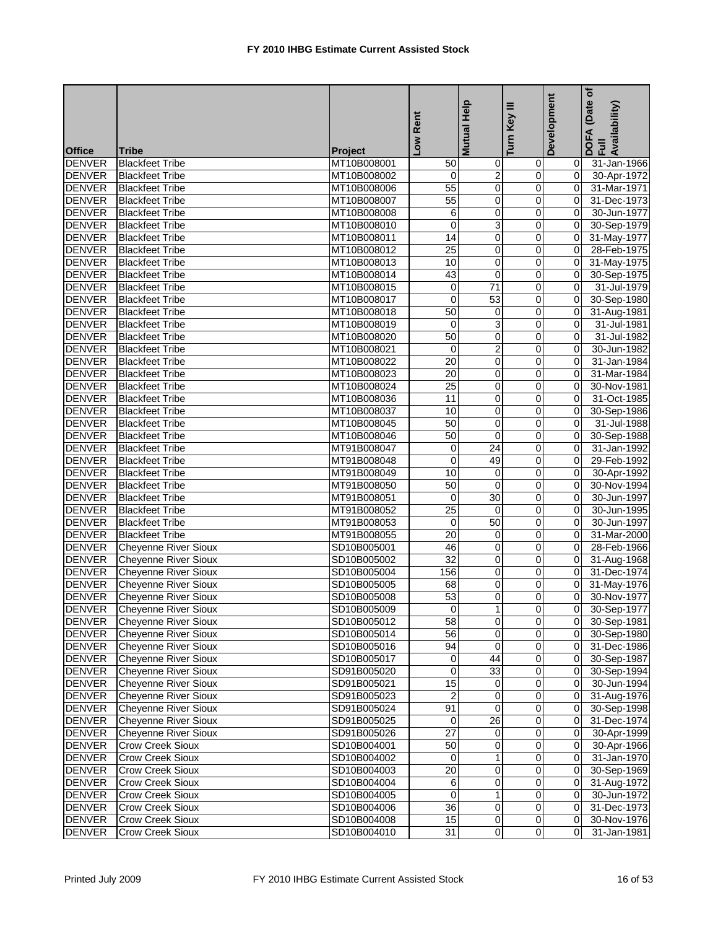| <b>Mutual</b><br><b>Office</b><br><b>Tribe</b><br><b>Project</b><br><b>DENVER</b><br><b>Blackfeet Tribe</b><br>31-Jan-1966<br>MT10B008001<br>50<br>$\mathbf 0$<br>0<br>01<br>$\overline{c}$<br><b>DENVER</b><br><b>Blackfeet Tribe</b><br>$\mathbf 0$<br>MT10B008002<br>0<br>01<br>30-Apr-1972<br><b>DENVER</b><br>55<br>0<br>$\pmb{0}$<br><b>Blackfeet Tribe</b><br>MT10B008006<br>0I<br>31-Mar-1971<br><b>DENVER</b><br>55<br>$\overline{0}$<br>0<br>$\overline{0}$<br>31-Dec-1973<br><b>Blackfeet Tribe</b><br>MT10B008007<br><b>DENVER</b><br>6<br>0<br>0<br><b>Blackfeet Tribe</b><br>MT10B008008<br>Οl<br>30-Jun-1977<br>3<br><b>DENVER</b><br>$\mathbf 0$<br>0<br><b>Blackfeet Tribe</b><br>MT10B008010<br>Οl<br>30-Sep-1979<br>14<br>$\overline{\mathbf{0}}$<br>$\overline{\mathbf{0}}$<br><b>DENVER</b><br>$\overline{0}$<br><b>Blackfeet Tribe</b><br>MT10B008011<br>31-May-1977<br><b>DENVER</b><br>25<br>0<br>0<br>$\Omega$<br><b>Blackfeet Tribe</b><br>MT10B008012<br>28-Feb-1975<br><b>DENVER</b><br>0<br>0<br>$\overline{0}$<br>31-May-1975<br><b>Blackfeet Tribe</b><br>MT10B008013<br>10<br><b>DENVER</b><br>43<br>0<br>0<br><b>Blackfeet Tribe</b><br>MT10B008014<br>0I<br>30-Sep-1975<br>71<br>$\overline{0}$<br><b>DENVER</b><br>$\overline{0}$<br>31-Jul-1979<br><b>Blackfeet Tribe</b><br>MT10B008015<br>0I<br><b>DENVER</b><br>$\mathbf 0$<br>53<br>$\overline{0}$<br>$\overline{0}$<br>30-Sep-1980<br><b>Blackfeet Tribe</b><br>MT10B008017<br><b>DENVER</b><br>50<br>$\overline{0}$<br>0<br>$\mathbf{0}$<br><b>Blackfeet Tribe</b><br>MT10B008018<br>31-Aug-1981<br>3<br><b>DENVER</b><br>0<br>$\overline{0}$<br>31-Jul-1981<br><b>Blackfeet Tribe</b><br>MT10B008019<br>0<br>50<br>$\overline{0}$<br><b>DENVER</b><br>$\pmb{0}$<br><b>Blackfeet Tribe</b><br>MT10B008020<br>$\overline{0}$<br>31-Jul-1982<br>$\overline{2}$<br><b>DENVER</b><br>$\mathbf 0$<br><b>Blackfeet Tribe</b><br>MT10B008021<br>0<br>$\Omega$<br>30-Jun-1982<br><b>DENVER</b><br>$\overline{20}$<br>0<br><b>Blackfeet Tribe</b><br>MT10B008022<br>0<br>$\Omega$<br>31-Jan-1984<br><b>DENVER</b><br>20<br><b>Blackfeet Tribe</b><br>MT10B008023<br>0<br>0<br>$\Omega$<br>31-Mar-1984<br>25<br>0<br><b>DENVER</b><br>0<br><b>Blackfeet Tribe</b><br>MT10B008024<br>$\overline{0}$<br>30-Nov-1981<br><b>DENVER</b><br>MT10B008036<br>11<br>0<br>0<br>31-Oct-1985<br><b>Blackfeet Tribe</b><br>$\mathbf{0}$<br><b>DENVER</b><br>0<br>MT10B008037<br>10<br>0<br>$\overline{0}$<br>30-Sep-1986<br><b>Blackfeet Tribe</b><br><b>DENVER</b><br>50<br>0<br>0<br>31-Jul-1988<br><b>Blackfeet Tribe</b><br>MT10B008045<br>$\mathbf{0}$<br><b>DENVER</b><br>50<br>Ō<br>$\overline{\mathsf{o}}$<br><b>Blackfeet Tribe</b><br>MT10B008046<br>$\overline{0}$<br>30-Sep-1988<br><b>DENVER</b><br>24<br>$\overline{0}$<br>MT91B008047<br>31-Jan-1992<br><b>Blackfeet Tribe</b><br>0<br>$\overline{0}$<br><b>DENVER</b><br>$\mathbf 0$<br>49<br>$\pmb{0}$<br><b>Blackfeet Tribe</b><br>MT91B008048<br>$\mathbf{0}$<br>29-Feb-1992<br><b>DENVER</b><br><b>Blackfeet Tribe</b><br>MT91B008049<br>10<br>0<br>0<br>Οl<br>30-Apr-1992<br><b>DENVER</b><br>50<br>$\pmb{0}$<br><b>Blackfeet Tribe</b><br>$\mathbf 0$<br>$\mathbf{0}$<br>30-Nov-1994<br>MT91B008050<br>30<br><b>DENVER</b><br>$\pmb{0}$<br>30-Jun-1997<br><b>Blackfeet Tribe</b><br>MT91B008051<br>0<br>$\overline{0}$<br><b>DENVER</b><br>$\overline{25}$<br>$\Omega$<br>0<br><b>Blackfeet Tribe</b><br>MT91B008052<br>$\Omega$<br>30-Jun-1995<br><b>DENVER</b><br>50<br>0<br><b>Blackfeet Tribe</b><br>MT91B008053<br>0<br>0<br>30-Jun-1997<br><b>DENVER</b><br>20<br><b>Blackfeet Tribe</b><br>MT91B008055<br>0<br>0<br>$\Omega$<br>31-Mar-2000<br>$\overline{\mathbf{0}}$<br><b>DENVER</b><br>46<br>$\mathbf{O}$<br><b>Cheyenne River Sioux</b><br>SD10B005001<br>$\mathbf{0}$<br>28-Feb-1966<br><b>DENVER</b><br>32<br>0<br><b>Cheyenne River Sioux</b><br>0<br>$\mathbf{0}$<br>SD10B005002<br>31-Aug-1968<br><b>DENVER</b><br><b>Cheyenne River Sioux</b><br>156<br>0<br>0<br>$\mathbf{0}$<br>SD10B005004<br>31-Dec-1974<br><b>DENVER</b><br>0<br><b>Cheyenne River Sioux</b><br>SD10B005005<br>68<br>0<br>0I<br>31-May-1976<br>53<br>$\overline{0}$<br>$\overline{0}$<br><b>DENVER</b><br>$\overline{0}$<br><b>Cheyenne River Sioux</b><br>SD10B005008<br>30-Nov-1977<br>DENVER Cheyenne River Sioux<br>$\overline{0}$<br>0 30-Sep-1977<br>SD10B005009<br>$\overline{0}$<br>$\overline{0}$<br><b>DENVER</b><br><b>Cheyenne River Sioux</b><br>58<br>SD10B005012<br>0 30-Sep-1981<br><b>DENVER</b><br><b>Cheyenne River Sioux</b><br>56<br>$\mathbf 0$<br>$\mathbf 0$<br>0 30-Sep-1980<br>SD10B005014<br>$\overline{0}$<br>$\overline{0}$<br>94<br><b>DENVER</b><br><b>Cheyenne River Sioux</b><br>0 31-Dec-1986<br>SD10B005016<br>44<br>$\pmb{0}$<br><b>Cheyenne River Sioux</b><br><b>DENVER</b><br>0<br>$\overline{0}$<br>30-Sep-1987<br>SD10B005017<br>33<br><b>DENVER</b><br><b>Cheyenne River Sioux</b><br>0<br>$\mathbf 0$<br>30-Sep-1994<br>SD91B005020<br>$\overline{0}$<br><b>DENVER</b><br><b>Cheyenne River Sioux</b><br>SD91B005021<br>15<br>0<br>30-Jun-1994<br>0<br>01<br><b>DENVER</b><br>$\pmb{0}$<br><b>Cheyenne River Sioux</b><br>$\overline{2}$<br>$\mathbf 0$<br>31-Aug-1976<br>SD91B005023<br>$\overline{0}$<br><b>DENVER</b><br><b>Cheyenne River Sioux</b><br>91<br>0<br>SD91B005024<br>$\overline{0}$<br>0I<br>30-Sep-1998<br><b>DENVER</b><br><b>Cheyenne River Sioux</b><br>$\overline{26}$<br>SD91B005025<br>0<br>$\mathbf 0$<br>$\overline{O}$<br>31-Dec-1974<br><b>Cheyenne River Sioux</b><br>27<br><b>DENVER</b><br>SD91B005026<br>0<br>30-Apr-1999<br>$\overline{0}$<br>01<br><b>DENVER</b><br>50<br>$\overline{\mathbf{0}}$<br>$\overline{0}$<br>Crow Creek Sioux<br>30-Apr-1966<br>SD10B004001<br>$\overline{0}$<br><b>DENVER</b><br>Crow Creek Sioux<br>1<br>$\overline{O}$<br>SD10B004002<br>$\overline{O}$<br>31-Jan-1970<br>0<br><b>DENVER</b><br>Crow Creek Sioux<br>20<br>$\pmb{0}$<br>SD10B004003<br>$\mathbf 0$<br>0I<br>30-Sep-1969<br><b>DENVER</b><br><b>Crow Creek Sioux</b><br>SD10B004004<br>6<br>$\mathbf 0$<br>$\overline{0}$<br>31-Aug-1972<br>01<br>$\mathbf{1}$<br>$\mathbf 0$<br><b>DENVER</b><br><b>Crow Creek Sioux</b><br>$\mathbf 0$<br>SD10B004005<br>01<br>30-Jun-1972<br>36<br>$\pmb{0}$<br>$\overline{O}$<br><b>DENVER</b><br>Crow Creek Sioux<br>$\overline{0}$<br>SD10B004006<br>31-Dec-1973<br><b>DENVER</b><br>$\overline{\mathbf{0}}$<br><b>Crow Creek Sioux</b><br>15<br>$\mathbf 0$<br>30-Nov-1976<br>SD10B004008<br>01<br><b>DENVER</b><br>Crow Creek Sioux<br>SD10B004010<br>$\overline{0}$<br>$\overline{0}$<br>31<br>01<br>31-Jan-1981 |  | Low Rent | Help | Turn Key III | Development | (Date of<br>DOFA (Date<br>Full<br>Availability) |
|------------------------------------------------------------------------------------------------------------------------------------------------------------------------------------------------------------------------------------------------------------------------------------------------------------------------------------------------------------------------------------------------------------------------------------------------------------------------------------------------------------------------------------------------------------------------------------------------------------------------------------------------------------------------------------------------------------------------------------------------------------------------------------------------------------------------------------------------------------------------------------------------------------------------------------------------------------------------------------------------------------------------------------------------------------------------------------------------------------------------------------------------------------------------------------------------------------------------------------------------------------------------------------------------------------------------------------------------------------------------------------------------------------------------------------------------------------------------------------------------------------------------------------------------------------------------------------------------------------------------------------------------------------------------------------------------------------------------------------------------------------------------------------------------------------------------------------------------------------------------------------------------------------------------------------------------------------------------------------------------------------------------------------------------------------------------------------------------------------------------------------------------------------------------------------------------------------------------------------------------------------------------------------------------------------------------------------------------------------------------------------------------------------------------------------------------------------------------------------------------------------------------------------------------------------------------------------------------------------------------------------------------------------------------------------------------------------------------------------------------------------------------------------------------------------------------------------------------------------------------------------------------------------------------------------------------------------------------------------------------------------------------------------------------------------------------------------------------------------------------------------------------------------------------------------------------------------------------------------------------------------------------------------------------------------------------------------------------------------------------------------------------------------------------------------------------------------------------------------------------------------------------------------------------------------------------------------------------------------------------------------------------------------------------------------------------------------------------------------------------------------------------------------------------------------------------------------------------------------------------------------------------------------------------------------------------------------------------------------------------------------------------------------------------------------------------------------------------------------------------------------------------------------------------------------------------------------------------------------------------------------------------------------------------------------------------------------------------------------------------------------------------------------------------------------------------------------------------------------------------------------------------------------------------------------------------------------------------------------------------------------------------------------------------------------------------------------------------------------------------------------------------------------------------------------------------------------------------------------------------------------------------------------------------------------------------------------------------------------------------------------------------------------------------------------------------------------------------------------------------------------------------------------------------------------------------------------------------------------------------------------------------------------------------------------------------------------------------------------------------------------------------------------------------------------------------------------------------------------------------------------------------------------------------------------------------------------------------------------------------------------------------------------------------------------------------------------------------------------------------------------------------------------------------------------------------------------------------------------------------------------------------------------------------------------------------------------------------------------------------------------------------------------------------------------------------------------------------------------------------------------------------------------------------------------------------------------------------------------------------------------------------------------------------------------------------------------------------------------------------------------------------------------------------------------------------------------------------------------------------------------------------------------------------------------------------------------------------------------------------------------------------------------------|--|----------|------|--------------|-------------|-------------------------------------------------|
|                                                                                                                                                                                                                                                                                                                                                                                                                                                                                                                                                                                                                                                                                                                                                                                                                                                                                                                                                                                                                                                                                                                                                                                                                                                                                                                                                                                                                                                                                                                                                                                                                                                                                                                                                                                                                                                                                                                                                                                                                                                                                                                                                                                                                                                                                                                                                                                                                                                                                                                                                                                                                                                                                                                                                                                                                                                                                                                                                                                                                                                                                                                                                                                                                                                                                                                                                                                                                                                                                                                                                                                                                                                                                                                                                                                                                                                                                                                                                                                                                                                                                                                                                                                                                                                                                                                                                                                                                                                                                                                                                                                                                                                                                                                                                                                                                                                                                                                                                                                                                                                                                                                                                                                                                                                                                                                                                                                                                                                                                                                                                                                                                                                                                                                                                                                                                                                                                                                                                                                                                                                                                                                                                                                                                                                                                                                                                                                                                                                                                                                                                                                                                                                                  |  |          |      |              |             |                                                 |
|                                                                                                                                                                                                                                                                                                                                                                                                                                                                                                                                                                                                                                                                                                                                                                                                                                                                                                                                                                                                                                                                                                                                                                                                                                                                                                                                                                                                                                                                                                                                                                                                                                                                                                                                                                                                                                                                                                                                                                                                                                                                                                                                                                                                                                                                                                                                                                                                                                                                                                                                                                                                                                                                                                                                                                                                                                                                                                                                                                                                                                                                                                                                                                                                                                                                                                                                                                                                                                                                                                                                                                                                                                                                                                                                                                                                                                                                                                                                                                                                                                                                                                                                                                                                                                                                                                                                                                                                                                                                                                                                                                                                                                                                                                                                                                                                                                                                                                                                                                                                                                                                                                                                                                                                                                                                                                                                                                                                                                                                                                                                                                                                                                                                                                                                                                                                                                                                                                                                                                                                                                                                                                                                                                                                                                                                                                                                                                                                                                                                                                                                                                                                                                                                  |  |          |      |              |             |                                                 |
|                                                                                                                                                                                                                                                                                                                                                                                                                                                                                                                                                                                                                                                                                                                                                                                                                                                                                                                                                                                                                                                                                                                                                                                                                                                                                                                                                                                                                                                                                                                                                                                                                                                                                                                                                                                                                                                                                                                                                                                                                                                                                                                                                                                                                                                                                                                                                                                                                                                                                                                                                                                                                                                                                                                                                                                                                                                                                                                                                                                                                                                                                                                                                                                                                                                                                                                                                                                                                                                                                                                                                                                                                                                                                                                                                                                                                                                                                                                                                                                                                                                                                                                                                                                                                                                                                                                                                                                                                                                                                                                                                                                                                                                                                                                                                                                                                                                                                                                                                                                                                                                                                                                                                                                                                                                                                                                                                                                                                                                                                                                                                                                                                                                                                                                                                                                                                                                                                                                                                                                                                                                                                                                                                                                                                                                                                                                                                                                                                                                                                                                                                                                                                                                                  |  |          |      |              |             |                                                 |
|                                                                                                                                                                                                                                                                                                                                                                                                                                                                                                                                                                                                                                                                                                                                                                                                                                                                                                                                                                                                                                                                                                                                                                                                                                                                                                                                                                                                                                                                                                                                                                                                                                                                                                                                                                                                                                                                                                                                                                                                                                                                                                                                                                                                                                                                                                                                                                                                                                                                                                                                                                                                                                                                                                                                                                                                                                                                                                                                                                                                                                                                                                                                                                                                                                                                                                                                                                                                                                                                                                                                                                                                                                                                                                                                                                                                                                                                                                                                                                                                                                                                                                                                                                                                                                                                                                                                                                                                                                                                                                                                                                                                                                                                                                                                                                                                                                                                                                                                                                                                                                                                                                                                                                                                                                                                                                                                                                                                                                                                                                                                                                                                                                                                                                                                                                                                                                                                                                                                                                                                                                                                                                                                                                                                                                                                                                                                                                                                                                                                                                                                                                                                                                                                  |  |          |      |              |             |                                                 |
|                                                                                                                                                                                                                                                                                                                                                                                                                                                                                                                                                                                                                                                                                                                                                                                                                                                                                                                                                                                                                                                                                                                                                                                                                                                                                                                                                                                                                                                                                                                                                                                                                                                                                                                                                                                                                                                                                                                                                                                                                                                                                                                                                                                                                                                                                                                                                                                                                                                                                                                                                                                                                                                                                                                                                                                                                                                                                                                                                                                                                                                                                                                                                                                                                                                                                                                                                                                                                                                                                                                                                                                                                                                                                                                                                                                                                                                                                                                                                                                                                                                                                                                                                                                                                                                                                                                                                                                                                                                                                                                                                                                                                                                                                                                                                                                                                                                                                                                                                                                                                                                                                                                                                                                                                                                                                                                                                                                                                                                                                                                                                                                                                                                                                                                                                                                                                                                                                                                                                                                                                                                                                                                                                                                                                                                                                                                                                                                                                                                                                                                                                                                                                                                                  |  |          |      |              |             |                                                 |
|                                                                                                                                                                                                                                                                                                                                                                                                                                                                                                                                                                                                                                                                                                                                                                                                                                                                                                                                                                                                                                                                                                                                                                                                                                                                                                                                                                                                                                                                                                                                                                                                                                                                                                                                                                                                                                                                                                                                                                                                                                                                                                                                                                                                                                                                                                                                                                                                                                                                                                                                                                                                                                                                                                                                                                                                                                                                                                                                                                                                                                                                                                                                                                                                                                                                                                                                                                                                                                                                                                                                                                                                                                                                                                                                                                                                                                                                                                                                                                                                                                                                                                                                                                                                                                                                                                                                                                                                                                                                                                                                                                                                                                                                                                                                                                                                                                                                                                                                                                                                                                                                                                                                                                                                                                                                                                                                                                                                                                                                                                                                                                                                                                                                                                                                                                                                                                                                                                                                                                                                                                                                                                                                                                                                                                                                                                                                                                                                                                                                                                                                                                                                                                                                  |  |          |      |              |             |                                                 |
|                                                                                                                                                                                                                                                                                                                                                                                                                                                                                                                                                                                                                                                                                                                                                                                                                                                                                                                                                                                                                                                                                                                                                                                                                                                                                                                                                                                                                                                                                                                                                                                                                                                                                                                                                                                                                                                                                                                                                                                                                                                                                                                                                                                                                                                                                                                                                                                                                                                                                                                                                                                                                                                                                                                                                                                                                                                                                                                                                                                                                                                                                                                                                                                                                                                                                                                                                                                                                                                                                                                                                                                                                                                                                                                                                                                                                                                                                                                                                                                                                                                                                                                                                                                                                                                                                                                                                                                                                                                                                                                                                                                                                                                                                                                                                                                                                                                                                                                                                                                                                                                                                                                                                                                                                                                                                                                                                                                                                                                                                                                                                                                                                                                                                                                                                                                                                                                                                                                                                                                                                                                                                                                                                                                                                                                                                                                                                                                                                                                                                                                                                                                                                                                                  |  |          |      |              |             |                                                 |
|                                                                                                                                                                                                                                                                                                                                                                                                                                                                                                                                                                                                                                                                                                                                                                                                                                                                                                                                                                                                                                                                                                                                                                                                                                                                                                                                                                                                                                                                                                                                                                                                                                                                                                                                                                                                                                                                                                                                                                                                                                                                                                                                                                                                                                                                                                                                                                                                                                                                                                                                                                                                                                                                                                                                                                                                                                                                                                                                                                                                                                                                                                                                                                                                                                                                                                                                                                                                                                                                                                                                                                                                                                                                                                                                                                                                                                                                                                                                                                                                                                                                                                                                                                                                                                                                                                                                                                                                                                                                                                                                                                                                                                                                                                                                                                                                                                                                                                                                                                                                                                                                                                                                                                                                                                                                                                                                                                                                                                                                                                                                                                                                                                                                                                                                                                                                                                                                                                                                                                                                                                                                                                                                                                                                                                                                                                                                                                                                                                                                                                                                                                                                                                                                  |  |          |      |              |             |                                                 |
|                                                                                                                                                                                                                                                                                                                                                                                                                                                                                                                                                                                                                                                                                                                                                                                                                                                                                                                                                                                                                                                                                                                                                                                                                                                                                                                                                                                                                                                                                                                                                                                                                                                                                                                                                                                                                                                                                                                                                                                                                                                                                                                                                                                                                                                                                                                                                                                                                                                                                                                                                                                                                                                                                                                                                                                                                                                                                                                                                                                                                                                                                                                                                                                                                                                                                                                                                                                                                                                                                                                                                                                                                                                                                                                                                                                                                                                                                                                                                                                                                                                                                                                                                                                                                                                                                                                                                                                                                                                                                                                                                                                                                                                                                                                                                                                                                                                                                                                                                                                                                                                                                                                                                                                                                                                                                                                                                                                                                                                                                                                                                                                                                                                                                                                                                                                                                                                                                                                                                                                                                                                                                                                                                                                                                                                                                                                                                                                                                                                                                                                                                                                                                                                                  |  |          |      |              |             |                                                 |
|                                                                                                                                                                                                                                                                                                                                                                                                                                                                                                                                                                                                                                                                                                                                                                                                                                                                                                                                                                                                                                                                                                                                                                                                                                                                                                                                                                                                                                                                                                                                                                                                                                                                                                                                                                                                                                                                                                                                                                                                                                                                                                                                                                                                                                                                                                                                                                                                                                                                                                                                                                                                                                                                                                                                                                                                                                                                                                                                                                                                                                                                                                                                                                                                                                                                                                                                                                                                                                                                                                                                                                                                                                                                                                                                                                                                                                                                                                                                                                                                                                                                                                                                                                                                                                                                                                                                                                                                                                                                                                                                                                                                                                                                                                                                                                                                                                                                                                                                                                                                                                                                                                                                                                                                                                                                                                                                                                                                                                                                                                                                                                                                                                                                                                                                                                                                                                                                                                                                                                                                                                                                                                                                                                                                                                                                                                                                                                                                                                                                                                                                                                                                                                                                  |  |          |      |              |             |                                                 |
|                                                                                                                                                                                                                                                                                                                                                                                                                                                                                                                                                                                                                                                                                                                                                                                                                                                                                                                                                                                                                                                                                                                                                                                                                                                                                                                                                                                                                                                                                                                                                                                                                                                                                                                                                                                                                                                                                                                                                                                                                                                                                                                                                                                                                                                                                                                                                                                                                                                                                                                                                                                                                                                                                                                                                                                                                                                                                                                                                                                                                                                                                                                                                                                                                                                                                                                                                                                                                                                                                                                                                                                                                                                                                                                                                                                                                                                                                                                                                                                                                                                                                                                                                                                                                                                                                                                                                                                                                                                                                                                                                                                                                                                                                                                                                                                                                                                                                                                                                                                                                                                                                                                                                                                                                                                                                                                                                                                                                                                                                                                                                                                                                                                                                                                                                                                                                                                                                                                                                                                                                                                                                                                                                                                                                                                                                                                                                                                                                                                                                                                                                                                                                                                                  |  |          |      |              |             |                                                 |
|                                                                                                                                                                                                                                                                                                                                                                                                                                                                                                                                                                                                                                                                                                                                                                                                                                                                                                                                                                                                                                                                                                                                                                                                                                                                                                                                                                                                                                                                                                                                                                                                                                                                                                                                                                                                                                                                                                                                                                                                                                                                                                                                                                                                                                                                                                                                                                                                                                                                                                                                                                                                                                                                                                                                                                                                                                                                                                                                                                                                                                                                                                                                                                                                                                                                                                                                                                                                                                                                                                                                                                                                                                                                                                                                                                                                                                                                                                                                                                                                                                                                                                                                                                                                                                                                                                                                                                                                                                                                                                                                                                                                                                                                                                                                                                                                                                                                                                                                                                                                                                                                                                                                                                                                                                                                                                                                                                                                                                                                                                                                                                                                                                                                                                                                                                                                                                                                                                                                                                                                                                                                                                                                                                                                                                                                                                                                                                                                                                                                                                                                                                                                                                                                  |  |          |      |              |             |                                                 |
|                                                                                                                                                                                                                                                                                                                                                                                                                                                                                                                                                                                                                                                                                                                                                                                                                                                                                                                                                                                                                                                                                                                                                                                                                                                                                                                                                                                                                                                                                                                                                                                                                                                                                                                                                                                                                                                                                                                                                                                                                                                                                                                                                                                                                                                                                                                                                                                                                                                                                                                                                                                                                                                                                                                                                                                                                                                                                                                                                                                                                                                                                                                                                                                                                                                                                                                                                                                                                                                                                                                                                                                                                                                                                                                                                                                                                                                                                                                                                                                                                                                                                                                                                                                                                                                                                                                                                                                                                                                                                                                                                                                                                                                                                                                                                                                                                                                                                                                                                                                                                                                                                                                                                                                                                                                                                                                                                                                                                                                                                                                                                                                                                                                                                                                                                                                                                                                                                                                                                                                                                                                                                                                                                                                                                                                                                                                                                                                                                                                                                                                                                                                                                                                                  |  |          |      |              |             |                                                 |
|                                                                                                                                                                                                                                                                                                                                                                                                                                                                                                                                                                                                                                                                                                                                                                                                                                                                                                                                                                                                                                                                                                                                                                                                                                                                                                                                                                                                                                                                                                                                                                                                                                                                                                                                                                                                                                                                                                                                                                                                                                                                                                                                                                                                                                                                                                                                                                                                                                                                                                                                                                                                                                                                                                                                                                                                                                                                                                                                                                                                                                                                                                                                                                                                                                                                                                                                                                                                                                                                                                                                                                                                                                                                                                                                                                                                                                                                                                                                                                                                                                                                                                                                                                                                                                                                                                                                                                                                                                                                                                                                                                                                                                                                                                                                                                                                                                                                                                                                                                                                                                                                                                                                                                                                                                                                                                                                                                                                                                                                                                                                                                                                                                                                                                                                                                                                                                                                                                                                                                                                                                                                                                                                                                                                                                                                                                                                                                                                                                                                                                                                                                                                                                                                  |  |          |      |              |             |                                                 |
|                                                                                                                                                                                                                                                                                                                                                                                                                                                                                                                                                                                                                                                                                                                                                                                                                                                                                                                                                                                                                                                                                                                                                                                                                                                                                                                                                                                                                                                                                                                                                                                                                                                                                                                                                                                                                                                                                                                                                                                                                                                                                                                                                                                                                                                                                                                                                                                                                                                                                                                                                                                                                                                                                                                                                                                                                                                                                                                                                                                                                                                                                                                                                                                                                                                                                                                                                                                                                                                                                                                                                                                                                                                                                                                                                                                                                                                                                                                                                                                                                                                                                                                                                                                                                                                                                                                                                                                                                                                                                                                                                                                                                                                                                                                                                                                                                                                                                                                                                                                                                                                                                                                                                                                                                                                                                                                                                                                                                                                                                                                                                                                                                                                                                                                                                                                                                                                                                                                                                                                                                                                                                                                                                                                                                                                                                                                                                                                                                                                                                                                                                                                                                                                                  |  |          |      |              |             |                                                 |
|                                                                                                                                                                                                                                                                                                                                                                                                                                                                                                                                                                                                                                                                                                                                                                                                                                                                                                                                                                                                                                                                                                                                                                                                                                                                                                                                                                                                                                                                                                                                                                                                                                                                                                                                                                                                                                                                                                                                                                                                                                                                                                                                                                                                                                                                                                                                                                                                                                                                                                                                                                                                                                                                                                                                                                                                                                                                                                                                                                                                                                                                                                                                                                                                                                                                                                                                                                                                                                                                                                                                                                                                                                                                                                                                                                                                                                                                                                                                                                                                                                                                                                                                                                                                                                                                                                                                                                                                                                                                                                                                                                                                                                                                                                                                                                                                                                                                                                                                                                                                                                                                                                                                                                                                                                                                                                                                                                                                                                                                                                                                                                                                                                                                                                                                                                                                                                                                                                                                                                                                                                                                                                                                                                                                                                                                                                                                                                                                                                                                                                                                                                                                                                                                  |  |          |      |              |             |                                                 |
|                                                                                                                                                                                                                                                                                                                                                                                                                                                                                                                                                                                                                                                                                                                                                                                                                                                                                                                                                                                                                                                                                                                                                                                                                                                                                                                                                                                                                                                                                                                                                                                                                                                                                                                                                                                                                                                                                                                                                                                                                                                                                                                                                                                                                                                                                                                                                                                                                                                                                                                                                                                                                                                                                                                                                                                                                                                                                                                                                                                                                                                                                                                                                                                                                                                                                                                                                                                                                                                                                                                                                                                                                                                                                                                                                                                                                                                                                                                                                                                                                                                                                                                                                                                                                                                                                                                                                                                                                                                                                                                                                                                                                                                                                                                                                                                                                                                                                                                                                                                                                                                                                                                                                                                                                                                                                                                                                                                                                                                                                                                                                                                                                                                                                                                                                                                                                                                                                                                                                                                                                                                                                                                                                                                                                                                                                                                                                                                                                                                                                                                                                                                                                                                                  |  |          |      |              |             |                                                 |
|                                                                                                                                                                                                                                                                                                                                                                                                                                                                                                                                                                                                                                                                                                                                                                                                                                                                                                                                                                                                                                                                                                                                                                                                                                                                                                                                                                                                                                                                                                                                                                                                                                                                                                                                                                                                                                                                                                                                                                                                                                                                                                                                                                                                                                                                                                                                                                                                                                                                                                                                                                                                                                                                                                                                                                                                                                                                                                                                                                                                                                                                                                                                                                                                                                                                                                                                                                                                                                                                                                                                                                                                                                                                                                                                                                                                                                                                                                                                                                                                                                                                                                                                                                                                                                                                                                                                                                                                                                                                                                                                                                                                                                                                                                                                                                                                                                                                                                                                                                                                                                                                                                                                                                                                                                                                                                                                                                                                                                                                                                                                                                                                                                                                                                                                                                                                                                                                                                                                                                                                                                                                                                                                                                                                                                                                                                                                                                                                                                                                                                                                                                                                                                                                  |  |          |      |              |             |                                                 |
|                                                                                                                                                                                                                                                                                                                                                                                                                                                                                                                                                                                                                                                                                                                                                                                                                                                                                                                                                                                                                                                                                                                                                                                                                                                                                                                                                                                                                                                                                                                                                                                                                                                                                                                                                                                                                                                                                                                                                                                                                                                                                                                                                                                                                                                                                                                                                                                                                                                                                                                                                                                                                                                                                                                                                                                                                                                                                                                                                                                                                                                                                                                                                                                                                                                                                                                                                                                                                                                                                                                                                                                                                                                                                                                                                                                                                                                                                                                                                                                                                                                                                                                                                                                                                                                                                                                                                                                                                                                                                                                                                                                                                                                                                                                                                                                                                                                                                                                                                                                                                                                                                                                                                                                                                                                                                                                                                                                                                                                                                                                                                                                                                                                                                                                                                                                                                                                                                                                                                                                                                                                                                                                                                                                                                                                                                                                                                                                                                                                                                                                                                                                                                                                                  |  |          |      |              |             |                                                 |
|                                                                                                                                                                                                                                                                                                                                                                                                                                                                                                                                                                                                                                                                                                                                                                                                                                                                                                                                                                                                                                                                                                                                                                                                                                                                                                                                                                                                                                                                                                                                                                                                                                                                                                                                                                                                                                                                                                                                                                                                                                                                                                                                                                                                                                                                                                                                                                                                                                                                                                                                                                                                                                                                                                                                                                                                                                                                                                                                                                                                                                                                                                                                                                                                                                                                                                                                                                                                                                                                                                                                                                                                                                                                                                                                                                                                                                                                                                                                                                                                                                                                                                                                                                                                                                                                                                                                                                                                                                                                                                                                                                                                                                                                                                                                                                                                                                                                                                                                                                                                                                                                                                                                                                                                                                                                                                                                                                                                                                                                                                                                                                                                                                                                                                                                                                                                                                                                                                                                                                                                                                                                                                                                                                                                                                                                                                                                                                                                                                                                                                                                                                                                                                                                  |  |          |      |              |             |                                                 |
|                                                                                                                                                                                                                                                                                                                                                                                                                                                                                                                                                                                                                                                                                                                                                                                                                                                                                                                                                                                                                                                                                                                                                                                                                                                                                                                                                                                                                                                                                                                                                                                                                                                                                                                                                                                                                                                                                                                                                                                                                                                                                                                                                                                                                                                                                                                                                                                                                                                                                                                                                                                                                                                                                                                                                                                                                                                                                                                                                                                                                                                                                                                                                                                                                                                                                                                                                                                                                                                                                                                                                                                                                                                                                                                                                                                                                                                                                                                                                                                                                                                                                                                                                                                                                                                                                                                                                                                                                                                                                                                                                                                                                                                                                                                                                                                                                                                                                                                                                                                                                                                                                                                                                                                                                                                                                                                                                                                                                                                                                                                                                                                                                                                                                                                                                                                                                                                                                                                                                                                                                                                                                                                                                                                                                                                                                                                                                                                                                                                                                                                                                                                                                                                                  |  |          |      |              |             |                                                 |
|                                                                                                                                                                                                                                                                                                                                                                                                                                                                                                                                                                                                                                                                                                                                                                                                                                                                                                                                                                                                                                                                                                                                                                                                                                                                                                                                                                                                                                                                                                                                                                                                                                                                                                                                                                                                                                                                                                                                                                                                                                                                                                                                                                                                                                                                                                                                                                                                                                                                                                                                                                                                                                                                                                                                                                                                                                                                                                                                                                                                                                                                                                                                                                                                                                                                                                                                                                                                                                                                                                                                                                                                                                                                                                                                                                                                                                                                                                                                                                                                                                                                                                                                                                                                                                                                                                                                                                                                                                                                                                                                                                                                                                                                                                                                                                                                                                                                                                                                                                                                                                                                                                                                                                                                                                                                                                                                                                                                                                                                                                                                                                                                                                                                                                                                                                                                                                                                                                                                                                                                                                                                                                                                                                                                                                                                                                                                                                                                                                                                                                                                                                                                                                                                  |  |          |      |              |             |                                                 |
|                                                                                                                                                                                                                                                                                                                                                                                                                                                                                                                                                                                                                                                                                                                                                                                                                                                                                                                                                                                                                                                                                                                                                                                                                                                                                                                                                                                                                                                                                                                                                                                                                                                                                                                                                                                                                                                                                                                                                                                                                                                                                                                                                                                                                                                                                                                                                                                                                                                                                                                                                                                                                                                                                                                                                                                                                                                                                                                                                                                                                                                                                                                                                                                                                                                                                                                                                                                                                                                                                                                                                                                                                                                                                                                                                                                                                                                                                                                                                                                                                                                                                                                                                                                                                                                                                                                                                                                                                                                                                                                                                                                                                                                                                                                                                                                                                                                                                                                                                                                                                                                                                                                                                                                                                                                                                                                                                                                                                                                                                                                                                                                                                                                                                                                                                                                                                                                                                                                                                                                                                                                                                                                                                                                                                                                                                                                                                                                                                                                                                                                                                                                                                                                                  |  |          |      |              |             |                                                 |
|                                                                                                                                                                                                                                                                                                                                                                                                                                                                                                                                                                                                                                                                                                                                                                                                                                                                                                                                                                                                                                                                                                                                                                                                                                                                                                                                                                                                                                                                                                                                                                                                                                                                                                                                                                                                                                                                                                                                                                                                                                                                                                                                                                                                                                                                                                                                                                                                                                                                                                                                                                                                                                                                                                                                                                                                                                                                                                                                                                                                                                                                                                                                                                                                                                                                                                                                                                                                                                                                                                                                                                                                                                                                                                                                                                                                                                                                                                                                                                                                                                                                                                                                                                                                                                                                                                                                                                                                                                                                                                                                                                                                                                                                                                                                                                                                                                                                                                                                                                                                                                                                                                                                                                                                                                                                                                                                                                                                                                                                                                                                                                                                                                                                                                                                                                                                                                                                                                                                                                                                                                                                                                                                                                                                                                                                                                                                                                                                                                                                                                                                                                                                                                                                  |  |          |      |              |             |                                                 |
|                                                                                                                                                                                                                                                                                                                                                                                                                                                                                                                                                                                                                                                                                                                                                                                                                                                                                                                                                                                                                                                                                                                                                                                                                                                                                                                                                                                                                                                                                                                                                                                                                                                                                                                                                                                                                                                                                                                                                                                                                                                                                                                                                                                                                                                                                                                                                                                                                                                                                                                                                                                                                                                                                                                                                                                                                                                                                                                                                                                                                                                                                                                                                                                                                                                                                                                                                                                                                                                                                                                                                                                                                                                                                                                                                                                                                                                                                                                                                                                                                                                                                                                                                                                                                                                                                                                                                                                                                                                                                                                                                                                                                                                                                                                                                                                                                                                                                                                                                                                                                                                                                                                                                                                                                                                                                                                                                                                                                                                                                                                                                                                                                                                                                                                                                                                                                                                                                                                                                                                                                                                                                                                                                                                                                                                                                                                                                                                                                                                                                                                                                                                                                                                                  |  |          |      |              |             |                                                 |
|                                                                                                                                                                                                                                                                                                                                                                                                                                                                                                                                                                                                                                                                                                                                                                                                                                                                                                                                                                                                                                                                                                                                                                                                                                                                                                                                                                                                                                                                                                                                                                                                                                                                                                                                                                                                                                                                                                                                                                                                                                                                                                                                                                                                                                                                                                                                                                                                                                                                                                                                                                                                                                                                                                                                                                                                                                                                                                                                                                                                                                                                                                                                                                                                                                                                                                                                                                                                                                                                                                                                                                                                                                                                                                                                                                                                                                                                                                                                                                                                                                                                                                                                                                                                                                                                                                                                                                                                                                                                                                                                                                                                                                                                                                                                                                                                                                                                                                                                                                                                                                                                                                                                                                                                                                                                                                                                                                                                                                                                                                                                                                                                                                                                                                                                                                                                                                                                                                                                                                                                                                                                                                                                                                                                                                                                                                                                                                                                                                                                                                                                                                                                                                                                  |  |          |      |              |             |                                                 |
|                                                                                                                                                                                                                                                                                                                                                                                                                                                                                                                                                                                                                                                                                                                                                                                                                                                                                                                                                                                                                                                                                                                                                                                                                                                                                                                                                                                                                                                                                                                                                                                                                                                                                                                                                                                                                                                                                                                                                                                                                                                                                                                                                                                                                                                                                                                                                                                                                                                                                                                                                                                                                                                                                                                                                                                                                                                                                                                                                                                                                                                                                                                                                                                                                                                                                                                                                                                                                                                                                                                                                                                                                                                                                                                                                                                                                                                                                                                                                                                                                                                                                                                                                                                                                                                                                                                                                                                                                                                                                                                                                                                                                                                                                                                                                                                                                                                                                                                                                                                                                                                                                                                                                                                                                                                                                                                                                                                                                                                                                                                                                                                                                                                                                                                                                                                                                                                                                                                                                                                                                                                                                                                                                                                                                                                                                                                                                                                                                                                                                                                                                                                                                                                                  |  |          |      |              |             |                                                 |
|                                                                                                                                                                                                                                                                                                                                                                                                                                                                                                                                                                                                                                                                                                                                                                                                                                                                                                                                                                                                                                                                                                                                                                                                                                                                                                                                                                                                                                                                                                                                                                                                                                                                                                                                                                                                                                                                                                                                                                                                                                                                                                                                                                                                                                                                                                                                                                                                                                                                                                                                                                                                                                                                                                                                                                                                                                                                                                                                                                                                                                                                                                                                                                                                                                                                                                                                                                                                                                                                                                                                                                                                                                                                                                                                                                                                                                                                                                                                                                                                                                                                                                                                                                                                                                                                                                                                                                                                                                                                                                                                                                                                                                                                                                                                                                                                                                                                                                                                                                                                                                                                                                                                                                                                                                                                                                                                                                                                                                                                                                                                                                                                                                                                                                                                                                                                                                                                                                                                                                                                                                                                                                                                                                                                                                                                                                                                                                                                                                                                                                                                                                                                                                                                  |  |          |      |              |             |                                                 |
|                                                                                                                                                                                                                                                                                                                                                                                                                                                                                                                                                                                                                                                                                                                                                                                                                                                                                                                                                                                                                                                                                                                                                                                                                                                                                                                                                                                                                                                                                                                                                                                                                                                                                                                                                                                                                                                                                                                                                                                                                                                                                                                                                                                                                                                                                                                                                                                                                                                                                                                                                                                                                                                                                                                                                                                                                                                                                                                                                                                                                                                                                                                                                                                                                                                                                                                                                                                                                                                                                                                                                                                                                                                                                                                                                                                                                                                                                                                                                                                                                                                                                                                                                                                                                                                                                                                                                                                                                                                                                                                                                                                                                                                                                                                                                                                                                                                                                                                                                                                                                                                                                                                                                                                                                                                                                                                                                                                                                                                                                                                                                                                                                                                                                                                                                                                                                                                                                                                                                                                                                                                                                                                                                                                                                                                                                                                                                                                                                                                                                                                                                                                                                                                                  |  |          |      |              |             |                                                 |
|                                                                                                                                                                                                                                                                                                                                                                                                                                                                                                                                                                                                                                                                                                                                                                                                                                                                                                                                                                                                                                                                                                                                                                                                                                                                                                                                                                                                                                                                                                                                                                                                                                                                                                                                                                                                                                                                                                                                                                                                                                                                                                                                                                                                                                                                                                                                                                                                                                                                                                                                                                                                                                                                                                                                                                                                                                                                                                                                                                                                                                                                                                                                                                                                                                                                                                                                                                                                                                                                                                                                                                                                                                                                                                                                                                                                                                                                                                                                                                                                                                                                                                                                                                                                                                                                                                                                                                                                                                                                                                                                                                                                                                                                                                                                                                                                                                                                                                                                                                                                                                                                                                                                                                                                                                                                                                                                                                                                                                                                                                                                                                                                                                                                                                                                                                                                                                                                                                                                                                                                                                                                                                                                                                                                                                                                                                                                                                                                                                                                                                                                                                                                                                                                  |  |          |      |              |             |                                                 |
|                                                                                                                                                                                                                                                                                                                                                                                                                                                                                                                                                                                                                                                                                                                                                                                                                                                                                                                                                                                                                                                                                                                                                                                                                                                                                                                                                                                                                                                                                                                                                                                                                                                                                                                                                                                                                                                                                                                                                                                                                                                                                                                                                                                                                                                                                                                                                                                                                                                                                                                                                                                                                                                                                                                                                                                                                                                                                                                                                                                                                                                                                                                                                                                                                                                                                                                                                                                                                                                                                                                                                                                                                                                                                                                                                                                                                                                                                                                                                                                                                                                                                                                                                                                                                                                                                                                                                                                                                                                                                                                                                                                                                                                                                                                                                                                                                                                                                                                                                                                                                                                                                                                                                                                                                                                                                                                                                                                                                                                                                                                                                                                                                                                                                                                                                                                                                                                                                                                                                                                                                                                                                                                                                                                                                                                                                                                                                                                                                                                                                                                                                                                                                                                                  |  |          |      |              |             |                                                 |
|                                                                                                                                                                                                                                                                                                                                                                                                                                                                                                                                                                                                                                                                                                                                                                                                                                                                                                                                                                                                                                                                                                                                                                                                                                                                                                                                                                                                                                                                                                                                                                                                                                                                                                                                                                                                                                                                                                                                                                                                                                                                                                                                                                                                                                                                                                                                                                                                                                                                                                                                                                                                                                                                                                                                                                                                                                                                                                                                                                                                                                                                                                                                                                                                                                                                                                                                                                                                                                                                                                                                                                                                                                                                                                                                                                                                                                                                                                                                                                                                                                                                                                                                                                                                                                                                                                                                                                                                                                                                                                                                                                                                                                                                                                                                                                                                                                                                                                                                                                                                                                                                                                                                                                                                                                                                                                                                                                                                                                                                                                                                                                                                                                                                                                                                                                                                                                                                                                                                                                                                                                                                                                                                                                                                                                                                                                                                                                                                                                                                                                                                                                                                                                                                  |  |          |      |              |             |                                                 |
|                                                                                                                                                                                                                                                                                                                                                                                                                                                                                                                                                                                                                                                                                                                                                                                                                                                                                                                                                                                                                                                                                                                                                                                                                                                                                                                                                                                                                                                                                                                                                                                                                                                                                                                                                                                                                                                                                                                                                                                                                                                                                                                                                                                                                                                                                                                                                                                                                                                                                                                                                                                                                                                                                                                                                                                                                                                                                                                                                                                                                                                                                                                                                                                                                                                                                                                                                                                                                                                                                                                                                                                                                                                                                                                                                                                                                                                                                                                                                                                                                                                                                                                                                                                                                                                                                                                                                                                                                                                                                                                                                                                                                                                                                                                                                                                                                                                                                                                                                                                                                                                                                                                                                                                                                                                                                                                                                                                                                                                                                                                                                                                                                                                                                                                                                                                                                                                                                                                                                                                                                                                                                                                                                                                                                                                                                                                                                                                                                                                                                                                                                                                                                                                                  |  |          |      |              |             |                                                 |
|                                                                                                                                                                                                                                                                                                                                                                                                                                                                                                                                                                                                                                                                                                                                                                                                                                                                                                                                                                                                                                                                                                                                                                                                                                                                                                                                                                                                                                                                                                                                                                                                                                                                                                                                                                                                                                                                                                                                                                                                                                                                                                                                                                                                                                                                                                                                                                                                                                                                                                                                                                                                                                                                                                                                                                                                                                                                                                                                                                                                                                                                                                                                                                                                                                                                                                                                                                                                                                                                                                                                                                                                                                                                                                                                                                                                                                                                                                                                                                                                                                                                                                                                                                                                                                                                                                                                                                                                                                                                                                                                                                                                                                                                                                                                                                                                                                                                                                                                                                                                                                                                                                                                                                                                                                                                                                                                                                                                                                                                                                                                                                                                                                                                                                                                                                                                                                                                                                                                                                                                                                                                                                                                                                                                                                                                                                                                                                                                                                                                                                                                                                                                                                                                  |  |          |      |              |             |                                                 |
|                                                                                                                                                                                                                                                                                                                                                                                                                                                                                                                                                                                                                                                                                                                                                                                                                                                                                                                                                                                                                                                                                                                                                                                                                                                                                                                                                                                                                                                                                                                                                                                                                                                                                                                                                                                                                                                                                                                                                                                                                                                                                                                                                                                                                                                                                                                                                                                                                                                                                                                                                                                                                                                                                                                                                                                                                                                                                                                                                                                                                                                                                                                                                                                                                                                                                                                                                                                                                                                                                                                                                                                                                                                                                                                                                                                                                                                                                                                                                                                                                                                                                                                                                                                                                                                                                                                                                                                                                                                                                                                                                                                                                                                                                                                                                                                                                                                                                                                                                                                                                                                                                                                                                                                                                                                                                                                                                                                                                                                                                                                                                                                                                                                                                                                                                                                                                                                                                                                                                                                                                                                                                                                                                                                                                                                                                                                                                                                                                                                                                                                                                                                                                                                                  |  |          |      |              |             |                                                 |
|                                                                                                                                                                                                                                                                                                                                                                                                                                                                                                                                                                                                                                                                                                                                                                                                                                                                                                                                                                                                                                                                                                                                                                                                                                                                                                                                                                                                                                                                                                                                                                                                                                                                                                                                                                                                                                                                                                                                                                                                                                                                                                                                                                                                                                                                                                                                                                                                                                                                                                                                                                                                                                                                                                                                                                                                                                                                                                                                                                                                                                                                                                                                                                                                                                                                                                                                                                                                                                                                                                                                                                                                                                                                                                                                                                                                                                                                                                                                                                                                                                                                                                                                                                                                                                                                                                                                                                                                                                                                                                                                                                                                                                                                                                                                                                                                                                                                                                                                                                                                                                                                                                                                                                                                                                                                                                                                                                                                                                                                                                                                                                                                                                                                                                                                                                                                                                                                                                                                                                                                                                                                                                                                                                                                                                                                                                                                                                                                                                                                                                                                                                                                                                                                  |  |          |      |              |             |                                                 |
|                                                                                                                                                                                                                                                                                                                                                                                                                                                                                                                                                                                                                                                                                                                                                                                                                                                                                                                                                                                                                                                                                                                                                                                                                                                                                                                                                                                                                                                                                                                                                                                                                                                                                                                                                                                                                                                                                                                                                                                                                                                                                                                                                                                                                                                                                                                                                                                                                                                                                                                                                                                                                                                                                                                                                                                                                                                                                                                                                                                                                                                                                                                                                                                                                                                                                                                                                                                                                                                                                                                                                                                                                                                                                                                                                                                                                                                                                                                                                                                                                                                                                                                                                                                                                                                                                                                                                                                                                                                                                                                                                                                                                                                                                                                                                                                                                                                                                                                                                                                                                                                                                                                                                                                                                                                                                                                                                                                                                                                                                                                                                                                                                                                                                                                                                                                                                                                                                                                                                                                                                                                                                                                                                                                                                                                                                                                                                                                                                                                                                                                                                                                                                                                                  |  |          |      |              |             |                                                 |
|                                                                                                                                                                                                                                                                                                                                                                                                                                                                                                                                                                                                                                                                                                                                                                                                                                                                                                                                                                                                                                                                                                                                                                                                                                                                                                                                                                                                                                                                                                                                                                                                                                                                                                                                                                                                                                                                                                                                                                                                                                                                                                                                                                                                                                                                                                                                                                                                                                                                                                                                                                                                                                                                                                                                                                                                                                                                                                                                                                                                                                                                                                                                                                                                                                                                                                                                                                                                                                                                                                                                                                                                                                                                                                                                                                                                                                                                                                                                                                                                                                                                                                                                                                                                                                                                                                                                                                                                                                                                                                                                                                                                                                                                                                                                                                                                                                                                                                                                                                                                                                                                                                                                                                                                                                                                                                                                                                                                                                                                                                                                                                                                                                                                                                                                                                                                                                                                                                                                                                                                                                                                                                                                                                                                                                                                                                                                                                                                                                                                                                                                                                                                                                                                  |  |          |      |              |             |                                                 |
|                                                                                                                                                                                                                                                                                                                                                                                                                                                                                                                                                                                                                                                                                                                                                                                                                                                                                                                                                                                                                                                                                                                                                                                                                                                                                                                                                                                                                                                                                                                                                                                                                                                                                                                                                                                                                                                                                                                                                                                                                                                                                                                                                                                                                                                                                                                                                                                                                                                                                                                                                                                                                                                                                                                                                                                                                                                                                                                                                                                                                                                                                                                                                                                                                                                                                                                                                                                                                                                                                                                                                                                                                                                                                                                                                                                                                                                                                                                                                                                                                                                                                                                                                                                                                                                                                                                                                                                                                                                                                                                                                                                                                                                                                                                                                                                                                                                                                                                                                                                                                                                                                                                                                                                                                                                                                                                                                                                                                                                                                                                                                                                                                                                                                                                                                                                                                                                                                                                                                                                                                                                                                                                                                                                                                                                                                                                                                                                                                                                                                                                                                                                                                                                                  |  |          |      |              |             |                                                 |
|                                                                                                                                                                                                                                                                                                                                                                                                                                                                                                                                                                                                                                                                                                                                                                                                                                                                                                                                                                                                                                                                                                                                                                                                                                                                                                                                                                                                                                                                                                                                                                                                                                                                                                                                                                                                                                                                                                                                                                                                                                                                                                                                                                                                                                                                                                                                                                                                                                                                                                                                                                                                                                                                                                                                                                                                                                                                                                                                                                                                                                                                                                                                                                                                                                                                                                                                                                                                                                                                                                                                                                                                                                                                                                                                                                                                                                                                                                                                                                                                                                                                                                                                                                                                                                                                                                                                                                                                                                                                                                                                                                                                                                                                                                                                                                                                                                                                                                                                                                                                                                                                                                                                                                                                                                                                                                                                                                                                                                                                                                                                                                                                                                                                                                                                                                                                                                                                                                                                                                                                                                                                                                                                                                                                                                                                                                                                                                                                                                                                                                                                                                                                                                                                  |  |          |      |              |             |                                                 |
|                                                                                                                                                                                                                                                                                                                                                                                                                                                                                                                                                                                                                                                                                                                                                                                                                                                                                                                                                                                                                                                                                                                                                                                                                                                                                                                                                                                                                                                                                                                                                                                                                                                                                                                                                                                                                                                                                                                                                                                                                                                                                                                                                                                                                                                                                                                                                                                                                                                                                                                                                                                                                                                                                                                                                                                                                                                                                                                                                                                                                                                                                                                                                                                                                                                                                                                                                                                                                                                                                                                                                                                                                                                                                                                                                                                                                                                                                                                                                                                                                                                                                                                                                                                                                                                                                                                                                                                                                                                                                                                                                                                                                                                                                                                                                                                                                                                                                                                                                                                                                                                                                                                                                                                                                                                                                                                                                                                                                                                                                                                                                                                                                                                                                                                                                                                                                                                                                                                                                                                                                                                                                                                                                                                                                                                                                                                                                                                                                                                                                                                                                                                                                                                                  |  |          |      |              |             |                                                 |
|                                                                                                                                                                                                                                                                                                                                                                                                                                                                                                                                                                                                                                                                                                                                                                                                                                                                                                                                                                                                                                                                                                                                                                                                                                                                                                                                                                                                                                                                                                                                                                                                                                                                                                                                                                                                                                                                                                                                                                                                                                                                                                                                                                                                                                                                                                                                                                                                                                                                                                                                                                                                                                                                                                                                                                                                                                                                                                                                                                                                                                                                                                                                                                                                                                                                                                                                                                                                                                                                                                                                                                                                                                                                                                                                                                                                                                                                                                                                                                                                                                                                                                                                                                                                                                                                                                                                                                                                                                                                                                                                                                                                                                                                                                                                                                                                                                                                                                                                                                                                                                                                                                                                                                                                                                                                                                                                                                                                                                                                                                                                                                                                                                                                                                                                                                                                                                                                                                                                                                                                                                                                                                                                                                                                                                                                                                                                                                                                                                                                                                                                                                                                                                                                  |  |          |      |              |             |                                                 |
|                                                                                                                                                                                                                                                                                                                                                                                                                                                                                                                                                                                                                                                                                                                                                                                                                                                                                                                                                                                                                                                                                                                                                                                                                                                                                                                                                                                                                                                                                                                                                                                                                                                                                                                                                                                                                                                                                                                                                                                                                                                                                                                                                                                                                                                                                                                                                                                                                                                                                                                                                                                                                                                                                                                                                                                                                                                                                                                                                                                                                                                                                                                                                                                                                                                                                                                                                                                                                                                                                                                                                                                                                                                                                                                                                                                                                                                                                                                                                                                                                                                                                                                                                                                                                                                                                                                                                                                                                                                                                                                                                                                                                                                                                                                                                                                                                                                                                                                                                                                                                                                                                                                                                                                                                                                                                                                                                                                                                                                                                                                                                                                                                                                                                                                                                                                                                                                                                                                                                                                                                                                                                                                                                                                                                                                                                                                                                                                                                                                                                                                                                                                                                                                                  |  |          |      |              |             |                                                 |
|                                                                                                                                                                                                                                                                                                                                                                                                                                                                                                                                                                                                                                                                                                                                                                                                                                                                                                                                                                                                                                                                                                                                                                                                                                                                                                                                                                                                                                                                                                                                                                                                                                                                                                                                                                                                                                                                                                                                                                                                                                                                                                                                                                                                                                                                                                                                                                                                                                                                                                                                                                                                                                                                                                                                                                                                                                                                                                                                                                                                                                                                                                                                                                                                                                                                                                                                                                                                                                                                                                                                                                                                                                                                                                                                                                                                                                                                                                                                                                                                                                                                                                                                                                                                                                                                                                                                                                                                                                                                                                                                                                                                                                                                                                                                                                                                                                                                                                                                                                                                                                                                                                                                                                                                                                                                                                                                                                                                                                                                                                                                                                                                                                                                                                                                                                                                                                                                                                                                                                                                                                                                                                                                                                                                                                                                                                                                                                                                                                                                                                                                                                                                                                                                  |  |          |      |              |             |                                                 |
|                                                                                                                                                                                                                                                                                                                                                                                                                                                                                                                                                                                                                                                                                                                                                                                                                                                                                                                                                                                                                                                                                                                                                                                                                                                                                                                                                                                                                                                                                                                                                                                                                                                                                                                                                                                                                                                                                                                                                                                                                                                                                                                                                                                                                                                                                                                                                                                                                                                                                                                                                                                                                                                                                                                                                                                                                                                                                                                                                                                                                                                                                                                                                                                                                                                                                                                                                                                                                                                                                                                                                                                                                                                                                                                                                                                                                                                                                                                                                                                                                                                                                                                                                                                                                                                                                                                                                                                                                                                                                                                                                                                                                                                                                                                                                                                                                                                                                                                                                                                                                                                                                                                                                                                                                                                                                                                                                                                                                                                                                                                                                                                                                                                                                                                                                                                                                                                                                                                                                                                                                                                                                                                                                                                                                                                                                                                                                                                                                                                                                                                                                                                                                                                                  |  |          |      |              |             |                                                 |
|                                                                                                                                                                                                                                                                                                                                                                                                                                                                                                                                                                                                                                                                                                                                                                                                                                                                                                                                                                                                                                                                                                                                                                                                                                                                                                                                                                                                                                                                                                                                                                                                                                                                                                                                                                                                                                                                                                                                                                                                                                                                                                                                                                                                                                                                                                                                                                                                                                                                                                                                                                                                                                                                                                                                                                                                                                                                                                                                                                                                                                                                                                                                                                                                                                                                                                                                                                                                                                                                                                                                                                                                                                                                                                                                                                                                                                                                                                                                                                                                                                                                                                                                                                                                                                                                                                                                                                                                                                                                                                                                                                                                                                                                                                                                                                                                                                                                                                                                                                                                                                                                                                                                                                                                                                                                                                                                                                                                                                                                                                                                                                                                                                                                                                                                                                                                                                                                                                                                                                                                                                                                                                                                                                                                                                                                                                                                                                                                                                                                                                                                                                                                                                                                  |  |          |      |              |             |                                                 |
|                                                                                                                                                                                                                                                                                                                                                                                                                                                                                                                                                                                                                                                                                                                                                                                                                                                                                                                                                                                                                                                                                                                                                                                                                                                                                                                                                                                                                                                                                                                                                                                                                                                                                                                                                                                                                                                                                                                                                                                                                                                                                                                                                                                                                                                                                                                                                                                                                                                                                                                                                                                                                                                                                                                                                                                                                                                                                                                                                                                                                                                                                                                                                                                                                                                                                                                                                                                                                                                                                                                                                                                                                                                                                                                                                                                                                                                                                                                                                                                                                                                                                                                                                                                                                                                                                                                                                                                                                                                                                                                                                                                                                                                                                                                                                                                                                                                                                                                                                                                                                                                                                                                                                                                                                                                                                                                                                                                                                                                                                                                                                                                                                                                                                                                                                                                                                                                                                                                                                                                                                                                                                                                                                                                                                                                                                                                                                                                                                                                                                                                                                                                                                                                                  |  |          |      |              |             |                                                 |
|                                                                                                                                                                                                                                                                                                                                                                                                                                                                                                                                                                                                                                                                                                                                                                                                                                                                                                                                                                                                                                                                                                                                                                                                                                                                                                                                                                                                                                                                                                                                                                                                                                                                                                                                                                                                                                                                                                                                                                                                                                                                                                                                                                                                                                                                                                                                                                                                                                                                                                                                                                                                                                                                                                                                                                                                                                                                                                                                                                                                                                                                                                                                                                                                                                                                                                                                                                                                                                                                                                                                                                                                                                                                                                                                                                                                                                                                                                                                                                                                                                                                                                                                                                                                                                                                                                                                                                                                                                                                                                                                                                                                                                                                                                                                                                                                                                                                                                                                                                                                                                                                                                                                                                                                                                                                                                                                                                                                                                                                                                                                                                                                                                                                                                                                                                                                                                                                                                                                                                                                                                                                                                                                                                                                                                                                                                                                                                                                                                                                                                                                                                                                                                                                  |  |          |      |              |             |                                                 |
|                                                                                                                                                                                                                                                                                                                                                                                                                                                                                                                                                                                                                                                                                                                                                                                                                                                                                                                                                                                                                                                                                                                                                                                                                                                                                                                                                                                                                                                                                                                                                                                                                                                                                                                                                                                                                                                                                                                                                                                                                                                                                                                                                                                                                                                                                                                                                                                                                                                                                                                                                                                                                                                                                                                                                                                                                                                                                                                                                                                                                                                                                                                                                                                                                                                                                                                                                                                                                                                                                                                                                                                                                                                                                                                                                                                                                                                                                                                                                                                                                                                                                                                                                                                                                                                                                                                                                                                                                                                                                                                                                                                                                                                                                                                                                                                                                                                                                                                                                                                                                                                                                                                                                                                                                                                                                                                                                                                                                                                                                                                                                                                                                                                                                                                                                                                                                                                                                                                                                                                                                                                                                                                                                                                                                                                                                                                                                                                                                                                                                                                                                                                                                                                                  |  |          |      |              |             |                                                 |
|                                                                                                                                                                                                                                                                                                                                                                                                                                                                                                                                                                                                                                                                                                                                                                                                                                                                                                                                                                                                                                                                                                                                                                                                                                                                                                                                                                                                                                                                                                                                                                                                                                                                                                                                                                                                                                                                                                                                                                                                                                                                                                                                                                                                                                                                                                                                                                                                                                                                                                                                                                                                                                                                                                                                                                                                                                                                                                                                                                                                                                                                                                                                                                                                                                                                                                                                                                                                                                                                                                                                                                                                                                                                                                                                                                                                                                                                                                                                                                                                                                                                                                                                                                                                                                                                                                                                                                                                                                                                                                                                                                                                                                                                                                                                                                                                                                                                                                                                                                                                                                                                                                                                                                                                                                                                                                                                                                                                                                                                                                                                                                                                                                                                                                                                                                                                                                                                                                                                                                                                                                                                                                                                                                                                                                                                                                                                                                                                                                                                                                                                                                                                                                                                  |  |          |      |              |             |                                                 |
|                                                                                                                                                                                                                                                                                                                                                                                                                                                                                                                                                                                                                                                                                                                                                                                                                                                                                                                                                                                                                                                                                                                                                                                                                                                                                                                                                                                                                                                                                                                                                                                                                                                                                                                                                                                                                                                                                                                                                                                                                                                                                                                                                                                                                                                                                                                                                                                                                                                                                                                                                                                                                                                                                                                                                                                                                                                                                                                                                                                                                                                                                                                                                                                                                                                                                                                                                                                                                                                                                                                                                                                                                                                                                                                                                                                                                                                                                                                                                                                                                                                                                                                                                                                                                                                                                                                                                                                                                                                                                                                                                                                                                                                                                                                                                                                                                                                                                                                                                                                                                                                                                                                                                                                                                                                                                                                                                                                                                                                                                                                                                                                                                                                                                                                                                                                                                                                                                                                                                                                                                                                                                                                                                                                                                                                                                                                                                                                                                                                                                                                                                                                                                                                                  |  |          |      |              |             |                                                 |
|                                                                                                                                                                                                                                                                                                                                                                                                                                                                                                                                                                                                                                                                                                                                                                                                                                                                                                                                                                                                                                                                                                                                                                                                                                                                                                                                                                                                                                                                                                                                                                                                                                                                                                                                                                                                                                                                                                                                                                                                                                                                                                                                                                                                                                                                                                                                                                                                                                                                                                                                                                                                                                                                                                                                                                                                                                                                                                                                                                                                                                                                                                                                                                                                                                                                                                                                                                                                                                                                                                                                                                                                                                                                                                                                                                                                                                                                                                                                                                                                                                                                                                                                                                                                                                                                                                                                                                                                                                                                                                                                                                                                                                                                                                                                                                                                                                                                                                                                                                                                                                                                                                                                                                                                                                                                                                                                                                                                                                                                                                                                                                                                                                                                                                                                                                                                                                                                                                                                                                                                                                                                                                                                                                                                                                                                                                                                                                                                                                                                                                                                                                                                                                                                  |  |          |      |              |             |                                                 |
|                                                                                                                                                                                                                                                                                                                                                                                                                                                                                                                                                                                                                                                                                                                                                                                                                                                                                                                                                                                                                                                                                                                                                                                                                                                                                                                                                                                                                                                                                                                                                                                                                                                                                                                                                                                                                                                                                                                                                                                                                                                                                                                                                                                                                                                                                                                                                                                                                                                                                                                                                                                                                                                                                                                                                                                                                                                                                                                                                                                                                                                                                                                                                                                                                                                                                                                                                                                                                                                                                                                                                                                                                                                                                                                                                                                                                                                                                                                                                                                                                                                                                                                                                                                                                                                                                                                                                                                                                                                                                                                                                                                                                                                                                                                                                                                                                                                                                                                                                                                                                                                                                                                                                                                                                                                                                                                                                                                                                                                                                                                                                                                                                                                                                                                                                                                                                                                                                                                                                                                                                                                                                                                                                                                                                                                                                                                                                                                                                                                                                                                                                                                                                                                                  |  |          |      |              |             |                                                 |
|                                                                                                                                                                                                                                                                                                                                                                                                                                                                                                                                                                                                                                                                                                                                                                                                                                                                                                                                                                                                                                                                                                                                                                                                                                                                                                                                                                                                                                                                                                                                                                                                                                                                                                                                                                                                                                                                                                                                                                                                                                                                                                                                                                                                                                                                                                                                                                                                                                                                                                                                                                                                                                                                                                                                                                                                                                                                                                                                                                                                                                                                                                                                                                                                                                                                                                                                                                                                                                                                                                                                                                                                                                                                                                                                                                                                                                                                                                                                                                                                                                                                                                                                                                                                                                                                                                                                                                                                                                                                                                                                                                                                                                                                                                                                                                                                                                                                                                                                                                                                                                                                                                                                                                                                                                                                                                                                                                                                                                                                                                                                                                                                                                                                                                                                                                                                                                                                                                                                                                                                                                                                                                                                                                                                                                                                                                                                                                                                                                                                                                                                                                                                                                                                  |  |          |      |              |             |                                                 |
|                                                                                                                                                                                                                                                                                                                                                                                                                                                                                                                                                                                                                                                                                                                                                                                                                                                                                                                                                                                                                                                                                                                                                                                                                                                                                                                                                                                                                                                                                                                                                                                                                                                                                                                                                                                                                                                                                                                                                                                                                                                                                                                                                                                                                                                                                                                                                                                                                                                                                                                                                                                                                                                                                                                                                                                                                                                                                                                                                                                                                                                                                                                                                                                                                                                                                                                                                                                                                                                                                                                                                                                                                                                                                                                                                                                                                                                                                                                                                                                                                                                                                                                                                                                                                                                                                                                                                                                                                                                                                                                                                                                                                                                                                                                                                                                                                                                                                                                                                                                                                                                                                                                                                                                                                                                                                                                                                                                                                                                                                                                                                                                                                                                                                                                                                                                                                                                                                                                                                                                                                                                                                                                                                                                                                                                                                                                                                                                                                                                                                                                                                                                                                                                                  |  |          |      |              |             |                                                 |
|                                                                                                                                                                                                                                                                                                                                                                                                                                                                                                                                                                                                                                                                                                                                                                                                                                                                                                                                                                                                                                                                                                                                                                                                                                                                                                                                                                                                                                                                                                                                                                                                                                                                                                                                                                                                                                                                                                                                                                                                                                                                                                                                                                                                                                                                                                                                                                                                                                                                                                                                                                                                                                                                                                                                                                                                                                                                                                                                                                                                                                                                                                                                                                                                                                                                                                                                                                                                                                                                                                                                                                                                                                                                                                                                                                                                                                                                                                                                                                                                                                                                                                                                                                                                                                                                                                                                                                                                                                                                                                                                                                                                                                                                                                                                                                                                                                                                                                                                                                                                                                                                                                                                                                                                                                                                                                                                                                                                                                                                                                                                                                                                                                                                                                                                                                                                                                                                                                                                                                                                                                                                                                                                                                                                                                                                                                                                                                                                                                                                                                                                                                                                                                                                  |  |          |      |              |             |                                                 |
|                                                                                                                                                                                                                                                                                                                                                                                                                                                                                                                                                                                                                                                                                                                                                                                                                                                                                                                                                                                                                                                                                                                                                                                                                                                                                                                                                                                                                                                                                                                                                                                                                                                                                                                                                                                                                                                                                                                                                                                                                                                                                                                                                                                                                                                                                                                                                                                                                                                                                                                                                                                                                                                                                                                                                                                                                                                                                                                                                                                                                                                                                                                                                                                                                                                                                                                                                                                                                                                                                                                                                                                                                                                                                                                                                                                                                                                                                                                                                                                                                                                                                                                                                                                                                                                                                                                                                                                                                                                                                                                                                                                                                                                                                                                                                                                                                                                                                                                                                                                                                                                                                                                                                                                                                                                                                                                                                                                                                                                                                                                                                                                                                                                                                                                                                                                                                                                                                                                                                                                                                                                                                                                                                                                                                                                                                                                                                                                                                                                                                                                                                                                                                                                                  |  |          |      |              |             |                                                 |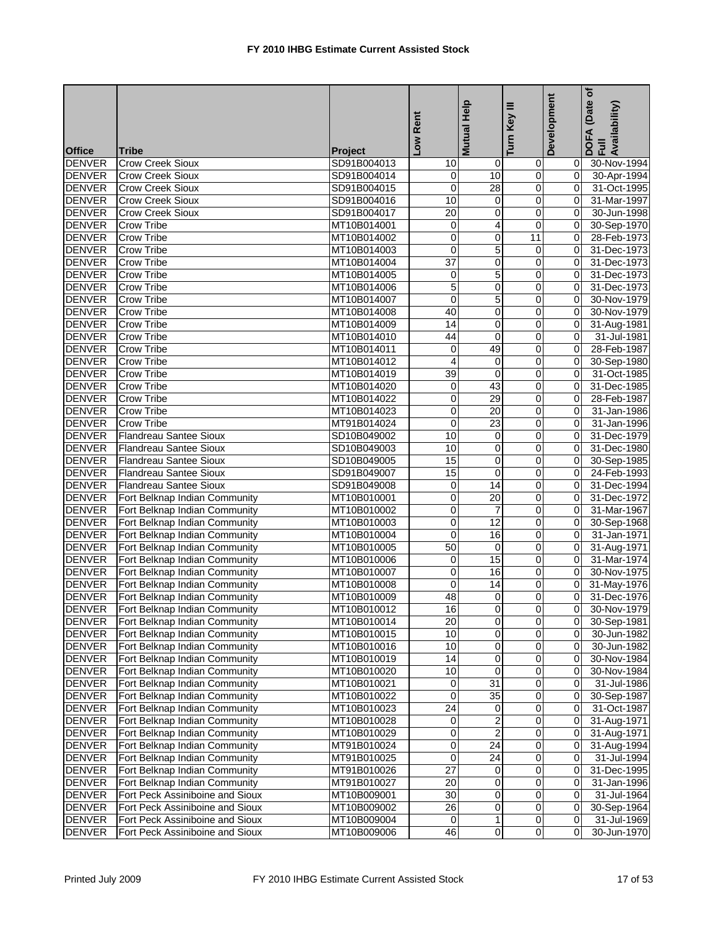|               |                                      |                | Rent            | Mutual Help             | Ξ<br>Key       | Development    | (Date of<br>DOFA (Date<br>Full<br>Availability) |
|---------------|--------------------------------------|----------------|-----------------|-------------------------|----------------|----------------|-------------------------------------------------|
| <b>Office</b> | Tribe                                | <b>Project</b> | Low             |                         | Turn           |                |                                                 |
| <b>DENVER</b> | Crow Creek Sioux                     | SD91B004013    | 10              | $\mathbf 0$             | $\overline{0}$ | 01             | 30-Nov-1994                                     |
| <b>DENVER</b> | <b>Crow Creek Sioux</b>              | SD91B004014    | 0               | 10                      | $\mathbf 0$    | $\mathbf{0}$   | 30-Apr-1994                                     |
| <b>DENVER</b> | Crow Creek Sioux                     | SD91B004015    | 0               | 28                      | 0              | 0I             | 31-Oct-1995                                     |
| <b>DENVER</b> | <b>Crow Creek Sioux</b>              | SD91B004016    | 10              | $\overline{\mathbf{0}}$ | 0              | $\mathbf{0}$   | 31-Mar-1997                                     |
| <b>DENVER</b> | Crow Creek Sioux                     | SD91B004017    | $\overline{20}$ | 0                       | 0              | 0              | 30-Jun-1998                                     |
| <b>DENVER</b> | Crow Tribe                           | MT10B014001    | 0               | 4                       | 0              | 0              | 30-Sep-1970                                     |
| <b>DENVER</b> | <b>Crow Tribe</b>                    | MT10B014002    | 0               | 0                       | 11             | $\mathbf{0}$   | 28-Feb-1973                                     |
| <b>DENVER</b> | <b>Crow Tribe</b>                    | MT10B014003    | 0               | 5                       | 0              | 0l             | 31-Dec-1973                                     |
| <b>DENVER</b> | <b>Crow Tribe</b>                    | MT10B014004    | 37              | 0                       | 0              | 01             | 31-Dec-1973                                     |
| <b>DENVER</b> | Crow Tribe                           | MT10B014005    | 0               | 5                       | 0              | 0              | 31-Dec-1973                                     |
| <b>DENVER</b> | Crow Tribe                           | MT10B014006    | 5               | 0                       | 0              | $\mathbf{0}$   | 31-Dec-1973                                     |
| <b>DENVER</b> | Crow Tribe                           | MT10B014007    | 0               | 5                       | $\mathbf 0$    | $\Omega$       | 30-Nov-1979                                     |
| <b>DENVER</b> | <b>Crow Tribe</b>                    | MT10B014008    | 40              | 0                       | 0              | $\Omega$       | 30-Nov-1979                                     |
| <b>DENVER</b> | Crow Tribe                           | MT10B014009    | 14              | 0                       | $\mathbf 0$    | 01             | 31-Aug-1981                                     |
| <b>DENVER</b> | Crow Tribe                           | MT10B014010    | 44              | 0                       | 0              | 0              | 31-Jul-1981                                     |
| <b>DENVER</b> | <b>Crow Tribe</b>                    | MT10B014011    | 0               | 49                      | $\mathbf 0$    | $\Omega$       | 28-Feb-1987                                     |
| <b>DENVER</b> | <b>Crow Tribe</b>                    | MT10B014012    | 4               | 0                       | 0              | $\mathbf{0}$   | 30-Sep-1980                                     |
| <b>DENVER</b> | <b>Crow Tribe</b>                    | MT10B014019    | 39              | 0                       | 0              | $\Omega$       | 31-Oct-1985                                     |
| <b>DENVER</b> | <b>Crow Tribe</b>                    | MT10B014020    | 0               | 43                      | $\pmb{0}$      | $\overline{0}$ | 31-Dec-1985                                     |
| <b>DENVER</b> | <b>Crow Tribe</b>                    | MT10B014022    | 0               | 29                      | $\mathbf 0$    | $\Omega$       | 28-Feb-1987                                     |
| <b>DENVER</b> | <b>Crow Tribe</b>                    | MT10B014023    | 0               | 20                      | 0              | $\Omega$       | 31-Jan-1986                                     |
| <b>DENVER</b> | <b>Crow Tribe</b>                    | MT91B014024    | 0               | 23                      | 0              | $\Omega$       | 31-Jan-1996                                     |
| <b>DENVER</b> | <b>Flandreau Santee Sioux</b>        | SD10B049002    | 10              | 0                       | ō              | 0              | 31-Dec-1979                                     |
| <b>DENVER</b> | <b>Flandreau Santee Sioux</b>        | SD10B049003    | 10              | 0                       | 0              | $\mathbf{0}$   | 31-Dec-1980                                     |
| <b>DENVER</b> | <b>Flandreau Santee Sioux</b>        | SD10B049005    | 15              | 0                       | 0              | $\overline{0}$ | 30-Sep-1985                                     |
| <b>DENVER</b> | <b>Flandreau Santee Sioux</b>        | SD91B049007    | 15              | 0                       | 0              | 0l             | 24-Feb-1993                                     |
| <b>DENVER</b> | Flandreau Santee Sioux               | SD91B049008    | 0               | 14                      | 0              | $\mathbf{0}$   | 31-Dec-1994                                     |
| <b>DENVER</b> | Fort Belknap Indian Community        | MT10B010001    | 0               | 20                      | 0              | $\overline{0}$ | 31-Dec-1972                                     |
| <b>DENVER</b> | Fort Belknap Indian Community        | MT10B010002    | 0               | $\overline{7}$          | 0              | $\mathbf{0}$   | 31-Mar-1967                                     |
| <b>DENVER</b> | Fort Belknap Indian Community        | MT10B010003    | 0               | $\overline{12}$         | 0              | 01             | 30-Sep-1968                                     |
| <b>DENVER</b> | Fort Belknap Indian Community        | MT10B010004    | 0               | 16                      | 0              | 0              | 31-Jan-1971                                     |
| <b>DENVER</b> | Fort Belknap Indian Community        | MT10B010005    | 50              | 0                       | 0              | 0I             | 31-Aug-1971                                     |
| <b>DENVER</b> | Fort Belknap Indian Community        | MT10B010006    | 0               | 15                      | 0              | 0l             | $\overline{31}$ -Mar-1974                       |
| <b>DENVER</b> | Fort Belknap Indian Community        | MT10B010007    | 0               | 16                      | 0              | 0I             | 30-Nov-1975                                     |
| <b>DENVER</b> | Fort Belknap Indian Community        | MT10B010008    | 0               | 14                      | 0              | 01             | 31-May-1976                                     |
| <b>DENVER</b> | Fort Belknap Indian Community        | MT10B010009    | 48              | 0                       | 0              | 0l             | 31-Dec-1976                                     |
|               | DENVER Fort Belknap Indian Community | MT10B010012    | 16              | $\overline{0}$          |                | $\overline{0}$ | 30-Nov-1979                                     |
| <b>DENVER</b> | Fort Belknap Indian Community        | MT10B010014    | 20              | $\pmb{0}$               | $\overline{0}$ | ΟI             | 30-Sep-1981                                     |
| <b>DENVER</b> | Fort Belknap Indian Community        | MT10B010015    | 10              | $\mathbf 0$             | 0              | 01             | 30-Jun-1982                                     |
| <b>DENVER</b> | Fort Belknap Indian Community        | MT10B010016    | 10              | $\pmb{0}$               | $\pmb{0}$      | 01             | 30-Jun-1982                                     |
| <b>DENVER</b> | Fort Belknap Indian Community        | MT10B010019    | 14              | 0                       | 0              | 01             | 30-Nov-1984                                     |
| <b>DENVER</b> | Fort Belknap Indian Community        | MT10B010020    | 10              | $\mathbf 0$             | $\mathbf 0$    | 01             | 30-Nov-1984                                     |
| <b>DENVER</b> | Fort Belknap Indian Community        | MT10B010021    | 0               | 31                      | 0              | 01             | 31-Jul-1986                                     |
| <b>DENVER</b> | Fort Belknap Indian Community        | MT10B010022    | 0               | $\overline{35}$         | $\mathbf 0$    | 01             | 30-Sep-1987                                     |
| <b>DENVER</b> | Fort Belknap Indian Community        | MT10B010023    | 24              | 0                       | 0              | 01             | 31-Oct-1987                                     |
| <b>DENVER</b> | Fort Belknap Indian Community        | MT10B010028    | 0               | 2                       | $\mathbf 0$    | 01             | 31-Aug-1971                                     |
| <b>DENVER</b> | Fort Belknap Indian Community        | MT10B010029    | 0               | $\overline{2}$          | 0              | 01             | 31-Aug-1971                                     |
| <b>DENVER</b> | Fort Belknap Indian Community        | MT91B010024    | 0               | 24                      | 0              | 01             | 31-Aug-1994                                     |
| <b>DENVER</b> | Fort Belknap Indian Community        | MT91B010025    | 0               | 24                      | 0              | 01             | 31-Jul-1994                                     |
| <b>DENVER</b> | Fort Belknap Indian Community        | MT91B010026    | $\overline{27}$ | 0                       | 0              | 01             | 31-Dec-1995                                     |
| <b>DENVER</b> | Fort Belknap Indian Community        | MT91B010027    | 20              | 0                       | 0              | 01             | 31-Jan-1996                                     |
| <b>DENVER</b> | Fort Peck Assiniboine and Sioux      | MT10B009001    | 30              | $\pmb{0}$               | $\pmb{0}$      | 0              | 31-Jul-1964                                     |
| <b>DENVER</b> | Fort Peck Assiniboine and Sioux      | MT10B009002    | 26              | $\pmb{0}$               | $\mathbf 0$    | 01             | 30-Sep-1964                                     |
| <b>DENVER</b> | Fort Peck Assiniboine and Sioux      | MT10B009004    | 0               | $\mathbf{1}$            | 0              | 01             | 31-Jul-1969                                     |
| <b>DENVER</b> | Fort Peck Assiniboine and Sioux      | MT10B009006    | 46              | $\overline{0}$          | $\overline{0}$ | 0              | 30-Jun-1970                                     |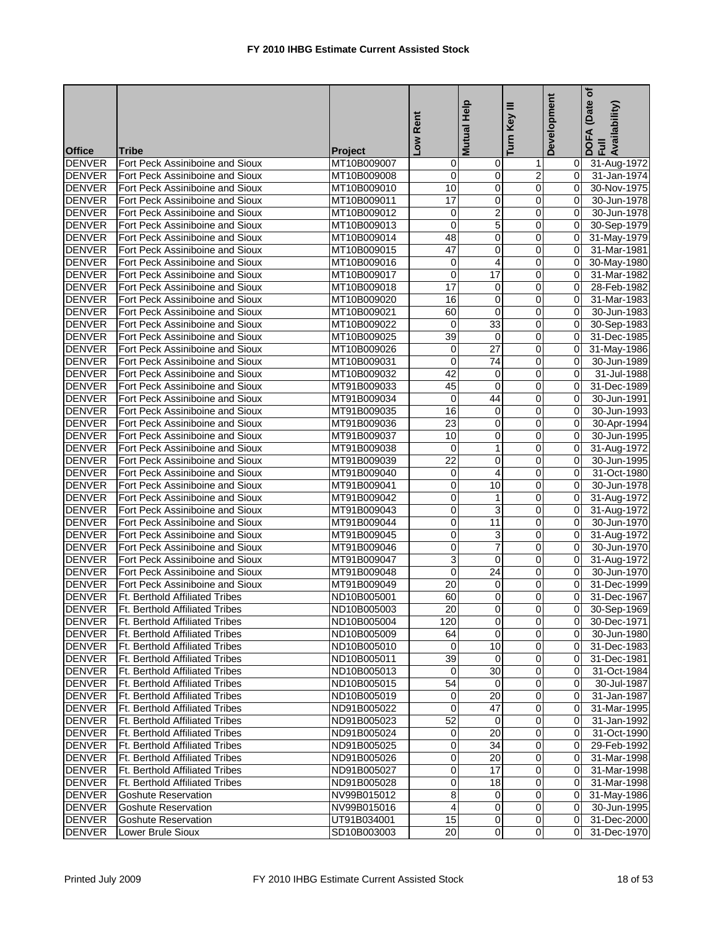|                                |                                                                         |                            | -ow Rent             | Help<br><b>Mutual</b>            | Ξ<br>Key                 | Development    | (Date of<br>DOFA (Date<br>Full<br>Availability) |
|--------------------------------|-------------------------------------------------------------------------|----------------------------|----------------------|----------------------------------|--------------------------|----------------|-------------------------------------------------|
| <b>Office</b>                  | <b>Tribe</b>                                                            | <b>Project</b>             |                      |                                  | Turn                     |                |                                                 |
| <b>DENVER</b>                  | Fort Peck Assiniboine and Sioux                                         | MT10B009007                | 0                    | $\mathbf 0$                      | 1                        | 01             | 31-Aug-1972                                     |
| <b>DENVER</b>                  | Fort Peck Assiniboine and Sioux                                         | MT10B009008                | 0                    | 0                                | 2                        | 01             | 31-Jan-1974                                     |
| <b>DENVER</b>                  | Fort Peck Assiniboine and Sioux                                         | MT10B009010                | 10                   | 0                                | 0                        | $\overline{0}$ | 30-Nov-1975                                     |
| <b>DENVER</b>                  | Fort Peck Assiniboine and Sioux                                         | MT10B009011                | $\overline{17}$      | 0                                | $\mathbf 0$              | $\Omega$       | 30-Jun-1978                                     |
| <b>DENVER</b>                  | Fort Peck Assiniboine and Sioux                                         | MT10B009012                | 0                    | 2                                | 0                        | $\overline{0}$ | 30-Jun-1978                                     |
| <b>DENVER</b>                  | Fort Peck Assiniboine and Sioux                                         | MT10B009013                | $\mathbf 0$          | 5                                | $\mathbf 0$              | $\Omega$       | 30-Sep-1979                                     |
| <b>DENVER</b>                  | Fort Peck Assiniboine and Sioux                                         | MT10B009014                | 48                   | $\overline{\mathbf{0}}$          | 0                        | $\overline{0}$ | 31-May-1979                                     |
| <b>DENVER</b>                  | Fort Peck Assiniboine and Sioux                                         | MT10B009015                | $\overline{47}$      | $\mathbf 0$                      | $\mathbf 0$              | $\Omega$       | 31-Mar-1981                                     |
| <b>DENVER</b>                  | Fort Peck Assiniboine and Sioux                                         | MT10B009016                | 0                    | 4                                | 0                        | 0l             | 30-May-1980                                     |
| <b>DENVER</b>                  | Fort Peck Assiniboine and Sioux                                         | MT10B009017                | 0                    | 17                               | $\mathbf 0$              | $\overline{0}$ | 31-Mar-1982                                     |
| <b>DENVER</b>                  | Fort Peck Assiniboine and Sioux                                         | MT10B009018                | 17                   | $\overline{\mathbf{0}}$          | 0                        | $\overline{0}$ | 28-Feb-1982                                     |
| <b>DENVER</b>                  | Fort Peck Assiniboine and Sioux                                         | MT10B009020                | 16                   | $\mathbf 0$                      | $\mathbf 0$              | $\Omega$       | 31-Mar-1983                                     |
| <b>DENVER</b>                  | Fort Peck Assiniboine and Sioux                                         | MT10B009021                | 60                   | 0                                | 0                        | $\Omega$       | 30-Jun-1983                                     |
| <b>DENVER</b>                  | Fort Peck Assiniboine and Sioux                                         | MT10B009022                | 0                    | $\overline{33}$                  | 0                        | $\overline{0}$ | 30-Sep-1983                                     |
| <b>DENVER</b>                  | Fort Peck Assiniboine and Sioux                                         | MT10B009025                | 39                   | $\mathbf 0$                      | $\mathbf 0$              | $\overline{0}$ | 31-Dec-1985                                     |
| <b>DENVER</b>                  | Fort Peck Assiniboine and Sioux                                         | MT10B009026                | 0                    | $\overline{27}$                  | 0                        | $\overline{0}$ | 31-May-1986                                     |
| <b>DENVER</b>                  | Fort Peck Assiniboine and Sioux                                         | MT10B009031                | 0                    | $\overline{74}$                  | 0                        | $\overline{0}$ | 30-Jun-1989                                     |
| <b>DENVER</b>                  | Fort Peck Assiniboine and Sioux                                         | MT10B009032                | 42                   | 0                                | 0                        | $\Omega$       | 31-Jul-1988                                     |
| <b>DENVER</b>                  | Fort Peck Assiniboine and Sioux                                         | MT91B009033                | 45                   | 0                                | 0                        | $\overline{0}$ | 31-Dec-1989                                     |
| <b>DENVER</b>                  | Fort Peck Assiniboine and Sioux                                         | MT91B009034                | $\mathbf 0$          | 44                               | 0                        | $\overline{0}$ | 30-Jun-1991                                     |
| <b>DENVER</b>                  | Fort Peck Assiniboine and Sioux                                         | MT91B009035                | 16                   | 0                                | 0                        | $\Omega$       | 30-Jun-1993                                     |
| <b>DENVER</b>                  | Fort Peck Assiniboine and Sioux                                         | MT91B009036                | 23                   | 0                                | 0                        | $\overline{0}$ | 30-Apr-1994                                     |
| <b>DENVER</b>                  | Fort Peck Assiniboine and Sioux                                         | MT91B009037                | 10                   | $\overline{\mathbf{0}}$          | ō                        | $\overline{0}$ | 30-Jun-1995                                     |
| <b>DENVER</b>                  | Fort Peck Assiniboine and Sioux                                         | MT91B009038                | 0                    | $\mathbf{1}$                     | 0                        | $\overline{0}$ | 31-Aug-1972                                     |
| <b>DENVER</b>                  | Fort Peck Assiniboine and Sioux                                         | MT91B009039                | 22                   | 0                                | 0                        | $\overline{0}$ | 30-Jun-1995                                     |
| <b>DENVER</b>                  | Fort Peck Assiniboine and Sioux                                         | MT91B009040                | 0                    | 4                                | 0                        | $\overline{0}$ | 31-Oct-1980                                     |
| <b>DENVER</b>                  | Fort Peck Assiniboine and Sioux                                         | MT91B009041                | 0                    | 10                               | 0                        | 0              | 30-Jun-1978                                     |
| <b>DENVER</b>                  | Fort Peck Assiniboine and Sioux                                         | MT91B009042                | 0                    | $\mathbf{1}$                     | 0                        | $\overline{0}$ | 31-Aug-1972                                     |
| <b>DENVER</b>                  | Fort Peck Assiniboine and Sioux                                         | MT91B009043                | 0                    | 3                                | $\mathbf 0$              | $\overline{0}$ | 31-Aug-1972                                     |
| <b>DENVER</b>                  | Fort Peck Assiniboine and Sioux                                         | MT91B009044                | 0                    | $\overline{11}$                  | 0                        | $\overline{0}$ | 30-Jun-1970                                     |
| <b>DENVER</b>                  | Fort Peck Assiniboine and Sioux                                         | MT91B009045                | 0                    | 3                                | $\mathbf 0$              | 0              | 31-Aug-1972                                     |
| <b>DENVER</b>                  | Fort Peck Assiniboine and Sioux                                         | MT91B009046                | 0                    | $\overline{7}$                   | 0                        | $\overline{0}$ | 30-Jun-1970                                     |
| <b>DENVER</b>                  | Fort Peck Assiniboine and Sioux                                         | MT91B009047                | 3                    | 0                                | $\mathbf 0$              | $\overline{0}$ | 31-Aug-1972                                     |
| <b>DENVER</b>                  | Fort Peck Assiniboine and Sioux                                         | MT91B009048                | 0                    | 24                               | 0                        | 0l             | 30-Jun-1970                                     |
| <b>DENVER</b>                  | Fort Peck Assiniboine and Sioux                                         | MT91B009049                | 20                   | 0                                | 0                        | $\Omega$       | 31-Dec-1999                                     |
| <b>DENVER</b>                  | Ft. Berthold Affiliated Tribes                                          | ND10B005001                | 60                   | $\overline{0}$                   | 0                        | $\overline{0}$ | 31-Dec-1967                                     |
| <b>DENVER</b>                  | Ft. Berthold Affiliated Tribes                                          | ND10B005003                | 20                   |                                  |                          |                | 0 30-Sep-1969                                   |
| <b>DENVER</b>                  | <b>Ft. Berthold Affiliated Tribes</b>                                   | ND10B005004                | 120                  | $\overline{\mathbf{0}}$          | $\overline{0}$           |                | 0 30-Dec-1971                                   |
| <b>DENVER</b>                  | <b>Ft. Berthold Affiliated Tribes</b>                                   | ND10B005009                | 64                   | $\mathbf 0$                      | 0                        | 0 I            | 30-Jun-1980                                     |
| <b>DENVER</b>                  | <b>Ft. Berthold Affiliated Tribes</b>                                   | ND10B005010                | $\overline{0}$       | 10                               | $\overline{0}$           |                | 0 31-Dec-1983                                   |
| <b>DENVER</b>                  | Ft. Berthold Affiliated Tribes                                          | ND10B005011                | 39                   | $\Omega$                         | 0                        | 01             | 31-Dec-1981                                     |
| <b>DENVER</b>                  | Ft. Berthold Affiliated Tribes                                          | ND10B005013                | 0                    | 30                               | 0                        | 01             | 31-Oct-1984                                     |
| <b>DENVER</b>                  | Ft. Berthold Affiliated Tribes                                          | ND10B005015                | 54                   | 0                                | 0                        |                | 30-Jul-1987                                     |
| <b>DENVER</b>                  | Ft. Berthold Affiliated Tribes                                          | ND10B005019                | 0                    | $\overline{20}$                  | $\mathbf 0$              | 01             | 31-Jan-1987                                     |
| <b>DENVER</b>                  | Ft. Berthold Affiliated Tribes                                          | ND91B005022                | 0                    | 47                               | 0                        | ΟI             |                                                 |
| <b>DENVER</b>                  | Ft. Berthold Affiliated Tribes                                          | ND91B005023                | 52                   | 0                                | 0                        | 01             | 31-Mar-1995<br>31-Jan-1992                      |
| <b>DENVER</b>                  | Ft. Berthold Affiliated Tribes                                          | ND91B005024                | $\overline{0}$       | 20                               | 0                        |                | 31-Oct-1990                                     |
| <b>DENVER</b>                  |                                                                         |                            |                      | 34                               | $\overline{0}$           |                |                                                 |
|                                | Ft. Berthold Affiliated Tribes<br><b>Ft. Berthold Affiliated Tribes</b> | ND91B005025                | 0                    |                                  |                          | 01             | 29-Feb-1992                                     |
| <b>DENVER</b>                  |                                                                         | ND91B005026                | 0                    | 20                               | $\pmb{0}$                | ΟI             | 31-Mar-1998                                     |
| <b>DENVER</b>                  | Ft. Berthold Affiliated Tribes<br>Ft. Berthold Affiliated Tribes        | ND91B005027                | 0                    | 17                               | 0                        | ΟI             | 31-Mar-1998                                     |
| <b>DENVER</b>                  |                                                                         | ND91B005028                | 0                    | 18                               | $\mathbf 0$              | 01             | 31-Mar-1998                                     |
| <b>DENVER</b>                  | <b>Goshute Reservation</b>                                              | NV99B015012                | 8                    | 0                                | $\mathbf 0$              | 01             | 31-May-1986                                     |
| <b>DENVER</b><br><b>DENVER</b> | <b>Goshute Reservation</b>                                              | NV99B015016<br>UT91B034001 | $\overline{4}$<br>15 | $\overline{0}$<br>$\overline{0}$ | $\pmb{0}$<br>$\mathbf 0$ | $\overline{0}$ | 30-Jun-1995                                     |
|                                | <b>Goshute Reservation</b>                                              |                            |                      | $\mathbf 0$                      | $\overline{0}$           | 01             | 31-Dec-2000                                     |
| <b>DENVER</b>                  | Lower Brule Sioux                                                       | SD10B003003                | 20                   |                                  |                          | 01             | 31-Dec-1970                                     |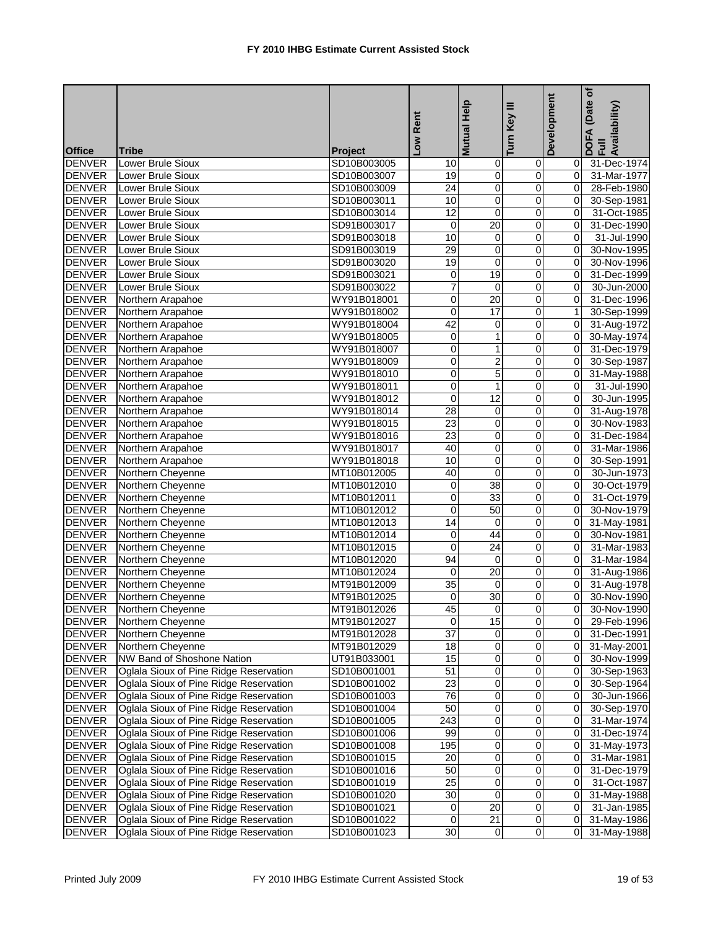|                                |                                                                                  |             | Low Rent        | Mutual Help             | Key III<br><b>Turn</b>   | Development    | (Date of<br>DOFA (Date <sub>)</sub><br>Full<br>Availability) |
|--------------------------------|----------------------------------------------------------------------------------|-------------|-----------------|-------------------------|--------------------------|----------------|--------------------------------------------------------------|
| <b>Office</b>                  | <b>Tribe</b>                                                                     | Project     |                 |                         |                          |                |                                                              |
| <b>DENVER</b>                  | <b>Lower Brule Sioux</b>                                                         | SD10B003005 | 10              | $\mathbf 0$             | 0                        | 01             | 31-Dec-1974                                                  |
| <b>DENVER</b>                  | Lower Brule Sioux                                                                | SD10B003007 | 19              | $\overline{0}$          | $\pmb{0}$                | $\overline{0}$ | 31-Mar-1977                                                  |
| <b>DENVER</b>                  | <b>Lower Brule Sioux</b>                                                         | SD10B003009 | $\overline{24}$ | 0                       | $\pmb{0}$                | $\overline{0}$ | 28-Feb-1980                                                  |
| <b>DENVER</b>                  | Lower Brule Sioux                                                                | SD10B003011 | 10              | $\overline{\mathbf{0}}$ | 0                        | $\overline{0}$ | 30-Sep-1981                                                  |
| <b>DENVER</b>                  | Lower Brule Sioux                                                                | SD10B003014 | $\overline{12}$ | 0                       | 0                        | $\mathbf{0}$   | 31-Oct-1985                                                  |
| <b>DENVER</b>                  | Lower Brule Sioux                                                                | SD91B003017 | 0               | 20                      | 0                        | $\mathbf{0}$   | 31-Dec-1990                                                  |
| <b>DENVER</b>                  | Lower Brule Sioux                                                                | SD91B003018 | 10              | 0                       | $\pmb{0}$                | $\mathbf{0}$   | 31-Jul-1990                                                  |
| <b>DENVER</b>                  | Lower Brule Sioux                                                                | SD91B003019 | 29              | 0                       | 0                        | $\overline{0}$ | 30-Nov-1995                                                  |
| <b>DENVER</b>                  | Lower Brule Sioux                                                                | SD91B003020 | 19              | 0                       | 0                        | $\overline{0}$ | 30-Nov-1996                                                  |
| <b>DENVER</b>                  | Lower Brule Sioux                                                                | SD91B003021 | 0               | 19                      | 0                        | $\overline{0}$ | 31-Dec-1999                                                  |
| <b>DENVER</b>                  | Lower Brule Sioux                                                                | SD91B003022 | 7               | 0                       | $\overline{0}$           | $\overline{0}$ | 30-Jun-2000                                                  |
| <b>DENVER</b>                  | Northern Arapahoe                                                                | WY91B018001 | 0               | $\overline{20}$         | $\mathbf 0$              | $\overline{0}$ | 31-Dec-1996                                                  |
| <b>DENVER</b>                  | Northern Arapahoe                                                                | WY91B018002 | 0               | 17                      | 0                        | 1              | 30-Sep-1999                                                  |
| <b>DENVER</b>                  | Northern Arapahoe                                                                | WY91B018004 | 42              | 0                       | 0                        | $\overline{0}$ | 31-Aug-1972                                                  |
| <b>DENVER</b>                  | Northern Arapahoe                                                                | WY91B018005 | 0               | $\mathbf{1}$            | $\mathbf 0$              | $\overline{0}$ | 30-May-1974                                                  |
| <b>DENVER</b>                  | Northern Arapahoe                                                                | WY91B018007 | 0               | $\mathbf{1}$            | $\mathbf 0$              | $\overline{0}$ | 31-Dec-1979                                                  |
| <b>DENVER</b>                  | Northern Arapahoe                                                                | WY91B018009 | 0               | $\overline{2}$          | 0                        | $\overline{0}$ | 30-Sep-1987                                                  |
| <b>DENVER</b>                  | Northern Arapahoe                                                                | WY91B018010 | 0               | 5                       | $\mathbf 0$              | $\overline{0}$ | 31-May-1988                                                  |
| <b>DENVER</b>                  | Northern Arapahoe                                                                | WY91B018011 | 0               | $\mathbf{1}$            | $\overline{0}$           | $\overline{0}$ | 31-Jul-1990                                                  |
| <b>DENVER</b>                  | Northern Arapahoe                                                                | WY91B018012 | $\overline{0}$  | 12                      | $\mathbf 0$              | $\Omega$       | 30-Jun-1995                                                  |
| <b>DENVER</b>                  | Northern Arapahoe                                                                | WY91B018014 | 28              | 0                       | $\mathbf 0$              | $\overline{0}$ | 31-Aug-1978                                                  |
| <b>DENVER</b>                  | Northern Arapahoe                                                                | WY91B018015 | 23              | 0                       | $\mathbf 0$              | $\overline{0}$ | 30-Nov-1983                                                  |
| <b>DENVER</b>                  | Northern Arapahoe                                                                | WY91B018016 | 23              | $\overline{0}$          | $\overline{0}$           | $\overline{0}$ | 31-Dec-1984                                                  |
| <b>DENVER</b>                  | Northern Arapahoe                                                                | WY91B018017 | 40              | 0                       | $\pmb{0}$                | $\overline{0}$ | 31-Mar-1986                                                  |
| <b>DENVER</b>                  | Northern Arapahoe                                                                | WY91B018018 | 10              | 0                       | 0                        | $\overline{0}$ | 30-Sep-1991                                                  |
| <b>DENVER</b>                  | Northern Cheyenne                                                                | MT10B012005 | 40              | 0                       | 0                        | $\overline{0}$ | 30-Jun-1973                                                  |
| <b>DENVER</b>                  | Northern Cheyenne                                                                | MT10B012010 | 0               | 38                      | 0                        | $\overline{0}$ | 30-Oct-1979                                                  |
| <b>DENVER</b>                  | Northern Cheyenne                                                                | MT10B012011 | 0               | 33                      | $\pmb{0}$                | $\overline{0}$ | 31-Oct-1979                                                  |
| <b>DENVER</b>                  | Northern Cheyenne                                                                | MT10B012012 | 0               | 50                      | 0                        | $\overline{0}$ | 30-Nov-1979                                                  |
| <b>DENVER</b>                  | Northern Cheyenne                                                                | MT10B012013 | 14              | 0                       | 0                        | 0              | 31-May-1981                                                  |
| <b>DENVER</b>                  | Northern Cheyenne                                                                | MT10B012014 | 0               | 44                      | 0                        | 0              | 30-Nov-1981                                                  |
| <b>DENVER</b>                  | Northern Cheyenne                                                                | MT10B012015 | $\mathbf 0$     | $\overline{24}$         | 0                        | $\overline{0}$ | 31-Mar-1983                                                  |
| <b>DENVER</b>                  | Northern Cheyenne                                                                | MT10B012020 | 94              | 0                       | 0                        | $\overline{0}$ | 31-Mar-1984                                                  |
| <b>DENVER</b>                  | Northern Cheyenne                                                                | MT10B012024 | 0               | 20                      | 0                        | 0l             | 31-Aug-1986                                                  |
| <b>DENVER</b>                  | Northern Cheyenne                                                                | MT91B012009 | 35              | 0                       | 0                        | $\overline{0}$ | 31-Aug-1978                                                  |
| <b>DENVER</b>                  | Northern Cheyenne                                                                | MT91B012025 | $\mathbf 0$     | 30                      | 0                        | $\overline{0}$ | 30-Nov-1990                                                  |
| <b>DENVER</b>                  | Northern Cheyenne                                                                | MT91B012026 | 45              | $\overline{0}$          |                          | $\overline{0}$ | 30-Nov-1990                                                  |
| <b>DENVER</b>                  | Northern Cheyenne                                                                | MT91B012027 | $\overline{0}$  | 15                      | 0                        | 01             | $\overline{29}$ -Feb-1996                                    |
| <b>DENVER</b>                  | Northern Cheyenne                                                                | MT91B012028 | 37              | 0                       | 0                        | 01             | 31-Dec-1991                                                  |
| <b>DENVER</b>                  | Northern Cheyenne                                                                | MT91B012029 | 18              | $\overline{\mathbf{0}}$ | $\pmb{0}$                | $\overline{0}$ | 31-May-2001                                                  |
| <b>DENVER</b>                  | NW Band of Shoshone Nation                                                       | UT91B033001 | 15              | 0                       | 0                        | 01             | 30-Nov-1999                                                  |
| <b>DENVER</b>                  | Oglala Sioux of Pine Ridge Reservation                                           | SD10B001001 | 51              | $\overline{0}$          | $\overline{\mathbf{0}}$  | 01             | 30-Sep-1963                                                  |
| <b>DENVER</b>                  | Oglala Sioux of Pine Ridge Reservation                                           | SD10B001002 | 23              | 0                       | 0                        | 01             | 30-Sep-1964                                                  |
| <b>DENVER</b>                  | Oglala Sioux of Pine Ridge Reservation                                           | SD10B001003 | 76              | $\overline{\mathbf{0}}$ | $\pmb{0}$                | 01             | 30-Jun-1966                                                  |
| <b>DENVER</b>                  | Oglala Sioux of Pine Ridge Reservation                                           | SD10B001004 | 50              | 0                       | 0                        | 01             | 30-Sep-1970                                                  |
| <b>DENVER</b>                  | Oglala Sioux of Pine Ridge Reservation                                           | SD10B001005 | 243             | $\pmb{0}$               | $\pmb{0}$                | 01             | 31-Mar-1974                                                  |
| <b>DENVER</b>                  | Oglala Sioux of Pine Ridge Reservation                                           | SD10B001006 | 99              | $\mathbf 0$             | 0                        | 01             | 31-Dec-1974                                                  |
| <b>DENVER</b>                  | Oglala Sioux of Pine Ridge Reservation                                           |             | 195             | $\overline{0}$          | $\overline{\mathsf{o}}$  | 01             |                                                              |
| <b>DENVER</b>                  | Oglala Sioux of Pine Ridge Reservation                                           | SD10B001008 | 20              | $\pmb{0}$               | 0                        |                | 31-May-1973                                                  |
| <b>DENVER</b>                  | Oglala Sioux of Pine Ridge Reservation                                           | SD10B001015 | 50              | $\overline{0}$          |                          | 01<br>0I       | 31-Mar-1981                                                  |
|                                | Oglala Sioux of Pine Ridge Reservation                                           | SD10B001016 | 25              | $\mathbf 0$             | 0                        |                | 31-Dec-1979                                                  |
| <b>DENVER</b>                  |                                                                                  | SD10B001019 |                 |                         | 0                        | 01             | 31-Oct-1987                                                  |
| <b>DENVER</b>                  | Oglala Sioux of Pine Ridge Reservation                                           | SD10B001020 | $\overline{30}$ | $\pmb{0}$               | $\pmb{0}$                | 01             | 31-May-1988                                                  |
| <b>DENVER</b><br><b>DENVER</b> | Oglala Sioux of Pine Ridge Reservation<br>Oglala Sioux of Pine Ridge Reservation | SD10B001021 | 0<br>0          | 20                      | $\pmb{0}$<br>$\mathbf 0$ | 01             | 31-Jan-1985                                                  |
|                                |                                                                                  | SD10B001022 |                 | 21<br>$\overline{0}$    |                          | 01             | 31-May-1986                                                  |
| <b>DENVER</b>                  | Oglala Sioux of Pine Ridge Reservation                                           | SD10B001023 | 30              |                         | $\overline{0}$           | 01             | 31-May-1988                                                  |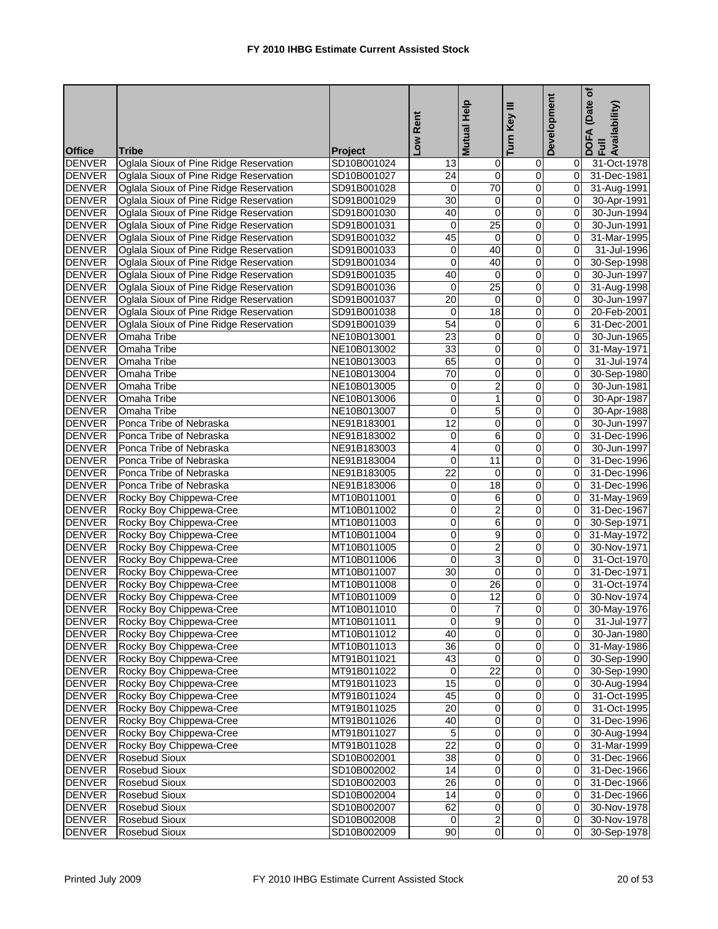|               |                                        |                | Rent<br><b>NOT</b> | Help<br><b>Mutual</b>   | Turn Key III            | Development    | (Date of<br>Availability)<br>$\blacktriangleleft$<br>이<br>이 드 |
|---------------|----------------------------------------|----------------|--------------------|-------------------------|-------------------------|----------------|---------------------------------------------------------------|
| <b>Office</b> | <b>Tribe</b>                           | <b>Project</b> |                    |                         |                         |                |                                                               |
| <b>DENVER</b> | Oglala Sioux of Pine Ridge Reservation | SD10B001024    | 13                 | $\mathbf 0$             | 0                       | 01             | 31-Oct-1978                                                   |
| <b>DENVER</b> | Oglala Sioux of Pine Ridge Reservation | SD10B001027    | 24                 | 0                       | 0                       | $\Omega$       | 31-Dec-1981                                                   |
| <b>DENVER</b> | Oglala Sioux of Pine Ridge Reservation | SD91B001028    | $\mathbf{0}$       | 70                      | $\pmb{0}$               | $\overline{0}$ | 31-Aug-1991                                                   |
| <b>DENVER</b> | Oglala Sioux of Pine Ridge Reservation | SD91B001029    | 30                 | 0                       | 0                       | Οl             | 30-Apr-1991                                                   |
| <b>DENVER</b> | Oglala Sioux of Pine Ridge Reservation | SD91B001030    | 40                 | 0                       | 0                       | $\overline{0}$ | 30-Jun-1994                                                   |
| <b>DENVER</b> | Oglala Sioux of Pine Ridge Reservation | SD91B001031    | $\mathbf 0$        | $\overline{25}$         | 0                       | $\Omega$       | 30-Jun-1991                                                   |
| <b>DENVER</b> | Oglala Sioux of Pine Ridge Reservation | SD91B001032    | 45                 | $\mathbf 0$             | $\overline{\mathbf{0}}$ | $\overline{0}$ | 31-Mar-1995                                                   |
| <b>DENVER</b> | Oglala Sioux of Pine Ridge Reservation | SD91B001033    | 0                  | 40                      | $\mathbf 0$             | $\Omega$       | 31-Jul-1996                                                   |
| <b>DENVER</b> | Oglala Sioux of Pine Ridge Reservation | SD91B001034    | 0                  | 40                      | 0                       | $\mathbf{0}$   | 30-Sep-1998                                                   |
| <b>DENVER</b> | Oglala Sioux of Pine Ridge Reservation | SD91B001035    | 40                 | 0                       | 0                       | $\Omega$       | 30-Jun-1997                                                   |
| <b>DENVER</b> | Oglala Sioux of Pine Ridge Reservation | SD91B001036    | $\overline{0}$     | $\overline{25}$         | 0                       | $\overline{0}$ | 31-Aug-1998                                                   |
| <b>DENVER</b> | Oglala Sioux of Pine Ridge Reservation | SD91B001037    | 20                 | $\mathbf 0$             | $\mathbf 0$             | $\Omega$       | 30-Jun-1997                                                   |
| <b>DENVER</b> | Oglala Sioux of Pine Ridge Reservation | SD91B001038    | 0                  | 18                      | 0                       | $\overline{0}$ | 20-Feb-2001                                                   |
| <b>DENVER</b> | Oglala Sioux of Pine Ridge Reservation | SD91B001039    | 54                 | 0                       | 0                       | 6              | 31-Dec-2001                                                   |
| <b>DENVER</b> | Omaha Tribe                            | NE10B013001    | 23                 | 0                       | 0                       | $\overline{0}$ | 30-Jun-1965                                                   |
| <b>DENVER</b> | Omaha Tribe                            | NE10B013002    | 33                 | 0                       | 0                       | Οl             | 31-May-1971                                                   |
| <b>DENVER</b> | Omaha Tribe                            | NE10B013003    | 65                 | $\overline{\mathbf{0}}$ | 0                       | ΟI             | 31-Jul-1974                                                   |
| <b>DENVER</b> | Omaha Tribe                            | NE10B013004    | 70                 | 0                       | 0                       | $\mathbf{0}$   | 30-Sep-1980                                                   |
| <b>DENVER</b> | Omaha Tribe                            | NE10B013005    | 0                  | $\overline{2}$          | $\pmb{0}$               | $\mathbf{0}$   | 30-Jun-1981                                                   |
| <b>DENVER</b> | Omaha Tribe                            | NE10B013006    | 0                  | $\mathbf{1}$            | $\pmb{0}$               | $\overline{0}$ | 30-Apr-1987                                                   |
| <b>DENVER</b> | Omaha Tribe                            | NE10B013007    | 0                  | 5                       | 0                       | $\overline{0}$ | 30-Apr-1988                                                   |
| <b>DENVER</b> | Ponca Tribe of Nebraska                | NE91B183001    | 12                 | 0                       | 0                       | $\mathbf{0}$   | 30-Jun-1997                                                   |
| <b>DENVER</b> | Ponca Tribe of Nebraska                | NE91B183002    | 0                  | 6                       | $\mathbf 0$             | $\overline{0}$ | 31-Dec-1996                                                   |
| <b>DENVER</b> | Ponca Tribe of Nebraska                | NE91B183003    | 4                  | 0                       | $\mathbf 0$             | $\mathbf{0}$   | 30-Jun-1997                                                   |
| <b>DENVER</b> | Ponca Tribe of Nebraska                | NE91B183004    | 0                  | 11                      | $\mathbf 0$             | $\Omega$       | 31-Dec-1996                                                   |
| <b>DENVER</b> | Ponca Tribe of Nebraska                | NE91B183005    | 22                 | 0                       | 0                       | $\mathbf{0}$   | 31-Dec-1996                                                   |
| <b>DENVER</b> | Ponca Tribe of Nebraska                | NE91B183006    | 0                  | 18                      | 0                       | $\mathbf{0}$   | 31-Dec-1996                                                   |
| <b>DENVER</b> | Rocky Boy Chippewa-Cree                | MT10B011001    | 0                  | 6                       | 0                       | Οl             | 31-May-1969                                                   |
| <b>DENVER</b> | Rocky Boy Chippewa-Cree                | MT10B011002    | 0                  | $\overline{2}$          | $\mathbf 0$             | $\mathbf{0}$   | 31-Dec-1967                                                   |
| <b>DENVER</b> | Rocky Boy Chippewa-Cree                | MT10B011003    | 0                  | 6                       | 0                       | $\Omega$       | 30-Sep-1971                                                   |
| <b>DENVER</b> | Rocky Boy Chippewa-Cree                | MT10B011004    | 0                  | 9                       | 0                       | $\mathbf{0}$   | 31-May-1972                                                   |
| <b>DENVER</b> | Rocky Boy Chippewa-Cree                | MT10B011005    | 0                  | $\overline{2}$          | 0                       | $\overline{0}$ | 30-Nov-1971                                                   |
| <b>DENVER</b> | Rocky Boy Chippewa-Cree                | MT10B011006    | 0                  | $\overline{3}$          | $\mathbf 0$             | $\mathbf{0}$   | 31-Oct-1970                                                   |
| <b>DENVER</b> | Rocky Boy Chippewa-Cree                | MT10B011007    | 30                 | 0                       | 0                       | 0I             | 31-Dec-1971                                                   |
| <b>DENVER</b> | Rocky Boy Chippewa-Cree                | MT10B011008    | 0                  | 26                      | 0                       | $\Omega$       | 31-Oct-1974                                                   |
| <b>DENVER</b> | Rocky Boy Chippewa-Cree                | MT10B011009    | 0                  | 12                      | $\overline{0}$          | $\overline{0}$ | 30-Nov-1974                                                   |
| <b>DENVER</b> | Rocky Boy Chippewa-Cree                | MT10B011010    | $\overline{0}$     | 7                       | o                       |                | 0 30-May-1976                                                 |
| <b>DENVER</b> | Rocky Boy Chippewa-Cree                | MT10B011011    | 0                  | 9                       | 0                       | 01             | 31-Jul-1977                                                   |
| <b>DENVER</b> | Rocky Boy Chippewa-Cree                | MT10B011012    | 40                 | $\mathbf 0$             | 0                       |                | 30-Jan-1980                                                   |
| <b>DENVER</b> | Rocky Boy Chippewa-Cree                | MT10B011013    | $\overline{36}$    | $\pmb{0}$               | $\overline{0}$          |                | 0 31-May-1986                                                 |
| <b>DENVER</b> | Rocky Boy Chippewa-Cree                | MT91B011021    | 43                 | 0                       | 0                       | 0I             | 30-Sep-1990                                                   |
| <b>DENVER</b> | Rocky Boy Chippewa-Cree                | MT91B011022    | 0                  | $\overline{22}$         | 0                       | 01             | 30-Sep-1990                                                   |
| <b>DENVER</b> | Rocky Boy Chippewa-Cree                | MT91B011023    | 15                 | $\mathbf 0$             | $\pmb{0}$               | 01             | 30-Aug-1994                                                   |
| <b>DENVER</b> | Rocky Boy Chippewa-Cree                | MT91B011024    | 45                 | $\pmb{0}$               | $\pmb{0}$               | 01             | 31-Oct-1995                                                   |
| <b>DENVER</b> | Rocky Boy Chippewa-Cree                | MT91B011025    | 20                 | $\pmb{0}$               | $\overline{O}$          | 01             | 31-Oct-1995                                                   |
| <b>DENVER</b> | Rocky Boy Chippewa-Cree                | MT91B011026    | 40                 | $\pmb{0}$               | 0                       | 01             | 31-Dec-1996                                                   |
| <b>DENVER</b> | Rocky Boy Chippewa-Cree                | MT91B011027    | 5                  | $\mathbf 0$             | 0                       | 01             | 30-Aug-1994                                                   |
| <b>DENVER</b> | Rocky Boy Chippewa-Cree                | MT91B011028    | $\overline{22}$    | $\mathbf 0$             | 0                       | 01             | 31-Mar-1999                                                   |
|               |                                        |                |                    |                         | $\overline{0}$          |                |                                                               |
| <b>DENVER</b> | Rosebud Sioux                          | SD10B002001    | 38                 | $\pmb{0}$               |                         | 01             | 31-Dec-1966                                                   |
| <b>DENVER</b> | <b>Rosebud Sioux</b>                   | SD10B002002    | 14                 | 0                       | 0                       | 01             | 31-Dec-1966                                                   |
| <b>DENVER</b> | Rosebud Sioux                          | SD10B002003    | 26                 | $\pmb{0}$               | 0                       | 01             | 31-Dec-1966                                                   |
| <b>DENVER</b> | <b>Rosebud Sioux</b>                   | SD10B002004    | 14                 | $\pmb{0}$               | 0                       | 01             | 31-Dec-1966                                                   |
| <b>DENVER</b> | <b>Rosebud Sioux</b>                   | SD10B002007    | 62                 | $\pmb{0}$               | $\overline{O}$          | 01             | 30-Nov-1978                                                   |
| <b>DENVER</b> | <b>Rosebud Sioux</b>                   | SD10B002008    | $\mathbf{0}$       | $\overline{2}$          | 0                       | 0I             | 30-Nov-1978                                                   |
| <b>DENVER</b> | Rosebud Sioux                          | SD10B002009    | 90                 | $\overline{0}$          | $\overline{0}$          | $\overline{0}$ | 30-Sep-1978                                                   |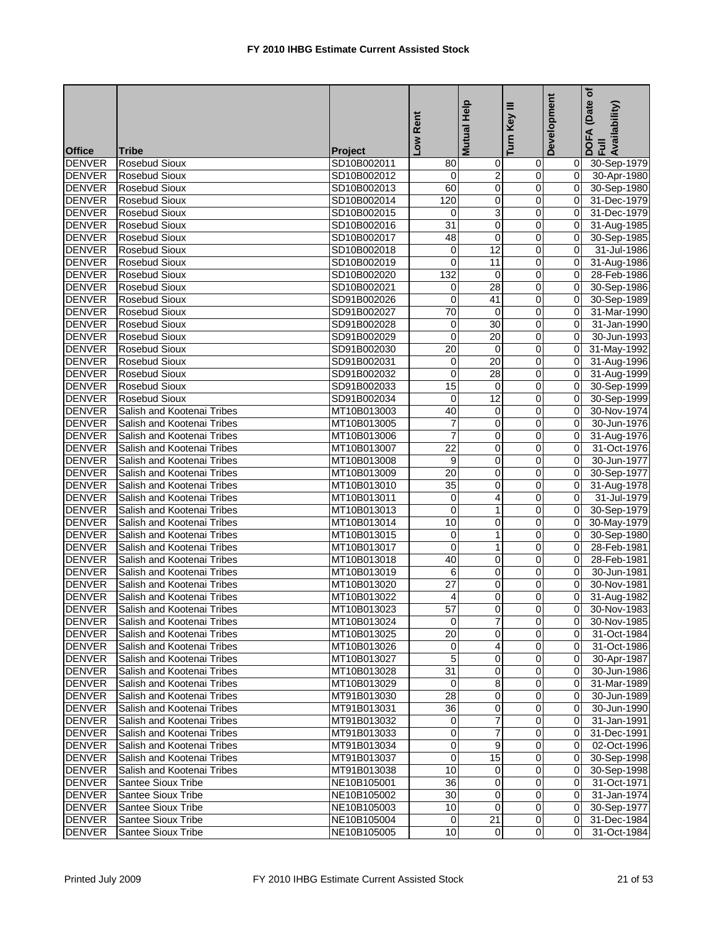|               |                                                          |             | Rent                    | Mutual Help             | Ξ<br>Key       | Development    | (Date of<br>DOFA (Date<br>Full<br>Availability) |
|---------------|----------------------------------------------------------|-------------|-------------------------|-------------------------|----------------|----------------|-------------------------------------------------|
| <b>Office</b> | <b>Tribe</b>                                             | Project     | $\overline{\mathsf{S}}$ |                         | Turn           |                |                                                 |
| <b>DENVER</b> | <b>Rosebud Sioux</b>                                     | SD10B002011 | 80                      | $\pmb{0}$               | $\overline{0}$ | 01             | 30-Sep-1979                                     |
| <b>DENVER</b> | <b>Rosebud Sioux</b>                                     | SD10B002012 | 0                       | $\overline{2}$          | $\mathbf 0$    | Οl             | 30-Apr-1980                                     |
| <b>DENVER</b> | <b>Rosebud Sioux</b>                                     | SD10B002013 | 60                      | 0                       | 0              | $\overline{0}$ | 30-Sep-1980                                     |
| <b>DENVER</b> | <b>Rosebud Sioux</b>                                     | SD10B002014 | 120                     | $\overline{\mathbf{0}}$ | 0              | Οl             | 31-Dec-1979                                     |
| <b>DENVER</b> | <b>Rosebud Sioux</b>                                     | SD10B002015 | 0                       | 3                       | 0              | $\overline{0}$ | 31-Dec-1979                                     |
| <b>DENVER</b> | <b>Rosebud Sioux</b>                                     | SD10B002016 | 31                      | 0                       | 0              | 0              | 31-Aug-1985                                     |
| <b>DENVER</b> | <b>Rosebud Sioux</b>                                     | SD10B002017 | 48                      | 0                       | $\pmb{0}$      | Οl             | 30-Sep-1985                                     |
| <b>DENVER</b> | <b>Rosebud Sioux</b>                                     | SD10B002018 | $\mathbf 0$             | 12                      | 0              | ΟI             | 31-Jul-1986                                     |
| <b>DENVER</b> | <b>Rosebud Sioux</b>                                     | SD10B002019 | 0                       | 11                      | 0              | Οl             | 31-Aug-1986                                     |
| <b>DENVER</b> | <b>Rosebud Sioux</b>                                     | SD10B002020 | 132                     | 0                       | 0              | Οl             | 28-Feb-1986                                     |
| <b>DENVER</b> | <b>Rosebud Sioux</b>                                     | SD10B002021 | 0                       | 28                      | 0              | $\overline{0}$ | 30-Sep-1986                                     |
| <b>DENVER</b> | <b>Rosebud Sioux</b>                                     | SD91B002026 | 0                       | 41                      | $\mathbf 0$    | $\overline{0}$ | 30-Sep-1989                                     |
| <b>DENVER</b> | <b>Rosebud Sioux</b>                                     | SD91B002027 | 70                      | 0                       | 0              | $\overline{0}$ | 31-Mar-1990                                     |
| <b>DENVER</b> | <b>Rosebud Sioux</b>                                     | SD91B002028 | 0                       | 30                      | 0              | $\overline{0}$ | 31-Jan-1990                                     |
| <b>DENVER</b> | <b>Rosebud Sioux</b>                                     | SD91B002029 | 0                       | 20                      | 0              | $\overline{0}$ | 30-Jun-1993                                     |
| <b>DENVER</b> | <b>Rosebud Sioux</b>                                     | SD91B002030 | 20                      | 0                       | $\mathbf 0$    | Οl             | 31-May-1992                                     |
| <b>DENVER</b> | <b>Rosebud Sioux</b>                                     | SD91B002031 | 0                       | $\overline{20}$         | 0              | Οl             | 31-Aug-1996                                     |
| <b>DENVER</b> | <b>Rosebud Sioux</b>                                     | SD91B002032 | $\mathbf 0$             | 28                      | 0              | $\overline{0}$ | 31-Aug-1999                                     |
| <b>DENVER</b> | <b>Rosebud Sioux</b>                                     | SD91B002033 | $\overline{15}$         | $\pmb{0}$               | $\pmb{0}$      | $\overline{0}$ | 30-Sep-1999                                     |
| <b>DENVER</b> | <b>Rosebud Sioux</b>                                     | SD91B002034 | 0                       | 12                      | $\mathbf 0$    | $\overline{0}$ | 30-Sep-1999                                     |
| <b>DENVER</b> | Salish and Kootenai Tribes                               | MT10B013003 | 40                      | 0                       | $\mathbf 0$    | $\overline{0}$ | 30-Nov-1974                                     |
| <b>DENVER</b> | Salish and Kootenai Tribes                               | MT10B013005 | 7                       | 0                       | 0              | $\Omega$       | 30-Jun-1976                                     |
| <b>DENVER</b> | Salish and Kootenai Tribes                               | MT10B013006 | 7                       | Ō                       | $\overline{0}$ | $\overline{0}$ | 31-Aug-1976                                     |
| <b>DENVER</b> | Salish and Kootenai Tribes                               | MT10B013007 | $\overline{22}$         | 0                       | $\pmb{0}$      | $\overline{0}$ |                                                 |
| <b>DENVER</b> | Salish and Kootenai Tribes                               | MT10B013008 | 9                       | 0                       | 0              | $\Omega$       | 31-Oct-1976<br>30-Jun-1977                      |
| <b>DENVER</b> |                                                          |             | 20                      | 0                       |                | $\overline{0}$ |                                                 |
| <b>DENVER</b> | Salish and Kootenai Tribes<br>Salish and Kootenai Tribes | MT10B013009 | 35                      | 0                       | 0<br>0         | Οl             | 30-Sep-1977                                     |
| <b>DENVER</b> |                                                          | MT10B013010 |                         | 4                       |                | ΟI             | 31-Aug-1978                                     |
| <b>DENVER</b> | Salish and Kootenai Tribes                               | MT10B013011 | 0                       |                         | 0              |                | 31-Jul-1979                                     |
|               | Salish and Kootenai Tribes                               | MT10B013013 | 0                       | 1                       | 0              | $\overline{0}$ | 30-Sep-1979                                     |
| <b>DENVER</b> | Salish and Kootenai Tribes                               | MT10B013014 | 10                      | 0                       | 0              | Οl             | 30-May-1979                                     |
| <b>DENVER</b> | Salish and Kootenai Tribes                               | MT10B013015 | 0                       | 1                       | 0              | 0              | 30-Sep-1980                                     |
| <b>DENVER</b> | Salish and Kootenai Tribes                               | MT10B013017 | 0                       | $\mathbf{1}$            | 0              | Οl             | 28-Feb-1981                                     |
| <b>DENVER</b> | Salish and Kootenai Tribes                               | MT10B013018 | 40                      | 0                       | 0              | $\overline{0}$ | 28-Feb-1981                                     |
| <b>DENVER</b> | Salish and Kootenai Tribes                               | MT10B013019 | 6                       | 0                       | 0              | Οl             | 30-Jun-1981                                     |
| <b>DENVER</b> | Salish and Kootenai Tribes                               | MT10B013020 | 27                      | 0                       | 0              | $\Omega$       | 30-Nov-1981                                     |
| <b>DENVER</b> | Salish and Kootenai Tribes                               | MT10B013022 | 4                       | Ō                       | 0              | $\overline{0}$ | 31-Aug-1982                                     |
| <b>DENVER</b> | Salish and Kootenai Tribes                               | MT10B013023 | 57                      | $\overline{0}$          |                | $\overline{0}$ | 30-Nov-1983                                     |
| <b>DENVER</b> | Salish and Kootenai Tribes                               | MT10B013024 | $\Omega$                | $\overline{7}$          | $\overline{0}$ |                | 0 30-Nov-1985                                   |
| <b>DENVER</b> | Salish and Kootenai Tribes                               | MT10B013025 | 20                      | 0                       | 0              | 01             | 31-Oct-1984                                     |
| <b>DENVER</b> | Salish and Kootenai Tribes                               | MT10B013026 | $\mathbf 0$             | $\overline{4}$          | $\mathbf 0$    | 01             | 31-Oct-1986                                     |
| <b>DENVER</b> | Salish and Kootenai Tribes                               | MT10B013027 | 5                       | 0                       | 0              | ΟI             | 30-Apr-1987                                     |
| <b>DENVER</b> | Salish and Kootenai Tribes                               | MT10B013028 | 31                      | $\mathbf 0$             | $\mathbf 0$    | ΟI             | 30-Jun-1986                                     |
| <b>DENVER</b> | Salish and Kootenai Tribes                               | MT10B013029 | 0                       | 8                       | 0              | 01             | 31-Mar-1989                                     |
| <b>DENVER</b> | Salish and Kootenai Tribes                               | MT91B013030 | 28                      | $\mathbf 0$             | $\mathbf 0$    | $\overline{O}$ | 30-Jun-1989                                     |
| <b>DENVER</b> | Salish and Kootenai Tribes                               | MT91B013031 | 36                      | 0                       | 0              | $\overline{O}$ | 30-Jun-1990                                     |
| <b>DENVER</b> | Salish and Kootenai Tribes                               | MT91B013032 | $\overline{0}$          | 7                       | $\mathbf 0$    | ΟI             | 31-Jan-1991                                     |
| <b>DENVER</b> | Salish and Kootenai Tribes                               | MT91B013033 | 0                       | 7                       | 0              | 01             | 31-Dec-1991                                     |
| <b>DENVER</b> | Salish and Kootenai Tribes                               | MT91B013034 | 0                       | 9                       | $\mathbf 0$    | $\overline{0}$ | 02-Oct-1996                                     |
| <b>DENVER</b> | Salish and Kootenai Tribes                               | MT91B013037 | 0                       | 15                      | 0              | $\overline{0}$ | 30-Sep-1998                                     |
| <b>DENVER</b> | Salish and Kootenai Tribes                               | MT91B013038 | 10                      | 0                       | 0              | ΟI             | 30-Sep-1998                                     |
| <b>DENVER</b> | Santee Sioux Tribe                                       | NE10B105001 | 36                      | $\overline{0}$          | 0              | ΟI             | 31-Oct-1971                                     |
| <b>DENVER</b> | Santee Sioux Tribe                                       | NE10B105002 | 30                      | $\pmb{0}$               | $\mathbf 0$    | $\overline{0}$ | 31-Jan-1974                                     |
| <b>DENVER</b> | Santee Sioux Tribe                                       | NE10B105003 | 10                      | $\overline{0}$          | $\mathbf 0$    | $\overline{0}$ | 30-Sep-1977                                     |
| <b>DENVER</b> | Santee Sioux Tribe                                       | NE10B105004 | 0                       | 21                      | 0              | 01             | 31-Dec-1984                                     |
| <b>DENVER</b> | Santee Sioux Tribe                                       | NE10B105005 | 10                      | $\overline{0}$          | 0              | 01             | 31-Oct-1984                                     |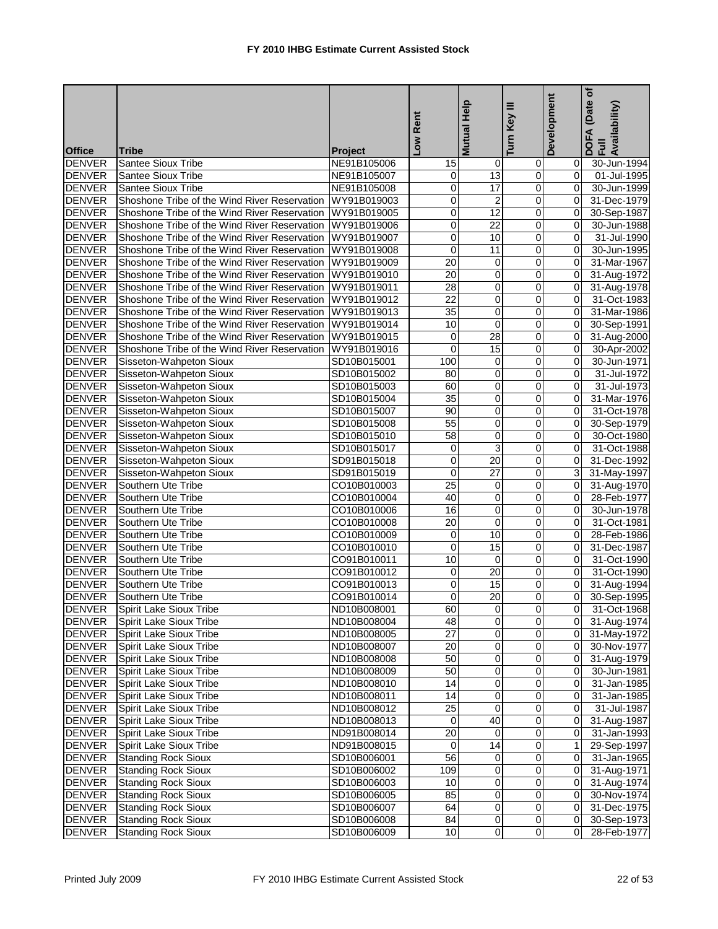|               |                                                          |                | Low Rent                | Help<br><b>Mutual</b>   | Turn Key III            | Development    | (Date of<br>DOFA (Date<br>Full<br>Availability) |
|---------------|----------------------------------------------------------|----------------|-------------------------|-------------------------|-------------------------|----------------|-------------------------------------------------|
| <b>Office</b> | <b>Tribe</b>                                             | <b>Project</b> |                         |                         |                         |                |                                                 |
| <b>DENVER</b> | <b>Santee Sioux Tribe</b>                                | NE91B105006    | 15                      | $\mathbf 0$             | 0                       | 01             | 30-Jun-1994                                     |
| <b>DENVER</b> | <b>Santee Sioux Tribe</b>                                | NE91B105007    | 0                       | 13                      | 0                       | $\mathbf{0}$   | 01-Jul-1995                                     |
| <b>DENVER</b> | <b>Santee Sioux Tribe</b>                                | NE91B105008    | 0                       | 17                      | $\pmb{0}$               | $\mathbf{0}$   | 30-Jun-1999                                     |
| <b>DENVER</b> | Shoshone Tribe of the Wind River Reservation             | WY91B019003    | 0                       | $\overline{2}$          | 0                       | $\Omega$       | 31-Dec-1979                                     |
| <b>DENVER</b> | Shoshone Tribe of the Wind River Reservation             | WY91B019005    | 0                       | $\overline{12}$         | 0                       | $\mathbf{0}$   | 30-Sep-1987                                     |
| <b>DENVER</b> | Shoshone Tribe of the Wind River Reservation             | WY91B019006    | 0                       | 22                      | 0                       | $\mathbf{0}$   | 30-Jun-1988                                     |
| <b>DENVER</b> | Shoshone Tribe of the Wind River Reservation             | WY91B019007    | 0                       | 10                      | $\mathbf 0$             | $\mathbf{0}$   | 31-Jul-1990                                     |
| <b>DENVER</b> | Shoshone Tribe of the Wind River Reservation             | WY91B019008    | 0                       | 11                      | 0                       | $\Omega$       | 30-Jun-1995                                     |
| <b>DENVER</b> | Shoshone Tribe of the Wind River Reservation             | WY91B019009    | 20                      | 0                       | 0                       | $\Omega$       | 31-Mar-1967                                     |
| <b>DENVER</b> | Shoshone Tribe of the Wind River Reservation WY91B019010 |                | 20                      | 0                       | 0                       | $\mathbf{0}$   | 31-Aug-1972                                     |
| <b>DENVER</b> | Shoshone Tribe of the Wind River Reservation             | WY91B019011    | 28                      | $\overline{0}$          | $\overline{0}$          | $\overline{0}$ | 31-Aug-1978                                     |
| <b>DENVER</b> | Shoshone Tribe of the Wind River Reservation             | WY91B019012    | $\overline{22}$         | 0                       | $\mathbf 0$             | Οl             | 31-Oct-1983                                     |
| <b>DENVER</b> | Shoshone Tribe of the Wind River Reservation             | WY91B019013    | 35                      | 0                       | $\overline{\mathbf{0}}$ | $\Omega$       | 31-Mar-1986                                     |
| <b>DENVER</b> | Shoshone Tribe of the Wind River Reservation WY91B019014 |                | 10                      | 0                       | 0                       | $\overline{0}$ | 30-Sep-1991                                     |
| <b>DENVER</b> | Shoshone Tribe of the Wind River Reservation             | WY91B019015    | 0                       | 28                      | $\mathbf 0$             | $\overline{0}$ | 31-Aug-2000                                     |
| <b>DENVER</b> | Shoshone Tribe of the Wind River Reservation             | WY91B019016    | $\mathbf 0$             | $\overline{15}$         | $\mathbf 0$             | $\mathbf{0}$   | 30-Apr-2002                                     |
| <b>DENVER</b> | Sisseton-Wahpeton Sioux                                  | SD10B015001    | 100                     | 0                       | 0                       | $\mathbf{0}$   | 30-Jun-1971                                     |
| <b>DENVER</b> | Sisseton-Wahpeton Sioux                                  | SD10B015002    | 80                      | 0                       | 0                       | $\Omega$       | 31-Jul-1972                                     |
| <b>DENVER</b> | Sisseton-Wahpeton Sioux                                  | SD10B015003    | 60                      | 0                       | 0                       | $\mathbf{0}$   | 31-Jul-1973                                     |
| <b>DENVER</b> | Sisseton-Wahpeton Sioux                                  | SD10B015004    | 35                      | 0                       | 0                       | $\overline{0}$ | 31-Mar-1976                                     |
| <b>DENVER</b> | Sisseton-Wahpeton Sioux                                  | SD10B015007    | 90                      | 0                       | 0                       | $\Omega$       | 31-Oct-1978                                     |
| <b>DENVER</b> | Sisseton-Wahpeton Sioux                                  | SD10B015008    | 55                      | 0                       | 0                       | $\mathbf{0}$   | 30-Sep-1979                                     |
| <b>DENVER</b> | Sisseton-Wahpeton Sioux                                  | SD10B015010    | 58                      | $\overline{\mathbf{0}}$ | ō                       | $\overline{0}$ | 30-Oct-1980                                     |
| <b>DENVER</b> | Sisseton-Wahpeton Sioux                                  | SD10B015017    | 0                       | 3                       | $\mathbf 0$             | $\mathbf{0}$   | 31-Oct-1988                                     |
| <b>DENVER</b> | Sisseton-Wahpeton Sioux                                  | SD91B015018    | $\mathbf 0$             | 20                      | 0                       | $\mathbf{0}$   | 31-Dec-1992                                     |
| <b>DENVER</b> | Sisseton-Wahpeton Sioux                                  | SD91B015019    | $\mathbf 0$             | 27                      | 0                       | $\overline{3}$ | 31-May-1997                                     |
| <b>DENVER</b> | Southern Ute Tribe                                       | CO10B010003    | 25                      | 0                       | 0                       | 01             | 31-Aug-1970                                     |
| <b>DENVER</b> | Southern Ute Tribe                                       | CO10B010004    | 40                      | 0                       | 0                       | $\mathbf{0}$   | 28-Feb-1977                                     |
| <b>DENVER</b> | Southern Ute Tribe                                       | CO10B010006    | 16                      | 0                       | 0                       | $\overline{0}$ | 30-Jun-1978                                     |
| <b>DENVER</b> | Southern Ute Tribe                                       | CO10B010008    | $\overline{20}$         | 0                       | 0                       | 0              | 31-Oct-1981                                     |
| <b>DENVER</b> | Southern Ute Tribe                                       | CO10B010009    | 0                       | 10                      | 0                       | $\Omega$       | 28-Feb-1986                                     |
| <b>DENVER</b> | Southern Ute Tribe                                       | CO10B010010    | 0                       | 15                      | 0                       | $\mathbf{0}$   | 31-Dec-1987                                     |
| <b>DENVER</b> | Southern Ute Tribe                                       | CO91B010011    | 10                      | $\mathbf 0$             | 0                       | $\Omega$       | 31-Oct-1990                                     |
| <b>DENVER</b> | Southern Ute Tribe                                       | CO91B010012    | $\overline{0}$          | 20                      | 0                       | $\Omega$       | 31-Oct-1990                                     |
| <b>DENVER</b> | Southern Ute Tribe                                       | CO91B010013    | 0                       | 15                      | 0                       | Οl             | 31-Aug-1994                                     |
| <b>DENVER</b> | Southern Ute Tribe                                       | CO91B010014    | $\overline{\mathbf{0}}$ | $\overline{20}$         | ō                       | $\overline{0}$ | 30-Sep-1995                                     |
| <b>DENVER</b> | Spirit Lake Sioux Tribe                                  | ND10B008001    | 60                      |                         |                         |                | 31-Oct-1968                                     |
| <b>DENVER</b> | Spirit Lake Sioux Tribe                                  | ND10B008004    | 48                      | $\overline{0}$          | $\overline{0}$          |                | 0 31-Aug-1974                                   |
| <b>DENVER</b> | Spirit Lake Sioux Tribe                                  | ND10B008005    | 27                      | $\mathbf 0$             | $\mathbf 0$             |                | 0 31-May-1972                                   |
| <b>DENVER</b> | Spirit Lake Sioux Tribe                                  | ND10B008007    | 20                      | $\overline{0}$          | $\overline{0}$          |                | 0 30-Nov-1977                                   |
| <b>DENVER</b> | Spirit Lake Sioux Tribe                                  | ND10B008008    | 50                      | 0                       | $\pmb{0}$               | $\overline{0}$ | 31-Aug-1979                                     |
| <b>DENVER</b> | Spirit Lake Sioux Tribe                                  | ND10B008009    | 50                      | 0                       | $\mathbf 0$             | 01             | 30-Jun-1981                                     |
| <b>DENVER</b> | <b>Spirit Lake Sioux Tribe</b>                           | ND10B008010    | 14                      | $\mathbf 0$             | 0                       |                | 31-Jan-1985                                     |
| <b>DENVER</b> | Spirit Lake Sioux Tribe                                  | ND10B008011    | 14                      | $\pmb{0}$               | $\pmb{0}$               | 01             | 31-Jan-1985                                     |
| <b>DENVER</b> | Spirit Lake Sioux Tribe                                  | ND10B008012    | 25                      | 0                       | 0                       | 01             | 31-Jul-1987                                     |
| <b>DENVER</b> | Spirit Lake Sioux Tribe                                  | ND10B008013    | 0                       | 40                      | 0                       | $\overline{O}$ | 31-Aug-1987                                     |
| <b>DENVER</b> | Spirit Lake Sioux Tribe                                  | ND91B008014    | 20                      | 0                       | 0                       |                | 31-Jan-1993                                     |
| <b>DENVER</b> | Spirit Lake Sioux Tribe                                  | ND91B008015    | $\overline{0}$          | 14                      | $\overline{0}$          | 11             | 29-Sep-1997                                     |
| <b>DENVER</b> | <b>Standing Rock Sioux</b>                               | SD10B006001    | 56                      | $\mathbf 0$             | $\pmb{0}$               | 01             | 31-Jan-1965                                     |
| <b>DENVER</b> | <b>Standing Rock Sioux</b>                               | SD10B006002    | 109                     | $\pmb{0}$               | $\mathbf 0$             | 01             | $\overline{31}$ -Aug-1971                       |
| <b>DENVER</b> | <b>Standing Rock Sioux</b>                               | SD10B006003    | 10                      | $\mathbf 0$             | $\mathbf 0$             | $\overline{0}$ | 31-Aug-1974                                     |
| <b>DENVER</b> | <b>Standing Rock Sioux</b>                               | SD10B006005    | 85                      | $\mathbf 0$             | $\mathbf 0$             | 01             | 30-Nov-1974                                     |
| <b>DENVER</b> | <b>Standing Rock Sioux</b>                               | SD10B006007    | 64                      | $\pmb{0}$               | $\overline{O}$          | $\overline{0}$ | 31-Dec-1975                                     |
| <b>DENVER</b> | <b>Standing Rock Sioux</b>                               | SD10B006008    | 84                      | $\mathbf 0$             | $\mathbf 0$             | 0I             | 30-Sep-1973                                     |
| <b>DENVER</b> | <b>Standing Rock Sioux</b>                               | SD10B006009    | 10                      | $\mathbf 0$             | $\overline{0}$          | 0I             | 28-Feb-1977                                     |
|               |                                                          |                |                         |                         |                         |                |                                                 |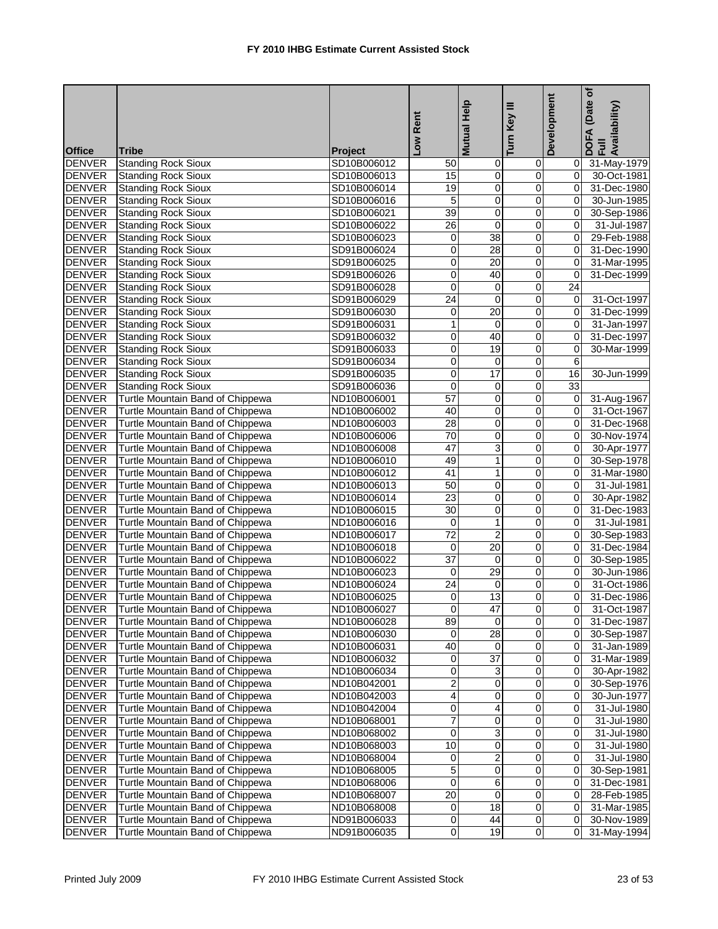| Turn<br><b>Office</b><br><b>Tribe</b><br><b>Project</b><br><b>Standing Rock Sioux</b><br><b>DENVER</b><br>SD10B006012<br>50<br>$\mathbf 0$<br>0 31-May-1979<br>0<br><b>DENVER</b><br><b>Standing Rock Sioux</b><br>0<br>0<br>SD10B006013<br>15<br>01<br>30-Oct-1981<br><b>DENVER</b><br><b>Standing Rock Sioux</b><br>19<br>0<br>0<br>Οl<br>31-Dec-1980<br>SD10B006014<br><b>DENVER</b><br><b>Standing Rock Sioux</b><br>5<br>0<br>0<br>SD10B006016<br>$\overline{0}$<br>30-Jun-1985<br>39<br><b>DENVER</b><br><b>Standing Rock Sioux</b><br>0<br>0<br>SD10B006021<br>0I<br>30-Sep-1986<br><b>DENVER</b><br><b>Standing Rock Sioux</b><br>26<br>0<br>0<br>SD10B006022<br>31-Jul-1987<br>$\Omega$<br>38<br>0<br><b>Standing Rock Sioux</b><br><b>DENVER</b><br>0<br>Οl<br>29-Feb-1988<br>SD10B006023<br><b>DENVER</b><br>28<br>$\mathbf 0$<br><b>Standing Rock Sioux</b><br>SD91B006024<br>0<br>$\Omega$<br>31-Dec-1990<br><b>DENVER</b><br><b>Standing Rock Sioux</b><br>0<br>20<br>0<br>SD91B006025<br>$\Omega$<br>31-Mar-1995<br><b>DENVER</b><br><b>Standing Rock Sioux</b><br>0<br>40<br>0<br>31-Dec-1999<br>SD91B006026<br>0<br>$\overline{0}$<br>$\overline{0}$<br>$\overline{0}$<br>24<br><b>DENVER</b><br><b>Standing Rock Sioux</b><br>SD91B006028<br><b>DENVER</b><br>$\overline{24}$<br>$\mathbf 0$<br><b>Standing Rock Sioux</b><br>$\mathbf 0$<br>31-Oct-1997<br>SD91B006029<br>$\overline{0}$<br><b>DENVER</b><br>0<br>20<br>$\overline{\mathbf{0}}$<br><b>Standing Rock Sioux</b><br>SD91B006030<br>Οl<br>31-Dec-1999<br><b>DENVER</b><br><b>Standing Rock Sioux</b><br>1<br>0<br>SD91B006031<br>0<br>$\mathbf{0}$<br>31-Jan-1997<br>40<br>$\overline{\mathbf{0}}$<br>0<br><b>DENVER</b><br><b>Standing Rock Sioux</b><br>$\mathbf{0}$<br>31-Dec-1997<br>SD91B006032<br>$\overline{19}$<br><b>DENVER</b><br><b>Standing Rock Sioux</b><br>0<br>0<br>30-Mar-1999<br>SD91B006033<br>$\overline{0}$<br><b>DENVER</b><br><b>Standing Rock Sioux</b><br>0<br>SD91B006034<br>0<br>0<br>6<br><b>DENVER</b><br><b>Standing Rock Sioux</b><br>0<br>17<br>SD91B006035<br>0<br>16<br>30-Jun-1999<br><b>DENVER</b><br>$\overline{0}$<br>33<br><b>Standing Rock Sioux</b><br>0<br>0<br>SD91B006036<br>57<br><b>DENVER</b><br>Turtle Mountain Band of Chippewa<br>0<br>0<br>ND10B006001<br>31-Aug-1967<br>01<br><b>DENVER</b><br>0<br><b>Turtle Mountain Band of Chippewa</b><br>40<br>0<br>$\mathbf{0}$<br>31-Oct-1967<br>ND10B006002<br><b>DENVER</b><br>Turtle Mountain Band of Chippewa<br>28<br>0<br>ND10B006003<br>0<br>31-Dec-1968<br>0<br>$\overline{70}$<br><b>DENVER</b><br>$\overline{\mathbf{0}}$<br>ō<br>30-Nov-1974<br>Turtle Mountain Band of Chippewa<br>ND10B006006<br>0<br>3<br>$\pmb{0}$<br><b>DENVER</b><br>Turtle Mountain Band of Chippewa<br>47<br>ND10B006008<br>$\overline{0}$<br>30-Apr-1977<br><b>DENVER</b><br>Turtle Mountain Band of Chippewa<br>49<br>1<br>$\mathbf 0$<br>ND10B006010<br>Οl<br>30-Sep-1978<br><b>DENVER</b><br>Turtle Mountain Band of Chippewa<br>41<br>1<br>ND10B006012<br>0<br>0<br>31-Mar-1980<br><b>DENVER</b><br>50<br>Turtle Mountain Band of Chippewa<br>0<br>0<br>ND10B006013<br>01<br>31-Jul-1981<br>23<br><b>DENVER</b><br>0<br>0<br>Turtle Mountain Band of Chippewa<br>$\overline{0}$<br>30-Apr-1982<br>ND10B006014<br><b>DENVER</b><br>$\overline{30}$<br>0<br>$\overline{0}$<br>Turtle Mountain Band of Chippewa<br>ND10B006015<br>0<br>31-Dec-1983<br><b>DENVER</b><br>$\mathbf{1}$<br>0<br>Turtle Mountain Band of Chippewa<br>ND10B006016<br>0<br>0<br>31-Jul-1981<br>$\overline{c}$<br><b>DENVER</b><br><b>Turtle Mountain Band of Chippewa</b><br>72<br>ND10B006017<br>0<br>30-Sep-1983<br>01<br>20<br>0<br><b>DENVER</b><br>Turtle Mountain Band of Chippewa<br>0<br>0<br>ND10B006018<br>31-Dec-1984<br>$\overline{37}$<br><b>DENVER</b><br>0<br>$\mathbf 0$<br>$\overline{0}$<br>Turtle Mountain Band of Chippewa<br>ND10B006022<br>30-Sep-1985<br><b>DENVER</b><br>29<br>0<br>$\mathsf{O}$<br>Turtle Mountain Band of Chippewa<br>ND10B006023<br>0<br>30-Jun-1986<br><b>DENVER</b><br>24<br>Turtle Mountain Band of Chippewa<br>ND10B006024<br>0<br>0<br>$\Omega$<br>31-Oct-1986<br>13<br>$\overline{0}$<br><b>DENVER</b><br>$\overline{\mathbf{0}}$<br>$\overline{0}$<br>Turtle Mountain Band of Chippewa<br>ND10B006025<br>31-Dec-1986<br><b>DENVER</b><br>47<br>$\overline{0}$<br>31-Oct-1987<br>Turtle Mountain Band of Chippewa<br>ND10B006027<br>$\overline{0}$<br><b>DENVER</b><br>89<br>$\mathbf{O}$<br>Turtle Mountain Band of Chippewa<br>ND10B006028<br>01<br>31-Dec-1987<br>$\overline{28}$<br><b>DENVER</b><br>Turtle Mountain Band of Chippewa<br>0<br>ND10B006030<br>0<br>30-Sep-1987<br>$\overline{0}$<br>40<br>$\mathsf{O}\xspace$<br><b>DENVER</b><br>Turtle Mountain Band of Chippewa<br>ND10B006031<br>01<br>31-Jan-1989<br>$\overline{37}$<br>$\mathbf 0$<br><b>DENVER</b><br>Turtle Mountain Band of Chippewa<br>ND10B006032<br>0<br>31-Mar-1989<br>0<br><b>DENVER</b><br>Turtle Mountain Band of Chippewa<br>0<br>3<br>0<br>30-Apr-1982<br>ND10B006034<br>01<br><b>DENVER</b><br>Turtle Mountain Band of Chippewa<br>2<br>ND10B042001<br>0<br>0<br>30-Sep-1976<br><b>DENVER</b><br>0<br>0<br>Turtle Mountain Band of Chippewa<br>4<br>$\overline{0}$<br>ND10B042003<br>30-Jun-1977<br><b>Turtle Mountain Band of Chippewa</b><br>0<br><b>DENVER</b><br>0<br>4<br>ND10B042004<br>01<br>31-Jul-1980<br>$\overline{7}$<br><b>DENVER</b><br>Turtle Mountain Band of Chippewa<br>0<br>0<br>ND10B068001<br>01<br>31-Jul-1980<br>3<br><b>DENVER</b><br>Turtle Mountain Band of Chippewa<br>0<br>0<br>ND10B068002<br>31-Jul-1980<br>01<br><b>DENVER</b><br>10<br>$\overline{\mathbf{0}}$<br>0<br>Turtle Mountain Band of Chippewa<br>ND10B068003<br>01<br>31-Jul-1980<br>$\overline{2}$<br><b>DENVER</b><br>Turtle Mountain Band of Chippewa<br>0<br>ND10B068004<br>0<br>01<br>31-Jul-1980<br><b>DENVER</b><br>Turtle Mountain Band of Chippewa<br>5<br>0<br>0<br>0<br>30-Sep-1981<br>ND10B068005<br><b>DENVER</b><br>Turtle Mountain Band of Chippewa<br>0<br>6<br>0<br>ND10B068006<br>01<br>31-Dec-1981<br><b>DENVER</b><br>Turtle Mountain Band of Chippewa<br>20<br>$\mathbf 0$<br>0<br>ND10B068007<br>28-Feb-1985<br>01<br><b>DENVER</b><br>18<br>$\pmb{0}$<br>Turtle Mountain Band of Chippewa<br>ND10B068008<br>0<br>01<br>31-Mar-1985<br><b>DENVER</b><br>Turtle Mountain Band of Chippewa<br>0<br>44<br>0<br>ND91B006033<br>0<br>30-Nov-1989<br><b>DENVER</b><br>Turtle Mountain Band of Chippewa<br>$\overline{0}$<br>19<br>0<br>ND91B006035<br>0<br>31-May-1994 |  | Rent             | Help<br>Mutual | Key III | Development | (Date of<br>DOFA (Date<br>Full<br>Availability) |
|------------------------------------------------------------------------------------------------------------------------------------------------------------------------------------------------------------------------------------------------------------------------------------------------------------------------------------------------------------------------------------------------------------------------------------------------------------------------------------------------------------------------------------------------------------------------------------------------------------------------------------------------------------------------------------------------------------------------------------------------------------------------------------------------------------------------------------------------------------------------------------------------------------------------------------------------------------------------------------------------------------------------------------------------------------------------------------------------------------------------------------------------------------------------------------------------------------------------------------------------------------------------------------------------------------------------------------------------------------------------------------------------------------------------------------------------------------------------------------------------------------------------------------------------------------------------------------------------------------------------------------------------------------------------------------------------------------------------------------------------------------------------------------------------------------------------------------------------------------------------------------------------------------------------------------------------------------------------------------------------------------------------------------------------------------------------------------------------------------------------------------------------------------------------------------------------------------------------------------------------------------------------------------------------------------------------------------------------------------------------------------------------------------------------------------------------------------------------------------------------------------------------------------------------------------------------------------------------------------------------------------------------------------------------------------------------------------------------------------------------------------------------------------------------------------------------------------------------------------------------------------------------------------------------------------------------------------------------------------------------------------------------------------------------------------------------------------------------------------------------------------------------------------------------------------------------------------------------------------------------------------------------------------------------------------------------------------------------------------------------------------------------------------------------------------------------------------------------------------------------------------------------------------------------------------------------------------------------------------------------------------------------------------------------------------------------------------------------------------------------------------------------------------------------------------------------------------------------------------------------------------------------------------------------------------------------------------------------------------------------------------------------------------------------------------------------------------------------------------------------------------------------------------------------------------------------------------------------------------------------------------------------------------------------------------------------------------------------------------------------------------------------------------------------------------------------------------------------------------------------------------------------------------------------------------------------------------------------------------------------------------------------------------------------------------------------------------------------------------------------------------------------------------------------------------------------------------------------------------------------------------------------------------------------------------------------------------------------------------------------------------------------------------------------------------------------------------------------------------------------------------------------------------------------------------------------------------------------------------------------------------------------------------------------------------------------------------------------------------------------------------------------------------------------------------------------------------------------------------------------------------------------------------------------------------------------------------------------------------------------------------------------------------------------------------------------------------------------------------------------------------------------------------------------------------------------------------------------------------------------------------------------------------------------------------------------------------------------------------------------------------------------------------------------------------------------------------------------------------------------------------------------------------------------------------------------------------------------------------------------------------------------------------------------------------------------------------------------------------------------------------------------------------------------------------------------------------------------------------------------------------------------------------------------------------------|--|------------------|----------------|---------|-------------|-------------------------------------------------|
|                                                                                                                                                                                                                                                                                                                                                                                                                                                                                                                                                                                                                                                                                                                                                                                                                                                                                                                                                                                                                                                                                                                                                                                                                                                                                                                                                                                                                                                                                                                                                                                                                                                                                                                                                                                                                                                                                                                                                                                                                                                                                                                                                                                                                                                                                                                                                                                                                                                                                                                                                                                                                                                                                                                                                                                                                                                                                                                                                                                                                                                                                                                                                                                                                                                                                                                                                                                                                                                                                                                                                                                                                                                                                                                                                                                                                                                                                                                                                                                                                                                                                                                                                                                                                                                                                                                                                                                                                                                                                                                                                                                                                                                                                                                                                                                                                                                                                                                                                                                                                                                                                                                                                                                                                                                                                                                                                                                                                                                                                                                                                                                                                                                                                                                                                                                                                                                                                                                                                                                                                                                                                                                                                                                                                                                                                                                                                                                                                                                                                                                                                                  |  | $\sum_{i=1}^{N}$ |                |         |             |                                                 |
|                                                                                                                                                                                                                                                                                                                                                                                                                                                                                                                                                                                                                                                                                                                                                                                                                                                                                                                                                                                                                                                                                                                                                                                                                                                                                                                                                                                                                                                                                                                                                                                                                                                                                                                                                                                                                                                                                                                                                                                                                                                                                                                                                                                                                                                                                                                                                                                                                                                                                                                                                                                                                                                                                                                                                                                                                                                                                                                                                                                                                                                                                                                                                                                                                                                                                                                                                                                                                                                                                                                                                                                                                                                                                                                                                                                                                                                                                                                                                                                                                                                                                                                                                                                                                                                                                                                                                                                                                                                                                                                                                                                                                                                                                                                                                                                                                                                                                                                                                                                                                                                                                                                                                                                                                                                                                                                                                                                                                                                                                                                                                                                                                                                                                                                                                                                                                                                                                                                                                                                                                                                                                                                                                                                                                                                                                                                                                                                                                                                                                                                                                                  |  |                  |                |         |             |                                                 |
|                                                                                                                                                                                                                                                                                                                                                                                                                                                                                                                                                                                                                                                                                                                                                                                                                                                                                                                                                                                                                                                                                                                                                                                                                                                                                                                                                                                                                                                                                                                                                                                                                                                                                                                                                                                                                                                                                                                                                                                                                                                                                                                                                                                                                                                                                                                                                                                                                                                                                                                                                                                                                                                                                                                                                                                                                                                                                                                                                                                                                                                                                                                                                                                                                                                                                                                                                                                                                                                                                                                                                                                                                                                                                                                                                                                                                                                                                                                                                                                                                                                                                                                                                                                                                                                                                                                                                                                                                                                                                                                                                                                                                                                                                                                                                                                                                                                                                                                                                                                                                                                                                                                                                                                                                                                                                                                                                                                                                                                                                                                                                                                                                                                                                                                                                                                                                                                                                                                                                                                                                                                                                                                                                                                                                                                                                                                                                                                                                                                                                                                                                                  |  |                  |                |         |             |                                                 |
|                                                                                                                                                                                                                                                                                                                                                                                                                                                                                                                                                                                                                                                                                                                                                                                                                                                                                                                                                                                                                                                                                                                                                                                                                                                                                                                                                                                                                                                                                                                                                                                                                                                                                                                                                                                                                                                                                                                                                                                                                                                                                                                                                                                                                                                                                                                                                                                                                                                                                                                                                                                                                                                                                                                                                                                                                                                                                                                                                                                                                                                                                                                                                                                                                                                                                                                                                                                                                                                                                                                                                                                                                                                                                                                                                                                                                                                                                                                                                                                                                                                                                                                                                                                                                                                                                                                                                                                                                                                                                                                                                                                                                                                                                                                                                                                                                                                                                                                                                                                                                                                                                                                                                                                                                                                                                                                                                                                                                                                                                                                                                                                                                                                                                                                                                                                                                                                                                                                                                                                                                                                                                                                                                                                                                                                                                                                                                                                                                                                                                                                                                                  |  |                  |                |         |             |                                                 |
|                                                                                                                                                                                                                                                                                                                                                                                                                                                                                                                                                                                                                                                                                                                                                                                                                                                                                                                                                                                                                                                                                                                                                                                                                                                                                                                                                                                                                                                                                                                                                                                                                                                                                                                                                                                                                                                                                                                                                                                                                                                                                                                                                                                                                                                                                                                                                                                                                                                                                                                                                                                                                                                                                                                                                                                                                                                                                                                                                                                                                                                                                                                                                                                                                                                                                                                                                                                                                                                                                                                                                                                                                                                                                                                                                                                                                                                                                                                                                                                                                                                                                                                                                                                                                                                                                                                                                                                                                                                                                                                                                                                                                                                                                                                                                                                                                                                                                                                                                                                                                                                                                                                                                                                                                                                                                                                                                                                                                                                                                                                                                                                                                                                                                                                                                                                                                                                                                                                                                                                                                                                                                                                                                                                                                                                                                                                                                                                                                                                                                                                                                                  |  |                  |                |         |             |                                                 |
|                                                                                                                                                                                                                                                                                                                                                                                                                                                                                                                                                                                                                                                                                                                                                                                                                                                                                                                                                                                                                                                                                                                                                                                                                                                                                                                                                                                                                                                                                                                                                                                                                                                                                                                                                                                                                                                                                                                                                                                                                                                                                                                                                                                                                                                                                                                                                                                                                                                                                                                                                                                                                                                                                                                                                                                                                                                                                                                                                                                                                                                                                                                                                                                                                                                                                                                                                                                                                                                                                                                                                                                                                                                                                                                                                                                                                                                                                                                                                                                                                                                                                                                                                                                                                                                                                                                                                                                                                                                                                                                                                                                                                                                                                                                                                                                                                                                                                                                                                                                                                                                                                                                                                                                                                                                                                                                                                                                                                                                                                                                                                                                                                                                                                                                                                                                                                                                                                                                                                                                                                                                                                                                                                                                                                                                                                                                                                                                                                                                                                                                                                                  |  |                  |                |         |             |                                                 |
|                                                                                                                                                                                                                                                                                                                                                                                                                                                                                                                                                                                                                                                                                                                                                                                                                                                                                                                                                                                                                                                                                                                                                                                                                                                                                                                                                                                                                                                                                                                                                                                                                                                                                                                                                                                                                                                                                                                                                                                                                                                                                                                                                                                                                                                                                                                                                                                                                                                                                                                                                                                                                                                                                                                                                                                                                                                                                                                                                                                                                                                                                                                                                                                                                                                                                                                                                                                                                                                                                                                                                                                                                                                                                                                                                                                                                                                                                                                                                                                                                                                                                                                                                                                                                                                                                                                                                                                                                                                                                                                                                                                                                                                                                                                                                                                                                                                                                                                                                                                                                                                                                                                                                                                                                                                                                                                                                                                                                                                                                                                                                                                                                                                                                                                                                                                                                                                                                                                                                                                                                                                                                                                                                                                                                                                                                                                                                                                                                                                                                                                                                                  |  |                  |                |         |             |                                                 |
|                                                                                                                                                                                                                                                                                                                                                                                                                                                                                                                                                                                                                                                                                                                                                                                                                                                                                                                                                                                                                                                                                                                                                                                                                                                                                                                                                                                                                                                                                                                                                                                                                                                                                                                                                                                                                                                                                                                                                                                                                                                                                                                                                                                                                                                                                                                                                                                                                                                                                                                                                                                                                                                                                                                                                                                                                                                                                                                                                                                                                                                                                                                                                                                                                                                                                                                                                                                                                                                                                                                                                                                                                                                                                                                                                                                                                                                                                                                                                                                                                                                                                                                                                                                                                                                                                                                                                                                                                                                                                                                                                                                                                                                                                                                                                                                                                                                                                                                                                                                                                                                                                                                                                                                                                                                                                                                                                                                                                                                                                                                                                                                                                                                                                                                                                                                                                                                                                                                                                                                                                                                                                                                                                                                                                                                                                                                                                                                                                                                                                                                                                                  |  |                  |                |         |             |                                                 |
|                                                                                                                                                                                                                                                                                                                                                                                                                                                                                                                                                                                                                                                                                                                                                                                                                                                                                                                                                                                                                                                                                                                                                                                                                                                                                                                                                                                                                                                                                                                                                                                                                                                                                                                                                                                                                                                                                                                                                                                                                                                                                                                                                                                                                                                                                                                                                                                                                                                                                                                                                                                                                                                                                                                                                                                                                                                                                                                                                                                                                                                                                                                                                                                                                                                                                                                                                                                                                                                                                                                                                                                                                                                                                                                                                                                                                                                                                                                                                                                                                                                                                                                                                                                                                                                                                                                                                                                                                                                                                                                                                                                                                                                                                                                                                                                                                                                                                                                                                                                                                                                                                                                                                                                                                                                                                                                                                                                                                                                                                                                                                                                                                                                                                                                                                                                                                                                                                                                                                                                                                                                                                                                                                                                                                                                                                                                                                                                                                                                                                                                                                                  |  |                  |                |         |             |                                                 |
|                                                                                                                                                                                                                                                                                                                                                                                                                                                                                                                                                                                                                                                                                                                                                                                                                                                                                                                                                                                                                                                                                                                                                                                                                                                                                                                                                                                                                                                                                                                                                                                                                                                                                                                                                                                                                                                                                                                                                                                                                                                                                                                                                                                                                                                                                                                                                                                                                                                                                                                                                                                                                                                                                                                                                                                                                                                                                                                                                                                                                                                                                                                                                                                                                                                                                                                                                                                                                                                                                                                                                                                                                                                                                                                                                                                                                                                                                                                                                                                                                                                                                                                                                                                                                                                                                                                                                                                                                                                                                                                                                                                                                                                                                                                                                                                                                                                                                                                                                                                                                                                                                                                                                                                                                                                                                                                                                                                                                                                                                                                                                                                                                                                                                                                                                                                                                                                                                                                                                                                                                                                                                                                                                                                                                                                                                                                                                                                                                                                                                                                                                                  |  |                  |                |         |             |                                                 |
|                                                                                                                                                                                                                                                                                                                                                                                                                                                                                                                                                                                                                                                                                                                                                                                                                                                                                                                                                                                                                                                                                                                                                                                                                                                                                                                                                                                                                                                                                                                                                                                                                                                                                                                                                                                                                                                                                                                                                                                                                                                                                                                                                                                                                                                                                                                                                                                                                                                                                                                                                                                                                                                                                                                                                                                                                                                                                                                                                                                                                                                                                                                                                                                                                                                                                                                                                                                                                                                                                                                                                                                                                                                                                                                                                                                                                                                                                                                                                                                                                                                                                                                                                                                                                                                                                                                                                                                                                                                                                                                                                                                                                                                                                                                                                                                                                                                                                                                                                                                                                                                                                                                                                                                                                                                                                                                                                                                                                                                                                                                                                                                                                                                                                                                                                                                                                                                                                                                                                                                                                                                                                                                                                                                                                                                                                                                                                                                                                                                                                                                                                                  |  |                  |                |         |             |                                                 |
|                                                                                                                                                                                                                                                                                                                                                                                                                                                                                                                                                                                                                                                                                                                                                                                                                                                                                                                                                                                                                                                                                                                                                                                                                                                                                                                                                                                                                                                                                                                                                                                                                                                                                                                                                                                                                                                                                                                                                                                                                                                                                                                                                                                                                                                                                                                                                                                                                                                                                                                                                                                                                                                                                                                                                                                                                                                                                                                                                                                                                                                                                                                                                                                                                                                                                                                                                                                                                                                                                                                                                                                                                                                                                                                                                                                                                                                                                                                                                                                                                                                                                                                                                                                                                                                                                                                                                                                                                                                                                                                                                                                                                                                                                                                                                                                                                                                                                                                                                                                                                                                                                                                                                                                                                                                                                                                                                                                                                                                                                                                                                                                                                                                                                                                                                                                                                                                                                                                                                                                                                                                                                                                                                                                                                                                                                                                                                                                                                                                                                                                                                                  |  |                  |                |         |             |                                                 |
|                                                                                                                                                                                                                                                                                                                                                                                                                                                                                                                                                                                                                                                                                                                                                                                                                                                                                                                                                                                                                                                                                                                                                                                                                                                                                                                                                                                                                                                                                                                                                                                                                                                                                                                                                                                                                                                                                                                                                                                                                                                                                                                                                                                                                                                                                                                                                                                                                                                                                                                                                                                                                                                                                                                                                                                                                                                                                                                                                                                                                                                                                                                                                                                                                                                                                                                                                                                                                                                                                                                                                                                                                                                                                                                                                                                                                                                                                                                                                                                                                                                                                                                                                                                                                                                                                                                                                                                                                                                                                                                                                                                                                                                                                                                                                                                                                                                                                                                                                                                                                                                                                                                                                                                                                                                                                                                                                                                                                                                                                                                                                                                                                                                                                                                                                                                                                                                                                                                                                                                                                                                                                                                                                                                                                                                                                                                                                                                                                                                                                                                                                                  |  |                  |                |         |             |                                                 |
|                                                                                                                                                                                                                                                                                                                                                                                                                                                                                                                                                                                                                                                                                                                                                                                                                                                                                                                                                                                                                                                                                                                                                                                                                                                                                                                                                                                                                                                                                                                                                                                                                                                                                                                                                                                                                                                                                                                                                                                                                                                                                                                                                                                                                                                                                                                                                                                                                                                                                                                                                                                                                                                                                                                                                                                                                                                                                                                                                                                                                                                                                                                                                                                                                                                                                                                                                                                                                                                                                                                                                                                                                                                                                                                                                                                                                                                                                                                                                                                                                                                                                                                                                                                                                                                                                                                                                                                                                                                                                                                                                                                                                                                                                                                                                                                                                                                                                                                                                                                                                                                                                                                                                                                                                                                                                                                                                                                                                                                                                                                                                                                                                                                                                                                                                                                                                                                                                                                                                                                                                                                                                                                                                                                                                                                                                                                                                                                                                                                                                                                                                                  |  |                  |                |         |             |                                                 |
|                                                                                                                                                                                                                                                                                                                                                                                                                                                                                                                                                                                                                                                                                                                                                                                                                                                                                                                                                                                                                                                                                                                                                                                                                                                                                                                                                                                                                                                                                                                                                                                                                                                                                                                                                                                                                                                                                                                                                                                                                                                                                                                                                                                                                                                                                                                                                                                                                                                                                                                                                                                                                                                                                                                                                                                                                                                                                                                                                                                                                                                                                                                                                                                                                                                                                                                                                                                                                                                                                                                                                                                                                                                                                                                                                                                                                                                                                                                                                                                                                                                                                                                                                                                                                                                                                                                                                                                                                                                                                                                                                                                                                                                                                                                                                                                                                                                                                                                                                                                                                                                                                                                                                                                                                                                                                                                                                                                                                                                                                                                                                                                                                                                                                                                                                                                                                                                                                                                                                                                                                                                                                                                                                                                                                                                                                                                                                                                                                                                                                                                                                                  |  |                  |                |         |             |                                                 |
|                                                                                                                                                                                                                                                                                                                                                                                                                                                                                                                                                                                                                                                                                                                                                                                                                                                                                                                                                                                                                                                                                                                                                                                                                                                                                                                                                                                                                                                                                                                                                                                                                                                                                                                                                                                                                                                                                                                                                                                                                                                                                                                                                                                                                                                                                                                                                                                                                                                                                                                                                                                                                                                                                                                                                                                                                                                                                                                                                                                                                                                                                                                                                                                                                                                                                                                                                                                                                                                                                                                                                                                                                                                                                                                                                                                                                                                                                                                                                                                                                                                                                                                                                                                                                                                                                                                                                                                                                                                                                                                                                                                                                                                                                                                                                                                                                                                                                                                                                                                                                                                                                                                                                                                                                                                                                                                                                                                                                                                                                                                                                                                                                                                                                                                                                                                                                                                                                                                                                                                                                                                                                                                                                                                                                                                                                                                                                                                                                                                                                                                                                                  |  |                  |                |         |             |                                                 |
|                                                                                                                                                                                                                                                                                                                                                                                                                                                                                                                                                                                                                                                                                                                                                                                                                                                                                                                                                                                                                                                                                                                                                                                                                                                                                                                                                                                                                                                                                                                                                                                                                                                                                                                                                                                                                                                                                                                                                                                                                                                                                                                                                                                                                                                                                                                                                                                                                                                                                                                                                                                                                                                                                                                                                                                                                                                                                                                                                                                                                                                                                                                                                                                                                                                                                                                                                                                                                                                                                                                                                                                                                                                                                                                                                                                                                                                                                                                                                                                                                                                                                                                                                                                                                                                                                                                                                                                                                                                                                                                                                                                                                                                                                                                                                                                                                                                                                                                                                                                                                                                                                                                                                                                                                                                                                                                                                                                                                                                                                                                                                                                                                                                                                                                                                                                                                                                                                                                                                                                                                                                                                                                                                                                                                                                                                                                                                                                                                                                                                                                                                                  |  |                  |                |         |             |                                                 |
|                                                                                                                                                                                                                                                                                                                                                                                                                                                                                                                                                                                                                                                                                                                                                                                                                                                                                                                                                                                                                                                                                                                                                                                                                                                                                                                                                                                                                                                                                                                                                                                                                                                                                                                                                                                                                                                                                                                                                                                                                                                                                                                                                                                                                                                                                                                                                                                                                                                                                                                                                                                                                                                                                                                                                                                                                                                                                                                                                                                                                                                                                                                                                                                                                                                                                                                                                                                                                                                                                                                                                                                                                                                                                                                                                                                                                                                                                                                                                                                                                                                                                                                                                                                                                                                                                                                                                                                                                                                                                                                                                                                                                                                                                                                                                                                                                                                                                                                                                                                                                                                                                                                                                                                                                                                                                                                                                                                                                                                                                                                                                                                                                                                                                                                                                                                                                                                                                                                                                                                                                                                                                                                                                                                                                                                                                                                                                                                                                                                                                                                                                                  |  |                  |                |         |             |                                                 |
|                                                                                                                                                                                                                                                                                                                                                                                                                                                                                                                                                                                                                                                                                                                                                                                                                                                                                                                                                                                                                                                                                                                                                                                                                                                                                                                                                                                                                                                                                                                                                                                                                                                                                                                                                                                                                                                                                                                                                                                                                                                                                                                                                                                                                                                                                                                                                                                                                                                                                                                                                                                                                                                                                                                                                                                                                                                                                                                                                                                                                                                                                                                                                                                                                                                                                                                                                                                                                                                                                                                                                                                                                                                                                                                                                                                                                                                                                                                                                                                                                                                                                                                                                                                                                                                                                                                                                                                                                                                                                                                                                                                                                                                                                                                                                                                                                                                                                                                                                                                                                                                                                                                                                                                                                                                                                                                                                                                                                                                                                                                                                                                                                                                                                                                                                                                                                                                                                                                                                                                                                                                                                                                                                                                                                                                                                                                                                                                                                                                                                                                                                                  |  |                  |                |         |             |                                                 |
|                                                                                                                                                                                                                                                                                                                                                                                                                                                                                                                                                                                                                                                                                                                                                                                                                                                                                                                                                                                                                                                                                                                                                                                                                                                                                                                                                                                                                                                                                                                                                                                                                                                                                                                                                                                                                                                                                                                                                                                                                                                                                                                                                                                                                                                                                                                                                                                                                                                                                                                                                                                                                                                                                                                                                                                                                                                                                                                                                                                                                                                                                                                                                                                                                                                                                                                                                                                                                                                                                                                                                                                                                                                                                                                                                                                                                                                                                                                                                                                                                                                                                                                                                                                                                                                                                                                                                                                                                                                                                                                                                                                                                                                                                                                                                                                                                                                                                                                                                                                                                                                                                                                                                                                                                                                                                                                                                                                                                                                                                                                                                                                                                                                                                                                                                                                                                                                                                                                                                                                                                                                                                                                                                                                                                                                                                                                                                                                                                                                                                                                                                                  |  |                  |                |         |             |                                                 |
|                                                                                                                                                                                                                                                                                                                                                                                                                                                                                                                                                                                                                                                                                                                                                                                                                                                                                                                                                                                                                                                                                                                                                                                                                                                                                                                                                                                                                                                                                                                                                                                                                                                                                                                                                                                                                                                                                                                                                                                                                                                                                                                                                                                                                                                                                                                                                                                                                                                                                                                                                                                                                                                                                                                                                                                                                                                                                                                                                                                                                                                                                                                                                                                                                                                                                                                                                                                                                                                                                                                                                                                                                                                                                                                                                                                                                                                                                                                                                                                                                                                                                                                                                                                                                                                                                                                                                                                                                                                                                                                                                                                                                                                                                                                                                                                                                                                                                                                                                                                                                                                                                                                                                                                                                                                                                                                                                                                                                                                                                                                                                                                                                                                                                                                                                                                                                                                                                                                                                                                                                                                                                                                                                                                                                                                                                                                                                                                                                                                                                                                                                                  |  |                  |                |         |             |                                                 |
|                                                                                                                                                                                                                                                                                                                                                                                                                                                                                                                                                                                                                                                                                                                                                                                                                                                                                                                                                                                                                                                                                                                                                                                                                                                                                                                                                                                                                                                                                                                                                                                                                                                                                                                                                                                                                                                                                                                                                                                                                                                                                                                                                                                                                                                                                                                                                                                                                                                                                                                                                                                                                                                                                                                                                                                                                                                                                                                                                                                                                                                                                                                                                                                                                                                                                                                                                                                                                                                                                                                                                                                                                                                                                                                                                                                                                                                                                                                                                                                                                                                                                                                                                                                                                                                                                                                                                                                                                                                                                                                                                                                                                                                                                                                                                                                                                                                                                                                                                                                                                                                                                                                                                                                                                                                                                                                                                                                                                                                                                                                                                                                                                                                                                                                                                                                                                                                                                                                                                                                                                                                                                                                                                                                                                                                                                                                                                                                                                                                                                                                                                                  |  |                  |                |         |             |                                                 |
|                                                                                                                                                                                                                                                                                                                                                                                                                                                                                                                                                                                                                                                                                                                                                                                                                                                                                                                                                                                                                                                                                                                                                                                                                                                                                                                                                                                                                                                                                                                                                                                                                                                                                                                                                                                                                                                                                                                                                                                                                                                                                                                                                                                                                                                                                                                                                                                                                                                                                                                                                                                                                                                                                                                                                                                                                                                                                                                                                                                                                                                                                                                                                                                                                                                                                                                                                                                                                                                                                                                                                                                                                                                                                                                                                                                                                                                                                                                                                                                                                                                                                                                                                                                                                                                                                                                                                                                                                                                                                                                                                                                                                                                                                                                                                                                                                                                                                                                                                                                                                                                                                                                                                                                                                                                                                                                                                                                                                                                                                                                                                                                                                                                                                                                                                                                                                                                                                                                                                                                                                                                                                                                                                                                                                                                                                                                                                                                                                                                                                                                                                                  |  |                  |                |         |             |                                                 |
|                                                                                                                                                                                                                                                                                                                                                                                                                                                                                                                                                                                                                                                                                                                                                                                                                                                                                                                                                                                                                                                                                                                                                                                                                                                                                                                                                                                                                                                                                                                                                                                                                                                                                                                                                                                                                                                                                                                                                                                                                                                                                                                                                                                                                                                                                                                                                                                                                                                                                                                                                                                                                                                                                                                                                                                                                                                                                                                                                                                                                                                                                                                                                                                                                                                                                                                                                                                                                                                                                                                                                                                                                                                                                                                                                                                                                                                                                                                                                                                                                                                                                                                                                                                                                                                                                                                                                                                                                                                                                                                                                                                                                                                                                                                                                                                                                                                                                                                                                                                                                                                                                                                                                                                                                                                                                                                                                                                                                                                                                                                                                                                                                                                                                                                                                                                                                                                                                                                                                                                                                                                                                                                                                                                                                                                                                                                                                                                                                                                                                                                                                                  |  |                  |                |         |             |                                                 |
|                                                                                                                                                                                                                                                                                                                                                                                                                                                                                                                                                                                                                                                                                                                                                                                                                                                                                                                                                                                                                                                                                                                                                                                                                                                                                                                                                                                                                                                                                                                                                                                                                                                                                                                                                                                                                                                                                                                                                                                                                                                                                                                                                                                                                                                                                                                                                                                                                                                                                                                                                                                                                                                                                                                                                                                                                                                                                                                                                                                                                                                                                                                                                                                                                                                                                                                                                                                                                                                                                                                                                                                                                                                                                                                                                                                                                                                                                                                                                                                                                                                                                                                                                                                                                                                                                                                                                                                                                                                                                                                                                                                                                                                                                                                                                                                                                                                                                                                                                                                                                                                                                                                                                                                                                                                                                                                                                                                                                                                                                                                                                                                                                                                                                                                                                                                                                                                                                                                                                                                                                                                                                                                                                                                                                                                                                                                                                                                                                                                                                                                                                                  |  |                  |                |         |             |                                                 |
|                                                                                                                                                                                                                                                                                                                                                                                                                                                                                                                                                                                                                                                                                                                                                                                                                                                                                                                                                                                                                                                                                                                                                                                                                                                                                                                                                                                                                                                                                                                                                                                                                                                                                                                                                                                                                                                                                                                                                                                                                                                                                                                                                                                                                                                                                                                                                                                                                                                                                                                                                                                                                                                                                                                                                                                                                                                                                                                                                                                                                                                                                                                                                                                                                                                                                                                                                                                                                                                                                                                                                                                                                                                                                                                                                                                                                                                                                                                                                                                                                                                                                                                                                                                                                                                                                                                                                                                                                                                                                                                                                                                                                                                                                                                                                                                                                                                                                                                                                                                                                                                                                                                                                                                                                                                                                                                                                                                                                                                                                                                                                                                                                                                                                                                                                                                                                                                                                                                                                                                                                                                                                                                                                                                                                                                                                                                                                                                                                                                                                                                                                                  |  |                  |                |         |             |                                                 |
|                                                                                                                                                                                                                                                                                                                                                                                                                                                                                                                                                                                                                                                                                                                                                                                                                                                                                                                                                                                                                                                                                                                                                                                                                                                                                                                                                                                                                                                                                                                                                                                                                                                                                                                                                                                                                                                                                                                                                                                                                                                                                                                                                                                                                                                                                                                                                                                                                                                                                                                                                                                                                                                                                                                                                                                                                                                                                                                                                                                                                                                                                                                                                                                                                                                                                                                                                                                                                                                                                                                                                                                                                                                                                                                                                                                                                                                                                                                                                                                                                                                                                                                                                                                                                                                                                                                                                                                                                                                                                                                                                                                                                                                                                                                                                                                                                                                                                                                                                                                                                                                                                                                                                                                                                                                                                                                                                                                                                                                                                                                                                                                                                                                                                                                                                                                                                                                                                                                                                                                                                                                                                                                                                                                                                                                                                                                                                                                                                                                                                                                                                                  |  |                  |                |         |             |                                                 |
|                                                                                                                                                                                                                                                                                                                                                                                                                                                                                                                                                                                                                                                                                                                                                                                                                                                                                                                                                                                                                                                                                                                                                                                                                                                                                                                                                                                                                                                                                                                                                                                                                                                                                                                                                                                                                                                                                                                                                                                                                                                                                                                                                                                                                                                                                                                                                                                                                                                                                                                                                                                                                                                                                                                                                                                                                                                                                                                                                                                                                                                                                                                                                                                                                                                                                                                                                                                                                                                                                                                                                                                                                                                                                                                                                                                                                                                                                                                                                                                                                                                                                                                                                                                                                                                                                                                                                                                                                                                                                                                                                                                                                                                                                                                                                                                                                                                                                                                                                                                                                                                                                                                                                                                                                                                                                                                                                                                                                                                                                                                                                                                                                                                                                                                                                                                                                                                                                                                                                                                                                                                                                                                                                                                                                                                                                                                                                                                                                                                                                                                                                                  |  |                  |                |         |             |                                                 |
|                                                                                                                                                                                                                                                                                                                                                                                                                                                                                                                                                                                                                                                                                                                                                                                                                                                                                                                                                                                                                                                                                                                                                                                                                                                                                                                                                                                                                                                                                                                                                                                                                                                                                                                                                                                                                                                                                                                                                                                                                                                                                                                                                                                                                                                                                                                                                                                                                                                                                                                                                                                                                                                                                                                                                                                                                                                                                                                                                                                                                                                                                                                                                                                                                                                                                                                                                                                                                                                                                                                                                                                                                                                                                                                                                                                                                                                                                                                                                                                                                                                                                                                                                                                                                                                                                                                                                                                                                                                                                                                                                                                                                                                                                                                                                                                                                                                                                                                                                                                                                                                                                                                                                                                                                                                                                                                                                                                                                                                                                                                                                                                                                                                                                                                                                                                                                                                                                                                                                                                                                                                                                                                                                                                                                                                                                                                                                                                                                                                                                                                                                                  |  |                  |                |         |             |                                                 |
|                                                                                                                                                                                                                                                                                                                                                                                                                                                                                                                                                                                                                                                                                                                                                                                                                                                                                                                                                                                                                                                                                                                                                                                                                                                                                                                                                                                                                                                                                                                                                                                                                                                                                                                                                                                                                                                                                                                                                                                                                                                                                                                                                                                                                                                                                                                                                                                                                                                                                                                                                                                                                                                                                                                                                                                                                                                                                                                                                                                                                                                                                                                                                                                                                                                                                                                                                                                                                                                                                                                                                                                                                                                                                                                                                                                                                                                                                                                                                                                                                                                                                                                                                                                                                                                                                                                                                                                                                                                                                                                                                                                                                                                                                                                                                                                                                                                                                                                                                                                                                                                                                                                                                                                                                                                                                                                                                                                                                                                                                                                                                                                                                                                                                                                                                                                                                                                                                                                                                                                                                                                                                                                                                                                                                                                                                                                                                                                                                                                                                                                                                                  |  |                  |                |         |             |                                                 |
|                                                                                                                                                                                                                                                                                                                                                                                                                                                                                                                                                                                                                                                                                                                                                                                                                                                                                                                                                                                                                                                                                                                                                                                                                                                                                                                                                                                                                                                                                                                                                                                                                                                                                                                                                                                                                                                                                                                                                                                                                                                                                                                                                                                                                                                                                                                                                                                                                                                                                                                                                                                                                                                                                                                                                                                                                                                                                                                                                                                                                                                                                                                                                                                                                                                                                                                                                                                                                                                                                                                                                                                                                                                                                                                                                                                                                                                                                                                                                                                                                                                                                                                                                                                                                                                                                                                                                                                                                                                                                                                                                                                                                                                                                                                                                                                                                                                                                                                                                                                                                                                                                                                                                                                                                                                                                                                                                                                                                                                                                                                                                                                                                                                                                                                                                                                                                                                                                                                                                                                                                                                                                                                                                                                                                                                                                                                                                                                                                                                                                                                                                                  |  |                  |                |         |             |                                                 |
|                                                                                                                                                                                                                                                                                                                                                                                                                                                                                                                                                                                                                                                                                                                                                                                                                                                                                                                                                                                                                                                                                                                                                                                                                                                                                                                                                                                                                                                                                                                                                                                                                                                                                                                                                                                                                                                                                                                                                                                                                                                                                                                                                                                                                                                                                                                                                                                                                                                                                                                                                                                                                                                                                                                                                                                                                                                                                                                                                                                                                                                                                                                                                                                                                                                                                                                                                                                                                                                                                                                                                                                                                                                                                                                                                                                                                                                                                                                                                                                                                                                                                                                                                                                                                                                                                                                                                                                                                                                                                                                                                                                                                                                                                                                                                                                                                                                                                                                                                                                                                                                                                                                                                                                                                                                                                                                                                                                                                                                                                                                                                                                                                                                                                                                                                                                                                                                                                                                                                                                                                                                                                                                                                                                                                                                                                                                                                                                                                                                                                                                                                                  |  |                  |                |         |             |                                                 |
|                                                                                                                                                                                                                                                                                                                                                                                                                                                                                                                                                                                                                                                                                                                                                                                                                                                                                                                                                                                                                                                                                                                                                                                                                                                                                                                                                                                                                                                                                                                                                                                                                                                                                                                                                                                                                                                                                                                                                                                                                                                                                                                                                                                                                                                                                                                                                                                                                                                                                                                                                                                                                                                                                                                                                                                                                                                                                                                                                                                                                                                                                                                                                                                                                                                                                                                                                                                                                                                                                                                                                                                                                                                                                                                                                                                                                                                                                                                                                                                                                                                                                                                                                                                                                                                                                                                                                                                                                                                                                                                                                                                                                                                                                                                                                                                                                                                                                                                                                                                                                                                                                                                                                                                                                                                                                                                                                                                                                                                                                                                                                                                                                                                                                                                                                                                                                                                                                                                                                                                                                                                                                                                                                                                                                                                                                                                                                                                                                                                                                                                                                                  |  |                  |                |         |             |                                                 |
|                                                                                                                                                                                                                                                                                                                                                                                                                                                                                                                                                                                                                                                                                                                                                                                                                                                                                                                                                                                                                                                                                                                                                                                                                                                                                                                                                                                                                                                                                                                                                                                                                                                                                                                                                                                                                                                                                                                                                                                                                                                                                                                                                                                                                                                                                                                                                                                                                                                                                                                                                                                                                                                                                                                                                                                                                                                                                                                                                                                                                                                                                                                                                                                                                                                                                                                                                                                                                                                                                                                                                                                                                                                                                                                                                                                                                                                                                                                                                                                                                                                                                                                                                                                                                                                                                                                                                                                                                                                                                                                                                                                                                                                                                                                                                                                                                                                                                                                                                                                                                                                                                                                                                                                                                                                                                                                                                                                                                                                                                                                                                                                                                                                                                                                                                                                                                                                                                                                                                                                                                                                                                                                                                                                                                                                                                                                                                                                                                                                                                                                                                                  |  |                  |                |         |             |                                                 |
|                                                                                                                                                                                                                                                                                                                                                                                                                                                                                                                                                                                                                                                                                                                                                                                                                                                                                                                                                                                                                                                                                                                                                                                                                                                                                                                                                                                                                                                                                                                                                                                                                                                                                                                                                                                                                                                                                                                                                                                                                                                                                                                                                                                                                                                                                                                                                                                                                                                                                                                                                                                                                                                                                                                                                                                                                                                                                                                                                                                                                                                                                                                                                                                                                                                                                                                                                                                                                                                                                                                                                                                                                                                                                                                                                                                                                                                                                                                                                                                                                                                                                                                                                                                                                                                                                                                                                                                                                                                                                                                                                                                                                                                                                                                                                                                                                                                                                                                                                                                                                                                                                                                                                                                                                                                                                                                                                                                                                                                                                                                                                                                                                                                                                                                                                                                                                                                                                                                                                                                                                                                                                                                                                                                                                                                                                                                                                                                                                                                                                                                                                                  |  |                  |                |         |             |                                                 |
|                                                                                                                                                                                                                                                                                                                                                                                                                                                                                                                                                                                                                                                                                                                                                                                                                                                                                                                                                                                                                                                                                                                                                                                                                                                                                                                                                                                                                                                                                                                                                                                                                                                                                                                                                                                                                                                                                                                                                                                                                                                                                                                                                                                                                                                                                                                                                                                                                                                                                                                                                                                                                                                                                                                                                                                                                                                                                                                                                                                                                                                                                                                                                                                                                                                                                                                                                                                                                                                                                                                                                                                                                                                                                                                                                                                                                                                                                                                                                                                                                                                                                                                                                                                                                                                                                                                                                                                                                                                                                                                                                                                                                                                                                                                                                                                                                                                                                                                                                                                                                                                                                                                                                                                                                                                                                                                                                                                                                                                                                                                                                                                                                                                                                                                                                                                                                                                                                                                                                                                                                                                                                                                                                                                                                                                                                                                                                                                                                                                                                                                                                                  |  |                  |                |         |             |                                                 |
|                                                                                                                                                                                                                                                                                                                                                                                                                                                                                                                                                                                                                                                                                                                                                                                                                                                                                                                                                                                                                                                                                                                                                                                                                                                                                                                                                                                                                                                                                                                                                                                                                                                                                                                                                                                                                                                                                                                                                                                                                                                                                                                                                                                                                                                                                                                                                                                                                                                                                                                                                                                                                                                                                                                                                                                                                                                                                                                                                                                                                                                                                                                                                                                                                                                                                                                                                                                                                                                                                                                                                                                                                                                                                                                                                                                                                                                                                                                                                                                                                                                                                                                                                                                                                                                                                                                                                                                                                                                                                                                                                                                                                                                                                                                                                                                                                                                                                                                                                                                                                                                                                                                                                                                                                                                                                                                                                                                                                                                                                                                                                                                                                                                                                                                                                                                                                                                                                                                                                                                                                                                                                                                                                                                                                                                                                                                                                                                                                                                                                                                                                                  |  |                  |                |         |             |                                                 |
|                                                                                                                                                                                                                                                                                                                                                                                                                                                                                                                                                                                                                                                                                                                                                                                                                                                                                                                                                                                                                                                                                                                                                                                                                                                                                                                                                                                                                                                                                                                                                                                                                                                                                                                                                                                                                                                                                                                                                                                                                                                                                                                                                                                                                                                                                                                                                                                                                                                                                                                                                                                                                                                                                                                                                                                                                                                                                                                                                                                                                                                                                                                                                                                                                                                                                                                                                                                                                                                                                                                                                                                                                                                                                                                                                                                                                                                                                                                                                                                                                                                                                                                                                                                                                                                                                                                                                                                                                                                                                                                                                                                                                                                                                                                                                                                                                                                                                                                                                                                                                                                                                                                                                                                                                                                                                                                                                                                                                                                                                                                                                                                                                                                                                                                                                                                                                                                                                                                                                                                                                                                                                                                                                                                                                                                                                                                                                                                                                                                                                                                                                                  |  |                  |                |         |             |                                                 |
|                                                                                                                                                                                                                                                                                                                                                                                                                                                                                                                                                                                                                                                                                                                                                                                                                                                                                                                                                                                                                                                                                                                                                                                                                                                                                                                                                                                                                                                                                                                                                                                                                                                                                                                                                                                                                                                                                                                                                                                                                                                                                                                                                                                                                                                                                                                                                                                                                                                                                                                                                                                                                                                                                                                                                                                                                                                                                                                                                                                                                                                                                                                                                                                                                                                                                                                                                                                                                                                                                                                                                                                                                                                                                                                                                                                                                                                                                                                                                                                                                                                                                                                                                                                                                                                                                                                                                                                                                                                                                                                                                                                                                                                                                                                                                                                                                                                                                                                                                                                                                                                                                                                                                                                                                                                                                                                                                                                                                                                                                                                                                                                                                                                                                                                                                                                                                                                                                                                                                                                                                                                                                                                                                                                                                                                                                                                                                                                                                                                                                                                                                                  |  |                  |                |         |             |                                                 |
|                                                                                                                                                                                                                                                                                                                                                                                                                                                                                                                                                                                                                                                                                                                                                                                                                                                                                                                                                                                                                                                                                                                                                                                                                                                                                                                                                                                                                                                                                                                                                                                                                                                                                                                                                                                                                                                                                                                                                                                                                                                                                                                                                                                                                                                                                                                                                                                                                                                                                                                                                                                                                                                                                                                                                                                                                                                                                                                                                                                                                                                                                                                                                                                                                                                                                                                                                                                                                                                                                                                                                                                                                                                                                                                                                                                                                                                                                                                                                                                                                                                                                                                                                                                                                                                                                                                                                                                                                                                                                                                                                                                                                                                                                                                                                                                                                                                                                                                                                                                                                                                                                                                                                                                                                                                                                                                                                                                                                                                                                                                                                                                                                                                                                                                                                                                                                                                                                                                                                                                                                                                                                                                                                                                                                                                                                                                                                                                                                                                                                                                                                                  |  |                  |                |         |             |                                                 |
|                                                                                                                                                                                                                                                                                                                                                                                                                                                                                                                                                                                                                                                                                                                                                                                                                                                                                                                                                                                                                                                                                                                                                                                                                                                                                                                                                                                                                                                                                                                                                                                                                                                                                                                                                                                                                                                                                                                                                                                                                                                                                                                                                                                                                                                                                                                                                                                                                                                                                                                                                                                                                                                                                                                                                                                                                                                                                                                                                                                                                                                                                                                                                                                                                                                                                                                                                                                                                                                                                                                                                                                                                                                                                                                                                                                                                                                                                                                                                                                                                                                                                                                                                                                                                                                                                                                                                                                                                                                                                                                                                                                                                                                                                                                                                                                                                                                                                                                                                                                                                                                                                                                                                                                                                                                                                                                                                                                                                                                                                                                                                                                                                                                                                                                                                                                                                                                                                                                                                                                                                                                                                                                                                                                                                                                                                                                                                                                                                                                                                                                                                                  |  |                  |                |         |             |                                                 |
|                                                                                                                                                                                                                                                                                                                                                                                                                                                                                                                                                                                                                                                                                                                                                                                                                                                                                                                                                                                                                                                                                                                                                                                                                                                                                                                                                                                                                                                                                                                                                                                                                                                                                                                                                                                                                                                                                                                                                                                                                                                                                                                                                                                                                                                                                                                                                                                                                                                                                                                                                                                                                                                                                                                                                                                                                                                                                                                                                                                                                                                                                                                                                                                                                                                                                                                                                                                                                                                                                                                                                                                                                                                                                                                                                                                                                                                                                                                                                                                                                                                                                                                                                                                                                                                                                                                                                                                                                                                                                                                                                                                                                                                                                                                                                                                                                                                                                                                                                                                                                                                                                                                                                                                                                                                                                                                                                                                                                                                                                                                                                                                                                                                                                                                                                                                                                                                                                                                                                                                                                                                                                                                                                                                                                                                                                                                                                                                                                                                                                                                                                                  |  |                  |                |         |             |                                                 |
|                                                                                                                                                                                                                                                                                                                                                                                                                                                                                                                                                                                                                                                                                                                                                                                                                                                                                                                                                                                                                                                                                                                                                                                                                                                                                                                                                                                                                                                                                                                                                                                                                                                                                                                                                                                                                                                                                                                                                                                                                                                                                                                                                                                                                                                                                                                                                                                                                                                                                                                                                                                                                                                                                                                                                                                                                                                                                                                                                                                                                                                                                                                                                                                                                                                                                                                                                                                                                                                                                                                                                                                                                                                                                                                                                                                                                                                                                                                                                                                                                                                                                                                                                                                                                                                                                                                                                                                                                                                                                                                                                                                                                                                                                                                                                                                                                                                                                                                                                                                                                                                                                                                                                                                                                                                                                                                                                                                                                                                                                                                                                                                                                                                                                                                                                                                                                                                                                                                                                                                                                                                                                                                                                                                                                                                                                                                                                                                                                                                                                                                                                                  |  |                  |                |         |             |                                                 |
|                                                                                                                                                                                                                                                                                                                                                                                                                                                                                                                                                                                                                                                                                                                                                                                                                                                                                                                                                                                                                                                                                                                                                                                                                                                                                                                                                                                                                                                                                                                                                                                                                                                                                                                                                                                                                                                                                                                                                                                                                                                                                                                                                                                                                                                                                                                                                                                                                                                                                                                                                                                                                                                                                                                                                                                                                                                                                                                                                                                                                                                                                                                                                                                                                                                                                                                                                                                                                                                                                                                                                                                                                                                                                                                                                                                                                                                                                                                                                                                                                                                                                                                                                                                                                                                                                                                                                                                                                                                                                                                                                                                                                                                                                                                                                                                                                                                                                                                                                                                                                                                                                                                                                                                                                                                                                                                                                                                                                                                                                                                                                                                                                                                                                                                                                                                                                                                                                                                                                                                                                                                                                                                                                                                                                                                                                                                                                                                                                                                                                                                                                                  |  |                  |                |         |             |                                                 |
|                                                                                                                                                                                                                                                                                                                                                                                                                                                                                                                                                                                                                                                                                                                                                                                                                                                                                                                                                                                                                                                                                                                                                                                                                                                                                                                                                                                                                                                                                                                                                                                                                                                                                                                                                                                                                                                                                                                                                                                                                                                                                                                                                                                                                                                                                                                                                                                                                                                                                                                                                                                                                                                                                                                                                                                                                                                                                                                                                                                                                                                                                                                                                                                                                                                                                                                                                                                                                                                                                                                                                                                                                                                                                                                                                                                                                                                                                                                                                                                                                                                                                                                                                                                                                                                                                                                                                                                                                                                                                                                                                                                                                                                                                                                                                                                                                                                                                                                                                                                                                                                                                                                                                                                                                                                                                                                                                                                                                                                                                                                                                                                                                                                                                                                                                                                                                                                                                                                                                                                                                                                                                                                                                                                                                                                                                                                                                                                                                                                                                                                                                                  |  |                  |                |         |             |                                                 |
|                                                                                                                                                                                                                                                                                                                                                                                                                                                                                                                                                                                                                                                                                                                                                                                                                                                                                                                                                                                                                                                                                                                                                                                                                                                                                                                                                                                                                                                                                                                                                                                                                                                                                                                                                                                                                                                                                                                                                                                                                                                                                                                                                                                                                                                                                                                                                                                                                                                                                                                                                                                                                                                                                                                                                                                                                                                                                                                                                                                                                                                                                                                                                                                                                                                                                                                                                                                                                                                                                                                                                                                                                                                                                                                                                                                                                                                                                                                                                                                                                                                                                                                                                                                                                                                                                                                                                                                                                                                                                                                                                                                                                                                                                                                                                                                                                                                                                                                                                                                                                                                                                                                                                                                                                                                                                                                                                                                                                                                                                                                                                                                                                                                                                                                                                                                                                                                                                                                                                                                                                                                                                                                                                                                                                                                                                                                                                                                                                                                                                                                                                                  |  |                  |                |         |             |                                                 |
|                                                                                                                                                                                                                                                                                                                                                                                                                                                                                                                                                                                                                                                                                                                                                                                                                                                                                                                                                                                                                                                                                                                                                                                                                                                                                                                                                                                                                                                                                                                                                                                                                                                                                                                                                                                                                                                                                                                                                                                                                                                                                                                                                                                                                                                                                                                                                                                                                                                                                                                                                                                                                                                                                                                                                                                                                                                                                                                                                                                                                                                                                                                                                                                                                                                                                                                                                                                                                                                                                                                                                                                                                                                                                                                                                                                                                                                                                                                                                                                                                                                                                                                                                                                                                                                                                                                                                                                                                                                                                                                                                                                                                                                                                                                                                                                                                                                                                                                                                                                                                                                                                                                                                                                                                                                                                                                                                                                                                                                                                                                                                                                                                                                                                                                                                                                                                                                                                                                                                                                                                                                                                                                                                                                                                                                                                                                                                                                                                                                                                                                                                                  |  |                  |                |         |             |                                                 |
|                                                                                                                                                                                                                                                                                                                                                                                                                                                                                                                                                                                                                                                                                                                                                                                                                                                                                                                                                                                                                                                                                                                                                                                                                                                                                                                                                                                                                                                                                                                                                                                                                                                                                                                                                                                                                                                                                                                                                                                                                                                                                                                                                                                                                                                                                                                                                                                                                                                                                                                                                                                                                                                                                                                                                                                                                                                                                                                                                                                                                                                                                                                                                                                                                                                                                                                                                                                                                                                                                                                                                                                                                                                                                                                                                                                                                                                                                                                                                                                                                                                                                                                                                                                                                                                                                                                                                                                                                                                                                                                                                                                                                                                                                                                                                                                                                                                                                                                                                                                                                                                                                                                                                                                                                                                                                                                                                                                                                                                                                                                                                                                                                                                                                                                                                                                                                                                                                                                                                                                                                                                                                                                                                                                                                                                                                                                                                                                                                                                                                                                                                                  |  |                  |                |         |             |                                                 |
|                                                                                                                                                                                                                                                                                                                                                                                                                                                                                                                                                                                                                                                                                                                                                                                                                                                                                                                                                                                                                                                                                                                                                                                                                                                                                                                                                                                                                                                                                                                                                                                                                                                                                                                                                                                                                                                                                                                                                                                                                                                                                                                                                                                                                                                                                                                                                                                                                                                                                                                                                                                                                                                                                                                                                                                                                                                                                                                                                                                                                                                                                                                                                                                                                                                                                                                                                                                                                                                                                                                                                                                                                                                                                                                                                                                                                                                                                                                                                                                                                                                                                                                                                                                                                                                                                                                                                                                                                                                                                                                                                                                                                                                                                                                                                                                                                                                                                                                                                                                                                                                                                                                                                                                                                                                                                                                                                                                                                                                                                                                                                                                                                                                                                                                                                                                                                                                                                                                                                                                                                                                                                                                                                                                                                                                                                                                                                                                                                                                                                                                                                                  |  |                  |                |         |             |                                                 |
|                                                                                                                                                                                                                                                                                                                                                                                                                                                                                                                                                                                                                                                                                                                                                                                                                                                                                                                                                                                                                                                                                                                                                                                                                                                                                                                                                                                                                                                                                                                                                                                                                                                                                                                                                                                                                                                                                                                                                                                                                                                                                                                                                                                                                                                                                                                                                                                                                                                                                                                                                                                                                                                                                                                                                                                                                                                                                                                                                                                                                                                                                                                                                                                                                                                                                                                                                                                                                                                                                                                                                                                                                                                                                                                                                                                                                                                                                                                                                                                                                                                                                                                                                                                                                                                                                                                                                                                                                                                                                                                                                                                                                                                                                                                                                                                                                                                                                                                                                                                                                                                                                                                                                                                                                                                                                                                                                                                                                                                                                                                                                                                                                                                                                                                                                                                                                                                                                                                                                                                                                                                                                                                                                                                                                                                                                                                                                                                                                                                                                                                                                                  |  |                  |                |         |             |                                                 |
|                                                                                                                                                                                                                                                                                                                                                                                                                                                                                                                                                                                                                                                                                                                                                                                                                                                                                                                                                                                                                                                                                                                                                                                                                                                                                                                                                                                                                                                                                                                                                                                                                                                                                                                                                                                                                                                                                                                                                                                                                                                                                                                                                                                                                                                                                                                                                                                                                                                                                                                                                                                                                                                                                                                                                                                                                                                                                                                                                                                                                                                                                                                                                                                                                                                                                                                                                                                                                                                                                                                                                                                                                                                                                                                                                                                                                                                                                                                                                                                                                                                                                                                                                                                                                                                                                                                                                                                                                                                                                                                                                                                                                                                                                                                                                                                                                                                                                                                                                                                                                                                                                                                                                                                                                                                                                                                                                                                                                                                                                                                                                                                                                                                                                                                                                                                                                                                                                                                                                                                                                                                                                                                                                                                                                                                                                                                                                                                                                                                                                                                                                                  |  |                  |                |         |             |                                                 |
|                                                                                                                                                                                                                                                                                                                                                                                                                                                                                                                                                                                                                                                                                                                                                                                                                                                                                                                                                                                                                                                                                                                                                                                                                                                                                                                                                                                                                                                                                                                                                                                                                                                                                                                                                                                                                                                                                                                                                                                                                                                                                                                                                                                                                                                                                                                                                                                                                                                                                                                                                                                                                                                                                                                                                                                                                                                                                                                                                                                                                                                                                                                                                                                                                                                                                                                                                                                                                                                                                                                                                                                                                                                                                                                                                                                                                                                                                                                                                                                                                                                                                                                                                                                                                                                                                                                                                                                                                                                                                                                                                                                                                                                                                                                                                                                                                                                                                                                                                                                                                                                                                                                                                                                                                                                                                                                                                                                                                                                                                                                                                                                                                                                                                                                                                                                                                                                                                                                                                                                                                                                                                                                                                                                                                                                                                                                                                                                                                                                                                                                                                                  |  |                  |                |         |             |                                                 |
|                                                                                                                                                                                                                                                                                                                                                                                                                                                                                                                                                                                                                                                                                                                                                                                                                                                                                                                                                                                                                                                                                                                                                                                                                                                                                                                                                                                                                                                                                                                                                                                                                                                                                                                                                                                                                                                                                                                                                                                                                                                                                                                                                                                                                                                                                                                                                                                                                                                                                                                                                                                                                                                                                                                                                                                                                                                                                                                                                                                                                                                                                                                                                                                                                                                                                                                                                                                                                                                                                                                                                                                                                                                                                                                                                                                                                                                                                                                                                                                                                                                                                                                                                                                                                                                                                                                                                                                                                                                                                                                                                                                                                                                                                                                                                                                                                                                                                                                                                                                                                                                                                                                                                                                                                                                                                                                                                                                                                                                                                                                                                                                                                                                                                                                                                                                                                                                                                                                                                                                                                                                                                                                                                                                                                                                                                                                                                                                                                                                                                                                                                                  |  |                  |                |         |             |                                                 |
|                                                                                                                                                                                                                                                                                                                                                                                                                                                                                                                                                                                                                                                                                                                                                                                                                                                                                                                                                                                                                                                                                                                                                                                                                                                                                                                                                                                                                                                                                                                                                                                                                                                                                                                                                                                                                                                                                                                                                                                                                                                                                                                                                                                                                                                                                                                                                                                                                                                                                                                                                                                                                                                                                                                                                                                                                                                                                                                                                                                                                                                                                                                                                                                                                                                                                                                                                                                                                                                                                                                                                                                                                                                                                                                                                                                                                                                                                                                                                                                                                                                                                                                                                                                                                                                                                                                                                                                                                                                                                                                                                                                                                                                                                                                                                                                                                                                                                                                                                                                                                                                                                                                                                                                                                                                                                                                                                                                                                                                                                                                                                                                                                                                                                                                                                                                                                                                                                                                                                                                                                                                                                                                                                                                                                                                                                                                                                                                                                                                                                                                                                                  |  |                  |                |         |             |                                                 |
|                                                                                                                                                                                                                                                                                                                                                                                                                                                                                                                                                                                                                                                                                                                                                                                                                                                                                                                                                                                                                                                                                                                                                                                                                                                                                                                                                                                                                                                                                                                                                                                                                                                                                                                                                                                                                                                                                                                                                                                                                                                                                                                                                                                                                                                                                                                                                                                                                                                                                                                                                                                                                                                                                                                                                                                                                                                                                                                                                                                                                                                                                                                                                                                                                                                                                                                                                                                                                                                                                                                                                                                                                                                                                                                                                                                                                                                                                                                                                                                                                                                                                                                                                                                                                                                                                                                                                                                                                                                                                                                                                                                                                                                                                                                                                                                                                                                                                                                                                                                                                                                                                                                                                                                                                                                                                                                                                                                                                                                                                                                                                                                                                                                                                                                                                                                                                                                                                                                                                                                                                                                                                                                                                                                                                                                                                                                                                                                                                                                                                                                                                                  |  |                  |                |         |             |                                                 |
|                                                                                                                                                                                                                                                                                                                                                                                                                                                                                                                                                                                                                                                                                                                                                                                                                                                                                                                                                                                                                                                                                                                                                                                                                                                                                                                                                                                                                                                                                                                                                                                                                                                                                                                                                                                                                                                                                                                                                                                                                                                                                                                                                                                                                                                                                                                                                                                                                                                                                                                                                                                                                                                                                                                                                                                                                                                                                                                                                                                                                                                                                                                                                                                                                                                                                                                                                                                                                                                                                                                                                                                                                                                                                                                                                                                                                                                                                                                                                                                                                                                                                                                                                                                                                                                                                                                                                                                                                                                                                                                                                                                                                                                                                                                                                                                                                                                                                                                                                                                                                                                                                                                                                                                                                                                                                                                                                                                                                                                                                                                                                                                                                                                                                                                                                                                                                                                                                                                                                                                                                                                                                                                                                                                                                                                                                                                                                                                                                                                                                                                                                                  |  |                  |                |         |             |                                                 |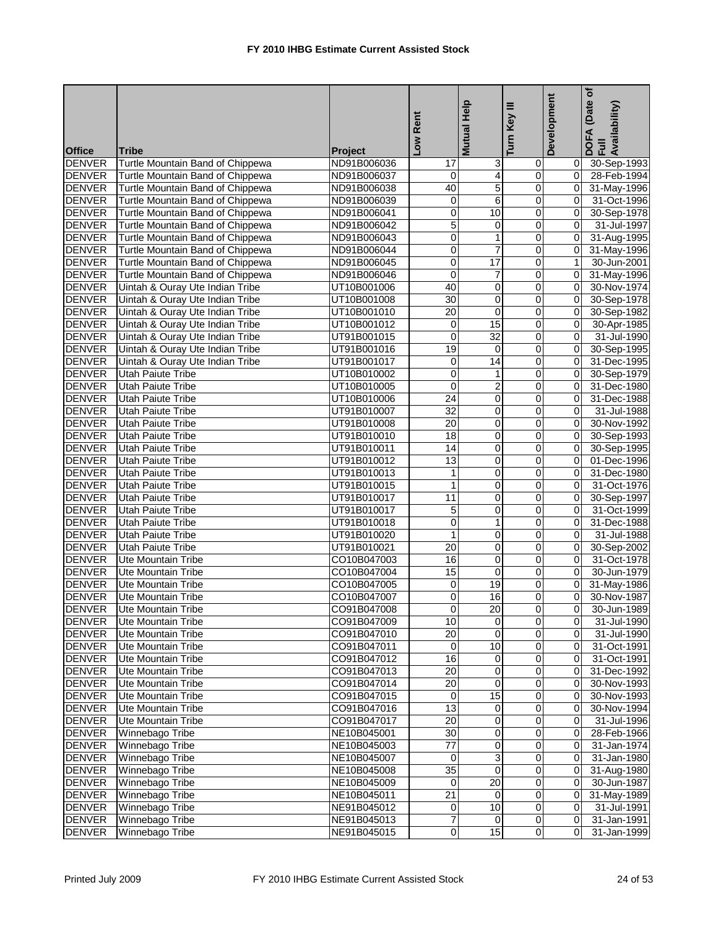|               |                                                                      |                               | Low Rent        | Help                    | Key III                 | Development    | (Date of<br>DOFA (Date<br>Full<br>Availability) |
|---------------|----------------------------------------------------------------------|-------------------------------|-----------------|-------------------------|-------------------------|----------------|-------------------------------------------------|
| <b>Office</b> | Tribe                                                                |                               |                 | <b>Mutual</b>           | Turn                    |                |                                                 |
| <b>DENVER</b> | Turtle Mountain Band of Chippewa                                     | <b>Project</b><br>ND91B006036 | 17              | ω                       | 0                       | 01             | 30-Sep-1993                                     |
| <b>DENVER</b> | Turtle Mountain Band of Chippewa                                     | ND91B006037                   | 0               | 4                       | 0                       | 01             | 28-Feb-1994                                     |
| <b>DENVER</b> | Turtle Mountain Band of Chippewa                                     | ND91B006038                   | 40              | 5                       | 0                       | $\overline{0}$ | 31-May-1996                                     |
| <b>DENVER</b> | Turtle Mountain Band of Chippewa                                     | ND91B006039                   | 0               | 6                       | 0                       | $\overline{0}$ | 31-Oct-1996                                     |
| <b>DENVER</b> | Turtle Mountain Band of Chippewa                                     | ND91B006041                   | 0               | $\overline{10}$         | 0                       | Οl             | 30-Sep-1978                                     |
| <b>DENVER</b> | Turtle Mountain Band of Chippewa                                     | ND91B006042                   | 5               | 0                       | 0                       | $\Omega$       | 31-Jul-1997                                     |
| <b>DENVER</b> |                                                                      | ND91B006043                   | 0               | 1                       | $\mathbf 0$             | $\overline{0}$ | 31-Aug-1995                                     |
| <b>DENVER</b> | Turtle Mountain Band of Chippewa<br>Turtle Mountain Band of Chippewa | ND91B006044                   | 0               | $\overline{7}$          | $\mathbf 0$             | $\overline{0}$ | 31-May-1996                                     |
| <b>DENVER</b> | Turtle Mountain Band of Chippewa                                     | ND91B006045                   | 0               | 17                      | 0                       | 1 <sup>1</sup> | 30-Jun-2001                                     |
| <b>DENVER</b> | Turtle Mountain Band of Chippewa                                     | ND91B006046                   | 0               | $\overline{7}$          | 0                       | 0              | 31-May-1996                                     |
| <b>DENVER</b> |                                                                      | UT10B001006                   | 40              | $\overline{0}$          | $\overline{0}$          | $\overline{0}$ | 30-Nov-1974                                     |
| <b>DENVER</b> | Uintah & Ouray Ute Indian Tribe<br>Uintah & Ouray Ute Indian Tribe   |                               | 30              | $\pmb{0}$               | $\boldsymbol{0}$        | $\overline{0}$ |                                                 |
| <b>DENVER</b> |                                                                      | UT10B001008                   | 20              |                         |                         | $\overline{0}$ | 30-Sep-1978                                     |
|               | Uintah & Ouray Ute Indian Tribe                                      | UT10B001010                   |                 | 0<br>15                 | 0                       | $\overline{0}$ | 30-Sep-1982                                     |
| <b>DENVER</b> | Uintah & Ouray Ute Indian Tribe                                      | UT10B001012                   | $\mathbf 0$     |                         | 0                       |                | 30-Apr-1985                                     |
| <b>DENVER</b> | Uintah & Ouray Ute Indian Tribe                                      | UT91B001015                   | 0               | 32                      | $\overline{0}$          | $\overline{0}$ | 31-Jul-1990                                     |
| <b>DENVER</b> | Uintah & Ouray Ute Indian Tribe                                      | UT91B001016                   | 19              | $\mathbf 0$             | $\mathbf 0$             | $\mathbf{0}$   | 30-Sep-1995                                     |
| <b>DENVER</b> | Uintah & Ouray Ute Indian Tribe                                      | UT91B001017                   | 0               | $\overline{14}$         | 0                       | $\mathbf{0}$   | 31-Dec-1995                                     |
| <b>DENVER</b> | <b>Utah Paiute Tribe</b>                                             | UT10B010002                   | 0               | 1                       | 0                       | $\overline{0}$ | 30-Sep-1979                                     |
| <b>DENVER</b> | <b>Utah Paiute Tribe</b>                                             | UT10B010005                   | $\overline{0}$  | $\overline{2}$          | 0                       | $\mathbf{0}$   | 31-Dec-1980                                     |
| <b>DENVER</b> | <b>Utah Paiute Tribe</b>                                             | UT10B010006                   | $\overline{24}$ | 0                       | 0                       | $\overline{0}$ | 31-Dec-1988                                     |
| <b>DENVER</b> | <b>Utah Paiute Tribe</b>                                             | UT91B010007                   | $\overline{32}$ | 0                       | 0                       | $\overline{0}$ | 31-Jul-1988                                     |
| <b>DENVER</b> | Utah Paiute Tribe                                                    | UT91B010008                   | 20              | 0                       | 0                       | $\mathbf{0}$   | 30-Nov-1992                                     |
| <b>DENVER</b> | <b>Utah Paiute Tribe</b>                                             | UT91B010010                   | $\overline{18}$ | $\overline{0}$          | $\overline{\mathsf{o}}$ | $\overline{0}$ | 30-Sep-1993                                     |
| <b>DENVER</b> | <b>Utah Paiute Tribe</b>                                             | UT91B010011                   | 14              | 0                       | $\pmb{0}$               | $\overline{0}$ | 30-Sep-1995                                     |
| <b>DENVER</b> | <b>Utah Paiute Tribe</b>                                             | UT91B010012                   | 13              | 0                       | 0                       | $\overline{0}$ | 01-Dec-1996                                     |
| <b>DENVER</b> | <b>Utah Paiute Tribe</b>                                             | UT91B010013                   | 1               | 0                       | 0                       | $\mathbf{0}$   | 31-Dec-1980                                     |
| <b>DENVER</b> | Utah Paiute Tribe                                                    | UT91B010015                   | 1               | 0                       | 0                       | $\mathbf{0}$   | 31-Oct-1976                                     |
| <b>DENVER</b> | <b>Utah Paiute Tribe</b>                                             | UT91B010017                   | 11              | 0                       | 0                       | $\overline{0}$ | 30-Sep-1997                                     |
| <b>DENVER</b> | <b>Utah Paiute Tribe</b>                                             | UT91B010017                   | 5               | $\mathbf 0$             | 0                       | $\Omega$       | 31-Oct-1999                                     |
| <b>DENVER</b> | <b>Utah Paiute Tribe</b>                                             | UT91B010018                   | 0               | 1                       | 0                       | $\overline{0}$ | 31-Dec-1988                                     |
| <b>DENVER</b> | <b>Utah Paiute Tribe</b>                                             | UT91B010020                   | 1               | 0                       | 0                       | $\Omega$       | 31-Jul-1988                                     |
| <b>DENVER</b> | Utah Paiute Tribe                                                    | UT91B010021                   | $\overline{20}$ | $\overline{\mathbf{0}}$ | $\mathbf 0$             | Οl             | 30-Sep-2002                                     |
| <b>DENVER</b> | Ute Mountain Tribe                                                   | CO10B047003                   | 16              | 0                       | $\mathbf 0$             | $\overline{0}$ | 31-Oct-1978                                     |
| <b>DENVER</b> | Ute Mountain Tribe                                                   | CO10B047004                   | 15              | 0                       | 0                       | $\Omega$       | 30-Jun-1979                                     |
| <b>DENVER</b> | Ute Mountain Tribe                                                   | CO10B047005                   | 0               | 19                      | 0                       | Οl             | 31-May-1986                                     |
| <b>DENVER</b> | <b>Ute Mountain Tribe</b>                                            | CO10B047007                   | 0               | 16                      | $\overline{0}$          | $\overline{0}$ | 30-Nov-1987                                     |
| <b>DENVER</b> | Ute Mountain Tribe                                                   | CO91B047008                   |                 | 20                      | $\overline{0}$          |                | 30-Jun-1989                                     |
| <b>DENVER</b> | Ute Mountain Tribe                                                   | CO91B047009                   | 10              | $\overline{0}$          | $\overline{\mathbf{0}}$ | 01             | 31-Jul-1990                                     |
| <b>DENVER</b> | Ute Mountain Tribe                                                   | CO91B047010                   | 20              | 0                       | 0                       | $\overline{0}$ | 31-Jul-1990                                     |
| <b>DENVER</b> | Ute Mountain Tribe                                                   | CO91B047011                   | $\overline{0}$  | 10                      | $\overline{0}$          | ΟI             | 31-Oct-1991                                     |
| <b>DENVER</b> | Ute Mountain Tribe                                                   | CO91B047012                   | 16              | 0                       | $\pmb{0}$               | 01             | 31-Oct-1991                                     |
| <b>DENVER</b> | Ute Mountain Tribe                                                   | CO91B047013                   | $\overline{20}$ | 0                       | 0                       | 01             | 31-Dec-1992                                     |
| <b>DENVER</b> | Ute Mountain Tribe                                                   | CO91B047014                   | 20              | 0                       | 0                       |                | 30-Nov-1993                                     |
| <b>DENVER</b> | Ute Mountain Tribe                                                   | CO91B047015                   | 0               | 15                      | $\pmb{0}$               | 01             | 30-Nov-1993                                     |
| <b>DENVER</b> | Ute Mountain Tribe                                                   | CO91B047016                   | 13              | 0                       | 0                       | 01             | 30-Nov-1994                                     |
| <b>DENVER</b> | Ute Mountain Tribe                                                   | CO91B047017                   | 20              | 0                       | 0                       | 0I             | 31-Jul-1996                                     |
| <b>DENVER</b> | Winnebago Tribe                                                      | NE10B045001                   | 30              | $\mathbf 0$             | 0                       | 01             | 28-Feb-1966                                     |
| <b>DENVER</b> | Winnebago Tribe                                                      | NE10B045003                   | $\overline{77}$ | $\overline{\mathbf{0}}$ | $\overline{0}$          | 01             | 31-Jan-1974                                     |
| <b>DENVER</b> | Winnebago Tribe                                                      | NE10B045007                   | 0               | 3                       | $\pmb{0}$               | 01             | 31-Jan-1980                                     |
| <b>DENVER</b> | Winnebago Tribe                                                      | NE10B045008                   | 35              | $\pmb{0}$               | $\mathbf 0$             | 01             | 31-Aug-1980                                     |
| <b>DENVER</b> | Winnebago Tribe                                                      | NE10B045009                   | $\mathbf 0$     | $\overline{20}$         | $\mathbf 0$             | 01             | 30-Jun-1987                                     |
| <b>DENVER</b> | Winnebago Tribe                                                      | NE10B045011                   | 21              | $\mathbf 0$             | $\mathbf 0$             | 01             | 31-May-1989                                     |
| <b>DENVER</b> | Winnebago Tribe                                                      | NE91B045012                   | $\overline{0}$  | 10                      | $\pmb{0}$               | $\overline{0}$ | 31-Jul-1991                                     |
| <b>DENVER</b> | Winnebago Tribe                                                      | NE91B045013                   | 7               | 0                       | 0                       | Οl             | 31-Jan-1991                                     |
| <b>DENVER</b> | Winnebago Tribe                                                      | NE91B045015                   | $\overline{0}$  | 15                      | $\overline{0}$          | 0              | 31-Jan-1999                                     |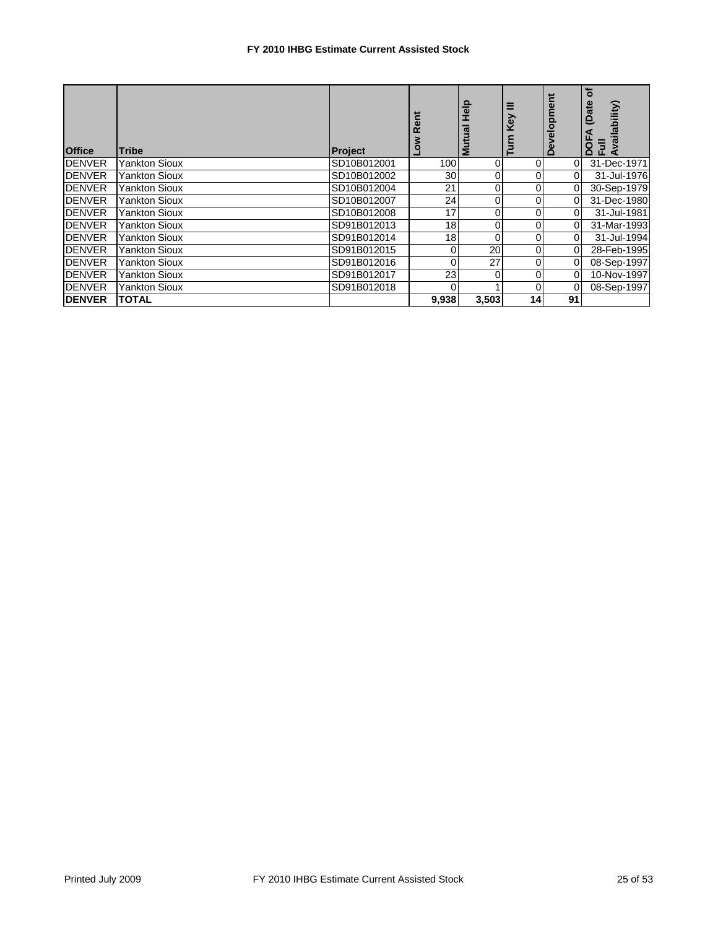## **FY 2010 IHBG Estimate Current Assisted Stock**

| <b>Office</b> | <b>Tribe</b>         | <b>Project</b> |                |       | ق        | Developm | ৳<br>(Date<br>vailability)<br>$\equiv$<br>O<br>ĂĽ, |
|---------------|----------------------|----------------|----------------|-------|----------|----------|----------------------------------------------------|
| <b>DENVER</b> | <b>Yankton Sioux</b> | SD10B012001    | 100            | ΩI    | 0        |          | 31-Dec-1971                                        |
| <b>DENVER</b> | <b>Yankton Sioux</b> | SD10B012002    | 30             |       | 0        |          | 31-Jul-1976                                        |
| <b>DENVER</b> | <b>Yankton Sioux</b> | SD10B012004    | 21             | ΩI    | 0        | $\Omega$ | 30-Sep-1979                                        |
| <b>DENVER</b> | Yankton Sioux        | SD10B012007    | 24             | ΩI    | 0        | 0        | 31-Dec-1980                                        |
| <b>DENVER</b> | Yankton Sioux        | SD10B012008    | 17             |       | 0        |          | 31-Jul-1981                                        |
| <b>DENVER</b> | <b>Yankton Sioux</b> | SD91B012013    | 18             |       | 0        |          | 31-Mar-1993                                        |
| <b>DENVER</b> | <b>Yankton Sioux</b> | SD91B012014    | 18             |       | 0        |          | 31-Jul-1994                                        |
| <b>DENVER</b> | <b>Yankton Sioux</b> | SD91B012015    | $\overline{0}$ | 20    | 0        | 0        | 28-Feb-1995                                        |
| <b>DENVER</b> | <b>Yankton Sioux</b> | SD91B012016    | $\Omega$       | 27    | 0        | $\Omega$ | 08-Sep-1997                                        |
| <b>DENVER</b> | Yankton Sioux        | SD91B012017    | 23             | 0     | 0        | 0        | 10-Nov-1997                                        |
| <b>DENVER</b> | Yankton Sioux        | SD91B012018    | 0              |       | $\Omega$ | $\Omega$ | 08-Sep-1997                                        |
| <b>DENVER</b> | <b>TOTAL</b>         |                | 9,938          | 3,503 | 14       | 91       |                                                    |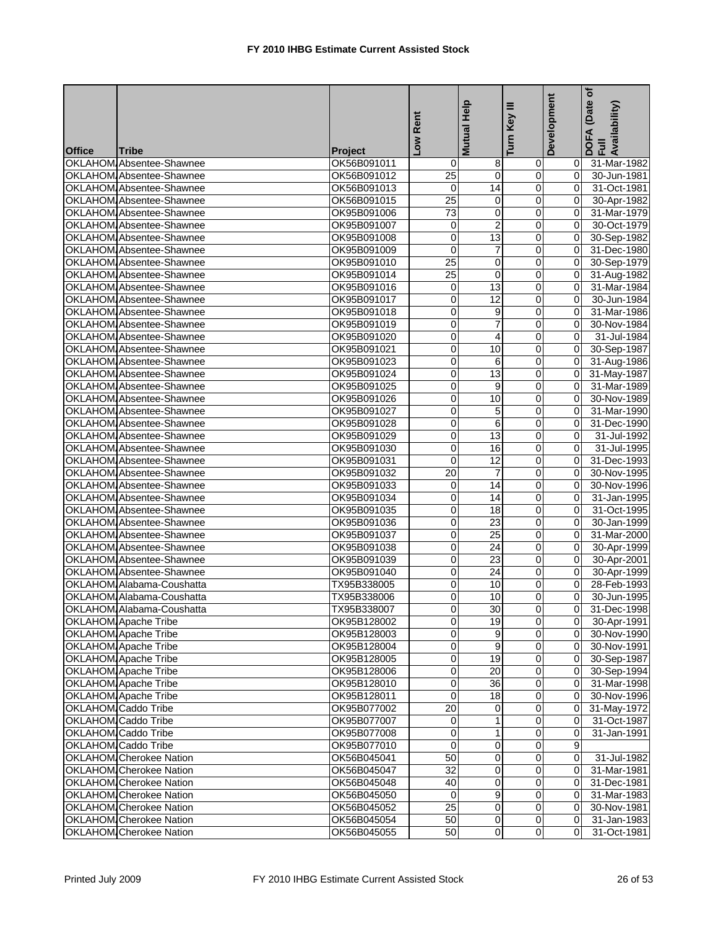|               |                                                                    |                            | Rent            | <b>Mutual Help</b>      | Ξ<br>Turn Key           | Development    | $\mathbf{r}$<br>(Date<br>DOFA (Date<br>Full<br>Availability) |
|---------------|--------------------------------------------------------------------|----------------------------|-----------------|-------------------------|-------------------------|----------------|--------------------------------------------------------------|
| <b>Office</b> | <b>Tribe</b>                                                       | Project                    | <b>MOT</b>      |                         |                         |                |                                                              |
|               | OKLAHOM Absentee-Shawnee                                           | OK56B091011                | 0               | 8                       | 0                       | 0              | 31-Mar-1982                                                  |
|               | OKLAHOM Absentee-Shawnee                                           | OK56B091012                | $\overline{25}$ | $\overline{0}$          | $\pmb{0}$               | $\overline{0}$ | 30-Jun-1981                                                  |
|               | OKLAHOM Absentee-Shawnee                                           | OK56B091013                | $\mathbf 0$     | 14                      | $\pmb{0}$               | $\overline{0}$ | 31-Oct-1981                                                  |
|               | OKLAHOM Absentee-Shawnee                                           | OK56B091015                | $\overline{25}$ | 0                       | $\overline{0}$          | $\overline{0}$ | 30-Apr-1982                                                  |
|               | OKLAHOM Absentee-Shawnee                                           | OK95B091006                | 73              | 0                       | 0                       | 0              | 31-Mar-1979                                                  |
|               | OKLAHOM Absentee-Shawnee                                           | OK95B091007                | $\mathbf 0$     | $\overline{c}$          | $\overline{0}$          | $\overline{0}$ | 30-Oct-1979                                                  |
|               | OKLAHOM Absentee-Shawnee                                           | OK95B091008                | 0               | $\overline{13}$         | $\pmb{0}$               | $\overline{0}$ | 30-Sep-1982                                                  |
|               | OKLAHOM Absentee-Shawnee                                           | OK95B091009                | 0               | $\overline{7}$          | 0                       | $\overline{0}$ | 31-Dec-1980                                                  |
|               | OKLAHOM Absentee-Shawnee                                           | OK95B091010                | 25              | 0                       | 0                       | $\overline{0}$ | 30-Sep-1979                                                  |
|               | OKLAHOM Absentee-Shawnee                                           | OK95B091014                | 25              | 0                       | $\pmb{0}$               | $\overline{0}$ | 31-Aug-1982                                                  |
|               | OKLAHOM Absentee-Shawnee                                           | OK95B091016                | 0               | $\overline{13}$         | 0                       | $\overline{0}$ | 31-Mar-1984                                                  |
|               | OKLAHOM Absentee-Shawnee                                           | OK95B091017                | 0               | 12                      | 0                       | $\overline{0}$ | 30-Jun-1984                                                  |
|               | OKLAHOM Absentee-Shawnee                                           | OK95B091018                | 0               | 9                       | $\pmb{0}$               | $\overline{0}$ | 31-Mar-1986                                                  |
|               | OKLAHOM Absentee-Shawnee                                           | OK95B091019                | 0               | $\overline{7}$          | $\pmb{0}$               | $\overline{0}$ | 30-Nov-1984                                                  |
|               | OKLAHOM Absentee-Shawnee                                           | OK95B091020                | 0               | 4                       | $\overline{0}$          | $\mathbf{0}$   | 31-Jul-1984                                                  |
|               | OKLAHOM Absentee-Shawnee                                           | OK95B091021                | 0               | 10                      | 0                       | $\overline{0}$ | 30-Sep-1987                                                  |
|               | <b>OKLAHOM Absentee-Shawnee</b>                                    | OK95B091023                | 0               | 6                       | 0                       | 0              | 31-Aug-1986                                                  |
|               | OKLAHOM Absentee-Shawnee                                           | OK95B091024                | 0               | 13                      | 0                       | $\mathbf{0}$   | 31-May-1987                                                  |
|               | OKLAHOM Absentee-Shawnee                                           | OK95B091025                | 0               | 9                       | $\pmb{0}$               | $\overline{0}$ | 31-Mar-1989                                                  |
|               | OKLAHOM Absentee-Shawnee                                           | OK95B091026                | 0               | 10                      | $\pmb{0}$               | $\Omega$       | 30-Nov-1989                                                  |
|               | OKLAHOM Absentee-Shawnee                                           | OK95B091027                | $\overline{0}$  | 5                       | 0                       | $\mathbf{0}$   |                                                              |
|               | OKLAHOM Absentee-Shawnee                                           |                            | 0               | 6                       | 0                       | $\overline{0}$ | 31-Mar-1990<br>31-Dec-1990                                   |
|               | OKLAHOM Absentee-Shawnee                                           | OK95B091028<br>OK95B091029 | 0               | 13                      | $\overline{0}$          | $\overline{0}$ |                                                              |
|               |                                                                    |                            |                 |                         |                         |                | 31-Jul-1992                                                  |
|               | OKLAHOM Absentee-Shawnee                                           | OK95B091030                | 0               | 16                      | $\pmb{0}$               | $\Omega$       | 31-Jul-1995                                                  |
|               | <b>OKLAHOM Absentee-Shawnee</b><br><b>OKLAHOM</b> Absentee-Shawnee | OK95B091031                | $\overline{0}$  | 12                      | $\pmb{0}$               | $\Omega$       | 31-Dec-1993                                                  |
|               |                                                                    | OK95B091032                | 20              | 7                       | 0                       | $\overline{0}$ | 30-Nov-1995                                                  |
|               | OKLAHOM Absentee-Shawnee                                           | OK95B091033                | 0               | 14                      | $\pmb{0}$               | $\overline{0}$ | 30-Nov-1996                                                  |
|               | OKLAHOM Absentee-Shawnee                                           | OK95B091034                | 0               | 14                      | $\pmb{0}$               | 0              | 31-Jan-1995                                                  |
|               | OKLAHOM Absentee-Shawnee                                           | OK95B091035                | 0               | $\overline{18}$         | $\overline{\mathsf{o}}$ | $\overline{0}$ | 31-Oct-1995                                                  |
|               | <b>OKLAHOM</b> Absentee-Shawnee                                    | OK95B091036                | 0               | 23                      | 0                       | 0              | 30-Jan-1999                                                  |
|               | OKLAHOM Absentee-Shawnee                                           | OK95B091037                | 0               | 25                      | $\pmb{0}$               | $\overline{0}$ | 31-Mar-2000                                                  |
|               | OKLAHOM Absentee-Shawnee                                           | OK95B091038                | 0               | 24                      | 0                       | $\overline{0}$ | 30-Apr-1999                                                  |
|               | OKLAHOM Absentee-Shawnee                                           | OK95B091039                | 0               | 23                      | $\pmb{0}$               | $\overline{0}$ | 30-Apr-2001                                                  |
|               | OKLAHOM Absentee-Shawnee                                           | OK95B091040                | 0               | 24                      | 0                       | $\overline{0}$ | 30-Apr-1999                                                  |
|               | OKLAHOM Alabama-Coushatta                                          | TX95B338005                | 0               | 10                      | $\pmb{0}$               | $\overline{0}$ | 28-Feb-1993                                                  |
|               | OKLAHOM Alabama-Coushatta                                          | TX95B338006                | 0               | $\overline{10}$         | 0                       | $\overline{0}$ | 30-Jun-1995                                                  |
|               | OKLAHOM Alabama-Coushatta                                          | TX95B338007                | O               | 30                      | $\overline{0}$          |                | 0 31-Dec-1998                                                |
|               | <b>OKLAHOM</b> Apache Tribe                                        | OK95B128002                | 0               | 19                      | $\overline{0}$          |                | 0 30-Apr-1991                                                |
|               | OKLAHOM Apache Tribe                                               | OK95B128003                | 0               | 9                       | $\overline{0}$          |                | 0 30-Nov-1990                                                |
|               | OKLAHOM Apache Tribe                                               | OK95B128004                | 0               | $9\,$                   | $\overline{0}$          |                | 0 30-Nov-1991                                                |
|               | OKLAHOM Apache Tribe                                               | OK95B128005                | 0               | 19                      | $\mathbf 0$             |                | 0 30-Sep-1987                                                |
|               | OKLAHOM Apache Tribe                                               | OK95B128006                | 0               | 20                      | $\mathbf 0$             |                | 0 30-Sep-1994                                                |
|               | OKLAHOM Apache Tribe                                               | OK95B128010                | 0               | 36                      | $\pmb{0}$               | 01             | $\overline{31}$ -Mar-1998                                    |
|               | OKLAHOM Apache Tribe                                               | OK95B128011                | 0               | 18                      | $\pmb{0}$               |                | 0 30-Nov-1996                                                |
|               | OKLAHOM Caddo Tribe                                                | OK95B077002                | 20              | 0                       | 0                       | ΟI             | 31-May-1972                                                  |
|               | OKLAHOM Caddo Tribe                                                | OK95B077007                | $\overline{0}$  | 1                       | 0                       | 01             | 31-Oct-1987                                                  |
|               | OKLAHOM Caddo Tribe                                                | OK95B077008                | 0               | 1                       | $\pmb{0}$               | 01             | 31-Jan-1991                                                  |
|               | OKLAHOM Caddo Tribe                                                | OK95B077010                | $\mathbf 0$     | $\overline{\mathbf{0}}$ | $\overline{0}$          | 9              |                                                              |
|               | OKLAHOM Cherokee Nation                                            | OK56B045041                | 50              | 0                       | $\overline{0}$          | $\overline{O}$ | 31-Jul-1982                                                  |
|               | OKLAHOM Cherokee Nation                                            | OK56B045047                | 32              | $\pmb{0}$               | $\overline{0}$          |                | 0 31-Mar-1981                                                |
|               | OKLAHOM Cherokee Nation                                            | OK56B045048                | 40              | 0                       | $\overline{\mathbf{0}}$ | 01             | 31-Dec-1981                                                  |
|               | <b>OKLAHOM</b> Cherokee Nation                                     | OK56B045050                | $\mathbf 0$     | 9                       | $\overline{0}$          | $\overline{0}$ | 31-Mar-1983                                                  |
|               | OKLAHOM Cherokee Nation                                            | OK56B045052                | 25              | 0                       | $\overline{0}$          | 01             | 30-Nov-1981                                                  |
|               | OKLAHOM Cherokee Nation                                            | OK56B045054                | 50              | $\mathbf 0$             | $\overline{0}$          | ΟI             | 31-Jan-1983                                                  |
|               | OKLAHOM Cherokee Nation                                            | OK56B045055                | 50              | 0                       | $\pmb{0}$               | $\Omega$       | 31-Oct-1981                                                  |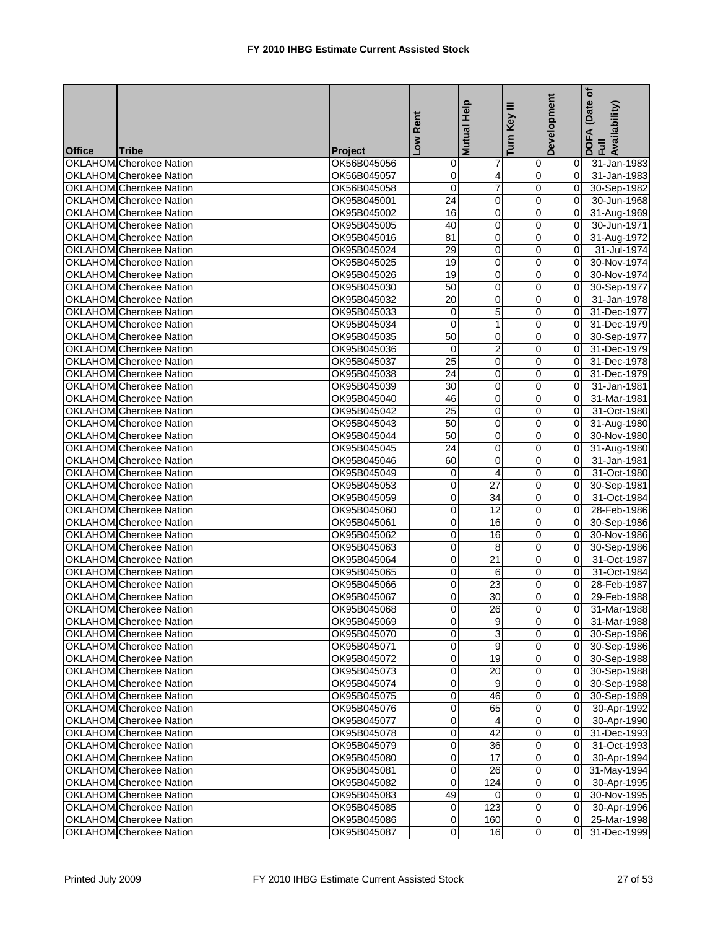|               |                                |             | Rent            | Mutual Help             | Ξ                       | Development    | (Date of<br>DOFA (Date<br>Full<br>Availability) |
|---------------|--------------------------------|-------------|-----------------|-------------------------|-------------------------|----------------|-------------------------------------------------|
|               |                                |             |                 |                         | Turn Key                |                |                                                 |
| <b>Office</b> | <b>Tribe</b>                   | Project     | No <sub>1</sub> |                         |                         |                |                                                 |
|               | <b>OKLAHOM Cherokee Nation</b> | OK56B045056 | 0               | 7                       | 0                       | 01             | 31-Jan-1983                                     |
|               | OKLAHOM Cherokee Nation        | OK56B045057 | 0               | $\overline{4}$          | $\overline{0}$          | $\mathbf{0}$   | 31-Jan-1983                                     |
|               | OKLAHOM Cherokee Nation        | OK56B045058 | 0               | $\overline{7}$          | $\pmb{0}$               | $\overline{0}$ | 30-Sep-1982                                     |
|               | <b>OKLAHOM</b> Cherokee Nation | OK95B045001 | $\overline{24}$ | 0                       | 0                       | $\mathbf{0}$   | 30-Jun-1968                                     |
|               | <b>OKLAHOM</b> Cherokee Nation | OK95B045002 | 16              | 0                       | 0                       | $\mathbf{0}$   | 31-Aug-1969                                     |
|               | OKLAHOM Cherokee Nation        | OK95B045005 | 40              | 0                       | $\overline{0}$          | $\overline{0}$ | 30-Jun-1971                                     |
|               | <b>OKLAHOM</b> Cherokee Nation | OK95B045016 | 81              | 0                       | 0                       | $\overline{0}$ | 31-Aug-1972                                     |
|               | <b>OKLAHOM Cherokee Nation</b> | OK95B045024 | 29              | 0                       | 0                       | οI             | 31-Jul-1974                                     |
|               | <b>OKLAHOM</b> Cherokee Nation | OK95B045025 | 19              | 0                       | 0                       | Οl             | 30-Nov-1974                                     |
|               | OKLAHOM Cherokee Nation        | OK95B045026 | 19              | 0                       | $\pmb{0}$               | $\mathbf{0}$   | 30-Nov-1974                                     |
|               | <b>OKLAHOM</b> Cherokee Nation | OK95B045030 | 50              | 0                       | $\overline{0}$          | Οl             | 30-Sep-1977                                     |
|               | OKLAHOM Cherokee Nation        | OK95B045032 | 20              | 0                       | 0                       | ΟI             | 31-Jan-1978                                     |
|               | OKLAHOM Cherokee Nation        | OK95B045033 | 0               | 5                       | $\pmb{0}$               | Οl             | 31-Dec-1977                                     |
|               | OKLAHOM Cherokee Nation        | OK95B045034 | 0               | 1                       | $\pmb{0}$               | 0              | 31-Dec-1979                                     |
|               | <b>OKLAHOM</b> Cherokee Nation | OK95B045035 | 50              | 0                       | $\pmb{0}$               | Οl             | 30-Sep-1977                                     |
|               | OKLAHOM Cherokee Nation        | OK95B045036 | $\mathbf 0$     | $\overline{c}$          | 0                       | $\Omega$       | 31-Dec-1979                                     |
|               | <b>OKLAHOM</b> Cherokee Nation | OK95B045037 | $\overline{25}$ | 0                       | 0                       | Οl             | 31-Dec-1978                                     |
|               | OKLAHOM Cherokee Nation        | OK95B045038 | 24              | 0                       | 0                       | $\Omega$       | 31-Dec-1979                                     |
|               | OKLAHOM Cherokee Nation        | OK95B045039 | 30              | 0                       | $\overline{\mathbf{0}}$ | $\mathbf{0}$   | 31-Jan-1981                                     |
|               | OKLAHOM Cherokee Nation        | OK95B045040 | 46              | $\mathbf 0$             | $\mathbf 0$             | $\Omega$       | 31-Mar-1981                                     |
|               | <b>OKLAHOM</b> Cherokee Nation | OK95B045042 | 25              | 0                       | 0                       | $\mathbf{0}$   | 31-Oct-1980                                     |
|               | <b>OKLAHOM</b> Cherokee Nation | OK95B045043 | 50              | 0                       | 0                       | $\mathbf{0}$   | 31-Aug-1980                                     |
|               | <b>OKLAHOM</b> Cherokee Nation | OK95B045044 | 50              | $\overline{\mathbf{0}}$ | $\overline{0}$          | $\mathbf{0}$   | 30-Nov-1980                                     |
|               | <b>OKLAHOM Cherokee Nation</b> | OK95B045045 | 24              | 0                       | $\pmb{0}$               | $\overline{0}$ | 31-Aug-1980                                     |
|               | OKLAHOM Cherokee Nation        | OK95B045046 | 60              | 0                       | $\mathbf 0$             | $\overline{0}$ | 31-Jan-1981                                     |
|               | OKLAHOM Cherokee Nation        | OK95B045049 | 0               | 4                       | 0                       | $\Omega$       | 31-Oct-1980                                     |
|               | OKLAHOM Cherokee Nation        | OK95B045053 | 0               | $\overline{27}$         | $\overline{0}$          | $\overline{0}$ | 30-Sep-1981                                     |
|               | OKLAHOM Cherokee Nation        | OK95B045059 | 0               | 34                      | $\pmb{0}$               | $\Omega$       | 31-Oct-1984                                     |
|               | <b>OKLAHOM</b> Cherokee Nation | OK95B045060 | 0               | $\overline{12}$         | ō                       | $\overline{0}$ | 28-Feb-1986                                     |
|               | <b>OKLAHOM</b> Cherokee Nation | OK95B045061 | 0               | 16                      | 0                       | 0              | 30-Sep-1986                                     |
|               | OKLAHOM Cherokee Nation        | OK95B045062 | 0               | 16                      | $\pmb{0}$               | $\overline{0}$ | 30-Nov-1986                                     |
|               | <b>OKLAHOM Cherokee Nation</b> | OK95B045063 | 0               | 8                       | 0                       | $\overline{0}$ | 30-Sep-1986                                     |
|               | OKLAHOM Cherokee Nation        | OK95B045064 | 0               | 21                      | $\pmb{0}$               | $\overline{0}$ | 31-Oct-1987                                     |
|               | <b>OKLAHOM Cherokee Nation</b> | OK95B045065 | 0               | 6                       | 0                       | ΟI             | 31-Oct-1984                                     |
|               | OKLAHOM Cherokee Nation        | OK95B045066 | 0               | 23                      | $\pmb{0}$               | $\overline{0}$ | 28-Feb-1987                                     |
|               | <b>OKLAHOM Cherokee Nation</b> | OK95B045067 | 0               | $\overline{30}$         | 0                       | $\overline{0}$ | 29-Feb-1988                                     |
|               | OKLAHOM Cherokee Nation        | OK95B045068 | $\overline{0}$  | 26                      | $\overline{0}$          |                | 0 31-Mar-1988                                   |
|               | OKLAHOM Cherokee Nation        | OK95B045069 | $\overline{0}$  | 9                       | $\overline{0}$          |                | 0 31-Mar-1988                                   |
|               | OKLAHOM Cherokee Nation        | OK95B045070 | 0               | ω                       | $\overline{0}$          |                | 0 30-Sep-1986                                   |
|               | OKLAHOM Cherokee Nation        | OK95B045071 | 0               | $\overline{9}$          | $\overline{0}$          |                | 0 30-Sep-1986                                   |
|               |                                |             | 0               | 19                      | 0                       |                | 0 30-Sep-1988                                   |
|               | OKLAHOM Cherokee Nation        | OK95B045072 | 0               | 20                      | 0                       | ΟI             | 30-Sep-1988                                     |
|               | OKLAHOM Cherokee Nation        | OK95B045073 |                 |                         |                         |                |                                                 |
|               | OKLAHOM Cherokee Nation        | OK95B045074 | 0               | 9                       | 0                       | 01             | 30-Sep-1988                                     |
|               | OKLAHOM Cherokee Nation        | OK95B045075 | 0               | 46                      | $\pmb{0}$               | 01             | 30-Sep-1989                                     |
|               | OKLAHOM Cherokee Nation        | OK95B045076 | 0               | 65                      | 0                       | ΟI             | 30-Apr-1992                                     |
|               | OKLAHOM Cherokee Nation        | OK95B045077 | 0               | 4                       | $\overline{0}$          |                | $\overline{0}$ 30-Apr-1990                      |
|               | OKLAHOM Cherokee Nation        | OK95B045078 | 0               | 42                      | $\mathbf 0$             |                | 0 31-Dec-1993                                   |
|               | OKLAHOM Cherokee Nation        | OK95B045079 | 0               | 36                      | $\overline{0}$          | $\overline{0}$ | 31-Oct-1993                                     |
|               | <b>OKLAHOM</b> Cherokee Nation | OK95B045080 | 0               | 17                      | 0                       | ΟI             | 30-Apr-1994                                     |
|               | OKLAHOM Cherokee Nation        | OK95B045081 | 0               | 26                      | $\overline{0}$          | ΟI             | 31-May-1994                                     |
|               | OKLAHOM Cherokee Nation        | OK95B045082 | 0               | 124                     | $\overline{\mathbf{0}}$ | 0I             | 30-Apr-1995                                     |
|               | <b>OKLAHOM</b> Cherokee Nation | OK95B045083 | 49              | $\overline{0}$          | $\overline{0}$          |                | 0 30-Nov-1995                                   |
|               | OKLAHOM Cherokee Nation        | OK95B045085 | 0               | 123                     | $\pmb{0}$               | 0I -           | 30-Apr-1996                                     |
|               | OKLAHOM Cherokee Nation        | OK95B045086 | 0               | 160                     | $\overline{0}$          |                | 0 25-Mar-1998                                   |
|               | OKLAHOM Cherokee Nation        | OK95B045087 | 0               | 16                      | $\mathbf 0$             |                | 31-Dec-1999                                     |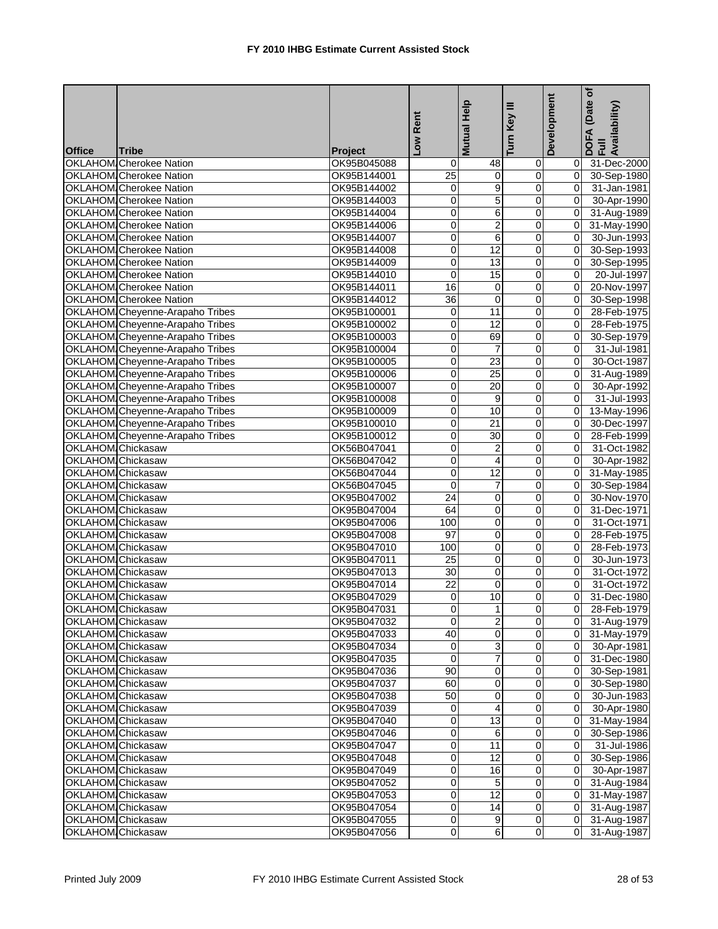|                   |                                 |                | Rent                | Mutual Help              | Ξ<br>Turn Key                    | Development    | (Date of<br>DOFA (Date<br>Full<br>Availability) |
|-------------------|---------------------------------|----------------|---------------------|--------------------------|----------------------------------|----------------|-------------------------------------------------|
| <b>Office</b>     | <b>Tribe</b>                    | <b>Project</b> | <b>NOT</b>          |                          |                                  |                |                                                 |
|                   | <b>OKLAHOM Cherokee Nation</b>  | OK95B045088    | $\mathbf 0$         | 48                       | 0                                | 01             | 31-Dec-2000                                     |
|                   | OKLAHOM Cherokee Nation         | OK95B144001    | 25                  | $\mathbf 0$              | $\overline{0}$                   | $\overline{0}$ | 30-Sep-1980                                     |
|                   | <b>OKLAHOM Cherokee Nation</b>  | OK95B144002    | 0                   | 9                        | $\pmb{0}$                        | $\overline{0}$ | 31-Jan-1981                                     |
|                   | <b>OKLAHOM</b> Cherokee Nation  | OK95B144003    | 0                   | 5                        | $\overline{\mathsf{o}}$          | $\overline{0}$ | 30-Apr-1990                                     |
|                   | <b>OKLAHOM Cherokee Nation</b>  | OK95B144004    | 0                   | 6                        | 0                                | 0I             | 31-Aug-1989                                     |
|                   | OKLAHOM Cherokee Nation         | OK95B144006    | 0                   | $\overline{c}$           | $\overline{0}$                   | $\overline{0}$ | 31-May-1990                                     |
|                   | <b>OKLAHOM Cherokee Nation</b>  | OK95B144007    | 0                   | 6                        | $\overline{0}$                   | $\overline{0}$ | 30-Jun-1993                                     |
|                   | OKLAHOM Cherokee Nation         | OK95B144008    | 0                   | 12                       | 0                                | 0l             | 30-Sep-1993                                     |
|                   | <b>OKLAHOM Cherokee Nation</b>  | OK95B144009    | 0                   | 13                       | 0                                | 0I             | 30-Sep-1995                                     |
|                   | OKLAHOM Cherokee Nation         | OK95B144010    | 0                   | 15                       | 0                                | $\mathbf{0}$   | 20-Jul-1997                                     |
|                   | <b>OKLAHOM</b> Cherokee Nation  | OK95B144011    | 16                  | 0                        | $\overline{0}$                   | $\overline{0}$ | 20-Nov-1997                                     |
|                   | <b>OKLAHOM Cherokee Nation</b>  | OK95B144012    | 36                  | $\mathbf 0$              | $\mathbf 0$                      | $\overline{0}$ | 30-Sep-1998                                     |
|                   | OKLAHOM Cheyenne-Arapaho Tribes | OK95B100001    | 0                   | 11                       | 0                                | 0l             | 28-Feb-1975                                     |
|                   | OKLAHOM Cheyenne-Arapaho Tribes | OK95B100002    | 0                   | 12                       | $\mathbf 0$                      | $\Omega$       | 28-Feb-1975                                     |
|                   | OKLAHOM Cheyenne-Arapaho Tribes | OK95B100003    | 0                   | 69                       | $\overline{\mathbf{0}}$          | $\overline{0}$ | 30-Sep-1979                                     |
|                   | OKLAHOM Cheyenne-Arapaho Tribes | OK95B100004    | 0                   | $\overline{7}$           | $\mathbf 0$                      | $\Omega$       | 31-Jul-1981                                     |
|                   | OKLAHOM Cheyenne-Arapaho Tribes | OK95B100005    | 0                   | 23                       | ō                                | $\Omega$       | 30-Oct-1987                                     |
|                   | OKLAHOM Cheyenne-Arapaho Tribes | OK95B100006    | 0                   | 25                       | $\pmb{0}$                        | 0l             | 31-Aug-1989                                     |
|                   | OKLAHOM Cheyenne-Arapaho Tribes | OK95B100007    | 0                   | 20                       | $\overline{0}$                   | $\overline{0}$ | 30-Apr-1992                                     |
|                   | OKLAHOM Cheyenne-Arapaho Tribes | OK95B100008    | 0                   | 9                        | $\overline{0}$                   | ΟI             | 31-Jul-1993                                     |
|                   | OKLAHOM Cheyenne-Arapaho Tribes | OK95B100009    | $\overline{0}$      | 10                       | $\overline{\mathbf{0}}$          | 0I             | 13-May-1996                                     |
|                   | OKLAHOM Cheyenne-Arapaho Tribes | OK95B100010    | 0                   | 21                       | $\mathbf 0$                      | $\Omega$       | 30-Dec-1997                                     |
|                   | OKLAHOM Cheyenne-Arapaho Tribes | OK95B100012    | 0                   | 30                       | $\overline{\mathsf{o}}$          | $\mathbf{0}$   | 28-Feb-1999                                     |
| OKLAHOM Chickasaw |                                 | OK56B047041    | 0                   | $\overline{2}$           | $\pmb{0}$                        | $\overline{0}$ | 31-Oct-1982                                     |
| OKLAHOM Chickasaw |                                 | OK56B047042    | 0                   | 4                        | 0                                | $\Omega$       | 30-Apr-1982                                     |
| OKLAHOM Chickasaw |                                 | OK56B047044    | 0                   | 12                       | 0                                | $\overline{0}$ | 31-May-1985                                     |
| OKLAHOM Chickasaw |                                 | OK56B047045    | $\overline{0}$      | $\overline{7}$           | $\pmb{0}$                        | $\overline{0}$ | 30-Sep-1984                                     |
| OKLAHOM Chickasaw |                                 | OK95B047002    | 24                  | 0                        | $\pmb{0}$                        | $\overline{0}$ | 30-Nov-1970                                     |
| OKLAHOM Chickasaw |                                 | OK95B047004    | 64                  | Ō                        | $\overline{\mathsf{o}}$          | $\overline{0}$ | 31-Dec-1971                                     |
| OKLAHOM Chickasaw |                                 | OK95B047006    | 100                 | 0                        | 0                                | Οl             | 31-Oct-1971                                     |
| OKLAHOM Chickasaw |                                 | OK95B047008    | 97                  | 0                        | $\pmb{0}$                        | 0              | 28-Feb-1975                                     |
| OKLAHOM Chickasaw |                                 | OK95B047010    | 100                 | 0                        | $\pmb{0}$                        | $\mathbf{0}$   | 28-Feb-1973                                     |
| OKLAHOM Chickasaw |                                 | OK95B047011    | 25                  | 0                        | 0                                | $\mathbf{0}$   | 30-Jun-1973                                     |
| OKLAHOM Chickasaw |                                 | OK95B047013    | 30                  | 0                        | $\pmb{0}$                        | 0l             | 31-Oct-1972                                     |
| OKLAHOM Chickasaw |                                 | OK95B047014    | 22                  | 0                        | 0                                | $\Omega$       | 31-Oct-1972                                     |
| OKLAHOM Chickasaw |                                 | OK95B047029    | 0                   | 10                       | $\overline{0}$                   | $\overline{0}$ | 31-Dec-1980                                     |
| OKLAHOM Chickasaw |                                 | OK95B047031    | O                   | $\overline{\phantom{a}}$ | $\overline{\text{o}}$            | $\overline{0}$ | 28-Feb-1979                                     |
| OKLAHOM Chickasaw |                                 | OK95B047032    | $\Omega$            | $\overline{2}$           | $\mathbf 0$                      |                | 0 31-Aug-1979                                   |
| OKLAHOM Chickasaw |                                 | OK95B047033    | 40                  | 0                        | $\mathbf 0$                      |                | 0 31-May-1979                                   |
| OKLAHOM Chickasaw |                                 | OK95B047034    | $\mathbf{0}$        | 3                        | $\overline{0}$                   |                | 0 30-Apr-1981                                   |
| OKLAHOM Chickasaw |                                 | OK95B047035    | 0                   | 7                        | 0                                |                | 0 31-Dec-1980                                   |
| OKLAHOM Chickasaw |                                 | OK95B047036    | 90                  | $\mathbf 0$              | $\mathbf 0$                      |                | 0 30-Sep-1981                                   |
| OKLAHOM Chickasaw |                                 | OK95B047037    | 60                  | 0                        | $\pmb{0}$                        | ΟI             | 30-Sep-1980                                     |
| OKLAHOM Chickasaw |                                 | OK95B047038    | 50                  | $\mathbf 0$              | $\overline{0}$                   |                | $0$ 30-Jun-1983                                 |
| OKLAHOM Chickasaw |                                 | OK95B047039    | 0                   | 4                        | $\mathbf 0$                      |                | 0 30-Apr-1980                                   |
| OKLAHOM Chickasaw |                                 | OK95B047040    | 0                   | 13                       | $\overline{0}$                   |                | 0 31-May-1984                                   |
| OKLAHOM Chickasaw |                                 | OK95B047046    | 0                   | 6                        | $\pmb{0}$                        |                | 0 30-Sep-1986                                   |
| OKLAHOM Chickasaw |                                 | OK95B047047    | 0                   | 11                       | $\overline{0}$                   |                |                                                 |
|                   |                                 | OK95B047048    | 0                   | 12                       | 0                                |                | 0 31-Jul-1986                                   |
| OKLAHOM Chickasaw |                                 |                | 0                   | 16                       | $\mathbf 0$                      |                | 0 30-Sep-1986                                   |
| OKLAHOM Chickasaw |                                 | OK95B047049    |                     | 5                        |                                  |                | 0 30-Apr-1987                                   |
| OKLAHOM Chickasaw |                                 | OK95B047052    | 0                   |                          | 0                                |                | 0 31-Aug-1984                                   |
| OKLAHOM Chickasaw |                                 | OK95B047053    | 0                   | 12                       | $\overline{0}$                   |                | 0 31-May-1987                                   |
| OKLAHOM Chickasaw |                                 | OK95B047054    | 0                   | 14<br>9                  | $\overline{0}$<br>$\overline{0}$ |                | 0 31-Aug-1987                                   |
| OKLAHOM Chickasaw |                                 | OK95B047055    | 0<br>$\overline{0}$ |                          |                                  |                | 0 31-Aug-1987                                   |
| OKLAHOM Chickasaw |                                 | OK95B047056    |                     | $6 \mid$                 | $\overline{O}$                   |                | 0 31-Aug-1987                                   |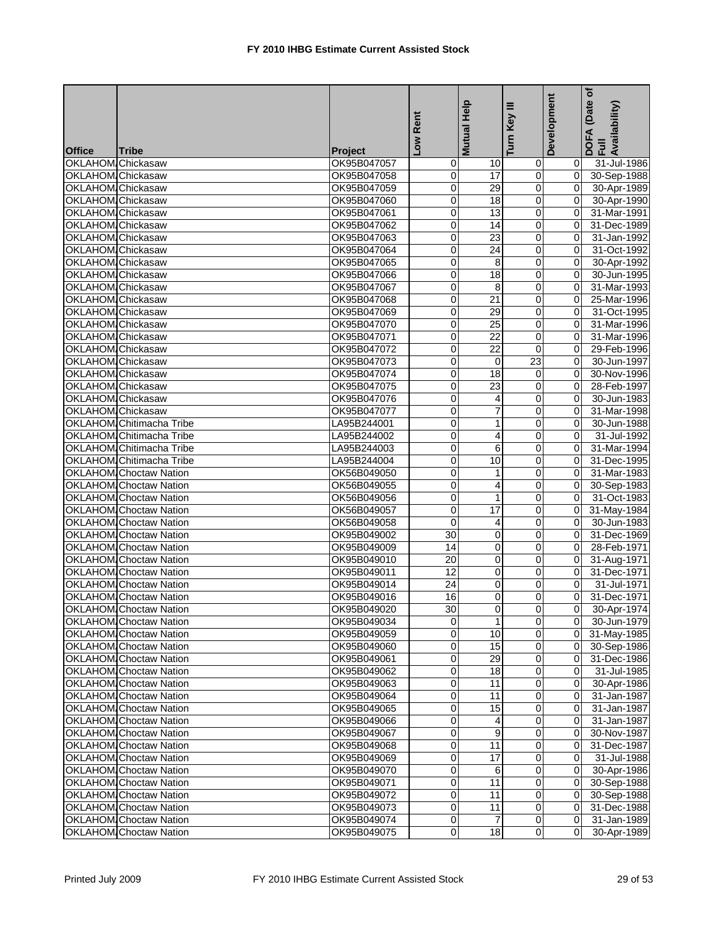| <b>Office</b><br>Tribe<br><b>Project</b><br>OKLAHOM Chickasaw<br>OK95B047057<br>0<br>10<br>$\mathbf 0$<br>31-Jul-1986<br>0<br>17<br>$\mathbf 0$<br>$\overline{0}$<br>OKLAHOM Chickasaw<br>0<br>30-Sep-1988<br>OK95B047058<br>29<br>$\overline{0}$<br>OKLAHOM Chickasaw<br>0<br>$\overline{0}$<br>OK95B047059<br>30-Apr-1989<br>18<br>$\overline{0}$<br>OKLAHOM Chickasaw<br>0<br>OK95B047060<br>0l<br>30-Apr-1990<br>OKLAHOM Chickasaw<br>0<br>$\overline{13}$<br>$\overline{\mathsf{o}}$<br>31-Mar-1991<br>OK95B047061<br>$\Omega$<br>$\pmb{0}$<br>OKLAHOM Chickasaw<br>0<br>OK95B047062<br>14<br>$\Omega$<br>31-Dec-1989<br>$\overline{0}$<br>0<br>23<br>OKLAHOM Chickasaw<br>OK95B047063<br>$\overline{0}$<br>31-Jan-1992<br>$\pmb{0}$<br>OKLAHOM Chickasaw<br>0<br>24<br>OK95B047064<br>$\Omega$<br>31-Oct-1992<br>$\overline{0}$<br>OKLAHOM Chickasaw<br>OK95B047065<br>$\mathbf 0$<br>$\Omega$<br>30-Apr-1992<br>8<br>18<br>0<br>OKLAHOM Chickasaw<br>OK95B047066<br>0<br>$\Omega$<br>30-Jun-1995<br>$\overline{0}$<br>0<br>31-Mar-1993<br>OKLAHOM Chickasaw<br>OK95B047067<br>8<br>$\mathbf{0}$<br>21<br>$\pmb{0}$<br>OKLAHOM Chickasaw<br>OK95B047068<br>0<br>25-Mar-1996<br>$\overline{0}$<br>29<br>OKLAHOM Chickasaw<br>0<br>$\pmb{0}$<br>$\Omega$<br>31-Oct-1995<br>OK95B047069<br>OKLAHOM Chickasaw<br>25<br>0<br>OK95B047070<br>0<br>$\Omega$<br>31-Mar-1996<br>0<br>22<br>$\pmb{0}$<br>OKLAHOM Chickasaw<br>OK95B047071<br>$\overline{0}$<br>31-Mar-1996<br>OKLAHOM Chickasaw<br>$\overline{22}$<br>OK95B047072<br>0<br>0<br>29-Feb-1996<br>$\overline{0}$<br>23<br>OKLAHOM Chickasaw<br>OK95B047073<br>0<br>Ō<br>$\Omega$<br>30-Jun-1997<br>OKLAHOM Chickasaw<br>0<br>18<br>$\pmb{0}$<br>OK95B047074<br>$\Omega$<br>30-Nov-1996<br>$\overline{0}$<br>0<br>23<br>28-Feb-1997<br>OKLAHOM Chickasaw<br>OK95B047075<br>$\overline{0}$<br>$\overline{0}$<br>OKLAHOM Chickasaw<br>0<br>OK95B047076<br>4<br>$\overline{0}$<br>30-Jun-1983<br>$\overline{0}$<br>OKLAHOM Chickasaw<br>0<br>7<br>OK95B047077<br>$\Omega$<br>31-Mar-1998<br>OKLAHOM Chitimacha Tribe<br>0<br>$\pmb{0}$<br>LA95B244001<br>1<br>0l<br>30-Jun-1988<br>0<br>OKLAHOM Chitimacha Tribe<br>0<br>4<br>31-Jul-1992<br>LA95B244002<br>$\Omega$<br>$\overline{\mathbf{0}}$<br>OKLAHOM Chitimacha Tribe<br>0<br>6<br>LA95B244003<br>31-Mar-1994<br>0<br>10<br>$\mathbf 0$<br>OKLAHOM Chitimacha Tribe<br>0<br>LA95B244004<br>$\Omega$<br>31-Dec-1995<br><b>OKLAHOM</b> Choctaw Nation<br>0<br>$\overline{0}$<br>OK56B049050<br>1<br>$\Omega$<br>31-Mar-1983<br>4<br>0<br><b>OKLAHOM</b> Choctaw Nation<br>0<br>$\overline{0}$<br>30-Sep-1983<br>OK56B049055<br>$\overline{0}$<br><b>OKLAHOM</b> Choctaw Nation<br>0<br>$\mathbf{1}$<br>$\overline{0}$<br>31-Oct-1983<br>OK56B049056<br>17<br>$\overline{0}$<br>0<br><b>OKLAHOM Choctaw Nation</b><br>OK56B049057<br>$\overline{0}$<br>31-May-1984<br>$\overline{0}$<br><b>OKLAHOM</b> Choctaw Nation<br>0<br>4<br>OK56B049058<br>ΟI<br>30-Jun-1983<br>$\pmb{0}$<br><b>OKLAHOM</b> Choctaw Nation<br>$\overline{30}$<br>OK95B049002<br>0<br>$\Omega$<br>31-Dec-1969<br>$\overline{0}$<br>$\pmb{0}$<br><b>OKLAHOM</b> Choctaw Nation<br>OK95B049009<br>14<br>$\overline{0}$<br>28-Feb-1971<br>20<br>0<br>$\overline{0}$<br><b>OKLAHOM</b> Choctaw Nation<br>OK95B049010<br>$\Omega$<br>31-Aug-1971<br><b>OKLAHOM</b> Choctaw Nation<br>OK95B049011<br>12<br>0<br>$\mathbf 0$<br>οI<br>31-Dec-1971<br>24<br>0<br><b>OKLAHOM</b> Choctaw Nation<br>OK95B049014<br>0<br>$\Omega$<br>31-Jul-1971<br>$\overline{0}$<br>$\overline{16}$<br>Ō<br>$\overline{0}$<br>31-Dec-1971<br><b>OKLAHOM</b> Choctaw Nation<br>OK95B049016<br>30<br><b>OKLAHOM</b> Choctaw Nation<br>$\overline{0}$<br>OK95B049020<br>30-Apr-1974<br>$\overline{0}$<br>1<br>$\overline{0}$<br>0 30-Jun-1979<br><b>OKLAHOM</b> Choctaw Nation<br>OK95B049034<br><b>OKLAHOM</b> Choctaw Nation<br>$\overline{0}$<br>OK95B049059<br>0<br>10<br>$\overline{0}$ 31-May-1985<br>0<br>15<br>$\overline{0}$<br><b>OKLAHOM</b> Choctaw Nation<br>0 30-Sep-1986<br>OK95B049060<br>29<br>$\pmb{0}$<br><b>OKLAHOM</b> Choctaw Nation<br>0<br>OK95B049061<br>01<br>31-Dec-1986<br><b>OKLAHOM</b> Choctaw Nation<br>OK95B049062<br>0<br>18<br>$\overline{0}$<br>31-Jul-1985<br>01<br>$\overline{0}$<br><b>OKLAHOM</b> Choctaw Nation<br>0<br>11<br>30-Apr-1986<br>OK95B049063<br>ΟI<br>$\overline{0}$<br><b>OKLAHOM</b> Choctaw Nation<br>11<br>OK95B049064<br>0<br>01<br>31-Jan-1987<br>15<br>$\overline{0}$<br><b>OKLAHOM</b> Choctaw Nation<br>0<br>OK95B049065<br>01<br>31-Jan-1987<br>$\pmb{0}$<br>0<br><b>OKLAHOM</b> Choctaw Nation<br>OK95B049066<br>4<br>01<br>31-Jan-1987<br>0<br>9<br>0<br><b>OKLAHOM Choctaw Nation</b><br>OK95B049067<br>30-Nov-1987<br>ΟI<br>11<br>$\mathbf 0$<br><b>OKLAHOM</b> Choctaw Nation<br>0<br>31-Dec-1987<br>OK95B049068<br>01<br>$\pmb{0}$<br><b>OKLAHOM</b> Choctaw Nation<br>0<br>17<br>OK95B049069<br>01<br>31-Jul-1988<br>0<br>0<br><b>OKLAHOM Choctaw Nation</b><br>6<br>30-Apr-1986<br>OK95B049070<br>ΟI<br>0<br>0<br><b>OKLAHOM</b> Choctaw Nation<br>11<br>30-Sep-1988<br>OK95B049071<br>ΟI<br>$\pmb{0}$<br><b>OKLAHOM</b> Choctaw Nation<br>OK95B049072<br>0<br>11<br>01<br>30-Sep-1988<br>$\overline{O}$<br><b>OKLAHOM</b> Choctaw Nation<br>0<br>11<br>$\overline{0}$<br>OK95B049073<br>31-Dec-1988<br>$\overline{0}$<br><b>OKLAHOM</b> Choctaw Nation<br>0<br>$\overline{7}$<br>31-Jan-1989<br>OK95B049074<br>01<br><b>OKLAHOM</b> Choctaw Nation |  |             | Rent           | Mutual Help | Ξ<br>Turn Key  | Development | (Date of<br>DOFA (Date<br>Full<br>Availability) |
|-----------------------------------------------------------------------------------------------------------------------------------------------------------------------------------------------------------------------------------------------------------------------------------------------------------------------------------------------------------------------------------------------------------------------------------------------------------------------------------------------------------------------------------------------------------------------------------------------------------------------------------------------------------------------------------------------------------------------------------------------------------------------------------------------------------------------------------------------------------------------------------------------------------------------------------------------------------------------------------------------------------------------------------------------------------------------------------------------------------------------------------------------------------------------------------------------------------------------------------------------------------------------------------------------------------------------------------------------------------------------------------------------------------------------------------------------------------------------------------------------------------------------------------------------------------------------------------------------------------------------------------------------------------------------------------------------------------------------------------------------------------------------------------------------------------------------------------------------------------------------------------------------------------------------------------------------------------------------------------------------------------------------------------------------------------------------------------------------------------------------------------------------------------------------------------------------------------------------------------------------------------------------------------------------------------------------------------------------------------------------------------------------------------------------------------------------------------------------------------------------------------------------------------------------------------------------------------------------------------------------------------------------------------------------------------------------------------------------------------------------------------------------------------------------------------------------------------------------------------------------------------------------------------------------------------------------------------------------------------------------------------------------------------------------------------------------------------------------------------------------------------------------------------------------------------------------------------------------------------------------------------------------------------------------------------------------------------------------------------------------------------------------------------------------------------------------------------------------------------------------------------------------------------------------------------------------------------------------------------------------------------------------------------------------------------------------------------------------------------------------------------------------------------------------------------------------------------------------------------------------------------------------------------------------------------------------------------------------------------------------------------------------------------------------------------------------------------------------------------------------------------------------------------------------------------------------------------------------------------------------------------------------------------------------------------------------------------------------------------------------------------------------------------------------------------------------------------------------------------------------------------------------------------------------------------------------------------------------------------------------------------------------------------------------------------------------------------------------------------------------------------------------------------------------------------------------------------------------------------------------------------------------------------------------------------------------------------------------------------------------------------------------------------------------------------------------------------------------------------------------------------------------------------------------------------------------------------------------------------------------------------------------------------------------------------------------------------------------------------------------------------------------------------------------------------------------------------------------------|--|-------------|----------------|-------------|----------------|-------------|-------------------------------------------------|
|                                                                                                                                                                                                                                                                                                                                                                                                                                                                                                                                                                                                                                                                                                                                                                                                                                                                                                                                                                                                                                                                                                                                                                                                                                                                                                                                                                                                                                                                                                                                                                                                                                                                                                                                                                                                                                                                                                                                                                                                                                                                                                                                                                                                                                                                                                                                                                                                                                                                                                                                                                                                                                                                                                                                                                                                                                                                                                                                                                                                                                                                                                                                                                                                                                                                                                                                                                                                                                                                                                                                                                                                                                                                                                                                                                                                                                                                                                                                                                                                                                                                                                                                                                                                                                                                                                                                                                                                                                                                                                                                                                                                                                                                                                                                                                                                                                                                                                                                                                                                                                                                                                                                                                                                                                                                                                                                                                                                                                                                             |  |             | <b>NOT</b>     |             |                |             |                                                 |
|                                                                                                                                                                                                                                                                                                                                                                                                                                                                                                                                                                                                                                                                                                                                                                                                                                                                                                                                                                                                                                                                                                                                                                                                                                                                                                                                                                                                                                                                                                                                                                                                                                                                                                                                                                                                                                                                                                                                                                                                                                                                                                                                                                                                                                                                                                                                                                                                                                                                                                                                                                                                                                                                                                                                                                                                                                                                                                                                                                                                                                                                                                                                                                                                                                                                                                                                                                                                                                                                                                                                                                                                                                                                                                                                                                                                                                                                                                                                                                                                                                                                                                                                                                                                                                                                                                                                                                                                                                                                                                                                                                                                                                                                                                                                                                                                                                                                                                                                                                                                                                                                                                                                                                                                                                                                                                                                                                                                                                                                             |  |             |                |             |                |             |                                                 |
|                                                                                                                                                                                                                                                                                                                                                                                                                                                                                                                                                                                                                                                                                                                                                                                                                                                                                                                                                                                                                                                                                                                                                                                                                                                                                                                                                                                                                                                                                                                                                                                                                                                                                                                                                                                                                                                                                                                                                                                                                                                                                                                                                                                                                                                                                                                                                                                                                                                                                                                                                                                                                                                                                                                                                                                                                                                                                                                                                                                                                                                                                                                                                                                                                                                                                                                                                                                                                                                                                                                                                                                                                                                                                                                                                                                                                                                                                                                                                                                                                                                                                                                                                                                                                                                                                                                                                                                                                                                                                                                                                                                                                                                                                                                                                                                                                                                                                                                                                                                                                                                                                                                                                                                                                                                                                                                                                                                                                                                                             |  |             |                |             |                |             |                                                 |
|                                                                                                                                                                                                                                                                                                                                                                                                                                                                                                                                                                                                                                                                                                                                                                                                                                                                                                                                                                                                                                                                                                                                                                                                                                                                                                                                                                                                                                                                                                                                                                                                                                                                                                                                                                                                                                                                                                                                                                                                                                                                                                                                                                                                                                                                                                                                                                                                                                                                                                                                                                                                                                                                                                                                                                                                                                                                                                                                                                                                                                                                                                                                                                                                                                                                                                                                                                                                                                                                                                                                                                                                                                                                                                                                                                                                                                                                                                                                                                                                                                                                                                                                                                                                                                                                                                                                                                                                                                                                                                                                                                                                                                                                                                                                                                                                                                                                                                                                                                                                                                                                                                                                                                                                                                                                                                                                                                                                                                                                             |  |             |                |             |                |             |                                                 |
|                                                                                                                                                                                                                                                                                                                                                                                                                                                                                                                                                                                                                                                                                                                                                                                                                                                                                                                                                                                                                                                                                                                                                                                                                                                                                                                                                                                                                                                                                                                                                                                                                                                                                                                                                                                                                                                                                                                                                                                                                                                                                                                                                                                                                                                                                                                                                                                                                                                                                                                                                                                                                                                                                                                                                                                                                                                                                                                                                                                                                                                                                                                                                                                                                                                                                                                                                                                                                                                                                                                                                                                                                                                                                                                                                                                                                                                                                                                                                                                                                                                                                                                                                                                                                                                                                                                                                                                                                                                                                                                                                                                                                                                                                                                                                                                                                                                                                                                                                                                                                                                                                                                                                                                                                                                                                                                                                                                                                                                                             |  |             |                |             |                |             |                                                 |
|                                                                                                                                                                                                                                                                                                                                                                                                                                                                                                                                                                                                                                                                                                                                                                                                                                                                                                                                                                                                                                                                                                                                                                                                                                                                                                                                                                                                                                                                                                                                                                                                                                                                                                                                                                                                                                                                                                                                                                                                                                                                                                                                                                                                                                                                                                                                                                                                                                                                                                                                                                                                                                                                                                                                                                                                                                                                                                                                                                                                                                                                                                                                                                                                                                                                                                                                                                                                                                                                                                                                                                                                                                                                                                                                                                                                                                                                                                                                                                                                                                                                                                                                                                                                                                                                                                                                                                                                                                                                                                                                                                                                                                                                                                                                                                                                                                                                                                                                                                                                                                                                                                                                                                                                                                                                                                                                                                                                                                                                             |  |             |                |             |                |             |                                                 |
|                                                                                                                                                                                                                                                                                                                                                                                                                                                                                                                                                                                                                                                                                                                                                                                                                                                                                                                                                                                                                                                                                                                                                                                                                                                                                                                                                                                                                                                                                                                                                                                                                                                                                                                                                                                                                                                                                                                                                                                                                                                                                                                                                                                                                                                                                                                                                                                                                                                                                                                                                                                                                                                                                                                                                                                                                                                                                                                                                                                                                                                                                                                                                                                                                                                                                                                                                                                                                                                                                                                                                                                                                                                                                                                                                                                                                                                                                                                                                                                                                                                                                                                                                                                                                                                                                                                                                                                                                                                                                                                                                                                                                                                                                                                                                                                                                                                                                                                                                                                                                                                                                                                                                                                                                                                                                                                                                                                                                                                                             |  |             |                |             |                |             |                                                 |
|                                                                                                                                                                                                                                                                                                                                                                                                                                                                                                                                                                                                                                                                                                                                                                                                                                                                                                                                                                                                                                                                                                                                                                                                                                                                                                                                                                                                                                                                                                                                                                                                                                                                                                                                                                                                                                                                                                                                                                                                                                                                                                                                                                                                                                                                                                                                                                                                                                                                                                                                                                                                                                                                                                                                                                                                                                                                                                                                                                                                                                                                                                                                                                                                                                                                                                                                                                                                                                                                                                                                                                                                                                                                                                                                                                                                                                                                                                                                                                                                                                                                                                                                                                                                                                                                                                                                                                                                                                                                                                                                                                                                                                                                                                                                                                                                                                                                                                                                                                                                                                                                                                                                                                                                                                                                                                                                                                                                                                                                             |  |             |                |             |                |             |                                                 |
|                                                                                                                                                                                                                                                                                                                                                                                                                                                                                                                                                                                                                                                                                                                                                                                                                                                                                                                                                                                                                                                                                                                                                                                                                                                                                                                                                                                                                                                                                                                                                                                                                                                                                                                                                                                                                                                                                                                                                                                                                                                                                                                                                                                                                                                                                                                                                                                                                                                                                                                                                                                                                                                                                                                                                                                                                                                                                                                                                                                                                                                                                                                                                                                                                                                                                                                                                                                                                                                                                                                                                                                                                                                                                                                                                                                                                                                                                                                                                                                                                                                                                                                                                                                                                                                                                                                                                                                                                                                                                                                                                                                                                                                                                                                                                                                                                                                                                                                                                                                                                                                                                                                                                                                                                                                                                                                                                                                                                                                                             |  |             |                |             |                |             |                                                 |
|                                                                                                                                                                                                                                                                                                                                                                                                                                                                                                                                                                                                                                                                                                                                                                                                                                                                                                                                                                                                                                                                                                                                                                                                                                                                                                                                                                                                                                                                                                                                                                                                                                                                                                                                                                                                                                                                                                                                                                                                                                                                                                                                                                                                                                                                                                                                                                                                                                                                                                                                                                                                                                                                                                                                                                                                                                                                                                                                                                                                                                                                                                                                                                                                                                                                                                                                                                                                                                                                                                                                                                                                                                                                                                                                                                                                                                                                                                                                                                                                                                                                                                                                                                                                                                                                                                                                                                                                                                                                                                                                                                                                                                                                                                                                                                                                                                                                                                                                                                                                                                                                                                                                                                                                                                                                                                                                                                                                                                                                             |  |             |                |             |                |             |                                                 |
|                                                                                                                                                                                                                                                                                                                                                                                                                                                                                                                                                                                                                                                                                                                                                                                                                                                                                                                                                                                                                                                                                                                                                                                                                                                                                                                                                                                                                                                                                                                                                                                                                                                                                                                                                                                                                                                                                                                                                                                                                                                                                                                                                                                                                                                                                                                                                                                                                                                                                                                                                                                                                                                                                                                                                                                                                                                                                                                                                                                                                                                                                                                                                                                                                                                                                                                                                                                                                                                                                                                                                                                                                                                                                                                                                                                                                                                                                                                                                                                                                                                                                                                                                                                                                                                                                                                                                                                                                                                                                                                                                                                                                                                                                                                                                                                                                                                                                                                                                                                                                                                                                                                                                                                                                                                                                                                                                                                                                                                                             |  |             |                |             |                |             |                                                 |
|                                                                                                                                                                                                                                                                                                                                                                                                                                                                                                                                                                                                                                                                                                                                                                                                                                                                                                                                                                                                                                                                                                                                                                                                                                                                                                                                                                                                                                                                                                                                                                                                                                                                                                                                                                                                                                                                                                                                                                                                                                                                                                                                                                                                                                                                                                                                                                                                                                                                                                                                                                                                                                                                                                                                                                                                                                                                                                                                                                                                                                                                                                                                                                                                                                                                                                                                                                                                                                                                                                                                                                                                                                                                                                                                                                                                                                                                                                                                                                                                                                                                                                                                                                                                                                                                                                                                                                                                                                                                                                                                                                                                                                                                                                                                                                                                                                                                                                                                                                                                                                                                                                                                                                                                                                                                                                                                                                                                                                                                             |  |             |                |             |                |             |                                                 |
|                                                                                                                                                                                                                                                                                                                                                                                                                                                                                                                                                                                                                                                                                                                                                                                                                                                                                                                                                                                                                                                                                                                                                                                                                                                                                                                                                                                                                                                                                                                                                                                                                                                                                                                                                                                                                                                                                                                                                                                                                                                                                                                                                                                                                                                                                                                                                                                                                                                                                                                                                                                                                                                                                                                                                                                                                                                                                                                                                                                                                                                                                                                                                                                                                                                                                                                                                                                                                                                                                                                                                                                                                                                                                                                                                                                                                                                                                                                                                                                                                                                                                                                                                                                                                                                                                                                                                                                                                                                                                                                                                                                                                                                                                                                                                                                                                                                                                                                                                                                                                                                                                                                                                                                                                                                                                                                                                                                                                                                                             |  |             |                |             |                |             |                                                 |
|                                                                                                                                                                                                                                                                                                                                                                                                                                                                                                                                                                                                                                                                                                                                                                                                                                                                                                                                                                                                                                                                                                                                                                                                                                                                                                                                                                                                                                                                                                                                                                                                                                                                                                                                                                                                                                                                                                                                                                                                                                                                                                                                                                                                                                                                                                                                                                                                                                                                                                                                                                                                                                                                                                                                                                                                                                                                                                                                                                                                                                                                                                                                                                                                                                                                                                                                                                                                                                                                                                                                                                                                                                                                                                                                                                                                                                                                                                                                                                                                                                                                                                                                                                                                                                                                                                                                                                                                                                                                                                                                                                                                                                                                                                                                                                                                                                                                                                                                                                                                                                                                                                                                                                                                                                                                                                                                                                                                                                                                             |  |             |                |             |                |             |                                                 |
|                                                                                                                                                                                                                                                                                                                                                                                                                                                                                                                                                                                                                                                                                                                                                                                                                                                                                                                                                                                                                                                                                                                                                                                                                                                                                                                                                                                                                                                                                                                                                                                                                                                                                                                                                                                                                                                                                                                                                                                                                                                                                                                                                                                                                                                                                                                                                                                                                                                                                                                                                                                                                                                                                                                                                                                                                                                                                                                                                                                                                                                                                                                                                                                                                                                                                                                                                                                                                                                                                                                                                                                                                                                                                                                                                                                                                                                                                                                                                                                                                                                                                                                                                                                                                                                                                                                                                                                                                                                                                                                                                                                                                                                                                                                                                                                                                                                                                                                                                                                                                                                                                                                                                                                                                                                                                                                                                                                                                                                                             |  |             |                |             |                |             |                                                 |
|                                                                                                                                                                                                                                                                                                                                                                                                                                                                                                                                                                                                                                                                                                                                                                                                                                                                                                                                                                                                                                                                                                                                                                                                                                                                                                                                                                                                                                                                                                                                                                                                                                                                                                                                                                                                                                                                                                                                                                                                                                                                                                                                                                                                                                                                                                                                                                                                                                                                                                                                                                                                                                                                                                                                                                                                                                                                                                                                                                                                                                                                                                                                                                                                                                                                                                                                                                                                                                                                                                                                                                                                                                                                                                                                                                                                                                                                                                                                                                                                                                                                                                                                                                                                                                                                                                                                                                                                                                                                                                                                                                                                                                                                                                                                                                                                                                                                                                                                                                                                                                                                                                                                                                                                                                                                                                                                                                                                                                                                             |  |             |                |             |                |             |                                                 |
|                                                                                                                                                                                                                                                                                                                                                                                                                                                                                                                                                                                                                                                                                                                                                                                                                                                                                                                                                                                                                                                                                                                                                                                                                                                                                                                                                                                                                                                                                                                                                                                                                                                                                                                                                                                                                                                                                                                                                                                                                                                                                                                                                                                                                                                                                                                                                                                                                                                                                                                                                                                                                                                                                                                                                                                                                                                                                                                                                                                                                                                                                                                                                                                                                                                                                                                                                                                                                                                                                                                                                                                                                                                                                                                                                                                                                                                                                                                                                                                                                                                                                                                                                                                                                                                                                                                                                                                                                                                                                                                                                                                                                                                                                                                                                                                                                                                                                                                                                                                                                                                                                                                                                                                                                                                                                                                                                                                                                                                                             |  |             |                |             |                |             |                                                 |
|                                                                                                                                                                                                                                                                                                                                                                                                                                                                                                                                                                                                                                                                                                                                                                                                                                                                                                                                                                                                                                                                                                                                                                                                                                                                                                                                                                                                                                                                                                                                                                                                                                                                                                                                                                                                                                                                                                                                                                                                                                                                                                                                                                                                                                                                                                                                                                                                                                                                                                                                                                                                                                                                                                                                                                                                                                                                                                                                                                                                                                                                                                                                                                                                                                                                                                                                                                                                                                                                                                                                                                                                                                                                                                                                                                                                                                                                                                                                                                                                                                                                                                                                                                                                                                                                                                                                                                                                                                                                                                                                                                                                                                                                                                                                                                                                                                                                                                                                                                                                                                                                                                                                                                                                                                                                                                                                                                                                                                                                             |  |             |                |             |                |             |                                                 |
|                                                                                                                                                                                                                                                                                                                                                                                                                                                                                                                                                                                                                                                                                                                                                                                                                                                                                                                                                                                                                                                                                                                                                                                                                                                                                                                                                                                                                                                                                                                                                                                                                                                                                                                                                                                                                                                                                                                                                                                                                                                                                                                                                                                                                                                                                                                                                                                                                                                                                                                                                                                                                                                                                                                                                                                                                                                                                                                                                                                                                                                                                                                                                                                                                                                                                                                                                                                                                                                                                                                                                                                                                                                                                                                                                                                                                                                                                                                                                                                                                                                                                                                                                                                                                                                                                                                                                                                                                                                                                                                                                                                                                                                                                                                                                                                                                                                                                                                                                                                                                                                                                                                                                                                                                                                                                                                                                                                                                                                                             |  |             |                |             |                |             |                                                 |
|                                                                                                                                                                                                                                                                                                                                                                                                                                                                                                                                                                                                                                                                                                                                                                                                                                                                                                                                                                                                                                                                                                                                                                                                                                                                                                                                                                                                                                                                                                                                                                                                                                                                                                                                                                                                                                                                                                                                                                                                                                                                                                                                                                                                                                                                                                                                                                                                                                                                                                                                                                                                                                                                                                                                                                                                                                                                                                                                                                                                                                                                                                                                                                                                                                                                                                                                                                                                                                                                                                                                                                                                                                                                                                                                                                                                                                                                                                                                                                                                                                                                                                                                                                                                                                                                                                                                                                                                                                                                                                                                                                                                                                                                                                                                                                                                                                                                                                                                                                                                                                                                                                                                                                                                                                                                                                                                                                                                                                                                             |  |             |                |             |                |             |                                                 |
|                                                                                                                                                                                                                                                                                                                                                                                                                                                                                                                                                                                                                                                                                                                                                                                                                                                                                                                                                                                                                                                                                                                                                                                                                                                                                                                                                                                                                                                                                                                                                                                                                                                                                                                                                                                                                                                                                                                                                                                                                                                                                                                                                                                                                                                                                                                                                                                                                                                                                                                                                                                                                                                                                                                                                                                                                                                                                                                                                                                                                                                                                                                                                                                                                                                                                                                                                                                                                                                                                                                                                                                                                                                                                                                                                                                                                                                                                                                                                                                                                                                                                                                                                                                                                                                                                                                                                                                                                                                                                                                                                                                                                                                                                                                                                                                                                                                                                                                                                                                                                                                                                                                                                                                                                                                                                                                                                                                                                                                                             |  |             |                |             |                |             |                                                 |
|                                                                                                                                                                                                                                                                                                                                                                                                                                                                                                                                                                                                                                                                                                                                                                                                                                                                                                                                                                                                                                                                                                                                                                                                                                                                                                                                                                                                                                                                                                                                                                                                                                                                                                                                                                                                                                                                                                                                                                                                                                                                                                                                                                                                                                                                                                                                                                                                                                                                                                                                                                                                                                                                                                                                                                                                                                                                                                                                                                                                                                                                                                                                                                                                                                                                                                                                                                                                                                                                                                                                                                                                                                                                                                                                                                                                                                                                                                                                                                                                                                                                                                                                                                                                                                                                                                                                                                                                                                                                                                                                                                                                                                                                                                                                                                                                                                                                                                                                                                                                                                                                                                                                                                                                                                                                                                                                                                                                                                                                             |  |             |                |             |                |             |                                                 |
|                                                                                                                                                                                                                                                                                                                                                                                                                                                                                                                                                                                                                                                                                                                                                                                                                                                                                                                                                                                                                                                                                                                                                                                                                                                                                                                                                                                                                                                                                                                                                                                                                                                                                                                                                                                                                                                                                                                                                                                                                                                                                                                                                                                                                                                                                                                                                                                                                                                                                                                                                                                                                                                                                                                                                                                                                                                                                                                                                                                                                                                                                                                                                                                                                                                                                                                                                                                                                                                                                                                                                                                                                                                                                                                                                                                                                                                                                                                                                                                                                                                                                                                                                                                                                                                                                                                                                                                                                                                                                                                                                                                                                                                                                                                                                                                                                                                                                                                                                                                                                                                                                                                                                                                                                                                                                                                                                                                                                                                                             |  |             |                |             |                |             |                                                 |
|                                                                                                                                                                                                                                                                                                                                                                                                                                                                                                                                                                                                                                                                                                                                                                                                                                                                                                                                                                                                                                                                                                                                                                                                                                                                                                                                                                                                                                                                                                                                                                                                                                                                                                                                                                                                                                                                                                                                                                                                                                                                                                                                                                                                                                                                                                                                                                                                                                                                                                                                                                                                                                                                                                                                                                                                                                                                                                                                                                                                                                                                                                                                                                                                                                                                                                                                                                                                                                                                                                                                                                                                                                                                                                                                                                                                                                                                                                                                                                                                                                                                                                                                                                                                                                                                                                                                                                                                                                                                                                                                                                                                                                                                                                                                                                                                                                                                                                                                                                                                                                                                                                                                                                                                                                                                                                                                                                                                                                                                             |  |             |                |             |                |             |                                                 |
|                                                                                                                                                                                                                                                                                                                                                                                                                                                                                                                                                                                                                                                                                                                                                                                                                                                                                                                                                                                                                                                                                                                                                                                                                                                                                                                                                                                                                                                                                                                                                                                                                                                                                                                                                                                                                                                                                                                                                                                                                                                                                                                                                                                                                                                                                                                                                                                                                                                                                                                                                                                                                                                                                                                                                                                                                                                                                                                                                                                                                                                                                                                                                                                                                                                                                                                                                                                                                                                                                                                                                                                                                                                                                                                                                                                                                                                                                                                                                                                                                                                                                                                                                                                                                                                                                                                                                                                                                                                                                                                                                                                                                                                                                                                                                                                                                                                                                                                                                                                                                                                                                                                                                                                                                                                                                                                                                                                                                                                                             |  |             |                |             |                |             |                                                 |
|                                                                                                                                                                                                                                                                                                                                                                                                                                                                                                                                                                                                                                                                                                                                                                                                                                                                                                                                                                                                                                                                                                                                                                                                                                                                                                                                                                                                                                                                                                                                                                                                                                                                                                                                                                                                                                                                                                                                                                                                                                                                                                                                                                                                                                                                                                                                                                                                                                                                                                                                                                                                                                                                                                                                                                                                                                                                                                                                                                                                                                                                                                                                                                                                                                                                                                                                                                                                                                                                                                                                                                                                                                                                                                                                                                                                                                                                                                                                                                                                                                                                                                                                                                                                                                                                                                                                                                                                                                                                                                                                                                                                                                                                                                                                                                                                                                                                                                                                                                                                                                                                                                                                                                                                                                                                                                                                                                                                                                                                             |  |             |                |             |                |             |                                                 |
|                                                                                                                                                                                                                                                                                                                                                                                                                                                                                                                                                                                                                                                                                                                                                                                                                                                                                                                                                                                                                                                                                                                                                                                                                                                                                                                                                                                                                                                                                                                                                                                                                                                                                                                                                                                                                                                                                                                                                                                                                                                                                                                                                                                                                                                                                                                                                                                                                                                                                                                                                                                                                                                                                                                                                                                                                                                                                                                                                                                                                                                                                                                                                                                                                                                                                                                                                                                                                                                                                                                                                                                                                                                                                                                                                                                                                                                                                                                                                                                                                                                                                                                                                                                                                                                                                                                                                                                                                                                                                                                                                                                                                                                                                                                                                                                                                                                                                                                                                                                                                                                                                                                                                                                                                                                                                                                                                                                                                                                                             |  |             |                |             |                |             |                                                 |
|                                                                                                                                                                                                                                                                                                                                                                                                                                                                                                                                                                                                                                                                                                                                                                                                                                                                                                                                                                                                                                                                                                                                                                                                                                                                                                                                                                                                                                                                                                                                                                                                                                                                                                                                                                                                                                                                                                                                                                                                                                                                                                                                                                                                                                                                                                                                                                                                                                                                                                                                                                                                                                                                                                                                                                                                                                                                                                                                                                                                                                                                                                                                                                                                                                                                                                                                                                                                                                                                                                                                                                                                                                                                                                                                                                                                                                                                                                                                                                                                                                                                                                                                                                                                                                                                                                                                                                                                                                                                                                                                                                                                                                                                                                                                                                                                                                                                                                                                                                                                                                                                                                                                                                                                                                                                                                                                                                                                                                                                             |  |             |                |             |                |             |                                                 |
|                                                                                                                                                                                                                                                                                                                                                                                                                                                                                                                                                                                                                                                                                                                                                                                                                                                                                                                                                                                                                                                                                                                                                                                                                                                                                                                                                                                                                                                                                                                                                                                                                                                                                                                                                                                                                                                                                                                                                                                                                                                                                                                                                                                                                                                                                                                                                                                                                                                                                                                                                                                                                                                                                                                                                                                                                                                                                                                                                                                                                                                                                                                                                                                                                                                                                                                                                                                                                                                                                                                                                                                                                                                                                                                                                                                                                                                                                                                                                                                                                                                                                                                                                                                                                                                                                                                                                                                                                                                                                                                                                                                                                                                                                                                                                                                                                                                                                                                                                                                                                                                                                                                                                                                                                                                                                                                                                                                                                                                                             |  |             |                |             |                |             |                                                 |
|                                                                                                                                                                                                                                                                                                                                                                                                                                                                                                                                                                                                                                                                                                                                                                                                                                                                                                                                                                                                                                                                                                                                                                                                                                                                                                                                                                                                                                                                                                                                                                                                                                                                                                                                                                                                                                                                                                                                                                                                                                                                                                                                                                                                                                                                                                                                                                                                                                                                                                                                                                                                                                                                                                                                                                                                                                                                                                                                                                                                                                                                                                                                                                                                                                                                                                                                                                                                                                                                                                                                                                                                                                                                                                                                                                                                                                                                                                                                                                                                                                                                                                                                                                                                                                                                                                                                                                                                                                                                                                                                                                                                                                                                                                                                                                                                                                                                                                                                                                                                                                                                                                                                                                                                                                                                                                                                                                                                                                                                             |  |             |                |             |                |             |                                                 |
|                                                                                                                                                                                                                                                                                                                                                                                                                                                                                                                                                                                                                                                                                                                                                                                                                                                                                                                                                                                                                                                                                                                                                                                                                                                                                                                                                                                                                                                                                                                                                                                                                                                                                                                                                                                                                                                                                                                                                                                                                                                                                                                                                                                                                                                                                                                                                                                                                                                                                                                                                                                                                                                                                                                                                                                                                                                                                                                                                                                                                                                                                                                                                                                                                                                                                                                                                                                                                                                                                                                                                                                                                                                                                                                                                                                                                                                                                                                                                                                                                                                                                                                                                                                                                                                                                                                                                                                                                                                                                                                                                                                                                                                                                                                                                                                                                                                                                                                                                                                                                                                                                                                                                                                                                                                                                                                                                                                                                                                                             |  |             |                |             |                |             |                                                 |
|                                                                                                                                                                                                                                                                                                                                                                                                                                                                                                                                                                                                                                                                                                                                                                                                                                                                                                                                                                                                                                                                                                                                                                                                                                                                                                                                                                                                                                                                                                                                                                                                                                                                                                                                                                                                                                                                                                                                                                                                                                                                                                                                                                                                                                                                                                                                                                                                                                                                                                                                                                                                                                                                                                                                                                                                                                                                                                                                                                                                                                                                                                                                                                                                                                                                                                                                                                                                                                                                                                                                                                                                                                                                                                                                                                                                                                                                                                                                                                                                                                                                                                                                                                                                                                                                                                                                                                                                                                                                                                                                                                                                                                                                                                                                                                                                                                                                                                                                                                                                                                                                                                                                                                                                                                                                                                                                                                                                                                                                             |  |             |                |             |                |             |                                                 |
|                                                                                                                                                                                                                                                                                                                                                                                                                                                                                                                                                                                                                                                                                                                                                                                                                                                                                                                                                                                                                                                                                                                                                                                                                                                                                                                                                                                                                                                                                                                                                                                                                                                                                                                                                                                                                                                                                                                                                                                                                                                                                                                                                                                                                                                                                                                                                                                                                                                                                                                                                                                                                                                                                                                                                                                                                                                                                                                                                                                                                                                                                                                                                                                                                                                                                                                                                                                                                                                                                                                                                                                                                                                                                                                                                                                                                                                                                                                                                                                                                                                                                                                                                                                                                                                                                                                                                                                                                                                                                                                                                                                                                                                                                                                                                                                                                                                                                                                                                                                                                                                                                                                                                                                                                                                                                                                                                                                                                                                                             |  |             |                |             |                |             |                                                 |
|                                                                                                                                                                                                                                                                                                                                                                                                                                                                                                                                                                                                                                                                                                                                                                                                                                                                                                                                                                                                                                                                                                                                                                                                                                                                                                                                                                                                                                                                                                                                                                                                                                                                                                                                                                                                                                                                                                                                                                                                                                                                                                                                                                                                                                                                                                                                                                                                                                                                                                                                                                                                                                                                                                                                                                                                                                                                                                                                                                                                                                                                                                                                                                                                                                                                                                                                                                                                                                                                                                                                                                                                                                                                                                                                                                                                                                                                                                                                                                                                                                                                                                                                                                                                                                                                                                                                                                                                                                                                                                                                                                                                                                                                                                                                                                                                                                                                                                                                                                                                                                                                                                                                                                                                                                                                                                                                                                                                                                                                             |  |             |                |             |                |             |                                                 |
|                                                                                                                                                                                                                                                                                                                                                                                                                                                                                                                                                                                                                                                                                                                                                                                                                                                                                                                                                                                                                                                                                                                                                                                                                                                                                                                                                                                                                                                                                                                                                                                                                                                                                                                                                                                                                                                                                                                                                                                                                                                                                                                                                                                                                                                                                                                                                                                                                                                                                                                                                                                                                                                                                                                                                                                                                                                                                                                                                                                                                                                                                                                                                                                                                                                                                                                                                                                                                                                                                                                                                                                                                                                                                                                                                                                                                                                                                                                                                                                                                                                                                                                                                                                                                                                                                                                                                                                                                                                                                                                                                                                                                                                                                                                                                                                                                                                                                                                                                                                                                                                                                                                                                                                                                                                                                                                                                                                                                                                                             |  |             |                |             |                |             |                                                 |
|                                                                                                                                                                                                                                                                                                                                                                                                                                                                                                                                                                                                                                                                                                                                                                                                                                                                                                                                                                                                                                                                                                                                                                                                                                                                                                                                                                                                                                                                                                                                                                                                                                                                                                                                                                                                                                                                                                                                                                                                                                                                                                                                                                                                                                                                                                                                                                                                                                                                                                                                                                                                                                                                                                                                                                                                                                                                                                                                                                                                                                                                                                                                                                                                                                                                                                                                                                                                                                                                                                                                                                                                                                                                                                                                                                                                                                                                                                                                                                                                                                                                                                                                                                                                                                                                                                                                                                                                                                                                                                                                                                                                                                                                                                                                                                                                                                                                                                                                                                                                                                                                                                                                                                                                                                                                                                                                                                                                                                                                             |  |             |                |             |                |             |                                                 |
|                                                                                                                                                                                                                                                                                                                                                                                                                                                                                                                                                                                                                                                                                                                                                                                                                                                                                                                                                                                                                                                                                                                                                                                                                                                                                                                                                                                                                                                                                                                                                                                                                                                                                                                                                                                                                                                                                                                                                                                                                                                                                                                                                                                                                                                                                                                                                                                                                                                                                                                                                                                                                                                                                                                                                                                                                                                                                                                                                                                                                                                                                                                                                                                                                                                                                                                                                                                                                                                                                                                                                                                                                                                                                                                                                                                                                                                                                                                                                                                                                                                                                                                                                                                                                                                                                                                                                                                                                                                                                                                                                                                                                                                                                                                                                                                                                                                                                                                                                                                                                                                                                                                                                                                                                                                                                                                                                                                                                                                                             |  |             |                |             |                |             |                                                 |
|                                                                                                                                                                                                                                                                                                                                                                                                                                                                                                                                                                                                                                                                                                                                                                                                                                                                                                                                                                                                                                                                                                                                                                                                                                                                                                                                                                                                                                                                                                                                                                                                                                                                                                                                                                                                                                                                                                                                                                                                                                                                                                                                                                                                                                                                                                                                                                                                                                                                                                                                                                                                                                                                                                                                                                                                                                                                                                                                                                                                                                                                                                                                                                                                                                                                                                                                                                                                                                                                                                                                                                                                                                                                                                                                                                                                                                                                                                                                                                                                                                                                                                                                                                                                                                                                                                                                                                                                                                                                                                                                                                                                                                                                                                                                                                                                                                                                                                                                                                                                                                                                                                                                                                                                                                                                                                                                                                                                                                                                             |  |             |                |             |                |             |                                                 |
|                                                                                                                                                                                                                                                                                                                                                                                                                                                                                                                                                                                                                                                                                                                                                                                                                                                                                                                                                                                                                                                                                                                                                                                                                                                                                                                                                                                                                                                                                                                                                                                                                                                                                                                                                                                                                                                                                                                                                                                                                                                                                                                                                                                                                                                                                                                                                                                                                                                                                                                                                                                                                                                                                                                                                                                                                                                                                                                                                                                                                                                                                                                                                                                                                                                                                                                                                                                                                                                                                                                                                                                                                                                                                                                                                                                                                                                                                                                                                                                                                                                                                                                                                                                                                                                                                                                                                                                                                                                                                                                                                                                                                                                                                                                                                                                                                                                                                                                                                                                                                                                                                                                                                                                                                                                                                                                                                                                                                                                                             |  |             |                |             |                |             |                                                 |
|                                                                                                                                                                                                                                                                                                                                                                                                                                                                                                                                                                                                                                                                                                                                                                                                                                                                                                                                                                                                                                                                                                                                                                                                                                                                                                                                                                                                                                                                                                                                                                                                                                                                                                                                                                                                                                                                                                                                                                                                                                                                                                                                                                                                                                                                                                                                                                                                                                                                                                                                                                                                                                                                                                                                                                                                                                                                                                                                                                                                                                                                                                                                                                                                                                                                                                                                                                                                                                                                                                                                                                                                                                                                                                                                                                                                                                                                                                                                                                                                                                                                                                                                                                                                                                                                                                                                                                                                                                                                                                                                                                                                                                                                                                                                                                                                                                                                                                                                                                                                                                                                                                                                                                                                                                                                                                                                                                                                                                                                             |  |             |                |             |                |             |                                                 |
|                                                                                                                                                                                                                                                                                                                                                                                                                                                                                                                                                                                                                                                                                                                                                                                                                                                                                                                                                                                                                                                                                                                                                                                                                                                                                                                                                                                                                                                                                                                                                                                                                                                                                                                                                                                                                                                                                                                                                                                                                                                                                                                                                                                                                                                                                                                                                                                                                                                                                                                                                                                                                                                                                                                                                                                                                                                                                                                                                                                                                                                                                                                                                                                                                                                                                                                                                                                                                                                                                                                                                                                                                                                                                                                                                                                                                                                                                                                                                                                                                                                                                                                                                                                                                                                                                                                                                                                                                                                                                                                                                                                                                                                                                                                                                                                                                                                                                                                                                                                                                                                                                                                                                                                                                                                                                                                                                                                                                                                                             |  |             |                |             |                |             |                                                 |
|                                                                                                                                                                                                                                                                                                                                                                                                                                                                                                                                                                                                                                                                                                                                                                                                                                                                                                                                                                                                                                                                                                                                                                                                                                                                                                                                                                                                                                                                                                                                                                                                                                                                                                                                                                                                                                                                                                                                                                                                                                                                                                                                                                                                                                                                                                                                                                                                                                                                                                                                                                                                                                                                                                                                                                                                                                                                                                                                                                                                                                                                                                                                                                                                                                                                                                                                                                                                                                                                                                                                                                                                                                                                                                                                                                                                                                                                                                                                                                                                                                                                                                                                                                                                                                                                                                                                                                                                                                                                                                                                                                                                                                                                                                                                                                                                                                                                                                                                                                                                                                                                                                                                                                                                                                                                                                                                                                                                                                                                             |  |             |                |             |                |             |                                                 |
|                                                                                                                                                                                                                                                                                                                                                                                                                                                                                                                                                                                                                                                                                                                                                                                                                                                                                                                                                                                                                                                                                                                                                                                                                                                                                                                                                                                                                                                                                                                                                                                                                                                                                                                                                                                                                                                                                                                                                                                                                                                                                                                                                                                                                                                                                                                                                                                                                                                                                                                                                                                                                                                                                                                                                                                                                                                                                                                                                                                                                                                                                                                                                                                                                                                                                                                                                                                                                                                                                                                                                                                                                                                                                                                                                                                                                                                                                                                                                                                                                                                                                                                                                                                                                                                                                                                                                                                                                                                                                                                                                                                                                                                                                                                                                                                                                                                                                                                                                                                                                                                                                                                                                                                                                                                                                                                                                                                                                                                                             |  |             |                |             |                |             |                                                 |
|                                                                                                                                                                                                                                                                                                                                                                                                                                                                                                                                                                                                                                                                                                                                                                                                                                                                                                                                                                                                                                                                                                                                                                                                                                                                                                                                                                                                                                                                                                                                                                                                                                                                                                                                                                                                                                                                                                                                                                                                                                                                                                                                                                                                                                                                                                                                                                                                                                                                                                                                                                                                                                                                                                                                                                                                                                                                                                                                                                                                                                                                                                                                                                                                                                                                                                                                                                                                                                                                                                                                                                                                                                                                                                                                                                                                                                                                                                                                                                                                                                                                                                                                                                                                                                                                                                                                                                                                                                                                                                                                                                                                                                                                                                                                                                                                                                                                                                                                                                                                                                                                                                                                                                                                                                                                                                                                                                                                                                                                             |  |             |                |             |                |             |                                                 |
|                                                                                                                                                                                                                                                                                                                                                                                                                                                                                                                                                                                                                                                                                                                                                                                                                                                                                                                                                                                                                                                                                                                                                                                                                                                                                                                                                                                                                                                                                                                                                                                                                                                                                                                                                                                                                                                                                                                                                                                                                                                                                                                                                                                                                                                                                                                                                                                                                                                                                                                                                                                                                                                                                                                                                                                                                                                                                                                                                                                                                                                                                                                                                                                                                                                                                                                                                                                                                                                                                                                                                                                                                                                                                                                                                                                                                                                                                                                                                                                                                                                                                                                                                                                                                                                                                                                                                                                                                                                                                                                                                                                                                                                                                                                                                                                                                                                                                                                                                                                                                                                                                                                                                                                                                                                                                                                                                                                                                                                                             |  |             |                |             |                |             |                                                 |
|                                                                                                                                                                                                                                                                                                                                                                                                                                                                                                                                                                                                                                                                                                                                                                                                                                                                                                                                                                                                                                                                                                                                                                                                                                                                                                                                                                                                                                                                                                                                                                                                                                                                                                                                                                                                                                                                                                                                                                                                                                                                                                                                                                                                                                                                                                                                                                                                                                                                                                                                                                                                                                                                                                                                                                                                                                                                                                                                                                                                                                                                                                                                                                                                                                                                                                                                                                                                                                                                                                                                                                                                                                                                                                                                                                                                                                                                                                                                                                                                                                                                                                                                                                                                                                                                                                                                                                                                                                                                                                                                                                                                                                                                                                                                                                                                                                                                                                                                                                                                                                                                                                                                                                                                                                                                                                                                                                                                                                                                             |  |             |                |             |                |             |                                                 |
|                                                                                                                                                                                                                                                                                                                                                                                                                                                                                                                                                                                                                                                                                                                                                                                                                                                                                                                                                                                                                                                                                                                                                                                                                                                                                                                                                                                                                                                                                                                                                                                                                                                                                                                                                                                                                                                                                                                                                                                                                                                                                                                                                                                                                                                                                                                                                                                                                                                                                                                                                                                                                                                                                                                                                                                                                                                                                                                                                                                                                                                                                                                                                                                                                                                                                                                                                                                                                                                                                                                                                                                                                                                                                                                                                                                                                                                                                                                                                                                                                                                                                                                                                                                                                                                                                                                                                                                                                                                                                                                                                                                                                                                                                                                                                                                                                                                                                                                                                                                                                                                                                                                                                                                                                                                                                                                                                                                                                                                                             |  |             |                |             |                |             |                                                 |
|                                                                                                                                                                                                                                                                                                                                                                                                                                                                                                                                                                                                                                                                                                                                                                                                                                                                                                                                                                                                                                                                                                                                                                                                                                                                                                                                                                                                                                                                                                                                                                                                                                                                                                                                                                                                                                                                                                                                                                                                                                                                                                                                                                                                                                                                                                                                                                                                                                                                                                                                                                                                                                                                                                                                                                                                                                                                                                                                                                                                                                                                                                                                                                                                                                                                                                                                                                                                                                                                                                                                                                                                                                                                                                                                                                                                                                                                                                                                                                                                                                                                                                                                                                                                                                                                                                                                                                                                                                                                                                                                                                                                                                                                                                                                                                                                                                                                                                                                                                                                                                                                                                                                                                                                                                                                                                                                                                                                                                                                             |  |             |                |             |                |             |                                                 |
|                                                                                                                                                                                                                                                                                                                                                                                                                                                                                                                                                                                                                                                                                                                                                                                                                                                                                                                                                                                                                                                                                                                                                                                                                                                                                                                                                                                                                                                                                                                                                                                                                                                                                                                                                                                                                                                                                                                                                                                                                                                                                                                                                                                                                                                                                                                                                                                                                                                                                                                                                                                                                                                                                                                                                                                                                                                                                                                                                                                                                                                                                                                                                                                                                                                                                                                                                                                                                                                                                                                                                                                                                                                                                                                                                                                                                                                                                                                                                                                                                                                                                                                                                                                                                                                                                                                                                                                                                                                                                                                                                                                                                                                                                                                                                                                                                                                                                                                                                                                                                                                                                                                                                                                                                                                                                                                                                                                                                                                                             |  |             |                |             |                |             |                                                 |
|                                                                                                                                                                                                                                                                                                                                                                                                                                                                                                                                                                                                                                                                                                                                                                                                                                                                                                                                                                                                                                                                                                                                                                                                                                                                                                                                                                                                                                                                                                                                                                                                                                                                                                                                                                                                                                                                                                                                                                                                                                                                                                                                                                                                                                                                                                                                                                                                                                                                                                                                                                                                                                                                                                                                                                                                                                                                                                                                                                                                                                                                                                                                                                                                                                                                                                                                                                                                                                                                                                                                                                                                                                                                                                                                                                                                                                                                                                                                                                                                                                                                                                                                                                                                                                                                                                                                                                                                                                                                                                                                                                                                                                                                                                                                                                                                                                                                                                                                                                                                                                                                                                                                                                                                                                                                                                                                                                                                                                                                             |  |             |                |             |                |             |                                                 |
|                                                                                                                                                                                                                                                                                                                                                                                                                                                                                                                                                                                                                                                                                                                                                                                                                                                                                                                                                                                                                                                                                                                                                                                                                                                                                                                                                                                                                                                                                                                                                                                                                                                                                                                                                                                                                                                                                                                                                                                                                                                                                                                                                                                                                                                                                                                                                                                                                                                                                                                                                                                                                                                                                                                                                                                                                                                                                                                                                                                                                                                                                                                                                                                                                                                                                                                                                                                                                                                                                                                                                                                                                                                                                                                                                                                                                                                                                                                                                                                                                                                                                                                                                                                                                                                                                                                                                                                                                                                                                                                                                                                                                                                                                                                                                                                                                                                                                                                                                                                                                                                                                                                                                                                                                                                                                                                                                                                                                                                                             |  |             |                |             |                |             |                                                 |
|                                                                                                                                                                                                                                                                                                                                                                                                                                                                                                                                                                                                                                                                                                                                                                                                                                                                                                                                                                                                                                                                                                                                                                                                                                                                                                                                                                                                                                                                                                                                                                                                                                                                                                                                                                                                                                                                                                                                                                                                                                                                                                                                                                                                                                                                                                                                                                                                                                                                                                                                                                                                                                                                                                                                                                                                                                                                                                                                                                                                                                                                                                                                                                                                                                                                                                                                                                                                                                                                                                                                                                                                                                                                                                                                                                                                                                                                                                                                                                                                                                                                                                                                                                                                                                                                                                                                                                                                                                                                                                                                                                                                                                                                                                                                                                                                                                                                                                                                                                                                                                                                                                                                                                                                                                                                                                                                                                                                                                                                             |  |             |                |             |                |             |                                                 |
|                                                                                                                                                                                                                                                                                                                                                                                                                                                                                                                                                                                                                                                                                                                                                                                                                                                                                                                                                                                                                                                                                                                                                                                                                                                                                                                                                                                                                                                                                                                                                                                                                                                                                                                                                                                                                                                                                                                                                                                                                                                                                                                                                                                                                                                                                                                                                                                                                                                                                                                                                                                                                                                                                                                                                                                                                                                                                                                                                                                                                                                                                                                                                                                                                                                                                                                                                                                                                                                                                                                                                                                                                                                                                                                                                                                                                                                                                                                                                                                                                                                                                                                                                                                                                                                                                                                                                                                                                                                                                                                                                                                                                                                                                                                                                                                                                                                                                                                                                                                                                                                                                                                                                                                                                                                                                                                                                                                                                                                                             |  |             |                |             |                |             |                                                 |
|                                                                                                                                                                                                                                                                                                                                                                                                                                                                                                                                                                                                                                                                                                                                                                                                                                                                                                                                                                                                                                                                                                                                                                                                                                                                                                                                                                                                                                                                                                                                                                                                                                                                                                                                                                                                                                                                                                                                                                                                                                                                                                                                                                                                                                                                                                                                                                                                                                                                                                                                                                                                                                                                                                                                                                                                                                                                                                                                                                                                                                                                                                                                                                                                                                                                                                                                                                                                                                                                                                                                                                                                                                                                                                                                                                                                                                                                                                                                                                                                                                                                                                                                                                                                                                                                                                                                                                                                                                                                                                                                                                                                                                                                                                                                                                                                                                                                                                                                                                                                                                                                                                                                                                                                                                                                                                                                                                                                                                                                             |  |             |                |             |                |             |                                                 |
|                                                                                                                                                                                                                                                                                                                                                                                                                                                                                                                                                                                                                                                                                                                                                                                                                                                                                                                                                                                                                                                                                                                                                                                                                                                                                                                                                                                                                                                                                                                                                                                                                                                                                                                                                                                                                                                                                                                                                                                                                                                                                                                                                                                                                                                                                                                                                                                                                                                                                                                                                                                                                                                                                                                                                                                                                                                                                                                                                                                                                                                                                                                                                                                                                                                                                                                                                                                                                                                                                                                                                                                                                                                                                                                                                                                                                                                                                                                                                                                                                                                                                                                                                                                                                                                                                                                                                                                                                                                                                                                                                                                                                                                                                                                                                                                                                                                                                                                                                                                                                                                                                                                                                                                                                                                                                                                                                                                                                                                                             |  |             |                |             |                |             |                                                 |
|                                                                                                                                                                                                                                                                                                                                                                                                                                                                                                                                                                                                                                                                                                                                                                                                                                                                                                                                                                                                                                                                                                                                                                                                                                                                                                                                                                                                                                                                                                                                                                                                                                                                                                                                                                                                                                                                                                                                                                                                                                                                                                                                                                                                                                                                                                                                                                                                                                                                                                                                                                                                                                                                                                                                                                                                                                                                                                                                                                                                                                                                                                                                                                                                                                                                                                                                                                                                                                                                                                                                                                                                                                                                                                                                                                                                                                                                                                                                                                                                                                                                                                                                                                                                                                                                                                                                                                                                                                                                                                                                                                                                                                                                                                                                                                                                                                                                                                                                                                                                                                                                                                                                                                                                                                                                                                                                                                                                                                                                             |  | OK95B049075 | $\overline{0}$ | 18          | $\overline{0}$ | 0I          | 30-Apr-1989                                     |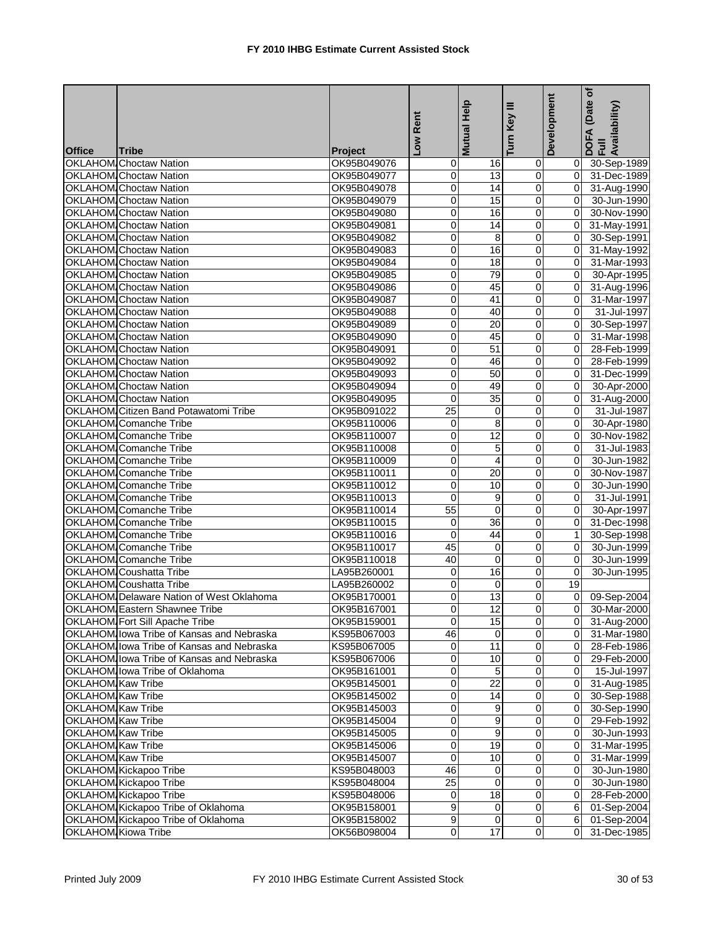|                   |                                           |             | Rent             | Mutual Help             | Ξ<br>Key                | Development    | (Date of<br>DOFA (Date <sub>)</sub><br>Full<br>Availability) |
|-------------------|-------------------------------------------|-------------|------------------|-------------------------|-------------------------|----------------|--------------------------------------------------------------|
| <b>Office</b>     | <b>Tribe</b>                              | Project     | $\sum_{i=1}^{n}$ |                         | Turn                    |                |                                                              |
|                   | <b>OKLAHOM Choctaw Nation</b>             | OK95B049076 | 0                | 16                      | 0                       |                | 0 30-Sep-1989                                                |
|                   | <b>OKLAHOM</b> Choctaw Nation             | OK95B049077 | 0                | 13                      | $\mathbf 0$             | οI             | 31-Dec-1989                                                  |
|                   | <b>OKLAHOM</b> Choctaw Nation             | OK95B049078 | 0                | 14                      | $\overline{0}$          |                | 0 31-Aug-1990                                                |
|                   | <b>OKLAHOM</b> Choctaw Nation             | OK95B049079 | 0                | 15                      | $\overline{\mathsf{o}}$ | $\overline{0}$ | 30-Jun-1990                                                  |
|                   | <b>OKLAHOM</b> Choctaw Nation             | OK95B049080 | 0                | 16                      | 0                       | $\mathbf{0}$   | 30-Nov-1990                                                  |
|                   | <b>OKLAHOM</b> Choctaw Nation             | OK95B049081 | 0                | 14                      | $\overline{0}$          | 01             | 31-May-1991                                                  |
|                   | <b>OKLAHOM</b> Choctaw Nation             | OK95B049082 | 0                | 8                       | $\overline{0}$          | $\overline{0}$ | 30-Sep-1991                                                  |
|                   | <b>OKLAHOM</b> Choctaw Nation             | OK95B049083 | 0                | 16                      | 0                       | 0I             | 31-May-1992                                                  |
|                   | <b>OKLAHOM</b> Choctaw Nation             | OK95B049084 | 0                | 18                      | $\pmb{0}$               | 0l             | 31-Mar-1993                                                  |
|                   | <b>OKLAHOM</b> Choctaw Nation             | OK95B049085 | 0                | 79                      | 0                       | $\mathbf{0}$   | 30-Apr-1995                                                  |
|                   | <b>OKLAHOM</b> Choctaw Nation             | OK95B049086 | 0                | 45                      | $\overline{0}$          | $\overline{0}$ | 31-Aug-1996                                                  |
|                   | <b>OKLAHOM</b> Choctaw Nation             | OK95B049087 | 0                | 41                      | $\mathbf 0$             | $\overline{0}$ | 31-Mar-1997                                                  |
|                   | <b>OKLAHOM</b> Choctaw Nation             | OK95B049088 | 0                | 40                      | $\mathbf 0$             | $\Omega$       | 31-Jul-1997                                                  |
|                   | <b>OKLAHOM</b> Choctaw Nation             | OK95B049089 | 0                | 20                      | $\mathbf 0$             | $\mathbf{0}$   | 30-Sep-1997                                                  |
|                   | <b>OKLAHOM</b> Choctaw Nation             | OK95B049090 | 0                | 45                      | $\overline{\mathbf{0}}$ | $\mathbf{0}$   | 31-Mar-1998                                                  |
|                   | <b>OKLAHOM</b> Choctaw Nation             | OK95B049091 | 0                | $\overline{51}$         | $\mathbf 0$             | $\mathbf{0}$   | 28-Feb-1999                                                  |
|                   | <b>OKLAHOM</b> Choctaw Nation             | OK95B049092 | 0                | 46                      | ō                       | $\Omega$       | 28-Feb-1999                                                  |
|                   | <b>OKLAHOM</b> Choctaw Nation             | OK95B049093 | 0                | 50                      | $\pmb{0}$               | $\Omega$       | 31-Dec-1999                                                  |
|                   | <b>OKLAHOM</b> Choctaw Nation             | OK95B049094 | 0                | 49                      | $\overline{0}$          | $\overline{0}$ | 30-Apr-2000                                                  |
|                   | <b>OKLAHOM</b> Choctaw Nation             | OK95B049095 | 0                | 35                      | $\pmb{0}$               | $\mathbf{0}$   | 31-Aug-2000                                                  |
|                   | OKLAHOM Citizen Band Potawatomi Tribe     | OK95B091022 | 25               | 0                       | $\overline{0}$          | $\overline{0}$ | 31-Jul-1987                                                  |
|                   | OKLAHOM Comanche Tribe                    | OK95B110006 | 0                | 8                       | $\mathbf 0$             | $\mathbf{0}$   | 30-Apr-1980                                                  |
|                   | OKLAHOM Comanche Tribe                    | OK95B110007 | 0                | 12                      | $\overline{\mathsf{o}}$ | $\overline{0}$ | 30-Nov-1982                                                  |
|                   | <b>OKLAHOM</b> Comanche Tribe             | OK95B110008 | 0                | 5                       | $\pmb{0}$               | $\Omega$       | 31-Jul-1983                                                  |
|                   | <b>OKLAHOM</b> Comanche Tribe             | OK95B110009 | 0                | 4                       | $\pmb{0}$               | $\Omega$       | 30-Jun-1982                                                  |
|                   | OKLAHOM Comanche Tribe                    | OK95B110011 | 0                | 20                      | 0                       | $\Omega$       | 30-Nov-1987                                                  |
|                   |                                           |             | 0                | 10                      | $\pmb{0}$               | $\overline{0}$ | 30-Jun-1990                                                  |
|                   | OKLAHOM Comanche Tribe                    | OK95B110012 | $\mathbf 0$      |                         |                         | $\Omega$       |                                                              |
|                   | OKLAHOM Comanche Tribe                    | OK95B110013 | 55               | 9                       | $\pmb{0}$               | $\overline{0}$ | 31-Jul-1991                                                  |
|                   | <b>OKLAHOM</b> Comanche Tribe             | OK95B110014 |                  | 0                       | $\overline{\mathsf{o}}$ |                | 30-Apr-1997                                                  |
|                   | OKLAHOM Comanche Tribe                    | OK95B110015 | 0                | $\overline{36}$         | 0                       | 0              | 31-Dec-1998                                                  |
|                   | OKLAHOM Comanche Tribe                    | OK95B110016 | 0                | 44                      | $\pmb{0}$               | 1 <sup>1</sup> | 30-Sep-1998                                                  |
|                   | OKLAHOM Comanche Tribe                    | OK95B110017 | 45               | 0                       | $\overline{0}$          | $\mathbf{0}$   | 30-Jun-1999                                                  |
|                   | OKLAHOM Comanche Tribe                    | OK95B110018 | 40               | 0                       | $\pmb{0}$               | $\overline{0}$ | 30-Jun-1999                                                  |
|                   | <b>OKLAHOM</b> Coushatta Tribe            | LA95B260001 | 0                | 16                      | $\pmb{0}$               | $\overline{0}$ | 30-Jun-1995                                                  |
|                   | OKLAHOM Coushatta Tribe                   | LA95B260002 | 0                | 0                       | 0                       | 19             |                                                              |
|                   | OKLAHOM Delaware Nation of West Oklahoma  | OK95B170001 | 0                | 13                      | $\overline{0}$          |                | 0 09-Sep-2004                                                |
|                   | OKLAHOM Eastern Shawnee Tribe             | OK95B167001 | $\pmb{0}$        | 12                      | $\overline{0}$          | $\overline{0}$ | 30-Mar-2000                                                  |
|                   | OKLAHOM Fort Sill Apache Tribe            | OK95B159001 | $\Omega$         | 15                      | $\mathbf 0$             |                | 0 31-Aug-2000                                                |
|                   | OKLAHOM Iowa Tribe of Kansas and Nebraska | KS95B067003 | 46               | 0                       | $\pmb{0}$               |                | 0 31-Mar-1980                                                |
|                   | OKLAHOM Iowa Tribe of Kansas and Nebraska | KS95B067005 | $\overline{0}$   | 11                      | $\overline{0}$          |                | 0 28-Feb-1986                                                |
|                   | OKLAHOM Iowa Tribe of Kansas and Nebraska | KS95B067006 | 0                | 10                      | 0                       |                | 0 29-Feb-2000                                                |
|                   | OKLAHOM lowa Tribe of Oklahoma            | OK95B161001 | 0                | 5                       | $\overline{\mathsf{o}}$ | ΟI             | 15-Jul-1997                                                  |
| OKLAHOM Kaw Tribe |                                           | OK95B145001 | 0                | 22                      | $\pmb{0}$               | ΟI             | 31-Aug-1985                                                  |
| OKLAHOM Kaw Tribe |                                           | OK95B145002 | 0                | 14                      | $\overline{0}$          |                | 0 30-Sep-1988                                                |
| OKLAHOM Kaw Tribe |                                           | OK95B145003 | 0                | 9                       | $\pmb{0}$               | $\overline{0}$ | 30-Sep-1990                                                  |
| OKLAHOM Kaw Tribe |                                           | OK95B145004 | 0                | 9                       | $\overline{0}$          |                | 0 29-Feb-1992                                                |
| OKLAHOM Kaw Tribe |                                           | OK95B145005 | 0                | $\boldsymbol{9}$        | 0                       | 01             | 30-Jun-1993                                                  |
| OKLAHOM Kaw Tribe |                                           | OK95B145006 | 0                | 19                      | $\overline{0}$          | 01             | 31-Mar-1995                                                  |
| OKLAHOM Kaw Tribe |                                           | OK95B145007 | 0                | 10                      | $\pmb{0}$               | 01             | 31-Mar-1999                                                  |
|                   | OKLAHOM Kickapoo Tribe                    | KS95B048003 | 46               | 0                       | $\overline{\mathbf{0}}$ | 0I             | 30-Jun-1980                                                  |
|                   | OKLAHOM Kickapoo Tribe                    | KS95B048004 | 25               | $\overline{0}$          | $\pmb{0}$               | ΟI             | 30-Jun-1980                                                  |
|                   | OKLAHOM Kickapoo Tribe                    | KS95B048006 | 0                | 18                      | $\overline{0}$          | $\overline{0}$ | 28-Feb-2000                                                  |
|                   | OKLAHOM Kickapoo Tribe of Oklahoma        | OK95B158001 | 9                | $\overline{0}$          | $\overline{0}$          |                | 6 01-Sep-2004                                                |
|                   | OKLAHOM Kickapoo Tribe of Oklahoma        | OK95B158002 | 9                | $\overline{\mathbf{0}}$ | $\overline{O}$          |                | 6 01-Sep-2004                                                |
|                   | OKLAHOM Kiowa Tribe                       | OK56B098004 | $\overline{0}$   | $\overline{17}$         | $\overline{0}$          | 0I             | 31-Dec-1985                                                  |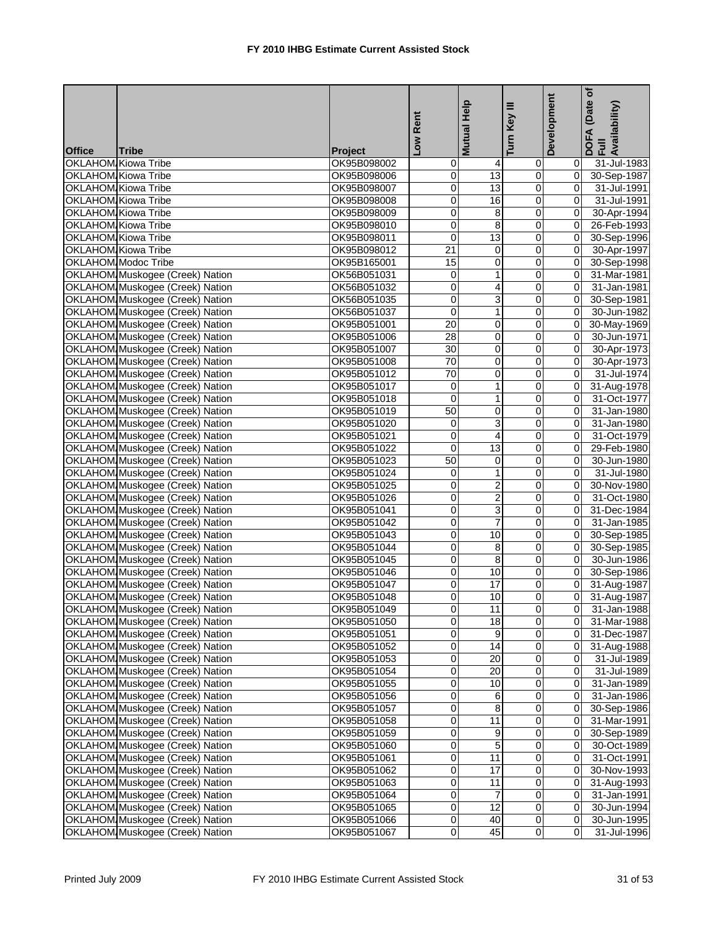|               |                                                          |                            | Low Rent        | Mutual Help             | Ξ<br>Turn Key           | Development                      | (Date of<br>DOFA (Date <sub>)</sub><br>Full<br>Availability) |
|---------------|----------------------------------------------------------|----------------------------|-----------------|-------------------------|-------------------------|----------------------------------|--------------------------------------------------------------|
|               |                                                          |                            |                 |                         |                         |                                  |                                                              |
| <b>Office</b> | <b>Tribe</b><br><b>OKLAHOM Kiowa Tribe</b>               | <b>Project</b>             |                 |                         |                         |                                  |                                                              |
|               |                                                          | OK95B098002                | 0               | $\overline{4}$<br>13    | 0<br>$\overline{0}$     | 01                               | 31-Jul-1983                                                  |
|               | <b>OKLAHOM Kiowa Tribe</b><br><b>OKLAHOM Kiowa Tribe</b> | OK95B098006<br>OK95B098007 | 0<br>0          | 13                      | $\overline{0}$          | $\overline{0}$                   | 0 30-Sep-1987                                                |
|               | <b>OKLAHOM Kiowa Tribe</b>                               | OK95B098008                | 0               | $\overline{16}$         | $\overline{0}$          | $\overline{0}$                   | 31-Jul-1991<br>31-Jul-1991                                   |
|               | <b>OKLAHOM Kiowa Tribe</b>                               |                            | 0               | 8                       | $\overline{\mathsf{o}}$ | ΟI                               | 30-Apr-1994                                                  |
|               |                                                          | OK95B098009                |                 |                         | $\overline{0}$          |                                  |                                                              |
|               | OKLAHOM Kiowa Tribe<br><b>OKLAHOM Kiowa Tribe</b>        | OK95B098010                | 0               | 8<br>13                 | $\overline{0}$          | 0I                               | 26-Feb-1993                                                  |
|               |                                                          | OK95B098011                | $\pmb{0}$       |                         |                         | $\overline{0}$<br>$\overline{0}$ | 30-Sep-1996                                                  |
|               | <b>OKLAHOM Kiowa Tribe</b>                               | OK95B098012                | 21              | 0                       | $\mathbf 0$             | $\overline{0}$                   | 30-Apr-1997                                                  |
|               | OKLAHOM Modoc Tribe                                      | OK95B165001                | 15              | 0                       | $\pmb{0}$               |                                  | 30-Sep-1998                                                  |
|               | OKLAHOM Muskogee (Creek) Nation                          | OK56B051031                | 0               | 1                       | $\mathbf 0$             | 0l                               | 31-Mar-1981                                                  |
|               | OKLAHOM Muskogee (Creek) Nation                          | OK56B051032                | 0               | 4                       | $\overline{0}$          | $\overline{0}$                   | 31-Jan-1981                                                  |
|               | OKLAHOM Muskogee (Creek) Nation                          | OK56B051035                | 0               | 3                       | $\mathbf 0$             | $\overline{0}$                   | 30-Sep-1981                                                  |
|               | OKLAHOM Muskogee (Creek) Nation                          | OK56B051037                | 0               | $\mathbf{1}$            | $\mathbf 0$             | $\overline{0}$                   | 30-Jun-1982                                                  |
|               | OKLAHOM Muskogee (Creek) Nation                          | OK95B051001                | 20              | 0                       | $\overline{0}$          | $\mathbf{0}$                     | 30-May-1969                                                  |
|               | OKLAHOM Muskogee (Creek) Nation                          | OK95B051006                | 28              | $\mathbf{O}$            | $\overline{\mathsf{o}}$ | $\overline{0}$                   | 30-Jun-1971                                                  |
|               | OKLAHOM Muskogee (Creek) Nation                          | OK95B051007                | 30              | 0                       | $\mathbf 0$             | $\overline{0}$                   | 30-Apr-1973                                                  |
|               | OKLAHOM Muskogee (Creek) Nation                          | OK95B051008                | $\overline{70}$ | Ō                       | ō                       |                                  | 0 30-Apr-1973                                                |
|               | OKLAHOM Muskogee (Creek) Nation                          | OK95B051012                | 70              | 0                       | $\mathbf 0$             | οI                               | 31-Jul-1974                                                  |
|               | OKLAHOM Muskogee (Creek) Nation                          | OK95B051017                | 0               | $\mathbf{1}$            | $\overline{0}$          | $\overline{0}$                   | 31-Aug-1978                                                  |
|               | OKLAHOM Muskogee (Creek) Nation                          | OK95B051018                | $\mathbf 0$     | $\mathbf{1}$            | $\overline{0}$          | $\Omega$                         | 31-Oct-1977                                                  |
|               | OKLAHOM Muskogee (Creek) Nation                          | OK95B051019                | 50              | $\pmb{0}$               | $\overline{0}$          | $\overline{0}$                   | 31-Jan-1980                                                  |
|               | OKLAHOM Muskogee (Creek) Nation                          | OK95B051020                | 0               | 3                       | $\mathbf 0$             | $\Omega$                         | 31-Jan-1980                                                  |
|               | OKLAHOM Muskogee (Creek) Nation                          | OK95B051021                | $\mathbf 0$     | $\overline{\mathbf{r}}$ | $\overline{0}$          | $\overline{0}$                   | 31-Oct-1979                                                  |
|               | OKLAHOM Muskogee (Creek) Nation                          | OK95B051022                | $\mathbf 0$     | 13                      | $\pmb{0}$               | $\overline{0}$                   | 29-Feb-1980                                                  |
|               | OKLAHOM Muskogee (Creek) Nation                          | OK95B051023                | 50              | 0                       | $\pmb{0}$               | $\overline{0}$                   | 30-Jun-1980                                                  |
|               | OKLAHOM Muskogee (Creek) Nation                          | OK95B051024                | 0               | 1                       | 0                       | ΟI                               | 31-Jul-1980                                                  |
|               | OKLAHOM Muskogee (Creek) Nation                          | OK95B051025                | 0               | $\overline{c}$          | $\overline{0}$          | $\overline{0}$                   | 30-Nov-1980                                                  |
|               | OKLAHOM Muskogee (Creek) Nation                          | OK95B051026                | 0               | $\overline{2}$          | $\overline{0}$          | $\overline{0}$                   | 31-Oct-1980                                                  |
|               | OKLAHOM Muskogee (Creek) Nation                          | OK95B051041                | 0               | 3                       | Ō                       | $\overline{0}$                   | 31-Dec-1984                                                  |
|               | OKLAHOM Muskogee (Creek) Nation                          | OK95B051042                | 0               | 7                       | ō                       | ō                                | 31-Jan-1985                                                  |
|               | OKLAHOM Muskogee (Creek) Nation                          | OK95B051043                | 0               | 10                      | $\mathbf 0$             | 01                               | 30-Sep-1985                                                  |
|               | OKLAHOM Muskogee (Creek) Nation                          | OK95B051044                | 0               | 8                       | $\overline{0}$          | $\overline{0}$                   | 30-Sep-1985                                                  |
|               | OKLAHOM Muskogee (Creek) Nation                          | OK95B051045                | 0               | 8                       | $\mathbf 0$             | $\overline{0}$                   | 30-Jun-1986                                                  |
|               | OKLAHOM Muskogee (Creek) Nation                          | OK95B051046                | 0               | 10                      | $\pmb{0}$               | $\overline{0}$                   | 30-Sep-1986                                                  |
|               | OKLAHOM Muskogee (Creek) Nation                          | OK95B051047                | 0               | 17                      | $\mathbf 0$             | 0I                               | 31-Aug-1987                                                  |
|               | OKLAHOM Muskogee (Creek) Nation                          | OK95B051048                | 0               | 10                      | $\overline{0}$          |                                  | 0 31-Aug-1987                                                |
|               | OKLAHOM Muskogee (Creek) Nation                          | OK95B051049                | $\overline{0}$  | 11                      | $\overline{0}$          |                                  | $0$ 31-Jan-1988                                              |
|               | OKLAHOM Muskogee (Creek) Nation                          | OK95B051050                | 0               | 18                      | $\overline{0}$          |                                  | 0 31-Mar-1988                                                |
|               | OKLAHOM Muskogee (Creek) Nation                          | OK95B051051                | 0               | 9                       | $\pmb{0}$               | ΟI                               | 31-Dec-1987                                                  |
|               | OKLAHOM Muskogee (Creek) Nation                          | OK95B051052                | 0               | 14                      | $\overline{0}$          |                                  | 0 31-Aug-1988                                                |
|               | OKLAHOM Muskogee (Creek) Nation                          | OK95B051053                | 0               | 20                      | 0                       | 01                               | 31-Jul-1989                                                  |
|               | OKLAHOM Muskogee (Creek) Nation                          | OK95B051054                | 0               | 20                      | $\overline{\mathbf{0}}$ | ΟI                               | 31-Jul-1989                                                  |
|               | OKLAHOM Muskogee (Creek) Nation                          | OK95B051055                | 0               | 10                      | $\overline{0}$          | ΟI                               | 31-Jan-1989                                                  |
|               | OKLAHOM Muskogee (Creek) Nation                          | OK95B051056                | 0               | 6                       | $\overline{0}$          | 01                               | 31-Jan-1986                                                  |
|               | OKLAHOM Muskogee (Creek) Nation                          | OK95B051057                | 0               | 8                       | $\pmb{0}$               | 0I                               | 30-Sep-1986                                                  |
|               | OKLAHOM Muskogee (Creek) Nation                          | OK95B051058                | 0               | 11                      | $\overline{0}$          | 0I                               | 31-Mar-1991                                                  |
|               | OKLAHOM Muskogee (Creek) Nation                          | OK95B051059                | 0               | 9                       | 0                       | 01                               | 30-Sep-1989                                                  |
|               | OKLAHOM Muskogee (Creek) Nation                          | OK95B051060                | 0               | 5                       | $\overline{0}$          | 01                               | 30-Oct-1989                                                  |
|               | OKLAHOM Muskogee (Creek) Nation                          | OK95B051061                | 0               | 11                      | $\pmb{0}$               | 0I                               | 31-Oct-1991                                                  |
|               | OKLAHOM Muskogee (Creek) Nation                          | OK95B051062                | 0               | 17                      | $\pmb{0}$               | 0I                               | 30-Nov-1993                                                  |
|               | OKLAHOM Muskogee (Creek) Nation                          | OK95B051063                | 0               | 11                      | 0                       | 01                               | 31-Aug-1993                                                  |
|               | OKLAHOM Muskogee (Creek) Nation                          | OK95B051064                | 0               | 7                       | $\overline{0}$          | $\overline{0}$                   | 31-Jan-1991                                                  |
|               | OKLAHOM Muskogee (Creek) Nation                          | OK95B051065                | 0               | 12                      | $\pmb{0}$               | $\overline{0}$                   | 30-Jun-1994                                                  |
|               | OKLAHOM Muskogee (Creek) Nation                          | OK95B051066                | 0               | $\overline{40}$         | $\overline{0}$          | 0I                               | 30-Jun-1995                                                  |
|               | OKLAHOM Muskogee (Creek) Nation                          | OK95B051067                | $\overline{0}$  | 45                      | $\overline{0}$          | 0I                               | 31-Jul-1996                                                  |
|               |                                                          |                            |                 |                         |                         |                                  |                                                              |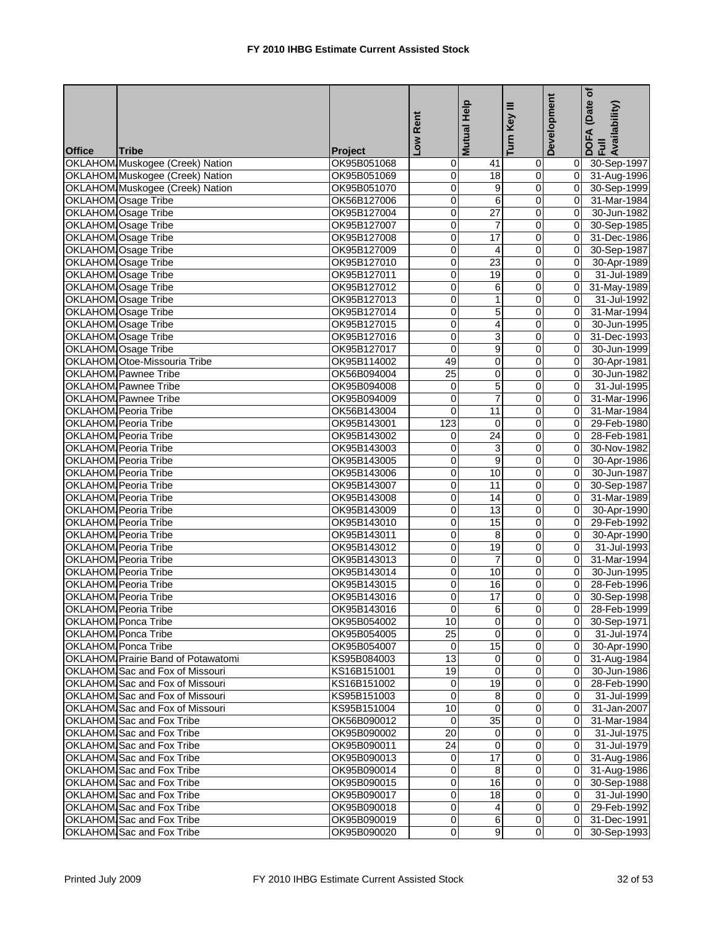|               |                                    |                | Low Rent       | Mutual Help      | Turn Key III            | Development    | (Date of<br>DOFA (Date<br>Full<br>Availability) |
|---------------|------------------------------------|----------------|----------------|------------------|-------------------------|----------------|-------------------------------------------------|
| <b>Office</b> | <b>Tribe</b>                       | <b>Project</b> |                |                  |                         |                |                                                 |
|               | OKLAHOM Muskogee (Creek) Nation    | OK95B051068    | 0              | 41               | $\mathbf 0$             |                | 0 30-Sep-1997                                   |
|               | OKLAHOM Muskogee (Creek) Nation    | OK95B051069    | 0              | 18               | $\overline{0}$          |                | 0 31-Aug-1996                                   |
|               | OKLAHOM Muskogee (Creek) Nation    | OK95B051070    | 0              | $\boldsymbol{9}$ | $\overline{0}$          |                | 0 30-Sep-1999                                   |
|               | <b>OKLAHOM Osage Tribe</b>         | OK56B127006    | 0              | $\overline{6}$   | $\overline{0}$          | οI             | 31-Mar-1984                                     |
|               | <b>OKLAHOM Osage Tribe</b>         | OK95B127004    | 0              | $\overline{27}$  | $\overline{\mathsf{o}}$ | 0l             | 30-Jun-1982                                     |
|               | OKLAHOM Osage Tribe                | OK95B127007    | 0              | 7                | $\mathbf 0$             | $\mathbf{0}$   | 30-Sep-1985                                     |
|               | OKLAHOM Osage Tribe                | OK95B127008    | 0              | 17               | $\overline{\mathsf{o}}$ | $\mathbf{0}$   | 31-Dec-1986                                     |
|               | OKLAHOM Osage Tribe                | OK95B127009    | 0              | 4                | $\mathbf 0$             | $\overline{0}$ | 30-Sep-1987                                     |
|               | OKLAHOM Osage Tribe                | OK95B127010    | 0              | 23               | $\mathbf 0$             | $\overline{0}$ | 30-Apr-1989                                     |
|               | OKLAHOM Osage Tribe                | OK95B127011    | 0              | 19               | 0                       | οI             | 31-Jul-1989                                     |
|               | OKLAHOM Osage Tribe                | OK95B127012    | 0              | 6                | $\overline{0}$          | ō              | 31-May-1989                                     |
|               | OKLAHOM Osage Tribe                | OK95B127013    | 0              | $\mathbf{1}$     | $\overline{0}$          | ΟI             | 31-Jul-1992                                     |
|               | OKLAHOM Osage Tribe                | OK95B127014    | 0              | 5                | $\overline{0}$          | $\Omega$       | 31-Mar-1994                                     |
|               | OKLAHOM Osage Tribe                | OK95B127015    | 0              | 4                | $\pmb{0}$               | $\overline{0}$ | 30-Jun-1995                                     |
|               | OKLAHOM Osage Tribe                | OK95B127016    | 0              | 3                | $\overline{0}$          | $\overline{0}$ | 31-Dec-1993                                     |
|               | OKLAHOM Osage Tribe                | OK95B127017    | $\overline{0}$ | 9                | $\mathbf 0$             | $\overline{0}$ | 30-Jun-1999                                     |
|               | OKLAHOM Otoe-Missouria Tribe       | OK95B114002    | 49             | $\overline{0}$   | $\overline{\mathsf{o}}$ | $\overline{0}$ | 30-Apr-1981                                     |
|               | <b>OKLAHOM</b> Pawnee Tribe        | OK56B094004    | 25             | 0                | 0                       | $\Omega$       | 30-Jun-1982                                     |
|               | OKLAHOM Pawnee Tribe               | OK95B094008    | $\mathbf 0$    | 5                | $\overline{0}$          | $\overline{0}$ | 31-Jul-1995                                     |
|               | OKLAHOM, Pawnee Tribe              | OK95B094009    | 0              | $\overline{7}$   | $\overline{0}$          | $\overline{0}$ | 31-Mar-1996                                     |
|               | OKLAHOM Peoria Tribe               | OK56B143004    | 0              | 11               | $\overline{0}$          | $\overline{0}$ | 31-Mar-1984                                     |
|               | OKLAHOM Peoria Tribe               | OK95B143001    | 123            | 0                | 0                       | $\overline{0}$ | 29-Feb-1980                                     |
|               | <b>OKLAHOM</b> Peoria Tribe        | OK95B143002    | 0              | $\overline{24}$  | $\overline{\mathsf{o}}$ | $\mathbf{0}$   | 28-Feb-1981                                     |
|               | <b>OKLAHOM</b> Peoria Tribe        | OK95B143003    | 0              | 3                | $\overline{0}$          | $\overline{0}$ | 30-Nov-1982                                     |
|               | OKLAHOM Peoria Tribe               | OK95B143005    | 0              | 9                | $\mathbf 0$             | $\overline{0}$ | 30-Apr-1986                                     |
|               | OKLAHOM Peoria Tribe               | OK95B143006    | 0              | 10               | $\pmb{0}$               | $\overline{0}$ | 30-Jun-1987                                     |
|               | OKLAHOM Peoria Tribe               | OK95B143007    | 0              | 11               | $\overline{0}$          | $\overline{0}$ | 30-Sep-1987                                     |
|               | OKLAHOM Peoria Tribe               | OK95B143008    | 0              | 14               | $\overline{0}$          | $\overline{O}$ | 31-Mar-1989                                     |
|               | OKLAHOM Peoria Tribe               | OK95B143009    | 0              | 13               | $\overline{0}$          | $\overline{0}$ | 30-Apr-1990                                     |
|               | <b>OKLAHOM Peoria Tribe</b>        | OK95B143010    | 0              | $\overline{15}$  | ō                       | 0              | 29-Feb-1992                                     |
|               | OKLAHOM Peoria Tribe               | OK95B143011    | 0              | 8                | 0                       | $\mathbf{0}$   | 30-Apr-1990                                     |
|               | OKLAHOM Peoria Tribe               | OK95B143012    | 0              | 19               | $\overline{\mathbf{0}}$ | 0l             | 31-Jul-1993                                     |
|               | <b>OKLAHOM</b> Peoria Tribe        |                | 0              | $\overline{7}$   | $\overline{0}$          | $\Omega$       | 31-Mar-1994                                     |
|               | <b>OKLAHOM</b> Peoria Tribe        | OK95B143013    | 0              |                  | $\mathbf 0$             | $\overline{0}$ |                                                 |
|               | <b>OKLAHOM</b> Peoria Tribe        | OK95B143014    |                | 10               | $\mathbf 0$             | $\Omega$       | 30-Jun-1995                                     |
|               |                                    | OK95B143015    | 0              | 16               |                         |                | 28-Feb-1996                                     |
|               | <b>OKLAHOM</b> Peoria Tribe        | OK95B143016    | $\overline{0}$ | 17               | $\overline{0}$          | $\overline{0}$ | 30-Sep-1998                                     |
|               | OKLAHOM Peoria Tribe               | OK95B143016    | $\overline{0}$ | $6\overline{6}$  | $\overline{0}$          |                | 28-Feb-1999                                     |
|               | <b>OKLAHOM</b> Ponca Tribe         | OK95B054002    | 10             | $\overline{0}$   | $\overline{0}$          |                | 0 30-Sep-1971                                   |
|               | OKLAHOM Ponca Tribe                | OK95B054005    | 25             | $\mathbf 0$      | $\overline{\mathbf{0}}$ |                | $\overline{0}$ 31-Jul-1974                      |
|               | OKLAHOM Ponca Tribe                | OK95B054007    | $\mathbf 0$    | $\overline{15}$  | $\overline{0}$          |                | 0 30-Apr-1990                                   |
|               | OKLAHOM Prairie Band of Potawatomi | KS95B084003    | 13             | 0                | $\pmb{0}$               | 01             | $\overline{31}$ -Aug-1984                       |
|               | OKLAHOM Sac and Fox of Missouri    | KS16B151001    | 19             | 0                | $\overline{0}$          | 0I             | 30-Jun-1986                                     |
|               | OKLAHOM Sac and Fox of Missouri    | KS16B151002    | 0              | $\overline{19}$  | $\pmb{0}$               | 0I             | 28-Feb-1990                                     |
|               | OKLAHOM Sac and Fox of Missouri    | KS95B151003    | $\mathbf 0$    | 8                | $\overline{0}$          | 01             | 31-Jul-1999                                     |
|               | OKLAHOM Sac and Fox of Missouri    | KS95B151004    | 10             | 0                | $\pmb{0}$               | 01             | 31-Jan-2007                                     |
|               | OKLAHOM Sac and Fox Tribe          | OK56B090012    | 0              | $\overline{35}$  | $\overline{0}$          | ΟI             | 31-Mar-1984                                     |
|               | OKLAHOM Sac and Fox Tribe          | OK95B090002    | 20             | 0                | $\mathbf 0$             | 01             | 31-Jul-1975                                     |
|               | OKLAHOM Sac and Fox Tribe          | OK95B090011    | 24             | $\mathbf 0$      | $\overline{0}$          | ΟI             | 31-Jul-1979                                     |
|               | OKLAHOM Sac and Fox Tribe          | OK95B090013    | 0              | 17               | $\overline{0}$          |                | 0 31-Aug-1986                                   |
|               | OKLAHOM Sac and Fox Tribe          | OK95B090014    | 0              | 8                | $\mathbf 0$             |                | 0 31-Aug-1986                                   |
|               | OKLAHOM Sac and Fox Tribe          | OK95B090015    | 0              | 16               | $\overline{0}$          |                | 0 30-Sep-1988                                   |
|               | OKLAHOM Sac and Fox Tribe          | OK95B090017    | 0              | 18               | $\overline{0}$          | ΟI             | 31-Jul-1990                                     |
|               | OKLAHOM Sac and Fox Tribe          | OK95B090018    | 0              | 4                | $\overline{0}$          |                | 0 29-Feb-1992                                   |
|               | OKLAHOM Sac and Fox Tribe          | OK95B090019    | 0              | 6                | $\overline{0}$          | ΟI             | 31-Dec-1991                                     |
|               | OKLAHOM Sac and Fox Tribe          | OK95B090020    | $\overline{0}$ | $\overline{9}$   | $\overline{0}$          | $\overline{0}$ | 30-Sep-1993                                     |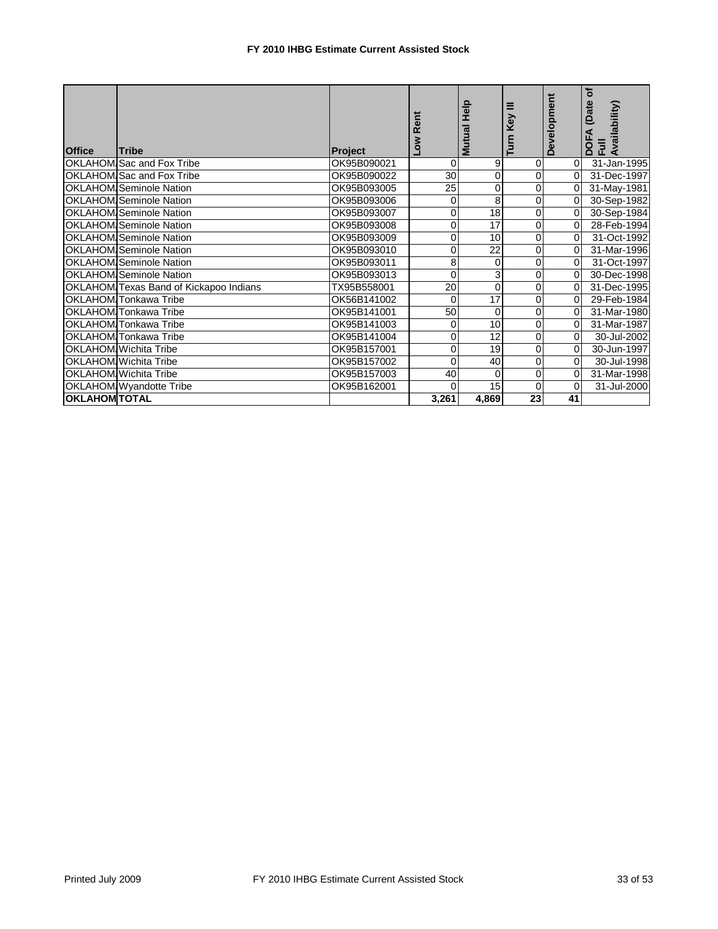| <b>Office</b>        | <b>Tribe</b>                           | <b>Project</b> | ā<br>œ<br>ठँ   | Help<br>Mutual | Ξ<br>Key<br>Turn | Development    | đ<br>(Date<br>DOFA (Date<br>Full<br>Availability) |
|----------------------|----------------------------------------|----------------|----------------|----------------|------------------|----------------|---------------------------------------------------|
|                      | OKLAHOM Sac and Fox Tribe              | OK95B090021    | $\Omega$       | 9              | $\overline{0}$   | $\Omega$       | 31-Jan-1995                                       |
|                      | OKLAHOM Sac and Fox Tribe              | OK95B090022    | 30             | 0              | $\overline{0}$   | $\Omega$       | 31-Dec-1997                                       |
|                      | <b>OKLAHOM Seminole Nation</b>         | OK95B093005    | 25             | 0              | $\overline{0}$   | 0              | 31-May-1981                                       |
|                      | <b>OKLAHOM</b> Seminole Nation         | OK95B093006    | $\Omega$       | 8              | $\overline{0}$   | $\Omega$       | 30-Sep-1982                                       |
|                      | <b>OKLAHOM</b> Seminole Nation         | OK95B093007    | $\Omega$       | 18             | $\overline{0}$   | 0              | 30-Sep-1984                                       |
|                      | <b>OKLAHOM Seminole Nation</b>         | OK95B093008    | $\Omega$       | 17             | $\overline{0}$   | 0              | 28-Feb-1994                                       |
|                      | <b>OKLAHOM</b> Seminole Nation         | OK95B093009    | $\overline{0}$ | 10             | $\overline{0}$   | $\Omega$       | 31-Oct-1992                                       |
|                      | <b>OKLAHOM Seminole Nation</b>         | OK95B093010    | $\Omega$       | 22             | $\overline{0}$   | $\Omega$       | 31-Mar-1996                                       |
|                      | <b>OKLAHOM Seminole Nation</b>         | OK95B093011    | 8              | 0              | $\overline{0}$   | $\Omega$       | 31-Oct-1997                                       |
|                      | <b>OKLAHOM Seminole Nation</b>         | OK95B093013    | 0              | 3              | 0                | 0              | 30-Dec-1998                                       |
|                      | OKLAHOM Texas Band of Kickapoo Indians | TX95B558001    | 20             | 0              | 0                | 0              | 31-Dec-1995                                       |
|                      | OKLAHOM Tonkawa Tribe                  | OK56B141002    | 0              | 17             | 0                | 0              | 29-Feb-1984                                       |
|                      | OKLAHOM Tonkawa Tribe                  | OK95B141001    | 50             | 0              | 0                | 0              | 31-Mar-1980                                       |
|                      | OKLAHOM Tonkawa Tribe                  | OK95B141003    | 0              | 10             | $\overline{0}$   | 0              | 31-Mar-1987                                       |
|                      | <b>OKLAHOM</b> Tonkawa Tribe           | OK95B141004    | $\overline{0}$ | 12             | $\overline{0}$   | $\Omega$       | 30-Jul-2002                                       |
|                      | OKLAHOM Wichita Tribe                  | OK95B157001    | $\Omega$       | 19             | $\overline{0}$   | 0              | 30-Jun-1997                                       |
|                      | <b>OKLAHOM</b> Wichita Tribe           | OK95B157002    | $\Omega$       | 40             | 0                | $\Omega$       | 30-Jul-1998                                       |
|                      | OKLAHOM Wichita Tribe                  | OK95B157003    | 40             | 0              | $\overline{0}$   | 0              | 31-Mar-1998                                       |
|                      | OKLAHOM Wyandotte Tribe                | OK95B162001    | $\Omega$       | 15             | $\overline{0}$   | $\overline{0}$ | 31-Jul-2000                                       |
| <b>OKLAHOM TOTAL</b> |                                        |                | 3,261          | 4,869          | 23               | 41             |                                                   |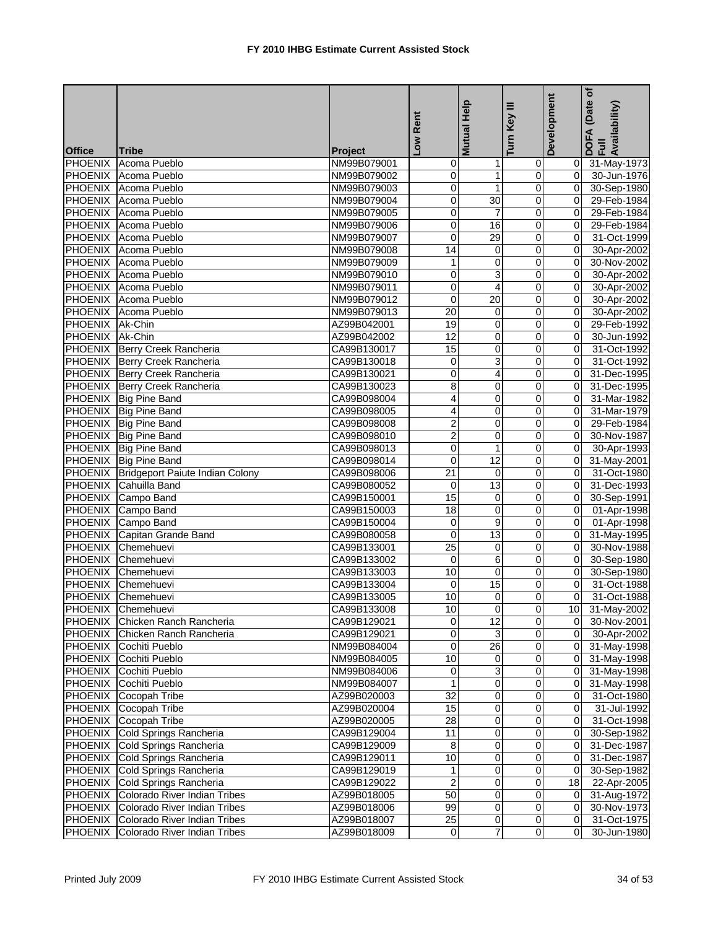|                 |                                                                    |                            | Rent                    | Mutual Help             | Ξ<br>Key                | Development          | (Date of<br>DOFA (Date <sub>)</sub><br>Full<br>Availability) |
|-----------------|--------------------------------------------------------------------|----------------------------|-------------------------|-------------------------|-------------------------|----------------------|--------------------------------------------------------------|
| <b>Office</b>   | <b>Tribe</b>                                                       | <b>Project</b>             | $\overline{\mathsf{S}}$ |                         | Turn                    |                      |                                                              |
|                 | PHOENIX Acoma Pueblo                                               | NM99B079001                | 0                       | 1                       | $\overline{0}$          |                      | 0 31-May-1973                                                |
|                 | PHOENIX Acoma Pueblo                                               | NM99B079002                | 0                       | $\mathbf{1}$            | $\pmb{0}$               | 0I                   | 30-Jun-1976                                                  |
|                 | PHOENIX Acoma Pueblo                                               | NM99B079003                | 0                       | $\mathbf{1}$            | $\pmb{0}$               | $\mathbf{0}$         | 30-Sep-1980                                                  |
|                 | <b>PHOENIX</b> Acoma Pueblo                                        | NM99B079004                | 0                       | 30                      | $\overline{\mathbf{0}}$ | $\overline{0}$       | 29-Feb-1984                                                  |
|                 | PHOENIX Acoma Pueblo                                               | NM99B079005                | 0                       | 7                       | 0                       | $\overline{0}$       | 29-Feb-1984                                                  |
|                 | PHOENIX Acoma Pueblo                                               | NM99B079006                | 0                       | 16                      | 0                       | 0                    | 29-Feb-1984                                                  |
|                 | PHOENIX Acoma Pueblo                                               | NM99B079007                | 0                       | 29                      | $\pmb{0}$               | $\mathbf{0}$         | 31-Oct-1999                                                  |
|                 | PHOENIX Acoma Pueblo                                               | NM99B079008                | 14                      | 0                       | 0                       | $\mathbf{0}$         | 30-Apr-2002                                                  |
|                 | PHOENIX Acoma Pueblo                                               | NM99B079009                | 1                       | 0                       | 0                       | $\mathbf{0}$         | 30-Nov-2002                                                  |
|                 | PHOENIX Acoma Pueblo                                               | NM99B079010                | 0                       | 3                       | 0                       | $\mathbf{0}$         | 30-Apr-2002                                                  |
| <b>PHOENIX</b>  | Acoma Pueblo                                                       | NM99B079011                | 0                       | 4                       | 0                       | $\overline{0}$       | 30-Apr-2002                                                  |
|                 | PHOENIX Acoma Pueblo                                               | NM99B079012                | 0                       | $\overline{20}$         | $\mathbf 0$             | $\overline{0}$       | 30-Apr-2002                                                  |
|                 | PHOENIX Acoma Pueblo                                               | NM99B079013                | 20                      | 0                       | 0                       | Οl                   | 30-Apr-2002                                                  |
| PHOENIX Ak-Chin |                                                                    | AZ99B042001                | 19                      | 0                       | 0                       | $\overline{0}$       | 29-Feb-1992                                                  |
| PHOENIX Ak-Chin |                                                                    | AZ99B042002                | 12                      | 0                       | $\mathbf 0$             | $\overline{0}$       | 30-Jun-1992                                                  |
|                 | PHOENIX Berry Creek Rancheria                                      | CA99B130017                | 15                      | 0                       | $\mathbf 0$             | $\overline{0}$       | 31-Oct-1992                                                  |
|                 | PHOENIX Berry Creek Rancheria                                      | CA99B130018                | 0                       | 3                       | 0                       | $\Omega$             | 31-Oct-1992                                                  |
|                 | PHOENIX Berry Creek Rancheria                                      | CA99B130021                | 0                       | 4                       | 0                       | $\mathbf{0}$         | 31-Dec-1995                                                  |
|                 | PHOENIX Berry Creek Rancheria                                      | CA99B130023                | 8                       | $\overline{0}$          | $\overline{0}$          | $\mathbf{0}$         | 31-Dec-1995                                                  |
|                 | PHOENIX Big Pine Band                                              | CA99B098004                | 4                       | 0                       | $\mathbf 0$             | $\Omega$             | 31-Mar-1982                                                  |
|                 | PHOENIX Big Pine Band                                              | CA99B098005                | 4                       | 0                       | $\overline{\mathbf{0}}$ | $\mathbf{0}$         | 31-Mar-1979                                                  |
|                 | PHOENIX Big Pine Band                                              | CA99B098008                | $\overline{2}$          | 0                       | 0                       | $\Omega$             | 29-Feb-1984                                                  |
|                 | PHOENIX Big Pine Band                                              | CA99B098010                | 2                       | 0                       | $\overline{0}$          | $\overline{0}$       | 30-Nov-1987                                                  |
|                 | PHOENIX Big Pine Band                                              | CA99B098013                | 0                       | $\mathbf{1}$            | $\pmb{0}$               | Οl                   |                                                              |
|                 | PHOENIX Big Pine Band                                              | CA99B098014                | 0                       | $\overline{12}$         | 0                       | $\overline{0}$       | 30-Apr-1993                                                  |
|                 | PHOENIX Bridgeport Paiute Indian Colony                            |                            | 21                      | 0                       | 0                       | Οl                   | 31-May-2001                                                  |
| <b>PHOENIX</b>  | Cahuilla Band                                                      | CA99B098006<br>CA99B080052 | $\mathbf 0$             | 13                      | $\pmb{0}$               | Οl                   | 31-Oct-1980<br>31-Dec-1993                                   |
| <b>PHOENIX</b>  | Campo Band                                                         | CA99B150001                | 15                      | 0                       | $\pmb{0}$               | $\overline{0}$       | 30-Sep-1991                                                  |
| <b>PHOENIX</b>  | Campo Band                                                         | CA99B150003                | 18                      | 0                       | 0                       | $\overline{0}$       | 01-Apr-1998                                                  |
|                 | PHOENIX Campo Band                                                 | CA99B150004                | 0                       | 9                       | 0                       | ΟI                   | 01-Apr-1998                                                  |
|                 | PHOENIX Capitan Grande Band                                        |                            | 0                       | 13                      |                         |                      |                                                              |
| <b>PHOENIX</b>  | Chemehuevi                                                         | CA99B080058                | 25                      | 0                       | 0<br>$\pmb{0}$          | 01<br>$\overline{0}$ | 31-May-1995<br>30-Nov-1988                                   |
|                 | PHOENIX Chemehuevi                                                 | CA99B133001<br>CA99B133002 | 0                       | 6                       | 0                       | Οl                   |                                                              |
|                 | PHOENIX Chemehuevi                                                 |                            | 10                      | 0                       | 0                       | 0I                   | 30-Sep-1980<br>30-Sep-1980                                   |
|                 | PHOENIX Chemehuevi                                                 | CA99B133003                | 0                       | 15                      | 0                       | $\mathbf{0}$         | 31-Oct-1988                                                  |
| <b>PHOENIX</b>  | Chemehuevi                                                         | CA99B133004<br>CA99B133005 | 10                      | $\overline{\mathbf{0}}$ | 0                       | Οl                   | 31-Oct-1988                                                  |
|                 | PHOENIX Chemehuevi                                                 |                            | 10                      |                         |                         |                      |                                                              |
|                 |                                                                    | CA99B133008<br>CA99B129021 | $\overline{0}$          | $\overline{0}$<br>12    | $\overline{0}$<br>0     |                      | 10 31-May-2002                                               |
|                 | PHOENIX Chicken Ranch Rancheria<br>PHOENIX Chicken Ranch Rancheria |                            |                         |                         | 0                       |                      | 0 30-Nov-2001<br>$\overline{0}$ 30-Apr-2002                  |
|                 |                                                                    | CA99B129021<br>NM99B084004 | 0<br>$\pmb{0}$          | 3<br>26                 | $\pmb{0}$               |                      | 0 31-May-1998                                                |
|                 | PHOENIX Cochiti Pueblo                                             |                            | 10                      | 0                       | 0                       |                      | $\overline{0}$ 31-May-1998                                   |
|                 | PHOENIX Cochiti Pueblo<br>PHOENIX Cochiti Pueblo                   | NM99B084005<br>NM99B084006 | $\mathbf 0$             | 3                       | $\overline{\mathsf{o}}$ | 01                   |                                                              |
|                 |                                                                    |                            | 1                       |                         | 0                       |                      | 31-May-1998                                                  |
|                 | PHOENIX Cochiti Pueblo                                             | NM99B084007                |                         | 0                       |                         | 01                   | 31-May-1998                                                  |
|                 | PHOENIX Cocopah Tribe                                              | AZ99B020003                | 32                      | $\pmb{0}$               | $\overline{O}$          | $\overline{0}$       | 31-Oct-1980                                                  |
|                 | PHOENIX Cocopah Tribe                                              | AZ99B020004                | 15                      | 0                       | 0                       | $\overline{0}$       | $\overline{31}$ -Jul-1992                                    |
|                 | PHOENIX Cocopah Tribe                                              | AZ99B020005                | 28                      | $\pmb{0}$               | $\pmb{0}$               | ΟI                   | 31-Oct-1998                                                  |
| PHOENIX         | Cold Springs Rancheria                                             | CA99B129004                | 11                      | 0                       | 0                       | 01                   | 30-Sep-1982                                                  |
| <b>PHOENIX</b>  | Cold Springs Rancheria                                             | CA99B129009                | 8                       | $\mathbf 0$             | $\overline{0}$          | $\overline{O}$       | 31-Dec-1987                                                  |
| <b>PHOENIX</b>  | Cold Springs Rancheria                                             | CA99B129011                | 10                      | 0                       | 0                       | 01                   | 31-Dec-1987                                                  |
| <b>PHOENIX</b>  | Cold Springs Rancheria                                             | CA99B129019                | 1                       | 0                       | 0                       | $\overline{0}$       | 30-Sep-1982                                                  |
| <b>PHOENIX</b>  | Cold Springs Rancheria                                             | CA99B129022                | $\overline{\mathbf{c}}$ | $\mathbf 0$             | 0                       | 18 <sup>1</sup>      | 22-Apr-2005                                                  |
| <b>PHOENIX</b>  | Colorado River Indian Tribes                                       | AZ99B018005                | 50                      | $\pmb{0}$               | $\pmb{0}$               | $\overline{0}$       | 31-Aug-1972                                                  |
| <b>PHOENIX</b>  | Colorado River Indian Tribes                                       | AZ99B018006                | 99                      | $\pmb{0}$               | $\pmb{0}$               | $\overline{0}$       | 30-Nov-1973                                                  |
|                 | PHOENIX Colorado River Indian Tribes                               | AZ99B018007                | 25                      | $\pmb{0}$               | $\mathbf 0$             | 01                   | 31-Oct-1975                                                  |
| <b>PHOENIX</b>  | Colorado River Indian Tribes                                       | AZ99B018009                | $\overline{0}$          | $\overline{7}$          | $\overline{0}$          | 01                   | 30-Jun-1980                                                  |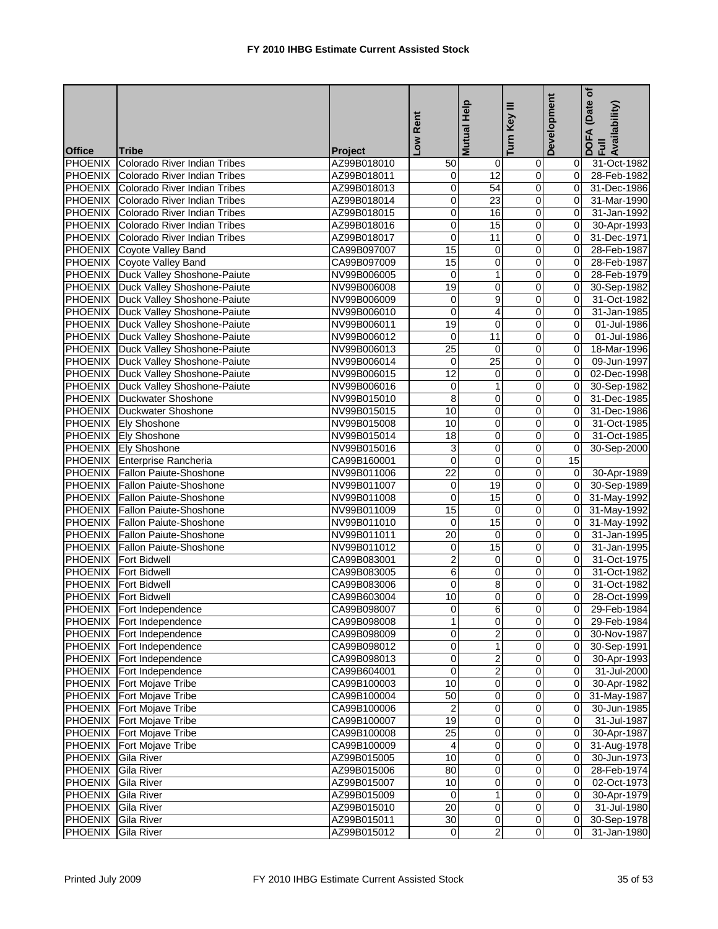|                |                                             |                | Low Rent        | Help<br><b>Mutual</b>   | Turn Key III            | Development    | (Date of<br>DOFA (Date<br>Full<br>Availability) |
|----------------|---------------------------------------------|----------------|-----------------|-------------------------|-------------------------|----------------|-------------------------------------------------|
| <b>Office</b>  | <b>Tribe</b>                                | <b>Project</b> |                 |                         |                         |                |                                                 |
| <b>PHOENIX</b> | Colorado River Indian Tribes                | AZ99B018010    | 50              | $\mathbf 0$             | 0                       | 01             | 31-Oct-1982                                     |
|                | <b>PHOENIX</b> Colorado River Indian Tribes | AZ99B018011    | 0               | 12                      | $\mathbf 0$             | Οl             | 28-Feb-1982                                     |
| <b>PHOENIX</b> | Colorado River Indian Tribes                | AZ99B018013    | 0               | 54                      | $\pmb{0}$               | $\mathbf{0}$   | 31-Dec-1986                                     |
| <b>PHOENIX</b> | <b>Colorado River Indian Tribes</b>         | AZ99B018014    | 0               | 23                      | 0                       | $\Omega$       | 31-Mar-1990                                     |
| <b>PHOENIX</b> | Colorado River Indian Tribes                | AZ99B018015    | 0               | 16                      | 0                       | $\mathbf{0}$   | 31-Jan-1992                                     |
| <b>PHOENIX</b> | Colorado River Indian Tribes                | AZ99B018016    | 0               | 15                      | 0                       | 0l             | 30-Apr-1993                                     |
| <b>PHOENIX</b> | Colorado River Indian Tribes                | AZ99B018017    | 0               | 11                      | $\overline{\mathbf{0}}$ | $\mathbf{0}$   | 31-Dec-1971                                     |
|                | PHOENIX Coyote Valley Band                  | CA99B097007    | 15              | 0                       | $\mathbf 0$             | $\overline{0}$ | 28-Feb-1987                                     |
|                | PHOENIX Coyote Valley Band                  | CA99B097009    | 15              | 0                       | 0                       | $\overline{0}$ | 28-Feb-1987                                     |
|                | PHOENIX Duck Valley Shoshone-Paiute         | NV99B006005    | 0               | $\mathbf{1}$            | 0                       | $\mathbf{0}$   | 28-Feb-1979                                     |
|                | PHOENIX Duck Valley Shoshone-Paiute         | NV99B006008    | 19              | $\overline{0}$          | $\overline{0}$          | $\overline{0}$ | 30-Sep-1982                                     |
|                | PHOENIX Duck Valley Shoshone-Paiute         | NV99B006009    | 0               | $\overline{9}$          | $\overline{0}$          | $\mathbf{0}$   | 31-Oct-1982                                     |
|                | PHOENIX Duck Valley Shoshone-Paiute         | NV99B006010    | 0               | $\overline{4}$          | $\overline{\mathbf{0}}$ | $\overline{0}$ | 31-Jan-1985                                     |
|                | PHOENIX Duck Valley Shoshone-Paiute         | NV99B006011    | 19              | 0                       | 0                       | $\mathbf{0}$   | 01-Jul-1986                                     |
|                | PHOENIX   Duck Valley Shoshone-Paiute       | NV99B006012    | $\mathbf 0$     | 11                      | $\overline{0}$          | $\overline{0}$ | 01-Jul-1986                                     |
|                | PHOENIX Duck Valley Shoshone-Paiute         | NV99B006013    | $\overline{25}$ | $\mathbf 0$             | $\mathbf 0$             | $\Omega$       | 18-Mar-1996                                     |
|                | PHOENIX Duck Valley Shoshone-Paiute         | NV99B006014    | $\mathbf 0$     | $\overline{25}$         | 0                       | 0l             | 09-Jun-1997                                     |
|                | PHOENIX Duck Valley Shoshone-Paiute         | NV99B006015    | 12              | 0                       | 0                       | ΟI             | 02-Dec-1998                                     |
|                | PHOENIX Duck Valley Shoshone-Paiute         | NV99B006016    | 0               | $\mathbf{1}$            | 0                       | $\overline{0}$ | 30-Sep-1982                                     |
| <b>PHOENIX</b> | Duckwater Shoshone                          | NV99B015010    | 8               | 0                       | 0                       | $\Omega$       | 31-Dec-1985                                     |
|                | <b>PHOENIX</b> Duckwater Shoshone           | NV99B015015    | 10              | 0                       | 0                       | $\overline{0}$ | 31-Dec-1986                                     |
|                | PHOENIX Ely Shoshone                        | NV99B015008    | 10              | 0                       | 0                       | 0l             | 31-Oct-1985                                     |
|                | <b>PHOENIX Ely Shoshone</b>                 | NV99B015014    | $\overline{18}$ | $\overline{0}$          | ō                       | $\mathbf{0}$   | 31-Oct-1985                                     |
|                | PHOENIX Ely Shoshone                        | NV99B015016    | 3               | 0                       | $\pmb{0}$               | $\overline{0}$ | 30-Sep-2000                                     |
|                | PHOENIX Enterprise Rancheria                | CA99B160001    | $\mathbf 0$     | 0                       | 0                       | 15             |                                                 |
|                | PHOENIX Fallon Paiute-Shoshone              | NV99B011006    | 22              | 0                       | 0                       | $\overline{0}$ | 30-Apr-1989                                     |
|                | PHOENIX Fallon Paiute-Shoshone              | NV99B011007    | 0               | 19                      | 0                       | 0l             | 30-Sep-1989                                     |
|                | PHOENIX Fallon Paiute-Shoshone              | NV99B011008    | 0               | 15                      | 0                       | $\overline{0}$ | 31-May-1992                                     |
|                | PHOENIX Fallon Paiute-Shoshone              | NV99B011009    | 15              | 0                       | 0                       | $\overline{0}$ | 31-May-1992                                     |
| <b>PHOENIX</b> | Fallon Paiute-Shoshone                      | NV99B011010    | 0               | $\overline{15}$         | 0                       | 0              | 31-May-1992                                     |
|                | PHOENIX Fallon Paiute-Shoshone              | NV99B011011    | 20              | 0                       | $\mathbf 0$             | $\mathbf{0}$   | 31-Jan-1995                                     |
|                | PHOENIX Fallon Paiute-Shoshone              | NV99B011012    | 0               | 15                      | $\mathbf 0$             | $\mathbf{0}$   | 31-Jan-1995                                     |
|                | <b>PHOENIX</b> Fort Bidwell                 | CA99B083001    | $\overline{2}$  | $\mathbf 0$             | $\mathbf 0$             | $\Omega$       | 31-Oct-1975                                     |
|                | <b>PHOENIX</b> Fort Bidwell                 | CA99B083005    | 6               | 0                       | 0                       | 0l             | 31-Oct-1982                                     |
|                | <b>PHOENIX</b> Fort Bidwell                 | CA99B083006    | $\mathbf 0$     | 8                       | 0                       | $\Omega$       | 31-Oct-1982                                     |
|                | <b>PHOENIX</b> Fort Bidwell                 | CA99B603004    | 10              | $\overline{0}$          | $\overline{0}$          | $\overline{0}$ | 28-Oct-1999                                     |
|                | PHOENIX Fort Independence                   | CA99B098007    | $\overline{0}$  |                         |                         |                | 29-Feb-1984                                     |
|                | PHOENIX Fort Independence                   | CA99B098008    | $\overline{1}$  | $\overline{0}$          | $\overline{0}$          |                | 0 29-Feb-1984                                   |
|                | PHOENIX Fort Independence                   | CA99B098009    | 0               | 2                       | $\mathbf 0$             | ΟI             | 30-Nov-1987                                     |
|                | PHOENIX Fort Independence                   | CA99B098012    | $\overline{0}$  | $\overline{1}$          | $\overline{0}$          |                | 0 30-Sep-1991                                   |
|                | PHOENIX Fort Independence                   | CA99B098013    | 0               | $\overline{2}$          | $\pmb{0}$               | $\overline{O}$ | 30-Apr-1993                                     |
|                | PHOENIX Fort Independence                   | CA99B604001    | 0               | $\overline{2}$          | 0                       | ΟI             | 31-Jul-2000                                     |
|                | <b>PHOENIX</b> Fort Mojave Tribe            | CA99B100003    | 10              | $\mathbf 0$             | 0                       | $\overline{O}$ | 30-Apr-1982                                     |
|                | <b>PHOENIX</b> Fort Mojave Tribe            | CA99B100004    | 50              | $\pmb{0}$               | $\mathbf 0$             | $\overline{0}$ | 31-May-1987                                     |
| <b>PHOENIX</b> | Fort Mojave Tribe                           | CA99B100006    | $\overline{2}$  | 0                       | 0                       | 0I             | 30-Jun-1985                                     |
|                | <b>PHOENIX</b> Fort Mojave Tribe            | CA99B100007    | 19              | 0                       | 0                       | 0I             | 31-Jul-1987                                     |
| <b>PHOENIX</b> | Fort Mojave Tribe                           | CA99B100008    | $\overline{25}$ | $\mathbf 0$             | $\mathbf 0$             | 01             | 30-Apr-1987                                     |
| <b>PHOENIX</b> | Fort Mojave Tribe                           | CA99B100009    | 4               | $\overline{0}$          | $\overline{0}$          | 01             | 31-Aug-1978                                     |
| <b>PHOENIX</b> | <b>Gila River</b>                           | AZ99B015005    | 10              | $\pmb{0}$               | $\mathbf 0$             | $\overline{0}$ | 30-Jun-1973                                     |
| <b>PHOENIX</b> | <b>Gila River</b>                           | AZ99B015006    | 80              | 0                       | $\mathbf 0$             | 0I             | 28-Feb-1974                                     |
| <b>PHOENIX</b> | Gila River                                  | AZ99B015007    | 10              | $\mathbf 0$             | $\mathbf 0$             | 01             | 02-Oct-1973                                     |
| <b>PHOENIX</b> | <b>Gila River</b>                           | AZ99B015009    | $\mathbf 0$     | $\mathbf{1}$            | $\mathbf 0$             | 01             | 30-Apr-1979                                     |
| <b>PHOENIX</b> | <b>Gila River</b>                           | AZ99B015010    | 20              | $\mathbf{O}$            | $\overline{O}$          | 0I             | 31-Jul-1980                                     |
| PHOENIX        | <b>Gila River</b>                           | AZ99B015011    | 30              | $\overline{\mathbf{0}}$ | $\mathbf 0$             | 0I             | 30-Sep-1978                                     |
| <b>PHOENIX</b> | Gila River                                  | AZ99B015012    | $\circ$         | $\overline{2}$          | $\overline{0}$          | $\overline{0}$ | 31-Jan-1980                                     |
|                |                                             |                |                 |                         |                         |                |                                                 |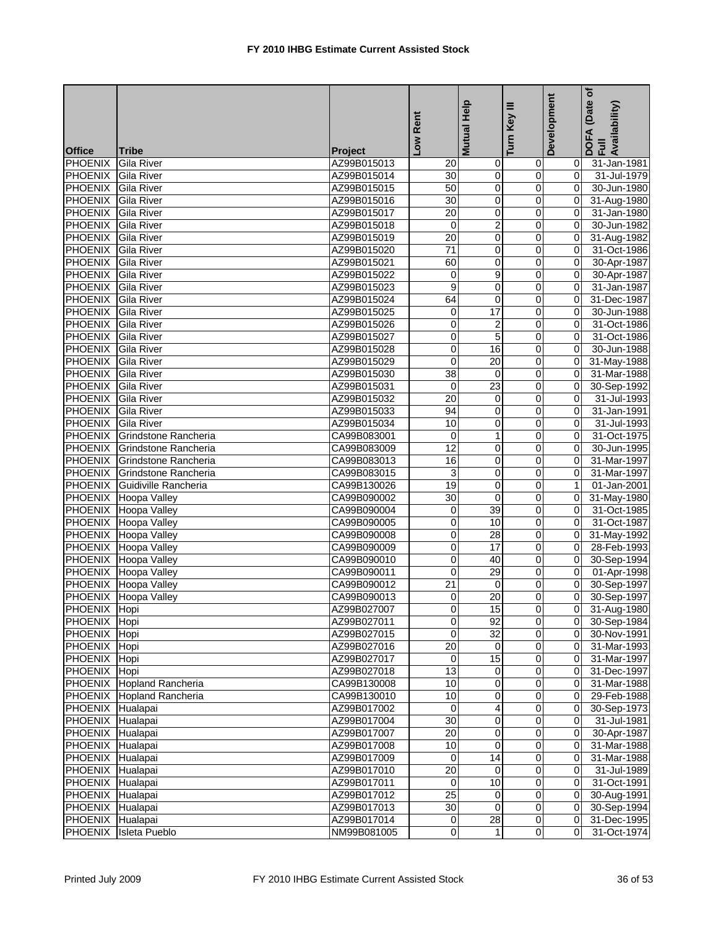|                           |                              |                            | Low Rent                | Help<br><b>Mutual</b>    | Turn Key III            | Development    | (Date of<br>DOFA (Date<br>Full<br>Availability) |
|---------------------------|------------------------------|----------------------------|-------------------------|--------------------------|-------------------------|----------------|-------------------------------------------------|
| <b>Office</b>             | <b>Tribe</b>                 | <b>Project</b>             |                         |                          |                         |                |                                                 |
| <b>PHOENIX</b>            | <b>Gila River</b>            | AZ99B015013                | 20                      | $\mathbf 0$              | 0                       | 01             | 31-Jan-1981                                     |
| PHOENIX Gila River        |                              | AZ99B015014                | 30                      | $\pmb{0}$                | $\mathbf 0$             | $\overline{0}$ | 31-Jul-1979                                     |
| PHOENIX Gila River        |                              | AZ99B015015                | 50                      | $\overline{0}$           | $\overline{0}$          | $\overline{0}$ | 30-Jun-1980                                     |
| <b>PHOENIX</b>            | <b>Gila River</b>            | AZ99B015016                | 30                      | $\overline{0}$           | 0                       | $\overline{0}$ | 31-Aug-1980                                     |
| <b>PHOENIX</b>            | <b>Gila River</b>            | AZ99B015017                | $\overline{20}$         | 0                        | 0                       | $\overline{0}$ | 31-Jan-1980                                     |
| <b>PHOENIX</b>            | <b>Gila River</b>            | AZ99B015018                | 0                       | $\overline{c}$           | 0                       | $\overline{0}$ | 30-Jun-1982                                     |
| <b>PHOENIX</b>            | Gila River                   | AZ99B015019                | 20                      | $\overline{\mathbf{0}}$  | $\overline{0}$          | $\overline{0}$ | 31-Aug-1982                                     |
| PHOENIX Gila River        |                              | AZ99B015020                | $\overline{71}$         | 0                        | 0                       | $\overline{0}$ | 31-Oct-1986                                     |
| PHOENIX Gila River        |                              | AZ99B015021                | 60                      | 0                        | 0                       | $\overline{0}$ | 30-Apr-1987                                     |
| PHOENIX Gila River        |                              | AZ99B015022                | 0                       | 9                        | 0                       | 0l             | 30-Apr-1987                                     |
| <b>PHOENIX</b> Gila River |                              | AZ99B015023                | $\overline{9}$          | $\overline{0}$           | $\overline{0}$          | $\overline{0}$ | 31-Jan-1987                                     |
| PHOENIX Gila River        |                              | AZ99B015024                | 64                      | $\mathbf 0$              | $\overline{0}$          | $\overline{0}$ | 31-Dec-1987                                     |
| PHOENIX Gila River        |                              | AZ99B015025                | 0                       | 17                       | $\overline{0}$          | $\overline{0}$ | 30-Jun-1988                                     |
| PHOENIX Gila River        |                              | AZ99B015026                | 0                       | 2                        | 0                       | $\overline{0}$ | 31-Oct-1986                                     |
| PHOENIX Gila River        |                              | AZ99B015027                | 0                       | $\overline{5}$           | $\overline{0}$          | $\overline{0}$ | 31-Oct-1986                                     |
| PHOENIX Gila River        |                              | AZ99B015028                | 0                       | 16                       | $\pmb{0}$               | $\Omega$       | 30-Jun-1988                                     |
| <b>PHOENIX</b>            | <b>Gila River</b>            | AZ99B015029                | 0                       | $\overline{20}$          | 0                       | $\overline{0}$ | 31-May-1988                                     |
| <b>PHOENIX</b>            | <b>Gila River</b>            | AZ99B015030                | 38                      | 0                        | 0                       | $\Omega$       | 31-Mar-1988                                     |
| <b>PHOENIX</b>            | <b>Gila River</b>            | AZ99B015031                | $\mathbf 0$             | $\overline{23}$          | $\pmb{0}$               | $\overline{0}$ | 30-Sep-1992                                     |
| <b>PHOENIX</b>            | <b>Gila River</b>            | AZ99B015032                | 20                      | 0                        | $\pmb{0}$               | $\Omega$       | 31-Jul-1993                                     |
| <b>PHOENIX</b>            | <b>Gila River</b>            | AZ99B015033                | 94                      | $\overline{0}$           | 0                       | $\overline{0}$ | 31-Jan-1991                                     |
| <b>PHOENIX</b>            | <b>Gila River</b>            | AZ99B015034                | 10                      | 0                        | 0                       | $\overline{0}$ | 31-Jul-1993                                     |
|                           | PHOENIX Grindstone Rancheria | CA99B083001                | $\overline{0}$          | $\overline{\phantom{0}}$ | $\overline{\mathbf{0}}$ | $\overline{0}$ | 31-Oct-1975                                     |
| <b>PHOENIX</b>            | Grindstone Rancheria         | CA99B083009                | 12                      | 0                        | $\overline{0}$          | $\overline{0}$ | 30-Jun-1995                                     |
|                           | PHOENIX Grindstone Rancheria | CA99B083013                | 16                      | 0                        | $\pmb{0}$               | $\overline{0}$ | 31-Mar-1997                                     |
|                           | PHOENIX Grindstone Rancheria | CA99B083015                | 3                       | 0                        | 0                       | $\overline{0}$ | 31-Mar-1997                                     |
|                           | PHOENIX Guidiville Rancheria | CA99B130026                | 19                      | 0                        | $\pmb{0}$               | 1 <sup>1</sup> | 01-Jan-2001                                     |
| <b>PHOENIX</b>            | Hoopa Valley                 | CA99B090002                | 30                      | 0                        | 0                       | $\overline{0}$ | 31-May-1980                                     |
|                           | PHOENIX Hoopa Valley         | CA99B090004                | $\mathbf 0$             | 39                       | 0                       | $\overline{0}$ | 31-Oct-1985                                     |
| <b>PHOENIX</b>            | <b>Hoopa Valley</b>          | CA99B090005                | 0                       | 10                       | 0                       | 0              | 31-Oct-1987                                     |
|                           | PHOENIX Hoopa Valley         | CA99B090008                | 0                       | 28                       | 0                       | 01             | 31-May-1992                                     |
|                           | PHOENIX Hoopa Valley         | CA99B090009                | 0                       | 17                       | $\overline{0}$          | $\overline{0}$ | 28-Feb-1993                                     |
|                           | PHOENIX Hoopa Valley         | CA99B090010                | 0                       | 40                       | 0                       | $\overline{0}$ | 30-Sep-1994                                     |
|                           | PHOENIX Hoopa Valley         | CA99B090011                | 0                       | 29                       | 0                       | $\mathbf{0}$   | 01-Apr-1998                                     |
|                           | PHOENIX Hoopa Valley         | CA99B090012                | $\overline{21}$         | $\mathbf 0$              | 0                       | $\overline{0}$ | 30-Sep-1997                                     |
|                           | PHOENIX Hoopa Valley         | CA99B090013                | $\overline{\mathbf{0}}$ | 20                       | $\overline{0}$          | $\overline{0}$ | 30-Sep-1997                                     |
| PHOENIX Hopi              |                              | AZ99B027007                |                         | 15                       |                         |                | 0 31-Aug-1980                                   |
| PHOENIX Hopi              |                              | AZ99B027011                | $\overline{0}$          | 92                       | $\overline{0}$          |                | 0 30-Sep-1984                                   |
| PHOENIX Hopi              |                              | AZ99B027015                | 0                       | 32                       | 0                       |                | 0 30-Nov-1991                                   |
| PHOENIX Hopi              |                              | AZ99B027016                | 20                      | $\mathsf{O}\xspace$      | $\overline{0}$          |                | 0 31-Mar-1993                                   |
| PHOENIX Hopi              |                              | AZ99B027017                | 0                       | 15                       | $\pmb{0}$               | $\overline{O}$ | 31-Mar-1997                                     |
| PHOENIX Hopi              |                              | AZ99B027018                | 13                      | 0                        | 0                       | ΟI             | 31-Dec-1997                                     |
|                           | PHOENIX Hopland Rancheria    | CA99B130008                | 10                      | 0                        | 0                       | 01             | 31-Mar-1988                                     |
|                           | PHOENIX Hopland Rancheria    | CA99B130010                | 10                      | 0                        | $\mathbf 0$             | 01             | 29-Feb-1988                                     |
| PHOENIX Hualapai          |                              | AZ99B017002                | 0                       | 4                        | 0                       | 0I             | 30-Sep-1973                                     |
| PHOENIX Hualapai          |                              | AZ99B017004                | 30                      | 0                        | 0                       | 0I             | 31-Jul-1981                                     |
| PHOENIX Hualapai          |                              | AZ99B017007                | 20                      | $\mathbf 0$              | 0                       | 01             | 30-Apr-1987                                     |
| PHOENIX Hualapai          |                              | AZ99B017008                | $\overline{10}$         | $\overline{\mathbf{0}}$  | $\overline{0}$          | 01             | 31-Mar-1988                                     |
| <b>PHOENIX</b>            |                              |                            |                         | 14                       | $\overline{O}$          | 0I             |                                                 |
| PHOENIX Hualapai          | Hualapai                     | AZ99B017009<br>AZ99B017010 | 0<br>20                 | 0                        | $\mathbf 0$             | 01             | 31-Mar-1988<br>31-Jul-1989                      |
| <b>PHOENIX</b>            |                              |                            | $\mathbf 0$             | 10                       | $\mathbf 0$             | 01             |                                                 |
|                           | Hualapai                     | AZ99B017011                | $\overline{25}$         | $\mathbf 0$              | $\mathbf 0$             |                | 31-Oct-1991                                     |
| <b>PHOENIX</b>            | Hualapai                     | AZ99B017012                |                         | $\mathbf{O}$             |                         | 01             | 30-Aug-1991                                     |
| <b>PHOENIX</b>            | Hualapai                     | AZ99B017013                | 30                      |                          | $\overline{O}$          | $\overline{0}$ | 30-Sep-1994                                     |
| PHOENIX Hualapai          |                              | AZ99B017014                | 0                       | $\overline{28}$          | $\mathbf 0$             | 0I             | 31-Dec-1995                                     |
| PHOENIX                   | <b>Isleta Pueblo</b>         | NM99B081005                | $\overline{0}$          | 1                        | $\overline{0}$          | 0l             | 31-Oct-1974                                     |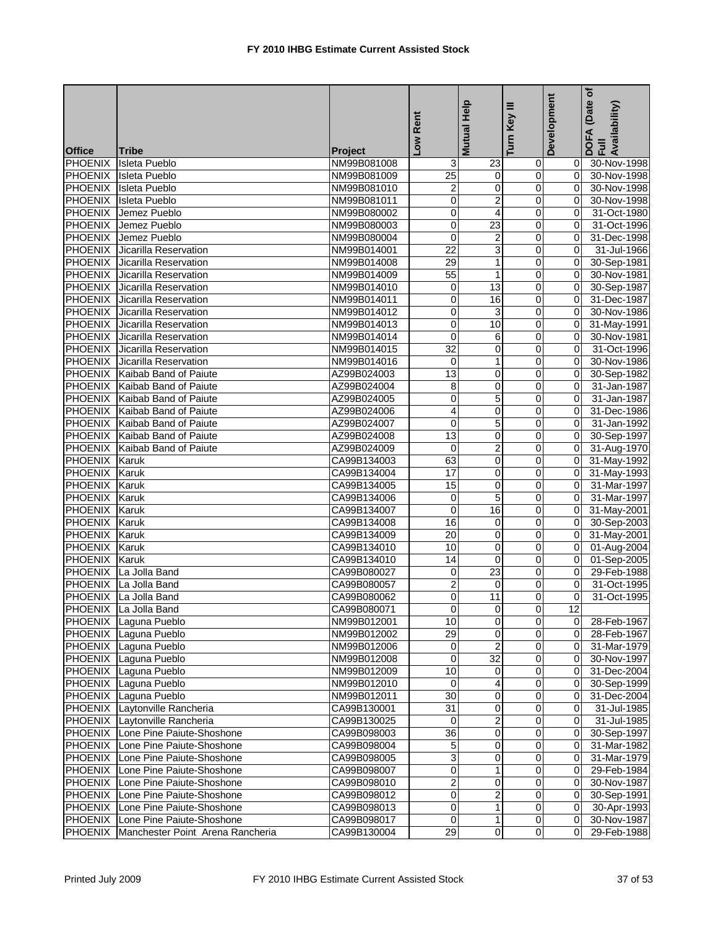|                                  |                                          |                            | Rent                    | Mutual Help     | Ξ<br>Key<br>Turn        | Development    | (Date of<br>DOFA (Date<br>Full<br>Availability) |
|----------------------------------|------------------------------------------|----------------------------|-------------------------|-----------------|-------------------------|----------------|-------------------------------------------------|
| <b>Office</b>                    | <b>Tribe</b>                             | Project                    | $\overline{\mathsf{S}}$ |                 |                         |                |                                                 |
| <b>PHOENIX</b>                   | <b>Isleta Pueblo</b>                     | NM99B081008                | 3                       | $\overline{23}$ | $\overline{0}$          | 01             | 30-Nov-1998                                     |
| <b>PHOENIX</b>                   | <b>Isleta Pueblo</b>                     | NM99B081009                | 25                      | $\pmb{0}$       | $\mathbf 0$             | $\Omega$       | 30-Nov-1998                                     |
| PHOENIX                          | <b>Isleta Pueblo</b>                     | NM99B081010                | $\overline{2}$          | 0               | 0                       | $\Omega$       | 30-Nov-1998                                     |
| <b>PHOENIX</b>                   | <b>Isleta Pueblo</b>                     | NM99B081011                | 0                       | $\overline{2}$  | 0                       | $\mathbf{0}$   | 30-Nov-1998                                     |
| <b>PHOENIX</b>                   | Jemez Pueblo                             | NM99B080002                | 0                       | 4               | 0                       | $\mathbf{0}$   | 31-Oct-1980                                     |
| <b>PHOENIX</b>                   | Jemez Pueblo                             | NM99B080003                | 0                       | 23              | 0                       | 0              | 31-Oct-1996                                     |
| <b>PHOENIX</b>                   | Jemez Pueblo                             | NM99B080004                | 0                       | 2               | $\mathbf 0$             | $\mathbf{0}$   | 31-Dec-1998                                     |
|                                  | PHOENIX Jicarilla Reservation            | NM99B014001                | 22                      | $\mathbf{3}$    | 0                       | $\Omega$       | 31-Jul-1966                                     |
| <b>PHOENIX</b>                   | Jicarilla Reservation                    | NM99B014008                | 29                      | $\mathbf{1}$    | 0                       | $\mathbf{0}$   | 30-Sep-1981                                     |
| <b>PHOENIX</b>                   | Jicarilla Reservation                    | NM99B014009                | 55                      | $\mathbf{1}$    | 0                       | $\mathbf{0}$   | 30-Nov-1981                                     |
| <b>PHOENIX</b>                   | Jicarilla Reservation                    | NM99B014010                | 0                       | $\overline{13}$ | 0                       | $\overline{0}$ | 30-Sep-1987                                     |
| <b>PHOENIX</b>                   | Jicarilla Reservation                    | NM99B014011                | 0                       | 16              | $\mathbf 0$             | $\Omega$       | 31-Dec-1987                                     |
| <b>PHOENIX</b>                   | Jicarilla Reservation                    | NM99B014012                | 0                       | 3               | 0                       | $\Omega$       | 30-Nov-1986                                     |
| <b>PHOENIX</b>                   | Jicarilla Reservation                    | NM99B014013                | 0                       | 10              | 0                       | 0              | 31-May-1991                                     |
| <b>PHOENIX</b>                   | Jicarilla Reservation                    | NM99B014014                | 0                       | 6               | 0                       | $\mathbf{0}$   | 30-Nov-1981                                     |
|                                  | <b>PHOENIX</b> Jicarilla Reservation     | NM99B014015                | $\overline{32}$         | $\mathbf 0$     | $\mathbf 0$             | $\Omega$       | 31-Oct-1996                                     |
|                                  | <b>PHOENIX</b> Jicarilla Reservation     | NM99B014016                | 0                       | 1               | 0                       | $\Omega$       | 30-Nov-1986                                     |
|                                  | PHOENIX Kaibab Band of Paiute            | AZ99B024003                | $\overline{13}$         | 0               | $\mathbf 0$             | $\mathbf{0}$   | 30-Sep-1982                                     |
|                                  | PHOENIX Kaibab Band of Paiute            | AZ99B024004                | 8                       | 0               | $\overline{0}$          | $\mathbf{0}$   | 31-Jan-1987                                     |
|                                  | PHOENIX Kaibab Band of Paiute            | AZ99B024005                | 0                       | $\overline{5}$  | $\mathbf 0$             | $\Omega$       | 31-Jan-1987                                     |
|                                  | PHOENIX Kaibab Band of Paiute            | AZ99B024006                | 4                       | 0               | $\overline{\mathbf{0}}$ | $\Omega$       | 31-Dec-1986                                     |
|                                  | PHOENIX Kaibab Band of Paiute            | AZ99B024007                | 0                       | 5               | 0                       | $\Omega$       | 31-Jan-1992                                     |
|                                  | PHOENIX Kaibab Band of Paiute            | AZ99B024008                | $\overline{13}$         | $\overline{0}$  | $\overline{0}$          | $\overline{0}$ | 30-Sep-1997                                     |
|                                  | PHOENIX Kaibab Band of Paiute            | AZ99B024009                | 0                       | $\overline{2}$  | $\pmb{0}$               | $\overline{0}$ | 31-Aug-1970                                     |
| PHOENIX Karuk                    |                                          | CA99B134003                | 63                      | 0               | 0                       | $\mathbf{0}$   | 31-May-1992                                     |
| PHOENIX Karuk                    |                                          | CA99B134004                | 17                      | 0               | 0                       | 0I             | 31-May-1993                                     |
| <b>PHOENIX</b>                   | Karuk                                    | CA99B134005                | 15                      | 0               | 0                       | 0l             | 31-Mar-1997                                     |
| <b>PHOENIX</b>                   | Karuk                                    | CA99B134006                | 0                       | $\overline{5}$  | $\pmb{0}$               | $\mathbf{0}$   | 31-Mar-1997                                     |
| <b>PHOENIX</b>                   | Karuk                                    | CA99B134007                | 0                       | 16              | 0                       | 0l             | 31-May-2001                                     |
| <b>PHOENIX</b>                   | Karuk                                    | CA99B134008                | 16                      | 0               | 0                       | ΟI             | 30-Sep-2003                                     |
| <b>PHOENIX</b>                   | Karuk                                    | CA99B134009                | 20                      | 0               | 0                       | 01             | 31-May-2001                                     |
| <b>PHOENIX</b>                   | Karuk                                    | CA99B134010                | 10                      | 0               | 0                       | $\overline{0}$ | 01-Aug-2004                                     |
| PHOENIX Karuk                    |                                          | CA99B134010                | 14                      | 0               | 0                       | $\mathbf{0}$   | $\overline{01}$ -Sep-2005                       |
|                                  | PHOENIX La Jolla Band                    | CA99B080027                | 0                       | 23              | $\overline{0}$          | 0l             | 29-Feb-1988                                     |
|                                  | PHOENIX La Jolla Band                    | CA99B080057                | $\overline{2}$          | 0               | 0                       | 0              | 31-Oct-1995                                     |
| <b>PHOENIX</b>                   | La Jolla Band                            | CA99B080062                | 0                       | $\overline{11}$ | 0                       | $\mathbf{0}$   | 31-Oct-1995                                     |
|                                  | PHOENIX La Jolla Band                    | CA99B080071                | $\overline{0}$          | $\overline{0}$  |                         | 12             |                                                 |
|                                  | PHOENIX Laguna Pueblo                    | NM99B012001                | 10                      | $\mathbf{O}$    | 0                       | 01             | 28-Feb-1967                                     |
|                                  | PHOENIX Laguna Pueblo                    | NM99B012002                | 29                      | $\mathbf 0$     | 0                       | 01             | 28-Feb-1967                                     |
|                                  | PHOENIX Laguna Pueblo                    | NM99B012006                | $\overline{0}$          | $\overline{c}$  | $\pmb{0}$               |                | 0 31-Mar-1979                                   |
|                                  | PHOENIX Laguna Pueblo                    | NM99B012008                | 0                       | 32              | 0                       | 01             | 30-Nov-1997                                     |
|                                  | PHOENIX Laguna Pueblo                    | NM99B012009                | 10                      | $\mathbf 0$     | $\mathbf 0$             | 01             | 31-Dec-2004                                     |
|                                  | PHOENIX Laguna Pueblo                    | NM99B012010                | 0                       | 4               | 0                       | 01             | 30-Sep-1999                                     |
|                                  | PHOENIX Laguna Pueblo                    | NM99B012011                | 30                      | $\pmb{0}$       | $\overline{O}$          | 01             | 31-Dec-2004                                     |
| PHOENIX                          | Laytonville Rancheria                    | CA99B130001                | 31                      | 0               | 0                       | 01             | 31-Jul-1985                                     |
|                                  | PHOENIX Laytonville Rancheria            | CA99B130025                | $\Omega$                | 2               | $\mathbf 0$             | ΟI             | 31-Jul-1985                                     |
| PHOENIX                          | Lone Pine Paiute-Shoshone                | CA99B098003                | 36                      | $\mathbf 0$     | 0                       | ΟI             | 30-Sep-1997                                     |
| PHOENIX                          | Lone Pine Paiute-Shoshone                | CA99B098004                | 5                       | $\mathbf 0$     | $\mathbf 0$             | $\overline{0}$ | 31-Mar-1982                                     |
|                                  | Lone Pine Paiute-Shoshone                |                            |                         | 0               | 0                       | 01             |                                                 |
| <b>PHOENIX</b><br><b>PHOENIX</b> | Lone Pine Paiute-Shoshone                | CA99B098005<br>CA99B098007 | 3<br>0                  | 1               | 0                       | 01             | 31-Mar-1979<br>29-Feb-1984                      |
| PHOENIX                          | Lone Pine Paiute-Shoshone                | CA99B098010                | 2                       | $\mathbf 0$     | 0                       |                | 30-Nov-1987                                     |
| PHOENIX                          | Lone Pine Paiute-Shoshone                | CA99B098012                | 0                       | $\overline{2}$  | $\pmb{0}$               | 01             | 30-Sep-1991                                     |
| PHOENIX                          | Lone Pine Paiute-Shoshone                | CA99B098013                | 0                       | $\overline{1}$  | $\mathbf 0$             | ΟI             | 30-Apr-1993                                     |
|                                  | PHOENIX Lone Pine Paiute-Shoshone        | CA99B098017                | $\Omega$                | $\mathbf{1}$    | $\overline{0}$          | 01             | 30-Nov-1987                                     |
|                                  | PHOENIX Manchester Point Arena Rancheria | CA99B130004                | 29                      | $\overline{0}$  | $\overline{0}$          | 01             | 29-Feb-1988                                     |
|                                  |                                          |                            |                         |                 |                         |                |                                                 |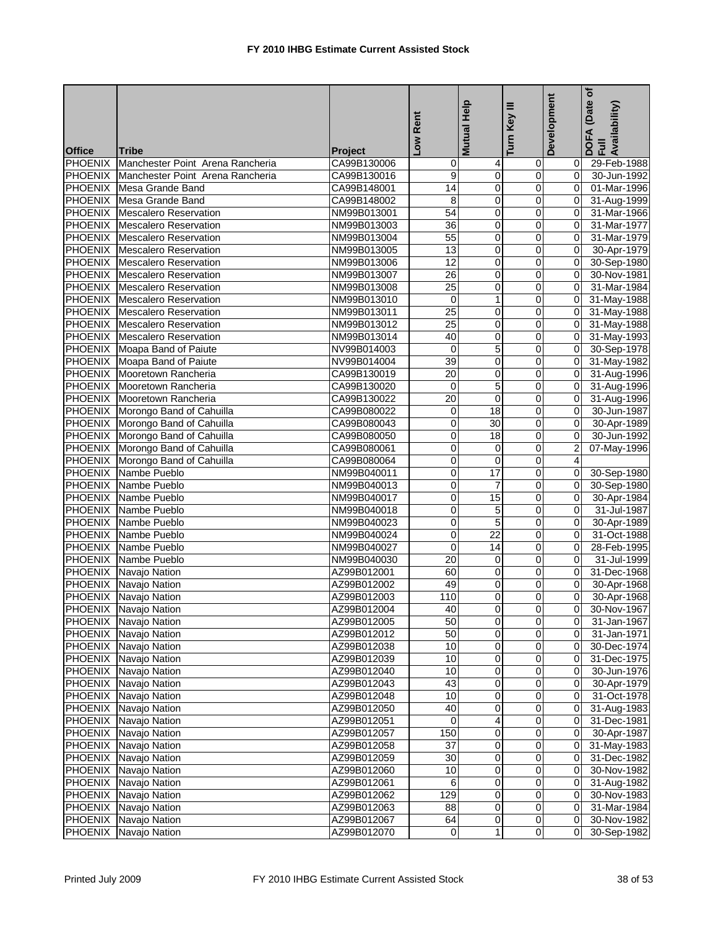|                                 |                                                                       |                               | -ow Rent        | Help                    | Turn Key III                           | Development        | (Date of<br>DOFA (Date<br>Full<br>Availability) |
|---------------------------------|-----------------------------------------------------------------------|-------------------------------|-----------------|-------------------------|----------------------------------------|--------------------|-------------------------------------------------|
|                                 |                                                                       |                               |                 | <b>Mutual</b>           |                                        |                    |                                                 |
| <b>Office</b><br><b>PHOENIX</b> | <b>Tribe</b><br>Manchester Point Arena Rancheria                      | <b>Project</b><br>CA99B130006 | 0               | $\overline{4}$          | 0                                      | 01                 | 29-Feb-1988                                     |
|                                 | PHOENIX Manchester Point Arena Rancheria                              | CA99B130016                   | 9               | $\pmb{0}$               | $\mathbf 0$                            | 01                 | 30-Jun-1992                                     |
| <b>PHOENIX</b>                  | Mesa Grande Band                                                      | CA99B148001                   | 14              | 0                       | 0                                      | 0I                 | 01-Mar-1996                                     |
| <b>PHOENIX</b>                  | Mesa Grande Band                                                      | CA99B148002                   | 8               | $\overline{0}$          | 0                                      | $\overline{0}$     | 31-Aug-1999                                     |
| <b>PHOENIX</b>                  | <b>Mescalero Reservation</b>                                          | NM99B013001                   | 54              | 0                       | 0                                      | 0l                 | 31-Mar-1966                                     |
| <b>PHOENIX</b>                  | <b>Mescalero Reservation</b>                                          |                               | 36              | 0                       | 0                                      | $\mathbf{0}$       | 31-Mar-1977                                     |
|                                 |                                                                       | NM99B013003<br>NM99B013004    | 55              | $\overline{\mathbf{0}}$ | $\overline{\mathbf{0}}$                | $\mathbf{0}$       | 31-Mar-1979                                     |
|                                 | PHOENIX Mescalero Reservation<br>PHOENIX Mescalero Reservation        | NM99B013005                   | 13              | 0                       | $\mathbf 0$                            | $\overline{0}$     | 30-Apr-1979                                     |
|                                 | <b>PHOENIX</b> Mescalero Reservation                                  | NM99B013006                   | 12              | 0                       | 0                                      | 0I                 | 30-Sep-1980                                     |
|                                 | <b>PHOENIX</b> Mescalero Reservation                                  | NM99B013007                   | 26              | 0                       | 0                                      | 0I                 | 30-Nov-1981                                     |
|                                 | PHOENIX Mescalero Reservation                                         | NM99B013008                   | $\overline{25}$ | $\overline{0}$          | $\overline{0}$                         | 0l                 | 31-Mar-1984                                     |
|                                 |                                                                       |                               | $\mathbf 0$     | $\mathbf{1}$            |                                        |                    |                                                 |
|                                 | PHOENIX Mescalero Reservation<br><b>PHOENIX</b> Mescalero Reservation | NM99B013010                   | 25              |                         | $\mathbf 0$<br>$\overline{\mathbf{0}}$ | 0l<br>$\mathbf{0}$ | 31-May-1988                                     |
|                                 |                                                                       | NM99B013011                   | 25              | 0                       |                                        |                    | 31-May-1988                                     |
|                                 | <b>PHOENIX</b> Mescalero Reservation                                  | NM99B013012                   |                 | 0                       | 0                                      | 0l                 | 31-May-1988                                     |
|                                 | PHOENIX Mescalero Reservation                                         | NM99B013014                   | 40              | 0                       | $\overline{0}$                         | $\overline{0}$     | 31-May-1993                                     |
|                                 | PHOENIX Moapa Band of Paiute                                          | NV99B014003                   | $\mathbf 0$     | $\overline{5}$          | $\mathbf 0$                            | 0l                 | 30-Sep-1978                                     |
|                                 | PHOENIX Moapa Band of Paiute                                          | NV99B014004                   | $\overline{39}$ | 0                       | 0                                      | 0I                 | 31-May-1982                                     |
|                                 | PHOENIX Mooretown Rancheria                                           | CA99B130019                   | 20              | 0                       | 0                                      | 0l                 | 31-Aug-1996                                     |
|                                 | PHOENIX Mooretown Rancheria                                           | CA99B130020                   | $\mathbf 0$     | $\overline{5}$          | 0                                      | $\overline{0}$     | 31-Aug-1996                                     |
|                                 | PHOENIX Mooretown Rancheria                                           | CA99B130022                   | 20              | 0                       | 0                                      | $\overline{0}$     | 31-Aug-1996                                     |
|                                 | PHOENIX Morongo Band of Cahuilla                                      | CA99B080022                   | 0               | 18                      | 0                                      | $\overline{0}$     | 30-Jun-1987                                     |
|                                 | PHOENIX Morongo Band of Cahuilla                                      | CA99B080043                   | 0               | 30                      | 0                                      | $\mathbf{0}$       | 30-Apr-1989                                     |
|                                 | PHOENIX Morongo Band of Cahuilla                                      | CA99B080050                   | 0               | $\overline{18}$         | $\overline{\mathsf{o}}$                | $\mathbf{0}$       | 30-Jun-1992                                     |
|                                 | PHOENIX Morongo Band of Cahuilla                                      | CA99B080061                   | 0               | 0                       | $\pmb{0}$                              | $\overline{2}$     | 07-May-1996                                     |
|                                 | PHOENIX Morongo Band of Cahuilla                                      | CA99B080064                   | 0               | $\mathbf 0$             | 0                                      | $\overline{4}$     |                                                 |
|                                 | PHOENIX Nambe Pueblo                                                  | NM99B040011                   | 0               | 17                      | 0                                      | 0l                 | 30-Sep-1980                                     |
|                                 | PHOENIX Nambe Pueblo                                                  | NM99B040013                   | 0               | 7                       | 0                                      | $\mathbf{0}$       | 30-Sep-1980                                     |
| <b>PHOENIX</b>                  | Nambe Pueblo                                                          | NM99B040017                   | 0               | 15                      | 0                                      | $\overline{0}$     | 30-Apr-1984                                     |
| <b>PHOENIX</b>                  | Nambe Pueblo                                                          | NM99B040018                   | 0               | 5                       | 0                                      | $\Omega$           | 31-Jul-1987                                     |
| <b>PHOENIX</b>                  | Nambe Pueblo                                                          | NM99B040023                   | 0               | 5                       | 0                                      | 0                  | 30-Apr-1989                                     |
| <b>PHOENIX</b>                  | Nambe Pueblo                                                          | NM99B040024                   | 0               | 22                      | 0                                      | $\overline{0}$     | 31-Oct-1988                                     |
|                                 | PHOENIX Nambe Pueblo                                                  | NM99B040027                   | 0               | 14                      | 0                                      | $\overline{0}$     | 28-Feb-1995                                     |
|                                 | PHOENIX Nambe Pueblo                                                  | NM99B040030                   | 20              | 0                       | $\mathbf 0$                            | $\Omega$           | 31-Jul-1999                                     |
|                                 | PHOENIX Navajo Nation                                                 | AZ99B012001                   | 60              | $\mathbf{O}$            | 0                                      | $\overline{0}$     | 31-Dec-1968                                     |
|                                 | PHOENIX Navajo Nation                                                 | AZ99B012002                   | 49              | 0                       | 0                                      | 0l                 | 30-Apr-1968                                     |
|                                 | PHOENIX Navajo Nation                                                 | AZ99B012003                   | 110             | $\overline{0}$          | $\overline{0}$                         | $\overline{0}$     | 30-Apr-1968                                     |
|                                 | PHOENIX Navajo Nation                                                 | AZ99B012004                   | 40              |                         |                                        |                    | 30-Nov-1967                                     |
|                                 | PHOENIX Navajo Nation                                                 | AZ99B012005                   | 50              | $\overline{0}$          | $\overline{0}$                         | ΟI                 | 31-Jan-1967                                     |
|                                 | PHOENIX Navajo Nation                                                 | AZ99B012012                   | 50              | $\mathbf 0$             | $\mathbf 0$                            | $\overline{0}$     | 31-Jan-1971                                     |
|                                 | PHOENIX Navajo Nation                                                 | AZ99B012038                   | 10              | $\overline{0}$          | $\overline{0}$                         |                    | 0 30-Dec-1974                                   |
|                                 | PHOENIX Navajo Nation                                                 | AZ99B012039                   | 10              | 0                       | $\pmb{0}$                              | 01                 | 31-Dec-1975                                     |
|                                 | PHOENIX Navajo Nation                                                 | AZ99B012040                   | 10              | 0                       | $\mathbf 0$                            | 01                 | 30-Jun-1976                                     |
|                                 | PHOENIX Navajo Nation                                                 | AZ99B012043                   | 43              | $\mathbf 0$             | 0                                      | 01                 | 30-Apr-1979                                     |
|                                 | PHOENIX Navajo Nation                                                 | AZ99B012048                   | 10              | $\pmb{0}$               | $\pmb{0}$                              | $\overline{0}$     | 31-Oct-1978                                     |
| <b>PHOENIX</b>                  | Navajo Nation                                                         | AZ99B012050                   | 40              | $\mathbf 0$             | 0                                      | 01                 | 31-Aug-1983                                     |
|                                 | PHOENIX Navajo Nation                                                 | AZ99B012051                   | 0               | 4                       | $\mathbf 0$                            | $\overline{O}$     | 31-Dec-1981                                     |
|                                 | PHOENIX Navajo Nation                                                 | AZ99B012057                   | 150             | $\mathbf 0$             | 0                                      | 01                 | 30-Apr-1987                                     |
|                                 | PHOENIX Navajo Nation                                                 | AZ99B012058                   | $\overline{37}$ | $\overline{\mathbf{0}}$ | $\overline{0}$                         | ΟI                 | 31-May-1983                                     |
| <b>PHOENIX</b>                  | Navajo Nation                                                         | AZ99B012059                   | 30              | $\pmb{0}$               | $\overline{O}$                         | 0I                 | 31-Dec-1982                                     |
| <b>PHOENIX</b>                  | Navajo Nation                                                         | AZ99B012060                   | 10              | $\pmb{0}$               | $\mathbf 0$                            | 01                 | 30-Nov-1982                                     |
| <b>PHOENIX</b>                  | Navajo Nation                                                         | AZ99B012061                   | 6               | $\mathbf 0$             | $\overline{0}$                         | ΟI                 | 31-Aug-1982                                     |
| <b>PHOENIX</b>                  | Navajo Nation                                                         | AZ99B012062                   | 129             | $\mathbf 0$             | $\pmb{0}$                              | 01                 | 30-Nov-1983                                     |
| <b>PHOENIX</b>                  | Navajo Nation                                                         | AZ99B012063                   | 88              | $\pmb{0}$               | $\overline{O}$                         | $\overline{0}$     | 31-Mar-1984                                     |
|                                 | <b>PHOENIX</b> Navajo Nation                                          | AZ99B012067                   | 64              | $\mathbf 0$             | $\mathbf 0$                            | 01                 | 30-Nov-1982                                     |
| PHOENIX                         | Navajo Nation                                                         | AZ99B012070                   | $\overline{0}$  | $\mathbf{1}$            | $\overline{0}$                         | 01                 | 30-Sep-1982                                     |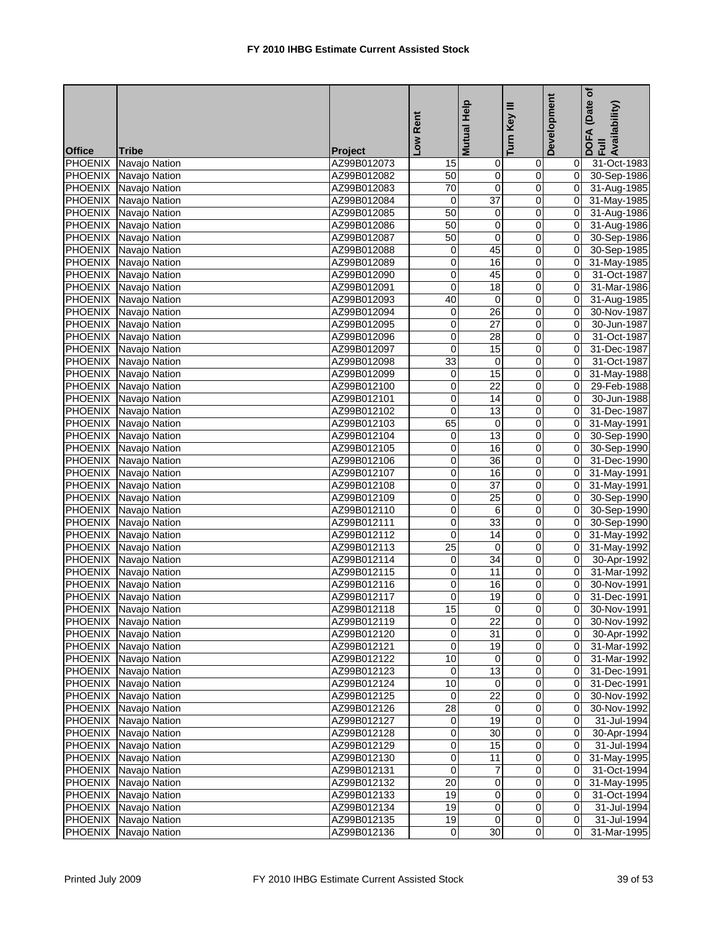|                |                              |                            | Low Rent        | Mutual Help     | Key III                 | Development    | (Date of<br>DOFA (Date <sub>)</sub><br>Full<br>Availability) |
|----------------|------------------------------|----------------------------|-----------------|-----------------|-------------------------|----------------|--------------------------------------------------------------|
| <b>Office</b>  | <b>Tribe</b>                 | <b>Project</b>             |                 |                 | Turn                    |                |                                                              |
| PHOENIX        | Navajo Nation                | AZ99B012073                | 15              | $\pmb{0}$       | 0                       | 01             | 31-Oct-1983                                                  |
|                | PHOENIX Navajo Nation        | AZ99B012082                | 50              | $\overline{0}$  | $\mathbf 0$             | $\overline{O}$ | 30-Sep-1986                                                  |
|                | PHOENIX Navajo Nation        | AZ99B012083                | 70              | 0               | $\pmb{0}$               | $\overline{0}$ | 31-Aug-1985                                                  |
| <b>PHOENIX</b> | Navajo Nation                | AZ99B012084                | 0               | $\overline{37}$ | $\overline{\mathbf{0}}$ | 0I             | 31-May-1985                                                  |
| <b>PHOENIX</b> | Navajo Nation                | AZ99B012085                | 50              | $\mathbf 0$     | 0                       | 0I             | 31-Aug-1986                                                  |
|                | PHOENIX Navajo Nation        | AZ99B012086                | 50              | 0               | $\pmb{0}$               | 0I             | 31-Aug-1986                                                  |
|                | PHOENIX Navajo Nation        | AZ99B012087                | 50              | 0               | $\pmb{0}$               | $\mathbf{0}$   | 30-Sep-1986                                                  |
|                | PHOENIX Navajo Nation        | AZ99B012088                | 0               | 45              | 0                       | $\overline{0}$ | 30-Sep-1985                                                  |
|                | PHOENIX Navajo Nation        | AZ99B012089                | 0               | 16              | 0                       | 0I             | 31-May-1985                                                  |
|                | PHOENIX Navajo Nation        | AZ99B012090                | 0               | 45              | 0                       | Οl             | 31-Oct-1987                                                  |
| <b>PHOENIX</b> | Navajo Nation                | AZ99B012091                | 0               | 18              | $\overline{0}$          | $\overline{0}$ | 31-Mar-1986                                                  |
|                | PHOENIX Navajo Nation        | AZ99B012093                | 40              | $\mathbf 0$     | 0                       | $\overline{0}$ | 31-Aug-1985                                                  |
| <b>PHOENIX</b> | Navajo Nation                | AZ99B012094                | 0               | 26              | 0                       | Οl             | 30-Nov-1987                                                  |
| <b>PHOENIX</b> | Navajo Nation                | AZ99B012095                | 0               | 27              | 0                       | $\overline{0}$ | 30-Jun-1987                                                  |
|                | PHOENIX Navajo Nation        | AZ99B012096                | 0               | 28              | $\mathsf 0$             | 01             | 31-Oct-1987                                                  |
|                | PHOENIX Navajo Nation        | AZ99B012097                | 0               | 15              | 0                       | $\overline{0}$ | 31-Dec-1987                                                  |
|                | PHOENIX Navajo Nation        | AZ99B012098                | $\overline{33}$ | 0               | $\overline{0}$          | ΟI             | 31-Oct-1987                                                  |
|                | PHOENIX Navajo Nation        | AZ99B012099                | $\pmb{0}$       | 15              | 0                       | Οl             | 31-May-1988                                                  |
|                | PHOENIX Navajo Nation        | AZ99B012100                | 0               | $\overline{22}$ | $\overline{0}$          | $\overline{0}$ | 29-Feb-1988                                                  |
|                | PHOENIX Navajo Nation        | AZ99B012101                | 0               | 14              | $\pmb{0}$               | ΟI             | 30-Jun-1988                                                  |
|                | PHOENIX Navajo Nation        | AZ99B012102                | 0               | 13              | $\overline{\mathbf{0}}$ | $\overline{0}$ | 31-Dec-1987                                                  |
|                | PHOENIX Navajo Nation        | AZ99B012103                | 65              | $\mathbf 0$     | 0                       | Οl             | 31-May-1991                                                  |
|                | PHOENIX Navajo Nation        | AZ99B012104                | 0               | $\overline{13}$ | $\overline{0}$          | $\overline{0}$ | 30-Sep-1990                                                  |
|                | PHOENIX Navajo Nation        | AZ99B012105                | 0               | 16              | $\pmb{0}$               | $\mathbf{0}$   | 30-Sep-1990                                                  |
|                | PHOENIX Navajo Nation        | AZ99B012106                | 0               | 36              | 0                       | $\Omega$       | 31-Dec-1990                                                  |
|                | PHOENIX Navajo Nation        | AZ99B012107                | 0               | 16              | 0                       | 0I             | 31-May-1991                                                  |
| <b>PHOENIX</b> | Navajo Nation                | AZ99B012108                | 0               | $\overline{37}$ | $\pmb{0}$               | $\overline{0}$ | 31-May-1991                                                  |
|                | PHOENIX Navajo Nation        | AZ99B012109                | 0               | 25              | $\pmb{0}$               | $\overline{0}$ | 30-Sep-1990                                                  |
|                | PHOENIX Navajo Nation        | AZ99B012110                | 0               | 6               | 0                       | 0I             | 30-Sep-1990                                                  |
| <b>PHOENIX</b> | Navajo Nation                | AZ99B012111                | 0               | $\overline{33}$ | 0                       | Οl             | 30-Sep-1990                                                  |
|                | PHOENIX Navajo Nation        | AZ99B012112                | 0               | 14              | 0                       | 0              | 31-May-1992                                                  |
|                | PHOENIX Navajo Nation        | AZ99B012113                | $\overline{25}$ | 0               | 0                       | $\overline{0}$ | 31-May-1992                                                  |
|                | PHOENIX Navajo Nation        | AZ99B012114                | 0               | 34              | 0                       | 0I             | 30-Apr-1992                                                  |
|                | PHOENIX Navajo Nation        | AZ99B012115                | 0               | 11              | 0                       | 0I             | 31-Mar-1992                                                  |
|                | PHOENIX Navajo Nation        | AZ99B012116                | 0               | 16              | 0                       | $\mathbf{0}$   | 30-Nov-1991                                                  |
|                | PHOENIX Navajo Nation        | AZ99B012117                | 0               | $\overline{19}$ | 0                       | $\overline{0}$ | 31-Dec-1991                                                  |
|                | PHOENIX Navajo Nation        | AZ99B012118                | 15              | $\overline{0}$  | $\overline{0}$          | $\overline{0}$ | 30-Nov-1991                                                  |
|                | PHOENIX Navajo Nation        | AZ99B012119                | 0               | 22              | $\overline{0}$          | 01             | 30-Nov-1992                                                  |
|                | <b>PHOENIX</b> Navajo Nation | AZ99B012120                | 0               | 31              | 0                       | ΟI             | 30-Apr-1992                                                  |
|                | PHOENIX Navajo Nation        | AZ99B012121                | $\overline{0}$  | 19              | $\pmb{0}$               |                | $\overline{0}$ 31-Mar-1992                                   |
|                | PHOENIX Navajo Nation        | AZ99B012122                | 10              | 0               | 0                       | 01             | 31-Mar-1992                                                  |
|                | PHOENIX Navajo Nation        | AZ99B012123                | $\overline{0}$  | 13              | $\overline{0}$          | 01             | 31-Dec-1991                                                  |
|                | PHOENIX Navajo Nation        | AZ99B012124                | 10              | $\mathbf 0$     | 0                       | 01             | 31-Dec-1991                                                  |
|                | PHOENIX Navajo Nation        | AZ99B012125                | $\overline{0}$  | 22              | $\overline{O}$          | 01             | 30-Nov-1992                                                  |
|                | PHOENIX Navajo Nation        | AZ99B012126                | 28              | $\mathbf 0$     | 0                       | 01             | 30-Nov-1992                                                  |
|                | PHOENIX Navajo Nation        | AZ99B012127                | $\overline{0}$  | 19              | $\overline{O}$          | ΟI             | 31-Jul-1994                                                  |
|                | <b>PHOENIX</b> Navajo Nation | AZ99B012128                | 0               | 30              | 0                       | ΟI             | 30-Apr-1994                                                  |
|                | PHOENIX Navajo Nation        | AZ99B012129                | 0               | 15              | $\overline{\mathsf{o}}$ | ΟI             | 31-Jul-1994                                                  |
| <b>PHOENIX</b> | Navajo Nation                | AZ99B012130                | 0               | $\overline{11}$ | 0                       | 01             | 31-May-1995                                                  |
| PHOENIX        | Navajo Nation                | AZ99B012131                | 0               | $\overline{7}$  | $\mathbf 0$             | ΟI             | 31-Oct-1994                                                  |
| PHOENIX        | Navajo Nation                | AZ99B012132                | $\overline{20}$ | $\mathbf 0$     | 0                       | 01             | 31-May-1995                                                  |
|                | PHOENIX Navajo Nation        |                            | 19              | $\pmb{0}$       | $\overline{O}$          | 01             |                                                              |
|                | PHOENIX Navajo Nation        | AZ99B012133                | 19              | $\pmb{0}$       | $\pmb{0}$               | 01             | 31-Oct-1994                                                  |
|                | PHOENIX Navajo Nation        | AZ99B012134<br>AZ99B012135 | 19              | $\overline{0}$  | $\overline{0}$          | 01             | 31-Jul-1994<br>31-Jul-1994                                   |
|                | PHOENIX Navajo Nation        |                            | $\overline{0}$  | 30              | $\overline{0}$          |                | 31-Mar-1995                                                  |
|                |                              | AZ99B012136                |                 |                 |                         |                |                                                              |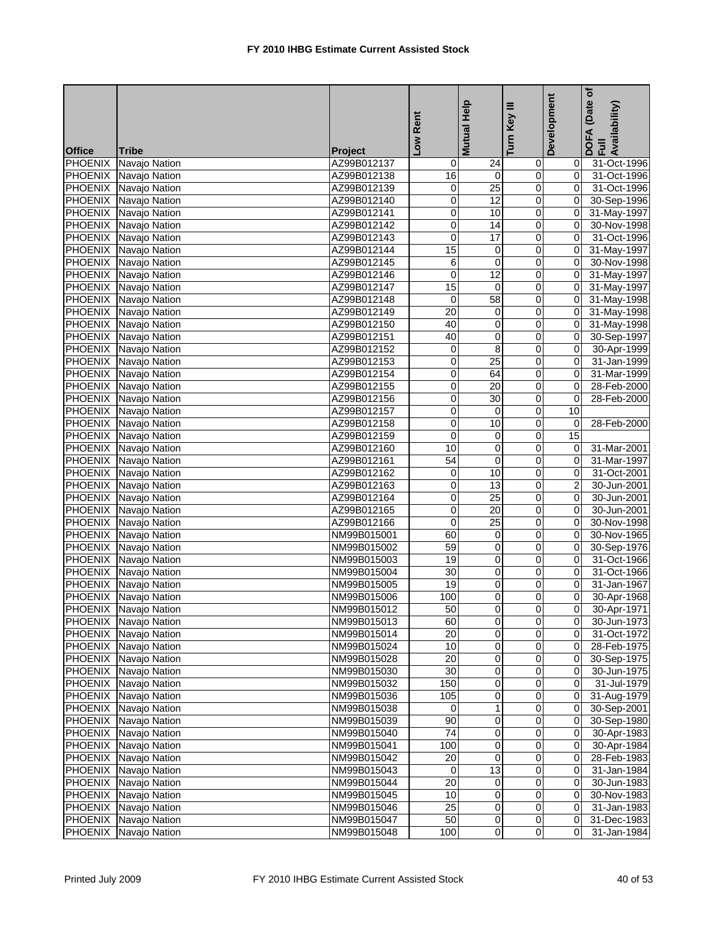|                |                              |             |                | Mutual Help             | Key III                 | Development    | (Date of<br>DOFA (Date <sub>(</sub><br>Full<br>Availability) |
|----------------|------------------------------|-------------|----------------|-------------------------|-------------------------|----------------|--------------------------------------------------------------|
|                |                              |             | Low Rent       |                         | Turn                    |                |                                                              |
| <b>Office</b>  | Tribe                        | Project     |                |                         |                         |                |                                                              |
| <b>PHOENIX</b> | Navajo Nation                | AZ99B012137 | 0              | 24                      | $\mathbf 0$             | 01             | 31-Oct-1996                                                  |
|                | PHOENIX Navajo Nation        | AZ99B012138 | 16             | $\overline{0}$          | $\overline{0}$          | $\overline{0}$ | 31-Oct-1996                                                  |
|                | PHOENIX Navajo Nation        | AZ99B012139 | 0              | $\overline{25}$         | $\pmb{0}$               | $\overline{0}$ | 31-Oct-1996                                                  |
|                | PHOENIX Navajo Nation        | AZ99B012140 | 0              | $\overline{12}$         | 0                       | $\mathbf{0}$   | 30-Sep-1996                                                  |
| <b>PHOENIX</b> | Navajo Nation                | AZ99B012141 | 0              | 10                      | 0                       | $\mathbf{0}$   | 31-May-1997                                                  |
| <b>PHOENIX</b> | Navajo Nation                | AZ99B012142 | 0              | 14                      | $\pmb{0}$               | $\overline{0}$ | 30-Nov-1998                                                  |
|                | PHOENIX Navajo Nation        | AZ99B012143 | 0              | 17                      | 0                       | $\overline{0}$ | 31-Oct-1996                                                  |
|                | PHOENIX Navajo Nation        | AZ99B012144 | 15             | 0                       | 0                       | $\mathbf{0}$   | 31-May-1997                                                  |
|                | PHOENIX Navajo Nation        | AZ99B012145 | 6              | 0                       | 0                       | ΟI             | 30-Nov-1998                                                  |
|                | PHOENIX Navajo Nation        | AZ99B012146 | 0              | 12                      | $\overline{0}$          | $\overline{O}$ | 31-May-1997                                                  |
|                | PHOENIX Navajo Nation        | AZ99B012147 | 15             | $\overline{\mathbf{0}}$ | $\overline{0}$          | $\overline{0}$ | 31-May-1997                                                  |
|                | PHOENIX Navajo Nation        | AZ99B012148 | 0              | 58                      | 0                       | $\mathbf{0}$   | 31-May-1998                                                  |
|                | PHOENIX Navajo Nation        | AZ99B012149 | 20             | 0                       | $\pmb{0}$               | 0I             | 31-May-1998                                                  |
|                | PHOENIX Navajo Nation        | AZ99B012150 | 40             | 0                       | 0                       | $\overline{0}$ | 31-May-1998                                                  |
|                | PHOENIX Navajo Nation        | AZ99B012151 | 40             | 0                       | $\overline{0}$          | $\overline{O}$ | 30-Sep-1997                                                  |
|                | PHOENIX Navajo Nation        | AZ99B012152 | 0              | 8                       | 0                       | 0I             | 30-Apr-1999                                                  |
|                | PHOENIX Navajo Nation        | AZ99B012153 | 0              | $\overline{25}$         | 0                       | Οl             | 31-Jan-1999                                                  |
|                | PHOENIX Navajo Nation        | AZ99B012154 | 0              | 64                      | 0                       | $\overline{0}$ | 31-Mar-1999                                                  |
| <b>PHOENIX</b> | Navajo Nation                | AZ99B012155 | 0              | 20                      | $\pmb{0}$               | $\overline{0}$ | 28-Feb-2000                                                  |
|                | PHOENIX Navajo Nation        | AZ99B012156 | 0              | 30                      | 0                       | $\overline{0}$ | 28-Feb-2000                                                  |
|                | PHOENIX Navajo Nation        | AZ99B012157 | 0              | 0                       | 0                       | 10             |                                                              |
|                | PHOENIX Navajo Nation        | AZ99B012158 | 0              | 10                      | 0                       | 0              | 28-Feb-2000                                                  |
|                | PHOENIX Navajo Nation        | AZ99B012159 | $\overline{0}$ | $\overline{\mathbf{0}}$ | $\overline{0}$          | 15             |                                                              |
|                | PHOENIX Navajo Nation        | AZ99B012160 | 10             | $\boldsymbol{0}$        | 0                       | $\overline{0}$ | 31-Mar-2001                                                  |
|                | PHOENIX Navajo Nation        | AZ99B012161 | 54             | 0                       | $\overline{\mathbf{0}}$ | Οl             | 31-Mar-1997                                                  |
|                | PHOENIX Navajo Nation        | AZ99B012162 | 0              | 10                      | 0                       | Οl             | 31-Oct-2001                                                  |
|                | PHOENIX Navajo Nation        | AZ99B012163 | 0              | 13                      | $\overline{0}$          | $\overline{2}$ | 30-Jun-2001                                                  |
|                | PHOENIX Navajo Nation        | AZ99B012164 | 0              | $\overline{25}$         | $\pmb{0}$               | $\overline{0}$ | 30-Jun-2001                                                  |
|                | PHOENIX Navajo Nation        | AZ99B012165 | 0              | $\overline{20}$         | 0                       | $\overline{0}$ | 30-Jun-2001                                                  |
| <b>PHOENIX</b> | Navajo Nation                | AZ99B012166 | 0              | $\overline{25}$         | 0                       | $\Omega$       | 30-Nov-1998                                                  |
|                | PHOENIX Navajo Nation        | NM99B015001 | 60             | $\pmb{0}$               | $\pmb{0}$               | $\overline{0}$ | 30-Nov-1965                                                  |
|                | PHOENIX Navajo Nation        | NM99B015002 | 59             | 0                       | 0                       | $\overline{0}$ | 30-Sep-1976                                                  |
|                | PHOENIX Navajo Nation        | NM99B015003 | 19             | 0                       | 0                       | $\overline{0}$ | 31-Oct-1966                                                  |
|                | PHOENIX Navajo Nation        | NM99B015004 | 30             | 0                       | 0                       | $\overline{0}$ | 31-Oct-1966                                                  |
|                | PHOENIX Navajo Nation        | NM99B015005 | 19             | $\overline{0}$          | $\pmb{0}$               | $\overline{0}$ | 31-Jan-1967                                                  |
|                | <b>PHOENIX</b> Navajo Nation | NM99B015006 | 100            | $\overline{0}$          | $\overline{0}$          | $\overline{0}$ | 30-Apr-1968                                                  |
|                | PHOENIX Navajo Nation        | NM99B015012 | 50             | $\pmb{0}$               | $\overline{\mathbf{0}}$ | $\overline{0}$ | 30-Apr-1971                                                  |
|                | PHOENIX Navajo Nation        | NM99B015013 | 60             | $\pmb{0}$               | $\mathsf 0$             | 01             | 30-Jun-1973                                                  |
|                | <b>PHOENIX</b> Navajo Nation | NM99B015014 | 20             | $\pmb{0}$               | $\mathbf 0$             | 01             | 31-Oct-1972                                                  |
| <b>PHOENIX</b> | Navajo Nation                | NM99B015024 | 10             | $\pmb{0}$               | $\mathbf 0$             | 01             | 28-Feb-1975                                                  |
|                | PHOENIX Navajo Nation        | NM99B015028 | 20             | 0                       | 0                       | 01             | 30-Sep-1975                                                  |
| <b>PHOENIX</b> | Navajo Nation                | NM99B015030 | 30             | $\mathbf 0$             | $\mathbf 0$             | 01             | 30-Jun-1975                                                  |
| PHOENIX        | Navajo Nation                | NM99B015032 | 150            | $\mathbf 0$             | 0                       | 01             | 31-Jul-1979                                                  |
| <b>PHOENIX</b> | Navajo Nation                | NM99B015036 | 105            | $\pmb{0}$               | $\pmb{0}$               | 01             | 31-Aug-1979                                                  |
|                | PHOENIX Navajo Nation        | NM99B015038 | 0              | $\mathbf{1}$            | 0                       | 0I             | 30-Sep-2001                                                  |
|                | PHOENIX Navajo Nation        | NM99B015039 | 90             | $\mathbf 0$             | $\overline{0}$          | 01             | 30-Sep-1980                                                  |
|                | <b>PHOENIX</b> Navajo Nation | NM99B015040 | 74             | $\mathbf 0$             | 0                       | 01             | 30-Apr-1983                                                  |
|                | PHOENIX Navajo Nation        | NM99B015041 | 100            | $\overline{0}$          | $\overline{0}$          | $\overline{0}$ | 30-Apr-1984                                                  |
|                | PHOENIX Navajo Nation        | NM99B015042 | 20             | 0                       | 0                       | $\overline{0}$ | 28-Feb-1983                                                  |
|                | PHOENIX Navajo Nation        | NM99B015043 | $\overline{0}$ | $\overline{3}$          | $\pmb{0}$               | 01             | 31-Jan-1984                                                  |
|                | PHOENIX Navajo Nation        | NM99B015044 | 20             | 0                       | $\mathbf 0$             | 01             | 30-Jun-1983                                                  |
|                | PHOENIX Navajo Nation        | NM99B015045 | 10             | $\pmb{0}$               | $\overline{0}$          | 01             | 30-Nov-1983                                                  |
|                | PHOENIX Navajo Nation        | NM99B015046 | 25             | $\pmb{0}$               | $\mathbf 0$             | 01             | 31-Jan-1983                                                  |
|                | PHOENIX Navajo Nation        | NM99B015047 | 50             | $\mathbf 0$             | $\overline{0}$          | $\overline{0}$ | 31-Dec-1983                                                  |
|                | PHOENIX Navajo Nation        | NM99B015048 | 100            | $\overline{0}$          | $\pmb{0}$               | 01             | 31-Jan-1984                                                  |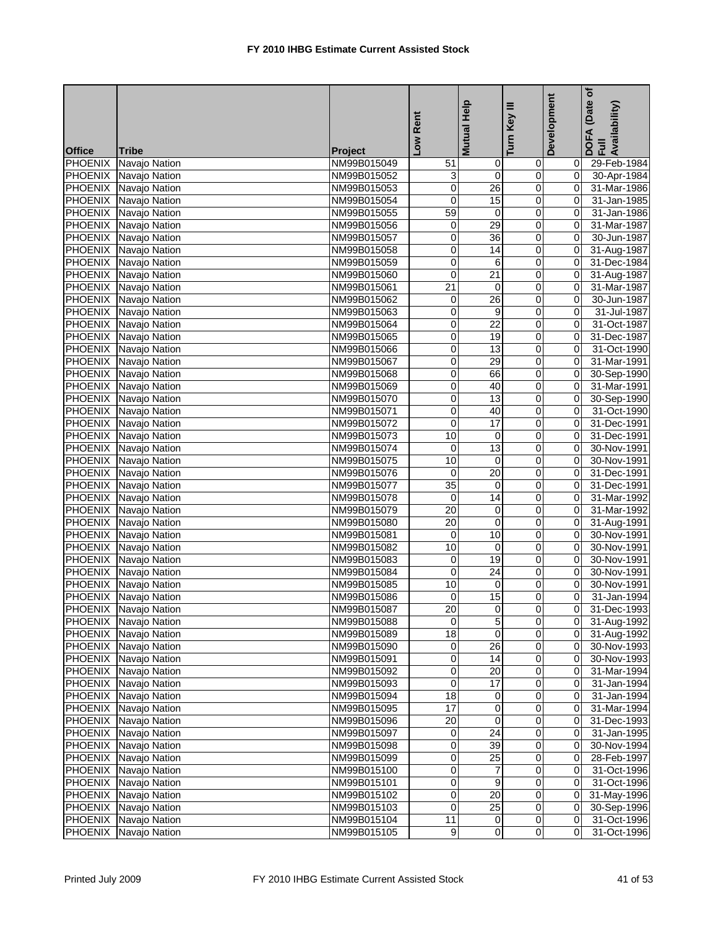|                |                              |                            | Low Rent        | Mutual Help             | Key III                 | Development    | (Date of<br>DOFA (Date <sub>)</sub><br>Full<br>Availability) |
|----------------|------------------------------|----------------------------|-----------------|-------------------------|-------------------------|----------------|--------------------------------------------------------------|
| <b>Office</b>  | <b>Tribe</b>                 | <b>Project</b>             |                 |                         | Turn                    |                |                                                              |
| <b>PHOENIX</b> | Navajo Nation                | NM99B015049                | 51              | $\mathbf 0$             | $\overline{0}$          | 01             | 29-Feb-1984                                                  |
|                | PHOENIX Navajo Nation        | NM99B015052                | 3               | $\overline{0}$          | $\pmb{0}$               | $\overline{0}$ | 30-Apr-1984                                                  |
|                | PHOENIX Navajo Nation        | NM99B015053                | 0               | 26                      | $\pmb{0}$               | $\overline{0}$ | 31-Mar-1986                                                  |
| <b>PHOENIX</b> | Navajo Nation                | NM99B015054                | 0               | 15                      | $\overline{\mathbf{0}}$ | $\overline{0}$ | 31-Jan-1985                                                  |
| <b>PHOENIX</b> | Navajo Nation                | NM99B015055                | 59              | 0                       | 0                       | $\overline{0}$ | 31-Jan-1986                                                  |
|                | PHOENIX Navajo Nation        | NM99B015056                | 0               | 29                      | $\pmb{0}$               | 0              | 31-Mar-1987                                                  |
|                | PHOENIX Navajo Nation        | NM99B015057                | 0               | 36                      | $\pmb{0}$               | $\mathbf{0}$   | 30-Jun-1987                                                  |
|                | PHOENIX Navajo Nation        | NM99B015058                | 0               | 14                      | 0                       | Οl             | 31-Aug-1987                                                  |
|                | PHOENIX Navajo Nation        | NM99B015059                | 0               | 6                       | 0                       | $\mathbf{0}$   | 31-Dec-1984                                                  |
|                | PHOENIX Navajo Nation        | NM99B015060                | $\mathbf 0$     | 21                      | 0                       | $\mathbf{0}$   | 31-Aug-1987                                                  |
| <b>PHOENIX</b> | Navajo Nation                | NM99B015061                | $\overline{21}$ | $\overline{0}$          | $\overline{0}$          | $\overline{0}$ | 31-Mar-1987                                                  |
| PHOENIX        | Navajo Nation                | NM99B015062                | 0               | 26                      | 0                       | $\overline{0}$ | 30-Jun-1987                                                  |
| <b>PHOENIX</b> | Navajo Nation                | NM99B015063                | 0               | 9                       | 0                       | 01             | 31-Jul-1987                                                  |
| PHOENIX        | Navajo Nation                | NM99B015064                | 0               | 22                      | 0                       | $\Omega$       | 31-Oct-1987                                                  |
|                | PHOENIX Navajo Nation        | NM99B015065                | 0               | 19                      | $\pmb{0}$               | 0              | 31-Dec-1987                                                  |
|                | PHOENIX Navajo Nation        | NM99B015066                | 0               | 13                      | 0                       | $\mathbf{0}$   | 31-Oct-1990                                                  |
|                | PHOENIX Navajo Nation        | NM99B015067                | $\overline{0}$  | 29                      | $\overline{0}$          | $\Omega$       | 31-Mar-1991                                                  |
|                | PHOENIX Navajo Nation        | NM99B015068                | 0               | 66                      | 0                       | $\mathbf{0}$   | 30-Sep-1990                                                  |
|                | PHOENIX Navajo Nation        | NM99B015069                | 0               | 40                      | $\overline{0}$          | $\mathbf{0}$   | 31-Mar-1991                                                  |
|                | PHOENIX Navajo Nation        | NM99B015070                | 0               | 13                      | $\pmb{0}$               | $\mathbf{0}$   | 30-Sep-1990                                                  |
|                | PHOENIX Navajo Nation        | NM99B015071                | 0               | 40                      | $\overline{\mathbf{0}}$ | $\overline{0}$ | 31-Oct-1990                                                  |
|                | PHOENIX Navajo Nation        | NM99B015072                | 0               | 17                      | 0                       | $\Omega$       | 31-Dec-1991                                                  |
|                | PHOENIX Navajo Nation        | NM99B015073                | 10              | $\overline{\mathbf{0}}$ | $\overline{0}$          | $\overline{0}$ | 31-Dec-1991                                                  |
|                | PHOENIX Navajo Nation        | NM99B015074                | 0               | 13                      | $\pmb{0}$               | $\mathbf{0}$   | 30-Nov-1991                                                  |
|                | PHOENIX Navajo Nation        | NM99B015075                | 10              | 0                       | 0                       | οI             | 30-Nov-1991                                                  |
|                | PHOENIX Navajo Nation        | NM99B015076                | 0               | 20                      | 0                       | 01             | 31-Dec-1991                                                  |
| <b>PHOENIX</b> | Navajo Nation                | NM99B015077                | 35              | $\pmb{0}$               | $\pmb{0}$               | $\mathbf{0}$   | 31-Dec-1991                                                  |
|                | PHOENIX Navajo Nation        | NM99B015078                | 0               | $\overline{14}$         | $\pmb{0}$               | $\mathbf{0}$   | 31-Mar-1992                                                  |
| <b>PHOENIX</b> | Navajo Nation                | NM99B015079                | $\overline{20}$ | $\overline{\mathbf{0}}$ | 0                       | Οl             | 31-Mar-1992                                                  |
| <b>PHOENIX</b> | Navajo Nation                | NM99B015080                | $\overline{20}$ | 0                       | 0                       | 01             | 31-Aug-1991                                                  |
|                | PHOENIX Navajo Nation        | NM99B015081                | 0               | 10                      | 0                       | 0              | 30-Nov-1991                                                  |
|                | PHOENIX Navajo Nation        | NM99B015082                | 10              | 0                       | $\pmb{0}$               | Οl             | 30-Nov-1991                                                  |
|                | PHOENIX Navajo Nation        | NM99B015083                | 0               | 19                      | 0                       | Οl             | 30-Nov-1991                                                  |
|                | PHOENIX Navajo Nation        | NM99B015084                | 0               | 24                      | 0                       | 0I             | 30-Nov-1991                                                  |
|                | PHOENIX Navajo Nation        | NM99B015085                | 10              | 0                       | 0                       | $\mathbf{0}$   | 30-Nov-1991                                                  |
|                | PHOENIX Navajo Nation        | NM99B015086                | $\mathbf 0$     | 15                      | 0                       | $\overline{0}$ | 31-Jan-1994                                                  |
|                | PHOENIX Navajo Nation        | NM99B015087                | 20              | $\overline{0}$          | $\overline{0}$          |                | 0 31-Dec-1993                                                |
|                | PHOENIX Navajo Nation        | NM99B015088                | $\overline{0}$  | 5                       | $\overline{0}$          |                | 0 31-Aug-1992                                                |
|                | <b>PHOENIX</b> Navajo Nation | NM99B015089                | 18              | $\mathbf 0$             | 0                       |                | 0 31-Aug-1992                                                |
|                | PHOENIX Navajo Nation        | NM99B015090                | $\overline{0}$  | 26                      | $\pmb{0}$               |                | $\overline{0}$ 30-Nov-1993                                   |
|                | PHOENIX Navajo Nation        | NM99B015091                | 0               | 14                      | 0                       | 01             | 30-Nov-1993                                                  |
|                | PHOENIX Navajo Nation        | NM99B015092                | 0               | 20                      | $\overline{\mathsf{o}}$ | ΟI             | 31-Mar-1994                                                  |
|                | PHOENIX Navajo Nation        | NM99B015093                | 0               | 17                      | 0                       | 01             | 31-Jan-1994                                                  |
|                | PHOENIX Navajo Nation        | NM99B015094                | 18              | $\mathbf 0$             | $\overline{O}$          | $\overline{0}$ | 31-Jan-1994                                                  |
|                | PHOENIX Navajo Nation        |                            | 17              | $\mathbf 0$             | 0                       | 01             |                                                              |
|                | PHOENIX Navajo Nation        | NM99B015095<br>NM99B015096 | 20              | $\mathbf 0$             | $\pmb{0}$               | 01             | 31-Mar-1994<br>31-Dec-1993                                   |
|                | <b>PHOENIX</b> Navajo Nation | NM99B015097                | $\mathbf 0$     | 24                      | 0                       | ΟI             | 31-Jan-1995                                                  |
|                |                              |                            | 0               | 39                      | o                       | $\overline{0}$ | 30-Nov-1994                                                  |
|                | PHOENIX Navajo Nation        | NM99B015098                |                 |                         |                         |                |                                                              |
| <b>PHOENIX</b> | Navajo Nation                | NM99B015099                | 0               | 25                      | 0                       | 01             | 28-Feb-1997                                                  |
| PHOENIX        | Navajo Nation                | NM99B015100                | 0               | $\overline{7}$          | $\mathbf 0$             | ΟI             | 31-Oct-1996                                                  |
|                | PHOENIX Navajo Nation        | NM99B015101                | 0               | $\boldsymbol{9}$        | 0                       | ΟI             | 31-Oct-1996                                                  |
|                | PHOENIX Navajo Nation        | NM99B015102                | 0               | 20                      | $\overline{O}$          | $\overline{0}$ | 31-May-1996                                                  |
|                | PHOENIX Navajo Nation        | NM99B015103                | 0               | 25                      | $\mathbf 0$             | $\overline{O}$ | 30-Sep-1996                                                  |
|                | PHOENIX Navajo Nation        | NM99B015104                | 11              | $\overline{0}$          | $\overline{0}$          | ΟI             | 31-Oct-1996                                                  |
|                | PHOENIX Navajo Nation        | NM99B015105                | 9               | $\overline{0}$          | $\overline{0}$          | 01             | 31-Oct-1996                                                  |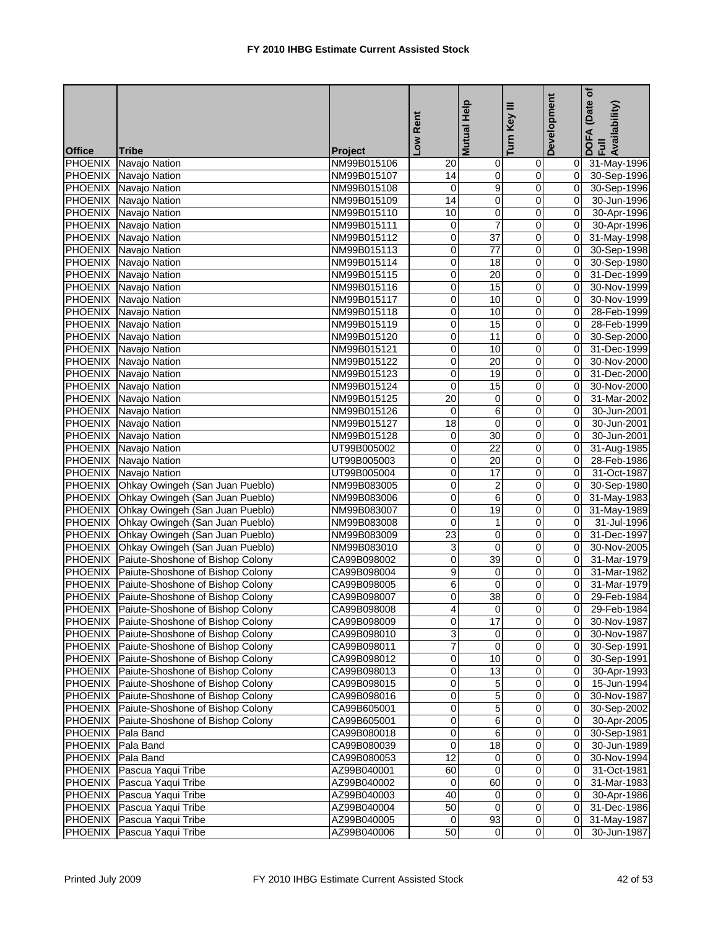|                |                                          |             | Rent            | <b>Mutual Help</b>  | Ξ<br>Key                | Development    | (Date of<br>DOFA (Date <sub>)</sub><br>Full<br>Availability) |
|----------------|------------------------------------------|-------------|-----------------|---------------------|-------------------------|----------------|--------------------------------------------------------------|
|                |                                          |             |                 |                     |                         |                |                                                              |
| <b>Office</b>  | <b>Tribe</b>                             | Project     | <b>NOT</b>      |                     | Turn                    |                |                                                              |
|                | PHOENIX Navajo Nation                    | NM99B015106 | 20              | $\mathsf{O}\xspace$ | 0                       | $\overline{0}$ | 31-May-1996                                                  |
|                | PHOENIX Navajo Nation                    | NM99B015107 | 14              | $\overline{0}$      | $\overline{0}$          |                | 0 30-Sep-1996                                                |
|                | PHOENIX Navajo Nation                    | NM99B015108 | $\mathbf 0$     | 9                   | $\mathbf 0$             | $\Omega$       | 30-Sep-1996                                                  |
|                | PHOENIX Navajo Nation                    | NM99B015109 | $\overline{14}$ | 0                   | Ō                       | $\overline{0}$ | 30-Jun-1996                                                  |
| <b>PHOENIX</b> | Navajo Nation                            | NM99B015110 | 10              | 0                   | 0                       | $\Omega$       | 30-Apr-1996                                                  |
| PHOENIX        | Navajo Nation                            | NM99B015111 | 0               | $\overline{7}$      | $\overline{0}$          | $\overline{0}$ | 30-Apr-1996                                                  |
|                | PHOENIX Navajo Nation                    | NM99B015112 | 0               | $\overline{37}$     | 0                       | $\overline{0}$ | 31-May-1998                                                  |
|                | PHOENIX Navajo Nation                    | NM99B015113 | 0               | $\overline{77}$     | 0                       | $\overline{0}$ | 30-Sep-1998                                                  |
|                | PHOENIX Navajo Nation                    | NM99B015114 | 0               | $\overline{18}$     | 0                       | $\Omega$       | 30-Sep-1980                                                  |
|                | PHOENIX Navajo Nation                    | NM99B015115 | 0               | $\overline{20}$     | 0                       | $\overline{0}$ | 31-Dec-1999                                                  |
|                | PHOENIX Navajo Nation                    | NM99B015116 | 0               | 15                  | $\overline{0}$          | $\mathbf{0}$   | 30-Nov-1999                                                  |
|                | PHOENIX Navajo Nation                    | NM99B015117 | 0               | 10                  | $\mathbf 0$             | $\overline{0}$ | 30-Nov-1999                                                  |
|                | PHOENIX Navajo Nation                    | NM99B015118 | 0               | 10                  | 0                       | $\mathbf{0}$   | 28-Feb-1999                                                  |
|                | PHOENIX Navajo Nation                    | NM99B015119 | 0               | 15                  | $\mathbf 0$             | $\overline{0}$ | 28-Feb-1999                                                  |
|                | PHOENIX Navajo Nation                    | NM99B015120 | 0               | 11                  | 0                       | $\overline{0}$ | 30-Sep-2000                                                  |
|                | PHOENIX Navajo Nation                    | NM99B015121 | 0               | 10                  | 0                       | $\Omega$       | 31-Dec-1999                                                  |
|                | PHOENIX Navajo Nation                    | NM99B015122 | 0               | $\overline{20}$     | 0                       | $\Omega$       | 30-Nov-2000                                                  |
|                | PHOENIX Navajo Nation                    | NM99B015123 | 0               | 19                  | 0                       | $\Omega$       | 31-Dec-2000                                                  |
|                | PHOENIX Navajo Nation                    | NM99B015124 | 0               | 15                  | 0                       | $\mathbf{0}$   | 30-Nov-2000                                                  |
|                | PHOENIX Navajo Nation                    | NM99B015125 | 20              | $\mathbf 0$         | 0                       | $\Omega$       | 31-Mar-2002                                                  |
|                | PHOENIX Navajo Nation                    | NM99B015126 | 0               | 6                   | 0                       | $\overline{0}$ | 30-Jun-2001                                                  |
|                | PHOENIX Navajo Nation                    | NM99B015127 | 18              | $\mathbf 0$         | 0                       | $\overline{0}$ | 30-Jun-2001                                                  |
|                | PHOENIX Navajo Nation                    | NM99B015128 | $\mathbf 0$     | 30                  | $\overline{0}$          | $\overline{0}$ | 30-Jun-2001                                                  |
|                | PHOENIX Navajo Nation                    | UT99B005002 | 0               | $\overline{22}$     | $\mathbf 0$             | $\overline{0}$ | 31-Aug-1985                                                  |
|                | PHOENIX Navajo Nation                    | UT99B005003 | 0               | 20                  | 0                       | $\Omega$       | 28-Feb-1986                                                  |
|                | PHOENIX Navajo Nation                    | UT99B005004 | 0               | 17                  | 0                       | $\Omega$       | 31-Oct-1987                                                  |
|                | PHOENIX Ohkay Owingeh (San Juan Pueblo)  | NM99B083005 | 0               | 2                   | $\mathsf 0$             | $\overline{0}$ | 30-Sep-1980                                                  |
|                | PHOENIX Ohkay Owingeh (San Juan Pueblo)  | NM99B083006 | 0               | 6                   | 0                       | $\Omega$       | 31-May-1983                                                  |
| <b>PHOENIX</b> | Ohkay Owingeh (San Juan Pueblo)          | NM99B083007 | 0               | $\overline{19}$     | 0                       | $\overline{0}$ | 31-May-1989                                                  |
| <b>PHOENIX</b> | Ohkay Owingeh (San Juan Pueblo)          | NM99B083008 | 0               | 1                   | 0                       | $\Omega$       | 31-Jul-1996                                                  |
| <b>PHOENIX</b> | Ohkay Owingeh (San Juan Pueblo)          | NM99B083009 | 23              | 0                   | 0                       | $\overline{0}$ | 31-Dec-1997                                                  |
| <b>PHOENIX</b> | Ohkay Owingeh (San Juan Pueblo)          | NM99B083010 | 3               | $\mathbf 0$         | 0                       | $\Omega$       | 30-Nov-2005                                                  |
|                | PHOENIX Paiute-Shoshone of Bishop Colony | CA99B098002 | 0               | 39                  | 0                       | $\Omega$       | 31-Mar-1979                                                  |
|                | PHOENIX Paiute-Shoshone of Bishop Colony | CA99B098004 | 9               | 0                   | 0                       | $\Omega$       | 31-Mar-1982                                                  |
|                | PHOENIX Paiute-Shoshone of Bishop Colony | CA99B098005 | 6               | $\mathbf 0$         | $\mathbf 0$             | $\overline{0}$ | 31-Mar-1979                                                  |
|                | PHOENIX Paiute-Shoshone of Bishop Colony | CA99B098007 | 0               | $\overline{38}$     | $\overline{0}$          | $\overline{0}$ | 29-Feb-1984                                                  |
|                | PHOENIX Paiute-Shoshone of Bishop Colony | CA99B098008 | $\overline{4}$  | $\overline{0}$      | $\overline{0}$          | $\overline{0}$ | 29-Feb-1984                                                  |
|                | PHOENIX Paiute-Shoshone of Bishop Colony | CA99B098009 | 0               | 17                  | 0                       | ΟI             | 30-Nov-1987                                                  |
|                | PHOENIX Paiute-Shoshone of Bishop Colony | CA99B098010 | 3               | 0                   | $\mathbf 0$             | ΟI             | 30-Nov-1987                                                  |
| <b>PHOENIX</b> | Paiute-Shoshone of Bishop Colony         | CA99B098011 | 7               | $\mathbf 0$         | $\mathbf 0$             | $\overline{0}$ | 30-Sep-1991                                                  |
| <b>PHOENIX</b> | Paiute-Shoshone of Bishop Colony         | CA99B098012 | 0               | 10                  | 0                       | 0              | 30-Sep-1991                                                  |
| <b>PHOENIX</b> | Paiute-Shoshone of Bishop Colony         | CA99B098013 | 0               | 13                  | 0                       | 01             | 30-Apr-1993                                                  |
| <b>PHOENIX</b> | Paiute-Shoshone of Bishop Colony         | CA99B098015 | 0               | 5                   | 0                       | $\overline{0}$ | 15-Jun-1994                                                  |
| <b>PHOENIX</b> | Paiute-Shoshone of Bishop Colony         | CA99B098016 | 0               | 5                   | 0                       | 01             | 30-Nov-1987                                                  |
| <b>PHOENIX</b> | Paiute-Shoshone of Bishop Colony         | CA99B605001 | 0               | 5                   | 0                       | $\overline{0}$ | 30-Sep-2002                                                  |
| <b>PHOENIX</b> | Paiute-Shoshone of Bishop Colony         | CA99B605001 | 0               | 6                   | 0                       | 01             | 30-Apr-2005                                                  |
| PHOENIX        | Pala Band                                | CA99B080018 | 0               | 6                   | 0                       | $\overline{0}$ | 30-Sep-1981                                                  |
| <b>PHOENIX</b> | Pala Band                                | CA99B080039 | 0               | 18                  | $\overline{0}$          | $\overline{0}$ | 30-Jun-1989                                                  |
| <b>PHOENIX</b> | Pala Band                                | CA99B080053 | 12              | 0                   | $\pmb{0}$               | $\overline{0}$ | 30-Nov-1994                                                  |
| <b>PHOENIX</b> | Pascua Yaqui Tribe                       | AZ99B040001 | 60              | $\mathbf 0$         | $\overline{\mathbf{0}}$ | 01             | 31-Oct-1981                                                  |
| PHOENIX        | Pascua Yaqui Tribe                       | AZ99B040002 | 0               | 60                  | 0                       | $\overline{0}$ | 31-Mar-1983                                                  |
|                | PHOENIX Pascua Yaqui Tribe               | AZ99B040003 | 40              | 0                   | 0                       | $\mathbf{0}$   | 30-Apr-1986                                                  |
| PHOENIX        | Pascua Yaqui Tribe                       | AZ99B040004 | 50              | $\mathbf 0$         | $\mathbf 0$             | $\overline{0}$ | 31-Dec-1986                                                  |
| <b>PHOENIX</b> | Pascua Yaqui Tribe                       | AZ99B040005 | 0               | 93                  | $\mathbf 0$             | $\overline{0}$ | 31-May-1987                                                  |
| <b>PHOENIX</b> | Pascua Yaqui Tribe                       | AZ99B040006 | 50              | 0                   | 0                       |                | 30-Jun-1987                                                  |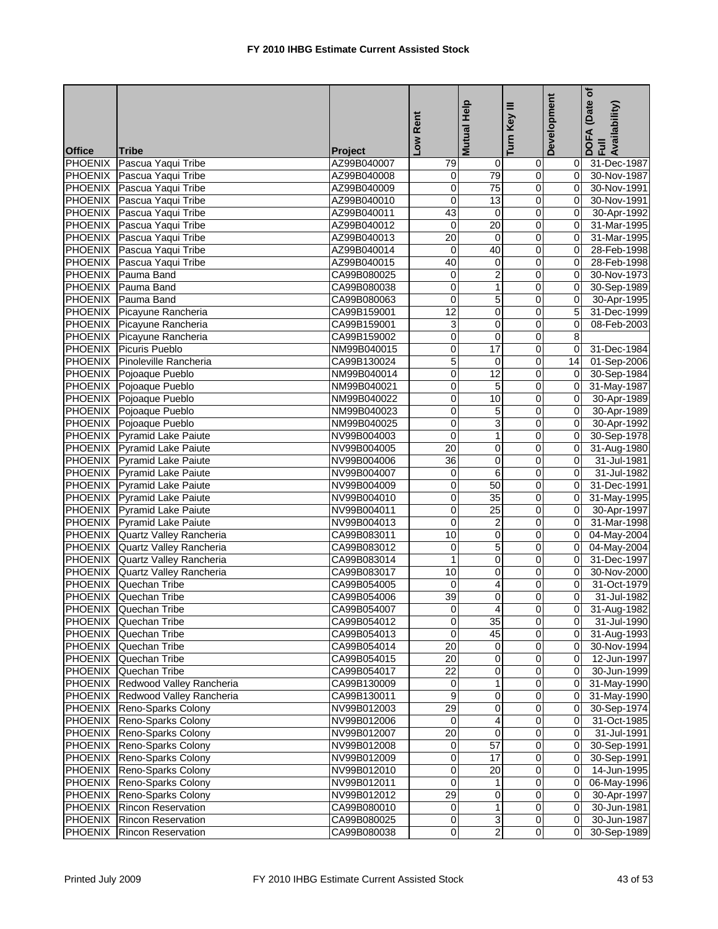|                |                                   |                | Low Rent        | Mutual Help             | Key III<br>Turn         | Development    | (Date of<br>DOFA (Date <sub>)</sub><br>Full<br>Availability) |
|----------------|-----------------------------------|----------------|-----------------|-------------------------|-------------------------|----------------|--------------------------------------------------------------|
| <b>Office</b>  | <b>Tribe</b>                      | <b>Project</b> |                 |                         |                         |                |                                                              |
|                | PHOENIX Pascua Yaqui Tribe        | AZ99B040007    | 79              | $\mathbf 0$             | $\mathbf 0$             |                | 0 31-Dec-1987                                                |
|                | PHOENIX Pascua Yaqui Tribe        | AZ99B040008    | 0               | 79                      | $\mathbf 0$             | ΟI             | 30-Nov-1987                                                  |
|                | PHOENIX Pascua Yaqui Tribe        | AZ99B040009    | 0               | $\overline{75}$         | $\pmb{0}$               | $\overline{0}$ | 30-Nov-1991                                                  |
|                | PHOENIX Pascua Yaqui Tribe        | AZ99B040010    | 0               | $\overline{13}$         | $\overline{\mathsf{o}}$ | $\overline{0}$ | 30-Nov-1991                                                  |
|                | PHOENIX Pascua Yaqui Tribe        | AZ99B040011    | 43              | 0                       | 0                       | 0I             | 30-Apr-1992                                                  |
|                | PHOENIX Pascua Yaqui Tribe        | AZ99B040012    | $\mathbf 0$     | 20                      | $\pmb{0}$               | 0I             | 31-Mar-1995                                                  |
|                | PHOENIX Pascua Yaqui Tribe        | AZ99B040013    | $\overline{20}$ | $\mathbf 0$             | $\pmb{0}$               | Οl             | 31-Mar-1995                                                  |
|                | PHOENIX Pascua Yaqui Tribe        | AZ99B040014    | 0               | 40                      | 0                       | 0I             | 28-Feb-1998                                                  |
|                | PHOENIX Pascua Yaqui Tribe        | AZ99B040015    | 40              | 0                       | 0                       | Οl             | 28-Feb-1998                                                  |
|                | PHOENIX Pauma Band                | CA99B080025    | $\mathbf 0$     | $\overline{c}$          | $\pmb{0}$               | Οl             | 30-Nov-1973                                                  |
| <b>PHOENIX</b> | Pauma Band                        | CA99B080038    | 0               | $\mathbf{1}$            | 0                       | $\overline{0}$ | 30-Sep-1989                                                  |
|                | PHOENIX Pauma Band                | CA99B080063    | 0               | $\overline{5}$          | $\mathbf 0$             | οI             | 30-Apr-1995                                                  |
|                | PHOENIX Picayune Rancheria        | CA99B159001    | 12              | 0                       | 0                       | 5 <sub>l</sub> | 31-Dec-1999                                                  |
|                | PHOENIX Picayune Rancheria        | CA99B159001    | 3               | 0                       | 0                       | $\mathbf{0}$   | 08-Feb-2003                                                  |
|                | PHOENIX Picayune Rancheria        | CA99B159002    | 0               | $\overline{\mathbf{0}}$ | $\overline{\mathbf{0}}$ | 8              |                                                              |
|                | PHOENIX Picuris Pueblo            | NM99B040015    | 0               | $\overline{17}$         | 0                       | $\mathbf{0}$   | 31-Dec-1984                                                  |
|                | PHOENIX Pinoleville Rancheria     | CA99B130024    | 5               | $\overline{\mathbf{0}}$ | 0                       | 14             | 01-Sep-2006                                                  |
|                | PHOENIX Pojoaque Pueblo           | NM99B040014    | 0               | 12                      | 0                       | 0I             | 30-Sep-1984                                                  |
|                | PHOENIX Pojoaque Pueblo           | NM99B040021    | 0               | 5                       | $\overline{0}$          | $\overline{0}$ | 31-May-1987                                                  |
|                | PHOENIX Pojoaque Pueblo           | NM99B040022    | 0               | 10                      | $\pmb{0}$               | $\overline{0}$ | 30-Apr-1989                                                  |
|                | PHOENIX Pojoaque Pueblo           | NM99B040023    | 0               | 5                       | $\overline{\mathbf{0}}$ | $\mathbf{0}$   | 30-Apr-1989                                                  |
|                | PHOENIX Pojoaque Pueblo           | NM99B040025    | 0               | 3                       | 0                       | $\mathbf{0}$   | 30-Apr-1992                                                  |
|                | PHOENIX Pyramid Lake Paiute       | NV99B004003    | $\overline{0}$  | 1                       | $\overline{0}$          | $\overline{0}$ | 30-Sep-1978                                                  |
|                | PHOENIX Pyramid Lake Paiute       | NV99B004005    | 20              | 0                       | 0                       | $\overline{0}$ | 31-Aug-1980                                                  |
|                | PHOENIX Pyramid Lake Paiute       | NV99B004006    | 36              | 0                       | 0                       | $\mathsf{O}$   | 31-Jul-1981                                                  |
|                | PHOENIX Pyramid Lake Paiute       | NV99B004007    | 0               | 6                       | 0                       | ΟI             | 31-Jul-1982                                                  |
|                | PHOENIX Pyramid Lake Paiute       | NV99B004009    | 0               | 50                      | $\overline{0}$          | 0I             | 31-Dec-1991                                                  |
|                | PHOENIX Pyramid Lake Paiute       | NV99B004010    | 0               | 35                      | $\pmb{0}$               | $\mathbf{0}$   | 31-May-1995                                                  |
|                | PHOENIX Pyramid Lake Paiute       | NV99B004011    | 0               | 25                      | 0                       | 0I             | 30-Apr-1997                                                  |
|                | PHOENIX Pyramid Lake Paiute       | NV99B004013    | 0               | 2                       | 0                       | ΟI             | 31-Mar-1998                                                  |
|                | PHOENIX Quartz Valley Rancheria   | CA99B083011    | 10              | 0                       | 0                       | 01             | 04-May-2004                                                  |
|                | PHOENIX Quartz Valley Rancheria   | CA99B083012    | 0               | 5                       | $\pmb{0}$               |                | 0 04-May-2004                                                |
|                | PHOENIX Quartz Valley Rancheria   | CA99B083014    | 1               | 0                       | 0                       | 0I             | 31-Dec-1997                                                  |
|                | PHOENIX Quartz Valley Rancheria   | CA99B083017    | 10              | 0                       | 0                       | 0I             | 30-Nov-2000                                                  |
|                | PHOENIX Quechan Tribe             | CA99B054005    | 0               | 4                       | 0                       | 0l             | 31-Oct-1979                                                  |
|                | <b>PHOENIX</b> Quechan Tribe      | CA99B054006    | 39              | $\overline{0}$          | O                       | 0l             | 31-Jul-1982                                                  |
|                |                                   |                | $\overline{0}$  |                         |                         |                |                                                              |
|                | PHOENIX Quechan Tribe             | CA99B054007    | $\overline{0}$  | 35                      | $\overline{0}$          | $\overline{0}$ | 31-Aug-1982                                                  |
|                | PHOENIX Quechan Tribe             | CA99B054012    |                 |                         |                         | ΟI             | 31-Jul-1990                                                  |
|                | <b>PHOENIX</b> Quechan Tribe      | CA99B054013    | 0<br>20         | 45                      | 0                       |                | $\overline{0}$ 31-Aug-1993                                   |
|                | <b>PHOENIX</b> Quechan Tribe      | CA99B054014    |                 | $\pmb{0}$               | $\pmb{0}$               |                | $\overline{0}$ 30-Nov-1994                                   |
|                | PHOENIX Quechan Tribe             | CA99B054015    | 20              | 0                       | 0                       | ΟI             | $\overline{12}$ -Jun-1997                                    |
|                | PHOENIX Quechan Tribe             | CA99B054017    | $\overline{22}$ | $\overline{\mathbf{0}}$ | $\overline{\mathsf{o}}$ | ΟI             | 30-Jun-1999                                                  |
|                | PHOENIX Redwood Valley Rancheria  | CA99B130009    | 0               | $\mathbf{1}$            | 0                       | 01             | 31-May-1990                                                  |
|                | PHOENIX Redwood Valley Rancheria  | CA99B130011    | 9               | $\pmb{0}$               | $\overline{O}$          | $\overline{0}$ | 31-May-1990                                                  |
|                | PHOENIX Reno-Sparks Colony        | NV99B012003    | 29              | 0                       | 0                       | $\overline{0}$ | 30-Sep-1974                                                  |
|                | PHOENIX Reno-Sparks Colony        | NV99B012006    | $\mathbf 0$     | 4                       | $\pmb{0}$               | 01             | 31-Oct-1985                                                  |
|                | PHOENIX Reno-Sparks Colony        | NV99B012007    | 20              | $\mathbf 0$             | 0                       | 01             | $31 -$ Jul-1991                                              |
|                | <b>PHOENIX</b> Reno-Sparks Colony | NV99B012008    | $\overline{0}$  | 57                      | $\overline{\mathbf{0}}$ |                | 0 30-Sep-1991                                                |
| <b>PHOENIX</b> | Reno-Sparks Colony                | NV99B012009    | 0               | 17                      | 0                       | 0I             | 30-Sep-1991                                                  |
| <b>PHOENIX</b> | Reno-Sparks Colony                | NV99B012010    | 0               | $\overline{20}$         | 0                       | 0I             | 14-Jun-1995                                                  |
|                | PHOENIX Reno-Sparks Colony        | NV99B012011    | 0               | 1                       | 0                       | 01             | 06-May-1996                                                  |
|                | PHOENIX Reno-Sparks Colony        | NV99B012012    | $\overline{29}$ | $\pmb{0}$               | $\pmb{0}$               | $\overline{0}$ | 30-Apr-1997                                                  |
|                | <b>PHOENIX</b> Rincon Reservation | CA99B080010    | $\mathbf 0$     | $\overline{1}$          | $\pmb{0}$               | $\overline{0}$ | 30-Jun-1981                                                  |
|                | <b>PHOENIX</b> Rincon Reservation | CA99B080025    | 0               | 3                       | $\overline{0}$          | 01             | 30-Jun-1987                                                  |
| <b>PHOENIX</b> | <b>Rincon Reservation</b>         | CA99B080038    | $\overline{0}$  | $\overline{2}$          | $\overline{0}$          | 01             | 30-Sep-1989                                                  |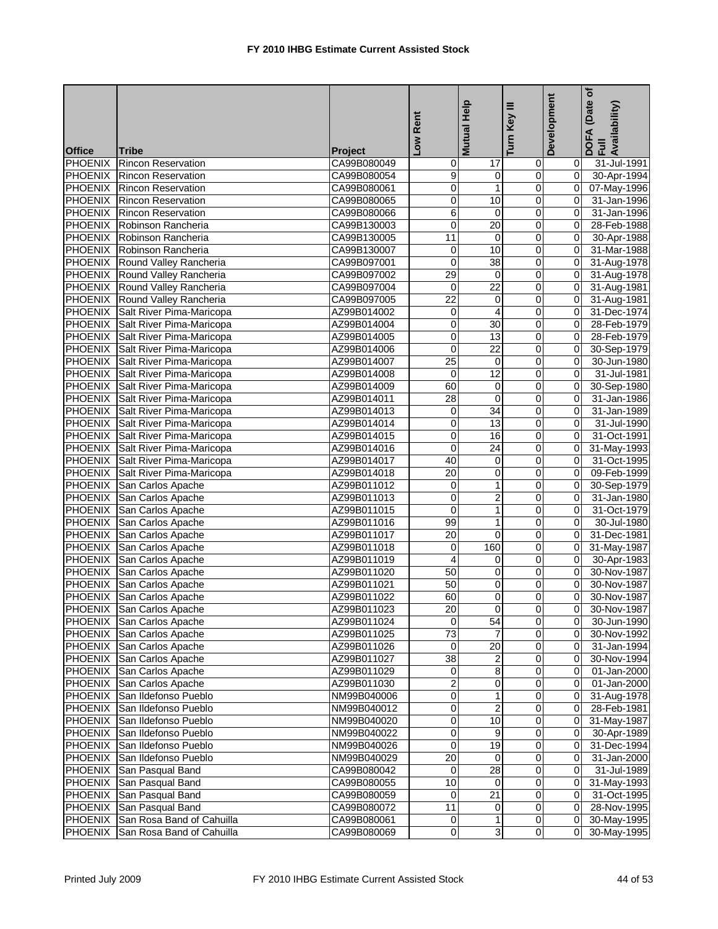|                                 |                                           |                        | Low Rent                | Mutual Help     | Key III                       | Development    | (Date of<br>DOFA (Date <sub>)</sub><br>Full<br>Availability) |
|---------------------------------|-------------------------------------------|------------------------|-------------------------|-----------------|-------------------------------|----------------|--------------------------------------------------------------|
|                                 |                                           |                        |                         |                 | Turn                          |                |                                                              |
| <b>Office</b><br><b>PHOENIX</b> | <b>Tribe</b><br><b>Rincon Reservation</b> | Project<br>CA99B080049 | 0                       | 17              |                               | 01             | 31-Jul-1991                                                  |
|                                 | PHOENIX Rincon Reservation                | CA99B080054            | 9                       | 0               | $\overline{0}$<br>$\mathbf 0$ | $\Omega$       | 30-Apr-1994                                                  |
|                                 | PHOENIX Rincon Reservation                | CA99B080061            | 0                       | $\mathbf{1}$    | $\pmb{0}$                     | $\overline{0}$ | 07-May-1996                                                  |
| <b>PHOENIX</b>                  | <b>Rincon Reservation</b>                 | CA99B080065            | 0                       | 10              | 0                             | $\overline{0}$ | 31-Jan-1996                                                  |
| <b>PHOENIX</b>                  | <b>Rincon Reservation</b>                 | CA99B080066            | 6                       | 0               | 0                             | 0l             | 31-Jan-1996                                                  |
|                                 | PHOENIX Robinson Rancheria                | CA99B130003            | 0                       | 20              | 0                             | 0l             | 28-Feb-1988                                                  |
|                                 | PHOENIX Robinson Rancheria                | CA99B130005            | 11                      | 0               | $\mathbf 0$                   | 0I             | 30-Apr-1988                                                  |
|                                 | PHOENIX Robinson Rancheria                | CA99B130007            | 0                       | 10              | 0                             | οI             | 31-Mar-1988                                                  |
|                                 | PHOENIX Round Valley Rancheria            | CA99B097001            | 0                       | $\overline{38}$ | 0                             | 0l             | 31-Aug-1978                                                  |
|                                 | PHOENIX Round Valley Rancheria            | CA99B097002            | 29                      | 0               | 0                             | 0l             | 31-Aug-1978                                                  |
| <b>PHOENIX</b>                  | Round Valley Rancheria                    | CA99B097004            | $\overline{0}$          | $\overline{22}$ | 0                             | $\overline{0}$ | 31-Aug-1981                                                  |
|                                 | PHOENIX Round Valley Rancheria            | CA99B097005            | $\overline{22}$         | 0               | $\mathbf 0$                   | $\overline{0}$ | 31-Aug-1981                                                  |
|                                 | PHOENIX Salt River Pima-Maricopa          | AZ99B014002            | 0                       | 4               | 0                             | 0l             | 31-Dec-1974                                                  |
|                                 | PHOENIX Salt River Pima-Maricopa          | AZ99B014004            | 0                       | 30              | 0                             | $\overline{0}$ | 28-Feb-1979                                                  |
| <b>PHOENIX</b>                  | Salt River Pima-Maricopa                  | AZ99B014005            | 0                       | 13              | $\mathbf 0$                   | $\overline{0}$ | 28-Feb-1979                                                  |
|                                 | PHOENIX Salt River Pima-Maricopa          | AZ99B014006            | 0                       | $\overline{22}$ | $\mathbf 0$                   | 0l             | 30-Sep-1979                                                  |
|                                 | PHOENIX Salt River Pima-Maricopa          | AZ99B014007            | $\overline{25}$         | 0               | 0                             | 0l             | 30-Jun-1980                                                  |
|                                 | PHOENIX Salt River Pima-Maricopa          | AZ99B014008            | $\mathbf 0$             | 12              | 0                             | $\Omega$       | 31-Jul-1981                                                  |
|                                 | PHOENIX Salt River Pima-Maricopa          | AZ99B014009            | 60                      | 0               | $\overline{0}$                | $\overline{0}$ |                                                              |
|                                 | PHOENIX Salt River Pima-Maricopa          | AZ99B014011            | 28                      | $\overline{0}$  | $\mathbf 0$                   | $\Omega$       | 30-Sep-1980                                                  |
|                                 |                                           | AZ99B014013            | 0                       | 34              | $\overline{\mathbf{0}}$       | $\overline{0}$ | 31-Jan-1986                                                  |
|                                 | PHOENIX Salt River Pima-Maricopa          |                        | 0                       |                 | 0                             | $\Omega$       | 31-Jan-1989                                                  |
|                                 | PHOENIX Salt River Pima-Maricopa          | AZ99B014014            |                         | 13              | $\overline{0}$                |                | 31-Jul-1990                                                  |
|                                 | PHOENIX Salt River Pima-Maricopa          | AZ99B014015            | 0                       | 16              |                               | $\mathbf{0}$   | 31-Oct-1991                                                  |
| <b>PHOENIX</b>                  | Salt River Pima-Maricopa                  | AZ99B014016            | 0                       | $\overline{24}$ | $\pmb{0}$                     | $\overline{0}$ | 31-May-1993                                                  |
|                                 | PHOENIX Salt River Pima-Maricopa          | AZ99B014017            | 40                      | 0               | 0                             | $\overline{0}$ | 31-Oct-1995                                                  |
| <b>PHOENIX</b>                  | Salt River Pima-Maricopa                  | AZ99B014018            | 20                      | 0               | 0                             | 0l             | 09-Feb-1999                                                  |
| <b>PHOENIX</b>                  | San Carlos Apache                         | AZ99B011012            | 0                       | 1               | 0                             | $\overline{0}$ | 30-Sep-1979                                                  |
| <b>PHOENIX</b>                  | San Carlos Apache                         | AZ99B011013            | 0                       | $\overline{2}$  | $\pmb{0}$                     | $\overline{0}$ | 31-Jan-1980                                                  |
| <b>PHOENIX</b>                  | San Carlos Apache                         | AZ99B011015            | 0                       | 1               | 0                             | $\overline{0}$ | 31-Oct-1979                                                  |
| <b>PHOENIX</b>                  | San Carlos Apache                         | AZ99B011016            | 99                      | 1               | 0                             | ΟI             | 30-Jul-1980                                                  |
| <b>PHOENIX</b>                  | San Carlos Apache                         | AZ99B011017            | 20                      | 0               | 0                             | 0              | 31-Dec-1981                                                  |
| <b>PHOENIX</b>                  | San Carlos Apache                         | AZ99B011018            | 0                       | 160             | 0                             | $\overline{0}$ | 31-May-1987                                                  |
|                                 | PHOENIX San Carlos Apache                 | AZ99B011019            | 4                       | 0               | 0                             | 0I             | 30-Apr-1983                                                  |
|                                 | PHOENIX San Carlos Apache                 | AZ99B011020            | 50                      | 0               | 0                             | 0I             | 30-Nov-1987                                                  |
|                                 | PHOENIX San Carlos Apache                 | AZ99B011021            | 50                      | 0               | 0                             | $\Omega$       | 30-Nov-1987                                                  |
| <b>PHOENIX</b>                  | San Carlos Apache                         | AZ99B011022            | 60                      | $\overline{0}$  | 0                             | $\overline{0}$ | 30-Nov-1987                                                  |
|                                 | PHOENIX San Carlos Apache                 | AZ99B011023            | 20                      | $\overline{0}$  |                               | $\overline{0}$ | 30-Nov-1987                                                  |
|                                 | PHOENIX San Carlos Apache                 | AZ99B011024            | $\overline{0}$          | 54              | $\overline{0}$                | 01             | 30-Jun-1990                                                  |
|                                 | PHOENIX San Carlos Apache                 | AZ99B011025            | 73                      | 7               | 0                             | 01             | 30-Nov-1992                                                  |
|                                 | PHOENIX San Carlos Apache                 | AZ99B011026            | $\overline{0}$          | 20              | $\pmb{0}$                     | ΟI             | 31-Jan-1994                                                  |
|                                 | PHOENIX San Carlos Apache                 | AZ99B011027            | 38                      | $\overline{2}$  | 0                             | 01             | 30-Nov-1994                                                  |
|                                 | PHOENIX San Carlos Apache                 | AZ99B011029            | $\mathbf 0$             | 8               | $\overline{\mathsf{o}}$       | ΟI             | 01-Jan-2000                                                  |
|                                 | PHOENIX San Carlos Apache                 | AZ99B011030            | 2                       | 0               | 0                             | 01             | 01-Jan-2000                                                  |
|                                 | PHOENIX San Ildefonso Pueblo              | NM99B040006            | 0                       | 1               | $\overline{O}$                |                | 0 31-Aug-1978                                                |
|                                 | PHOENIX San Ildefonso Pueblo              | NM99B040012            | 0                       | $\overline{c}$  | 0                             | 01             | 28-Feb-1981                                                  |
|                                 | PHOENIX San Ildefonso Pueblo              | NM99B040020            | 0                       | 10              | $\pmb{0}$                     | ΟI             | 31-May-1987                                                  |
|                                 | PHOENIX San Ildefonso Pueblo              | NM99B040022            | 0                       | 9               | 0                             | ΟI             | 30-Apr-1989                                                  |
|                                 | PHOENIX San Ildefonso Pueblo              | NM99B040026            | $\overline{\mathbf{0}}$ | 19              | $\overline{\mathsf{o}}$       |                | 0 31-Dec-1994                                                |
| <b>PHOENIX</b>                  | San Ildefonso Pueblo                      | NM99B040029            | $\overline{20}$         | $\overline{0}$  | 0                             | 01             | 31-Jan-2000                                                  |
| <b>PHOENIX</b>                  | San Pasqual Band                          | CA99B080042            | 0                       | 28              | $\mathbf 0$                   | 01             | 31-Jul-1989                                                  |
| <b>PHOENIX</b>                  | San Pasqual Band                          | CA99B080055            | 10                      | $\overline{0}$  | 0                             |                | 31-May-1993                                                  |
| <b>PHOENIX</b>                  | San Pasqual Band                          | CA99B080059            | 0                       | $\overline{21}$ | $\pmb{0}$                     | $\overline{0}$ | 31-Oct-1995                                                  |
| <b>PHOENIX</b>                  | San Pasqual Band                          | CA99B080072            | $\overline{11}$         | $\mathbf 0$     | $\pmb{0}$                     | $\overline{0}$ | 28-Nov-1995                                                  |
|                                 | PHOENIX San Rosa Band of Cahuilla         | CA99B080061            | 0                       | $\mathbf{1}$    | $\overline{0}$                | ΟI             | 30-May-1995                                                  |
| <b>PHOENIX</b>                  | San Rosa Band of Cahuilla                 | CA99B080069            | $\overline{0}$          | 3               | $\overline{0}$                | 01             | 30-May-1995                                                  |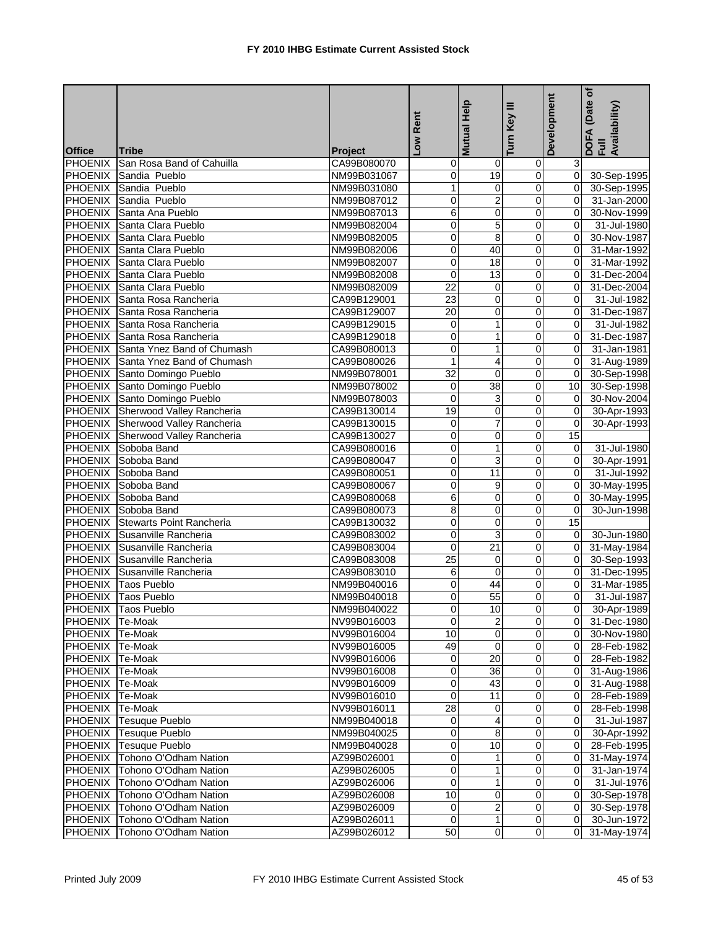|                 |                                    |                | Low Rent        | Help<br><b>Mutual</b>   | Turn Key III            | Development     | (Date of<br>DOFA (Date <sub>)</sub><br>Full<br>Availability) |
|-----------------|------------------------------------|----------------|-----------------|-------------------------|-------------------------|-----------------|--------------------------------------------------------------|
| <b>Office</b>   | <b>Tribe</b>                       | <b>Project</b> |                 |                         |                         |                 |                                                              |
| <b>PHOENIX</b>  | San Rosa Band of Cahuilla          | CA99B080070    | 0               | $\mathbf 0$             | 0                       | 3 <sup>1</sup>  |                                                              |
|                 | PHOENIX Sandia Pueblo              | NM99B031067    | 0               | 19                      | $\mathbf 0$             | $\overline{0}$  | 30-Sep-1995                                                  |
| <b>PHOENIX</b>  | Sandia Pueblo                      | NM99B031080    | 1               | 0                       | $\pmb{0}$               | $\overline{0}$  | 30-Sep-1995                                                  |
| <b>PHOENIX</b>  | Sandia Pueblo                      | NM99B087012    | 0               | $\overline{2}$          | 0                       | $\Omega$        | 31-Jan-2000                                                  |
| <b>PHOENIX</b>  | Santa Ana Pueblo                   | NM99B087013    | 6               | 0                       | 0                       | Οl              | 30-Nov-1999                                                  |
| PHOENIX         | Santa Clara Pueblo                 | NM99B082004    | 0               | $\overline{5}$          | 0                       | $\Omega$        | 31-Jul-1980                                                  |
| <b>PHOENIX</b>  | Santa Clara Pueblo                 | NM99B082005    | 0               | $\overline{8}$          | $\overline{\mathbf{0}}$ | 0I              | 30-Nov-1987                                                  |
|                 | PHOENIX Santa Clara Pueblo         | NM99B082006    | 0               | 40                      | $\mathbf 0$             | ΟI              | 31-Mar-1992                                                  |
|                 | PHOENIX Santa Clara Pueblo         | NM99B082007    | 0               | 18                      | 0                       | ΟI              | 31-Mar-1992                                                  |
|                 | PHOENIX Santa Clara Pueblo         | NM99B082008    | $\mathbf 0$     | 13                      | 0                       | 01              | 31-Dec-2004                                                  |
|                 | PHOENIX Santa Clara Pueblo         | NM99B082009    | $\overline{22}$ | $\overline{\mathbf{0}}$ | $\overline{0}$          | Οl              | 31-Dec-2004                                                  |
|                 | PHOENIX Santa Rosa Rancheria       | CA99B129001    | 23              | $\pmb{0}$               | $\mathbf 0$             | ΟI              | 31-Jul-1982                                                  |
|                 | PHOENIX Santa Rosa Rancheria       | CA99B129007    | 20              | 0                       | $\overline{0}$          | Οl              | 31-Dec-1987                                                  |
|                 | PHOENIX Santa Rosa Rancheria       | CA99B129015    | 0               | 1                       | 0                       | $\Omega$        | 31-Jul-1982                                                  |
|                 | PHOENIX Santa Rosa Rancheria       | CA99B129018    | 0               | $\mathbf{1}$            | $\overline{0}$          | $\overline{0}$  | 31-Dec-1987                                                  |
|                 | PHOENIX Santa Ynez Band of Chumash | CA99B080013    | 0               | $\mathbf{1}$            | $\mathbf 0$             | $\Omega$        | 31-Jan-1981                                                  |
|                 | PHOENIX Santa Ynez Band of Chumash | CA99B080026    | 1               | 4                       | 0                       | Οl              | 31-Aug-1989                                                  |
|                 | PHOENIX Santo Domingo Pueblo       |                | 32              | 0                       | 0                       | Οl              |                                                              |
|                 | PHOENIX Santo Domingo Pueblo       | NM99B078001    | 0               | 38                      | 0                       | 10 <sub>1</sub> | 30-Sep-1998                                                  |
|                 |                                    | NM99B078002    | $\mathbf 0$     |                         |                         | $\overline{0}$  | 30-Sep-1998                                                  |
|                 | PHOENIX Santo Domingo Pueblo       | NM99B078003    | 19              | 3                       | 0                       | $\overline{0}$  | 30-Nov-2004                                                  |
|                 | PHOENIX Sherwood Valley Rancheria  | CA99B130014    |                 | 0                       | 0                       |                 | 30-Apr-1993                                                  |
|                 | PHOENIX Sherwood Valley Rancheria  | CA99B130015    | 0               | 7                       | 0                       | $\overline{0}$  | 30-Apr-1993                                                  |
|                 | PHOENIX Sherwood Valley Rancheria  | CA99B130027    | 0               | $\overline{\mathbf{0}}$ | 0                       | 15              |                                                              |
| <b>PHOENIX</b>  | Soboba Band                        | CA99B080016    | 0               | $\mathbf{1}$            | $\pmb{0}$               | $\overline{0}$  | 31-Jul-1980                                                  |
|                 | PHOENIX Soboba Band                | CA99B080047    | 0               | 3                       | 0                       | 0I              | 30-Apr-1991                                                  |
|                 | PHOENIX Soboba Band                | CA99B080051    | 0               | 11                      | 0                       | Οl              | 31-Jul-1992                                                  |
|                 | PHOENIX Soboba Band                | CA99B080067    | 0               | 9                       | 0                       | 0l              | 30-May-1995                                                  |
| <b>PHOENIX</b>  | Soboba Band                        | CA99B080068    | 6               | 0                       | 0                       | $\overline{0}$  | 30-May-1995                                                  |
| <b>PHOENIX</b>  | Soboba Band                        | CA99B080073    | 8               | 0                       | 0                       | $\overline{0}$  | 30-Jun-1998                                                  |
| <b>PHOENIX</b>  | <b>Stewarts Point Rancheria</b>    | CA99B130032    | 0               | 0                       | 0                       | $\overline{15}$ |                                                              |
| <b>PHOENIX</b>  | Susanville Rancheria               | CA99B083002    | 0               | 3                       | 0                       | 01              | 30-Jun-1980                                                  |
| <b>PHOENIX</b>  | Susanville Rancheria               | CA99B083004    | 0               | 21                      | 0                       | $\overline{0}$  | 31-May-1984                                                  |
|                 | PHOENIX Susanville Rancheria       | CA99B083008    | 25              | $\mathbf 0$             | 0                       | $\mathbf{0}$    | 30-Sep-1993                                                  |
|                 | PHOENIX Susanville Rancheria       | CA99B083010    | 6               | 0                       | 0                       | $\overline{0}$  | 31-Dec-1995                                                  |
|                 | PHOENIX Taos Pueblo                | NM99B040016    | 0               | 44                      | 0                       | 0l              | 31-Mar-1985                                                  |
|                 | <b>PHOENIX Taos Pueblo</b>         | NM99B040018    | 0               | 55                      | $\overline{0}$          | $\overline{0}$  | 31-Jul-1987                                                  |
|                 | PHOENIX Taos Pueblo                | NM99B040022    |                 | 10                      |                         |                 | 30-Apr-1989                                                  |
| PHOENIX Te-Moak |                                    | NV99B016003    | $\overline{0}$  | $\overline{2}$          | $\overline{0}$          |                 | 0 31-Dec-1980                                                |
| PHOENIX Te-Moak |                                    | NV99B016004    | 10              | $\mathbf 0$             | $\mathbf 0$             |                 | 0 30-Nov-1980                                                |
| PHOENIX Te-Moak |                                    | NV99B016005    | 49              | $\overline{0}$          | $\overline{0}$          |                 | 0 28-Feb-1982                                                |
| PHOENIX Te-Moak |                                    | NV99B016006    | 0               | $\overline{20}$         | $\pmb{0}$               | $\overline{0}$  | 28-Feb-1982                                                  |
| <b>PHOENIX</b>  | Te-Moak                            | NV99B016008    | 0               | 36                      | 0                       | ΟI              | 31-Aug-1986                                                  |
| <b>PHOENIX</b>  | Te-Moak                            | NV99B016009    | 0               | 43                      | 0                       | 0I              | 31-Aug-1988                                                  |
| <b>PHOENIX</b>  | Te-Moak                            | NV99B016010    | 0               | 11                      | $\pmb{0}$               | $\overline{0}$  | 28-Feb-1989                                                  |
| <b>PHOENIX</b>  | Te-Moak                            | NV99B016011    | 28              | 0                       | 0                       | 01              | 28-Feb-1998                                                  |
| <b>PHOENIX</b>  | Tesuque Pueblo                     | NM99B040018    | 0               | 4                       | 0                       | 0I              | 31-Jul-1987                                                  |
| <b>PHOENIX</b>  | <b>Tesuque Pueblo</b>              | NM99B040025    | 0               | 8                       | 0                       | 01              | 30-Apr-1992                                                  |
| <b>PHOENIX</b>  | Tesuque Pueblo                     | NM99B040028    | 0               | $\overline{10}$         | $\overline{0}$          | $\overline{0}$  | 28-Feb-1995                                                  |
| <b>PHOENIX</b>  | Tohono O'Odham Nation              | AZ99B026001    | 0               | 1                       | $\pmb{0}$               | $\overline{0}$  | 31-May-1974                                                  |
| <b>PHOENIX</b>  | Tohono O'Odham Nation              | AZ99B026005    | 0               | $\mathbf{1}$            | $\mathbf 0$             | 0I              | 31-Jan-1974                                                  |
| <b>PHOENIX</b>  | Tohono O'Odham Nation              | AZ99B026006    | 0               | 1                       | $\mathbf 0$             | 0I              | 31-Jul-1976                                                  |
| <b>PHOENIX</b>  | Tohono O'Odham Nation              | AZ99B026008    | 10              | $\mathbf 0$             | $\mathbf 0$             | $\overline{0}$  | 30-Sep-1978                                                  |
| <b>PHOENIX</b>  | Tohono O'Odham Nation              | AZ99B026009    | $\overline{0}$  | $\overline{2}$          | $\overline{O}$          | $\overline{0}$  | 30-Sep-1978                                                  |
| <b>PHOENIX</b>  | Tohono O'Odham Nation              | AZ99B026011    | $\Omega$        | $\mathbf{1}$            | $\mathbf 0$             | 0l              | 30-Jun-1972                                                  |
| <b>PHOENIX</b>  | Tohono O'Odham Nation              | AZ99B026012    | 50              | $\mathbf 0$             | $\mathbf{0}$            |                 | 31-May-1974                                                  |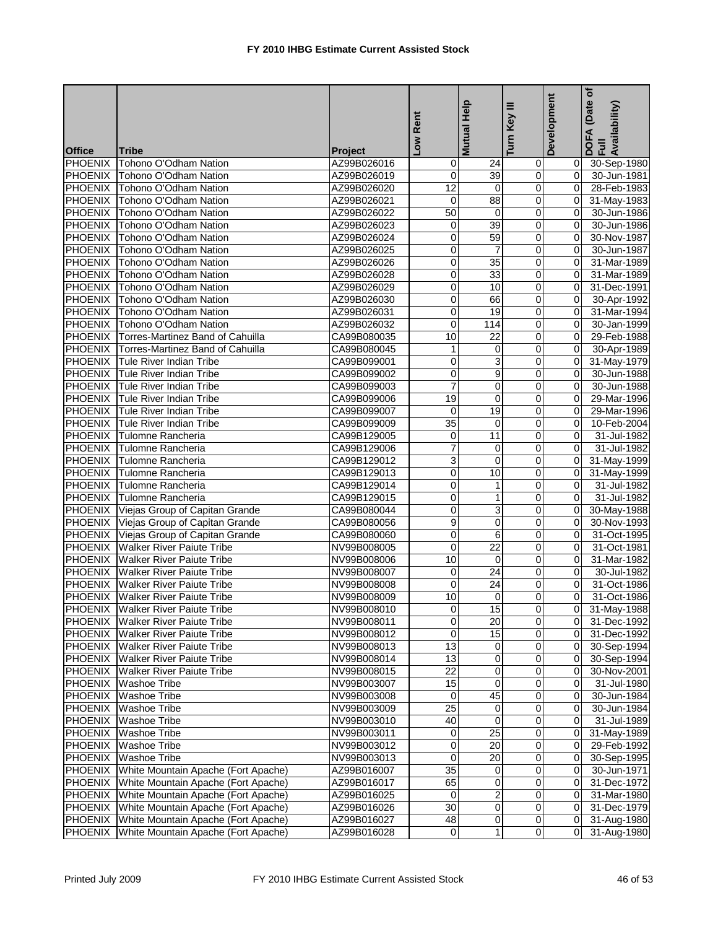| Help                                                                                 | Development                               | (Date of<br>DOFA (Date<br>Full<br>Availability) |
|--------------------------------------------------------------------------------------|-------------------------------------------|-------------------------------------------------|
| Turn Key<br>Low Rent<br><b>Mutual</b>                                                |                                           |                                                 |
| <b>Office</b><br><b>Tribe</b><br><b>Project</b>                                      |                                           |                                                 |
| PHOENIX<br>Tohono O'Odham Nation<br>AZ99B026016<br>0<br>24                           | 0                                         | 0 30-Sep-1980                                   |
| PHOENIX Tohono O'Odham Nation<br>0<br>39<br>AZ99B026019                              | $\mathbf 0$<br>ΟI                         | 30-Jun-1981                                     |
| $\overline{12}$<br>PHOENIX Tohono O'Odham Nation<br>$\mathbf 0$<br>AZ99B026020       | $\pmb{0}$<br>0l                           | 28-Feb-1983                                     |
| 88<br><b>PHOENIX</b><br>Tohono O'Odham Nation<br>$\mathbf 0$<br>AZ99B026021          | 0<br>$\overline{0}$                       | 31-May-1983                                     |
| <b>PHOENIX</b><br>Tohono O'Odham Nation<br>50<br>AZ99B026022<br>0                    | 0<br>0I                                   | 30-Jun-1986                                     |
| PHOENIX<br>39<br>Tohono O'Odham Nation<br>AZ99B026023<br>0                           | 0<br>$\overline{0}$                       | 30-Jun-1986                                     |
| 59<br>0<br>PHOENIX<br>Tohono O'Odham Nation<br>AZ99B026024                           | $\overline{\mathbf{0}}$<br>$\overline{0}$ | 30-Nov-1987                                     |
| PHOENIX Tohono O'Odham Nation<br>0<br>$\overline{7}$<br>AZ99B026025                  | 0<br>$\Omega$                             | 30-Jun-1987                                     |
| 0<br>35<br>PHOENIX Tohono O'Odham Nation<br>AZ99B026026                              | 0<br>ΟI                                   | 31-Mar-1989                                     |
| 0<br>PHOENIX Tohono O'Odham Nation<br>33<br>AZ99B026028                              | 0<br>$\Omega$                             | 31-Mar-1989                                     |
| PHOENIX Tohono O'Odham Nation<br>0<br>10<br>AZ99B026029                              | $\overline{0}$<br>$\overline{0}$          | 31-Dec-1991                                     |
| PHOENIX Tohono O'Odham Nation<br>0<br>66<br>AZ99B026030                              | $\pmb{0}$<br>$\overline{0}$               | 30-Apr-1992                                     |
| 0<br>PHOENIX Tohono O'Odham Nation<br>AZ99B026031<br>19                              | $\overline{\mathbf{0}}$<br>οI             | 31-Mar-1994                                     |
| PHOENIX Tohono O'Odham Nation<br>0<br>AZ99B026032<br>114                             | 0<br>ΟI                                   | 30-Jan-1999                                     |
| 10<br>$\overline{22}$<br>PHOENIX Torres-Martinez Band of Cahuilla<br>CA99B080035     | $\overline{\mathbf{0}}$<br>$\overline{0}$ | 29-Feb-1988                                     |
| PHOENIX Torres-Martinez Band of Cahuilla<br>CA99B080045<br>1<br>0                    | $\mathbf 0$<br>$\overline{0}$             | 30-Apr-1989                                     |
| <b>PHOENIX</b> Tule River Indian Tribe<br>0<br>3<br>CA99B099001                      | 0<br>0I                                   | 31-May-1979                                     |
| PHOENIX Tule River Indian Tribe<br>0<br>9<br>CA99B099002                             | 0<br>οI                                   | 30-Jun-1988                                     |
| $\overline{7}$<br>PHOENIX Tule River Indian Tribe<br>0<br>CA99B099003                | 0<br>$\overline{0}$                       | 30-Jun-1988                                     |
| 19<br>PHOENIX Tule River Indian Tribe<br>0<br>CA99B099006                            | $\pmb{0}$<br>$\Omega$                     | 29-Mar-1996                                     |
| PHOENIX Tule River Indian Tribe<br>0<br>19<br>CA99B099007                            | 0<br>$\overline{0}$                       | 29-Mar-1996                                     |
| 35<br>PHOENIX<br>Tule River Indian Tribe<br>CA99B099009<br>0                         | 0<br>$\overline{0}$                       | 10-Feb-2004                                     |
| PHOENIX<br><b>Tulomne Rancheria</b><br>CA99B129005<br>0<br>11                        | $\overline{\mathbf{0}}$<br>01             | 31-Jul-1982                                     |
| 7<br>PHOENIX Tulomne Rancheria<br>CA99B129006<br>0                                   | $\pmb{0}$<br>Οl                           | 31-Jul-1982                                     |
| PHOENIX Tulomne Rancheria<br>3<br>0<br>CA99B129012                                   | $\mathbf 0$<br>Οl                         | 31-May-1999                                     |
| PHOENIX Tulomne Rancheria<br>0<br>10<br>CA99B129013                                  | 0<br>01                                   | 31-May-1999                                     |
| PHOENIX Tulomne Rancheria<br>0<br>1<br>CA99B129014                                   | $\pmb{0}$<br>01                           | $31 -$ Jul-1982                                 |
| PHOENIX Tulomne Rancheria<br>0<br>$\mathbf{1}$<br>CA99B129015                        | 0<br>0                                    | 31-Jul-1982                                     |
| <b>PHOENIX</b><br>0<br>3<br>Viejas Group of Capitan Grande<br>CA99B080044            | 0<br>$\overline{0}$                       | 30-May-1988                                     |
| <b>PHOENIX</b><br>9<br>Viejas Group of Capitan Grande<br>0<br>CA99B080056            | 0<br>$\overline{0}$                       | 30-Nov-1993                                     |
| <b>PHOENIX</b><br>Viejas Group of Capitan Grande<br>0<br>6<br>CA99B080060            | 0<br>$\overline{0}$                       | 31-Oct-1995                                     |
| $\overline{22}$<br>0<br>PHOENIX<br><b>Walker River Paiute Tribe</b><br>NV99B008005   | $\mathbf 0$<br>0                          | 31-Oct-1981                                     |
| <b>PHOENIX</b> Walker River Paiute Tribe<br>10<br>NV99B008006<br>0                   | 0<br>$\Omega$                             | 31-Mar-1982                                     |
| <b>PHOENIX</b> Walker River Paiute Tribe<br>0<br>24<br>NV99B008007                   | $\overline{0}$<br>ΟI                      | 30-Jul-1982                                     |
| $\mathbf 0$<br><b>PHOENIX</b> Walker River Paiute Tribe<br>24<br>NV99B008008         | 0<br>ΟI                                   | 31-Oct-1986                                     |
| <b>PHOENIX</b> Walker River Paiute Tribe<br>$\overline{10}$<br>Ō<br>NV99B008009      | $\overline{0}$<br>$\overline{0}$          | 31-Oct-1986                                     |
| 15<br>PHOENIX Walker River Paiute Tribe<br>NV99B008010                               |                                           | 0 31-May-1988                                   |
| Ō<br>PHOENIX Walker River Paiute Tribe<br>NV99B008011<br>20                          | $\overline{0}$                            | $\overline{0}$ 31-Dec-1992                      |
| $\overline{15}$<br>PHOENIX Walker River Paiute Tribe<br>NV99B008012<br>0             | $\overline{\mathbf{0}}$                   | 0 31-Dec-1992                                   |
| $\overline{13}$<br>PHOENIX Walker River Paiute Tribe<br>$\mathbf 0$<br>NV99B008013   | $\overline{0}$                            | 0 30-Sep-1994                                   |
| $\overline{13}$<br>0<br>PHOENIX Walker River Paiute Tribe<br>NV99B008014             | $\pmb{0}$<br>01                           | 30-Sep-1994                                     |
| $\overline{22}$<br>PHOENIX Walker River Paiute Tribe<br>NV99B008015<br>0             | 0<br>01                                   | 30-Nov-2001                                     |
| PHOENIX Washoe Tribe<br>NV99B003007<br>15<br>0                                       | 0<br>01                                   | 31-Jul-1980                                     |
| 45<br>PHOENIX<br><b>Washoe Tribe</b><br>NV99B003008<br>0                             | $\pmb{0}$<br>$\overline{0}$               | 30-Jun-1984                                     |
| 25<br>PHOENIX Washoe Tribe<br>NV99B003009<br>0                                       | $\pmb{0}$<br>01                           | 30-Jun-1984                                     |
| 40<br>0<br>PHOENIX Washoe Tribe<br>NV99B003010                                       | $\pmb{0}$<br>ΟI                           | 31-Jul-1989                                     |
| $\overline{25}$<br>PHOENIX Washoe Tribe<br>NV99B003011<br>0                          | $\mathbf 0$<br>01                         | 31-May-1989                                     |
| 20<br>PHOENIX<br><b>Washoe Tribe</b><br>0<br>NV99B003012                             | $\overline{\mathsf{o}}$<br>01             | 29-Feb-1992                                     |
| 20<br><b>PHOENIX</b><br>0<br><b>Washoe Tribe</b><br>NV99B003013                      | $\overline{0}$<br>$\overline{0}$          | 30-Sep-1995                                     |
| PHOENIX White Mountain Apache (Fort Apache)<br>AZ99B016007<br>35<br>0                | 0<br>ΟI                                   | 30-Jun-1971                                     |
| PHOENIX White Mountain Apache (Fort Apache)<br>65<br>0<br>AZ99B016017                | $\mathbf 0$<br>01                         | 31-Dec-1972                                     |
| 2<br><b>PHOENIX</b> White Mountain Apache (Fort Apache)<br>0<br>AZ99B016025          | $\mathbf 0$<br>01                         | 31-Mar-1980                                     |
| 30<br>PHOENIX White Mountain Apache (Fort Apache)<br>$\mathbf 0$<br>AZ99B016026      | $\mathbf 0$<br>$\overline{0}$             | 31-Dec-1979                                     |
| 0<br>PHOENIX White Mountain Apache (Fort Apache)<br>AZ99B016027<br>48                | 0<br>0I                                   | 31-Aug-1980                                     |
| PHOENIX<br>White Mountain Apache (Fort Apache)<br>AZ99B016028<br>$\overline{0}$<br>1 | $\overline{\mathbf{0}}$<br>0I             | 31-Aug-1980                                     |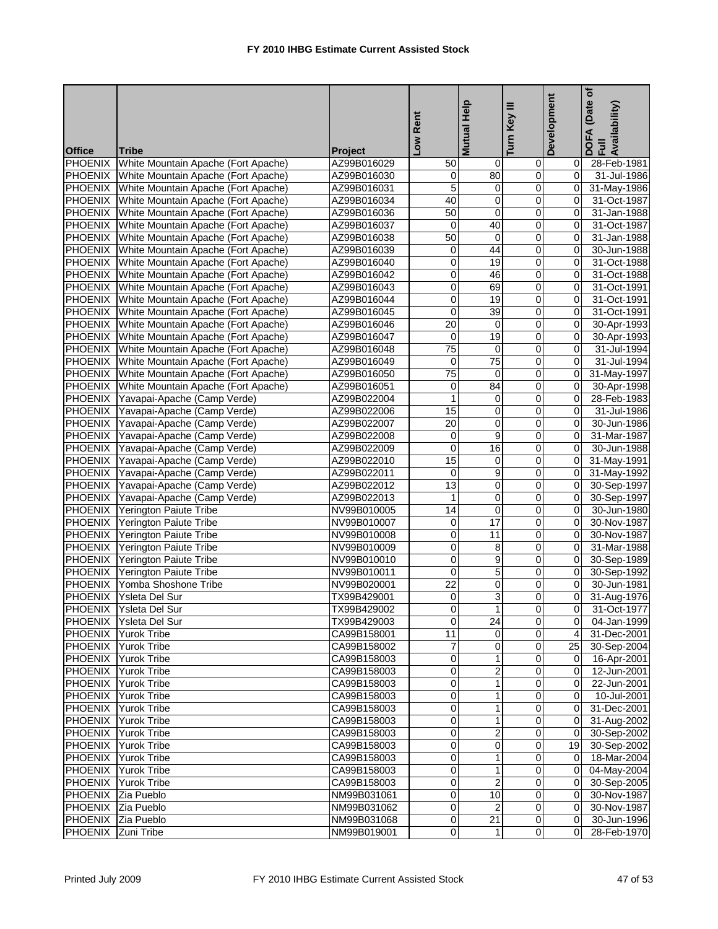|                    |                                                                            |                            | Low Rent                | Help<br><b>Mutual</b>   | Key III<br>Turn         | Development                      | (Date of<br>DOFA (Date <sub>(</sub><br>Full<br>Availability) |
|--------------------|----------------------------------------------------------------------------|----------------------------|-------------------------|-------------------------|-------------------------|----------------------------------|--------------------------------------------------------------|
| <b>Office</b>      | <b>Tribe</b>                                                               | <b>Project</b>             |                         |                         |                         |                                  |                                                              |
| <b>PHOENIX</b>     | White Mountain Apache (Fort Apache)                                        | AZ99B016029                | 50                      | $\mathbf 0$             | 0                       | 01                               | 28-Feb-1981                                                  |
|                    | PHOENIX White Mountain Apache (Fort Apache)                                | AZ99B016030                | 0                       | 80                      | $\mathbf 0$             | 01                               | 31-Jul-1986                                                  |
| <b>PHOENIX</b>     | White Mountain Apache (Fort Apache)                                        | AZ99B016031                | 5                       | $\pmb{0}$               | $\pmb{0}$               | $\overline{0}$                   | 31-May-1986                                                  |
| <b>PHOENIX</b>     | White Mountain Apache (Fort Apache)                                        | AZ99B016034                | 40                      | $\overline{0}$          | 0                       | $\overline{0}$                   | 31-Oct-1987                                                  |
| <b>PHOENIX</b>     | White Mountain Apache (Fort Apache)                                        | AZ99B016036                | 50                      | 0                       | 0                       | $\overline{0}$                   | 31-Jan-1988                                                  |
| <b>PHOENIX</b>     | White Mountain Apache (Fort Apache)                                        | AZ99B016037                | 0                       | 40                      | 0                       | $\overline{0}$                   | 31-Oct-1987                                                  |
| <b>PHOENIX</b>     | White Mountain Apache (Fort Apache)                                        | AZ99B016038                | 50                      | 0                       | 0                       | $\overline{0}$                   | 31-Jan-1988                                                  |
| PHOENIX            | White Mountain Apache (Fort Apache)                                        | AZ99B016039                | 0                       | 44                      | $\mathbf 0$             | $\overline{0}$                   | 30-Jun-1988                                                  |
| <b>PHOENIX</b>     | White Mountain Apache (Fort Apache)                                        | AZ99B016040                | 0                       | 19                      | 0                       | $\overline{0}$                   | 31-Oct-1988                                                  |
|                    | PHOENIX White Mountain Apache (Fort Apache)                                | AZ99B016042                | 0                       | 46                      | 0                       | $\overline{0}$                   | 31-Oct-1988                                                  |
|                    | PHOENIX White Mountain Apache (Fort Apache)                                | AZ99B016043                | 0                       | 69                      | $\overline{0}$          | $\overline{0}$                   | 31-Oct-1991                                                  |
|                    | PHOENIX White Mountain Apache (Fort Apache)                                | AZ99B016044                | 0                       | 19                      | $\mathbf 0$             | $\overline{0}$                   | 31-Oct-1991                                                  |
|                    | PHOENIX White Mountain Apache (Fort Apache)                                | AZ99B016045                | 0                       | 39                      | $\overline{\mathbf{0}}$ | $\overline{0}$                   | 31-Oct-1991                                                  |
|                    | PHOENIX White Mountain Apache (Fort Apache)                                | AZ99B016046                | 20                      | $\mathbf 0$             | 0                       | $\overline{0}$                   | 30-Apr-1993                                                  |
|                    | PHOENIX White Mountain Apache (Fort Apache)                                | AZ99B016047                | $\mathbf 0$             | 19                      | $\overline{0}$          | $\overline{0}$                   | 30-Apr-1993                                                  |
|                    | PHOENIX White Mountain Apache (Fort Apache)                                | AZ99B016048                | $\overline{75}$         | $\mathbf 0$             | $\mathbf 0$             | $\overline{0}$                   | 31-Jul-1994                                                  |
|                    | PHOENIX White Mountain Apache (Fort Apache)                                | AZ99B016049                | 0                       | $\overline{75}$         | 0                       | $\Omega$                         | 31-Jul-1994                                                  |
| <b>PHOENIX</b>     | White Mountain Apache (Fort Apache)                                        | AZ99B016050                | 75                      | 0                       | 0                       | $\overline{0}$                   | 31-May-1997                                                  |
| <b>PHOENIX</b>     | White Mountain Apache (Fort Apache)                                        | AZ99B016051                | 0                       | 84                      | 0                       | $\overline{0}$<br>$\overline{0}$ | 30-Apr-1998                                                  |
| <b>PHOENIX</b>     | Yavapai-Apache (Camp Verde)                                                | AZ99B022004                | 1                       | 0<br>0                  | 0<br>0                  | οI                               | 28-Feb-1983<br>31-Jul-1986                                   |
|                    | PHOENIX Yavapai-Apache (Camp Verde)<br>PHOENIX Yavapai-Apache (Camp Verde) | AZ99B022006                | 15<br>20                | 0                       | 0                       | 0I                               | 30-Jun-1986                                                  |
|                    | PHOENIX Yavapai-Apache (Camp Verde)                                        | AZ99B022007<br>AZ99B022008 | 0                       | $\overline{9}$          | ō                       | $\overline{0}$                   | 31-Mar-1987                                                  |
| <b>PHOENIX</b>     |                                                                            |                            | 0                       | 16                      | $\overline{0}$          | Οl                               | 30-Jun-1988                                                  |
|                    | Yavapai-Apache (Camp Verde)<br>PHOENIX Yavapai-Apache (Camp Verde)         | AZ99B022009<br>AZ99B022010 | 15                      | 0                       | 0                       | 0I                               | 31-May-1991                                                  |
|                    | PHOENIX Yavapai-Apache (Camp Verde)                                        | AZ99B022011                | 0                       | 9                       | 0                       | 0I                               | 31-May-1992                                                  |
|                    | PHOENIX Yavapai-Apache (Camp Verde)                                        | AZ99B022012                | 13                      | 0                       | 0                       | $\overline{0}$                   | 30-Sep-1997                                                  |
| <b>PHOENIX</b>     | Yavapai-Apache (Camp Verde)                                                | AZ99B022013                | $\mathbf{1}$            | 0                       | 0                       | $\overline{0}$                   | 30-Sep-1997                                                  |
| <b>PHOENIX</b>     | Yerington Paiute Tribe                                                     | NV99B010005                | $\overline{14}$         | 0                       | 0                       | $\overline{0}$                   | 30-Jun-1980                                                  |
| <b>PHOENIX</b>     | Yerington Paiute Tribe                                                     | NV99B010007                | 0                       | $\overline{17}$         | 0                       | 0                                | 30-Nov-1987                                                  |
| PHOENIX            | <b>Yerington Paiute Tribe</b>                                              | NV99B010008                | 0                       | 11                      | 0                       | $\mathbf{0}$                     | 30-Nov-1987                                                  |
| <b>PHOENIX</b>     | Yerington Paiute Tribe                                                     | NV99B010009                | 0                       | 8                       | 0                       | $\mathbf{0}$                     | 31-Mar-1988                                                  |
|                    | PHOENIX Yerington Paiute Tribe                                             | NV99B010010                | 0                       | $\overline{9}$          | $\mathbf 0$             | οI                               | 30-Sep-1989                                                  |
|                    | PHOENIX Yerington Paiute Tribe                                             | NV99B010011                | 0                       | 5                       | 0                       | $\mathbf{0}$                     | 30-Sep-1992                                                  |
|                    | PHOENIX Yomba Shoshone Tribe                                               | NV99B020001                | 22                      | 0                       | 0                       | οI                               | 30-Jun-1981                                                  |
|                    | PHOENIX Ysleta Del Sur                                                     | TX99B429001                | $\overline{\mathbf{0}}$ | 3                       | $\overline{0}$          | $\overline{0}$                   | 31-Aug-1976                                                  |
|                    | PHOENIX Ysleta Del Sur                                                     | TX99B429002                |                         |                         |                         |                                  | 31-Oct-1977                                                  |
|                    | PHOENIX Ysleta Del Sur                                                     | TX99B429003                | $\overline{0}$          | 24                      | $\overline{\mathbf{0}}$ |                                  | 0 04-Jan-1999                                                |
|                    | PHOENIX Yurok Tribe                                                        | CA99B158001                | 11                      | 0                       | 0                       |                                  | 4 31-Dec-2001                                                |
|                    | PHOENIX Yurok Tribe                                                        | CA99B158002                | 7                       | $\pmb{0}$               | $\overline{0}$          |                                  | 25 30-Sep-2004                                               |
|                    | PHOENIX Yurok Tribe                                                        | CA99B158003                | 0                       | $\mathbf{1}$            | $\mathbf 0$             | $\overline{O}$                   | 16-Apr-2001                                                  |
|                    | <b>PHOENIX</b> Yurok Tribe                                                 | CA99B158003                | 0                       | 2                       | 0                       | $\overline{0}$                   | 12-Jun-2001                                                  |
| <b>PHOENIX</b>     | <b>Yurok Tribe</b>                                                         | CA99B158003                | 0                       | 1                       | 0                       | ΟI                               | 22-Jun-2001                                                  |
| PHOENIX            | <b>Yurok Tribe</b>                                                         | CA99B158003                | 0                       | 1                       | $\mathbf 0$             | 01                               | 10-Jul-2001                                                  |
| <b>PHOENIX</b>     | <b>Yurok Tribe</b>                                                         | CA99B158003                | 0                       | 1                       | 0                       | ΟI                               | 31-Dec-2001                                                  |
| PHOENIX            | <b>Yurok Tribe</b>                                                         | CA99B158003                | 0                       | 1                       | 0                       |                                  | 0 31-Aug-2002                                                |
| <b>PHOENIX</b>     | Yurok Tribe                                                                | CA99B158003                | 0                       | 2                       | 0                       |                                  | 0 30-Sep-2002                                                |
| PHOENIX            | <b>Yurok Tribe</b>                                                         | CA99B158003                | 0                       | $\overline{\mathbf{0}}$ | $\overline{0}$          |                                  | 19 30-Sep-2002                                               |
| <b>PHOENIX</b>     | <b>Yurok Tribe</b>                                                         | CA99B158003                | 0                       | 1                       | $\pmb{0}$               |                                  | 0 18-Mar-2004                                                |
|                    | PHOENIX Yurok Tribe                                                        | CA99B158003                | 0                       | 1                       | $\mathbf 0$             | $\overline{O}$                   | 04-May-2004                                                  |
|                    | PHOENIX Yurok Tribe                                                        | CA99B158003                | 0                       | 2                       | $\overline{0}$          | $\overline{O}$                   | 30-Sep-2005                                                  |
| PHOENIX Zia Pueblo |                                                                            | NM99B031061                | 0                       | 10                      | $\mathbf 0$             | 01                               | 30-Nov-1987                                                  |
| PHOENIX Zia Pueblo |                                                                            | NM99B031062                | 0                       | $\overline{2}$          | $\mathbf 0$             | $\overline{O}$                   | 30-Nov-1987                                                  |
| PHOENIX Zia Pueblo |                                                                            | NM99B031068                | 0                       | 21                      | 0                       | $\overline{O}$                   | 30-Jun-1996                                                  |
| PHOENIX Zuni Tribe |                                                                            | NM99B019001                | $\overline{0}$          | $\mathbf{1}$            | $\overline{O}$          | $\overline{0}$                   | 28-Feb-1970                                                  |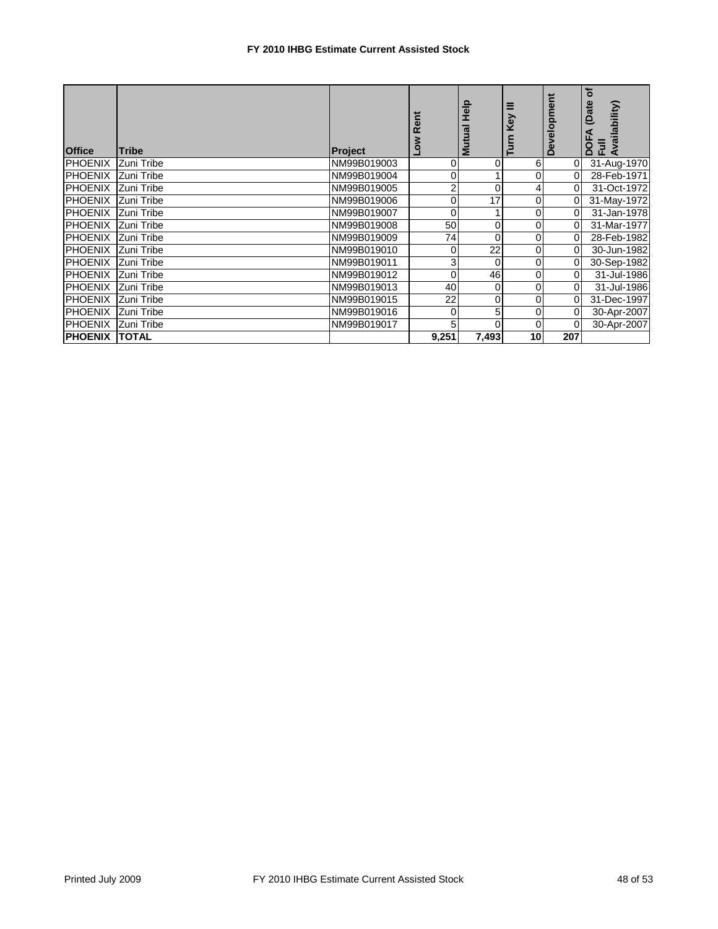## **FY 2010 IHBG Estimate Current Assisted Stock**

| <b>Office</b>             | <b>Tribe</b> | <b>Project</b> |                | deH<br>gu<br><u>Š</u> | Ξ<br>Key        | Development    | đ<br>(Date<br>vailability)<br>효 |
|---------------------------|--------------|----------------|----------------|-----------------------|-----------------|----------------|---------------------------------|
| <b>PHOENIX</b>            | Zuni Tribe   | NM99B019003    | 0              | 0                     | 6               | $\overline{0}$ | 31-Aug-1970                     |
| <b>PHOENIX</b>            | Zuni Tribe   | NM99B019004    | 0              |                       | 0               | 0              | 28-Feb-1971                     |
| PHOENIX Zuni Tribe        |              | NM99B019005    | $\overline{2}$ | 0                     | 4               | 0              | 31-Oct-1972                     |
| <b>PHOENIX</b>            | Zuni Tribe   | NM99B019006    | $\overline{0}$ | 17                    | 0               |                | 31-May-1972                     |
| <b>PHOENIX Zuni Tribe</b> |              | NM99B019007    | 0              |                       | 0               | 0              | 31-Jan-1978                     |
| <b>PHOENIX</b>            | Zuni Tribe   | NM99B019008    | 50             | 0                     | $\overline{0}$  |                | 31-Mar-1977                     |
| <b>PHOENIX</b>            | Zuni Tribe   | NM99B019009    | 74             | 0                     | 0               | 0              | 28-Feb-1982                     |
| PHOENIX Zuni Tribe        |              | NM99B019010    | $\overline{0}$ | 22                    | 0               | 0              | 30-Jun-1982                     |
| <b>PHOENIX</b>            | Zuni Tribe   | NM99B019011    | 3              | 0                     | 0               | 0              | 30-Sep-1982                     |
| <b>PHOENIX</b>            | Zuni Tribe   | NM99B019012    | 0              | 46                    | $\overline{0}$  | 0              | 31-Jul-1986                     |
| <b>PHOENIX</b>            | Zuni Tribe   | NM99B019013    | 40             | 0                     | 0               | 0              | 31-Jul-1986                     |
| <b>PHOENIX</b>            | Zuni Tribe   | NM99B019015    | 22             | 0                     | 0               | 0              | 31-Dec-1997                     |
| <b>PHOENIX</b>            | Zuni Tribe   | NM99B019016    | 0              | 5                     | 0               |                | 30-Apr-2007                     |
| PHOENIX Zuni Tribe        |              | NM99B019017    | 5              | 0                     | $\Omega$        |                | 30-Apr-2007                     |
| <b>PHOENIX</b>            | <b>TOTAL</b> |                | 9,251          | 7,493                 | 10 <sub>l</sub> | 207            |                                 |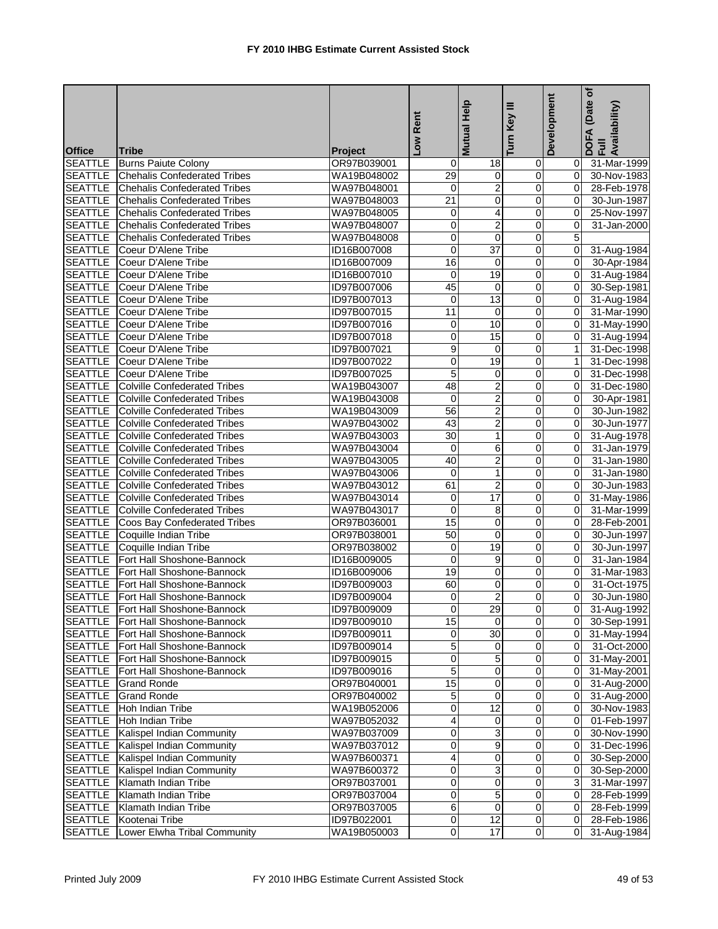| Low Rent<br><b>Mutual</b><br><b>Office</b><br><b>Tribe</b><br><b>Project</b><br><b>SEATTLE</b><br><b>Burns Paiute Colony</b><br>OR97B039001<br>0<br>18<br>31-Mar-1999<br>0<br>01<br><b>SEATTLE</b><br><b>Chehalis Confederated Tribes</b><br>29<br>WA19B048002<br>0<br>0<br>01<br>30-Nov-1983<br>$\overline{2}$<br><b>SEATTLE</b><br>0<br><b>Chehalis Confederated Tribes</b><br>WA97B048001<br>0<br>$\overline{0}$<br>28-Feb-1978<br>$\overline{0}$<br><b>SEATTLE</b><br>$\overline{21}$<br>0<br><b>Chehalis Confederated Tribes</b><br>WA97B048003<br>$\Omega$<br>30-Jun-1987<br><b>SEATTLE</b><br><b>Chehalis Confederated Tribes</b><br>0<br>0<br>WA97B048005<br>4<br>$\overline{0}$<br>25-Nov-1997<br>$\overline{c}$<br><b>SEATTLE</b><br>0<br>0<br><b>Chehalis Confederated Tribes</b><br>WA97B048007<br>$\overline{0}$<br>31-Jan-2000<br>$\overline{\mathsf{o}}$<br>$\overline{\mathbf{0}}$<br><b>SEATTLE</b><br>0<br><b>Chehalis Confederated Tribes</b><br>WA97B048008<br>5<br>$\overline{37}$<br><b>SEATTLE</b><br>Coeur D'Alene Tribe<br>0<br>0<br>$\overline{0}$<br>ID16B007008<br>31-Aug-1984<br>SEATTLE Coeur D'Alene Tribe<br>16<br>0<br>0<br>ID16B007009<br>0I<br>30-Apr-1984<br>19<br>SEATTLE<br>Coeur D'Alene Tribe<br>0<br>0<br>0I<br>31-Aug-1984<br>ID16B007010<br>45<br>$\overline{0}$<br>0<br><b>SEATTLE</b><br>Coeur D'Alene Tribe<br>ID97B007006<br>$\overline{0}$<br>30-Sep-1981<br>Coeur D'Alene Tribe<br>13<br>$\mathbf 0$<br><b>SEATTLE</b><br>0<br>$\overline{0}$<br>ID97B007013<br>31-Aug-1984<br><b>SEATTLE</b><br>Coeur D'Alene Tribe<br>$\overline{\mathbf{0}}$<br>ID97B007015<br>11<br>0<br>οI<br>31-Mar-1990<br><b>SEATTLE</b><br>Coeur D'Alene Tribe<br>10<br>0<br>ID97B007016<br>0<br>$\overline{0}$<br>31-May-1990<br><b>SEATTLE</b> Coeur D'Alene Tribe<br>0<br>15<br>$\pmb{0}$<br>ID97B007018<br>$\overline{0}$<br>31-Aug-1994<br>$\mathbf 0$<br><b>SEATTLE</b><br>Coeur D'Alene Tribe<br>9<br>$\mathbf 0$<br>1 <sup>1</sup><br>ID97B007021<br>31-Dec-1998<br><b>SEATTLE</b><br>Coeur D'Alene Tribe<br>0<br>19<br>ID97B007022<br>0<br>1 <sup>1</sup><br>31-Dec-1998<br>5<br><b>SEATTLE</b><br>Coeur D'Alene Tribe<br>ID97B007025<br>0<br>0<br>$\Omega$<br>31-Dec-1998<br><b>SEATTLE</b><br>48<br>$\overline{2}$<br><b>Colville Confederated Tribes</b><br>0<br>WA19B043007<br>$\overline{0}$<br>31-Dec-1980<br>$\overline{2}$<br><b>SEATTLE</b><br>$\mathbf 0$<br>0<br><b>Colville Confederated Tribes</b><br>WA19B043008<br>Οl<br>30-Apr-1981<br><b>SEATTLE</b><br>56<br>$\overline{c}$<br><b>Colville Confederated Tribes</b><br>0<br>$\Omega$<br>30-Jun-1982<br>WA19B043009<br>$\overline{2}$<br><b>SEATTLE</b><br>43<br>30-Jun-1977<br><b>Colville Confederated Tribes</b><br>WA97B043002<br>0<br>$\overline{0}$<br><b>SEATTLE</b><br>30<br><b>Colville Confederated Tribes</b><br>WA97B043003<br>$\mathbf{1}$<br>$\overline{\mathbf{0}}$<br>$\overline{0}$<br>31-Aug-1978<br>6<br>$\pmb{0}$<br><b>SEATTLE</b><br><b>Colville Confederated Tribes</b><br>WA97B043004<br>31-Jan-1979<br>0<br>$\mathbf{0}$<br><b>SEATTLE</b><br>$\overline{c}$<br>40<br>$\pmb{0}$<br><b>Colville Confederated Tribes</b><br>WA97B043005<br>$\mathbf{0}$<br>31-Jan-1980<br><b>SEATTLE</b><br>$\mathbf{1}$<br><b>Colville Confederated Tribes</b><br>WA97B043006<br>0<br>0<br>$\overline{0}$<br>31-Jan-1980<br><b>SEATTLE</b><br>$\overline{2}$<br><b>Colville Confederated Tribes</b><br>61<br>$\mathbf 0$<br>$\mathbf{0}$<br>30-Jun-1983<br>WA97B043012<br>$\overline{17}$<br><b>SEATTLE</b><br>0<br><b>Colville Confederated Tribes</b><br>WA97B043014<br>0<br>$\mathbf{0}$<br>31-May-1986<br><b>SEATTLE</b><br>$\mathbf 0$<br>8<br>0<br>$\Omega$<br><b>Colville Confederated Tribes</b><br>WA97B043017<br>31-Mar-1999<br><b>SEATTLE</b><br>0<br>0<br>Coos Bay Confederated Tribes<br>OR97B036001<br>15<br>$\overline{0}$<br>28-Feb-2001<br><b>SEATTLE</b><br>Coquille Indian Tribe<br>50<br>0<br>OR97B038001<br>0<br>$\overline{0}$<br>30-Jun-1997<br><b>SEATTLE</b><br>Coquille Indian Tribe<br>19<br>0<br>OR97B038002<br>0<br>30-Jun-1997<br>0<br>9<br>SEATTLE Fort Hall Shoshone-Bannock<br>$\mathbf 0$<br>$\mathbf 0$<br>ID16B009005<br>$\Omega$<br>31-Jan-1984<br>SEATTLE   Fort Hall Shoshone-Bannock<br>0<br>0<br>ID16B009006<br>19<br>$\Omega$<br>31-Mar-1983<br>SEATTLE   Fort Hall Shoshone-Bannock<br>0<br><b>ID97B009003</b><br>60<br>0<br>$\Omega$<br>31-Oct-1975<br>$\overline{2}$<br><b>SEATTLE</b> Fort Hall Shoshone-Bannock<br>Ō<br>ō<br>$\overline{0}$<br>30-Jun-1980<br>ID97B009004<br>SEATTLE Fort Hall Shoshone-Bannock<br>29<br>0 31-Aug-1992<br>ID97B009009<br>$\overline{\mathbf{0}}$<br>15<br>$\mathbf 0$<br>SEATTLE   Fort Hall Shoshone-Bannock<br>ID97B009010<br>0 30-Sep-1991<br>SEATTLE   Fort Hall Shoshone-Bannock<br>30<br>0<br>0 31-May-1994<br>ID97B009011<br>0<br>5<br>$\overline{O}$<br>SEATTLE   Fort Hall Shoshone-Bannock<br>$\mathbf 0$<br>$\overline{0}$ 31-Oct-2000<br>ID97B009014<br>5<br>$\pmb{0}$<br>0<br>SEATTLE Fort Hall Shoshone-Bannock<br>ID97B009015<br>0 31-May-2001<br>SEATTLE Fort Hall Shoshone-Bannock<br>ID97B009016<br>5<br>0<br>0<br>$\overline{0}$<br>31-May-2001<br>SEATTLE<br><b>Grand Ronde</b><br>OR97B040001<br>15<br>0<br>0I<br>31-Aug-2000<br>0<br>$\pmb{0}$<br><b>SEATTLE</b><br><b>Grand Ronde</b><br>OR97B040002<br>5<br>0<br>$\overline{31}$ -Aug-2000<br>ΟI<br>$\overline{12}$<br>0<br><b>SEATTLE</b><br>Hoh Indian Tribe<br>0<br>WA19B052006<br>ΟI<br>$\overline{30}$ -Nov-1983<br>SEATTLE Hoh Indian Tribe<br>WA97B052032<br>4<br>0<br>0<br>0 01-Feb-1997<br>3<br><b>SEATTLE</b> Kalispel Indian Community<br>0<br>0<br>WA97B037009<br>30-Nov-1990<br>9<br>$\overline{0}$<br><b>SEATTLE</b> Kalispel Indian Community<br>0<br>31-Dec-1996<br>WA97B037012<br>$\overline{0}$<br>$\pmb{0}$<br><b>SEATTLE</b><br>Kalispel Indian Community<br>$\mathbf 0$<br>WA97B600371<br>4<br>01<br>30-Sep-2000<br><b>SEATTLE</b><br>0<br>$\mathbf{3}$<br>Kalispel Indian Community<br>WA97B600372<br>0<br>$\overline{O}$<br>30-Sep-2000<br><b>SEATTLE</b><br>Klamath Indian Tribe<br>OR97B037001<br>0<br>0<br>$\mathbf 0$<br>3 <sub>l</sub><br>31-Mar-1997<br><b>SEATTLE</b><br>5<br>Klamath Indian Tribe<br>0<br>$\mathbf 0$<br>OR97B037004<br>28-Feb-1999<br>01<br>$\mathbf{O}$<br>$\pmb{0}$<br><b>SEATTLE</b><br>Klamath Indian Tribe<br>6<br>OR97B037005<br>01<br>28-Feb-1999<br>$\overline{12}$<br><b>SEATTLE</b><br>Kootenai Tribe<br>0<br>$\mathbf 0$<br>ID97B022001<br>01<br>28-Feb-1986<br><b>SEATTLE</b><br>Lower Elwha Tribal Community<br>WA19B050003<br>$\overline{0}$<br>17<br>$\mathbf 0$<br>01<br>31-Aug-1984 |  |  | Help | Turn Key III | Development | (Date of<br>DOFA (Date<br>Full<br>Availability) |
|------------------------------------------------------------------------------------------------------------------------------------------------------------------------------------------------------------------------------------------------------------------------------------------------------------------------------------------------------------------------------------------------------------------------------------------------------------------------------------------------------------------------------------------------------------------------------------------------------------------------------------------------------------------------------------------------------------------------------------------------------------------------------------------------------------------------------------------------------------------------------------------------------------------------------------------------------------------------------------------------------------------------------------------------------------------------------------------------------------------------------------------------------------------------------------------------------------------------------------------------------------------------------------------------------------------------------------------------------------------------------------------------------------------------------------------------------------------------------------------------------------------------------------------------------------------------------------------------------------------------------------------------------------------------------------------------------------------------------------------------------------------------------------------------------------------------------------------------------------------------------------------------------------------------------------------------------------------------------------------------------------------------------------------------------------------------------------------------------------------------------------------------------------------------------------------------------------------------------------------------------------------------------------------------------------------------------------------------------------------------------------------------------------------------------------------------------------------------------------------------------------------------------------------------------------------------------------------------------------------------------------------------------------------------------------------------------------------------------------------------------------------------------------------------------------------------------------------------------------------------------------------------------------------------------------------------------------------------------------------------------------------------------------------------------------------------------------------------------------------------------------------------------------------------------------------------------------------------------------------------------------------------------------------------------------------------------------------------------------------------------------------------------------------------------------------------------------------------------------------------------------------------------------------------------------------------------------------------------------------------------------------------------------------------------------------------------------------------------------------------------------------------------------------------------------------------------------------------------------------------------------------------------------------------------------------------------------------------------------------------------------------------------------------------------------------------------------------------------------------------------------------------------------------------------------------------------------------------------------------------------------------------------------------------------------------------------------------------------------------------------------------------------------------------------------------------------------------------------------------------------------------------------------------------------------------------------------------------------------------------------------------------------------------------------------------------------------------------------------------------------------------------------------------------------------------------------------------------------------------------------------------------------------------------------------------------------------------------------------------------------------------------------------------------------------------------------------------------------------------------------------------------------------------------------------------------------------------------------------------------------------------------------------------------------------------------------------------------------------------------------------------------------------------------------------------------------------------------------------------------------------------------------------------------------------------------------------------------------------------------------------------------------------------------------------------------------------------------------------------------------------------------------------------------------------------------------------------------------------------------------------------------------------------------------------------------------------------------------------------------------------------------------------------------------------------------------------------------------------------------------------------------------------------------------------------------------------------------------------------------------------------------------------------------------------------------------------------------------------------------------------------------------------------------------------------------------------------------------------------------------------------------------------------------------------------------------------------------------------------------|--|--|------|--------------|-------------|-------------------------------------------------|
|                                                                                                                                                                                                                                                                                                                                                                                                                                                                                                                                                                                                                                                                                                                                                                                                                                                                                                                                                                                                                                                                                                                                                                                                                                                                                                                                                                                                                                                                                                                                                                                                                                                                                                                                                                                                                                                                                                                                                                                                                                                                                                                                                                                                                                                                                                                                                                                                                                                                                                                                                                                                                                                                                                                                                                                                                                                                                                                                                                                                                                                                                                                                                                                                                                                                                                                                                                                                                                                                                                                                                                                                                                                                                                                                                                                                                                                                                                                                                                                                                                                                                                                                                                                                                                                                                                                                                                                                                                                                                                                                                                                                                                                                                                                                                                                                                                                                                                                                                                                                                                                                                                                                                                                                                                                                                                                                                                                                                                                                                                                                                                                                                                                                                                                                                                                                                                                                                                                                                                                                                                                                                                                                                                                                                                                                                                                                                                                                                                                                                                                                                                                                                        |  |  |      |              |             |                                                 |
|                                                                                                                                                                                                                                                                                                                                                                                                                                                                                                                                                                                                                                                                                                                                                                                                                                                                                                                                                                                                                                                                                                                                                                                                                                                                                                                                                                                                                                                                                                                                                                                                                                                                                                                                                                                                                                                                                                                                                                                                                                                                                                                                                                                                                                                                                                                                                                                                                                                                                                                                                                                                                                                                                                                                                                                                                                                                                                                                                                                                                                                                                                                                                                                                                                                                                                                                                                                                                                                                                                                                                                                                                                                                                                                                                                                                                                                                                                                                                                                                                                                                                                                                                                                                                                                                                                                                                                                                                                                                                                                                                                                                                                                                                                                                                                                                                                                                                                                                                                                                                                                                                                                                                                                                                                                                                                                                                                                                                                                                                                                                                                                                                                                                                                                                                                                                                                                                                                                                                                                                                                                                                                                                                                                                                                                                                                                                                                                                                                                                                                                                                                                                                        |  |  |      |              |             |                                                 |
|                                                                                                                                                                                                                                                                                                                                                                                                                                                                                                                                                                                                                                                                                                                                                                                                                                                                                                                                                                                                                                                                                                                                                                                                                                                                                                                                                                                                                                                                                                                                                                                                                                                                                                                                                                                                                                                                                                                                                                                                                                                                                                                                                                                                                                                                                                                                                                                                                                                                                                                                                                                                                                                                                                                                                                                                                                                                                                                                                                                                                                                                                                                                                                                                                                                                                                                                                                                                                                                                                                                                                                                                                                                                                                                                                                                                                                                                                                                                                                                                                                                                                                                                                                                                                                                                                                                                                                                                                                                                                                                                                                                                                                                                                                                                                                                                                                                                                                                                                                                                                                                                                                                                                                                                                                                                                                                                                                                                                                                                                                                                                                                                                                                                                                                                                                                                                                                                                                                                                                                                                                                                                                                                                                                                                                                                                                                                                                                                                                                                                                                                                                                                                        |  |  |      |              |             |                                                 |
|                                                                                                                                                                                                                                                                                                                                                                                                                                                                                                                                                                                                                                                                                                                                                                                                                                                                                                                                                                                                                                                                                                                                                                                                                                                                                                                                                                                                                                                                                                                                                                                                                                                                                                                                                                                                                                                                                                                                                                                                                                                                                                                                                                                                                                                                                                                                                                                                                                                                                                                                                                                                                                                                                                                                                                                                                                                                                                                                                                                                                                                                                                                                                                                                                                                                                                                                                                                                                                                                                                                                                                                                                                                                                                                                                                                                                                                                                                                                                                                                                                                                                                                                                                                                                                                                                                                                                                                                                                                                                                                                                                                                                                                                                                                                                                                                                                                                                                                                                                                                                                                                                                                                                                                                                                                                                                                                                                                                                                                                                                                                                                                                                                                                                                                                                                                                                                                                                                                                                                                                                                                                                                                                                                                                                                                                                                                                                                                                                                                                                                                                                                                                                        |  |  |      |              |             |                                                 |
|                                                                                                                                                                                                                                                                                                                                                                                                                                                                                                                                                                                                                                                                                                                                                                                                                                                                                                                                                                                                                                                                                                                                                                                                                                                                                                                                                                                                                                                                                                                                                                                                                                                                                                                                                                                                                                                                                                                                                                                                                                                                                                                                                                                                                                                                                                                                                                                                                                                                                                                                                                                                                                                                                                                                                                                                                                                                                                                                                                                                                                                                                                                                                                                                                                                                                                                                                                                                                                                                                                                                                                                                                                                                                                                                                                                                                                                                                                                                                                                                                                                                                                                                                                                                                                                                                                                                                                                                                                                                                                                                                                                                                                                                                                                                                                                                                                                                                                                                                                                                                                                                                                                                                                                                                                                                                                                                                                                                                                                                                                                                                                                                                                                                                                                                                                                                                                                                                                                                                                                                                                                                                                                                                                                                                                                                                                                                                                                                                                                                                                                                                                                                                        |  |  |      |              |             |                                                 |
|                                                                                                                                                                                                                                                                                                                                                                                                                                                                                                                                                                                                                                                                                                                                                                                                                                                                                                                                                                                                                                                                                                                                                                                                                                                                                                                                                                                                                                                                                                                                                                                                                                                                                                                                                                                                                                                                                                                                                                                                                                                                                                                                                                                                                                                                                                                                                                                                                                                                                                                                                                                                                                                                                                                                                                                                                                                                                                                                                                                                                                                                                                                                                                                                                                                                                                                                                                                                                                                                                                                                                                                                                                                                                                                                                                                                                                                                                                                                                                                                                                                                                                                                                                                                                                                                                                                                                                                                                                                                                                                                                                                                                                                                                                                                                                                                                                                                                                                                                                                                                                                                                                                                                                                                                                                                                                                                                                                                                                                                                                                                                                                                                                                                                                                                                                                                                                                                                                                                                                                                                                                                                                                                                                                                                                                                                                                                                                                                                                                                                                                                                                                                                        |  |  |      |              |             |                                                 |
|                                                                                                                                                                                                                                                                                                                                                                                                                                                                                                                                                                                                                                                                                                                                                                                                                                                                                                                                                                                                                                                                                                                                                                                                                                                                                                                                                                                                                                                                                                                                                                                                                                                                                                                                                                                                                                                                                                                                                                                                                                                                                                                                                                                                                                                                                                                                                                                                                                                                                                                                                                                                                                                                                                                                                                                                                                                                                                                                                                                                                                                                                                                                                                                                                                                                                                                                                                                                                                                                                                                                                                                                                                                                                                                                                                                                                                                                                                                                                                                                                                                                                                                                                                                                                                                                                                                                                                                                                                                                                                                                                                                                                                                                                                                                                                                                                                                                                                                                                                                                                                                                                                                                                                                                                                                                                                                                                                                                                                                                                                                                                                                                                                                                                                                                                                                                                                                                                                                                                                                                                                                                                                                                                                                                                                                                                                                                                                                                                                                                                                                                                                                                                        |  |  |      |              |             |                                                 |
|                                                                                                                                                                                                                                                                                                                                                                                                                                                                                                                                                                                                                                                                                                                                                                                                                                                                                                                                                                                                                                                                                                                                                                                                                                                                                                                                                                                                                                                                                                                                                                                                                                                                                                                                                                                                                                                                                                                                                                                                                                                                                                                                                                                                                                                                                                                                                                                                                                                                                                                                                                                                                                                                                                                                                                                                                                                                                                                                                                                                                                                                                                                                                                                                                                                                                                                                                                                                                                                                                                                                                                                                                                                                                                                                                                                                                                                                                                                                                                                                                                                                                                                                                                                                                                                                                                                                                                                                                                                                                                                                                                                                                                                                                                                                                                                                                                                                                                                                                                                                                                                                                                                                                                                                                                                                                                                                                                                                                                                                                                                                                                                                                                                                                                                                                                                                                                                                                                                                                                                                                                                                                                                                                                                                                                                                                                                                                                                                                                                                                                                                                                                                                        |  |  |      |              |             |                                                 |
|                                                                                                                                                                                                                                                                                                                                                                                                                                                                                                                                                                                                                                                                                                                                                                                                                                                                                                                                                                                                                                                                                                                                                                                                                                                                                                                                                                                                                                                                                                                                                                                                                                                                                                                                                                                                                                                                                                                                                                                                                                                                                                                                                                                                                                                                                                                                                                                                                                                                                                                                                                                                                                                                                                                                                                                                                                                                                                                                                                                                                                                                                                                                                                                                                                                                                                                                                                                                                                                                                                                                                                                                                                                                                                                                                                                                                                                                                                                                                                                                                                                                                                                                                                                                                                                                                                                                                                                                                                                                                                                                                                                                                                                                                                                                                                                                                                                                                                                                                                                                                                                                                                                                                                                                                                                                                                                                                                                                                                                                                                                                                                                                                                                                                                                                                                                                                                                                                                                                                                                                                                                                                                                                                                                                                                                                                                                                                                                                                                                                                                                                                                                                                        |  |  |      |              |             |                                                 |
|                                                                                                                                                                                                                                                                                                                                                                                                                                                                                                                                                                                                                                                                                                                                                                                                                                                                                                                                                                                                                                                                                                                                                                                                                                                                                                                                                                                                                                                                                                                                                                                                                                                                                                                                                                                                                                                                                                                                                                                                                                                                                                                                                                                                                                                                                                                                                                                                                                                                                                                                                                                                                                                                                                                                                                                                                                                                                                                                                                                                                                                                                                                                                                                                                                                                                                                                                                                                                                                                                                                                                                                                                                                                                                                                                                                                                                                                                                                                                                                                                                                                                                                                                                                                                                                                                                                                                                                                                                                                                                                                                                                                                                                                                                                                                                                                                                                                                                                                                                                                                                                                                                                                                                                                                                                                                                                                                                                                                                                                                                                                                                                                                                                                                                                                                                                                                                                                                                                                                                                                                                                                                                                                                                                                                                                                                                                                                                                                                                                                                                                                                                                                                        |  |  |      |              |             |                                                 |
|                                                                                                                                                                                                                                                                                                                                                                                                                                                                                                                                                                                                                                                                                                                                                                                                                                                                                                                                                                                                                                                                                                                                                                                                                                                                                                                                                                                                                                                                                                                                                                                                                                                                                                                                                                                                                                                                                                                                                                                                                                                                                                                                                                                                                                                                                                                                                                                                                                                                                                                                                                                                                                                                                                                                                                                                                                                                                                                                                                                                                                                                                                                                                                                                                                                                                                                                                                                                                                                                                                                                                                                                                                                                                                                                                                                                                                                                                                                                                                                                                                                                                                                                                                                                                                                                                                                                                                                                                                                                                                                                                                                                                                                                                                                                                                                                                                                                                                                                                                                                                                                                                                                                                                                                                                                                                                                                                                                                                                                                                                                                                                                                                                                                                                                                                                                                                                                                                                                                                                                                                                                                                                                                                                                                                                                                                                                                                                                                                                                                                                                                                                                                                        |  |  |      |              |             |                                                 |
|                                                                                                                                                                                                                                                                                                                                                                                                                                                                                                                                                                                                                                                                                                                                                                                                                                                                                                                                                                                                                                                                                                                                                                                                                                                                                                                                                                                                                                                                                                                                                                                                                                                                                                                                                                                                                                                                                                                                                                                                                                                                                                                                                                                                                                                                                                                                                                                                                                                                                                                                                                                                                                                                                                                                                                                                                                                                                                                                                                                                                                                                                                                                                                                                                                                                                                                                                                                                                                                                                                                                                                                                                                                                                                                                                                                                                                                                                                                                                                                                                                                                                                                                                                                                                                                                                                                                                                                                                                                                                                                                                                                                                                                                                                                                                                                                                                                                                                                                                                                                                                                                                                                                                                                                                                                                                                                                                                                                                                                                                                                                                                                                                                                                                                                                                                                                                                                                                                                                                                                                                                                                                                                                                                                                                                                                                                                                                                                                                                                                                                                                                                                                                        |  |  |      |              |             |                                                 |
|                                                                                                                                                                                                                                                                                                                                                                                                                                                                                                                                                                                                                                                                                                                                                                                                                                                                                                                                                                                                                                                                                                                                                                                                                                                                                                                                                                                                                                                                                                                                                                                                                                                                                                                                                                                                                                                                                                                                                                                                                                                                                                                                                                                                                                                                                                                                                                                                                                                                                                                                                                                                                                                                                                                                                                                                                                                                                                                                                                                                                                                                                                                                                                                                                                                                                                                                                                                                                                                                                                                                                                                                                                                                                                                                                                                                                                                                                                                                                                                                                                                                                                                                                                                                                                                                                                                                                                                                                                                                                                                                                                                                                                                                                                                                                                                                                                                                                                                                                                                                                                                                                                                                                                                                                                                                                                                                                                                                                                                                                                                                                                                                                                                                                                                                                                                                                                                                                                                                                                                                                                                                                                                                                                                                                                                                                                                                                                                                                                                                                                                                                                                                                        |  |  |      |              |             |                                                 |
|                                                                                                                                                                                                                                                                                                                                                                                                                                                                                                                                                                                                                                                                                                                                                                                                                                                                                                                                                                                                                                                                                                                                                                                                                                                                                                                                                                                                                                                                                                                                                                                                                                                                                                                                                                                                                                                                                                                                                                                                                                                                                                                                                                                                                                                                                                                                                                                                                                                                                                                                                                                                                                                                                                                                                                                                                                                                                                                                                                                                                                                                                                                                                                                                                                                                                                                                                                                                                                                                                                                                                                                                                                                                                                                                                                                                                                                                                                                                                                                                                                                                                                                                                                                                                                                                                                                                                                                                                                                                                                                                                                                                                                                                                                                                                                                                                                                                                                                                                                                                                                                                                                                                                                                                                                                                                                                                                                                                                                                                                                                                                                                                                                                                                                                                                                                                                                                                                                                                                                                                                                                                                                                                                                                                                                                                                                                                                                                                                                                                                                                                                                                                                        |  |  |      |              |             |                                                 |
|                                                                                                                                                                                                                                                                                                                                                                                                                                                                                                                                                                                                                                                                                                                                                                                                                                                                                                                                                                                                                                                                                                                                                                                                                                                                                                                                                                                                                                                                                                                                                                                                                                                                                                                                                                                                                                                                                                                                                                                                                                                                                                                                                                                                                                                                                                                                                                                                                                                                                                                                                                                                                                                                                                                                                                                                                                                                                                                                                                                                                                                                                                                                                                                                                                                                                                                                                                                                                                                                                                                                                                                                                                                                                                                                                                                                                                                                                                                                                                                                                                                                                                                                                                                                                                                                                                                                                                                                                                                                                                                                                                                                                                                                                                                                                                                                                                                                                                                                                                                                                                                                                                                                                                                                                                                                                                                                                                                                                                                                                                                                                                                                                                                                                                                                                                                                                                                                                                                                                                                                                                                                                                                                                                                                                                                                                                                                                                                                                                                                                                                                                                                                                        |  |  |      |              |             |                                                 |
|                                                                                                                                                                                                                                                                                                                                                                                                                                                                                                                                                                                                                                                                                                                                                                                                                                                                                                                                                                                                                                                                                                                                                                                                                                                                                                                                                                                                                                                                                                                                                                                                                                                                                                                                                                                                                                                                                                                                                                                                                                                                                                                                                                                                                                                                                                                                                                                                                                                                                                                                                                                                                                                                                                                                                                                                                                                                                                                                                                                                                                                                                                                                                                                                                                                                                                                                                                                                                                                                                                                                                                                                                                                                                                                                                                                                                                                                                                                                                                                                                                                                                                                                                                                                                                                                                                                                                                                                                                                                                                                                                                                                                                                                                                                                                                                                                                                                                                                                                                                                                                                                                                                                                                                                                                                                                                                                                                                                                                                                                                                                                                                                                                                                                                                                                                                                                                                                                                                                                                                                                                                                                                                                                                                                                                                                                                                                                                                                                                                                                                                                                                                                                        |  |  |      |              |             |                                                 |
|                                                                                                                                                                                                                                                                                                                                                                                                                                                                                                                                                                                                                                                                                                                                                                                                                                                                                                                                                                                                                                                                                                                                                                                                                                                                                                                                                                                                                                                                                                                                                                                                                                                                                                                                                                                                                                                                                                                                                                                                                                                                                                                                                                                                                                                                                                                                                                                                                                                                                                                                                                                                                                                                                                                                                                                                                                                                                                                                                                                                                                                                                                                                                                                                                                                                                                                                                                                                                                                                                                                                                                                                                                                                                                                                                                                                                                                                                                                                                                                                                                                                                                                                                                                                                                                                                                                                                                                                                                                                                                                                                                                                                                                                                                                                                                                                                                                                                                                                                                                                                                                                                                                                                                                                                                                                                                                                                                                                                                                                                                                                                                                                                                                                                                                                                                                                                                                                                                                                                                                                                                                                                                                                                                                                                                                                                                                                                                                                                                                                                                                                                                                                                        |  |  |      |              |             |                                                 |
|                                                                                                                                                                                                                                                                                                                                                                                                                                                                                                                                                                                                                                                                                                                                                                                                                                                                                                                                                                                                                                                                                                                                                                                                                                                                                                                                                                                                                                                                                                                                                                                                                                                                                                                                                                                                                                                                                                                                                                                                                                                                                                                                                                                                                                                                                                                                                                                                                                                                                                                                                                                                                                                                                                                                                                                                                                                                                                                                                                                                                                                                                                                                                                                                                                                                                                                                                                                                                                                                                                                                                                                                                                                                                                                                                                                                                                                                                                                                                                                                                                                                                                                                                                                                                                                                                                                                                                                                                                                                                                                                                                                                                                                                                                                                                                                                                                                                                                                                                                                                                                                                                                                                                                                                                                                                                                                                                                                                                                                                                                                                                                                                                                                                                                                                                                                                                                                                                                                                                                                                                                                                                                                                                                                                                                                                                                                                                                                                                                                                                                                                                                                                                        |  |  |      |              |             |                                                 |
|                                                                                                                                                                                                                                                                                                                                                                                                                                                                                                                                                                                                                                                                                                                                                                                                                                                                                                                                                                                                                                                                                                                                                                                                                                                                                                                                                                                                                                                                                                                                                                                                                                                                                                                                                                                                                                                                                                                                                                                                                                                                                                                                                                                                                                                                                                                                                                                                                                                                                                                                                                                                                                                                                                                                                                                                                                                                                                                                                                                                                                                                                                                                                                                                                                                                                                                                                                                                                                                                                                                                                                                                                                                                                                                                                                                                                                                                                                                                                                                                                                                                                                                                                                                                                                                                                                                                                                                                                                                                                                                                                                                                                                                                                                                                                                                                                                                                                                                                                                                                                                                                                                                                                                                                                                                                                                                                                                                                                                                                                                                                                                                                                                                                                                                                                                                                                                                                                                                                                                                                                                                                                                                                                                                                                                                                                                                                                                                                                                                                                                                                                                                                                        |  |  |      |              |             |                                                 |
|                                                                                                                                                                                                                                                                                                                                                                                                                                                                                                                                                                                                                                                                                                                                                                                                                                                                                                                                                                                                                                                                                                                                                                                                                                                                                                                                                                                                                                                                                                                                                                                                                                                                                                                                                                                                                                                                                                                                                                                                                                                                                                                                                                                                                                                                                                                                                                                                                                                                                                                                                                                                                                                                                                                                                                                                                                                                                                                                                                                                                                                                                                                                                                                                                                                                                                                                                                                                                                                                                                                                                                                                                                                                                                                                                                                                                                                                                                                                                                                                                                                                                                                                                                                                                                                                                                                                                                                                                                                                                                                                                                                                                                                                                                                                                                                                                                                                                                                                                                                                                                                                                                                                                                                                                                                                                                                                                                                                                                                                                                                                                                                                                                                                                                                                                                                                                                                                                                                                                                                                                                                                                                                                                                                                                                                                                                                                                                                                                                                                                                                                                                                                                        |  |  |      |              |             |                                                 |
|                                                                                                                                                                                                                                                                                                                                                                                                                                                                                                                                                                                                                                                                                                                                                                                                                                                                                                                                                                                                                                                                                                                                                                                                                                                                                                                                                                                                                                                                                                                                                                                                                                                                                                                                                                                                                                                                                                                                                                                                                                                                                                                                                                                                                                                                                                                                                                                                                                                                                                                                                                                                                                                                                                                                                                                                                                                                                                                                                                                                                                                                                                                                                                                                                                                                                                                                                                                                                                                                                                                                                                                                                                                                                                                                                                                                                                                                                                                                                                                                                                                                                                                                                                                                                                                                                                                                                                                                                                                                                                                                                                                                                                                                                                                                                                                                                                                                                                                                                                                                                                                                                                                                                                                                                                                                                                                                                                                                                                                                                                                                                                                                                                                                                                                                                                                                                                                                                                                                                                                                                                                                                                                                                                                                                                                                                                                                                                                                                                                                                                                                                                                                                        |  |  |      |              |             |                                                 |
|                                                                                                                                                                                                                                                                                                                                                                                                                                                                                                                                                                                                                                                                                                                                                                                                                                                                                                                                                                                                                                                                                                                                                                                                                                                                                                                                                                                                                                                                                                                                                                                                                                                                                                                                                                                                                                                                                                                                                                                                                                                                                                                                                                                                                                                                                                                                                                                                                                                                                                                                                                                                                                                                                                                                                                                                                                                                                                                                                                                                                                                                                                                                                                                                                                                                                                                                                                                                                                                                                                                                                                                                                                                                                                                                                                                                                                                                                                                                                                                                                                                                                                                                                                                                                                                                                                                                                                                                                                                                                                                                                                                                                                                                                                                                                                                                                                                                                                                                                                                                                                                                                                                                                                                                                                                                                                                                                                                                                                                                                                                                                                                                                                                                                                                                                                                                                                                                                                                                                                                                                                                                                                                                                                                                                                                                                                                                                                                                                                                                                                                                                                                                                        |  |  |      |              |             |                                                 |
|                                                                                                                                                                                                                                                                                                                                                                                                                                                                                                                                                                                                                                                                                                                                                                                                                                                                                                                                                                                                                                                                                                                                                                                                                                                                                                                                                                                                                                                                                                                                                                                                                                                                                                                                                                                                                                                                                                                                                                                                                                                                                                                                                                                                                                                                                                                                                                                                                                                                                                                                                                                                                                                                                                                                                                                                                                                                                                                                                                                                                                                                                                                                                                                                                                                                                                                                                                                                                                                                                                                                                                                                                                                                                                                                                                                                                                                                                                                                                                                                                                                                                                                                                                                                                                                                                                                                                                                                                                                                                                                                                                                                                                                                                                                                                                                                                                                                                                                                                                                                                                                                                                                                                                                                                                                                                                                                                                                                                                                                                                                                                                                                                                                                                                                                                                                                                                                                                                                                                                                                                                                                                                                                                                                                                                                                                                                                                                                                                                                                                                                                                                                                                        |  |  |      |              |             |                                                 |
|                                                                                                                                                                                                                                                                                                                                                                                                                                                                                                                                                                                                                                                                                                                                                                                                                                                                                                                                                                                                                                                                                                                                                                                                                                                                                                                                                                                                                                                                                                                                                                                                                                                                                                                                                                                                                                                                                                                                                                                                                                                                                                                                                                                                                                                                                                                                                                                                                                                                                                                                                                                                                                                                                                                                                                                                                                                                                                                                                                                                                                                                                                                                                                                                                                                                                                                                                                                                                                                                                                                                                                                                                                                                                                                                                                                                                                                                                                                                                                                                                                                                                                                                                                                                                                                                                                                                                                                                                                                                                                                                                                                                                                                                                                                                                                                                                                                                                                                                                                                                                                                                                                                                                                                                                                                                                                                                                                                                                                                                                                                                                                                                                                                                                                                                                                                                                                                                                                                                                                                                                                                                                                                                                                                                                                                                                                                                                                                                                                                                                                                                                                                                                        |  |  |      |              |             |                                                 |
|                                                                                                                                                                                                                                                                                                                                                                                                                                                                                                                                                                                                                                                                                                                                                                                                                                                                                                                                                                                                                                                                                                                                                                                                                                                                                                                                                                                                                                                                                                                                                                                                                                                                                                                                                                                                                                                                                                                                                                                                                                                                                                                                                                                                                                                                                                                                                                                                                                                                                                                                                                                                                                                                                                                                                                                                                                                                                                                                                                                                                                                                                                                                                                                                                                                                                                                                                                                                                                                                                                                                                                                                                                                                                                                                                                                                                                                                                                                                                                                                                                                                                                                                                                                                                                                                                                                                                                                                                                                                                                                                                                                                                                                                                                                                                                                                                                                                                                                                                                                                                                                                                                                                                                                                                                                                                                                                                                                                                                                                                                                                                                                                                                                                                                                                                                                                                                                                                                                                                                                                                                                                                                                                                                                                                                                                                                                                                                                                                                                                                                                                                                                                                        |  |  |      |              |             |                                                 |
|                                                                                                                                                                                                                                                                                                                                                                                                                                                                                                                                                                                                                                                                                                                                                                                                                                                                                                                                                                                                                                                                                                                                                                                                                                                                                                                                                                                                                                                                                                                                                                                                                                                                                                                                                                                                                                                                                                                                                                                                                                                                                                                                                                                                                                                                                                                                                                                                                                                                                                                                                                                                                                                                                                                                                                                                                                                                                                                                                                                                                                                                                                                                                                                                                                                                                                                                                                                                                                                                                                                                                                                                                                                                                                                                                                                                                                                                                                                                                                                                                                                                                                                                                                                                                                                                                                                                                                                                                                                                                                                                                                                                                                                                                                                                                                                                                                                                                                                                                                                                                                                                                                                                                                                                                                                                                                                                                                                                                                                                                                                                                                                                                                                                                                                                                                                                                                                                                                                                                                                                                                                                                                                                                                                                                                                                                                                                                                                                                                                                                                                                                                                                                        |  |  |      |              |             |                                                 |
|                                                                                                                                                                                                                                                                                                                                                                                                                                                                                                                                                                                                                                                                                                                                                                                                                                                                                                                                                                                                                                                                                                                                                                                                                                                                                                                                                                                                                                                                                                                                                                                                                                                                                                                                                                                                                                                                                                                                                                                                                                                                                                                                                                                                                                                                                                                                                                                                                                                                                                                                                                                                                                                                                                                                                                                                                                                                                                                                                                                                                                                                                                                                                                                                                                                                                                                                                                                                                                                                                                                                                                                                                                                                                                                                                                                                                                                                                                                                                                                                                                                                                                                                                                                                                                                                                                                                                                                                                                                                                                                                                                                                                                                                                                                                                                                                                                                                                                                                                                                                                                                                                                                                                                                                                                                                                                                                                                                                                                                                                                                                                                                                                                                                                                                                                                                                                                                                                                                                                                                                                                                                                                                                                                                                                                                                                                                                                                                                                                                                                                                                                                                                                        |  |  |      |              |             |                                                 |
|                                                                                                                                                                                                                                                                                                                                                                                                                                                                                                                                                                                                                                                                                                                                                                                                                                                                                                                                                                                                                                                                                                                                                                                                                                                                                                                                                                                                                                                                                                                                                                                                                                                                                                                                                                                                                                                                                                                                                                                                                                                                                                                                                                                                                                                                                                                                                                                                                                                                                                                                                                                                                                                                                                                                                                                                                                                                                                                                                                                                                                                                                                                                                                                                                                                                                                                                                                                                                                                                                                                                                                                                                                                                                                                                                                                                                                                                                                                                                                                                                                                                                                                                                                                                                                                                                                                                                                                                                                                                                                                                                                                                                                                                                                                                                                                                                                                                                                                                                                                                                                                                                                                                                                                                                                                                                                                                                                                                                                                                                                                                                                                                                                                                                                                                                                                                                                                                                                                                                                                                                                                                                                                                                                                                                                                                                                                                                                                                                                                                                                                                                                                                                        |  |  |      |              |             |                                                 |
|                                                                                                                                                                                                                                                                                                                                                                                                                                                                                                                                                                                                                                                                                                                                                                                                                                                                                                                                                                                                                                                                                                                                                                                                                                                                                                                                                                                                                                                                                                                                                                                                                                                                                                                                                                                                                                                                                                                                                                                                                                                                                                                                                                                                                                                                                                                                                                                                                                                                                                                                                                                                                                                                                                                                                                                                                                                                                                                                                                                                                                                                                                                                                                                                                                                                                                                                                                                                                                                                                                                                                                                                                                                                                                                                                                                                                                                                                                                                                                                                                                                                                                                                                                                                                                                                                                                                                                                                                                                                                                                                                                                                                                                                                                                                                                                                                                                                                                                                                                                                                                                                                                                                                                                                                                                                                                                                                                                                                                                                                                                                                                                                                                                                                                                                                                                                                                                                                                                                                                                                                                                                                                                                                                                                                                                                                                                                                                                                                                                                                                                                                                                                                        |  |  |      |              |             |                                                 |
|                                                                                                                                                                                                                                                                                                                                                                                                                                                                                                                                                                                                                                                                                                                                                                                                                                                                                                                                                                                                                                                                                                                                                                                                                                                                                                                                                                                                                                                                                                                                                                                                                                                                                                                                                                                                                                                                                                                                                                                                                                                                                                                                                                                                                                                                                                                                                                                                                                                                                                                                                                                                                                                                                                                                                                                                                                                                                                                                                                                                                                                                                                                                                                                                                                                                                                                                                                                                                                                                                                                                                                                                                                                                                                                                                                                                                                                                                                                                                                                                                                                                                                                                                                                                                                                                                                                                                                                                                                                                                                                                                                                                                                                                                                                                                                                                                                                                                                                                                                                                                                                                                                                                                                                                                                                                                                                                                                                                                                                                                                                                                                                                                                                                                                                                                                                                                                                                                                                                                                                                                                                                                                                                                                                                                                                                                                                                                                                                                                                                                                                                                                                                                        |  |  |      |              |             |                                                 |
|                                                                                                                                                                                                                                                                                                                                                                                                                                                                                                                                                                                                                                                                                                                                                                                                                                                                                                                                                                                                                                                                                                                                                                                                                                                                                                                                                                                                                                                                                                                                                                                                                                                                                                                                                                                                                                                                                                                                                                                                                                                                                                                                                                                                                                                                                                                                                                                                                                                                                                                                                                                                                                                                                                                                                                                                                                                                                                                                                                                                                                                                                                                                                                                                                                                                                                                                                                                                                                                                                                                                                                                                                                                                                                                                                                                                                                                                                                                                                                                                                                                                                                                                                                                                                                                                                                                                                                                                                                                                                                                                                                                                                                                                                                                                                                                                                                                                                                                                                                                                                                                                                                                                                                                                                                                                                                                                                                                                                                                                                                                                                                                                                                                                                                                                                                                                                                                                                                                                                                                                                                                                                                                                                                                                                                                                                                                                                                                                                                                                                                                                                                                                                        |  |  |      |              |             |                                                 |
|                                                                                                                                                                                                                                                                                                                                                                                                                                                                                                                                                                                                                                                                                                                                                                                                                                                                                                                                                                                                                                                                                                                                                                                                                                                                                                                                                                                                                                                                                                                                                                                                                                                                                                                                                                                                                                                                                                                                                                                                                                                                                                                                                                                                                                                                                                                                                                                                                                                                                                                                                                                                                                                                                                                                                                                                                                                                                                                                                                                                                                                                                                                                                                                                                                                                                                                                                                                                                                                                                                                                                                                                                                                                                                                                                                                                                                                                                                                                                                                                                                                                                                                                                                                                                                                                                                                                                                                                                                                                                                                                                                                                                                                                                                                                                                                                                                                                                                                                                                                                                                                                                                                                                                                                                                                                                                                                                                                                                                                                                                                                                                                                                                                                                                                                                                                                                                                                                                                                                                                                                                                                                                                                                                                                                                                                                                                                                                                                                                                                                                                                                                                                                        |  |  |      |              |             |                                                 |
|                                                                                                                                                                                                                                                                                                                                                                                                                                                                                                                                                                                                                                                                                                                                                                                                                                                                                                                                                                                                                                                                                                                                                                                                                                                                                                                                                                                                                                                                                                                                                                                                                                                                                                                                                                                                                                                                                                                                                                                                                                                                                                                                                                                                                                                                                                                                                                                                                                                                                                                                                                                                                                                                                                                                                                                                                                                                                                                                                                                                                                                                                                                                                                                                                                                                                                                                                                                                                                                                                                                                                                                                                                                                                                                                                                                                                                                                                                                                                                                                                                                                                                                                                                                                                                                                                                                                                                                                                                                                                                                                                                                                                                                                                                                                                                                                                                                                                                                                                                                                                                                                                                                                                                                                                                                                                                                                                                                                                                                                                                                                                                                                                                                                                                                                                                                                                                                                                                                                                                                                                                                                                                                                                                                                                                                                                                                                                                                                                                                                                                                                                                                                                        |  |  |      |              |             |                                                 |
|                                                                                                                                                                                                                                                                                                                                                                                                                                                                                                                                                                                                                                                                                                                                                                                                                                                                                                                                                                                                                                                                                                                                                                                                                                                                                                                                                                                                                                                                                                                                                                                                                                                                                                                                                                                                                                                                                                                                                                                                                                                                                                                                                                                                                                                                                                                                                                                                                                                                                                                                                                                                                                                                                                                                                                                                                                                                                                                                                                                                                                                                                                                                                                                                                                                                                                                                                                                                                                                                                                                                                                                                                                                                                                                                                                                                                                                                                                                                                                                                                                                                                                                                                                                                                                                                                                                                                                                                                                                                                                                                                                                                                                                                                                                                                                                                                                                                                                                                                                                                                                                                                                                                                                                                                                                                                                                                                                                                                                                                                                                                                                                                                                                                                                                                                                                                                                                                                                                                                                                                                                                                                                                                                                                                                                                                                                                                                                                                                                                                                                                                                                                                                        |  |  |      |              |             |                                                 |
|                                                                                                                                                                                                                                                                                                                                                                                                                                                                                                                                                                                                                                                                                                                                                                                                                                                                                                                                                                                                                                                                                                                                                                                                                                                                                                                                                                                                                                                                                                                                                                                                                                                                                                                                                                                                                                                                                                                                                                                                                                                                                                                                                                                                                                                                                                                                                                                                                                                                                                                                                                                                                                                                                                                                                                                                                                                                                                                                                                                                                                                                                                                                                                                                                                                                                                                                                                                                                                                                                                                                                                                                                                                                                                                                                                                                                                                                                                                                                                                                                                                                                                                                                                                                                                                                                                                                                                                                                                                                                                                                                                                                                                                                                                                                                                                                                                                                                                                                                                                                                                                                                                                                                                                                                                                                                                                                                                                                                                                                                                                                                                                                                                                                                                                                                                                                                                                                                                                                                                                                                                                                                                                                                                                                                                                                                                                                                                                                                                                                                                                                                                                                                        |  |  |      |              |             |                                                 |
|                                                                                                                                                                                                                                                                                                                                                                                                                                                                                                                                                                                                                                                                                                                                                                                                                                                                                                                                                                                                                                                                                                                                                                                                                                                                                                                                                                                                                                                                                                                                                                                                                                                                                                                                                                                                                                                                                                                                                                                                                                                                                                                                                                                                                                                                                                                                                                                                                                                                                                                                                                                                                                                                                                                                                                                                                                                                                                                                                                                                                                                                                                                                                                                                                                                                                                                                                                                                                                                                                                                                                                                                                                                                                                                                                                                                                                                                                                                                                                                                                                                                                                                                                                                                                                                                                                                                                                                                                                                                                                                                                                                                                                                                                                                                                                                                                                                                                                                                                                                                                                                                                                                                                                                                                                                                                                                                                                                                                                                                                                                                                                                                                                                                                                                                                                                                                                                                                                                                                                                                                                                                                                                                                                                                                                                                                                                                                                                                                                                                                                                                                                                                                        |  |  |      |              |             |                                                 |
|                                                                                                                                                                                                                                                                                                                                                                                                                                                                                                                                                                                                                                                                                                                                                                                                                                                                                                                                                                                                                                                                                                                                                                                                                                                                                                                                                                                                                                                                                                                                                                                                                                                                                                                                                                                                                                                                                                                                                                                                                                                                                                                                                                                                                                                                                                                                                                                                                                                                                                                                                                                                                                                                                                                                                                                                                                                                                                                                                                                                                                                                                                                                                                                                                                                                                                                                                                                                                                                                                                                                                                                                                                                                                                                                                                                                                                                                                                                                                                                                                                                                                                                                                                                                                                                                                                                                                                                                                                                                                                                                                                                                                                                                                                                                                                                                                                                                                                                                                                                                                                                                                                                                                                                                                                                                                                                                                                                                                                                                                                                                                                                                                                                                                                                                                                                                                                                                                                                                                                                                                                                                                                                                                                                                                                                                                                                                                                                                                                                                                                                                                                                                                        |  |  |      |              |             |                                                 |
|                                                                                                                                                                                                                                                                                                                                                                                                                                                                                                                                                                                                                                                                                                                                                                                                                                                                                                                                                                                                                                                                                                                                                                                                                                                                                                                                                                                                                                                                                                                                                                                                                                                                                                                                                                                                                                                                                                                                                                                                                                                                                                                                                                                                                                                                                                                                                                                                                                                                                                                                                                                                                                                                                                                                                                                                                                                                                                                                                                                                                                                                                                                                                                                                                                                                                                                                                                                                                                                                                                                                                                                                                                                                                                                                                                                                                                                                                                                                                                                                                                                                                                                                                                                                                                                                                                                                                                                                                                                                                                                                                                                                                                                                                                                                                                                                                                                                                                                                                                                                                                                                                                                                                                                                                                                                                                                                                                                                                                                                                                                                                                                                                                                                                                                                                                                                                                                                                                                                                                                                                                                                                                                                                                                                                                                                                                                                                                                                                                                                                                                                                                                                                        |  |  |      |              |             |                                                 |
|                                                                                                                                                                                                                                                                                                                                                                                                                                                                                                                                                                                                                                                                                                                                                                                                                                                                                                                                                                                                                                                                                                                                                                                                                                                                                                                                                                                                                                                                                                                                                                                                                                                                                                                                                                                                                                                                                                                                                                                                                                                                                                                                                                                                                                                                                                                                                                                                                                                                                                                                                                                                                                                                                                                                                                                                                                                                                                                                                                                                                                                                                                                                                                                                                                                                                                                                                                                                                                                                                                                                                                                                                                                                                                                                                                                                                                                                                                                                                                                                                                                                                                                                                                                                                                                                                                                                                                                                                                                                                                                                                                                                                                                                                                                                                                                                                                                                                                                                                                                                                                                                                                                                                                                                                                                                                                                                                                                                                                                                                                                                                                                                                                                                                                                                                                                                                                                                                                                                                                                                                                                                                                                                                                                                                                                                                                                                                                                                                                                                                                                                                                                                                        |  |  |      |              |             |                                                 |
|                                                                                                                                                                                                                                                                                                                                                                                                                                                                                                                                                                                                                                                                                                                                                                                                                                                                                                                                                                                                                                                                                                                                                                                                                                                                                                                                                                                                                                                                                                                                                                                                                                                                                                                                                                                                                                                                                                                                                                                                                                                                                                                                                                                                                                                                                                                                                                                                                                                                                                                                                                                                                                                                                                                                                                                                                                                                                                                                                                                                                                                                                                                                                                                                                                                                                                                                                                                                                                                                                                                                                                                                                                                                                                                                                                                                                                                                                                                                                                                                                                                                                                                                                                                                                                                                                                                                                                                                                                                                                                                                                                                                                                                                                                                                                                                                                                                                                                                                                                                                                                                                                                                                                                                                                                                                                                                                                                                                                                                                                                                                                                                                                                                                                                                                                                                                                                                                                                                                                                                                                                                                                                                                                                                                                                                                                                                                                                                                                                                                                                                                                                                                                        |  |  |      |              |             |                                                 |
|                                                                                                                                                                                                                                                                                                                                                                                                                                                                                                                                                                                                                                                                                                                                                                                                                                                                                                                                                                                                                                                                                                                                                                                                                                                                                                                                                                                                                                                                                                                                                                                                                                                                                                                                                                                                                                                                                                                                                                                                                                                                                                                                                                                                                                                                                                                                                                                                                                                                                                                                                                                                                                                                                                                                                                                                                                                                                                                                                                                                                                                                                                                                                                                                                                                                                                                                                                                                                                                                                                                                                                                                                                                                                                                                                                                                                                                                                                                                                                                                                                                                                                                                                                                                                                                                                                                                                                                                                                                                                                                                                                                                                                                                                                                                                                                                                                                                                                                                                                                                                                                                                                                                                                                                                                                                                                                                                                                                                                                                                                                                                                                                                                                                                                                                                                                                                                                                                                                                                                                                                                                                                                                                                                                                                                                                                                                                                                                                                                                                                                                                                                                                                        |  |  |      |              |             |                                                 |
|                                                                                                                                                                                                                                                                                                                                                                                                                                                                                                                                                                                                                                                                                                                                                                                                                                                                                                                                                                                                                                                                                                                                                                                                                                                                                                                                                                                                                                                                                                                                                                                                                                                                                                                                                                                                                                                                                                                                                                                                                                                                                                                                                                                                                                                                                                                                                                                                                                                                                                                                                                                                                                                                                                                                                                                                                                                                                                                                                                                                                                                                                                                                                                                                                                                                                                                                                                                                                                                                                                                                                                                                                                                                                                                                                                                                                                                                                                                                                                                                                                                                                                                                                                                                                                                                                                                                                                                                                                                                                                                                                                                                                                                                                                                                                                                                                                                                                                                                                                                                                                                                                                                                                                                                                                                                                                                                                                                                                                                                                                                                                                                                                                                                                                                                                                                                                                                                                                                                                                                                                                                                                                                                                                                                                                                                                                                                                                                                                                                                                                                                                                                                                        |  |  |      |              |             |                                                 |
|                                                                                                                                                                                                                                                                                                                                                                                                                                                                                                                                                                                                                                                                                                                                                                                                                                                                                                                                                                                                                                                                                                                                                                                                                                                                                                                                                                                                                                                                                                                                                                                                                                                                                                                                                                                                                                                                                                                                                                                                                                                                                                                                                                                                                                                                                                                                                                                                                                                                                                                                                                                                                                                                                                                                                                                                                                                                                                                                                                                                                                                                                                                                                                                                                                                                                                                                                                                                                                                                                                                                                                                                                                                                                                                                                                                                                                                                                                                                                                                                                                                                                                                                                                                                                                                                                                                                                                                                                                                                                                                                                                                                                                                                                                                                                                                                                                                                                                                                                                                                                                                                                                                                                                                                                                                                                                                                                                                                                                                                                                                                                                                                                                                                                                                                                                                                                                                                                                                                                                                                                                                                                                                                                                                                                                                                                                                                                                                                                                                                                                                                                                                                                        |  |  |      |              |             |                                                 |
|                                                                                                                                                                                                                                                                                                                                                                                                                                                                                                                                                                                                                                                                                                                                                                                                                                                                                                                                                                                                                                                                                                                                                                                                                                                                                                                                                                                                                                                                                                                                                                                                                                                                                                                                                                                                                                                                                                                                                                                                                                                                                                                                                                                                                                                                                                                                                                                                                                                                                                                                                                                                                                                                                                                                                                                                                                                                                                                                                                                                                                                                                                                                                                                                                                                                                                                                                                                                                                                                                                                                                                                                                                                                                                                                                                                                                                                                                                                                                                                                                                                                                                                                                                                                                                                                                                                                                                                                                                                                                                                                                                                                                                                                                                                                                                                                                                                                                                                                                                                                                                                                                                                                                                                                                                                                                                                                                                                                                                                                                                                                                                                                                                                                                                                                                                                                                                                                                                                                                                                                                                                                                                                                                                                                                                                                                                                                                                                                                                                                                                                                                                                                                        |  |  |      |              |             |                                                 |
|                                                                                                                                                                                                                                                                                                                                                                                                                                                                                                                                                                                                                                                                                                                                                                                                                                                                                                                                                                                                                                                                                                                                                                                                                                                                                                                                                                                                                                                                                                                                                                                                                                                                                                                                                                                                                                                                                                                                                                                                                                                                                                                                                                                                                                                                                                                                                                                                                                                                                                                                                                                                                                                                                                                                                                                                                                                                                                                                                                                                                                                                                                                                                                                                                                                                                                                                                                                                                                                                                                                                                                                                                                                                                                                                                                                                                                                                                                                                                                                                                                                                                                                                                                                                                                                                                                                                                                                                                                                                                                                                                                                                                                                                                                                                                                                                                                                                                                                                                                                                                                                                                                                                                                                                                                                                                                                                                                                                                                                                                                                                                                                                                                                                                                                                                                                                                                                                                                                                                                                                                                                                                                                                                                                                                                                                                                                                                                                                                                                                                                                                                                                                                        |  |  |      |              |             |                                                 |
|                                                                                                                                                                                                                                                                                                                                                                                                                                                                                                                                                                                                                                                                                                                                                                                                                                                                                                                                                                                                                                                                                                                                                                                                                                                                                                                                                                                                                                                                                                                                                                                                                                                                                                                                                                                                                                                                                                                                                                                                                                                                                                                                                                                                                                                                                                                                                                                                                                                                                                                                                                                                                                                                                                                                                                                                                                                                                                                                                                                                                                                                                                                                                                                                                                                                                                                                                                                                                                                                                                                                                                                                                                                                                                                                                                                                                                                                                                                                                                                                                                                                                                                                                                                                                                                                                                                                                                                                                                                                                                                                                                                                                                                                                                                                                                                                                                                                                                                                                                                                                                                                                                                                                                                                                                                                                                                                                                                                                                                                                                                                                                                                                                                                                                                                                                                                                                                                                                                                                                                                                                                                                                                                                                                                                                                                                                                                                                                                                                                                                                                                                                                                                        |  |  |      |              |             |                                                 |
|                                                                                                                                                                                                                                                                                                                                                                                                                                                                                                                                                                                                                                                                                                                                                                                                                                                                                                                                                                                                                                                                                                                                                                                                                                                                                                                                                                                                                                                                                                                                                                                                                                                                                                                                                                                                                                                                                                                                                                                                                                                                                                                                                                                                                                                                                                                                                                                                                                                                                                                                                                                                                                                                                                                                                                                                                                                                                                                                                                                                                                                                                                                                                                                                                                                                                                                                                                                                                                                                                                                                                                                                                                                                                                                                                                                                                                                                                                                                                                                                                                                                                                                                                                                                                                                                                                                                                                                                                                                                                                                                                                                                                                                                                                                                                                                                                                                                                                                                                                                                                                                                                                                                                                                                                                                                                                                                                                                                                                                                                                                                                                                                                                                                                                                                                                                                                                                                                                                                                                                                                                                                                                                                                                                                                                                                                                                                                                                                                                                                                                                                                                                                                        |  |  |      |              |             |                                                 |
|                                                                                                                                                                                                                                                                                                                                                                                                                                                                                                                                                                                                                                                                                                                                                                                                                                                                                                                                                                                                                                                                                                                                                                                                                                                                                                                                                                                                                                                                                                                                                                                                                                                                                                                                                                                                                                                                                                                                                                                                                                                                                                                                                                                                                                                                                                                                                                                                                                                                                                                                                                                                                                                                                                                                                                                                                                                                                                                                                                                                                                                                                                                                                                                                                                                                                                                                                                                                                                                                                                                                                                                                                                                                                                                                                                                                                                                                                                                                                                                                                                                                                                                                                                                                                                                                                                                                                                                                                                                                                                                                                                                                                                                                                                                                                                                                                                                                                                                                                                                                                                                                                                                                                                                                                                                                                                                                                                                                                                                                                                                                                                                                                                                                                                                                                                                                                                                                                                                                                                                                                                                                                                                                                                                                                                                                                                                                                                                                                                                                                                                                                                                                                        |  |  |      |              |             |                                                 |
|                                                                                                                                                                                                                                                                                                                                                                                                                                                                                                                                                                                                                                                                                                                                                                                                                                                                                                                                                                                                                                                                                                                                                                                                                                                                                                                                                                                                                                                                                                                                                                                                                                                                                                                                                                                                                                                                                                                                                                                                                                                                                                                                                                                                                                                                                                                                                                                                                                                                                                                                                                                                                                                                                                                                                                                                                                                                                                                                                                                                                                                                                                                                                                                                                                                                                                                                                                                                                                                                                                                                                                                                                                                                                                                                                                                                                                                                                                                                                                                                                                                                                                                                                                                                                                                                                                                                                                                                                                                                                                                                                                                                                                                                                                                                                                                                                                                                                                                                                                                                                                                                                                                                                                                                                                                                                                                                                                                                                                                                                                                                                                                                                                                                                                                                                                                                                                                                                                                                                                                                                                                                                                                                                                                                                                                                                                                                                                                                                                                                                                                                                                                                                        |  |  |      |              |             |                                                 |
|                                                                                                                                                                                                                                                                                                                                                                                                                                                                                                                                                                                                                                                                                                                                                                                                                                                                                                                                                                                                                                                                                                                                                                                                                                                                                                                                                                                                                                                                                                                                                                                                                                                                                                                                                                                                                                                                                                                                                                                                                                                                                                                                                                                                                                                                                                                                                                                                                                                                                                                                                                                                                                                                                                                                                                                                                                                                                                                                                                                                                                                                                                                                                                                                                                                                                                                                                                                                                                                                                                                                                                                                                                                                                                                                                                                                                                                                                                                                                                                                                                                                                                                                                                                                                                                                                                                                                                                                                                                                                                                                                                                                                                                                                                                                                                                                                                                                                                                                                                                                                                                                                                                                                                                                                                                                                                                                                                                                                                                                                                                                                                                                                                                                                                                                                                                                                                                                                                                                                                                                                                                                                                                                                                                                                                                                                                                                                                                                                                                                                                                                                                                                                        |  |  |      |              |             |                                                 |
|                                                                                                                                                                                                                                                                                                                                                                                                                                                                                                                                                                                                                                                                                                                                                                                                                                                                                                                                                                                                                                                                                                                                                                                                                                                                                                                                                                                                                                                                                                                                                                                                                                                                                                                                                                                                                                                                                                                                                                                                                                                                                                                                                                                                                                                                                                                                                                                                                                                                                                                                                                                                                                                                                                                                                                                                                                                                                                                                                                                                                                                                                                                                                                                                                                                                                                                                                                                                                                                                                                                                                                                                                                                                                                                                                                                                                                                                                                                                                                                                                                                                                                                                                                                                                                                                                                                                                                                                                                                                                                                                                                                                                                                                                                                                                                                                                                                                                                                                                                                                                                                                                                                                                                                                                                                                                                                                                                                                                                                                                                                                                                                                                                                                                                                                                                                                                                                                                                                                                                                                                                                                                                                                                                                                                                                                                                                                                                                                                                                                                                                                                                                                                        |  |  |      |              |             |                                                 |
|                                                                                                                                                                                                                                                                                                                                                                                                                                                                                                                                                                                                                                                                                                                                                                                                                                                                                                                                                                                                                                                                                                                                                                                                                                                                                                                                                                                                                                                                                                                                                                                                                                                                                                                                                                                                                                                                                                                                                                                                                                                                                                                                                                                                                                                                                                                                                                                                                                                                                                                                                                                                                                                                                                                                                                                                                                                                                                                                                                                                                                                                                                                                                                                                                                                                                                                                                                                                                                                                                                                                                                                                                                                                                                                                                                                                                                                                                                                                                                                                                                                                                                                                                                                                                                                                                                                                                                                                                                                                                                                                                                                                                                                                                                                                                                                                                                                                                                                                                                                                                                                                                                                                                                                                                                                                                                                                                                                                                                                                                                                                                                                                                                                                                                                                                                                                                                                                                                                                                                                                                                                                                                                                                                                                                                                                                                                                                                                                                                                                                                                                                                                                                        |  |  |      |              |             |                                                 |
|                                                                                                                                                                                                                                                                                                                                                                                                                                                                                                                                                                                                                                                                                                                                                                                                                                                                                                                                                                                                                                                                                                                                                                                                                                                                                                                                                                                                                                                                                                                                                                                                                                                                                                                                                                                                                                                                                                                                                                                                                                                                                                                                                                                                                                                                                                                                                                                                                                                                                                                                                                                                                                                                                                                                                                                                                                                                                                                                                                                                                                                                                                                                                                                                                                                                                                                                                                                                                                                                                                                                                                                                                                                                                                                                                                                                                                                                                                                                                                                                                                                                                                                                                                                                                                                                                                                                                                                                                                                                                                                                                                                                                                                                                                                                                                                                                                                                                                                                                                                                                                                                                                                                                                                                                                                                                                                                                                                                                                                                                                                                                                                                                                                                                                                                                                                                                                                                                                                                                                                                                                                                                                                                                                                                                                                                                                                                                                                                                                                                                                                                                                                                                        |  |  |      |              |             |                                                 |
|                                                                                                                                                                                                                                                                                                                                                                                                                                                                                                                                                                                                                                                                                                                                                                                                                                                                                                                                                                                                                                                                                                                                                                                                                                                                                                                                                                                                                                                                                                                                                                                                                                                                                                                                                                                                                                                                                                                                                                                                                                                                                                                                                                                                                                                                                                                                                                                                                                                                                                                                                                                                                                                                                                                                                                                                                                                                                                                                                                                                                                                                                                                                                                                                                                                                                                                                                                                                                                                                                                                                                                                                                                                                                                                                                                                                                                                                                                                                                                                                                                                                                                                                                                                                                                                                                                                                                                                                                                                                                                                                                                                                                                                                                                                                                                                                                                                                                                                                                                                                                                                                                                                                                                                                                                                                                                                                                                                                                                                                                                                                                                                                                                                                                                                                                                                                                                                                                                                                                                                                                                                                                                                                                                                                                                                                                                                                                                                                                                                                                                                                                                                                                        |  |  |      |              |             |                                                 |
|                                                                                                                                                                                                                                                                                                                                                                                                                                                                                                                                                                                                                                                                                                                                                                                                                                                                                                                                                                                                                                                                                                                                                                                                                                                                                                                                                                                                                                                                                                                                                                                                                                                                                                                                                                                                                                                                                                                                                                                                                                                                                                                                                                                                                                                                                                                                                                                                                                                                                                                                                                                                                                                                                                                                                                                                                                                                                                                                                                                                                                                                                                                                                                                                                                                                                                                                                                                                                                                                                                                                                                                                                                                                                                                                                                                                                                                                                                                                                                                                                                                                                                                                                                                                                                                                                                                                                                                                                                                                                                                                                                                                                                                                                                                                                                                                                                                                                                                                                                                                                                                                                                                                                                                                                                                                                                                                                                                                                                                                                                                                                                                                                                                                                                                                                                                                                                                                                                                                                                                                                                                                                                                                                                                                                                                                                                                                                                                                                                                                                                                                                                                                                        |  |  |      |              |             |                                                 |
|                                                                                                                                                                                                                                                                                                                                                                                                                                                                                                                                                                                                                                                                                                                                                                                                                                                                                                                                                                                                                                                                                                                                                                                                                                                                                                                                                                                                                                                                                                                                                                                                                                                                                                                                                                                                                                                                                                                                                                                                                                                                                                                                                                                                                                                                                                                                                                                                                                                                                                                                                                                                                                                                                                                                                                                                                                                                                                                                                                                                                                                                                                                                                                                                                                                                                                                                                                                                                                                                                                                                                                                                                                                                                                                                                                                                                                                                                                                                                                                                                                                                                                                                                                                                                                                                                                                                                                                                                                                                                                                                                                                                                                                                                                                                                                                                                                                                                                                                                                                                                                                                                                                                                                                                                                                                                                                                                                                                                                                                                                                                                                                                                                                                                                                                                                                                                                                                                                                                                                                                                                                                                                                                                                                                                                                                                                                                                                                                                                                                                                                                                                                                                        |  |  |      |              |             |                                                 |
|                                                                                                                                                                                                                                                                                                                                                                                                                                                                                                                                                                                                                                                                                                                                                                                                                                                                                                                                                                                                                                                                                                                                                                                                                                                                                                                                                                                                                                                                                                                                                                                                                                                                                                                                                                                                                                                                                                                                                                                                                                                                                                                                                                                                                                                                                                                                                                                                                                                                                                                                                                                                                                                                                                                                                                                                                                                                                                                                                                                                                                                                                                                                                                                                                                                                                                                                                                                                                                                                                                                                                                                                                                                                                                                                                                                                                                                                                                                                                                                                                                                                                                                                                                                                                                                                                                                                                                                                                                                                                                                                                                                                                                                                                                                                                                                                                                                                                                                                                                                                                                                                                                                                                                                                                                                                                                                                                                                                                                                                                                                                                                                                                                                                                                                                                                                                                                                                                                                                                                                                                                                                                                                                                                                                                                                                                                                                                                                                                                                                                                                                                                                                                        |  |  |      |              |             |                                                 |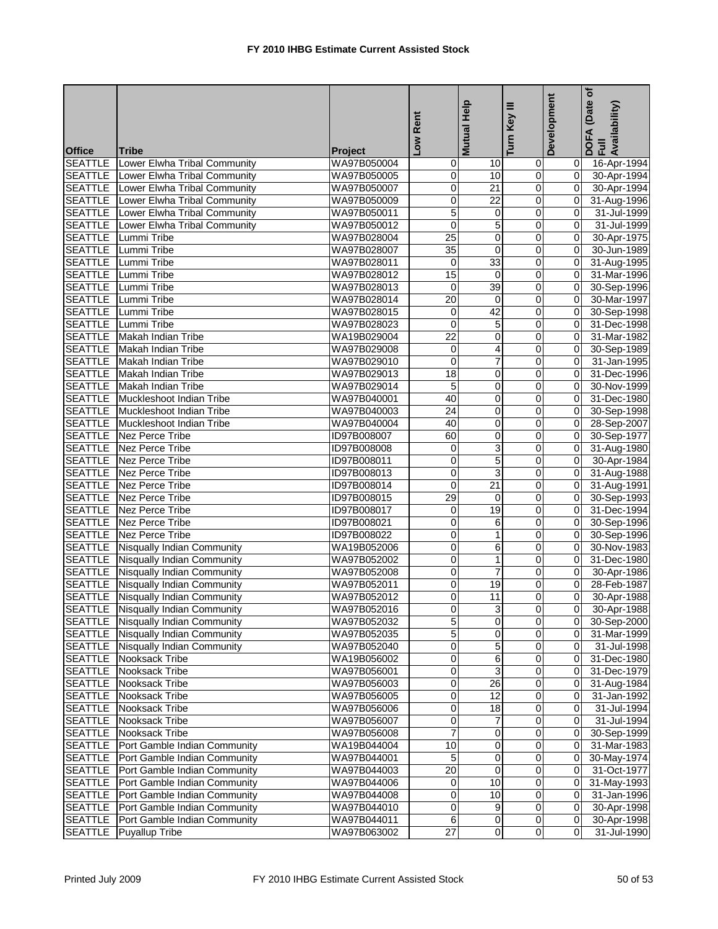|                |                                             |                            |                 | Help                    | Turn Key III            | Development    | (Date of<br>DOFA (Date<br>Full<br>Availability) |
|----------------|---------------------------------------------|----------------------------|-----------------|-------------------------|-------------------------|----------------|-------------------------------------------------|
|                |                                             |                            | Low Rent        | <b>Mutual</b>           |                         |                |                                                 |
| <b>Office</b>  | <b>Tribe</b>                                | <b>Project</b>             |                 |                         |                         |                |                                                 |
|                | <b>SEATTLE</b> Lower Elwha Tribal Community | WA97B050004                | 0               | 10                      | 0                       | 01             | 16-Apr-1994                                     |
|                | SEATTLE Lower Elwha Tribal Community        | WA97B050005                | 0               | 10                      | $\mathbf 0$             | 0I             | 30-Apr-1994                                     |
|                | SEATTLE Lower Elwha Tribal Community        | WA97B050007                | 0               | 21                      | $\pmb{0}$               | Οl             | 30-Apr-1994                                     |
| <b>SEATTLE</b> | <b>Lower Elwha Tribal Community</b>         | WA97B050009                | 0               | $\overline{22}$         | 0                       | $\overline{0}$ | 31-Aug-1996                                     |
|                | <b>SEATTLE</b> Lower Elwha Tribal Community | WA97B050011                | 5               | 0                       | 0                       | Οl             | 31-Jul-1999                                     |
| <b>SEATTLE</b> | Lower Elwha Tribal Community                | WA97B050012                | $\mathbf 0$     | $\overline{5}$          | 0                       | $\Omega$       | 31-Jul-1999                                     |
|                | SEATTLE Lummi Tribe                         | WA97B028004                | 25              | $\overline{\mathbf{0}}$ | $\overline{\mathbf{0}}$ | $\overline{0}$ | 30-Apr-1975                                     |
| <b>SEATTLE</b> | Lummi Tribe                                 | WA97B028007                | 35              | 0                       | 0                       | $\Omega$       | 30-Jun-1989                                     |
|                | SEATTLE Lummi Tribe                         | WA97B028011                | 0               | 33                      | 0                       | $\overline{0}$ | 31-Aug-1995                                     |
|                | SEATTLE Lummi Tribe                         | WA97B028012                | 15              | 0                       | 0                       | Οl             | 31-Mar-1996                                     |
|                | <b>SEATTLE</b> Lummi Tribe                  | WA97B028013                | Ō               | 39                      | $\overline{0}$          | $\overline{0}$ | 30-Sep-1996                                     |
|                | SEATTLE Lummi Tribe                         | WA97B028014                | $\overline{20}$ | $\mathbf 0$             | $\overline{0}$          | $\overline{0}$ | 30-Mar-1997                                     |
|                | <b>SEATTLE</b> Lummi Tribe                  | WA97B028015                | 0               | 42                      | $\overline{\mathbf{0}}$ | $\overline{0}$ | 30-Sep-1998                                     |
|                | SEATTLE Lummi Tribe                         | WA97B028023                | $\mathbf 0$     | 5                       | 0                       | $\overline{0}$ | 31-Dec-1998                                     |
|                | <b>SEATTLE</b> Makah Indian Tribe           | WA19B029004                | $\overline{22}$ | 0                       | $\overline{\mathbf{0}}$ | $\mathbf{0}$   | 31-Mar-1982                                     |
|                | SEATTLE Makah Indian Tribe                  | WA97B029008                | $\mathbf 0$     | 4                       | $\mathbf 0$             | $\mathbf{0}$   | 30-Sep-1989                                     |
|                | <b>SEATTLE</b> Makah Indian Tribe           | WA97B029010                | 0               |                         | 0                       | ΟI             | 31-Jan-1995                                     |
|                | <b>SEATTLE</b> Makah Indian Tribe           | WA97B029013                | 18              | 0                       | 0                       | ΟI             | 31-Dec-1996                                     |
|                | <b>SEATTLE</b> Makah Indian Tribe           | WA97B029014                | 5               | 0                       | 0                       | Οl             | 30-Nov-1999                                     |
| <b>SEATTLE</b> | Muckleshoot Indian Tribe                    | WA97B040001                | 40              | 0                       | 0                       | $\overline{0}$ | 31-Dec-1980                                     |
|                | SEATTLE Muckleshoot Indian Tribe            | WA97B040003                | $\overline{24}$ | 0                       | 0                       | $\overline{0}$ | 30-Sep-1998                                     |
|                | SEATTLE Muckleshoot Indian Tribe            | WA97B040004                | 40              | 0                       | 0                       | $\overline{0}$ | 28-Sep-2007                                     |
|                | <b>SEATTLE</b> Nez Perce Tribe              | ID97B008007                | 60              | $\overline{\mathbf{0}}$ | ō                       | $\overline{0}$ | 30-Sep-1977                                     |
|                | SEATTLE Nez Perce Tribe                     | ID97B008008                | 0               | 3                       | $\pmb{0}$               | $\overline{0}$ | 31-Aug-1980                                     |
|                | <b>SEATTLE</b> Nez Perce Tribe              | ID97B008011                | $\mathbf 0$     | 5                       | $\mathbf 0$             | $\mathbf{0}$   | 30-Apr-1984                                     |
|                | <b>SEATTLE</b> Nez Perce Tribe              | ID97B008013                | 0               | 3                       | 0                       | $\overline{0}$ | 31-Aug-1988                                     |
|                | <b>SEATTLE</b> Nez Perce Tribe              | ID97B008014                | $\mathbf 0$     | 21                      | $\mathbf 0$             | $\overline{0}$ | 31-Aug-1991                                     |
|                | <b>SEATTLE</b> Nez Perce Tribe              | ID97B008015                | 29              | 0                       | 0                       | $\overline{0}$ | 30-Sep-1993                                     |
| <b>SEATTLE</b> | Nez Perce Tribe                             | ID97B008017                | $\mathbf 0$     | 19                      | 0                       | $\overline{0}$ | 31-Dec-1994                                     |
|                | <b>SEATTLE</b> Nez Perce Tribe              | ID97B008021                | 0               | 6                       | 0                       | 0              | 30-Sep-1996                                     |
|                | <b>SEATTLE</b> Nez Perce Tribe              | ID97B008022                | 0               | 1                       | 0                       | $\mathbf{0}$   |                                                 |
|                | <b>SEATTLE</b> Nisqually Indian Community   | WA19B052006                | 0               | 6                       | $\mathbf 0$             | $\mathbf{0}$   | 30-Sep-1996<br>30-Nov-1983                      |
|                | <b>SEATTLE</b> Nisqually Indian Community   | WA97B052002                | 0               | $\mathbf{1}$            | 0                       | $\Omega$       |                                                 |
|                |                                             |                            | $\overline{0}$  | 7                       | 0                       | $\mathbf{0}$   | 31-Dec-1980                                     |
|                | <b>SEATTLE</b> Nisqually Indian Community   | WA97B052008                |                 |                         |                         | $\overline{0}$ | 30-Apr-1986                                     |
|                | <b>SEATTLE</b> Nisqually Indian Community   | WA97B052011<br>WA97B052012 | 0               | 19<br>$\overline{11}$   | 0<br>$\overline{0}$     | $\overline{0}$ | 28-Feb-1987                                     |
|                | <b>SEATTLE</b> Nisqually Indian Community   |                            | 0               |                         |                         |                | 30-Apr-1988                                     |
|                | <b>SEATTLE</b> Nisqually Indian Community   | WA97B052016                |                 | $\overline{3}$          |                         |                | 30-Apr-1988                                     |
|                | <b>SEATTLE</b> Nisqually Indian Community   | WA97B052032                | 5               | $\overline{0}$          | $\overline{\mathbf{0}}$ |                | 0 30-Sep-2000                                   |
|                | SEATTLE Nisqually Indian Community          | WA97B052035                | 5               | 0                       | 0                       |                | $\overline{0}$ 31-Mar-1999                      |
|                | SEATTLE Nisqually Indian Community          | WA97B052040                | 0               | 5                       | $\overline{0}$          | 01             | 31-Jul-1998                                     |
| <b>SEATTLE</b> | Nooksack Tribe                              | WA19B056002                | 0               | 6                       | $\pmb{0}$               | 01             | 31-Dec-1980                                     |
| <b>SEATTLE</b> | Nooksack Tribe                              | WA97B056001                | 0               | 3                       | 0                       | 01             | 31-Dec-1979                                     |
| <b>SEATTLE</b> | Nooksack Tribe                              | WA97B056003                | 0               | $\overline{26}$         | 0                       |                | 31-Aug-1984                                     |
| <b>SEATTLE</b> | Nooksack Tribe                              | WA97B056005                | 0               | 12                      | 0                       | 0              | 31-Jan-1992                                     |
| <b>SEATTLE</b> | Nooksack Tribe                              | WA97B056006                | 0               | 18                      | 0                       | 01             | 31-Jul-1994                                     |
| <b>SEATTLE</b> | Nooksack Tribe                              | WA97B056007                | 0               | 7                       | 0                       | ΟI             | 31-Jul-1994                                     |
| <b>SEATTLE</b> | Nooksack Tribe                              | WA97B056008                | 7               | 0                       | 0                       |                | 30-Sep-1999                                     |
| <b>SEATTLE</b> | Port Gamble Indian Community                | WA19B044004                | 10              | $\overline{\mathbf{0}}$ | $\overline{\mathsf{o}}$ | 01             | 31-Mar-1983                                     |
| <b>SEATTLE</b> | Port Gamble Indian Community                | WA97B044001                | 5               | $\pmb{0}$               | $\pmb{0}$               | $\overline{0}$ | 30-May-1974                                     |
| <b>SEATTLE</b> | Port Gamble Indian Community                | WA97B044003                | 20              | 0                       | 0                       | 0I             | 31-Oct-1977                                     |
| <b>SEATTLE</b> | Port Gamble Indian Community                | WA97B044006                | $\overline{0}$  | 10                      | $\mathbf 0$             | 01             | 31-May-1993                                     |
| <b>SEATTLE</b> | Port Gamble Indian Community                | WA97B044008                | 0               | 10                      | $\pmb{0}$               | 01             | 31-Jan-1996                                     |
| <b>SEATTLE</b> | Port Gamble Indian Community                | WA97B044010                | 0               | $\boldsymbol{9}$        | $\pmb{0}$               | $\overline{0}$ | 30-Apr-1998                                     |
| <b>SEATTLE</b> | Port Gamble Indian Community                | WA97B044011                | 6               | 0                       | 0                       | $\mathbf{0}$   | 30-Apr-1998                                     |
| <b>SEATTLE</b> | <b>Puyallup Tribe</b>                       | WA97B063002                | $\overline{27}$ | $\overline{0}$          | $\overline{0}$          |                | 31-Jul-1990                                     |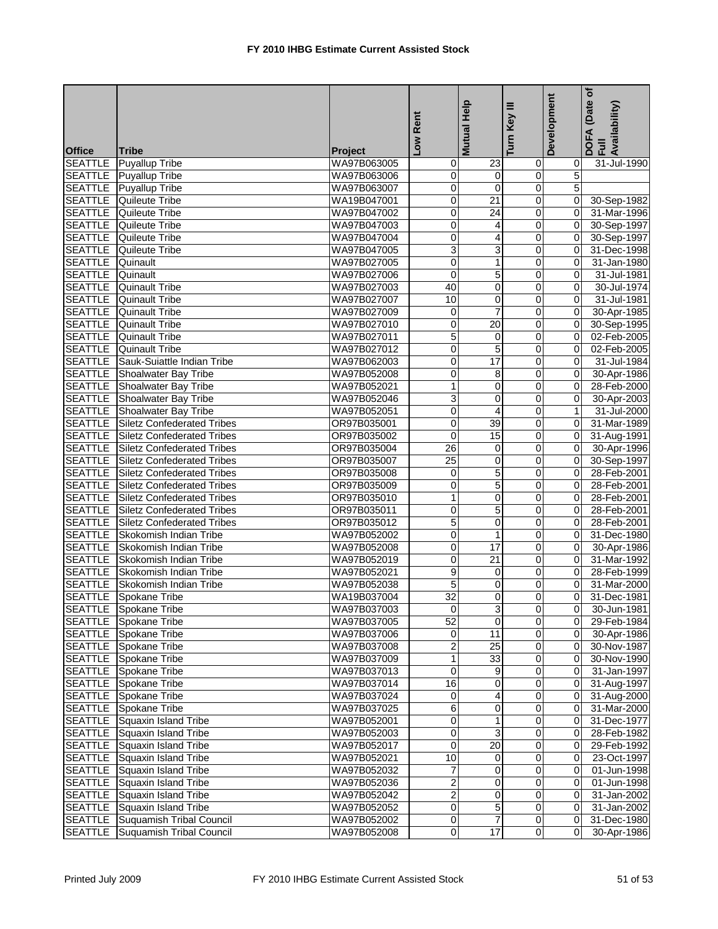|                                  |                                                  |                            | Rent            | Mutual Help     | Ξ<br>Key                | Development                | (Date of<br>DOFA (Date<br>Full<br>Availability) |
|----------------------------------|--------------------------------------------------|----------------------------|-----------------|-----------------|-------------------------|----------------------------|-------------------------------------------------|
| <b>Office</b>                    | <b>Tribe</b>                                     | Project                    | <b>NOT</b>      |                 | Turn                    |                            |                                                 |
|                                  | <b>SEATTLE</b> Puyallup Tribe                    | WA97B063005                | 0               | $\overline{23}$ | 0                       | $\overline{0}$             | 31-Jul-1990                                     |
|                                  | <b>SEATTLE</b> Puyallup Tribe                    | WA97B063006                | 0               | $\mathbf 0$     | $\overline{0}$          | 5 <sup>1</sup>             |                                                 |
|                                  | <b>SEATTLE</b> Puyallup Tribe                    | WA97B063007                | 0               | $\mathbf 0$     | $\mathbf 0$             | 5                          |                                                 |
| <b>SEATTLE</b>                   | Quileute Tribe                                   | WA19B047001                | 0               | $\overline{21}$ | Ō                       | $\overline{0}$             | 30-Sep-1982                                     |
|                                  | <b>SEATTLE</b> Quileute Tribe                    | WA97B047002                | 0               | $\overline{24}$ | $\mathbf 0$             | $\Omega$                   | 31-Mar-1996                                     |
| <b>SEATTLE</b>                   | <b>Quileute Tribe</b>                            | WA97B047003                | 0               | 4               | $\mathbf 0$             | $\overline{0}$             | 30-Sep-1997                                     |
| <b>SEATTLE</b>                   | Quileute Tribe                                   | WA97B047004                | 0               | 4               | $\mathbf 0$             | $\overline{0}$             | 30-Sep-1997                                     |
|                                  | <b>SEATTLE</b> Quileute Tribe                    | WA97B047005                | 3               | 3               | 0                       | $\overline{0}$             | 31-Dec-1998                                     |
| <b>SEATTLE</b> Quinault          |                                                  | WA97B027005                | 0               | 1               | 0                       | $\overline{0}$             | 31-Jan-1980                                     |
| <b>SEATTLE</b>                   | Quinault                                         | WA97B027006                | $\mathbf 0$     | 5               | 0                       | $\overline{0}$             | 31-Jul-1981                                     |
| <b>SEATTLE</b>                   | <b>Quinault Tribe</b>                            | WA97B027003                | 40              | $\mathbf 0$     | $\mathbf 0$             | $\overline{0}$             | 30-Jul-1974                                     |
| <b>SEATTLE</b>                   | <b>Quinault Tribe</b>                            | WA97B027007                | 10              | $\overline{0}$  | 0                       | $\Omega$                   | 31-Jul-1981                                     |
|                                  | <b>SEATTLE</b> Quinault Tribe                    | WA97B027009                | 0               | 7               | 0                       | $\Omega$                   | 30-Apr-1985                                     |
|                                  | <b>SEATTLE</b> Quinault Tribe                    | WA97B027010                | 0               | 20              | 0                       | $\mathbf{0}$               | 30-Sep-1995                                     |
|                                  | <b>SEATTLE</b> Quinault Tribe                    | WA97B027011                | 5               | $\mathbf 0$     | 0                       | $\overline{0}$             | 02-Feb-2005                                     |
|                                  | <b>SEATTLE</b> Quinault Tribe                    | WA97B027012                | 0               | 5               | 0                       | $\mathbf{0}$               | 02-Feb-2005                                     |
|                                  | SEATTLE Sauk-Suiattle Indian Tribe               | WA97B062003                | 0               | $\overline{17}$ | 0                       | $\Omega$                   | 31-Jul-1984                                     |
|                                  | <b>SEATTLE</b> Shoalwater Bay Tribe              | WA97B052008                | 0               | 8               | 0                       | $\Omega$                   | 30-Apr-1986                                     |
|                                  | <b>SEATTLE</b> Shoalwater Bay Tribe              | WA97B052021                | 1               | $\pmb{0}$       | $\overline{0}$          | $\overline{0}$             | 28-Feb-2000                                     |
|                                  | <b>SEATTLE</b> Shoalwater Bay Tribe              | WA97B052046                | 3               | $\mathbf 0$     | $\mathbf 0$             | $\mathbf{0}$               | 30-Apr-2003                                     |
|                                  | <b>SEATTLE</b> Shoalwater Bay Tribe              | WA97B052051                | 0               | 4               | $\overline{0}$          | $\mathbf{1}$               | 31-Jul-2000                                     |
|                                  | <b>SEATTLE</b> Siletz Confederated Tribes        | OR97B035001                | 0               | 39              | 0                       | $\Omega$                   | 31-Mar-1989                                     |
|                                  | <b>SEATTLE</b> Siletz Confederated Tribes        | OR97B035002                | $\mathbf 0$     | 15              | Ō                       | $\overline{0}$             | 31-Aug-1991                                     |
| <b>SEATTLE</b>                   | <b>Siletz Confederated Tribes</b>                | OR97B035004                | 26              | $\mathbf 0$     | 0                       | $\overline{0}$             | 30-Apr-1996                                     |
|                                  | <b>SEATTLE</b> Siletz Confederated Tribes        | OR97B035007                | $\overline{25}$ | $\mathbf 0$     | 0                       | $\overline{0}$             | 30-Sep-1997                                     |
| <b>SEATTLE</b>                   | <b>Siletz Confederated Tribes</b>                | OR97B035008                | 0               | 5               | 0                       | $\Omega$                   | 28-Feb-2001                                     |
| <b>SEATTLE</b>                   | <b>Siletz Confederated Tribes</b>                | OR97B035009                | 0               | 5               | $\mathbf 0$             | $\overline{0}$             | 28-Feb-2001                                     |
| <b>SEATTLE</b>                   | <b>Siletz Confederated Tribes</b>                | OR97B035010                | 1               | $\mathbf 0$     | $\mathbf 0$             | $\mathbf{0}$               | 28-Feb-2001                                     |
| <b>SEATTLE</b>                   | Siletz Confederated Tribes                       | OR97B035011                | 0               | 5               | Ō                       | $\Omega$                   | 28-Feb-2001                                     |
| <b>SEATTLE</b>                   | <b>Siletz Confederated Tribes</b>                | OR97B035012                | 5               | 0               | $\mathbf 0$             | $\Omega$                   | 28-Feb-2001                                     |
| <b>SEATTLE</b>                   | Skokomish Indian Tribe                           | WA97B052002                | 0               | 1               | $\mathbf 0$             | $\overline{0}$             | 31-Dec-1980                                     |
| <b>SEATTLE</b>                   | Skokomish Indian Tribe                           | WA97B052008                | 0               | 17              | $\mathbf 0$             | $\overline{0}$             | 30-Apr-1986                                     |
|                                  | SEATTLE Skokomish Indian Tribe                   | WA97B052019                | 0               | 21              | $\mathbf 0$             | $\Omega$                   | 31-Mar-1992                                     |
|                                  | <b>SEATTLE</b> Skokomish Indian Tribe            | WA97B052021                | 9               | 0               | 0                       | $\overline{0}$             | 28-Feb-1999                                     |
|                                  | <b>SEATTLE</b> Skokomish Indian Tribe            | WA97B052038                | 5               | $\mathbf 0$     | 0                       | $\Omega$                   | 31-Mar-2000                                     |
|                                  | <b>SEATTLE</b> Spokane Tribe                     | WA19B037004                | $\overline{32}$ | o               | $\overline{0}$          | $\overline{0}$             | 31-Dec-1981                                     |
|                                  | <b>SEATTLE</b> Spokane Tribe                     | WA97B037003                | $\overline{0}$  | 3               | $\overline{\text{o}}$   | $\overline{0}$             | 30-Jun-1981                                     |
|                                  | SEATTLE Spokane Tribe                            | WA97B037005                | 52              | $\mathbf{0}$    | 0                       | $\Omega$                   | 29-Feb-1984                                     |
|                                  | <b>SEATTLE</b> Spokane Tribe                     | WA97B037006                | 0               | 11              | 0                       | $\overline{0}$             | 30-Apr-1986                                     |
|                                  | <b>SEATTLE</b> Spokane Tribe                     | WA97B037008                | 2               | 25              | $\mathbf 0$             |                            | 0 30-Nov-1987                                   |
|                                  | SEATTLE Spokane Tribe                            | WA97B037009                | 1               | 33              | 0                       | $\Omega$                   | 30-Nov-1990                                     |
|                                  | <b>SEATTLE</b> Spokane Tribe                     | WA97B037013                | 0               | 9               | Ō                       | $\overline{0}$             | 31-Jan-1997                                     |
|                                  | <b>SEATTLE</b> Spokane Tribe                     | WA97B037014                | 16              | 0               | $\overline{0}$          | $\overline{0}$             | 31-Aug-1997                                     |
|                                  | <b>SEATTLE</b> Spokane Tribe                     | WA97B037024                | 0               | 4               | $\overline{\mathbf{0}}$ | $\overline{0}$             | 31-Aug-2000                                     |
|                                  | SEATTLE Spokane Tribe                            | WA97B037025                | 6               | 0               | $\mathbf 0$             | $\overline{0}$             | 31-Mar-2000                                     |
|                                  | <b>SEATTLE</b> Squaxin Island Tribe              | WA97B052001                | 0               |                 | $\overline{\mathbf{0}}$ | $\overline{0}$             | 31-Dec-1977                                     |
|                                  | SEATTLE Squaxin Island Tribe                     | WA97B052003                | 0               | 3               | 0                       | $\overline{0}$             | 28-Feb-1982                                     |
| <b>SEATTLE</b>                   | Squaxin Island Tribe                             | WA97B052017                | 0               | $\overline{20}$ | $\mathbf 0$             | $\overline{0}$             |                                                 |
| <b>SEATTLE</b>                   |                                                  |                            | $\overline{10}$ | 0               | 0                       | 01                         | 29-Feb-1992                                     |
| <b>SEATTLE</b>                   | Squaxin Island Tribe                             | WA97B052021                | 7               | 0               |                         |                            | 23-Oct-1997                                     |
|                                  | Squaxin Island Tribe                             | WA97B052032                |                 |                 | $\mathbf 0$             | $\overline{0}$<br>$\Omega$ | 01-Jun-1998                                     |
| <b>SEATTLE</b>                   | Squaxin Island Tribe                             | WA97B052036                | 2               | 0               | 0                       |                            | 01-Jun-1998                                     |
| <b>SEATTLE</b>                   | Squaxin Island Tribe                             | WA97B052042                | $\overline{2}$  | 0               | $\mathbf 0$             | $\overline{0}$             | 31-Jan-2002                                     |
| <b>SEATTLE</b><br><b>SEATTLE</b> | Squaxin Island Tribe<br>Suquamish Tribal Council | WA97B052052<br>WA97B052002 | 0               | 5<br>7          | $\mathbf 0$             | $\overline{0}$<br>$\Omega$ | 31-Jan-2002                                     |
|                                  |                                                  |                            | 0               |                 | $\mathbf 0$             | $\Omega$                   | 31-Dec-1980                                     |
| <b>SEATTLE</b>                   | Suquamish Tribal Council                         | WA97B052008                | 0               | 17              | 0                       |                            | 30-Apr-1986                                     |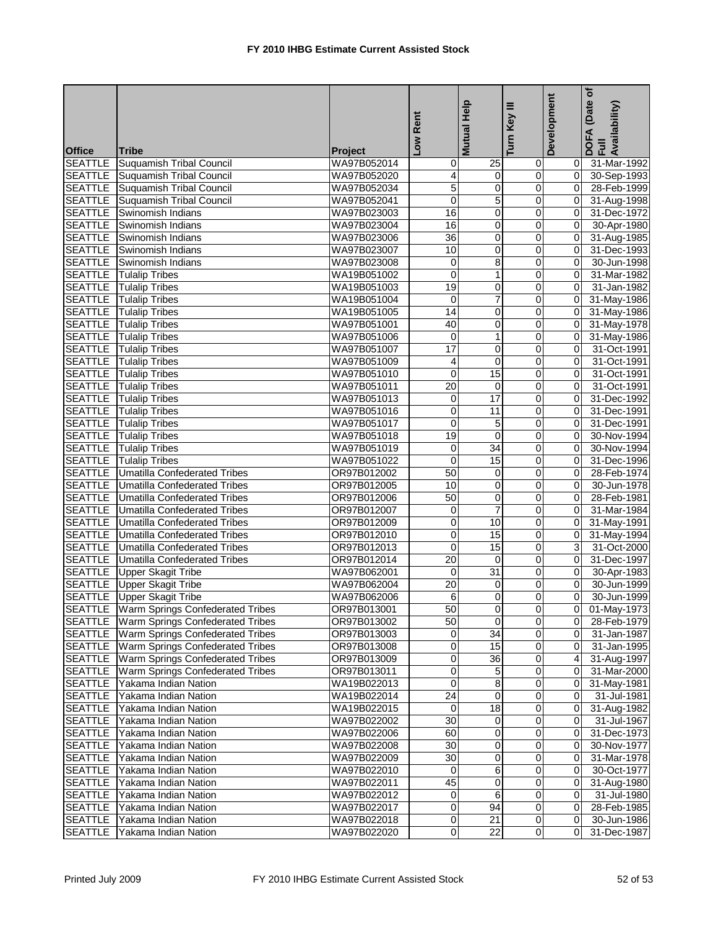|                                 |                                                 |                | Rent            | <b>Mutual Help</b> | Ξ<br>Key       | Development             | (Date of<br>DOFA (Date<br>Full<br>Availability) |
|---------------------------------|-------------------------------------------------|----------------|-----------------|--------------------|----------------|-------------------------|-------------------------------------------------|
|                                 |                                                 | <b>Project</b> | Low             |                    | Turn           |                         |                                                 |
| <b>Office</b><br><b>SEATTLE</b> | <b>Tribe</b><br>Suquamish Tribal Council        | WA97B052014    | 0               | $\overline{25}$    | $\overline{0}$ | ΟI                      | 31-Mar-1992                                     |
|                                 | <b>SEATTLE</b> Suquamish Tribal Council         | WA97B052020    | 4               | $\pmb{0}$          | $\mathbf 0$    | 0l                      | 30-Sep-1993                                     |
| <b>SEATTLE</b>                  | <b>Suquamish Tribal Council</b>                 | WA97B052034    | 5               | 0                  | 0              | $\overline{0}$          | 28-Feb-1999                                     |
| <b>SEATTLE</b>                  | <b>Suquamish Tribal Council</b>                 | WA97B052041    | 0               | 5                  | $\mathbf 0$    | 0I                      | 31-Aug-1998                                     |
| <b>SEATTLE</b>                  | Swinomish Indians                               | WA97B023003    | $\overline{16}$ | 0                  | 0              | 0l                      | 31-Dec-1972                                     |
| <b>SEATTLE</b>                  | Swinomish Indians                               | WA97B023004    | 16              | $\mathbf{O}$       | 0              | 0l                      | 30-Apr-1980                                     |
| <b>SEATTLE</b>                  | Swinomish Indians                               | WA97B023006    | 36              | 0                  | $\pmb{0}$      | $\overline{0}$          | 31-Aug-1985                                     |
|                                 | SEATTLE Swinomish Indians                       | WA97B023007    | 10              | 0                  | 0              | $\mathbf{0}$            | 31-Dec-1993                                     |
|                                 | <b>SEATTLE</b> Swinomish Indians                | WA97B023008    | 0               | 8                  | 0              | 0l                      | 30-Jun-1998                                     |
| <b>SEATTLE</b>                  | <b>Tulalip Tribes</b>                           | WA19B051002    | $\mathbf 0$     | $\mathbf{1}$       | 0              | 0l                      | 31-Mar-1982                                     |
| <b>SEATTLE</b>                  | <b>Tulalip Tribes</b>                           | WA19B051003    | 19              | 0                  | 0              | 0l                      | 31-Jan-1982                                     |
| <b>SEATTLE</b>                  | <b>Tulalip Tribes</b>                           | WA19B051004    | $\mathbf 0$     | $\overline{7}$     | $\mathbf 0$    | Οl                      | 31-May-1986                                     |
| <b>SEATTLE</b>                  | <b>Tulalip Tribes</b>                           | WA19B051005    | 14              | 0                  | 0              | 0I                      | 31-May-1986                                     |
| <b>SEATTLE</b>                  | <b>Tulalip Tribes</b>                           | WA97B051001    | 40              | 0                  | 0              | Οl                      | 31-May-1978                                     |
|                                 | <b>SEATTLE</b> Tulalip Tribes                   | WA97B051006    | $\mathbf 0$     | $\mathbf{1}$       | $\mathbf 0$    | $\overline{0}$          | 31-May-1986                                     |
|                                 | <b>SEATTLE</b> Tulalip Tribes                   | WA97B051007    | 17              | $\overline{0}$     | $\mathbf 0$    | $\mathbf{0}$            |                                                 |
|                                 | <b>SEATTLE</b>   Tulalip Tribes                 |                | 4               | 0                  | 0              | Οl                      | 31-Oct-1991<br>31-Oct-1991                      |
|                                 |                                                 | WA97B051009    |                 |                    |                |                         |                                                 |
|                                 | <b>SEATTLE</b> Tulalip Tribes                   | WA97B051010    | $\mathbf 0$     | 15                 | 0              | Οl                      | 31-Oct-1991                                     |
|                                 | <b>SEATTLE</b> Tulalip Tribes                   | WA97B051011    | $\overline{20}$ | 0                  | $\overline{0}$ | $\mathbf{0}$            | 31-Oct-1991                                     |
|                                 | <b>SEATTLE</b> Tulalip Tribes                   | WA97B051013    | 0               | 17                 | $\mathbf 0$    | $\Omega$                | 31-Dec-1992                                     |
|                                 | <b>SEATTLE</b> Tulalip Tribes                   | WA97B051016    | 0               | 11                 | $\mathbf 0$    | $\Omega$                | 31-Dec-1991                                     |
|                                 | <b>SEATTLE</b> Tulalip Tribes                   | WA97B051017    | $\mathbf 0$     | 5                  | 0              | $\mathbf{0}$            | 31-Dec-1991                                     |
|                                 | <b>SEATTLE</b> Tulalip Tribes                   | WA97B051018    | $\overline{19}$ | $\overline{0}$     | $\overline{0}$ | $\overline{0}$          | 30-Nov-1994                                     |
| <b>SEATTLE</b>                  | <b>Tulalip Tribes</b>                           | WA97B051019    | 0               | 34                 | $\pmb{0}$      | $\mathbf{0}$            | 30-Nov-1994                                     |
|                                 | <b>SEATTLE</b> Tulalip Tribes                   | WA97B051022    | $\overline{0}$  | 15                 | 0              | οI                      | 31-Dec-1996                                     |
|                                 | <b>SEATTLE</b> Umatilla Confederated Tribes     | OR97B012002    | 50              | 0                  | 0              | Οl                      | 28-Feb-1974                                     |
| <b>SEATTLE</b>                  | <b>Umatilla Confederated Tribes</b>             | OR97B012005    | 10              | 0                  | 0              | Οl                      | 30-Jun-1978                                     |
| <b>SEATTLE</b>                  | <b>Umatilla Confederated Tribes</b>             | OR97B012006    | 50              | 0                  | 0              | Οl                      | 28-Feb-1981                                     |
| <b>SEATTLE</b>                  | <b>Umatilla Confederated Tribes</b>             | OR97B012007    | 0               | $\overline{7}$     | 0              | Οl                      | 31-Mar-1984                                     |
| <b>SEATTLE</b>                  | <b>Umatilla Confederated Tribes</b>             | OR97B012009    | 0               | 10                 | 0              | ΟI                      | 31-May-1991                                     |
| <b>SEATTLE</b>                  | Umatilla Confederated Tribes                    | OR97B012010    | 0               | 15                 | 0              | 01                      | 31-May-1994                                     |
| <b>SEATTLE</b>                  | Umatilla Confederated Tribes                    | OR97B012013    | 0               | 15                 | $\pmb{0}$      | 3                       | 31-Oct-2000                                     |
|                                 | <b>SEATTLE</b> Umatilla Confederated Tribes     | OR97B012014    | 20              | $\pmb{0}$          | 0              | Οl                      | 31-Dec-1997                                     |
|                                 | <b>SEATTLE</b> Upper Skagit Tribe               | WA97B062001    | 0               | 31                 | 0              | 0I                      | 30-Apr-1983                                     |
|                                 | <b>SEATTLE</b> Upper Skagit Tribe               | WA97B062004    | 20              | 0                  | 0              | $\mathbf{0}$            | 30-Jun-1999                                     |
|                                 | <b>SEATTLE</b> Upper Skagit Tribe               | WA97B062006    | 6               | $\overline{0}$     | $\overline{0}$ | $\overline{0}$          | 30-Jun-1999                                     |
|                                 | <b>SEATTLE</b> Warm Springs Confederated Tribes | OR97B013001    | 50              | $\overline{0}$     |                | $\overline{\mathsf{d}}$ | 01-May-1973                                     |
|                                 | <b>SEATTLE</b> Warm Springs Confederated Tribes | OR97B013002    | 50              | $\overline{0}$     | $\overline{0}$ |                         | 0 28-Feb-1979                                   |
| SEATTLE                         | Warm Springs Confederated Tribes                | OR97B013003    | 0               | 34                 | 0              | 01                      | 31-Jan-1987                                     |
| <b>SEATTLE</b>                  | Warm Springs Confederated Tribes                | OR97B013008    | 0               | 15                 | $\pmb{0}$      | $\overline{0}$          | 31-Jan-1995                                     |
| <b>SEATTLE</b>                  | Warm Springs Confederated Tribes                | OR97B013009    | 0               | 36                 | 0              | 41                      | 31-Aug-1997                                     |
| <b>SEATTLE</b>                  | Warm Springs Confederated Tribes                | OR97B013011    | 0               | $\sqrt{5}$         | $\mathbf 0$    | 01                      | 31-Mar-2000                                     |
| <b>SEATTLE</b>                  | Yakama Indian Nation                            | WA19B022013    | 0               | 8                  | 0              | 01                      | 31-May-1981                                     |
|                                 | SEATTLE Yakama Indian Nation                    | WA19B022014    | 24              | $\pmb{0}$          | $\overline{O}$ | 01                      | 31-Jul-1981                                     |
| SEATTLE                         | Yakama Indian Nation                            | WA19B022015    | 0               | 18                 | 0              |                         | 0 31-Aug-1982                                   |
| SEATTLE                         | Yakama Indian Nation                            | WA97B022002    | 30              | $\mathbf 0$        | 0              | ΟI                      | 31-Jul-1967                                     |
| <b>SEATTLE</b>                  | Yakama Indian Nation                            | WA97B022006    | 60              | 0                  | 0              | 01                      | 31-Dec-1973                                     |
| <b>SEATTLE</b>                  | Yakama Indian Nation                            | WA97B022008    | 30              | $\mathbf 0$        | $\mathbf 0$    | 01                      | 30-Nov-1977                                     |
| <b>SEATTLE</b>                  | Yakama Indian Nation                            | WA97B022009    | 30              | 0                  | 0              | 01                      | 31-Mar-1978                                     |
| <b>SEATTLE</b>                  | Yakama Indian Nation                            | WA97B022010    | 0               | 6                  | 0              | ΟI                      | 30-Oct-1977                                     |
| <b>SEATTLE</b>                  | Yakama Indian Nation                            | WA97B022011    | 45              | $\mathbf 0$        | 0              |                         | 31-Aug-1980                                     |
| <b>SEATTLE</b>                  | Yakama Indian Nation                            | WA97B022012    | 0               | 6                  | $\mathbf 0$    | 01                      | 31-Jul-1980                                     |
| <b>SEATTLE</b>                  | Yakama Indian Nation                            | WA97B022017    | 0               | 94                 | $\mathbf 0$    | $\overline{0}$          | 28-Feb-1985                                     |
| <b>SEATTLE</b>                  | Yakama Indian Nation                            | WA97B022018    | 0               | 21                 | $\overline{0}$ | ΟI                      | 30-Jun-1986                                     |
| <b>SEATTLE</b>                  | Yakama Indian Nation                            | WA97B022020    | $\overline{0}$  | 22                 | $\overline{0}$ |                         | 31-Dec-1987                                     |